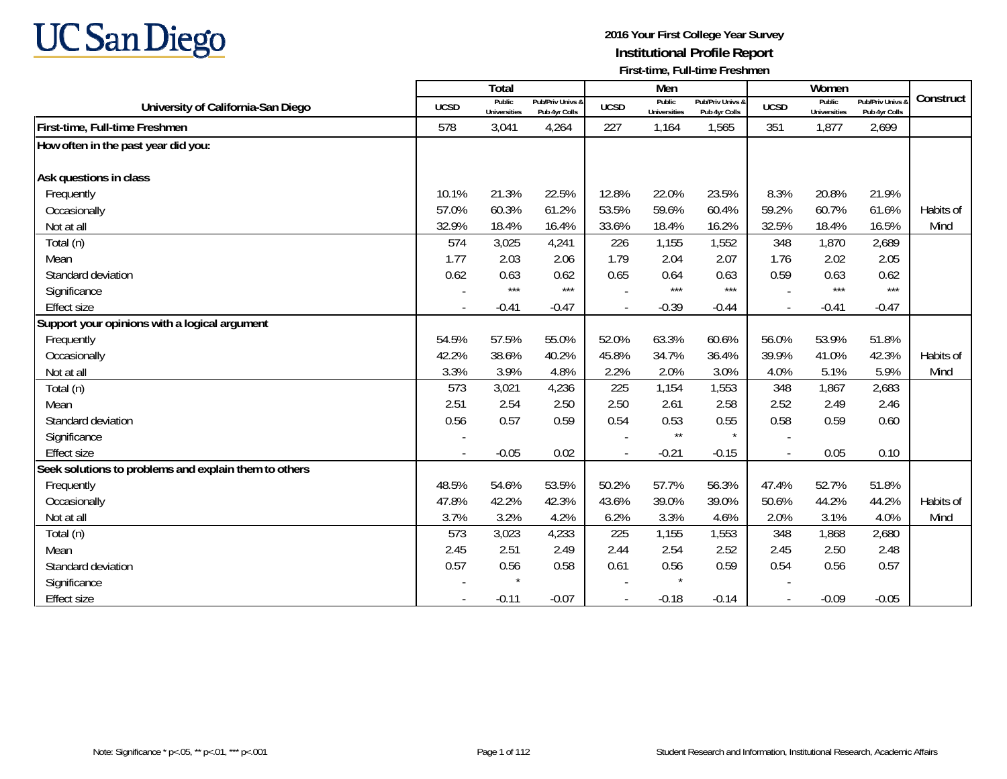

|                                                       |             | Total                         |                                   |             | Men                           |                                   |                          | Women                         |                                        |           |
|-------------------------------------------------------|-------------|-------------------------------|-----------------------------------|-------------|-------------------------------|-----------------------------------|--------------------------|-------------------------------|----------------------------------------|-----------|
| University of California-San Diego                    | <b>UCSD</b> | Public<br><b>Universities</b> | Pub/Priv Univs &<br>Pub 4yr Colls | <b>UCSD</b> | Public<br><b>Universities</b> | Pub/Priv Univs &<br>Pub 4yr Colls | <b>UCSD</b>              | Public<br><b>Universities</b> | <b>Pub/Priv Univs</b><br>Pub 4yr Colls | Construct |
| First-time, Full-time Freshmen                        | 578         | 3,041                         | 4,264                             | 227         | 1,164                         | 1,565                             | 351                      | 1,877                         | 2,699                                  |           |
| How often in the past year did you:                   |             |                               |                                   |             |                               |                                   |                          |                               |                                        |           |
|                                                       |             |                               |                                   |             |                               |                                   |                          |                               |                                        |           |
| Ask questions in class                                |             |                               |                                   |             |                               |                                   |                          |                               |                                        |           |
| Frequently                                            | 10.1%       | 21.3%                         | 22.5%                             | 12.8%       | 22.0%                         | 23.5%                             | 8.3%                     | 20.8%                         | 21.9%                                  |           |
| Occasionally                                          | 57.0%       | 60.3%                         | 61.2%                             | 53.5%       | 59.6%                         | 60.4%                             | 59.2%                    | 60.7%                         | 61.6%                                  | Habits of |
| Not at all                                            | 32.9%       | 18.4%                         | 16.4%                             | 33.6%       | 18.4%                         | 16.2%                             | 32.5%                    | 18.4%                         | 16.5%                                  | Mind      |
| Total (n)                                             | 574         | 3,025                         | 4,241                             | 226         | 1,155                         | 1,552                             | 348                      | 1,870                         | 2,689                                  |           |
| Mean                                                  | 1.77        | 2.03                          | 2.06                              | 1.79        | 2.04                          | 2.07                              | 1.76                     | 2.02                          | 2.05                                   |           |
| Standard deviation                                    | 0.62        | 0.63                          | 0.62                              | 0.65        | 0.64                          | 0.63                              | 0.59                     | 0.63                          | 0.62                                   |           |
| Significance                                          |             | $***$                         | $***$                             |             | $***$                         | $***$                             |                          | $***$                         | $***$                                  |           |
| <b>Effect size</b>                                    | $\sim$      | $-0.41$                       | $-0.47$                           | $\sim$      | $-0.39$                       | $-0.44$                           | $\blacksquare$           | $-0.41$                       | $-0.47$                                |           |
| Support your opinions with a logical argument         |             |                               |                                   |             |                               |                                   |                          |                               |                                        |           |
| Frequently                                            | 54.5%       | 57.5%                         | 55.0%                             | 52.0%       | 63.3%                         | 60.6%                             | 56.0%                    | 53.9%                         | 51.8%                                  |           |
| Occasionally                                          | 42.2%       | 38.6%                         | 40.2%                             | 45.8%       | 34.7%                         | 36.4%                             | 39.9%                    | 41.0%                         | 42.3%                                  | Habits of |
| Not at all                                            | 3.3%        | 3.9%                          | 4.8%                              | 2.2%        | 2.0%                          | 3.0%                              | 4.0%                     | 5.1%                          | 5.9%                                   | Mind      |
| Total (n)                                             | 573         | 3,021                         | 4,236                             | 225         | 1,154                         | 1,553                             | 348                      | 1,867                         | 2,683                                  |           |
| Mean                                                  | 2.51        | 2.54                          | 2.50                              | 2.50        | 2.61                          | 2.58                              | 2.52                     | 2.49                          | 2.46                                   |           |
| Standard deviation                                    | 0.56        | 0.57                          | 0.59                              | 0.54        | 0.53                          | 0.55                              | 0.58                     | 0.59                          | 0.60                                   |           |
| Significance                                          |             |                               |                                   |             | $\star\star$                  | $\star$                           |                          |                               |                                        |           |
| <b>Effect size</b>                                    |             | $-0.05$                       | 0.02                              |             | $-0.21$                       | $-0.15$                           | $\overline{\phantom{a}}$ | 0.05                          | 0.10                                   |           |
| Seek solutions to problems and explain them to others |             |                               |                                   |             |                               |                                   |                          |                               |                                        |           |
| Frequently                                            | 48.5%       | 54.6%                         | 53.5%                             | 50.2%       | 57.7%                         | 56.3%                             | 47.4%                    | 52.7%                         | 51.8%                                  |           |
| Occasionally                                          | 47.8%       | 42.2%                         | 42.3%                             | 43.6%       | 39.0%                         | 39.0%                             | 50.6%                    | 44.2%                         | 44.2%                                  | Habits of |
| Not at all                                            | 3.7%        | 3.2%                          | 4.2%                              | 6.2%        | 3.3%                          | 4.6%                              | 2.0%                     | 3.1%                          | 4.0%                                   | Mind      |
| Total (n)                                             | 573         | 3,023                         | 4,233                             | 225         | 1,155                         | 1,553                             | 348                      | 1,868                         | 2,680                                  |           |
| Mean                                                  | 2.45        | 2.51                          | 2.49                              | 2.44        | 2.54                          | 2.52                              | 2.45                     | 2.50                          | 2.48                                   |           |
| Standard deviation                                    | 0.57        | 0.56                          | 0.58                              | 0.61        | 0.56                          | 0.59                              | 0.54                     | 0.56                          | 0.57                                   |           |
| Significance                                          |             | $\star$                       |                                   |             |                               |                                   |                          |                               |                                        |           |
| <b>Effect size</b>                                    |             | $-0.11$                       | $-0.07$                           |             | $-0.18$                       | $-0.14$                           |                          | $-0.09$                       | $-0.05$                                |           |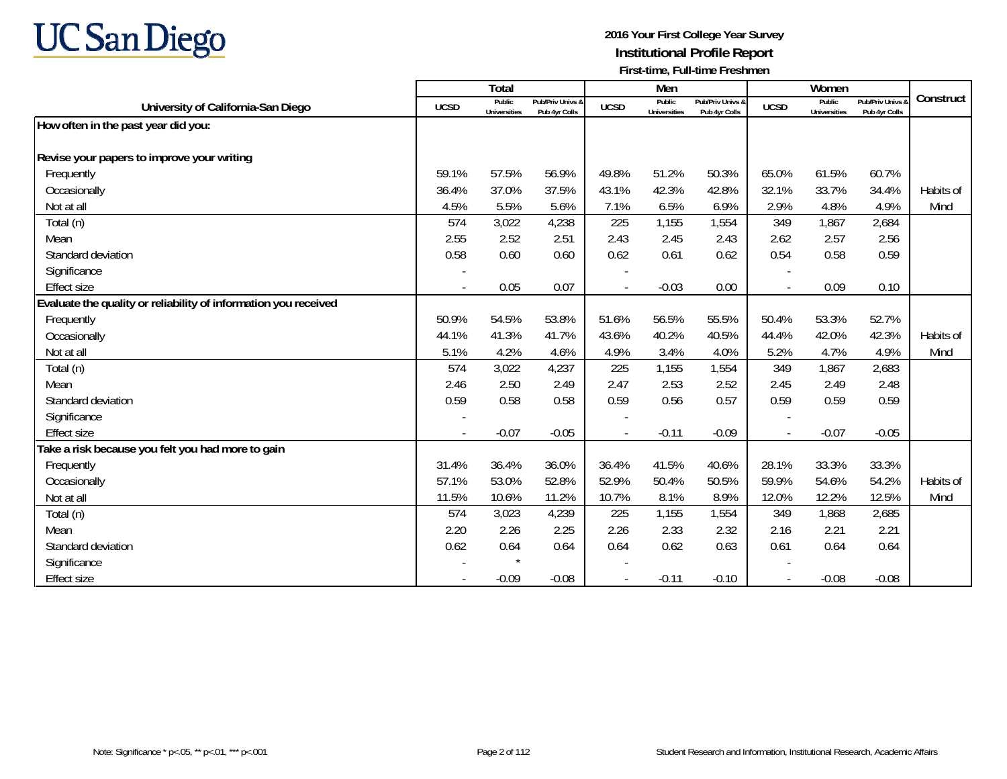

|                                                                 |             | Total                         |                                   |             | Men                           |                                   |                | Women                         |                                        |           |
|-----------------------------------------------------------------|-------------|-------------------------------|-----------------------------------|-------------|-------------------------------|-----------------------------------|----------------|-------------------------------|----------------------------------------|-----------|
| University of California-San Diego                              | <b>UCSD</b> | Public<br><b>Universities</b> | Pub/Priv Univs &<br>Pub 4yr Colls | <b>UCSD</b> | Public<br><b>Universities</b> | Pub/Priv Univs &<br>Pub 4yr Colls | <b>UCSD</b>    | Public<br><b>Universities</b> | <b>Pub/Priv Univs</b><br>Pub 4yr Colls | Construct |
| How often in the past year did you:                             |             |                               |                                   |             |                               |                                   |                |                               |                                        |           |
|                                                                 |             |                               |                                   |             |                               |                                   |                |                               |                                        |           |
| Revise your papers to improve your writing                      |             |                               |                                   |             |                               |                                   |                |                               |                                        |           |
| Frequently                                                      | 59.1%       | 57.5%                         | 56.9%                             | 49.8%       | 51.2%                         | 50.3%                             | 65.0%          | 61.5%                         | 60.7%                                  |           |
| Occasionally                                                    | 36.4%       | 37.0%                         | 37.5%                             | 43.1%       | 42.3%                         | 42.8%                             | 32.1%          | 33.7%                         | 34.4%                                  | Habits of |
| Not at all                                                      | 4.5%        | 5.5%                          | 5.6%                              | 7.1%        | 6.5%                          | 6.9%                              | 2.9%           | 4.8%                          | 4.9%                                   | Mind      |
| Total (n)                                                       | 574         | 3,022                         | 4,238                             | 225         | 1,155                         | 1,554                             | 349            | 1,867                         | 2,684                                  |           |
| Mean                                                            | 2.55        | 2.52                          | 2.51                              | 2.43        | 2.45                          | 2.43                              | 2.62           | 2.57                          | 2.56                                   |           |
| Standard deviation                                              | 0.58        | 0.60                          | 0.60                              | 0.62        | 0.61                          | 0.62                              | 0.54           | 0.58                          | 0.59                                   |           |
| Significance                                                    |             |                               |                                   |             |                               |                                   |                |                               |                                        |           |
| <b>Effect size</b>                                              |             | 0.05                          | 0.07                              |             | $-0.03$                       | 0.00                              |                | 0.09                          | 0.10                                   |           |
| Evaluate the quality or reliability of information you received |             |                               |                                   |             |                               |                                   |                |                               |                                        |           |
| Frequently                                                      | 50.9%       | 54.5%                         | 53.8%                             | 51.6%       | 56.5%                         | 55.5%                             | 50.4%          | 53.3%                         | 52.7%                                  |           |
| Occasionally                                                    | 44.1%       | 41.3%                         | 41.7%                             | 43.6%       | 40.2%                         | 40.5%                             | 44.4%          | 42.0%                         | 42.3%                                  | Habits of |
| Not at all                                                      | 5.1%        | 4.2%                          | 4.6%                              | 4.9%        | 3.4%                          | 4.0%                              | 5.2%           | 4.7%                          | 4.9%                                   | Mind      |
| Total (n)                                                       | 574         | 3,022                         | 4,237                             | 225         | 1,155                         | 1,554                             | 349            | 1,867                         | 2,683                                  |           |
| Mean                                                            | 2.46        | 2.50                          | 2.49                              | 2.47        | 2.53                          | 2.52                              | 2.45           | 2.49                          | 2.48                                   |           |
| Standard deviation                                              | 0.59        | 0.58                          | 0.58                              | 0.59        | 0.56                          | 0.57                              | 0.59           | 0.59                          | 0.59                                   |           |
| Significance                                                    |             |                               |                                   |             |                               |                                   |                |                               |                                        |           |
| <b>Effect size</b>                                              |             | $-0.07$                       | $-0.05$                           |             | $-0.11$                       | $-0.09$                           | $\blacksquare$ | $-0.07$                       | $-0.05$                                |           |
| Take a risk because you felt you had more to gain               |             |                               |                                   |             |                               |                                   |                |                               |                                        |           |
| Frequently                                                      | 31.4%       | 36.4%                         | 36.0%                             | 36.4%       | 41.5%                         | 40.6%                             | 28.1%          | 33.3%                         | 33.3%                                  |           |
| Occasionally                                                    | 57.1%       | 53.0%                         | 52.8%                             | 52.9%       | 50.4%                         | 50.5%                             | 59.9%          | 54.6%                         | 54.2%                                  | Habits of |
| Not at all                                                      | 11.5%       | 10.6%                         | 11.2%                             | 10.7%       | 8.1%                          | 8.9%                              | 12.0%          | 12.2%                         | 12.5%                                  | Mind      |
| Total (n)                                                       | 574         | 3,023                         | 4,239                             | 225         | 1,155                         | 1,554                             | 349            | 1,868                         | 2,685                                  |           |
| Mean                                                            | 2.20        | 2.26                          | 2.25                              | 2.26        | 2.33                          | 2.32                              | 2.16           | 2.21                          | 2.21                                   |           |
| Standard deviation                                              | 0.62        | 0.64                          | 0.64                              | 0.64        | 0.62                          | 0.63                              | 0.61           | 0.64                          | 0.64                                   |           |
| Significance                                                    |             |                               |                                   |             |                               |                                   |                |                               |                                        |           |
| <b>Effect size</b>                                              |             | $-0.09$                       | $-0.08$                           |             | $-0.11$                       | $-0.10$                           | $\blacksquare$ | $-0.08$                       | $-0.08$                                |           |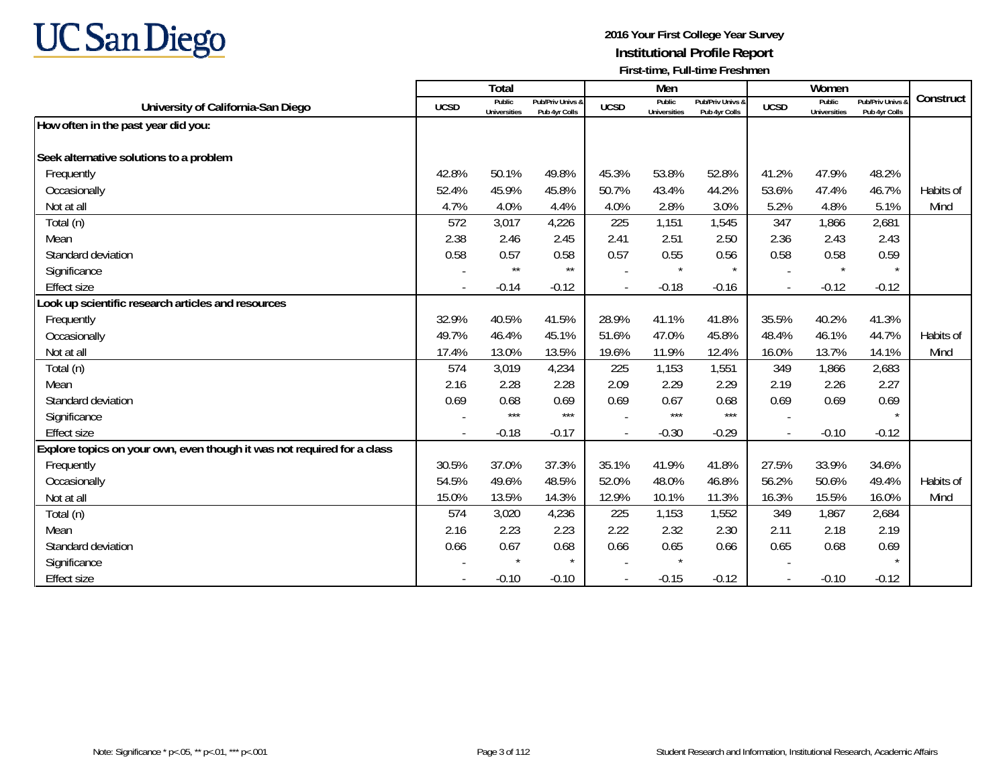

|                                                                         |                | Total                         |                                   |                | Men                           |                                   |                          | Women                         |                                        |           |
|-------------------------------------------------------------------------|----------------|-------------------------------|-----------------------------------|----------------|-------------------------------|-----------------------------------|--------------------------|-------------------------------|----------------------------------------|-----------|
| University of California-San Diego                                      | <b>UCSD</b>    | Public<br><b>Universities</b> | Pub/Priv Univs &<br>Pub 4yr Colls | <b>UCSD</b>    | Public<br><b>Universities</b> | Pub/Priv Univs &<br>Pub 4yr Colls | <b>UCSD</b>              | Public<br><b>Universities</b> | <b>Pub/Priv Univs</b><br>Pub 4yr Colls | Construct |
| How often in the past year did you:                                     |                |                               |                                   |                |                               |                                   |                          |                               |                                        |           |
|                                                                         |                |                               |                                   |                |                               |                                   |                          |                               |                                        |           |
| Seek alternative solutions to a problem                                 |                |                               |                                   |                |                               |                                   |                          |                               |                                        |           |
| Frequently                                                              | 42.8%          | 50.1%                         | 49.8%                             | 45.3%          | 53.8%                         | 52.8%                             | 41.2%                    | 47.9%                         | 48.2%                                  |           |
| Occasionally                                                            | 52.4%          | 45.9%                         | 45.8%                             | 50.7%          | 43.4%                         | 44.2%                             | 53.6%                    | 47.4%                         | 46.7%                                  | Habits of |
| Not at all                                                              | 4.7%           | 4.0%                          | 4.4%                              | 4.0%           | 2.8%                          | 3.0%                              | 5.2%                     | 4.8%                          | 5.1%                                   | Mind      |
| Total (n)                                                               | 572            | 3,017                         | 4,226                             | 225            | 1,151                         | 1,545                             | 347                      | 1,866                         | 2,681                                  |           |
| Mean                                                                    | 2.38           | 2.46                          | 2.45                              | 2.41           | 2.51                          | 2.50                              | 2.36                     | 2.43                          | 2.43                                   |           |
| Standard deviation                                                      | 0.58           | 0.57                          | 0.58                              | 0.57           | 0.55                          | 0.56                              | 0.58                     | 0.58                          | 0.59                                   |           |
| Significance                                                            |                | $\star\star$                  | $\star\star$                      |                | $\star$                       | $\star$                           |                          | $\star$                       | $\star$                                |           |
| <b>Effect size</b>                                                      |                | $-0.14$                       | $-0.12$                           |                | $-0.18$                       | $-0.16$                           | $\overline{\phantom{a}}$ | $-0.12$                       | $-0.12$                                |           |
| Look up scientific research articles and resources                      |                |                               |                                   |                |                               |                                   |                          |                               |                                        |           |
| Frequently                                                              | 32.9%          | 40.5%                         | 41.5%                             | 28.9%          | 41.1%                         | 41.8%                             | 35.5%                    | 40.2%                         | 41.3%                                  |           |
| Occasionally                                                            | 49.7%          | 46.4%                         | 45.1%                             | 51.6%          | 47.0%                         | 45.8%                             | 48.4%                    | 46.1%                         | 44.7%                                  | Habits of |
| Not at all                                                              | 17.4%          | 13.0%                         | 13.5%                             | 19.6%          | 11.9%                         | 12.4%                             | 16.0%                    | 13.7%                         | 14.1%                                  | Mind      |
| Total (n)                                                               | 574            | 3,019                         | 4,234                             | 225            | 1,153                         | 1,551                             | 349                      | 1,866                         | 2,683                                  |           |
| Mean                                                                    | 2.16           | 2.28                          | 2.28                              | 2.09           | 2.29                          | 2.29                              | 2.19                     | 2.26                          | 2.27                                   |           |
| Standard deviation                                                      | 0.69           | 0.68                          | 0.69                              | 0.69           | 0.67                          | 0.68                              | 0.69                     | 0.69                          | 0.69                                   |           |
| Significance                                                            |                | $***$                         | $***$                             |                | $***$                         | $***$                             |                          |                               |                                        |           |
| <b>Effect size</b>                                                      | $\overline{a}$ | $-0.18$                       | $-0.17$                           |                | $-0.30$                       | $-0.29$                           | $\blacksquare$           | $-0.10$                       | $-0.12$                                |           |
| Explore topics on your own, even though it was not required for a class |                |                               |                                   |                |                               |                                   |                          |                               |                                        |           |
| Frequently                                                              | 30.5%          | 37.0%                         | 37.3%                             | 35.1%          | 41.9%                         | 41.8%                             | 27.5%                    | 33.9%                         | 34.6%                                  |           |
| Occasionally                                                            | 54.5%          | 49.6%                         | 48.5%                             | 52.0%          | 48.0%                         | 46.8%                             | 56.2%                    | 50.6%                         | 49.4%                                  | Habits of |
| Not at all                                                              | 15.0%          | 13.5%                         | 14.3%                             | 12.9%          | 10.1%                         | 11.3%                             | 16.3%                    | 15.5%                         | 16.0%                                  | Mind      |
| Total (n)                                                               | 574            | 3,020                         | 4,236                             | 225            | 1,153                         | 1,552                             | 349                      | 1,867                         | 2,684                                  |           |
| Mean                                                                    | 2.16           | 2.23                          | 2.23                              | 2.22           | 2.32                          | 2.30                              | 2.11                     | 2.18                          | 2.19                                   |           |
| Standard deviation                                                      | 0.66           | 0.67                          | 0.68                              | 0.66           | 0.65                          | 0.66                              | 0.65                     | 0.68                          | 0.69                                   |           |
| Significance                                                            |                |                               | $\star$                           |                |                               |                                   |                          |                               |                                        |           |
| <b>Effect size</b>                                                      |                | $-0.10$                       | $-0.10$                           | $\blacksquare$ | $-0.15$                       | $-0.12$                           | $\overline{\phantom{a}}$ | $-0.10$                       | $-0.12$                                |           |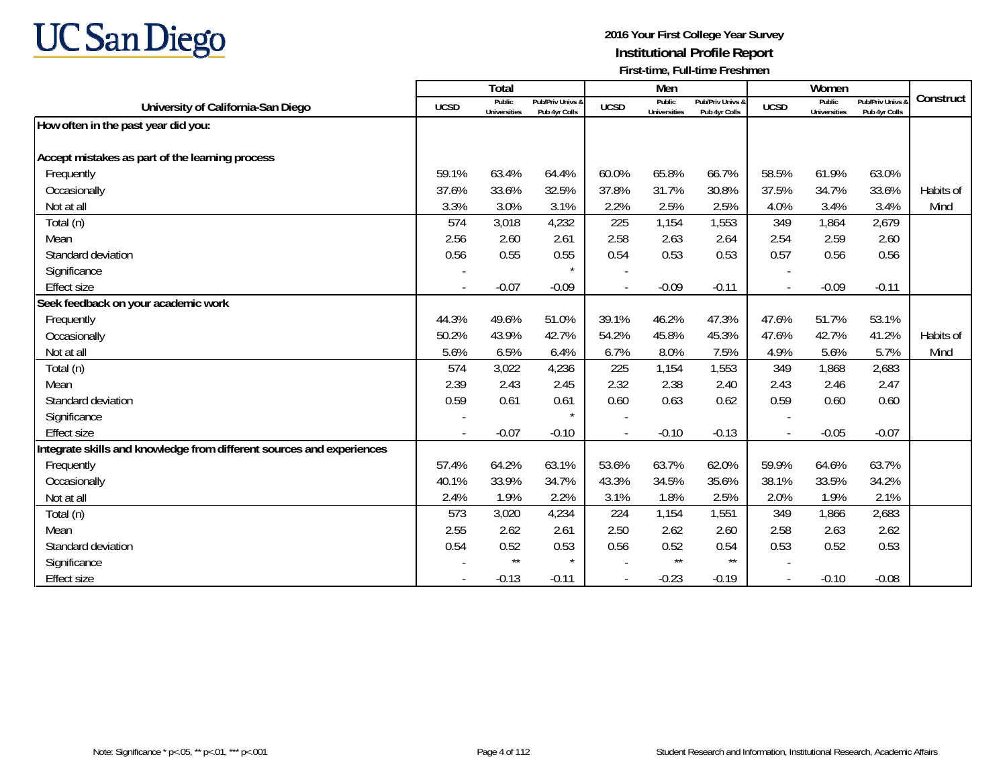

|                                                                       |             | Total                         |                                   |             | Men                           |                                   |                          | Women                         |                                        |           |
|-----------------------------------------------------------------------|-------------|-------------------------------|-----------------------------------|-------------|-------------------------------|-----------------------------------|--------------------------|-------------------------------|----------------------------------------|-----------|
| University of California-San Diego                                    | <b>UCSD</b> | Public<br><b>Universities</b> | Pub/Priv Univs &<br>Pub 4yr Colls | <b>UCSD</b> | Public<br><b>Universities</b> | Pub/Priv Univs &<br>Pub 4yr Colls | <b>UCSD</b>              | Public<br><b>Universities</b> | <b>Pub/Priv Univs</b><br>Pub 4yr Colls | Construct |
| How often in the past year did you:                                   |             |                               |                                   |             |                               |                                   |                          |                               |                                        |           |
|                                                                       |             |                               |                                   |             |                               |                                   |                          |                               |                                        |           |
| Accept mistakes as part of the learning process                       |             |                               |                                   |             |                               |                                   |                          |                               |                                        |           |
| Frequently                                                            | 59.1%       | 63.4%                         | 64.4%                             | 60.0%       | 65.8%                         | 66.7%                             | 58.5%                    | 61.9%                         | 63.0%                                  |           |
| Occasionally                                                          | 37.6%       | 33.6%                         | 32.5%                             | 37.8%       | 31.7%                         | 30.8%                             | 37.5%                    | 34.7%                         | 33.6%                                  | Habits of |
| Not at all                                                            | 3.3%        | 3.0%                          | 3.1%                              | 2.2%        | 2.5%                          | 2.5%                              | 4.0%                     | 3.4%                          | 3.4%                                   | Mind      |
| Total (n)                                                             | 574         | 3,018                         | 4,232                             | 225         | 1,154                         | 1,553                             | 349                      | 1,864                         | 2,679                                  |           |
| Mean                                                                  | 2.56        | 2.60                          | 2.61                              | 2.58        | 2.63                          | 2.64                              | 2.54                     | 2.59                          | 2.60                                   |           |
| Standard deviation                                                    | 0.56        | 0.55                          | 0.55                              | 0.54        | 0.53                          | 0.53                              | 0.57                     | 0.56                          | 0.56                                   |           |
| Significance                                                          |             |                               |                                   |             |                               |                                   |                          |                               |                                        |           |
| <b>Effect size</b>                                                    |             | $-0.07$                       | $-0.09$                           |             | $-0.09$                       | $-0.11$                           | $\overline{\phantom{a}}$ | $-0.09$                       | $-0.11$                                |           |
| Seek feedback on your academic work                                   |             |                               |                                   |             |                               |                                   |                          |                               |                                        |           |
| Frequently                                                            | 44.3%       | 49.6%                         | 51.0%                             | 39.1%       | 46.2%                         | 47.3%                             | 47.6%                    | 51.7%                         | 53.1%                                  |           |
| Occasionally                                                          | 50.2%       | 43.9%                         | 42.7%                             | 54.2%       | 45.8%                         | 45.3%                             | 47.6%                    | 42.7%                         | 41.2%                                  | Habits of |
| Not at all                                                            | 5.6%        | 6.5%                          | 6.4%                              | 6.7%        | 8.0%                          | 7.5%                              | 4.9%                     | 5.6%                          | 5.7%                                   | Mind      |
| Total (n)                                                             | 574         | 3,022                         | 4,236                             | 225         | 1,154                         | 1,553                             | 349                      | 1,868                         | 2,683                                  |           |
| Mean                                                                  | 2.39        | 2.43                          | 2.45                              | 2.32        | 2.38                          | 2.40                              | 2.43                     | 2.46                          | 2.47                                   |           |
| Standard deviation                                                    | 0.59        | 0.61                          | 0.61                              | 0.60        | 0.63                          | 0.62                              | 0.59                     | 0.60                          | 0.60                                   |           |
| Significance                                                          |             |                               | $\star$                           |             |                               |                                   |                          |                               |                                        |           |
| <b>Effect size</b>                                                    |             | $-0.07$                       | $-0.10$                           |             | $-0.10$                       | $-0.13$                           | $\overline{\phantom{a}}$ | $-0.05$                       | $-0.07$                                |           |
| Integrate skills and knowledge from different sources and experiences |             |                               |                                   |             |                               |                                   |                          |                               |                                        |           |
| Frequently                                                            | 57.4%       | 64.2%                         | 63.1%                             | 53.6%       | 63.7%                         | 62.0%                             | 59.9%                    | 64.6%                         | 63.7%                                  |           |
| Occasionally                                                          | 40.1%       | 33.9%                         | 34.7%                             | 43.3%       | 34.5%                         | 35.6%                             | 38.1%                    | 33.5%                         | 34.2%                                  |           |
| Not at all                                                            | 2.4%        | 1.9%                          | 2.2%                              | 3.1%        | 1.8%                          | 2.5%                              | 2.0%                     | 1.9%                          | 2.1%                                   |           |
| Total (n)                                                             | 573         | 3,020                         | 4,234                             | 224         | 1,154                         | 1,551                             | 349                      | 1,866                         | 2,683                                  |           |
| Mean                                                                  | 2.55        | 2.62                          | 2.61                              | 2.50        | 2.62                          | 2.60                              | 2.58                     | 2.63                          | 2.62                                   |           |
| Standard deviation                                                    | 0.54        | 0.52                          | 0.53                              | 0.56        | 0.52                          | 0.54                              | 0.53                     | 0.52                          | 0.53                                   |           |
| Significance                                                          |             | $\star\star$                  | $\star$                           |             | $\star\star$                  | $\star\star$                      |                          |                               |                                        |           |
| <b>Effect size</b>                                                    |             | $-0.13$                       | $-0.11$                           |             | $-0.23$                       | $-0.19$                           |                          | $-0.10$                       | $-0.08$                                |           |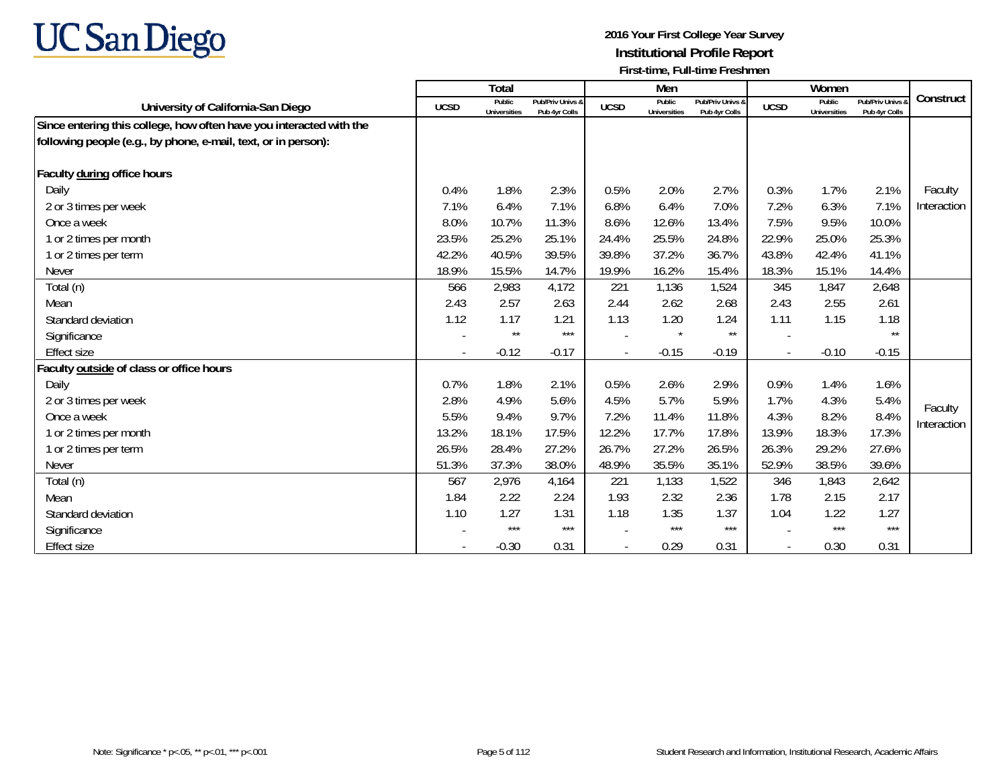

|                                                                     |             | <b>Total</b>           |                                   |             | Men                           |                                   |                | Women                  |                                   |             |
|---------------------------------------------------------------------|-------------|------------------------|-----------------------------------|-------------|-------------------------------|-----------------------------------|----------------|------------------------|-----------------------------------|-------------|
| University of California-San Diego                                  | <b>UCSD</b> | Public<br>Universities | Pub/Priv Univs &<br>Pub 4yr Colls | <b>UCSD</b> | Public<br><b>Universities</b> | Pub/Priv Univs &<br>Pub 4yr Colls | <b>UCSD</b>    | Public<br>Universities | Pub/Priv Univs &<br>Pub 4yr Colls | Construct   |
| Since entering this college, how often have you interacted with the |             |                        |                                   |             |                               |                                   |                |                        |                                   |             |
| following people (e.g., by phone, e-mail, text, or in person):      |             |                        |                                   |             |                               |                                   |                |                        |                                   |             |
|                                                                     |             |                        |                                   |             |                               |                                   |                |                        |                                   |             |
| Faculty during office hours                                         |             |                        |                                   |             |                               |                                   |                |                        |                                   |             |
| Daily                                                               | 0.4%        | 1.8%                   | 2.3%                              | 0.5%        | 2.0%                          | 2.7%                              | 0.3%           | 1.7%                   | 2.1%                              | Faculty     |
| 2 or 3 times per week                                               | 7.1%        | 6.4%                   | 7.1%                              | 6.8%        | 6.4%                          | 7.0%                              | 7.2%           | 6.3%                   | 7.1%                              | Interaction |
| Once a week                                                         | 8.0%        | 10.7%                  | 11.3%                             | 8.6%        | 12.6%                         | 13.4%                             | 7.5%           | 9.5%                   | 10.0%                             |             |
| 1 or 2 times per month                                              | 23.5%       | 25.2%                  | 25.1%                             | 24.4%       | 25.5%                         | 24.8%                             | 22.9%          | 25.0%                  | 25.3%                             |             |
| 1 or 2 times per term                                               | 42.2%       | 40.5%                  | 39.5%                             | 39.8%       | 37.2%                         | 36.7%                             | 43.8%          | 42.4%                  | 41.1%                             |             |
| <b>Never</b>                                                        | 18.9%       | 15.5%                  | 14.7%                             | 19.9%       | 16.2%                         | 15.4%                             | 18.3%          | 15.1%                  | 14.4%                             |             |
| Total (n)                                                           | 566         | 2,983                  | 4,172                             | 221         | 1,136                         | 1,524                             | 345            | 1,847                  | 2,648                             |             |
| Mean                                                                | 2.43        | 2.57                   | 2.63                              | 2.44        | 2.62                          | 2.68                              | 2.43           | 2.55                   | 2.61                              |             |
| Standard deviation                                                  | 1.12        | 1.17                   | 1.21                              | 1.13        | 1.20                          | 1.24                              | 1.11           | 1.15                   | 1.18                              |             |
| Significance                                                        |             | $\star\star$           | $***$                             |             | $\star$                       | $\star\star$                      |                |                        | $\star\star$                      |             |
| <b>Effect size</b>                                                  |             | $-0.12$                | $-0.17$                           |             | $-0.15$                       | $-0.19$                           | $\overline{a}$ | $-0.10$                | $-0.15$                           |             |
| Faculty outside of class or office hours                            |             |                        |                                   |             |                               |                                   |                |                        |                                   |             |
| Daily                                                               | 0.7%        | 1.8%                   | 2.1%                              | 0.5%        | 2.6%                          | 2.9%                              | 0.9%           | 1.4%                   | 1.6%                              |             |
| 2 or 3 times per week                                               | 2.8%        | 4.9%                   | 5.6%                              | 4.5%        | 5.7%                          | 5.9%                              | 1.7%           | 4.3%                   | 5.4%                              | Faculty     |
| Once a week                                                         | 5.5%        | 9.4%                   | 9.7%                              | 7.2%        | 11.4%                         | 11.8%                             | 4.3%           | 8.2%                   | 8.4%                              | Interaction |
| 1 or 2 times per month                                              | 13.2%       | 18.1%                  | 17.5%                             | 12.2%       | 17.7%                         | 17.8%                             | 13.9%          | 18.3%                  | 17.3%                             |             |
| 1 or 2 times per term                                               | 26.5%       | 28.4%                  | 27.2%                             | 26.7%       | 27.2%                         | 26.5%                             | 26.3%          | 29.2%                  | 27.6%                             |             |
| <b>Never</b>                                                        | 51.3%       | 37.3%                  | 38.0%                             | 48.9%       | 35.5%                         | 35.1%                             | 52.9%          | 38.5%                  | 39.6%                             |             |
| Total (n)                                                           | 567         | 2,976                  | 4,164                             | 221         | 1,133                         | 1,522                             | 346            | 1,843                  | 2,642                             |             |
| Mean                                                                | 1.84        | 2.22                   | 2.24                              | 1.93        | 2.32                          | 2.36                              | 1.78           | 2.15                   | 2.17                              |             |
| Standard deviation                                                  | 1.10        | 1.27                   | 1.31                              | 1.18        | 1.35                          | 1.37                              | 1.04           | 1.22                   | 1.27                              |             |
| Significance                                                        |             | $***$                  | $***$                             |             | $***$                         | $***$                             |                | $***$                  | $***$                             |             |
| <b>Effect size</b>                                                  |             | $-0.30$                | 0.31                              |             | 0.29                          | 0.31                              |                | 0.30                   | 0.31                              |             |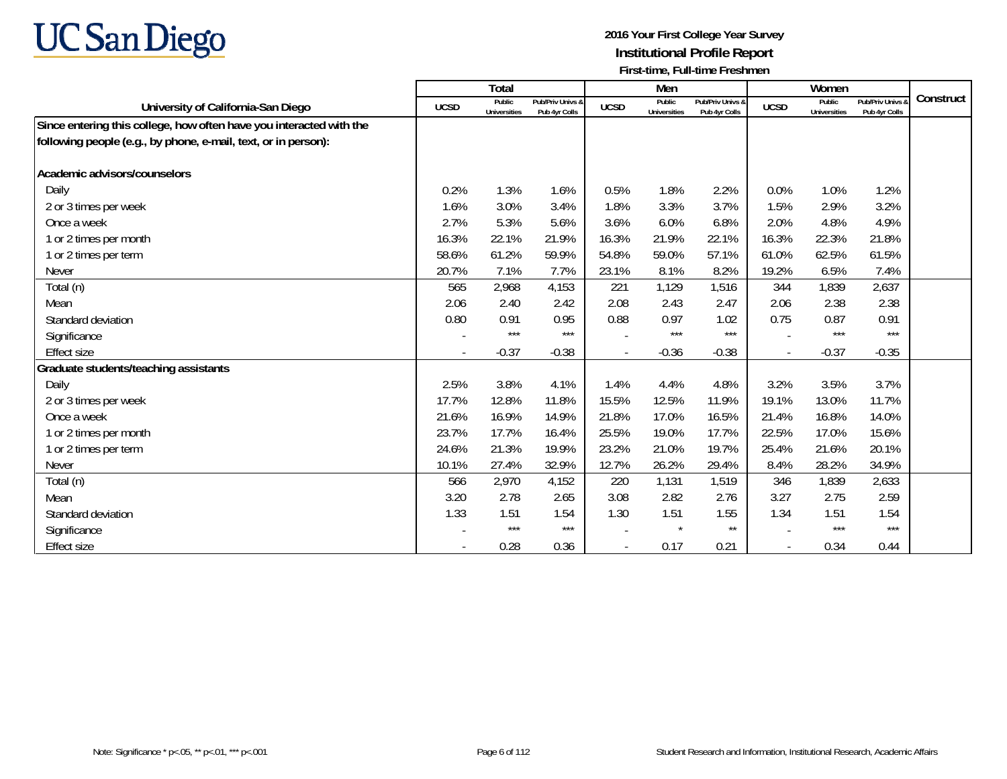

|                                                                     |             | <b>Total</b>           |                                   |             | Men                           |                                   |                | Women                  |                                   |           |
|---------------------------------------------------------------------|-------------|------------------------|-----------------------------------|-------------|-------------------------------|-----------------------------------|----------------|------------------------|-----------------------------------|-----------|
| University of California-San Diego                                  | <b>UCSD</b> | Public<br>Universities | Pub/Priv Univs &<br>Pub 4yr Colls | <b>UCSD</b> | Public<br><b>Universities</b> | Pub/Priv Univs &<br>Pub 4yr Colls | <b>UCSD</b>    | Public<br>Universities | Pub/Priv Univs &<br>Pub 4yr Colls | Construct |
| Since entering this college, how often have you interacted with the |             |                        |                                   |             |                               |                                   |                |                        |                                   |           |
| following people (e.g., by phone, e-mail, text, or in person):      |             |                        |                                   |             |                               |                                   |                |                        |                                   |           |
|                                                                     |             |                        |                                   |             |                               |                                   |                |                        |                                   |           |
| Academic advisors/counselors                                        |             |                        |                                   |             |                               |                                   |                |                        |                                   |           |
| Daily                                                               | 0.2%        | 1.3%                   | 1.6%                              | 0.5%        | 1.8%                          | 2.2%                              | 0.0%           | 1.0%                   | 1.2%                              |           |
| 2 or 3 times per week                                               | 1.6%        | 3.0%                   | 3.4%                              | 1.8%        | 3.3%                          | 3.7%                              | 1.5%           | 2.9%                   | 3.2%                              |           |
| Once a week                                                         | 2.7%        | 5.3%                   | 5.6%                              | 3.6%        | 6.0%                          | 6.8%                              | 2.0%           | 4.8%                   | 4.9%                              |           |
| 1 or 2 times per month                                              | 16.3%       | 22.1%                  | 21.9%                             | 16.3%       | 21.9%                         | 22.1%                             | 16.3%          | 22.3%                  | 21.8%                             |           |
| 1 or 2 times per term                                               | 58.6%       | 61.2%                  | 59.9%                             | 54.8%       | 59.0%                         | 57.1%                             | 61.0%          | 62.5%                  | 61.5%                             |           |
| <b>Never</b>                                                        | 20.7%       | 7.1%                   | 7.7%                              | 23.1%       | 8.1%                          | 8.2%                              | 19.2%          | 6.5%                   | 7.4%                              |           |
| Total (n)                                                           | 565         | 2,968                  | 4,153                             | 221         | 1,129                         | 1,516                             | 344            | 1,839                  | 2,637                             |           |
| Mean                                                                | 2.06        | 2.40                   | 2.42                              | 2.08        | 2.43                          | 2.47                              | 2.06           | 2.38                   | 2.38                              |           |
| Standard deviation                                                  | 0.80        | 0.91                   | 0.95                              | 0.88        | 0.97                          | 1.02                              | 0.75           | 0.87                   | 0.91                              |           |
| Significance                                                        |             | $***$                  | $***$                             |             | $***$                         | $***$                             |                | $***$                  | $***$                             |           |
| <b>Effect size</b>                                                  |             | $-0.37$                | $-0.38$                           |             | $-0.36$                       | $-0.38$                           | $\overline{a}$ | $-0.37$                | $-0.35$                           |           |
| Graduate students/teaching assistants                               |             |                        |                                   |             |                               |                                   |                |                        |                                   |           |
| Daily                                                               | 2.5%        | 3.8%                   | 4.1%                              | 1.4%        | 4.4%                          | 4.8%                              | 3.2%           | 3.5%                   | 3.7%                              |           |
| 2 or 3 times per week                                               | 17.7%       | 12.8%                  | 11.8%                             | 15.5%       | 12.5%                         | 11.9%                             | 19.1%          | 13.0%                  | 11.7%                             |           |
| Once a week                                                         | 21.6%       | 16.9%                  | 14.9%                             | 21.8%       | 17.0%                         | 16.5%                             | 21.4%          | 16.8%                  | 14.0%                             |           |
| 1 or 2 times per month                                              | 23.7%       | 17.7%                  | 16.4%                             | 25.5%       | 19.0%                         | 17.7%                             | 22.5%          | 17.0%                  | 15.6%                             |           |
| 1 or 2 times per term                                               | 24.6%       | 21.3%                  | 19.9%                             | 23.2%       | 21.0%                         | 19.7%                             | 25.4%          | 21.6%                  | 20.1%                             |           |
| <b>Never</b>                                                        | 10.1%       | 27.4%                  | 32.9%                             | 12.7%       | 26.2%                         | 29.4%                             | 8.4%           | 28.2%                  | 34.9%                             |           |
| Total (n)                                                           | 566         | 2,970                  | 4,152                             | 220         | 1,131                         | 1,519                             | 346            | 1,839                  | 2,633                             |           |
| Mean                                                                | 3.20        | 2.78                   | 2.65                              | 3.08        | 2.82                          | 2.76                              | 3.27           | 2.75                   | 2.59                              |           |
| Standard deviation                                                  | 1.33        | 1.51                   | 1.54                              | 1.30        | 1.51                          | 1.55                              | 1.34           | 1.51                   | 1.54                              |           |
| Significance                                                        |             | $***$                  | $***$                             |             | $\star$                       | $\star\star$                      |                | $***$                  | $***$                             |           |
| <b>Effect size</b>                                                  |             | 0.28                   | 0.36                              |             | 0.17                          | 0.21                              |                | 0.34                   | 0.44                              |           |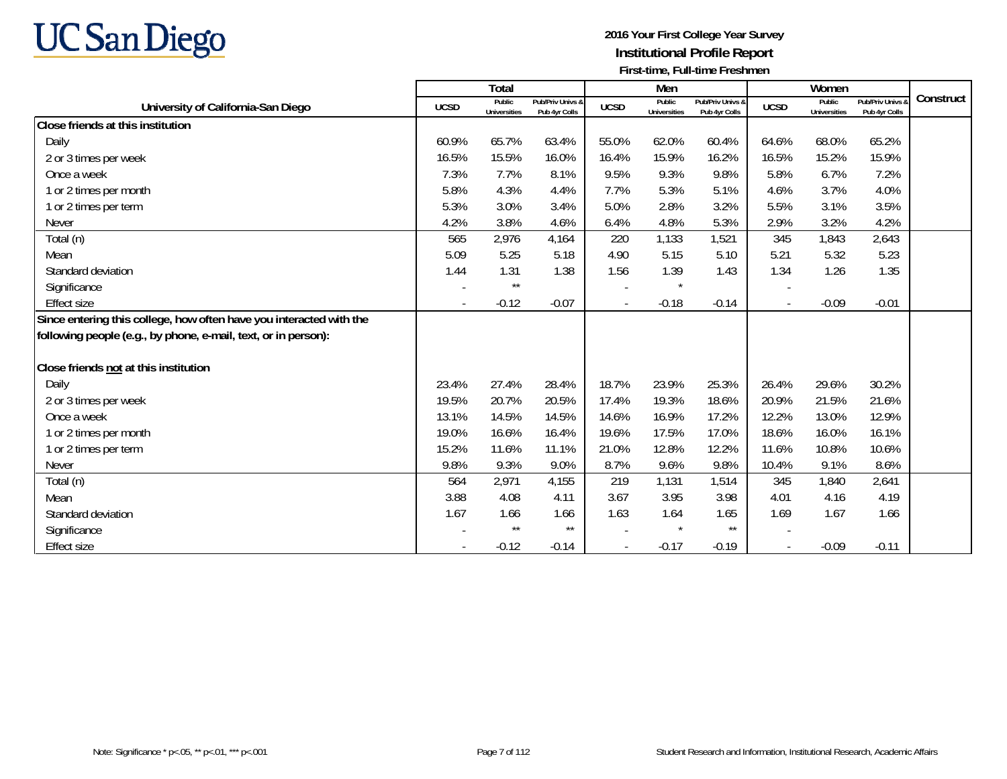

|                                                                     |             | Total                         |                                   |             | Men                           |                                   |             | Women                         |                                        |           |
|---------------------------------------------------------------------|-------------|-------------------------------|-----------------------------------|-------------|-------------------------------|-----------------------------------|-------------|-------------------------------|----------------------------------------|-----------|
| University of California-San Diego                                  | <b>UCSD</b> | Public<br><b>Universities</b> | Pub/Priv Univs &<br>Pub 4yr Colls | <b>UCSD</b> | Public<br><b>Universities</b> | Pub/Priv Univs &<br>Pub 4yr Colls | <b>UCSD</b> | Public<br><b>Universities</b> | <b>Pub/Priv Univs</b><br>Pub 4yr Colls | Construct |
| Close friends at this institution                                   |             |                               |                                   |             |                               |                                   |             |                               |                                        |           |
| Daily                                                               | 60.9%       | 65.7%                         | 63.4%                             | 55.0%       | 62.0%                         | 60.4%                             | 64.6%       | 68.0%                         | 65.2%                                  |           |
| 2 or 3 times per week                                               | 16.5%       | 15.5%                         | 16.0%                             | 16.4%       | 15.9%                         | 16.2%                             | 16.5%       | 15.2%                         | 15.9%                                  |           |
| Once a week                                                         | 7.3%        | 7.7%                          | 8.1%                              | 9.5%        | 9.3%                          | 9.8%                              | 5.8%        | 6.7%                          | 7.2%                                   |           |
| 1 or 2 times per month                                              | 5.8%        | 4.3%                          | 4.4%                              | 7.7%        | 5.3%                          | 5.1%                              | 4.6%        | 3.7%                          | 4.0%                                   |           |
| 1 or 2 times per term                                               | 5.3%        | 3.0%                          | 3.4%                              | 5.0%        | 2.8%                          | 3.2%                              | 5.5%        | 3.1%                          | 3.5%                                   |           |
| <b>Never</b>                                                        | 4.2%        | 3.8%                          | 4.6%                              | 6.4%        | 4.8%                          | 5.3%                              | 2.9%        | 3.2%                          | 4.2%                                   |           |
| Total (n)                                                           | 565         | 2,976                         | 4,164                             | 220         | 1,133                         | 1,521                             | 345         | 1,843                         | 2,643                                  |           |
| Mean                                                                | 5.09        | 5.25                          | 5.18                              | 4.90        | 5.15                          | 5.10                              | 5.21        | 5.32                          | 5.23                                   |           |
| Standard deviation                                                  | 1.44        | 1.31                          | 1.38                              | 1.56        | 1.39                          | 1.43                              | 1.34        | 1.26                          | 1.35                                   |           |
| Significance                                                        |             | $\star\star$                  |                                   |             |                               |                                   |             |                               |                                        |           |
| <b>Effect size</b>                                                  |             | $-0.12$                       | $-0.07$                           |             | $-0.18$                       | $-0.14$                           |             | $-0.09$                       | $-0.01$                                |           |
| Since entering this college, how often have you interacted with the |             |                               |                                   |             |                               |                                   |             |                               |                                        |           |
| following people (e.g., by phone, e-mail, text, or in person):      |             |                               |                                   |             |                               |                                   |             |                               |                                        |           |
| Close friends not at this institution                               |             |                               |                                   |             |                               |                                   |             |                               |                                        |           |
| Daily                                                               | 23.4%       | 27.4%                         | 28.4%                             | 18.7%       | 23.9%                         | 25.3%                             | 26.4%       | 29.6%                         | 30.2%                                  |           |
| 2 or 3 times per week                                               | 19.5%       | 20.7%                         | 20.5%                             | 17.4%       | 19.3%                         | 18.6%                             | 20.9%       | 21.5%                         | 21.6%                                  |           |
| Once a week                                                         | 13.1%       | 14.5%                         | 14.5%                             | 14.6%       | 16.9%                         | 17.2%                             | 12.2%       | 13.0%                         | 12.9%                                  |           |
| 1 or 2 times per month                                              | 19.0%       | 16.6%                         | 16.4%                             | 19.6%       | 17.5%                         | 17.0%                             | 18.6%       | 16.0%                         | 16.1%                                  |           |
| 1 or 2 times per term                                               | 15.2%       | 11.6%                         | 11.1%                             | 21.0%       | 12.8%                         | 12.2%                             | 11.6%       | 10.8%                         | 10.6%                                  |           |
| <b>Never</b>                                                        | 9.8%        | 9.3%                          | 9.0%                              | 8.7%        | 9.6%                          | 9.8%                              | 10.4%       | 9.1%                          | 8.6%                                   |           |
| Total (n)                                                           | 564         | 2,971                         | 4,155                             | 219         | 1,131                         | 1,514                             | 345         | 1,840                         | 2,641                                  |           |
| Mean                                                                | 3.88        | 4.08                          | 4.11                              | 3.67        | 3.95                          | 3.98                              | 4.01        | 4.16                          | 4.19                                   |           |
| Standard deviation                                                  | 1.67        | 1.66                          | 1.66                              | 1.63        | 1.64                          | 1.65                              | 1.69        | 1.67                          | 1.66                                   |           |
| Significance                                                        |             | $\star\star$                  | $\star\star$                      |             |                               | $***$                             |             |                               |                                        |           |
| Effect size                                                         |             | $-0.12$                       | $-0.14$                           |             | $-0.17$                       | $-0.19$                           |             | $-0.09$                       | $-0.11$                                |           |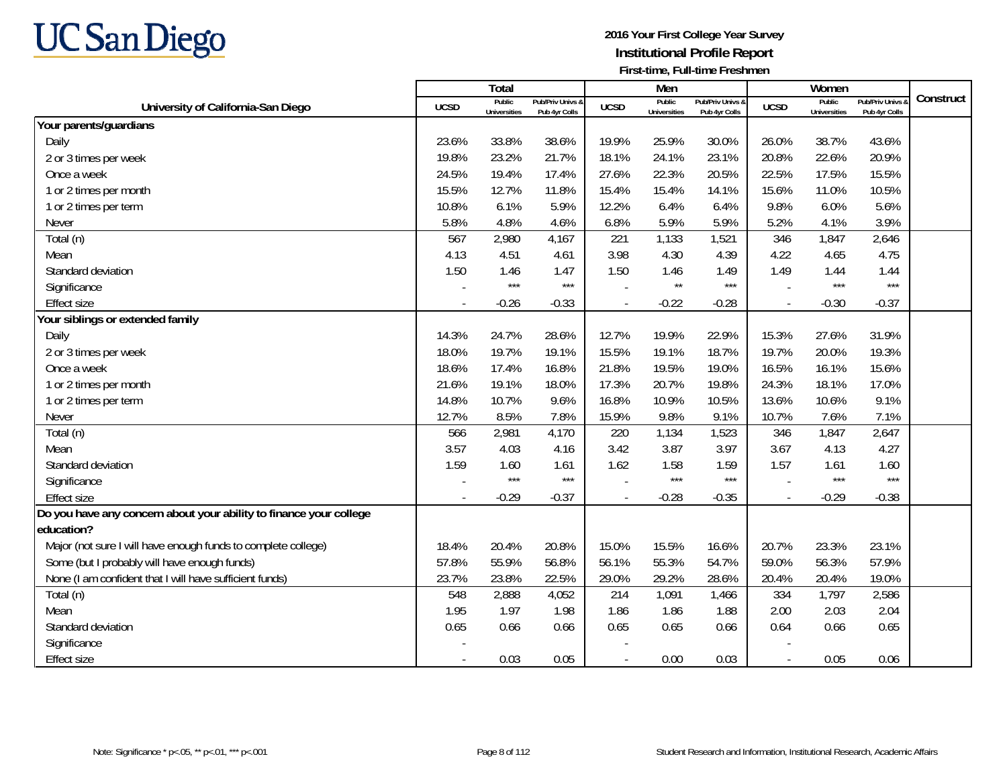

|                                                                    |                | Total                         |                                   |                | Men                           |                                   |             | Women                         |                                        |           |
|--------------------------------------------------------------------|----------------|-------------------------------|-----------------------------------|----------------|-------------------------------|-----------------------------------|-------------|-------------------------------|----------------------------------------|-----------|
| University of California-San Diego                                 | <b>UCSD</b>    | Public<br><b>Universities</b> | Pub/Priv Univs &<br>Pub 4yr Colls | <b>UCSD</b>    | Public<br><b>Universities</b> | Pub/Priv Univs &<br>Pub 4yr Colls | <b>UCSD</b> | Public<br><b>Universities</b> | <b>Pub/Priv Univs</b><br>Pub 4yr Colls | Construct |
| Your parents/guardians                                             |                |                               |                                   |                |                               |                                   |             |                               |                                        |           |
| Daily                                                              | 23.6%          | 33.8%                         | 38.6%                             | 19.9%          | 25.9%                         | 30.0%                             | 26.0%       | 38.7%                         | 43.6%                                  |           |
| 2 or 3 times per week                                              | 19.8%          | 23.2%                         | 21.7%                             | 18.1%          | 24.1%                         | 23.1%                             | 20.8%       | 22.6%                         | 20.9%                                  |           |
| Once a week                                                        | 24.5%          | 19.4%                         | 17.4%                             | 27.6%          | 22.3%                         | 20.5%                             | 22.5%       | 17.5%                         | 15.5%                                  |           |
| 1 or 2 times per month                                             | 15.5%          | 12.7%                         | 11.8%                             | 15.4%          | 15.4%                         | 14.1%                             | 15.6%       | 11.0%                         | 10.5%                                  |           |
| 1 or 2 times per term                                              | 10.8%          | 6.1%                          | 5.9%                              | 12.2%          | 6.4%                          | 6.4%                              | 9.8%        | 6.0%                          | 5.6%                                   |           |
| Never                                                              | 5.8%           | 4.8%                          | 4.6%                              | 6.8%           | 5.9%                          | 5.9%                              | 5.2%        | 4.1%                          | 3.9%                                   |           |
| Total (n)                                                          | 567            | 2,980                         | 4,167                             | 221            | 1,133                         | 1,521                             | 346         | 1,847                         | 2,646                                  |           |
| Mean                                                               | 4.13           | 4.51                          | 4.61                              | 3.98           | 4.30                          | 4.39                              | 4.22        | 4.65                          | 4.75                                   |           |
| Standard deviation                                                 | 1.50           | 1.46                          | 1.47                              | 1.50           | 1.46                          | 1.49                              | 1.49        | 1.44                          | 1.44                                   |           |
| Significance                                                       |                | $***$                         | $***$                             |                | $\star\star$                  | $***$                             |             | $***$                         | $***$                                  |           |
| <b>Effect size</b>                                                 |                | $-0.26$                       | $-0.33$                           |                | $-0.22$                       | $-0.28$                           |             | $-0.30$                       | $-0.37$                                |           |
| Your siblings or extended family                                   |                |                               |                                   |                |                               |                                   |             |                               |                                        |           |
| Daily                                                              | 14.3%          | 24.7%                         | 28.6%                             | 12.7%          | 19.9%                         | 22.9%                             | 15.3%       | 27.6%                         | 31.9%                                  |           |
| 2 or 3 times per week                                              | 18.0%          | 19.7%                         | 19.1%                             | 15.5%          | 19.1%                         | 18.7%                             | 19.7%       | 20.0%                         | 19.3%                                  |           |
| Once a week                                                        | 18.6%          | 17.4%                         | 16.8%                             | 21.8%          | 19.5%                         | 19.0%                             | 16.5%       | 16.1%                         | 15.6%                                  |           |
| 1 or 2 times per month                                             | 21.6%          | 19.1%                         | 18.0%                             | 17.3%          | 20.7%                         | 19.8%                             | 24.3%       | 18.1%                         | 17.0%                                  |           |
| 1 or 2 times per term                                              | 14.8%          | 10.7%                         | 9.6%                              | 16.8%          | 10.9%                         | 10.5%                             | 13.6%       | 10.6%                         | 9.1%                                   |           |
| Never                                                              | 12.7%          | 8.5%                          | 7.8%                              | 15.9%          | 9.8%                          | 9.1%                              | 10.7%       | 7.6%                          | 7.1%                                   |           |
| Total (n)                                                          | 566            | 2,981                         | 4,170                             | 220            | 1,134                         | 1,523                             | 346         | 1,847                         | 2,647                                  |           |
| Mean                                                               | 3.57           | 4.03                          | 4.16                              | 3.42           | 3.87                          | 3.97                              | 3.67        | 4.13                          | 4.27                                   |           |
| Standard deviation                                                 | 1.59           | 1.60                          | 1.61                              | 1.62           | 1.58                          | 1.59                              | 1.57        | 1.61                          | 1.60                                   |           |
| Significance                                                       |                | $***$                         | $***$                             |                | ***                           | $***$                             |             | $***$                         | $***$                                  |           |
| <b>Effect size</b>                                                 |                | $-0.29$                       | $-0.37$                           |                | $-0.28$                       | $-0.35$                           |             | $-0.29$                       | $-0.38$                                |           |
| Do you have any concern about your ability to finance your college |                |                               |                                   |                |                               |                                   |             |                               |                                        |           |
| education?                                                         |                |                               |                                   |                |                               |                                   |             |                               |                                        |           |
| Major (not sure I will have enough funds to complete college)      | 18.4%          | 20.4%                         | 20.8%                             | 15.0%          | 15.5%                         | 16.6%                             | 20.7%       | 23.3%                         | 23.1%                                  |           |
| Some (but I probably will have enough funds)                       | 57.8%          | 55.9%                         | 56.8%                             | 56.1%          | 55.3%                         | 54.7%                             | 59.0%       | 56.3%                         | 57.9%                                  |           |
| None (I am confident that I will have sufficient funds)            | 23.7%          | 23.8%                         | 22.5%                             | 29.0%          | 29.2%                         | 28.6%                             | 20.4%       | 20.4%                         | 19.0%                                  |           |
| Total (n)                                                          | 548            | 2,888                         | 4,052                             | 214            | 1,091                         | 1,466                             | 334         | 1,797                         | 2,586                                  |           |
| Mean                                                               | 1.95           | 1.97                          | 1.98                              | 1.86           | 1.86                          | 1.88                              | 2.00        | 2.03                          | 2.04                                   |           |
| Standard deviation                                                 | 0.65           | 0.66                          | 0.66                              | 0.65           | 0.65                          | 0.66                              | 0.64        | 0.66                          | 0.65                                   |           |
| Significance                                                       |                |                               |                                   |                |                               |                                   |             |                               |                                        |           |
| <b>Effect size</b>                                                 | $\blacksquare$ | 0.03                          | 0.05                              | $\blacksquare$ | 0.00                          | 0.03                              | $\sim$      | 0.05                          | 0.06                                   |           |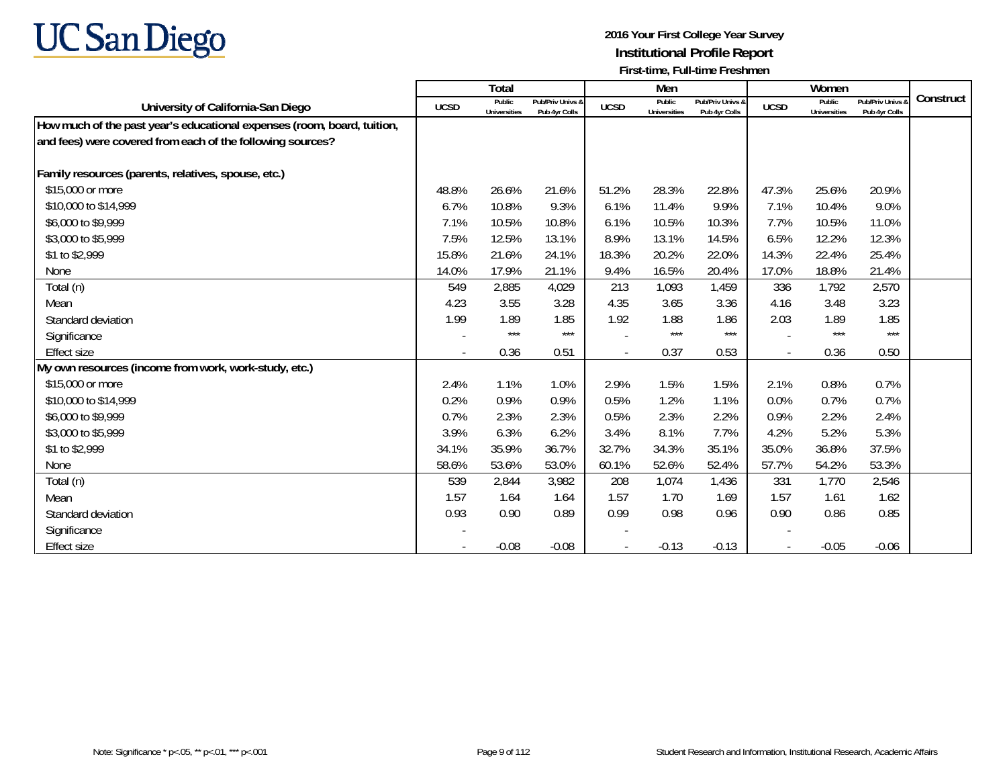

|                                                                         |             | Total                  |                                   |                          | Men                           |                                   |                          | Women                         |                                 |           |
|-------------------------------------------------------------------------|-------------|------------------------|-----------------------------------|--------------------------|-------------------------------|-----------------------------------|--------------------------|-------------------------------|---------------------------------|-----------|
| University of California-San Diego                                      | <b>UCSD</b> | Public<br>Universities | Pub/Priv Univs &<br>Pub 4yr Colls | <b>UCSD</b>              | Public<br><b>Universities</b> | Pub/Priv Univs &<br>Pub 4yr Colls | <b>UCSD</b>              | Public<br><b>Universities</b> | Pub/Priv Univs<br>Pub 4yr Colls | Construct |
| How much of the past year's educational expenses (room, board, tuition, |             |                        |                                   |                          |                               |                                   |                          |                               |                                 |           |
| and fees) were covered from each of the following sources?              |             |                        |                                   |                          |                               |                                   |                          |                               |                                 |           |
|                                                                         |             |                        |                                   |                          |                               |                                   |                          |                               |                                 |           |
| Family resources (parents, relatives, spouse, etc.)                     |             |                        |                                   |                          |                               |                                   |                          |                               |                                 |           |
| \$15,000 or more                                                        | 48.8%       | 26.6%                  | 21.6%                             | 51.2%                    | 28.3%                         | 22.8%                             | 47.3%                    | 25.6%                         | 20.9%                           |           |
| \$10,000 to \$14,999                                                    | 6.7%        | 10.8%                  | 9.3%                              | 6.1%                     | 11.4%                         | 9.9%                              | 7.1%                     | 10.4%                         | 9.0%                            |           |
| \$6,000 to \$9,999                                                      | 7.1%        | 10.5%                  | 10.8%                             | 6.1%                     | 10.5%                         | 10.3%                             | 7.7%                     | 10.5%                         | 11.0%                           |           |
| \$3,000 to \$5,999                                                      | 7.5%        | 12.5%                  | 13.1%                             | 8.9%                     | 13.1%                         | 14.5%                             | 6.5%                     | 12.2%                         | 12.3%                           |           |
| \$1 to \$2,999                                                          | 15.8%       | 21.6%                  | 24.1%                             | 18.3%                    | 20.2%                         | 22.0%                             | 14.3%                    | 22.4%                         | 25.4%                           |           |
| None                                                                    | 14.0%       | 17.9%                  | 21.1%                             | 9.4%                     | 16.5%                         | 20.4%                             | 17.0%                    | 18.8%                         | 21.4%                           |           |
| Total (n)                                                               | 549         | 2,885                  | 4,029                             | 213                      | 1,093                         | 1,459                             | 336                      | 1,792                         | 2,570                           |           |
| Mean                                                                    | 4.23        | 3.55                   | 3.28                              | 4.35                     | 3.65                          | 3.36                              | 4.16                     | 3.48                          | 3.23                            |           |
| Standard deviation                                                      | 1.99        | 1.89                   | 1.85                              | 1.92                     | 1.88                          | 1.86                              | 2.03                     | 1.89                          | 1.85                            |           |
| Significance                                                            |             | $***$                  | $***$                             |                          | $***$                         | $***$                             | $\overline{\phantom{a}}$ | $***$                         | $***$                           |           |
| <b>Effect size</b>                                                      | $\sim$      | 0.36                   | 0.51                              | $\overline{\phantom{a}}$ | 0.37                          | 0.53                              | $\overline{\phantom{a}}$ | 0.36                          | 0.50                            |           |
| My own resources (income from work, work-study, etc.)                   |             |                        |                                   |                          |                               |                                   |                          |                               |                                 |           |
| \$15,000 or more                                                        | 2.4%        | 1.1%                   | 1.0%                              | 2.9%                     | 1.5%                          | 1.5%                              | 2.1%                     | 0.8%                          | 0.7%                            |           |
| \$10,000 to \$14,999                                                    | 0.2%        | 0.9%                   | 0.9%                              | 0.5%                     | 1.2%                          | 1.1%                              | 0.0%                     | 0.7%                          | 0.7%                            |           |
| \$6,000 to \$9,999                                                      | 0.7%        | 2.3%                   | 2.3%                              | 0.5%                     | 2.3%                          | 2.2%                              | 0.9%                     | 2.2%                          | 2.4%                            |           |
| \$3,000 to \$5,999                                                      | 3.9%        | 6.3%                   | 6.2%                              | 3.4%                     | 8.1%                          | 7.7%                              | 4.2%                     | 5.2%                          | 5.3%                            |           |
| \$1 to \$2,999                                                          | 34.1%       | 35.9%                  | 36.7%                             | 32.7%                    | 34.3%                         | 35.1%                             | 35.0%                    | 36.8%                         | 37.5%                           |           |
| None                                                                    | 58.6%       | 53.6%                  | 53.0%                             | 60.1%                    | 52.6%                         | 52.4%                             | 57.7%                    | 54.2%                         | 53.3%                           |           |
| Total (n)                                                               | 539         | 2,844                  | 3,982                             | 208                      | 1,074                         | 1,436                             | 331                      | 1,770                         | 2,546                           |           |
| Mean                                                                    | 1.57        | 1.64                   | 1.64                              | 1.57                     | 1.70                          | 1.69                              | 1.57                     | 1.61                          | 1.62                            |           |
| Standard deviation                                                      | 0.93        | 0.90                   | 0.89                              | 0.99                     | 0.98                          | 0.96                              | 0.90                     | 0.86                          | 0.85                            |           |
| Significance                                                            |             |                        |                                   |                          |                               |                                   |                          |                               |                                 |           |
| Effect size                                                             |             | $-0.08$                | $-0.08$                           |                          | $-0.13$                       | $-0.13$                           |                          | $-0.05$                       | $-0.06$                         |           |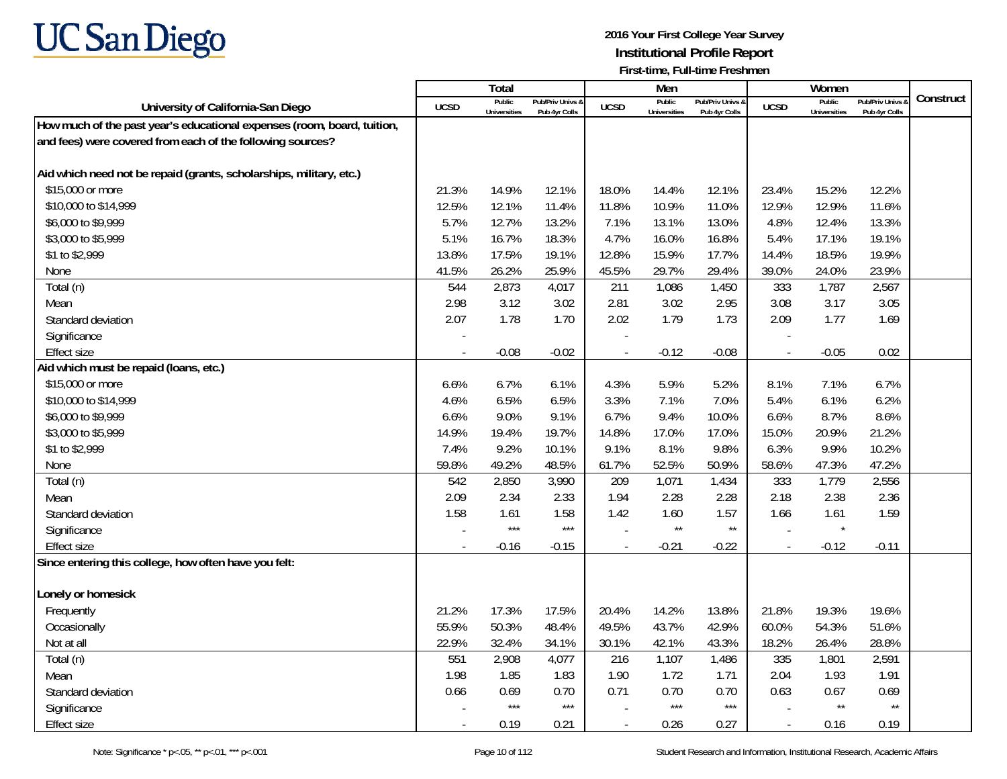

| Construct<br>Public<br>Public<br>Public<br>Pub/Priv Univs<br>Pub/Priv Univs &<br>Pub/Priv Univs &<br><b>UCSD</b><br>University of California-San Diego<br><b>UCSD</b><br><b>UCSD</b><br>Universities<br>Universities<br><b>Universities</b><br>Pub 4yr Colls<br>Pub 4yr Colls<br>Pub 4yr Colls<br>How much of the past year's educational expenses (room, board, tuition,<br>and fees) were covered from each of the following sources?<br>Aid which need not be repaid (grants, scholarships, military, etc.)<br>\$15,000 or more<br>21.3%<br>14.9%<br>12.1%<br>15.2%<br>12.2%<br>18.0%<br>14.4%<br>12.1%<br>23.4%<br>12.5%<br>12.1%<br>11.4%<br>11.0%<br>12.9%<br>12.9%<br>11.6%<br>\$10,000 to \$14,999<br>11.8%<br>10.9%<br>5.7%<br>13.2%<br>13.3%<br>\$6,000 to \$9,999<br>12.7%<br>7.1%<br>13.1%<br>13.0%<br>4.8%<br>12.4%<br>\$3,000 to \$5,999<br>5.1%<br>16.7%<br>18.3%<br>4.7%<br>16.8%<br>5.4%<br>17.1%<br>19.1%<br>16.0%<br>\$1 to \$2,999<br>13.8%<br>17.5%<br>19.1%<br>12.8%<br>17.7%<br>14.4%<br>18.5%<br>19.9%<br>15.9%<br>None<br>41.5%<br>26.2%<br>25.9%<br>29.7%<br>29.4%<br>39.0%<br>24.0%<br>23.9%<br>45.5%<br>Total (n)<br>2,873<br>1,787<br>2,567<br>544<br>4,017<br>211<br>1,086<br>1,450<br>333<br>3.12<br>2.98<br>2.81<br>3.02<br>2.95<br>3.08<br>3.17<br>3.05<br>Mean<br>3.02<br>2.07<br>1.78<br>2.02<br>1.79<br>1.73<br>2.09<br>1.77<br>1.69<br>Standard deviation<br>1.70<br>Significance<br>$-0.08$<br>$-0.05$<br>0.02<br>$-0.02$<br>$-0.12$<br>$-0.08$<br><b>Effect size</b><br>$\overline{\phantom{a}}$<br>Aid which must be repaid (loans, etc.)<br>\$15,000 or more<br>5.2%<br>6.6%<br>6.7%<br>6.1%<br>4.3%<br>5.9%<br>8.1%<br>7.1%<br>6.7%<br>\$10,000 to \$14,999<br>6.5%<br>6.5%<br>3.3%<br>7.0%<br>5.4%<br>6.1%<br>6.2%<br>4.6%<br>7.1%<br>9.0%<br>9.1%<br>9.4%<br>10.0%<br>6.6%<br>8.7%<br>8.6%<br>\$6,000 to \$9,999<br>6.6%<br>6.7% |
|------------------------------------------------------------------------------------------------------------------------------------------------------------------------------------------------------------------------------------------------------------------------------------------------------------------------------------------------------------------------------------------------------------------------------------------------------------------------------------------------------------------------------------------------------------------------------------------------------------------------------------------------------------------------------------------------------------------------------------------------------------------------------------------------------------------------------------------------------------------------------------------------------------------------------------------------------------------------------------------------------------------------------------------------------------------------------------------------------------------------------------------------------------------------------------------------------------------------------------------------------------------------------------------------------------------------------------------------------------------------------------------------------------------------------------------------------------------------------------------------------------------------------------------------------------------------------------------------------------------------------------------------------------------------------------------------------------------------------------------------------------------------------------------------------------------------------------------------------------------------------|
|                                                                                                                                                                                                                                                                                                                                                                                                                                                                                                                                                                                                                                                                                                                                                                                                                                                                                                                                                                                                                                                                                                                                                                                                                                                                                                                                                                                                                                                                                                                                                                                                                                                                                                                                                                                                                                                                              |
|                                                                                                                                                                                                                                                                                                                                                                                                                                                                                                                                                                                                                                                                                                                                                                                                                                                                                                                                                                                                                                                                                                                                                                                                                                                                                                                                                                                                                                                                                                                                                                                                                                                                                                                                                                                                                                                                              |
|                                                                                                                                                                                                                                                                                                                                                                                                                                                                                                                                                                                                                                                                                                                                                                                                                                                                                                                                                                                                                                                                                                                                                                                                                                                                                                                                                                                                                                                                                                                                                                                                                                                                                                                                                                                                                                                                              |
|                                                                                                                                                                                                                                                                                                                                                                                                                                                                                                                                                                                                                                                                                                                                                                                                                                                                                                                                                                                                                                                                                                                                                                                                                                                                                                                                                                                                                                                                                                                                                                                                                                                                                                                                                                                                                                                                              |
|                                                                                                                                                                                                                                                                                                                                                                                                                                                                                                                                                                                                                                                                                                                                                                                                                                                                                                                                                                                                                                                                                                                                                                                                                                                                                                                                                                                                                                                                                                                                                                                                                                                                                                                                                                                                                                                                              |
|                                                                                                                                                                                                                                                                                                                                                                                                                                                                                                                                                                                                                                                                                                                                                                                                                                                                                                                                                                                                                                                                                                                                                                                                                                                                                                                                                                                                                                                                                                                                                                                                                                                                                                                                                                                                                                                                              |
|                                                                                                                                                                                                                                                                                                                                                                                                                                                                                                                                                                                                                                                                                                                                                                                                                                                                                                                                                                                                                                                                                                                                                                                                                                                                                                                                                                                                                                                                                                                                                                                                                                                                                                                                                                                                                                                                              |
|                                                                                                                                                                                                                                                                                                                                                                                                                                                                                                                                                                                                                                                                                                                                                                                                                                                                                                                                                                                                                                                                                                                                                                                                                                                                                                                                                                                                                                                                                                                                                                                                                                                                                                                                                                                                                                                                              |
|                                                                                                                                                                                                                                                                                                                                                                                                                                                                                                                                                                                                                                                                                                                                                                                                                                                                                                                                                                                                                                                                                                                                                                                                                                                                                                                                                                                                                                                                                                                                                                                                                                                                                                                                                                                                                                                                              |
|                                                                                                                                                                                                                                                                                                                                                                                                                                                                                                                                                                                                                                                                                                                                                                                                                                                                                                                                                                                                                                                                                                                                                                                                                                                                                                                                                                                                                                                                                                                                                                                                                                                                                                                                                                                                                                                                              |
|                                                                                                                                                                                                                                                                                                                                                                                                                                                                                                                                                                                                                                                                                                                                                                                                                                                                                                                                                                                                                                                                                                                                                                                                                                                                                                                                                                                                                                                                                                                                                                                                                                                                                                                                                                                                                                                                              |
|                                                                                                                                                                                                                                                                                                                                                                                                                                                                                                                                                                                                                                                                                                                                                                                                                                                                                                                                                                                                                                                                                                                                                                                                                                                                                                                                                                                                                                                                                                                                                                                                                                                                                                                                                                                                                                                                              |
|                                                                                                                                                                                                                                                                                                                                                                                                                                                                                                                                                                                                                                                                                                                                                                                                                                                                                                                                                                                                                                                                                                                                                                                                                                                                                                                                                                                                                                                                                                                                                                                                                                                                                                                                                                                                                                                                              |
|                                                                                                                                                                                                                                                                                                                                                                                                                                                                                                                                                                                                                                                                                                                                                                                                                                                                                                                                                                                                                                                                                                                                                                                                                                                                                                                                                                                                                                                                                                                                                                                                                                                                                                                                                                                                                                                                              |
|                                                                                                                                                                                                                                                                                                                                                                                                                                                                                                                                                                                                                                                                                                                                                                                                                                                                                                                                                                                                                                                                                                                                                                                                                                                                                                                                                                                                                                                                                                                                                                                                                                                                                                                                                                                                                                                                              |
|                                                                                                                                                                                                                                                                                                                                                                                                                                                                                                                                                                                                                                                                                                                                                                                                                                                                                                                                                                                                                                                                                                                                                                                                                                                                                                                                                                                                                                                                                                                                                                                                                                                                                                                                                                                                                                                                              |
|                                                                                                                                                                                                                                                                                                                                                                                                                                                                                                                                                                                                                                                                                                                                                                                                                                                                                                                                                                                                                                                                                                                                                                                                                                                                                                                                                                                                                                                                                                                                                                                                                                                                                                                                                                                                                                                                              |
|                                                                                                                                                                                                                                                                                                                                                                                                                                                                                                                                                                                                                                                                                                                                                                                                                                                                                                                                                                                                                                                                                                                                                                                                                                                                                                                                                                                                                                                                                                                                                                                                                                                                                                                                                                                                                                                                              |
|                                                                                                                                                                                                                                                                                                                                                                                                                                                                                                                                                                                                                                                                                                                                                                                                                                                                                                                                                                                                                                                                                                                                                                                                                                                                                                                                                                                                                                                                                                                                                                                                                                                                                                                                                                                                                                                                              |
|                                                                                                                                                                                                                                                                                                                                                                                                                                                                                                                                                                                                                                                                                                                                                                                                                                                                                                                                                                                                                                                                                                                                                                                                                                                                                                                                                                                                                                                                                                                                                                                                                                                                                                                                                                                                                                                                              |
| 19.7%<br>15.0%<br>21.2%<br>14.9%<br>19.4%<br>14.8%<br>17.0%<br>20.9%<br>\$3,000 to \$5,999<br>17.0%                                                                                                                                                                                                                                                                                                                                                                                                                                                                                                                                                                                                                                                                                                                                                                                                                                                                                                                                                                                                                                                                                                                                                                                                                                                                                                                                                                                                                                                                                                                                                                                                                                                                                                                                                                          |
| \$1 to \$2,999<br>9.8%<br>7.4%<br>9.2%<br>10.1%<br>9.1%<br>8.1%<br>6.3%<br>9.9%<br>10.2%                                                                                                                                                                                                                                                                                                                                                                                                                                                                                                                                                                                                                                                                                                                                                                                                                                                                                                                                                                                                                                                                                                                                                                                                                                                                                                                                                                                                                                                                                                                                                                                                                                                                                                                                                                                     |
| 49.2%<br>48.5%<br>50.9%<br>58.6%<br>47.2%<br>None<br>59.8%<br>61.7%<br>52.5%<br>47.3%                                                                                                                                                                                                                                                                                                                                                                                                                                                                                                                                                                                                                                                                                                                                                                                                                                                                                                                                                                                                                                                                                                                                                                                                                                                                                                                                                                                                                                                                                                                                                                                                                                                                                                                                                                                        |
| Total (n)<br>542<br>2,850<br>3,990<br>209<br>1,434<br>333<br>1,779<br>2,556<br>1,071                                                                                                                                                                                                                                                                                                                                                                                                                                                                                                                                                                                                                                                                                                                                                                                                                                                                                                                                                                                                                                                                                                                                                                                                                                                                                                                                                                                                                                                                                                                                                                                                                                                                                                                                                                                         |
| 2.09<br>2.34<br>2.28<br>2.28<br>2.38<br>Mean<br>2.33<br>1.94<br>2.18<br>2.36                                                                                                                                                                                                                                                                                                                                                                                                                                                                                                                                                                                                                                                                                                                                                                                                                                                                                                                                                                                                                                                                                                                                                                                                                                                                                                                                                                                                                                                                                                                                                                                                                                                                                                                                                                                                 |
| 1.58<br>1.59<br>Standard deviation<br>1.61<br>1.58<br>1.42<br>1.60<br>1.57<br>1.66<br>1.61                                                                                                                                                                                                                                                                                                                                                                                                                                                                                                                                                                                                                                                                                                                                                                                                                                                                                                                                                                                                                                                                                                                                                                                                                                                                                                                                                                                                                                                                                                                                                                                                                                                                                                                                                                                   |
| $***$<br>$***$<br>$\star\star$<br>$\star\star$<br>$\star$<br>Significance                                                                                                                                                                                                                                                                                                                                                                                                                                                                                                                                                                                                                                                                                                                                                                                                                                                                                                                                                                                                                                                                                                                                                                                                                                                                                                                                                                                                                                                                                                                                                                                                                                                                                                                                                                                                    |
| $-0.16$<br>$-0.15$<br>$-0.21$<br>$-0.22$<br>$-0.12$<br>$-0.11$<br><b>Effect size</b><br>$\overline{a}$                                                                                                                                                                                                                                                                                                                                                                                                                                                                                                                                                                                                                                                                                                                                                                                                                                                                                                                                                                                                                                                                                                                                                                                                                                                                                                                                                                                                                                                                                                                                                                                                                                                                                                                                                                       |
| Since entering this college, how often have you felt:                                                                                                                                                                                                                                                                                                                                                                                                                                                                                                                                                                                                                                                                                                                                                                                                                                                                                                                                                                                                                                                                                                                                                                                                                                                                                                                                                                                                                                                                                                                                                                                                                                                                                                                                                                                                                        |
|                                                                                                                                                                                                                                                                                                                                                                                                                                                                                                                                                                                                                                                                                                                                                                                                                                                                                                                                                                                                                                                                                                                                                                                                                                                                                                                                                                                                                                                                                                                                                                                                                                                                                                                                                                                                                                                                              |
| Lonely or homesick                                                                                                                                                                                                                                                                                                                                                                                                                                                                                                                                                                                                                                                                                                                                                                                                                                                                                                                                                                                                                                                                                                                                                                                                                                                                                                                                                                                                                                                                                                                                                                                                                                                                                                                                                                                                                                                           |
| Frequently<br>21.2%<br>17.3%<br>17.5%<br>20.4%<br>14.2%<br>13.8%<br>21.8%<br>19.3%<br>19.6%                                                                                                                                                                                                                                                                                                                                                                                                                                                                                                                                                                                                                                                                                                                                                                                                                                                                                                                                                                                                                                                                                                                                                                                                                                                                                                                                                                                                                                                                                                                                                                                                                                                                                                                                                                                  |
| 50.3%<br>60.0%<br>54.3%<br>Occasionally<br>55.9%<br>48.4%<br>49.5%<br>43.7%<br>42.9%<br>51.6%                                                                                                                                                                                                                                                                                                                                                                                                                                                                                                                                                                                                                                                                                                                                                                                                                                                                                                                                                                                                                                                                                                                                                                                                                                                                                                                                                                                                                                                                                                                                                                                                                                                                                                                                                                                |
| Not at all<br>22.9%<br>32.4%<br>34.1%<br>30.1%<br>42.1%<br>43.3%<br>18.2%<br>26.4%<br>28.8%                                                                                                                                                                                                                                                                                                                                                                                                                                                                                                                                                                                                                                                                                                                                                                                                                                                                                                                                                                                                                                                                                                                                                                                                                                                                                                                                                                                                                                                                                                                                                                                                                                                                                                                                                                                  |
| 551<br>2,908<br>335<br>1,801<br>2,591<br>Total (n)<br>4,077<br>1,107<br>1,486<br>216                                                                                                                                                                                                                                                                                                                                                                                                                                                                                                                                                                                                                                                                                                                                                                                                                                                                                                                                                                                                                                                                                                                                                                                                                                                                                                                                                                                                                                                                                                                                                                                                                                                                                                                                                                                         |
| 1.98<br>1.85<br>1.72<br>2.04<br>1.93<br>1.91<br>Mean<br>1.83<br>1.90<br>1.71                                                                                                                                                                                                                                                                                                                                                                                                                                                                                                                                                                                                                                                                                                                                                                                                                                                                                                                                                                                                                                                                                                                                                                                                                                                                                                                                                                                                                                                                                                                                                                                                                                                                                                                                                                                                 |
| Standard deviation<br>0.66<br>0.69<br>0.71<br>0.70<br>0.70<br>0.63<br>0.67<br>0.69<br>0.70                                                                                                                                                                                                                                                                                                                                                                                                                                                                                                                                                                                                                                                                                                                                                                                                                                                                                                                                                                                                                                                                                                                                                                                                                                                                                                                                                                                                                                                                                                                                                                                                                                                                                                                                                                                   |
| $***$<br>$***$<br>$***$<br>$***$<br>$^{\star\star}$<br>$\star\star$<br>Significance                                                                                                                                                                                                                                                                                                                                                                                                                                                                                                                                                                                                                                                                                                                                                                                                                                                                                                                                                                                                                                                                                                                                                                                                                                                                                                                                                                                                                                                                                                                                                                                                                                                                                                                                                                                          |
| 0.19<br>0.21<br>0.26<br>0.27<br>0.16<br>0.19<br><b>Effect size</b>                                                                                                                                                                                                                                                                                                                                                                                                                                                                                                                                                                                                                                                                                                                                                                                                                                                                                                                                                                                                                                                                                                                                                                                                                                                                                                                                                                                                                                                                                                                                                                                                                                                                                                                                                                                                           |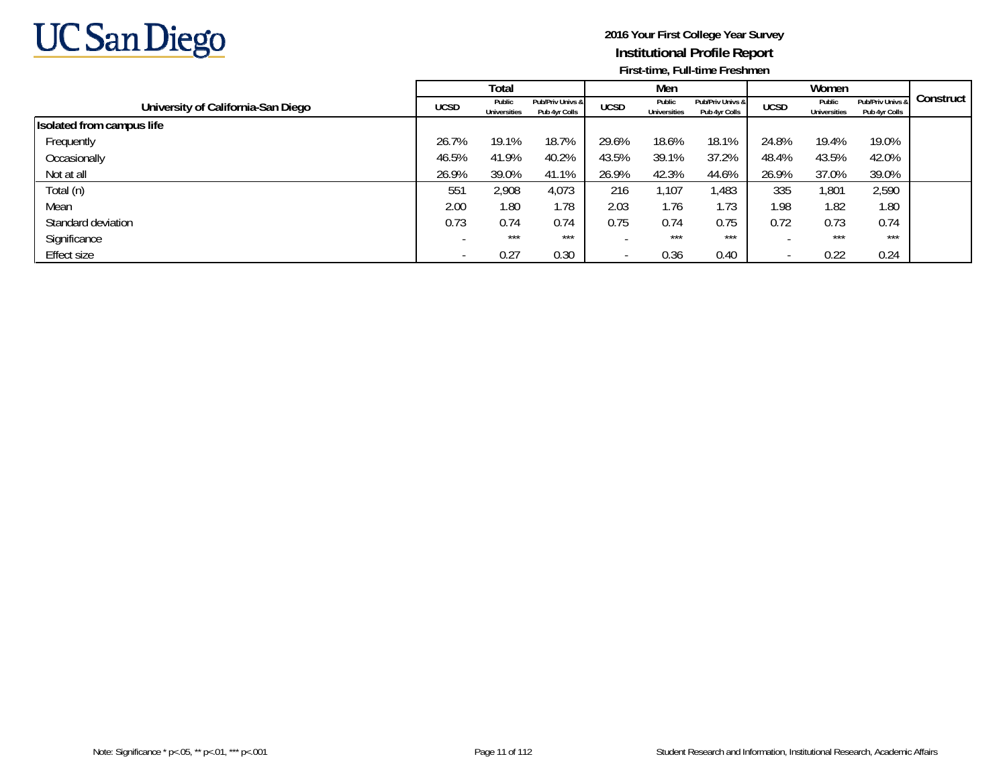

|                                    |             | Total                         |                                   |             | Men                           |                                   |             | Women                  |                                   |           |
|------------------------------------|-------------|-------------------------------|-----------------------------------|-------------|-------------------------------|-----------------------------------|-------------|------------------------|-----------------------------------|-----------|
| University of California-San Diego | <b>UCSD</b> | Public<br><b>Universities</b> | Pub/Priv Univs &<br>Pub 4yr Colls | <b>UCSD</b> | Public<br><b>Universities</b> | Pub/Priv Univs &<br>Pub 4yr Colls | <b>UCSD</b> | Public<br>Universities | Pub/Priv Univs &<br>Pub 4yr Colls | Construct |
| Isolated from campus life          |             |                               |                                   |             |                               |                                   |             |                        |                                   |           |
| Frequently                         | 26.7%       | 19.1%                         | 18.7%                             | 29.6%       | 18.6%                         | 18.1%                             | 24.8%       | 19.4%                  | 19.0%                             |           |
| Occasionally                       | 46.5%       | 41.9%                         | 40.2%                             | 43.5%       | 39.1%                         | 37.2%                             | 48.4%       | 43.5%                  | 42.0%                             |           |
| Not at all                         | 26.9%       | 39.0%                         | 41.1%                             | 26.9%       | 42.3%                         | 44.6%                             | 26.9%       | 37.0%                  | 39.0%                             |           |
| Total (n)                          | 551         | 2,908                         | 4,073                             | 216         | 1,107                         | 1,483                             | 335         | 1,801                  | 2,590                             |           |
| Mean                               | 2.00        | 1.80                          | 1.78                              | 2.03        | 1.76                          | .73                               | 1.98        | 1.82                   | 1.80                              |           |
| Standard deviation                 | 0.73        | 0.74                          | 0.74                              | 0.75        | 0.74                          | 0.75                              | 0.72        | 0.73                   | 0.74                              |           |
| Significance                       |             | $***$                         | ***                               |             | ***                           | ***                               |             | ***                    | ***                               |           |
| Effect size                        |             | 0.27                          | 0.30                              |             | 0.36                          | 0.40                              |             | 0.22                   | 0.24                              |           |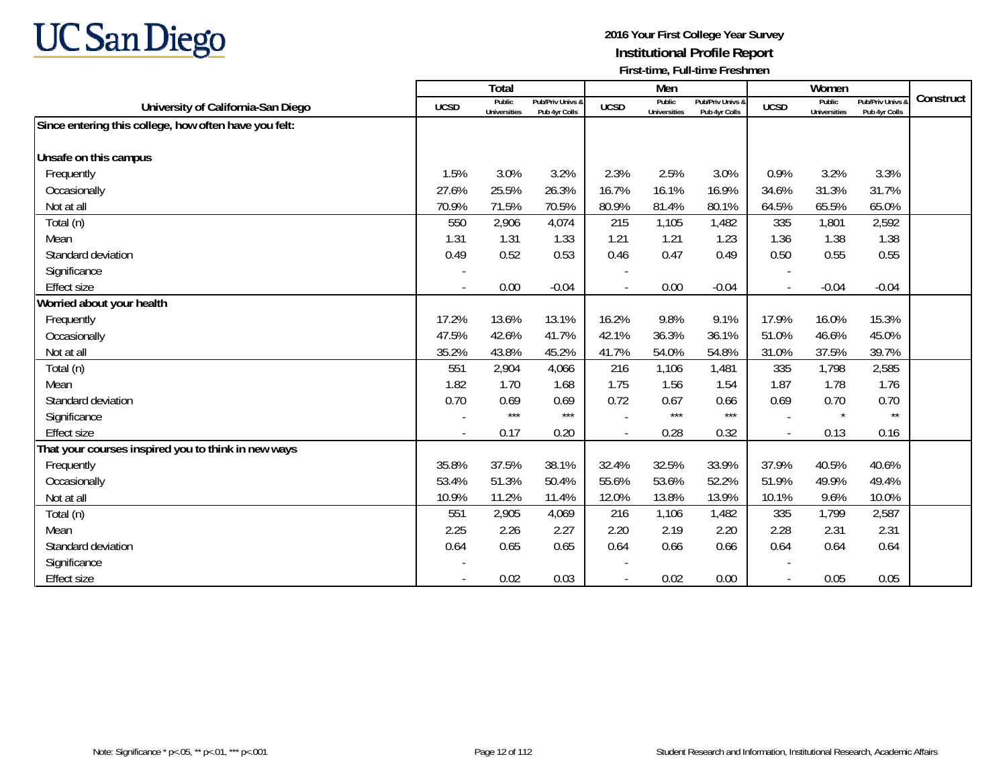

|                                                       |             | Total                         |                                   |             | Men                           |                                   |                          | Women                         |                                        |           |
|-------------------------------------------------------|-------------|-------------------------------|-----------------------------------|-------------|-------------------------------|-----------------------------------|--------------------------|-------------------------------|----------------------------------------|-----------|
| University of California-San Diego                    | <b>UCSD</b> | Public<br><b>Universities</b> | Pub/Priv Univs &<br>Pub 4yr Colls | <b>UCSD</b> | Public<br><b>Universities</b> | Pub/Priv Univs &<br>Pub 4yr Colls | <b>UCSD</b>              | Public<br><b>Universities</b> | <b>Pub/Priv Univs</b><br>Pub 4yr Colls | Construct |
| Since entering this college, how often have you felt: |             |                               |                                   |             |                               |                                   |                          |                               |                                        |           |
|                                                       |             |                               |                                   |             |                               |                                   |                          |                               |                                        |           |
| Unsafe on this campus                                 |             |                               |                                   |             |                               |                                   |                          |                               |                                        |           |
| Frequently                                            | 1.5%        | 3.0%                          | 3.2%                              | 2.3%        | 2.5%                          | 3.0%                              | 0.9%                     | 3.2%                          | 3.3%                                   |           |
| Occasionally                                          | 27.6%       | 25.5%                         | 26.3%                             | 16.7%       | 16.1%                         | 16.9%                             | 34.6%                    | 31.3%                         | 31.7%                                  |           |
| Not at all                                            | 70.9%       | 71.5%                         | 70.5%                             | 80.9%       | 81.4%                         | 80.1%                             | 64.5%                    | 65.5%                         | 65.0%                                  |           |
| Total (n)                                             | 550         | 2,906                         | 4,074                             | 215         | 1,105                         | 1,482                             | 335                      | 1,801                         | 2,592                                  |           |
| Mean                                                  | 1.31        | 1.31                          | 1.33                              | 1.21        | 1.21                          | 1.23                              | 1.36                     | 1.38                          | 1.38                                   |           |
| Standard deviation                                    | 0.49        | 0.52                          | 0.53                              | 0.46        | 0.47                          | 0.49                              | 0.50                     | 0.55                          | 0.55                                   |           |
| Significance                                          |             |                               |                                   |             |                               |                                   |                          |                               |                                        |           |
| <b>Effect size</b>                                    |             | 0.00                          | $-0.04$                           |             | 0.00                          | $-0.04$                           | $\blacksquare$           | $-0.04$                       | $-0.04$                                |           |
| Worried about your health                             |             |                               |                                   |             |                               |                                   |                          |                               |                                        |           |
| Frequently                                            | 17.2%       | 13.6%                         | 13.1%                             | 16.2%       | 9.8%                          | 9.1%                              | 17.9%                    | 16.0%                         | 15.3%                                  |           |
| Occasionally                                          | 47.5%       | 42.6%                         | 41.7%                             | 42.1%       | 36.3%                         | 36.1%                             | 51.0%                    | 46.6%                         | 45.0%                                  |           |
| Not at all                                            | 35.2%       | 43.8%                         | 45.2%                             | 41.7%       | 54.0%                         | 54.8%                             | 31.0%                    | 37.5%                         | 39.7%                                  |           |
| Total (n)                                             | 551         | 2,904                         | 4,066                             | 216         | 1,106                         | 1,481                             | 335                      | 1,798                         | 2,585                                  |           |
| Mean                                                  | 1.82        | 1.70                          | 1.68                              | 1.75        | 1.56                          | 1.54                              | 1.87                     | 1.78                          | 1.76                                   |           |
| Standard deviation                                    | 0.70        | 0.69                          | 0.69                              | 0.72        | 0.67                          | 0.66                              | 0.69                     | 0.70                          | 0.70                                   |           |
| Significance                                          |             | $***$                         | $***$                             |             | $***$                         | $***$                             | $\overline{\phantom{a}}$ | $\star$                       | $\star\star$                           |           |
| <b>Effect size</b>                                    | $\sim$      | 0.17                          | 0.20                              |             | 0.28                          | 0.32                              | $\overline{\phantom{a}}$ | 0.13                          | 0.16                                   |           |
| That your courses inspired you to think in new ways   |             |                               |                                   |             |                               |                                   |                          |                               |                                        |           |
| Frequently                                            | 35.8%       | 37.5%                         | 38.1%                             | 32.4%       | 32.5%                         | 33.9%                             | 37.9%                    | 40.5%                         | 40.6%                                  |           |
| Occasionally                                          | 53.4%       | 51.3%                         | 50.4%                             | 55.6%       | 53.6%                         | 52.2%                             | 51.9%                    | 49.9%                         | 49.4%                                  |           |
| Not at all                                            | 10.9%       | 11.2%                         | 11.4%                             | 12.0%       | 13.8%                         | 13.9%                             | 10.1%                    | 9.6%                          | 10.0%                                  |           |
| Total (n)                                             | 551         | 2,905                         | 4,069                             | 216         | 1,106                         | 1,482                             | 335                      | 1,799                         | 2,587                                  |           |
| Mean                                                  | 2.25        | 2.26                          | 2.27                              | 2.20        | 2.19                          | 2.20                              | 2.28                     | 2.31                          | 2.31                                   |           |
| Standard deviation                                    | 0.64        | 0.65                          | 0.65                              | 0.64        | 0.66                          | 0.66                              | 0.64                     | 0.64                          | 0.64                                   |           |
| Significance                                          |             |                               |                                   |             |                               |                                   |                          |                               |                                        |           |
| <b>Effect size</b>                                    |             | 0.02                          | 0.03                              |             | 0.02                          | 0.00                              | $\overline{\phantom{a}}$ | 0.05                          | 0.05                                   |           |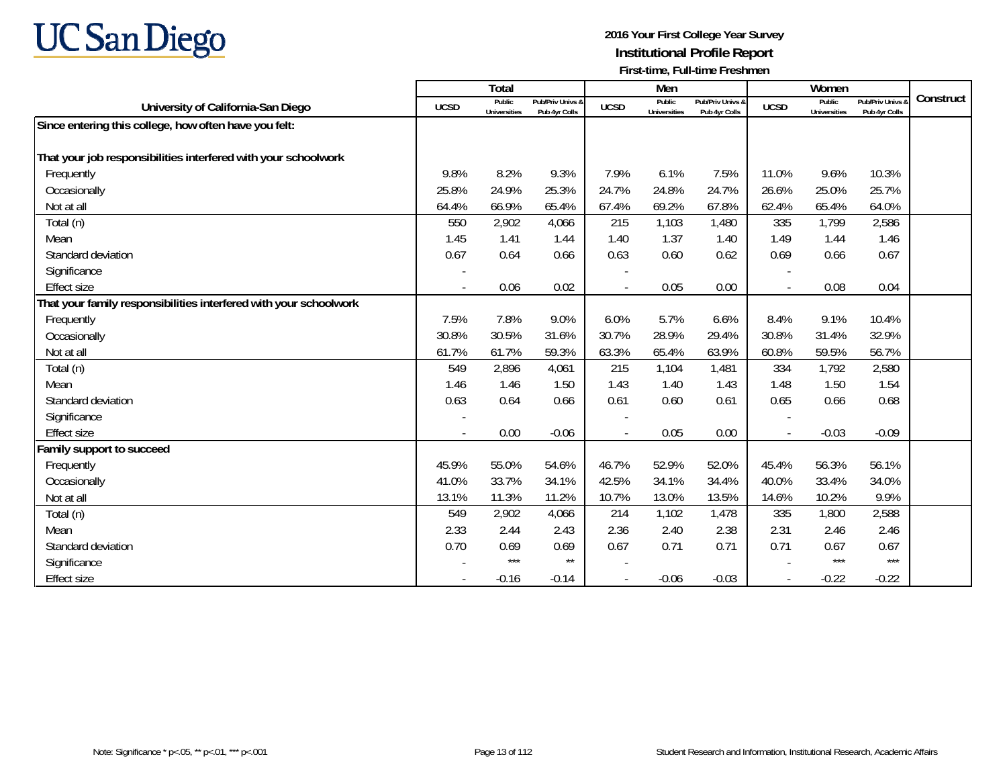

|                                                                   |                | <b>Total</b>                  |                                   |                          | Men                           |                                   |                | Women                         |                                 |           |
|-------------------------------------------------------------------|----------------|-------------------------------|-----------------------------------|--------------------------|-------------------------------|-----------------------------------|----------------|-------------------------------|---------------------------------|-----------|
| University of California-San Diego                                | <b>UCSD</b>    | Public<br><b>Universities</b> | Pub/Priv Univs 8<br>Pub 4yr Colls | <b>UCSD</b>              | Public<br><b>Universities</b> | Pub/Priv Univs &<br>Pub 4yr Colls | <b>UCSD</b>    | Public<br><b>Universities</b> | Pub/Priv Univs<br>Pub 4yr Colls | Construct |
| Since entering this college, how often have you felt:             |                |                               |                                   |                          |                               |                                   |                |                               |                                 |           |
|                                                                   |                |                               |                                   |                          |                               |                                   |                |                               |                                 |           |
| That your job responsibilities interfered with your schoolwork    |                |                               |                                   |                          |                               |                                   |                |                               |                                 |           |
| Frequently                                                        | 9.8%           | 8.2%                          | 9.3%                              | 7.9%                     | 6.1%                          | 7.5%                              | 11.0%          | 9.6%                          | 10.3%                           |           |
| Occasionally                                                      | 25.8%          | 24.9%                         | 25.3%                             | 24.7%                    | 24.8%                         | 24.7%                             | 26.6%          | 25.0%                         | 25.7%                           |           |
| Not at all                                                        | 64.4%          | 66.9%                         | 65.4%                             | 67.4%                    | 69.2%                         | 67.8%                             | 62.4%          | 65.4%                         | 64.0%                           |           |
| Total (n)                                                         | 550            | 2,902                         | 4,066                             | 215                      | 1,103                         | 1,480                             | 335            | 1,799                         | 2,586                           |           |
| Mean                                                              | 1.45           | 1.41                          | 1.44                              | 1.40                     | 1.37                          | 1.40                              | 1.49           | 1.44                          | 1.46                            |           |
| Standard deviation                                                | 0.67           | 0.64                          | 0.66                              | 0.63                     | 0.60                          | 0.62                              | 0.69           | 0.66                          | 0.67                            |           |
| Significance                                                      |                |                               |                                   |                          |                               |                                   |                |                               |                                 |           |
| <b>Effect size</b>                                                | $\blacksquare$ | 0.06                          | 0.02                              | $\sim$                   | 0.05                          | 0.00                              |                | 0.08                          | 0.04                            |           |
| That your family responsibilities interfered with your schoolwork |                |                               |                                   |                          |                               |                                   |                |                               |                                 |           |
| Frequently                                                        | 7.5%           | 7.8%                          | 9.0%                              | 6.0%                     | 5.7%                          | 6.6%                              | 8.4%           | 9.1%                          | 10.4%                           |           |
| Occasionally                                                      | 30.8%          | 30.5%                         | 31.6%                             | 30.7%                    | 28.9%                         | 29.4%                             | 30.8%          | 31.4%                         | 32.9%                           |           |
| Not at all                                                        | 61.7%          | 61.7%                         | 59.3%                             | 63.3%                    | 65.4%                         | 63.9%                             | 60.8%          | 59.5%                         | 56.7%                           |           |
| Total (n)                                                         | 549            | 2,896                         | 4,061                             | 215                      | 1,104                         | 1,481                             | 334            | 1,792                         | 2,580                           |           |
| Mean                                                              | 1.46           | 1.46                          | 1.50                              | 1.43                     | 1.40                          | 1.43                              | 1.48           | 1.50                          | 1.54                            |           |
| Standard deviation                                                | 0.63           | 0.64                          | 0.66                              | 0.61                     | 0.60                          | 0.61                              | 0.65           | 0.66                          | 0.68                            |           |
| Significance                                                      |                |                               |                                   |                          |                               |                                   |                |                               |                                 |           |
| <b>Effect size</b>                                                | $\blacksquare$ | 0.00                          | $-0.06$                           |                          | 0.05                          | 0.00                              | $\sim$         | $-0.03$                       | $-0.09$                         |           |
| Family support to succeed                                         |                |                               |                                   |                          |                               |                                   |                |                               |                                 |           |
| Frequently                                                        | 45.9%          | 55.0%                         | 54.6%                             | 46.7%                    | 52.9%                         | 52.0%                             | 45.4%          | 56.3%                         | 56.1%                           |           |
| Occasionally                                                      | 41.0%          | 33.7%                         | 34.1%                             | 42.5%                    | 34.1%                         | 34.4%                             | 40.0%          | 33.4%                         | 34.0%                           |           |
| Not at all                                                        | 13.1%          | 11.3%                         | 11.2%                             | 10.7%                    | 13.0%                         | 13.5%                             | 14.6%          | 10.2%                         | 9.9%                            |           |
| Total (n)                                                         | 549            | 2,902                         | 4,066                             | 214                      | 1,102                         | 1,478                             | 335            | 1,800                         | 2,588                           |           |
| Mean                                                              | 2.33           | 2.44                          | 2.43                              | 2.36                     | 2.40                          | 2.38                              | 2.31           | 2.46                          | 2.46                            |           |
| Standard deviation                                                | 0.70           | 0.69                          | 0.69                              | 0.67                     | 0.71                          | 0.71                              | 0.71           | 0.67                          | 0.67                            |           |
| Significance                                                      |                | $***$                         | $\star\star$                      |                          |                               |                                   |                | $***$                         | $***$                           |           |
| <b>Effect size</b>                                                |                | $-0.16$                       | $-0.14$                           | $\overline{\phantom{a}}$ | $-0.06$                       | $-0.03$                           | $\blacksquare$ | $-0.22$                       | $-0.22$                         |           |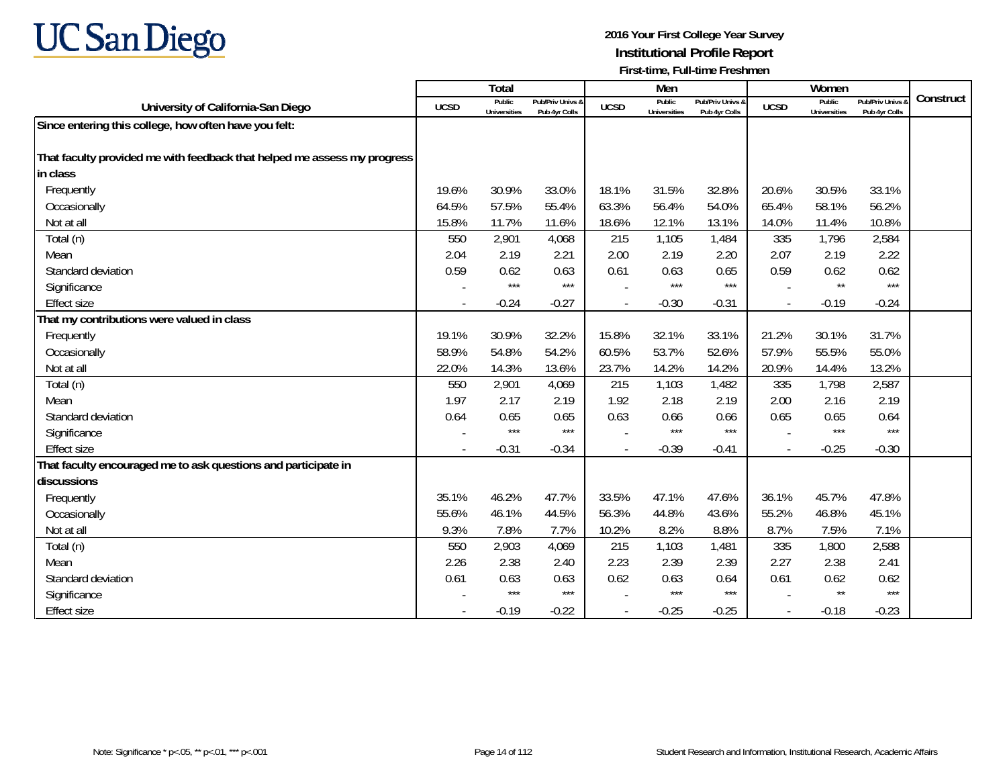

|                                                                          |             | Total                         |                                   |             | Men                           |                                   |             | Women                         |                                        |           |
|--------------------------------------------------------------------------|-------------|-------------------------------|-----------------------------------|-------------|-------------------------------|-----------------------------------|-------------|-------------------------------|----------------------------------------|-----------|
| University of California-San Diego                                       | <b>UCSD</b> | Public<br><b>Universities</b> | Pub/Priv Univs &<br>Pub 4yr Colls | <b>UCSD</b> | Public<br><b>Universities</b> | Pub/Priv Univs &<br>Pub 4vr Colls | <b>UCSD</b> | Public<br><b>Universities</b> | <b>Pub/Priv Univs</b><br>Pub 4yr Colls | Construct |
| Since entering this college, how often have you felt:                    |             |                               |                                   |             |                               |                                   |             |                               |                                        |           |
|                                                                          |             |                               |                                   |             |                               |                                   |             |                               |                                        |           |
| That faculty provided me with feedback that helped me assess my progress |             |                               |                                   |             |                               |                                   |             |                               |                                        |           |
| in class                                                                 |             |                               |                                   |             |                               |                                   |             |                               |                                        |           |
| Frequently                                                               | 19.6%       | 30.9%                         | 33.0%                             | 18.1%       | 31.5%                         | 32.8%                             | 20.6%       | 30.5%                         | 33.1%                                  |           |
| Occasionally                                                             | 64.5%       | 57.5%                         | 55.4%                             | 63.3%       | 56.4%                         | 54.0%                             | 65.4%       | 58.1%                         | 56.2%                                  |           |
| Not at all                                                               | 15.8%       | 11.7%                         | 11.6%                             | 18.6%       | 12.1%                         | 13.1%                             | 14.0%       | 11.4%                         | 10.8%                                  |           |
| Total (n)                                                                | 550         | 2,901                         | 4,068                             | 215         | 1,105                         | 1,484                             | 335         | 1,796                         | 2,584                                  |           |
| Mean                                                                     | 2.04        | 2.19                          | 2.21                              | 2.00        | 2.19                          | 2.20                              | 2.07        | 2.19                          | 2.22                                   |           |
| Standard deviation                                                       | 0.59        | 0.62                          | 0.63                              | 0.61        | 0.63                          | 0.65                              | 0.59        | 0.62                          | 0.62                                   |           |
| Significance                                                             |             | ***                           | $***$                             |             | ***                           | $***$                             |             | $\star\star$                  | $***$                                  |           |
| <b>Effect size</b>                                                       |             | $-0.24$                       | $-0.27$                           |             | $-0.30$                       | $-0.31$                           |             | $-0.19$                       | $-0.24$                                |           |
| That my contributions were valued in class                               |             |                               |                                   |             |                               |                                   |             |                               |                                        |           |
| Frequently                                                               | 19.1%       | 30.9%                         | 32.2%                             | 15.8%       | 32.1%                         | 33.1%                             | 21.2%       | 30.1%                         | 31.7%                                  |           |
| Occasionally                                                             | 58.9%       | 54.8%                         | 54.2%                             | 60.5%       | 53.7%                         | 52.6%                             | 57.9%       | 55.5%                         | 55.0%                                  |           |
| Not at all                                                               | 22.0%       | 14.3%                         | 13.6%                             | 23.7%       | 14.2%                         | 14.2%                             | 20.9%       | 14.4%                         | 13.2%                                  |           |
| Total (n)                                                                | 550         | 2,901                         | 4,069                             | 215         | 1,103                         | 1,482                             | 335         | 1,798                         | 2,587                                  |           |
| Mean                                                                     | 1.97        | 2.17                          | 2.19                              | 1.92        | 2.18                          | 2.19                              | 2.00        | 2.16                          | 2.19                                   |           |
| Standard deviation                                                       | 0.64        | 0.65                          | 0.65                              | 0.63        | 0.66                          | 0.66                              | 0.65        | 0.65                          | 0.64                                   |           |
| Significance                                                             |             | ***                           | $***$                             |             | ***                           | $***$                             |             | $***$                         | $***$                                  |           |
| <b>Effect size</b>                                                       |             | $-0.31$                       | $-0.34$                           |             | $-0.39$                       | $-0.41$                           |             | $-0.25$                       | $-0.30$                                |           |
| That faculty encouraged me to ask questions and participate in           |             |                               |                                   |             |                               |                                   |             |                               |                                        |           |
| discussions                                                              |             |                               |                                   |             |                               |                                   |             |                               |                                        |           |
| Frequently                                                               | 35.1%       | 46.2%                         | 47.7%                             | 33.5%       | 47.1%                         | 47.6%                             | 36.1%       | 45.7%                         | 47.8%                                  |           |
| Occasionally                                                             | 55.6%       | 46.1%                         | 44.5%                             | 56.3%       | 44.8%                         | 43.6%                             | 55.2%       | 46.8%                         | 45.1%                                  |           |
| Not at all                                                               | 9.3%        | 7.8%                          | 7.7%                              | 10.2%       | 8.2%                          | 8.8%                              | 8.7%        | 7.5%                          | 7.1%                                   |           |
| Total (n)                                                                | 550         | 2,903                         | 4,069                             | 215         | 1,103                         | 1,481                             | 335         | 1,800                         | 2,588                                  |           |
| Mean                                                                     | 2.26        | 2.38                          | 2.40                              | 2.23        | 2.39                          | 2.39                              | 2.27        | 2.38                          | 2.41                                   |           |
| Standard deviation                                                       | 0.61        | 0.63                          | 0.63                              | 0.62        | 0.63                          | 0.64                              | 0.61        | 0.62                          | 0.62                                   |           |
| Significance                                                             |             | $***$                         | $***$                             |             | ***                           | $***$                             |             | $^{\star\star}$               | $***$                                  |           |
| <b>Effect size</b>                                                       |             | $-0.19$                       | $-0.22$                           |             | $-0.25$                       | $-0.25$                           |             | $-0.18$                       | $-0.23$                                |           |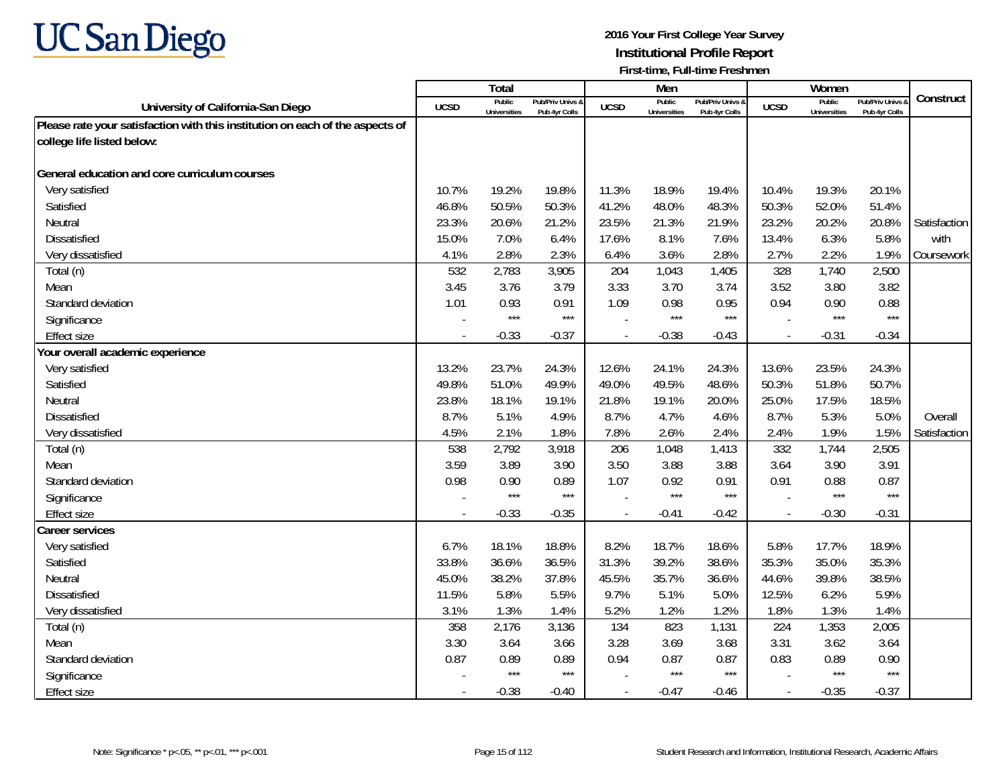

|                                                                               |             | <b>Total</b>                  |                                   |                          | Men                           |                                   |                          | Women                         |                                        |              |
|-------------------------------------------------------------------------------|-------------|-------------------------------|-----------------------------------|--------------------------|-------------------------------|-----------------------------------|--------------------------|-------------------------------|----------------------------------------|--------------|
| University of California-San Diego                                            | <b>UCSD</b> | Public<br><b>Universities</b> | Pub/Priv Univs &<br>Pub 4yr Colls | <b>UCSD</b>              | Public<br><b>Universities</b> | Pub/Priv Univs &<br>Pub 4yr Colls | <b>UCSD</b>              | Public<br><b>Universities</b> | <b>Pub/Priv Univs</b><br>Pub 4yr Colls | Construct    |
| Please rate your satisfaction with this institution on each of the aspects of |             |                               |                                   |                          |                               |                                   |                          |                               |                                        |              |
| college life listed below:                                                    |             |                               |                                   |                          |                               |                                   |                          |                               |                                        |              |
|                                                                               |             |                               |                                   |                          |                               |                                   |                          |                               |                                        |              |
| General education and core curriculum courses                                 |             |                               |                                   |                          |                               |                                   |                          |                               |                                        |              |
| Very satisfied                                                                | 10.7%       | 19.2%                         | 19.8%                             | 11.3%                    | 18.9%                         | 19.4%                             | 10.4%                    | 19.3%                         | 20.1%                                  |              |
| Satisfied                                                                     | 46.8%       | 50.5%                         | 50.3%                             | 41.2%                    | 48.0%                         | 48.3%                             | 50.3%                    | 52.0%                         | 51.4%                                  |              |
| Neutral                                                                       | 23.3%       | 20.6%                         | 21.2%                             | 23.5%                    | 21.3%                         | 21.9%                             | 23.2%                    | 20.2%                         | 20.8%                                  | Satisfaction |
| Dissatisfied                                                                  | 15.0%       | 7.0%                          | 6.4%                              | 17.6%                    | 8.1%                          | 7.6%                              | 13.4%                    | 6.3%                          | 5.8%                                   | with         |
| Very dissatisfied                                                             | 4.1%        | 2.8%                          | 2.3%                              | 6.4%                     | 3.6%                          | 2.8%                              | 2.7%                     | 2.2%                          | 1.9%                                   | Coursework   |
| Total (n)                                                                     | 532         | 2,783                         | 3,905                             | 204                      | 1,043                         | 1,405                             | 328                      | 1,740                         | 2,500                                  |              |
| Mean                                                                          | 3.45        | 3.76                          | 3.79                              | 3.33                     | 3.70                          | 3.74                              | 3.52                     | 3.80                          | 3.82                                   |              |
| Standard deviation                                                            | 1.01        | 0.93                          | 0.91                              | 1.09                     | 0.98                          | 0.95                              | 0.94                     | 0.90                          | 0.88                                   |              |
| Significance                                                                  |             | $***$                         | $***$                             |                          | ***                           | $***$                             |                          | $***$                         | $***$                                  |              |
| <b>Effect size</b>                                                            | $\sim$      | $-0.33$                       | $-0.37$                           |                          | $-0.38$                       | $-0.43$                           | $\overline{a}$           | $-0.31$                       | $-0.34$                                |              |
| Your overall academic experience                                              |             |                               |                                   |                          |                               |                                   |                          |                               |                                        |              |
| Very satisfied                                                                | 13.2%       | 23.7%                         | 24.3%                             | 12.6%                    | 24.1%                         | 24.3%                             | 13.6%                    | 23.5%                         | 24.3%                                  |              |
| Satisfied                                                                     | 49.8%       | 51.0%                         | 49.9%                             | 49.0%                    | 49.5%                         | 48.6%                             | 50.3%                    | 51.8%                         | 50.7%                                  |              |
| Neutral                                                                       | 23.8%       | 18.1%                         | 19.1%                             | 21.8%                    | 19.1%                         | 20.0%                             | 25.0%                    | 17.5%                         | 18.5%                                  |              |
| <b>Dissatisfied</b>                                                           | 8.7%        | 5.1%                          | 4.9%                              | 8.7%                     | 4.7%                          | 4.6%                              | 8.7%                     | 5.3%                          | 5.0%                                   | Overall      |
| Very dissatisfied                                                             | 4.5%        | 2.1%                          | 1.8%                              | 7.8%                     | 2.6%                          | 2.4%                              | 2.4%                     | 1.9%                          | 1.5%                                   | Satisfaction |
| Total (n)                                                                     | 538         | 2,792                         | 3,918                             | 206                      | 1,048                         | 1,413                             | 332                      | 1,744                         | 2,505                                  |              |
| Mean                                                                          | 3.59        | 3.89                          | 3.90                              | 3.50                     | 3.88                          | 3.88                              | 3.64                     | 3.90                          | 3.91                                   |              |
| Standard deviation                                                            | 0.98        | 0.90                          | 0.89                              | 1.07                     | 0.92                          | 0.91                              | 0.91                     | 0.88                          | 0.87                                   |              |
| Significance                                                                  |             | $***$                         | $***$                             |                          | ***                           | $***$                             |                          | $***$                         | $***$                                  |              |
| Effect size                                                                   | $\sim$      | $-0.33$                       | $-0.35$                           | $\overline{\phantom{a}}$ | $-0.41$                       | $-0.42$                           | $\overline{\phantom{a}}$ | $-0.30$                       | $-0.31$                                |              |
| Career services                                                               |             |                               |                                   |                          |                               |                                   |                          |                               |                                        |              |
| Very satisfied                                                                | 6.7%        | 18.1%                         | 18.8%                             | 8.2%                     | 18.7%                         | 18.6%                             | 5.8%                     | 17.7%                         | 18.9%                                  |              |
| Satisfied                                                                     | 33.8%       | 36.6%                         | 36.5%                             | 31.3%                    | 39.2%                         | 38.6%                             | 35.3%                    | 35.0%                         | 35.3%                                  |              |
| Neutral                                                                       | 45.0%       | 38.2%                         | 37.8%                             | 45.5%                    | 35.7%                         | 36.6%                             | 44.6%                    | 39.8%                         | 38.5%                                  |              |
| <b>Dissatisfied</b>                                                           | 11.5%       | 5.8%                          | 5.5%                              | 9.7%                     | 5.1%                          | 5.0%                              | 12.5%                    | 6.2%                          | 5.9%                                   |              |
| Very dissatisfied                                                             | 3.1%        | 1.3%                          | 1.4%                              | 5.2%                     | 1.2%                          | 1.2%                              | 1.8%                     | 1.3%                          | 1.4%                                   |              |
| Total (n)                                                                     | 358         | 2,176                         | 3,136                             | 134                      | 823                           | 1,131                             | 224                      | 1,353                         | 2,005                                  |              |
| Mean                                                                          | 3.30        | 3.64                          | 3.66                              | 3.28                     | 3.69                          | 3.68                              | 3.31                     | 3.62                          | 3.64                                   |              |
| Standard deviation                                                            | 0.87        | 0.89                          | 0.89                              | 0.94                     | 0.87                          | 0.87                              | 0.83                     | 0.89                          | 0.90                                   |              |
| Significance                                                                  |             | $***$                         | $***$                             |                          | $***$                         | $***$                             |                          | $***$                         | $***$                                  |              |
| <b>Effect size</b>                                                            | $\sim$      | $-0.38$                       | $-0.40$                           |                          | $-0.47$                       | $-0.46$                           | $\overline{\phantom{a}}$ | $-0.35$                       | $-0.37$                                |              |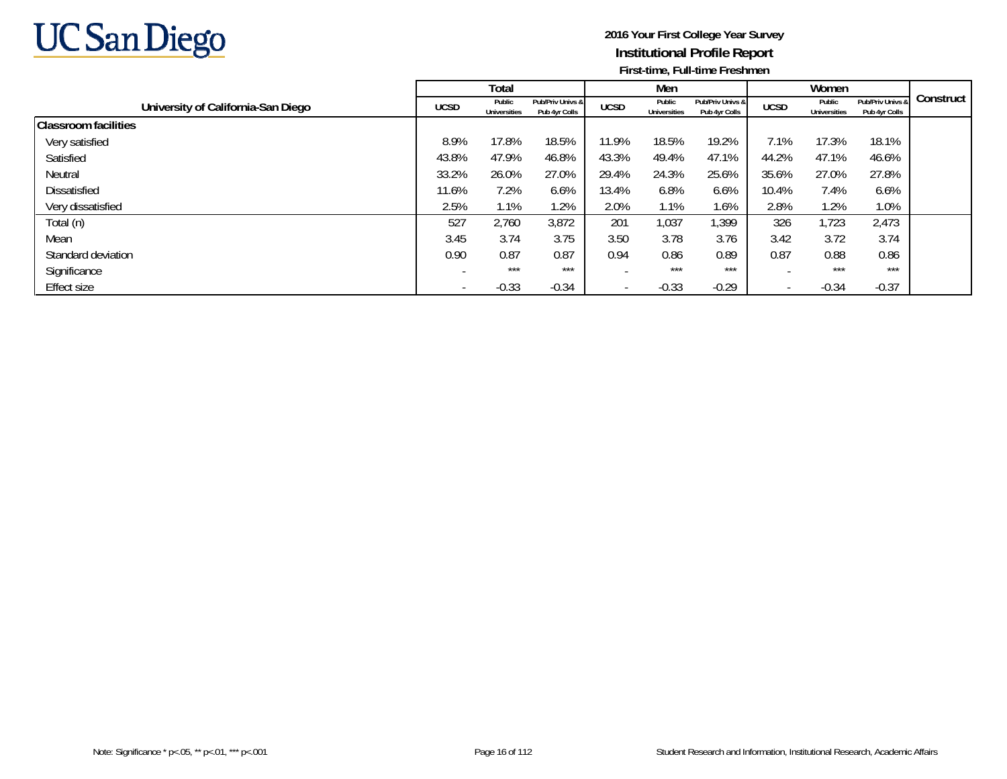

|                                    |             | Total                         |                                   |                          | Men                           |                                   |             | Women                         |                                   |           |
|------------------------------------|-------------|-------------------------------|-----------------------------------|--------------------------|-------------------------------|-----------------------------------|-------------|-------------------------------|-----------------------------------|-----------|
| University of California-San Diego | <b>UCSD</b> | Public<br><b>Universities</b> | Pub/Priv Univs &<br>Pub 4yr Colls | <b>UCSD</b>              | Public<br><b>Universities</b> | Pub/Priv Univs &<br>Pub 4yr Colls | <b>UCSD</b> | Public<br><b>Universities</b> | Pub/Priv Univs &<br>Pub 4yr Colls | Construct |
| <b>Classroom facilities</b>        |             |                               |                                   |                          |                               |                                   |             |                               |                                   |           |
| Very satisfied                     | 8.9%        | 17.8%                         | 18.5%                             | 11.9%                    | 18.5%                         | 19.2%                             | 7.1%        | 17.3%                         | 18.1%                             |           |
| Satisfied                          | 43.8%       | 47.9%                         | 46.8%                             | 43.3%                    | 49.4%                         | 47.1%                             | 44.2%       | 47.1%                         | 46.6%                             |           |
| Neutral                            | 33.2%       | 26.0%                         | 27.0%                             | 29.4%                    | 24.3%                         | 25.6%                             | 35.6%       | 27.0%                         | 27.8%                             |           |
| Dissatisfied                       | 11.6%       | 7.2%                          | 6.6%                              | 13.4%                    | 6.8%                          | 6.6%                              | 10.4%       | 7.4%                          | 6.6%                              |           |
| Very dissatisfied                  | 2.5%        | 1.1%                          | .2%                               | 2.0%                     | 1.1%                          | 1.6%                              | 2.8%        | 1.2%                          | 1.0%                              |           |
| Total (n)                          | 527         | 2,760                         | 3,872                             | 201                      | 1,037                         | 1,399                             | 326         | 723                           | 2,473                             |           |
| Mean                               | 3.45        | 3.74                          | 3.75                              | 3.50                     | 3.78                          | 3.76                              | 3.42        | 3.72                          | 3.74                              |           |
| Standard deviation                 | 0.90        | 0.87                          | 0.87                              | 0.94                     | 0.86                          | 0.89                              | 0.87        | 0.88                          | 0.86                              |           |
| Significance                       |             | ***                           | ***                               |                          | $***$                         | $***$                             |             | ***                           | ***                               |           |
| Effect size                        |             | $-0.33$                       | $-0.34$                           | $\overline{\phantom{0}}$ | $-0.33$                       | $-0.29$                           |             | $-0.34$                       | $-0.37$                           |           |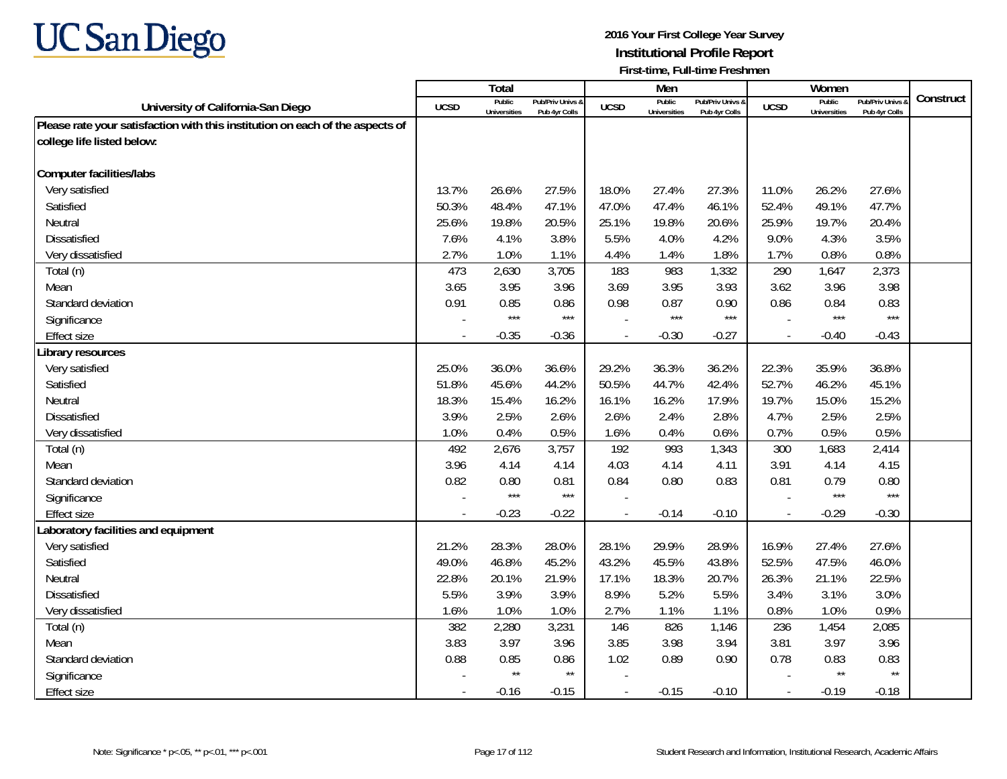

|                                                                               |        | Total                         |                                   |                | Men                           |                                   |                          | Women                         |                                        |           |
|-------------------------------------------------------------------------------|--------|-------------------------------|-----------------------------------|----------------|-------------------------------|-----------------------------------|--------------------------|-------------------------------|----------------------------------------|-----------|
| University of California-San Diego                                            | UCSD   | Public<br><b>Universities</b> | Pub/Priv Univs &<br>Pub 4yr Colls | <b>UCSD</b>    | Public<br><b>Universities</b> | Pub/Priv Univs &<br>Pub 4yr Colls | <b>UCSD</b>              | Public<br><b>Universities</b> | <b>Pub/Priv Univs</b><br>Pub 4yr Colls | Construct |
| Please rate your satisfaction with this institution on each of the aspects of |        |                               |                                   |                |                               |                                   |                          |                               |                                        |           |
| college life listed below:                                                    |        |                               |                                   |                |                               |                                   |                          |                               |                                        |           |
|                                                                               |        |                               |                                   |                |                               |                                   |                          |                               |                                        |           |
| <b>Computer facilities/labs</b>                                               |        |                               |                                   |                |                               |                                   |                          |                               |                                        |           |
| Very satisfied                                                                | 13.7%  | 26.6%                         | 27.5%                             | 18.0%          | 27.4%                         | 27.3%                             | 11.0%                    | 26.2%                         | 27.6%                                  |           |
| Satisfied                                                                     | 50.3%  | 48.4%                         | 47.1%                             | 47.0%          | 47.4%                         | 46.1%                             | 52.4%                    | 49.1%                         | 47.7%                                  |           |
| Neutral                                                                       | 25.6%  | 19.8%                         | 20.5%                             | 25.1%          | 19.8%                         | 20.6%                             | 25.9%                    | 19.7%                         | 20.4%                                  |           |
| Dissatisfied                                                                  | 7.6%   | 4.1%                          | 3.8%                              | 5.5%           | 4.0%                          | 4.2%                              | 9.0%                     | 4.3%                          | 3.5%                                   |           |
| Very dissatisfied                                                             | 2.7%   | 1.0%                          | 1.1%                              | 4.4%           | 1.4%                          | 1.8%                              | 1.7%                     | 0.8%                          | 0.8%                                   |           |
| Total (n)                                                                     | 473    | 2,630                         | 3,705                             | 183            | 983                           | 1,332                             | 290                      | 1,647                         | 2,373                                  |           |
| Mean                                                                          | 3.65   | 3.95                          | 3.96                              | 3.69           | 3.95                          | 3.93                              | 3.62                     | 3.96                          | 3.98                                   |           |
| Standard deviation                                                            | 0.91   | 0.85                          | 0.86                              | 0.98           | 0.87                          | 0.90                              | 0.86                     | 0.84                          | 0.83                                   |           |
| Significance                                                                  |        | $***$                         | $***$                             |                | $***$                         | $***$                             |                          | $***$                         | $***$                                  |           |
| Effect size                                                                   |        | $-0.35$                       | $-0.36$                           |                | $-0.30$                       | $-0.27$                           | $\overline{a}$           | $-0.40$                       | $-0.43$                                |           |
| Library resources                                                             |        |                               |                                   |                |                               |                                   |                          |                               |                                        |           |
| Very satisfied                                                                | 25.0%  | 36.0%                         | 36.6%                             | 29.2%          | 36.3%                         | 36.2%                             | 22.3%                    | 35.9%                         | 36.8%                                  |           |
| Satisfied                                                                     | 51.8%  | 45.6%                         | 44.2%                             | 50.5%          | 44.7%                         | 42.4%                             | 52.7%                    | 46.2%                         | 45.1%                                  |           |
| Neutral                                                                       | 18.3%  | 15.4%                         | 16.2%                             | 16.1%          | 16.2%                         | 17.9%                             | 19.7%                    | 15.0%                         | 15.2%                                  |           |
| <b>Dissatisfied</b>                                                           | 3.9%   | 2.5%                          | 2.6%                              | 2.6%           | 2.4%                          | 2.8%                              | 4.7%                     | 2.5%                          | 2.5%                                   |           |
| Very dissatisfied                                                             | 1.0%   | 0.4%                          | 0.5%                              | 1.6%           | 0.4%                          | 0.6%                              | 0.7%                     | 0.5%                          | 0.5%                                   |           |
| Total (n)                                                                     | 492    | 2,676                         | 3,757                             | 192            | 993                           | 1,343                             | 300                      | 1,683                         | 2,414                                  |           |
| Mean                                                                          | 3.96   | 4.14                          | 4.14                              | 4.03           | 4.14                          | 4.11                              | 3.91                     | 4.14                          | 4.15                                   |           |
| Standard deviation                                                            | 0.82   | 0.80                          | 0.81                              | 0.84           | 0.80                          | 0.83                              | 0.81                     | 0.79                          | 0.80                                   |           |
| Significance                                                                  |        | $***$                         | $***$                             |                |                               |                                   |                          | $***$                         | $***$                                  |           |
| Effect size                                                                   | $\sim$ | $-0.23$                       | $-0.22$                           | $\blacksquare$ | $-0.14$                       | $-0.10$                           | $\overline{\phantom{a}}$ | $-0.29$                       | $-0.30$                                |           |
| Laboratory facilities and equipment                                           |        |                               |                                   |                |                               |                                   |                          |                               |                                        |           |
| Very satisfied                                                                | 21.2%  | 28.3%                         | 28.0%                             | 28.1%          | 29.9%                         | 28.9%                             | 16.9%                    | 27.4%                         | 27.6%                                  |           |
| Satisfied                                                                     | 49.0%  | 46.8%                         | 45.2%                             | 43.2%          | 45.5%                         | 43.8%                             | 52.5%                    | 47.5%                         | 46.0%                                  |           |
| Neutral                                                                       | 22.8%  | 20.1%                         | 21.9%                             | 17.1%          | 18.3%                         | 20.7%                             | 26.3%                    | 21.1%                         | 22.5%                                  |           |
| <b>Dissatisfied</b>                                                           | 5.5%   | 3.9%                          | 3.9%                              | 8.9%           | 5.2%                          | 5.5%                              | 3.4%                     | 3.1%                          | 3.0%                                   |           |
| Very dissatisfied                                                             | 1.6%   | 1.0%                          | 1.0%                              | 2.7%           | 1.1%                          | 1.1%                              | 0.8%                     | 1.0%                          | 0.9%                                   |           |
| Total (n)                                                                     | 382    | 2,280                         | 3,231                             | 146            | 826                           | 1,146                             | 236                      | 1,454                         | 2,085                                  |           |
| Mean                                                                          | 3.83   | 3.97                          | 3.96                              | 3.85           | 3.98                          | 3.94                              | 3.81                     | 3.97                          | 3.96                                   |           |
| Standard deviation                                                            | 0.88   | 0.85                          | 0.86                              | 1.02           | 0.89                          | 0.90                              | 0.78                     | 0.83                          | 0.83                                   |           |
| Significance                                                                  |        | $\star\star$                  | $\star\star$                      |                |                               |                                   |                          | $\star\star$                  | $\star\star$                           |           |
| Effect size                                                                   |        | $-0.16$                       | $-0.15$                           | $\blacksquare$ | $-0.15$                       | $-0.10$                           | $\overline{\phantom{a}}$ | $-0.19$                       | $-0.18$                                |           |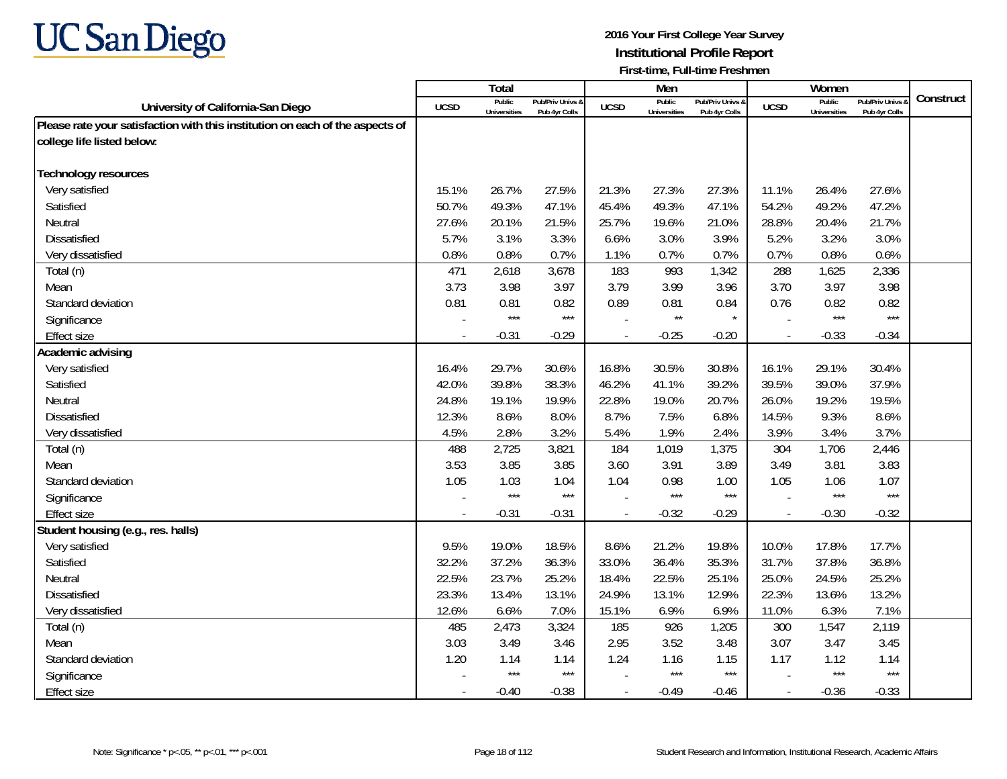

|                                                                               |                          | <b>Total</b>                  |                                   |                          | Men                           |                                   |                          | Women                         |                                        |           |
|-------------------------------------------------------------------------------|--------------------------|-------------------------------|-----------------------------------|--------------------------|-------------------------------|-----------------------------------|--------------------------|-------------------------------|----------------------------------------|-----------|
| University of California-San Diego                                            | UCSD                     | Public<br><b>Universities</b> | Pub/Priv Univs &<br>Pub 4yr Colls | <b>UCSD</b>              | Public<br><b>Universities</b> | Pub/Priv Univs &<br>Pub 4yr Colls | <b>UCSD</b>              | Public<br><b>Universities</b> | <b>Pub/Priv Univs</b><br>Pub 4yr Colls | Construct |
| Please rate your satisfaction with this institution on each of the aspects of |                          |                               |                                   |                          |                               |                                   |                          |                               |                                        |           |
| college life listed below:                                                    |                          |                               |                                   |                          |                               |                                   |                          |                               |                                        |           |
|                                                                               |                          |                               |                                   |                          |                               |                                   |                          |                               |                                        |           |
| Technology resources                                                          |                          |                               |                                   |                          |                               |                                   |                          |                               |                                        |           |
| Very satisfied                                                                | 15.1%                    | 26.7%                         | 27.5%                             | 21.3%                    | 27.3%                         | 27.3%                             | 11.1%                    | 26.4%                         | 27.6%                                  |           |
| Satisfied                                                                     | 50.7%                    | 49.3%                         | 47.1%                             | 45.4%                    | 49.3%                         | 47.1%                             | 54.2%                    | 49.2%                         | 47.2%                                  |           |
| Neutral                                                                       | 27.6%                    | 20.1%                         | 21.5%                             | 25.7%                    | 19.6%                         | 21.0%                             | 28.8%                    | 20.4%                         | 21.7%                                  |           |
| <b>Dissatisfied</b>                                                           | 5.7%                     | 3.1%                          | 3.3%                              | 6.6%                     | 3.0%                          | 3.9%                              | 5.2%                     | 3.2%                          | 3.0%                                   |           |
| Very dissatisfied                                                             | 0.8%                     | 0.8%                          | 0.7%                              | 1.1%                     | 0.7%                          | 0.7%                              | 0.7%                     | 0.8%                          | 0.6%                                   |           |
| Total (n)                                                                     | 471                      | 2,618                         | 3,678                             | 183                      | 993                           | 1,342                             | 288                      | 1,625                         | 2,336                                  |           |
| Mean                                                                          | 3.73                     | 3.98                          | 3.97                              | 3.79                     | 3.99                          | 3.96                              | 3.70                     | 3.97                          | 3.98                                   |           |
| Standard deviation                                                            | 0.81                     | 0.81                          | 0.82                              | 0.89                     | 0.81                          | 0.84                              | 0.76                     | 0.82                          | 0.82                                   |           |
| Significance                                                                  |                          | $***$                         | $***$                             |                          | $\star\star$                  | $\star$                           |                          | $***$                         | $***$                                  |           |
| <b>Effect size</b>                                                            |                          | $-0.31$                       | $-0.29$                           | $\overline{\phantom{a}}$ | $-0.25$                       | $-0.20$                           | $\overline{\phantom{a}}$ | $-0.33$                       | $-0.34$                                |           |
| Academic advising                                                             |                          |                               |                                   |                          |                               |                                   |                          |                               |                                        |           |
| Very satisfied                                                                | 16.4%                    | 29.7%                         | 30.6%                             | 16.8%                    | 30.5%                         | 30.8%                             | 16.1%                    | 29.1%                         | 30.4%                                  |           |
| Satisfied                                                                     | 42.0%                    | 39.8%                         | 38.3%                             | 46.2%                    | 41.1%                         | 39.2%                             | 39.5%                    | 39.0%                         | 37.9%                                  |           |
| Neutral                                                                       | 24.8%                    | 19.1%                         | 19.9%                             | 22.8%                    | 19.0%                         | 20.7%                             | 26.0%                    | 19.2%                         | 19.5%                                  |           |
| <b>Dissatisfied</b>                                                           | 12.3%                    | 8.6%                          | 8.0%                              | 8.7%                     | 7.5%                          | 6.8%                              | 14.5%                    | 9.3%                          | 8.6%                                   |           |
| Very dissatisfied                                                             | 4.5%                     | 2.8%                          | 3.2%                              | 5.4%                     | 1.9%                          | 2.4%                              | 3.9%                     | 3.4%                          | 3.7%                                   |           |
| Total (n)                                                                     | 488                      | 2,725                         | 3,821                             | 184                      | 1,019                         | 1,375                             | 304                      | 1,706                         | 2,446                                  |           |
| Mean                                                                          | 3.53                     | 3.85                          | 3.85                              | 3.60                     | 3.91                          | 3.89                              | 3.49                     | 3.81                          | 3.83                                   |           |
| Standard deviation                                                            | 1.05                     | 1.03                          | 1.04                              | 1.04                     | 0.98                          | 1.00                              | 1.05                     | 1.06                          | 1.07                                   |           |
| Significance                                                                  |                          | $***$                         | $***$                             |                          | ***                           | $***$                             |                          | $***$                         | $***$                                  |           |
| Effect size                                                                   | $\overline{\phantom{a}}$ | $-0.31$                       | $-0.31$                           | $\blacksquare$           | $-0.32$                       | $-0.29$                           | $\overline{\phantom{a}}$ | $-0.30$                       | $-0.32$                                |           |
| Student housing (e.g., res. halls)                                            |                          |                               |                                   |                          |                               |                                   |                          |                               |                                        |           |
| Very satisfied                                                                | 9.5%                     | 19.0%                         | 18.5%                             | 8.6%                     | 21.2%                         | 19.8%                             | 10.0%                    | 17.8%                         | 17.7%                                  |           |
| Satisfied                                                                     | 32.2%                    | 37.2%                         | 36.3%                             | 33.0%                    | 36.4%                         | 35.3%                             | 31.7%                    | 37.8%                         | 36.8%                                  |           |
| Neutral                                                                       | 22.5%                    | 23.7%                         | 25.2%                             | 18.4%                    | 22.5%                         | 25.1%                             | 25.0%                    | 24.5%                         | 25.2%                                  |           |
| <b>Dissatisfied</b>                                                           | 23.3%                    | 13.4%                         | 13.1%                             | 24.9%                    | 13.1%                         | 12.9%                             | 22.3%                    | 13.6%                         | 13.2%                                  |           |
| Very dissatisfied                                                             | 12.6%                    | 6.6%                          | 7.0%                              | 15.1%                    | 6.9%                          | 6.9%                              | 11.0%                    | 6.3%                          | 7.1%                                   |           |
| Total (n)                                                                     | 485                      | 2,473                         | 3,324                             | 185                      | 926                           | 1,205                             | 300                      | 1,547                         | 2,119                                  |           |
| Mean                                                                          | 3.03                     | 3.49                          | 3.46                              | 2.95                     | 3.52                          | 3.48                              | 3.07                     | 3.47                          | 3.45                                   |           |
| Standard deviation                                                            | 1.20                     | 1.14                          | 1.14                              | 1.24                     | 1.16                          | 1.15                              | 1.17                     | 1.12                          | 1.14                                   |           |
| Significance                                                                  |                          | $***$                         | $***$                             |                          | $***$                         | $***$                             |                          | $***$                         | $***$                                  |           |
| <b>Effect size</b>                                                            |                          | $-0.40$                       | $-0.38$                           |                          | $-0.49$                       | $-0.46$                           | $\overline{\phantom{a}}$ | $-0.36$                       | $-0.33$                                |           |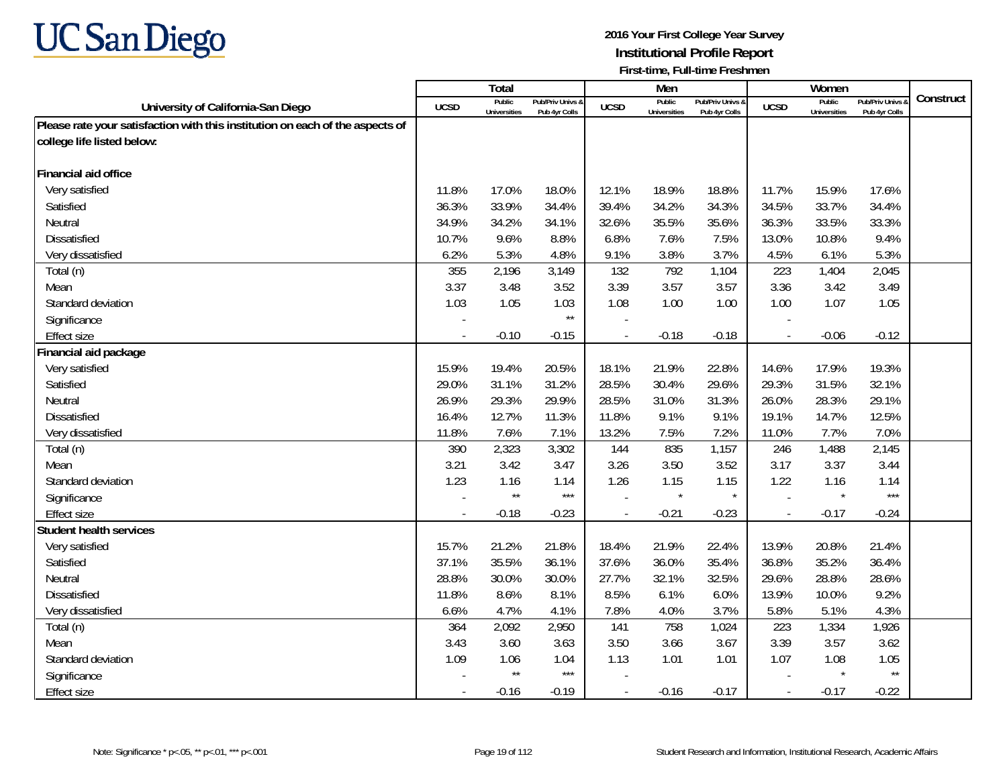

|                                                                               |             | Total                         |                                   |                          | Men                           |                                   |                          | Women                         |                                        |           |
|-------------------------------------------------------------------------------|-------------|-------------------------------|-----------------------------------|--------------------------|-------------------------------|-----------------------------------|--------------------------|-------------------------------|----------------------------------------|-----------|
| University of California-San Diego                                            | <b>UCSD</b> | Public<br><b>Universities</b> | Pub/Priv Univs &<br>Pub 4yr Colls | <b>UCSD</b>              | Public<br><b>Universities</b> | Pub/Priv Univs &<br>Pub 4yr Colls | <b>UCSD</b>              | Public<br><b>Universities</b> | <b>Pub/Priv Univs</b><br>Pub 4yr Colls | Construct |
| Please rate your satisfaction with this institution on each of the aspects of |             |                               |                                   |                          |                               |                                   |                          |                               |                                        |           |
| college life listed below:                                                    |             |                               |                                   |                          |                               |                                   |                          |                               |                                        |           |
|                                                                               |             |                               |                                   |                          |                               |                                   |                          |                               |                                        |           |
| Financial aid office                                                          |             |                               |                                   |                          |                               |                                   |                          |                               |                                        |           |
| Very satisfied                                                                | 11.8%       | 17.0%                         | 18.0%                             | 12.1%                    | 18.9%                         | 18.8%                             | 11.7%                    | 15.9%                         | 17.6%                                  |           |
| Satisfied                                                                     | 36.3%       | 33.9%                         | 34.4%                             | 39.4%                    | 34.2%                         | 34.3%                             | 34.5%                    | 33.7%                         | 34.4%                                  |           |
| Neutral                                                                       | 34.9%       | 34.2%                         | 34.1%                             | 32.6%                    | 35.5%                         | 35.6%                             | 36.3%                    | 33.5%                         | 33.3%                                  |           |
| Dissatisfied                                                                  | 10.7%       | 9.6%                          | 8.8%                              | 6.8%                     | 7.6%                          | 7.5%                              | 13.0%                    | 10.8%                         | 9.4%                                   |           |
| Very dissatisfied                                                             | 6.2%        | 5.3%                          | 4.8%                              | 9.1%                     | 3.8%                          | 3.7%                              | 4.5%                     | 6.1%                          | 5.3%                                   |           |
| Total (n)                                                                     | 355         | 2,196                         | 3,149                             | 132                      | 792                           | 1,104                             | 223                      | 1,404                         | 2,045                                  |           |
| Mean                                                                          | 3.37        | 3.48                          | 3.52                              | 3.39                     | 3.57                          | 3.57                              | 3.36                     | 3.42                          | 3.49                                   |           |
| Standard deviation                                                            | 1.03        | 1.05                          | 1.03                              | 1.08                     | 1.00                          | 1.00                              | 1.00                     | 1.07                          | 1.05                                   |           |
| Significance                                                                  |             |                               | $\star\star$                      |                          |                               |                                   |                          |                               |                                        |           |
| <b>Effect size</b>                                                            |             | $-0.10$                       | $-0.15$                           |                          | $-0.18$                       | $-0.18$                           | $\overline{\phantom{a}}$ | $-0.06$                       | $-0.12$                                |           |
| Financial aid package                                                         |             |                               |                                   |                          |                               |                                   |                          |                               |                                        |           |
| Very satisfied                                                                | 15.9%       | 19.4%                         | 20.5%                             | 18.1%                    | 21.9%                         | 22.8%                             | 14.6%                    | 17.9%                         | 19.3%                                  |           |
| Satisfied                                                                     | 29.0%       | 31.1%                         | 31.2%                             | 28.5%                    | 30.4%                         | 29.6%                             | 29.3%                    | 31.5%                         | 32.1%                                  |           |
| Neutral                                                                       | 26.9%       | 29.3%                         | 29.9%                             | 28.5%                    | 31.0%                         | 31.3%                             | 26.0%                    | 28.3%                         | 29.1%                                  |           |
| <b>Dissatisfied</b>                                                           | 16.4%       | 12.7%                         | 11.3%                             | 11.8%                    | 9.1%                          | 9.1%                              | 19.1%                    | 14.7%                         | 12.5%                                  |           |
| Very dissatisfied                                                             | 11.8%       | 7.6%                          | 7.1%                              | 13.2%                    | 7.5%                          | 7.2%                              | 11.0%                    | 7.7%                          | 7.0%                                   |           |
| Total (n)                                                                     | 390         | 2,323                         | 3,302                             | 144                      | 835                           | 1,157                             | 246                      | 1,488                         | 2,145                                  |           |
| Mean                                                                          | 3.21        | 3.42                          | 3.47                              | 3.26                     | 3.50                          | 3.52                              | 3.17                     | 3.37                          | 3.44                                   |           |
| Standard deviation                                                            | 1.23        | 1.16                          | 1.14                              | 1.26                     | 1.15                          | 1.15                              | 1.22                     | 1.16                          | 1.14                                   |           |
| Significance                                                                  |             | $\star\star$                  | $***$                             |                          | $\star$                       |                                   |                          |                               | $***$                                  |           |
| Effect size                                                                   | $\sim$      | $-0.18$                       | $-0.23$                           | $\overline{\phantom{a}}$ | $-0.21$                       | $-0.23$                           | $\overline{\phantom{a}}$ | $-0.17$                       | $-0.24$                                |           |
| <b>Student health services</b>                                                |             |                               |                                   |                          |                               |                                   |                          |                               |                                        |           |
| Very satisfied                                                                | 15.7%       | 21.2%                         | 21.8%                             | 18.4%                    | 21.9%                         | 22.4%                             | 13.9%                    | 20.8%                         | 21.4%                                  |           |
| Satisfied                                                                     | 37.1%       | 35.5%                         | 36.1%                             | 37.6%                    | 36.0%                         | 35.4%                             | 36.8%                    | 35.2%                         | 36.4%                                  |           |
| Neutral                                                                       | 28.8%       | 30.0%                         | 30.0%                             | 27.7%                    | 32.1%                         | 32.5%                             | 29.6%                    | 28.8%                         | 28.6%                                  |           |
| <b>Dissatisfied</b>                                                           | 11.8%       | 8.6%                          | 8.1%                              | 8.5%                     | 6.1%                          | 6.0%                              | 13.9%                    | 10.0%                         | 9.2%                                   |           |
| Very dissatisfied                                                             | 6.6%        | 4.7%                          | 4.1%                              | 7.8%                     | 4.0%                          | 3.7%                              | 5.8%                     | 5.1%                          | 4.3%                                   |           |
| Total (n)                                                                     | 364         | 2,092                         | 2,950                             | 141                      | 758                           | 1,024                             | 223                      | 1,334                         | 1,926                                  |           |
| Mean                                                                          | 3.43        | 3.60                          | 3.63                              | 3.50                     | 3.66                          | 3.67                              | 3.39                     | 3.57                          | 3.62                                   |           |
| Standard deviation                                                            | 1.09        | 1.06                          | 1.04                              | 1.13                     | 1.01                          | 1.01                              | 1.07                     | 1.08                          | 1.05                                   |           |
| Significance                                                                  |             | $\star\star$                  | $***$                             |                          |                               |                                   |                          |                               | $\star\star$                           |           |
| Effect size                                                                   | $\sim$      | $-0.16$                       | $-0.19$                           | $\blacksquare$           | $-0.16$                       | $-0.17$                           | $\overline{\phantom{a}}$ | $-0.17$                       | $-0.22$                                |           |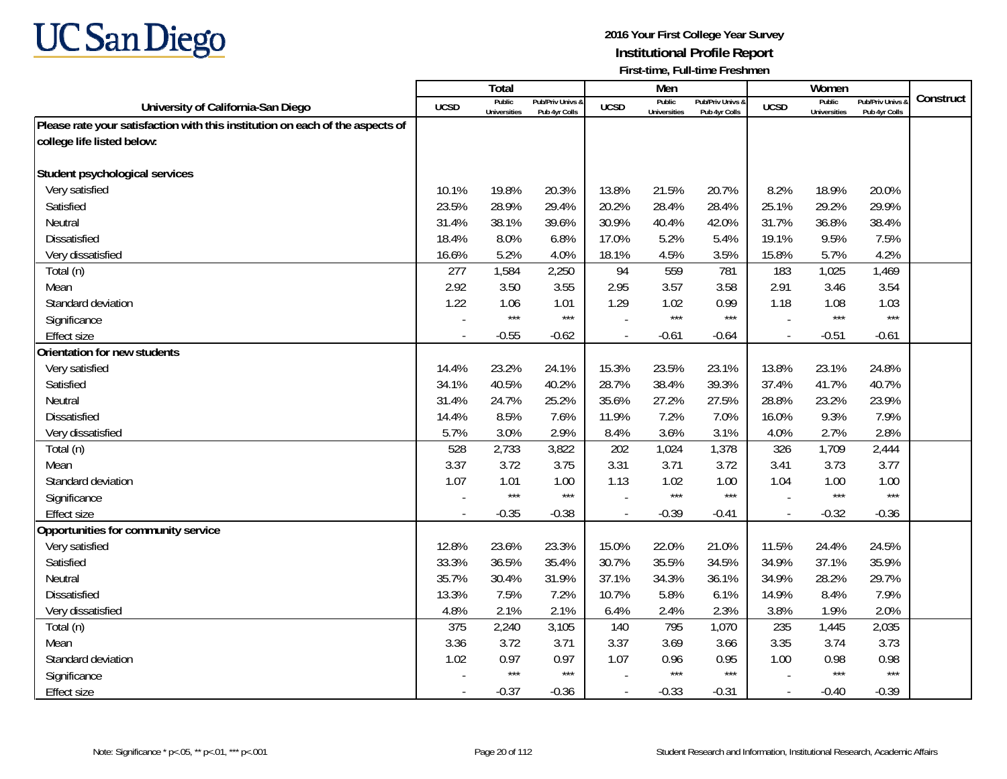

|                                                                               |             | <b>Total</b>                  |                                   |             | Men                           |                                   |                          | Women                         |                                        |           |
|-------------------------------------------------------------------------------|-------------|-------------------------------|-----------------------------------|-------------|-------------------------------|-----------------------------------|--------------------------|-------------------------------|----------------------------------------|-----------|
| University of California-San Diego                                            | <b>UCSD</b> | Public<br><b>Universities</b> | Pub/Priv Univs &<br>Pub 4yr Colls | <b>UCSD</b> | Public<br><b>Universities</b> | Pub/Priv Univs &<br>Pub 4yr Colls | <b>UCSD</b>              | Public<br><b>Universities</b> | <b>Pub/Priv Univs</b><br>Pub 4yr Colls | Construct |
| Please rate your satisfaction with this institution on each of the aspects of |             |                               |                                   |             |                               |                                   |                          |                               |                                        |           |
| college life listed below:                                                    |             |                               |                                   |             |                               |                                   |                          |                               |                                        |           |
|                                                                               |             |                               |                                   |             |                               |                                   |                          |                               |                                        |           |
| Student psychological services                                                |             |                               |                                   |             |                               |                                   |                          |                               |                                        |           |
| Very satisfied                                                                | 10.1%       | 19.8%                         | 20.3%                             | 13.8%       | 21.5%                         | 20.7%                             | 8.2%                     | 18.9%                         | 20.0%                                  |           |
| Satisfied                                                                     | 23.5%       | 28.9%                         | 29.4%                             | 20.2%       | 28.4%                         | 28.4%                             | 25.1%                    | 29.2%                         | 29.9%                                  |           |
| Neutral                                                                       | 31.4%       | 38.1%                         | 39.6%                             | 30.9%       | 40.4%                         | 42.0%                             | 31.7%                    | 36.8%                         | 38.4%                                  |           |
| Dissatisfied                                                                  | 18.4%       | 8.0%                          | 6.8%                              | 17.0%       | 5.2%                          | 5.4%                              | 19.1%                    | 9.5%                          | 7.5%                                   |           |
| Very dissatisfied                                                             | 16.6%       | 5.2%                          | 4.0%                              | 18.1%       | 4.5%                          | 3.5%                              | 15.8%                    | 5.7%                          | 4.2%                                   |           |
| Total (n)                                                                     | 277         | 1,584                         | 2,250                             | 94          | 559                           | 781                               | 183                      | 1,025                         | 1,469                                  |           |
| Mean                                                                          | 2.92        | 3.50                          | 3.55                              | 2.95        | 3.57                          | 3.58                              | 2.91                     | 3.46                          | 3.54                                   |           |
| Standard deviation                                                            | 1.22        | 1.06                          | 1.01                              | 1.29        | 1.02                          | 0.99                              | 1.18                     | 1.08                          | 1.03                                   |           |
| Significance                                                                  |             | $***$                         | $***$                             |             | $***$                         | $***$                             |                          | $***$                         | $***$                                  |           |
| <b>Effect size</b>                                                            | $\sim$      | $-0.55$                       | $-0.62$                           |             | $-0.61$                       | $-0.64$                           | $\overline{\phantom{a}}$ | $-0.51$                       | $-0.61$                                |           |
| Orientation for new students                                                  |             |                               |                                   |             |                               |                                   |                          |                               |                                        |           |
| Very satisfied                                                                | 14.4%       | 23.2%                         | 24.1%                             | 15.3%       | 23.5%                         | 23.1%                             | 13.8%                    | 23.1%                         | 24.8%                                  |           |
| Satisfied                                                                     | 34.1%       | 40.5%                         | 40.2%                             | 28.7%       | 38.4%                         | 39.3%                             | 37.4%                    | 41.7%                         | 40.7%                                  |           |
| Neutral                                                                       | 31.4%       | 24.7%                         | 25.2%                             | 35.6%       | 27.2%                         | 27.5%                             | 28.8%                    | 23.2%                         | 23.9%                                  |           |
| <b>Dissatisfied</b>                                                           | 14.4%       | 8.5%                          | 7.6%                              | 11.9%       | 7.2%                          | 7.0%                              | 16.0%                    | 9.3%                          | 7.9%                                   |           |
| Very dissatisfied                                                             | 5.7%        | 3.0%                          | 2.9%                              | 8.4%        | 3.6%                          | 3.1%                              | 4.0%                     | 2.7%                          | 2.8%                                   |           |
| Total (n)                                                                     | 528         | 2,733                         | 3,822                             | 202         | 1,024                         | 1,378                             | 326                      | 1,709                         | 2,444                                  |           |
| Mean                                                                          | 3.37        | 3.72                          | 3.75                              | 3.31        | 3.71                          | 3.72                              | 3.41                     | 3.73                          | 3.77                                   |           |
| Standard deviation                                                            | 1.07        | 1.01                          | 1.00                              | 1.13        | 1.02                          | 1.00                              | 1.04                     | 1.00                          | 1.00                                   |           |
| Significance                                                                  |             | $***$                         | $***$                             |             | $***$                         | $***$                             |                          | $***$                         | $***$                                  |           |
| Effect size                                                                   | $\sim$      | $-0.35$                       | $-0.38$                           | $\sim$      | $-0.39$                       | $-0.41$                           | $\overline{\phantom{a}}$ | $-0.32$                       | $-0.36$                                |           |
| Opportunities for community service                                           |             |                               |                                   |             |                               |                                   |                          |                               |                                        |           |
| Very satisfied                                                                | 12.8%       | 23.6%                         | 23.3%                             | 15.0%       | 22.0%                         | 21.0%                             | 11.5%                    | 24.4%                         | 24.5%                                  |           |
| Satisfied                                                                     | 33.3%       | 36.5%                         | 35.4%                             | 30.7%       | 35.5%                         | 34.5%                             | 34.9%                    | 37.1%                         | 35.9%                                  |           |
| Neutral                                                                       | 35.7%       | 30.4%                         | 31.9%                             | 37.1%       | 34.3%                         | 36.1%                             | 34.9%                    | 28.2%                         | 29.7%                                  |           |
| <b>Dissatisfied</b>                                                           | 13.3%       | 7.5%                          | 7.2%                              | 10.7%       | 5.8%                          | 6.1%                              | 14.9%                    | 8.4%                          | 7.9%                                   |           |
| Very dissatisfied                                                             | 4.8%        | 2.1%                          | 2.1%                              | 6.4%        | 2.4%                          | 2.3%                              | 3.8%                     | 1.9%                          | 2.0%                                   |           |
| Total (n)                                                                     | 375         | 2,240                         | 3,105                             | 140         | 795                           | 1,070                             | 235                      | 1,445                         | 2,035                                  |           |
| Mean                                                                          | 3.36        | 3.72                          | 3.71                              | 3.37        | 3.69                          | 3.66                              | 3.35                     | 3.74                          | 3.73                                   |           |
| Standard deviation                                                            | 1.02        | 0.97                          | 0.97                              | 1.07        | 0.96                          | 0.95                              | 1.00                     | 0.98                          | 0.98                                   |           |
| Significance                                                                  |             | $***$                         | $***$                             |             | $***$                         | $***$                             |                          | $***$                         | $***$                                  |           |
| <b>Effect size</b>                                                            | $\sim$      | $-0.37$                       | $-0.36$                           |             | $-0.33$                       | $-0.31$                           | $\blacksquare$           | $-0.40$                       | $-0.39$                                |           |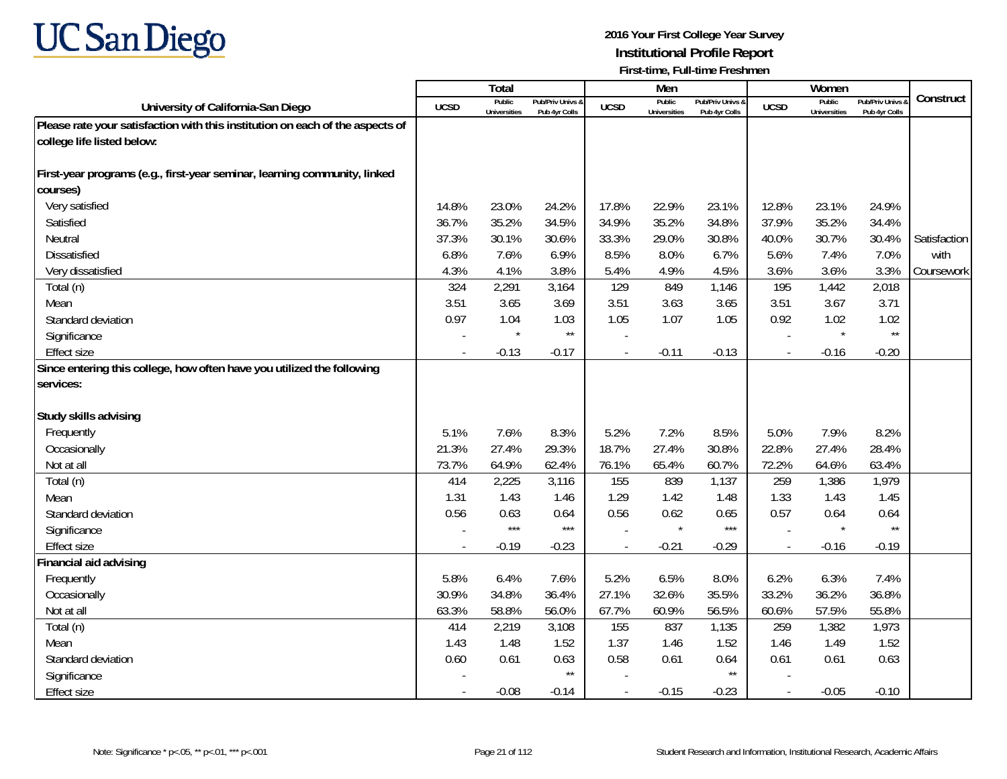

|                                                                               |             | <b>Total</b>                  |                                   |                | Men                           |                                   |                          | Women                         |                                        |              |
|-------------------------------------------------------------------------------|-------------|-------------------------------|-----------------------------------|----------------|-------------------------------|-----------------------------------|--------------------------|-------------------------------|----------------------------------------|--------------|
| University of California-San Diego                                            | <b>UCSD</b> | Public<br><b>Universities</b> | Pub/Priv Univs &<br>Pub 4yr Colls | <b>UCSD</b>    | Public<br><b>Universities</b> | Pub/Priv Univs &<br>Pub 4yr Colls | <b>UCSD</b>              | Public<br><b>Universities</b> | <b>Pub/Priv Univs</b><br>Pub 4yr Colls | Construct    |
| Please rate your satisfaction with this institution on each of the aspects of |             |                               |                                   |                |                               |                                   |                          |                               |                                        |              |
| college life listed below:                                                    |             |                               |                                   |                |                               |                                   |                          |                               |                                        |              |
|                                                                               |             |                               |                                   |                |                               |                                   |                          |                               |                                        |              |
| First-year programs (e.g., first-year seminar, learning community, linked     |             |                               |                                   |                |                               |                                   |                          |                               |                                        |              |
| courses)                                                                      |             |                               |                                   |                |                               |                                   |                          |                               |                                        |              |
| Very satisfied                                                                | 14.8%       | 23.0%                         | 24.2%                             | 17.8%          | 22.9%                         | 23.1%                             | 12.8%                    | 23.1%                         | 24.9%                                  |              |
| Satisfied                                                                     | 36.7%       | 35.2%                         | 34.5%                             | 34.9%          | 35.2%                         | 34.8%                             | 37.9%                    | 35.2%                         | 34.4%                                  |              |
| Neutral                                                                       | 37.3%       | 30.1%                         | 30.6%                             | 33.3%          | 29.0%                         | 30.8%                             | 40.0%                    | 30.7%                         | 30.4%                                  | Satisfaction |
| Dissatisfied                                                                  | 6.8%        | 7.6%                          | 6.9%                              | 8.5%           | 8.0%                          | 6.7%                              | 5.6%                     | 7.4%                          | 7.0%                                   | with         |
| Very dissatisfied                                                             | 4.3%        | 4.1%                          | 3.8%                              | 5.4%           | 4.9%                          | 4.5%                              | 3.6%                     | 3.6%                          | 3.3%                                   | Coursework   |
| Total (n)                                                                     | 324         | 2,291                         | 3,164                             | 129            | 849                           | 1,146                             | 195                      | 1,442                         | 2,018                                  |              |
| Mean                                                                          | 3.51        | 3.65                          | 3.69                              | 3.51           | 3.63                          | 3.65                              | 3.51                     | 3.67                          | 3.71                                   |              |
| Standard deviation                                                            | 0.97        | 1.04                          | 1.03                              | 1.05           | 1.07                          | 1.05                              | 0.92                     | 1.02                          | 1.02                                   |              |
| Significance                                                                  |             |                               | $\star\star$                      |                |                               |                                   |                          | $\star$                       | $\star\star$                           |              |
| <b>Effect size</b>                                                            |             | $-0.13$                       | $-0.17$                           | $\overline{a}$ | $-0.11$                       | $-0.13$                           | $\overline{\phantom{a}}$ | $-0.16$                       | $-0.20$                                |              |
| Since entering this college, how often have you utilized the following        |             |                               |                                   |                |                               |                                   |                          |                               |                                        |              |
| services:                                                                     |             |                               |                                   |                |                               |                                   |                          |                               |                                        |              |
|                                                                               |             |                               |                                   |                |                               |                                   |                          |                               |                                        |              |
| Study skills advising                                                         |             |                               |                                   |                |                               |                                   |                          |                               |                                        |              |
| Frequently                                                                    | 5.1%        | 7.6%                          | 8.3%                              | 5.2%           | 7.2%                          | 8.5%                              | 5.0%                     | 7.9%                          | 8.2%                                   |              |
| Occasionally                                                                  | 21.3%       | 27.4%                         | 29.3%                             | 18.7%          | 27.4%                         | 30.8%                             | 22.8%                    | 27.4%                         | 28.4%                                  |              |
| Not at all                                                                    | 73.7%       | 64.9%                         | 62.4%                             | 76.1%          | 65.4%                         | 60.7%                             | 72.2%                    | 64.6%                         | 63.4%                                  |              |
| Total (n)                                                                     | 414         | 2,225                         | 3,116                             | 155            | 839                           | 1,137                             | 259                      | 1,386                         | 1,979                                  |              |
| Mean                                                                          | 1.31        | 1.43                          | 1.46                              | 1.29           | 1.42                          | 1.48                              | 1.33                     | 1.43                          | 1.45                                   |              |
| Standard deviation                                                            | 0.56        | 0.63                          | 0.64                              | 0.56           | 0.62                          | 0.65                              | 0.57                     | 0.64                          | 0.64                                   |              |
| Significance                                                                  |             | $***$                         | $***$                             |                | $\star$                       | $***$                             |                          | $\star$                       | $\star\star$                           |              |
| Effect size                                                                   |             | $-0.19$                       | $-0.23$                           |                | $-0.21$                       | $-0.29$                           | $\overline{\phantom{a}}$ | $-0.16$                       | $-0.19$                                |              |
| Financial aid advising                                                        |             |                               |                                   |                |                               |                                   |                          |                               |                                        |              |
| Frequently                                                                    | 5.8%        | 6.4%                          | 7.6%                              | 5.2%           | 6.5%                          | 8.0%                              | 6.2%                     | 6.3%                          | 7.4%                                   |              |
| Occasionally                                                                  | 30.9%       | 34.8%                         | 36.4%                             | 27.1%          | 32.6%                         | 35.5%                             | 33.2%                    | 36.2%                         | 36.8%                                  |              |
| Not at all                                                                    | 63.3%       | 58.8%                         | 56.0%                             | 67.7%          | 60.9%                         | 56.5%                             | 60.6%                    | 57.5%                         | 55.8%                                  |              |
| Total (n)                                                                     | 414         | 2,219                         | 3,108                             | 155            | 837                           | 1,135                             | 259                      | 1,382                         | 1,973                                  |              |
| Mean                                                                          | 1.43        | 1.48                          | 1.52                              | 1.37           | 1.46                          | 1.52                              | 1.46                     | 1.49                          | 1.52                                   |              |
| Standard deviation                                                            | 0.60        | 0.61                          | 0.63                              | 0.58           | 0.61                          | 0.64                              | 0.61                     | 0.61                          | 0.63                                   |              |
| Significance                                                                  |             |                               | $\star\star$                      |                |                               | $\star\star$                      |                          |                               |                                        |              |
| <b>Effect size</b>                                                            |             | $-0.08$                       | $-0.14$                           |                | $-0.15$                       | $-0.23$                           | $\overline{\phantom{a}}$ | $-0.05$                       | $-0.10$                                |              |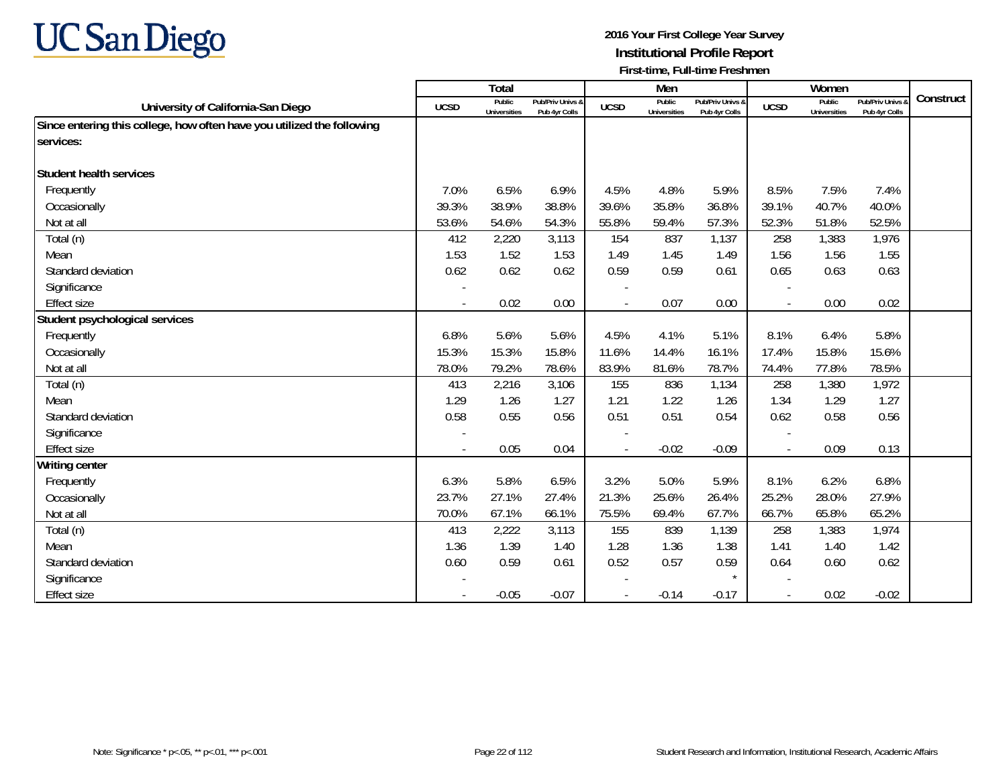

|                                                                        |             | Total                         |                                   |             | Men                           |                                   |                          | Women                         |                                        |           |
|------------------------------------------------------------------------|-------------|-------------------------------|-----------------------------------|-------------|-------------------------------|-----------------------------------|--------------------------|-------------------------------|----------------------------------------|-----------|
| University of California-San Diego                                     | <b>UCSD</b> | Public<br><b>Universities</b> | Pub/Priv Univs &<br>Pub 4yr Colls | <b>UCSD</b> | Public<br><b>Universities</b> | Pub/Priv Univs &<br>Pub 4yr Colls | <b>UCSD</b>              | Public<br><b>Universities</b> | <b>Pub/Priv Univs</b><br>Pub 4yr Colls | Construct |
| Since entering this college, how often have you utilized the following |             |                               |                                   |             |                               |                                   |                          |                               |                                        |           |
| services:                                                              |             |                               |                                   |             |                               |                                   |                          |                               |                                        |           |
|                                                                        |             |                               |                                   |             |                               |                                   |                          |                               |                                        |           |
| Student health services                                                |             |                               |                                   |             |                               |                                   |                          |                               |                                        |           |
| Frequently                                                             | 7.0%        | 6.5%                          | 6.9%                              | 4.5%        | 4.8%                          | 5.9%                              | 8.5%                     | 7.5%                          | 7.4%                                   |           |
| Occasionally                                                           | 39.3%       | 38.9%                         | 38.8%                             | 39.6%       | 35.8%                         | 36.8%                             | 39.1%                    | 40.7%                         | 40.0%                                  |           |
| Not at all                                                             | 53.6%       | 54.6%                         | 54.3%                             | 55.8%       | 59.4%                         | 57.3%                             | 52.3%                    | 51.8%                         | 52.5%                                  |           |
| Total (n)                                                              | 412         | 2,220                         | 3,113                             | 154         | 837                           | 1,137                             | 258                      | 1,383                         | 1,976                                  |           |
| Mean                                                                   | 1.53        | 1.52                          | 1.53                              | 1.49        | 1.45                          | 1.49                              | 1.56                     | 1.56                          | 1.55                                   |           |
| Standard deviation                                                     | 0.62        | 0.62                          | 0.62                              | 0.59        | 0.59                          | 0.61                              | 0.65                     | 0.63                          | 0.63                                   |           |
| Significance                                                           |             |                               |                                   |             |                               |                                   |                          |                               |                                        |           |
| <b>Effect size</b>                                                     | $\sim$      | 0.02                          | 0.00                              |             | 0.07                          | 0.00                              | $\overline{\phantom{a}}$ | 0.00                          | 0.02                                   |           |
| Student psychological services                                         |             |                               |                                   |             |                               |                                   |                          |                               |                                        |           |
| Frequently                                                             | 6.8%        | 5.6%                          | 5.6%                              | 4.5%        | 4.1%                          | 5.1%                              | 8.1%                     | 6.4%                          | 5.8%                                   |           |
| Occasionally                                                           | 15.3%       | 15.3%                         | 15.8%                             | 11.6%       | 14.4%                         | 16.1%                             | 17.4%                    | 15.8%                         | 15.6%                                  |           |
| Not at all                                                             | 78.0%       | 79.2%                         | 78.6%                             | 83.9%       | 81.6%                         | 78.7%                             | 74.4%                    | 77.8%                         | 78.5%                                  |           |
| Total (n)                                                              | 413         | 2,216                         | 3,106                             | 155         | 836                           | 1,134                             | 258                      | 1,380                         | 1,972                                  |           |
| Mean                                                                   | 1.29        | 1.26                          | 1.27                              | 1.21        | 1.22                          | 1.26                              | 1.34                     | 1.29                          | 1.27                                   |           |
| Standard deviation                                                     | 0.58        | 0.55                          | 0.56                              | 0.51        | 0.51                          | 0.54                              | 0.62                     | 0.58                          | 0.56                                   |           |
| Significance                                                           |             |                               |                                   |             |                               |                                   |                          |                               |                                        |           |
| <b>Effect size</b>                                                     | $\sim$      | 0.05                          | 0.04                              |             | $-0.02$                       | $-0.09$                           | $\blacksquare$           | 0.09                          | 0.13                                   |           |
| <b>Writing center</b>                                                  |             |                               |                                   |             |                               |                                   |                          |                               |                                        |           |
| Frequently                                                             | 6.3%        | 5.8%                          | 6.5%                              | 3.2%        | 5.0%                          | 5.9%                              | 8.1%                     | 6.2%                          | 6.8%                                   |           |
| Occasionally                                                           | 23.7%       | 27.1%                         | 27.4%                             | 21.3%       | 25.6%                         | 26.4%                             | 25.2%                    | 28.0%                         | 27.9%                                  |           |
| Not at all                                                             | 70.0%       | 67.1%                         | 66.1%                             | 75.5%       | 69.4%                         | 67.7%                             | 66.7%                    | 65.8%                         | 65.2%                                  |           |
| Total (n)                                                              | 413         | 2,222                         | 3,113                             | 155         | 839                           | 1,139                             | 258                      | 1,383                         | 1,974                                  |           |
| Mean                                                                   | 1.36        | 1.39                          | 1.40                              | 1.28        | 1.36                          | 1.38                              | 1.41                     | 1.40                          | 1.42                                   |           |
| Standard deviation                                                     | 0.60        | 0.59                          | 0.61                              | 0.52        | 0.57                          | 0.59                              | 0.64                     | 0.60                          | 0.62                                   |           |
| Significance                                                           |             |                               |                                   |             |                               |                                   |                          |                               |                                        |           |
| <b>Effect size</b>                                                     |             | $-0.05$                       | $-0.07$                           |             | $-0.14$                       | $-0.17$                           | $\blacksquare$           | 0.02                          | $-0.02$                                |           |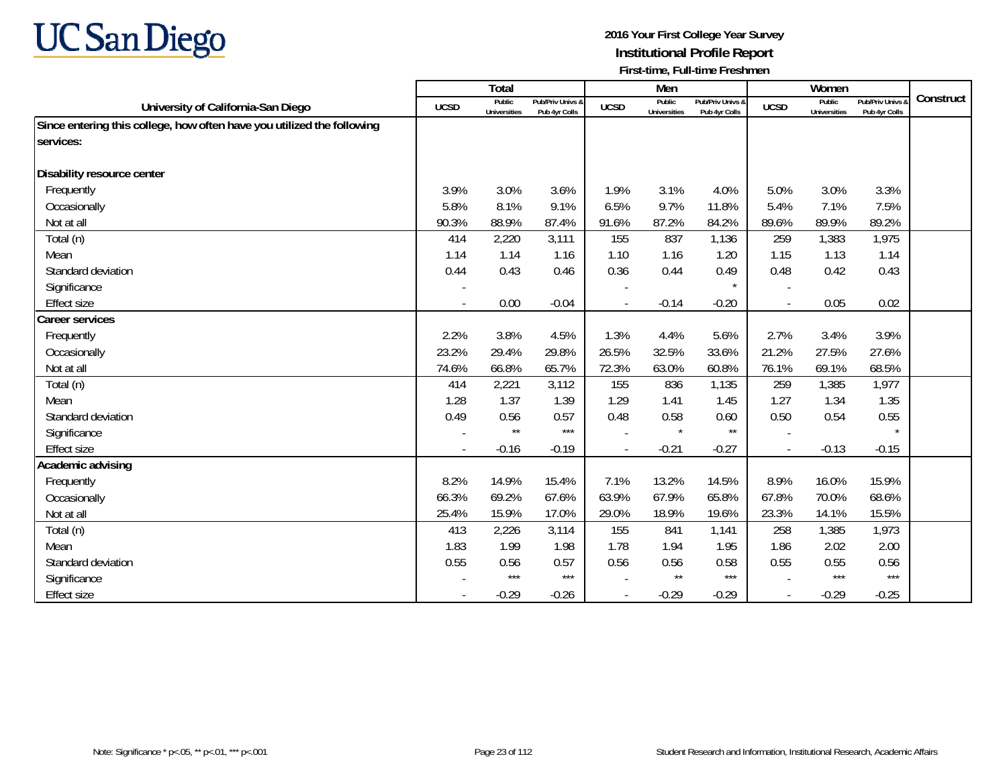

|                                                                        |             | Total                         |                                   |             | Men                           |                                   |                | Women                         |                                        |           |
|------------------------------------------------------------------------|-------------|-------------------------------|-----------------------------------|-------------|-------------------------------|-----------------------------------|----------------|-------------------------------|----------------------------------------|-----------|
| University of California-San Diego                                     | <b>UCSD</b> | Public<br><b>Universities</b> | Pub/Priv Univs &<br>Pub 4yr Colls | <b>UCSD</b> | Public<br><b>Universities</b> | Pub/Priv Univs &<br>Pub 4yr Colls | <b>UCSD</b>    | Public<br><b>Universities</b> | <b>Pub/Priv Univs</b><br>Pub 4yr Colls | Construct |
| Since entering this college, how often have you utilized the following |             |                               |                                   |             |                               |                                   |                |                               |                                        |           |
| services:                                                              |             |                               |                                   |             |                               |                                   |                |                               |                                        |           |
|                                                                        |             |                               |                                   |             |                               |                                   |                |                               |                                        |           |
| Disability resource center                                             |             |                               |                                   |             |                               |                                   |                |                               |                                        |           |
| Frequently                                                             | 3.9%        | 3.0%                          | 3.6%                              | 1.9%        | 3.1%                          | 4.0%                              | 5.0%           | 3.0%                          | 3.3%                                   |           |
| Occasionally                                                           | 5.8%        | 8.1%                          | 9.1%                              | 6.5%        | 9.7%                          | 11.8%                             | 5.4%           | 7.1%                          | 7.5%                                   |           |
| Not at all                                                             | 90.3%       | 88.9%                         | 87.4%                             | 91.6%       | 87.2%                         | 84.2%                             | 89.6%          | 89.9%                         | 89.2%                                  |           |
| Total (n)                                                              | 414         | 2,220                         | 3,111                             | 155         | 837                           | 1,136                             | 259            | 1,383                         | 1,975                                  |           |
| Mean                                                                   | 1.14        | 1.14                          | 1.16                              | 1.10        | 1.16                          | 1.20                              | 1.15           | 1.13                          | 1.14                                   |           |
| Standard deviation                                                     | 0.44        | 0.43                          | 0.46                              | 0.36        | 0.44                          | 0.49                              | 0.48           | 0.42                          | 0.43                                   |           |
| Significance                                                           |             |                               |                                   |             |                               |                                   |                |                               |                                        |           |
| <b>Effect size</b>                                                     |             | 0.00                          | $-0.04$                           |             | $-0.14$                       | $-0.20$                           | $\blacksquare$ | 0.05                          | 0.02                                   |           |
| <b>Career services</b>                                                 |             |                               |                                   |             |                               |                                   |                |                               |                                        |           |
| Frequently                                                             | 2.2%        | 3.8%                          | 4.5%                              | 1.3%        | 4.4%                          | 5.6%                              | 2.7%           | 3.4%                          | 3.9%                                   |           |
| Occasionally                                                           | 23.2%       | 29.4%                         | 29.8%                             | 26.5%       | 32.5%                         | 33.6%                             | 21.2%          | 27.5%                         | 27.6%                                  |           |
| Not at all                                                             | 74.6%       | 66.8%                         | 65.7%                             | 72.3%       | 63.0%                         | 60.8%                             | 76.1%          | 69.1%                         | 68.5%                                  |           |
| Total (n)                                                              | 414         | 2,221                         | 3,112                             | 155         | 836                           | 1,135                             | 259            | 1,385                         | 1,977                                  |           |
| Mean                                                                   | 1.28        | 1.37                          | 1.39                              | 1.29        | 1.41                          | 1.45                              | 1.27           | 1.34                          | 1.35                                   |           |
| Standard deviation                                                     | 0.49        | 0.56                          | 0.57                              | 0.48        | 0.58                          | 0.60                              | 0.50           | 0.54                          | 0.55                                   |           |
| Significance                                                           |             | $\star\star$                  | $***$                             |             | $\star$                       | $\star\star$                      |                |                               |                                        |           |
| <b>Effect size</b>                                                     |             | $-0.16$                       | $-0.19$                           |             | $-0.21$                       | $-0.27$                           | $\blacksquare$ | $-0.13$                       | $-0.15$                                |           |
| Academic advising                                                      |             |                               |                                   |             |                               |                                   |                |                               |                                        |           |
| Frequently                                                             | 8.2%        | 14.9%                         | 15.4%                             | 7.1%        | 13.2%                         | 14.5%                             | 8.9%           | 16.0%                         | 15.9%                                  |           |
| Occasionally                                                           | 66.3%       | 69.2%                         | 67.6%                             | 63.9%       | 67.9%                         | 65.8%                             | 67.8%          | 70.0%                         | 68.6%                                  |           |
| Not at all                                                             | 25.4%       | 15.9%                         | 17.0%                             | 29.0%       | 18.9%                         | 19.6%                             | 23.3%          | 14.1%                         | 15.5%                                  |           |
| Total (n)                                                              | 413         | 2,226                         | 3,114                             | 155         | 841                           | 1,141                             | 258            | 1,385                         | 1,973                                  |           |
| Mean                                                                   | 1.83        | 1.99                          | 1.98                              | 1.78        | 1.94                          | 1.95                              | 1.86           | 2.02                          | 2.00                                   |           |
| Standard deviation                                                     | 0.55        | 0.56                          | 0.57                              | 0.56        | 0.56                          | 0.58                              | 0.55           | 0.55                          | 0.56                                   |           |
| Significance                                                           |             | $***$                         | $***$                             |             | $\star\star$                  | $***$                             |                | $***$                         | $***$                                  |           |
| <b>Effect size</b>                                                     |             | $-0.29$                       | $-0.26$                           |             | $-0.29$                       | $-0.29$                           | $\blacksquare$ | $-0.29$                       | $-0.25$                                |           |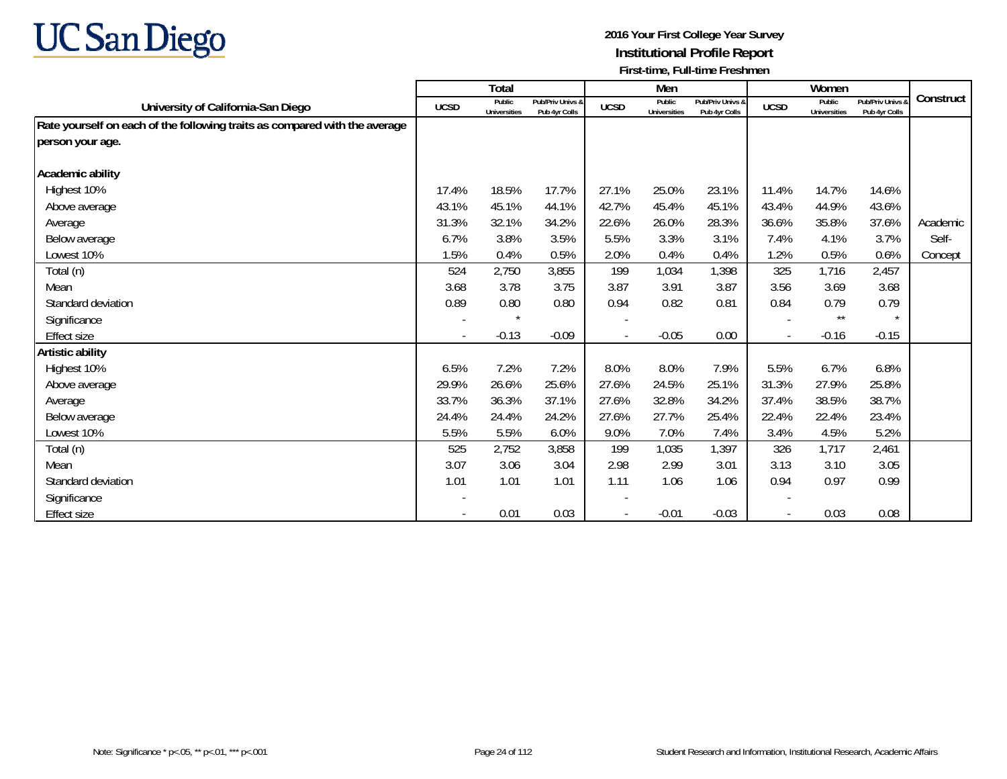

|                                                                            |                          | <b>Total</b>                  |                                   |                          | Men                           |                                   |             | Women                         |                                   |           |
|----------------------------------------------------------------------------|--------------------------|-------------------------------|-----------------------------------|--------------------------|-------------------------------|-----------------------------------|-------------|-------------------------------|-----------------------------------|-----------|
| University of California-San Diego                                         | <b>UCSD</b>              | Public<br><b>Universities</b> | Pub/Priv Univs &<br>Pub 4yr Colls | <b>UCSD</b>              | Public<br><b>Universities</b> | Pub/Priv Univs &<br>Pub 4yr Colls | <b>UCSD</b> | Public<br><b>Universities</b> | Pub/Priv Univs &<br>Pub 4yr Colls | Construct |
| Rate yourself on each of the following traits as compared with the average |                          |                               |                                   |                          |                               |                                   |             |                               |                                   |           |
| person your age.                                                           |                          |                               |                                   |                          |                               |                                   |             |                               |                                   |           |
|                                                                            |                          |                               |                                   |                          |                               |                                   |             |                               |                                   |           |
| Academic ability                                                           |                          |                               |                                   |                          |                               |                                   |             |                               |                                   |           |
| Highest 10%                                                                | 17.4%                    | 18.5%                         | 17.7%                             | 27.1%                    | 25.0%                         | 23.1%                             | 11.4%       | 14.7%                         | 14.6%                             |           |
| Above average                                                              | 43.1%                    | 45.1%                         | 44.1%                             | 42.7%                    | 45.4%                         | 45.1%                             | 43.4%       | 44.9%                         | 43.6%                             |           |
| Average                                                                    | 31.3%                    | 32.1%                         | 34.2%                             | 22.6%                    | 26.0%                         | 28.3%                             | 36.6%       | 35.8%                         | 37.6%                             | Academic  |
| Below average                                                              | 6.7%                     | 3.8%                          | 3.5%                              | 5.5%                     | 3.3%                          | 3.1%                              | 7.4%        | 4.1%                          | 3.7%                              | Self-     |
| Lowest 10%                                                                 | 1.5%                     | 0.4%                          | 0.5%                              | 2.0%                     | 0.4%                          | 0.4%                              | 1.2%        | 0.5%                          | 0.6%                              | Concept   |
| Total (n)                                                                  | 524                      | 2,750                         | 3,855                             | 199                      | 1,034                         | 1,398                             | 325         | 1,716                         | 2,457                             |           |
| Mean                                                                       | 3.68                     | 3.78                          | 3.75                              | 3.87                     | 3.91                          | 3.87                              | 3.56        | 3.69                          | 3.68                              |           |
| Standard deviation                                                         | 0.89                     | 0.80                          | 0.80                              | 0.94                     | 0.82                          | 0.81                              | 0.84        | 0.79                          | 0.79                              |           |
| Significance                                                               | $\overline{\phantom{a}}$ | $\star$                       |                                   | $\overline{\phantom{a}}$ |                               |                                   |             | $\star\star$                  | $\star$                           |           |
| Effect size                                                                |                          | $-0.13$                       | $-0.09$                           |                          | $-0.05$                       | 0.00                              |             | $-0.16$                       | $-0.15$                           |           |
| Artistic ability                                                           |                          |                               |                                   |                          |                               |                                   |             |                               |                                   |           |
| Highest 10%                                                                | 6.5%                     | 7.2%                          | 7.2%                              | 8.0%                     | 8.0%                          | 7.9%                              | 5.5%        | 6.7%                          | 6.8%                              |           |
| Above average                                                              | 29.9%                    | 26.6%                         | 25.6%                             | 27.6%                    | 24.5%                         | 25.1%                             | 31.3%       | 27.9%                         | 25.8%                             |           |
| Average                                                                    | 33.7%                    | 36.3%                         | 37.1%                             | 27.6%                    | 32.8%                         | 34.2%                             | 37.4%       | 38.5%                         | 38.7%                             |           |
| Below average                                                              | 24.4%                    | 24.4%                         | 24.2%                             | 27.6%                    | 27.7%                         | 25.4%                             | 22.4%       | 22.4%                         | 23.4%                             |           |
| Lowest 10%                                                                 | 5.5%                     | 5.5%                          | 6.0%                              | 9.0%                     | 7.0%                          | 7.4%                              | 3.4%        | 4.5%                          | 5.2%                              |           |
| Total (n)                                                                  | 525                      | 2,752                         | 3,858                             | 199                      | 1,035                         | 1,397                             | 326         | 1,717                         | 2,461                             |           |
| Mean                                                                       | 3.07                     | 3.06                          | 3.04                              | 2.98                     | 2.99                          | 3.01                              | 3.13        | 3.10                          | 3.05                              |           |
| Standard deviation                                                         | 1.01                     | 1.01                          | 1.01                              | 1.11                     | 1.06                          | 1.06                              | 0.94        | 0.97                          | 0.99                              |           |
| Significance                                                               |                          |                               |                                   |                          |                               |                                   |             |                               |                                   |           |
| Effect size                                                                |                          | 0.01                          | 0.03                              |                          | $-0.01$                       | $-0.03$                           |             | 0.03                          | 0.08                              |           |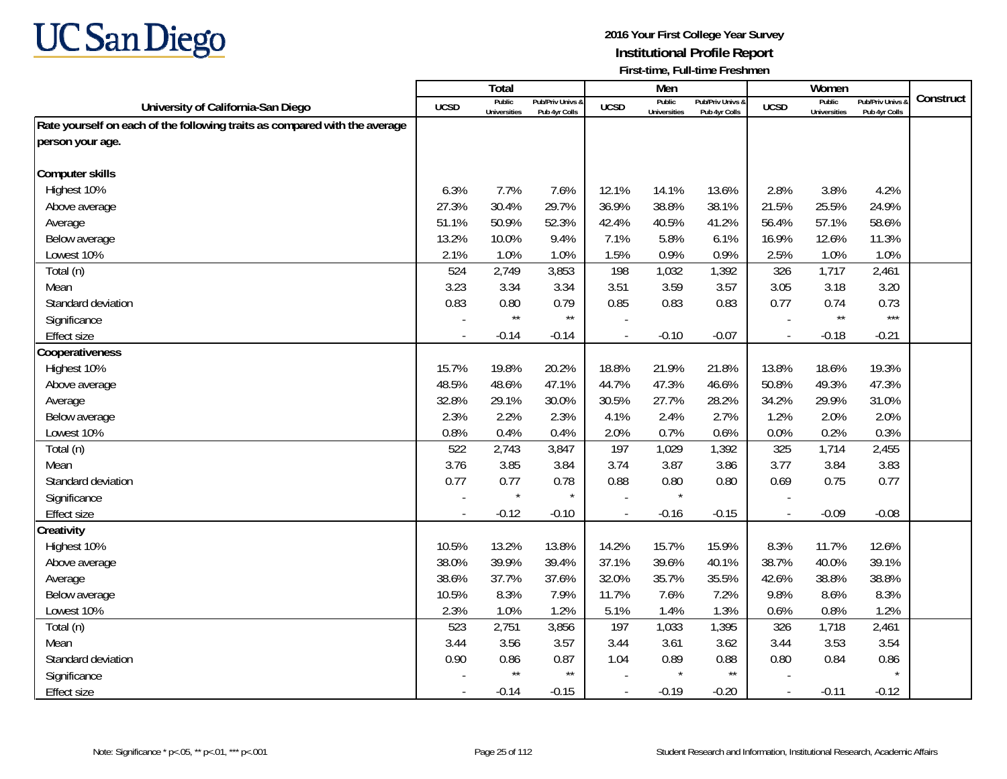

|                                                                            |             | <b>Total</b>                  |                                   |                          | Men                           |                                   |                          | Women                         |                                 |           |
|----------------------------------------------------------------------------|-------------|-------------------------------|-----------------------------------|--------------------------|-------------------------------|-----------------------------------|--------------------------|-------------------------------|---------------------------------|-----------|
| University of California-San Diego                                         | <b>UCSD</b> | Public<br><b>Universities</b> | Pub/Priv Univs &<br>Pub 4yr Colls | <b>UCSD</b>              | Public<br><b>Universities</b> | Pub/Priv Univs &<br>Pub 4yr Colls | <b>UCSD</b>              | Public<br><b>Universities</b> | Pub/Priv Univs<br>Pub 4yr Colls | Construct |
| Rate yourself on each of the following traits as compared with the average |             |                               |                                   |                          |                               |                                   |                          |                               |                                 |           |
| person your age.                                                           |             |                               |                                   |                          |                               |                                   |                          |                               |                                 |           |
|                                                                            |             |                               |                                   |                          |                               |                                   |                          |                               |                                 |           |
| <b>Computer skills</b>                                                     |             |                               |                                   |                          |                               |                                   |                          |                               |                                 |           |
| Highest 10%                                                                | 6.3%        | 7.7%                          | 7.6%                              | 12.1%                    | 14.1%                         | 13.6%                             | 2.8%                     | 3.8%                          | 4.2%                            |           |
| Above average                                                              | 27.3%       | 30.4%                         | 29.7%                             | 36.9%                    | 38.8%                         | 38.1%                             | 21.5%                    | 25.5%                         | 24.9%                           |           |
| Average                                                                    | 51.1%       | 50.9%                         | 52.3%                             | 42.4%                    | 40.5%                         | 41.2%                             | 56.4%                    | 57.1%                         | 58.6%                           |           |
| Below average                                                              | 13.2%       | 10.0%                         | 9.4%                              | 7.1%                     | 5.8%                          | 6.1%                              | 16.9%                    | 12.6%                         | 11.3%                           |           |
| Lowest 10%                                                                 | 2.1%        | 1.0%                          | 1.0%                              | 1.5%                     | 0.9%                          | 0.9%                              | 2.5%                     | 1.0%                          | 1.0%                            |           |
| Total (n)                                                                  | 524         | 2,749                         | 3,853                             | 198                      | 1,032                         | 1,392                             | 326                      | 1,717                         | 2,461                           |           |
| Mean                                                                       | 3.23        | 3.34                          | 3.34                              | 3.51                     | 3.59                          | 3.57                              | 3.05                     | 3.18                          | 3.20                            |           |
| Standard deviation                                                         | 0.83        | 0.80                          | 0.79                              | 0.85                     | 0.83                          | 0.83                              | 0.77                     | 0.74                          | 0.73                            |           |
| Significance                                                               |             | $\star\star$                  | $^{\star\star}$                   |                          |                               |                                   |                          | $\star\star$                  | $***$                           |           |
| <b>Effect size</b>                                                         |             | $-0.14$                       | $-0.14$                           |                          | $-0.10$                       | $-0.07$                           | $\overline{\phantom{a}}$ | $-0.18$                       | $-0.21$                         |           |
| Cooperativeness                                                            |             |                               |                                   |                          |                               |                                   |                          |                               |                                 |           |
| Highest 10%                                                                | 15.7%       | 19.8%                         | 20.2%                             | 18.8%                    | 21.9%                         | 21.8%                             | 13.8%                    | 18.6%                         | 19.3%                           |           |
| Above average                                                              | 48.5%       | 48.6%                         | 47.1%                             | 44.7%                    | 47.3%                         | 46.6%                             | 50.8%                    | 49.3%                         | 47.3%                           |           |
| Average                                                                    | 32.8%       | 29.1%                         | 30.0%                             | 30.5%                    | 27.7%                         | 28.2%                             | 34.2%                    | 29.9%                         | 31.0%                           |           |
| Below average                                                              | 2.3%        | 2.2%                          | 2.3%                              | 4.1%                     | 2.4%                          | 2.7%                              | 1.2%                     | 2.0%                          | 2.0%                            |           |
| Lowest 10%                                                                 | 0.8%        | 0.4%                          | 0.4%                              | 2.0%                     | 0.7%                          | 0.6%                              | 0.0%                     | 0.2%                          | 0.3%                            |           |
| Total (n)                                                                  | 522         | 2,743                         | 3,847                             | 197                      | 1,029                         | 1,392                             | 325                      | 1,714                         | 2,455                           |           |
| Mean                                                                       | 3.76        | 3.85                          | 3.84                              | 3.74                     | 3.87                          | 3.86                              | 3.77                     | 3.84                          | 3.83                            |           |
| Standard deviation                                                         | 0.77        | 0.77                          | 0.78                              | 0.88                     | 0.80                          | 0.80                              | 0.69                     | 0.75                          | 0.77                            |           |
| Significance                                                               |             | $\star$                       | $\star$                           |                          |                               |                                   |                          |                               |                                 |           |
| <b>Effect size</b>                                                         | $\sim$      | $-0.12$                       | $-0.10$                           | $\sim$                   | $-0.16$                       | $-0.15$                           | $\overline{\phantom{a}}$ | $-0.09$                       | $-0.08$                         |           |
| Creativity                                                                 |             |                               |                                   |                          |                               |                                   |                          |                               |                                 |           |
| Highest 10%                                                                | 10.5%       | 13.2%                         | 13.8%                             | 14.2%                    | 15.7%                         | 15.9%                             | 8.3%                     | 11.7%                         | 12.6%                           |           |
| Above average                                                              | 38.0%       | 39.9%                         | 39.4%                             | 37.1%                    | 39.6%                         | 40.1%                             | 38.7%                    | 40.0%                         | 39.1%                           |           |
| Average                                                                    | 38.6%       | 37.7%                         | 37.6%                             | 32.0%                    | 35.7%                         | 35.5%                             | 42.6%                    | 38.8%                         | 38.8%                           |           |
| Below average                                                              | 10.5%       | 8.3%                          | 7.9%                              | 11.7%                    | 7.6%                          | 7.2%                              | 9.8%                     | 8.6%                          | 8.3%                            |           |
| Lowest 10%                                                                 | 2.3%        | 1.0%                          | 1.2%                              | 5.1%                     | 1.4%                          | 1.3%                              | 0.6%                     | 0.8%                          | 1.2%                            |           |
| Total (n)                                                                  | 523         | 2,751                         | 3,856                             | 197                      | 1,033                         | 1,395                             | 326                      | 1,718                         | 2,461                           |           |
| Mean                                                                       | 3.44        | 3.56                          | 3.57                              | 3.44                     | 3.61                          | 3.62                              | 3.44                     | 3.53                          | 3.54                            |           |
| Standard deviation                                                         | 0.90        | 0.86                          | 0.87                              | 1.04                     | 0.89                          | 0.88                              | 0.80                     | 0.84                          | 0.86                            |           |
| Significance                                                               |             | $\star\star$                  | $\star\star$                      |                          | $\star$                       | $\star\star$                      |                          |                               |                                 |           |
| <b>Effect size</b>                                                         |             | $-0.14$                       | $-0.15$                           | $\overline{\phantom{a}}$ | $-0.19$                       | $-0.20$                           | $\overline{\phantom{a}}$ | $-0.11$                       | $-0.12$                         |           |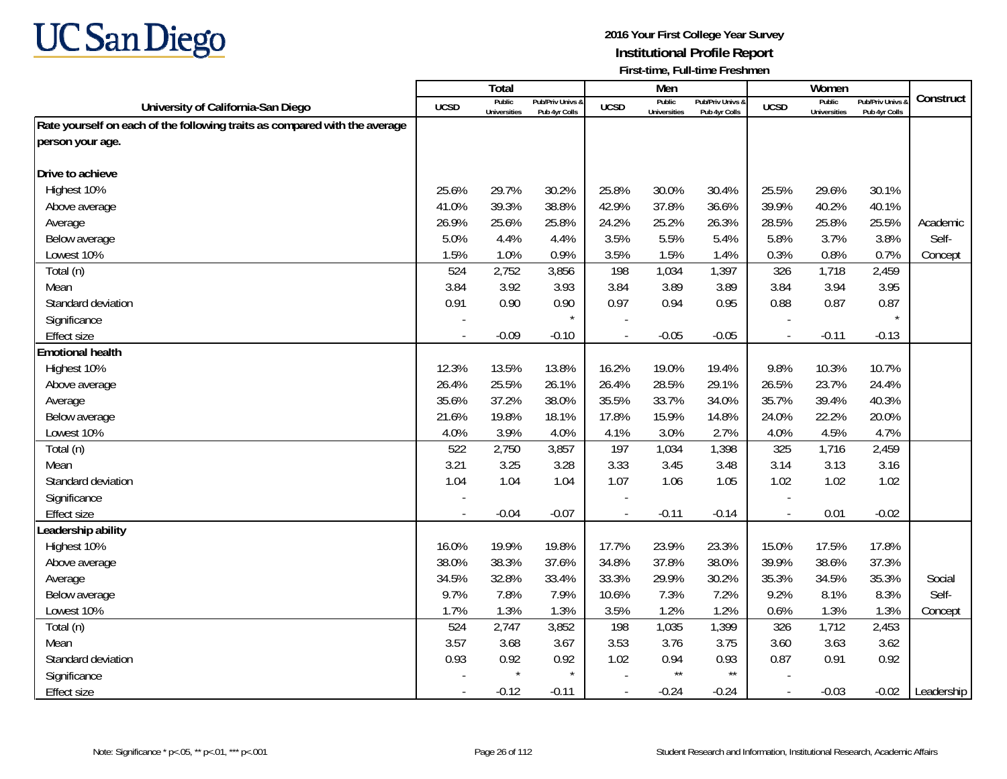

|                                                                            |        | Total                         |                                   |                          | Men                           |                                   |                          | Women                         |                                        |            |
|----------------------------------------------------------------------------|--------|-------------------------------|-----------------------------------|--------------------------|-------------------------------|-----------------------------------|--------------------------|-------------------------------|----------------------------------------|------------|
| University of California-San Diego                                         | UCSD   | Public<br><b>Universities</b> | Pub/Priv Univs &<br>Pub 4yr Colls | <b>UCSD</b>              | Public<br><b>Universities</b> | Pub/Priv Univs &<br>Pub 4yr Colls | <b>UCSD</b>              | Public<br><b>Universities</b> | <b>Pub/Priv Univs</b><br>Pub 4yr Colls | Construct  |
| Rate yourself on each of the following traits as compared with the average |        |                               |                                   |                          |                               |                                   |                          |                               |                                        |            |
| person your age.                                                           |        |                               |                                   |                          |                               |                                   |                          |                               |                                        |            |
|                                                                            |        |                               |                                   |                          |                               |                                   |                          |                               |                                        |            |
| Drive to achieve                                                           |        |                               |                                   |                          |                               |                                   |                          |                               |                                        |            |
| Highest 10%                                                                | 25.6%  | 29.7%                         | 30.2%                             | 25.8%                    | 30.0%                         | 30.4%                             | 25.5%                    | 29.6%                         | 30.1%                                  |            |
| Above average                                                              | 41.0%  | 39.3%                         | 38.8%                             | 42.9%                    | 37.8%                         | 36.6%                             | 39.9%                    | 40.2%                         | 40.1%                                  |            |
| Average                                                                    | 26.9%  | 25.6%                         | 25.8%                             | 24.2%                    | 25.2%                         | 26.3%                             | 28.5%                    | 25.8%                         | 25.5%                                  | Academic   |
| Below average                                                              | 5.0%   | 4.4%                          | 4.4%                              | 3.5%                     | 5.5%                          | 5.4%                              | 5.8%                     | 3.7%                          | 3.8%                                   | Self-      |
| Lowest 10%                                                                 | 1.5%   | 1.0%                          | 0.9%                              | 3.5%                     | 1.5%                          | 1.4%                              | 0.3%                     | 0.8%                          | 0.7%                                   | Concept    |
| Total (n)                                                                  | 524    | 2,752                         | 3,856                             | 198                      | 1,034                         | 1,397                             | 326                      | 1,718                         | 2,459                                  |            |
| Mean                                                                       | 3.84   | 3.92                          | 3.93                              | 3.84                     | 3.89                          | 3.89                              | 3.84                     | 3.94                          | 3.95                                   |            |
| Standard deviation                                                         | 0.91   | 0.90                          | 0.90                              | 0.97                     | 0.94                          | 0.95                              | 0.88                     | 0.87                          | 0.87                                   |            |
| Significance                                                               |        |                               |                                   |                          |                               |                                   |                          |                               | $\star$                                |            |
| <b>Effect size</b>                                                         |        | $-0.09$                       | $-0.10$                           |                          | $-0.05$                       | $-0.05$                           | $\blacksquare$           | $-0.11$                       | $-0.13$                                |            |
| <b>Emotional health</b>                                                    |        |                               |                                   |                          |                               |                                   |                          |                               |                                        |            |
| Highest 10%                                                                | 12.3%  | 13.5%                         | 13.8%                             | 16.2%                    | 19.0%                         | 19.4%                             | 9.8%                     | 10.3%                         | 10.7%                                  |            |
| Above average                                                              | 26.4%  | 25.5%                         | 26.1%                             | 26.4%                    | 28.5%                         | 29.1%                             | 26.5%                    | 23.7%                         | 24.4%                                  |            |
| Average                                                                    | 35.6%  | 37.2%                         | 38.0%                             | 35.5%                    | 33.7%                         | 34.0%                             | 35.7%                    | 39.4%                         | 40.3%                                  |            |
| Below average                                                              | 21.6%  | 19.8%                         | 18.1%                             | 17.8%                    | 15.9%                         | 14.8%                             | 24.0%                    | 22.2%                         | 20.0%                                  |            |
| Lowest 10%                                                                 | 4.0%   | 3.9%                          | 4.0%                              | 4.1%                     | 3.0%                          | 2.7%                              | 4.0%                     | 4.5%                          | 4.7%                                   |            |
| Total (n)                                                                  | 522    | 2,750                         | 3,857                             | 197                      | 1,034                         | 1,398                             | 325                      | 1,716                         | 2,459                                  |            |
| Mean                                                                       | 3.21   | 3.25                          | 3.28                              | 3.33                     | 3.45                          | 3.48                              | 3.14                     | 3.13                          | 3.16                                   |            |
| Standard deviation                                                         | 1.04   | 1.04                          | 1.04                              | 1.07                     | 1.06                          | 1.05                              | 1.02                     | 1.02                          | 1.02                                   |            |
| Significance                                                               |        |                               |                                   |                          |                               |                                   |                          |                               |                                        |            |
| <b>Effect size</b>                                                         | $\sim$ | $-0.04$                       | $-0.07$                           | $\overline{\phantom{a}}$ | $-0.11$                       | $-0.14$                           | $\overline{\phantom{a}}$ | 0.01                          | $-0.02$                                |            |
| Leadership ability                                                         |        |                               |                                   |                          |                               |                                   |                          |                               |                                        |            |
| Highest 10%                                                                | 16.0%  | 19.9%                         | 19.8%                             | 17.7%                    | 23.9%                         | 23.3%                             | 15.0%                    | 17.5%                         | 17.8%                                  |            |
| Above average                                                              | 38.0%  | 38.3%                         | 37.6%                             | 34.8%                    | 37.8%                         | 38.0%                             | 39.9%                    | 38.6%                         | 37.3%                                  |            |
| Average                                                                    | 34.5%  | 32.8%                         | 33.4%                             | 33.3%                    | 29.9%                         | 30.2%                             | 35.3%                    | 34.5%                         | 35.3%                                  | Social     |
| Below average                                                              | 9.7%   | 7.8%                          | 7.9%                              | 10.6%                    | 7.3%                          | 7.2%                              | 9.2%                     | 8.1%                          | 8.3%                                   | Self-      |
| Lowest 10%                                                                 | 1.7%   | 1.3%                          | 1.3%                              | 3.5%                     | 1.2%                          | 1.2%                              | 0.6%                     | 1.3%                          | 1.3%                                   | Concept    |
| Total (n)                                                                  | 524    | 2,747                         | 3,852                             | 198                      | 1,035                         | 1,399                             | 326                      | 1,712                         | 2,453                                  |            |
| Mean                                                                       | 3.57   | 3.68                          | 3.67                              | 3.53                     | 3.76                          | 3.75                              | 3.60                     | 3.63                          | 3.62                                   |            |
| Standard deviation                                                         | 0.93   | 0.92                          | 0.92                              | 1.02                     | 0.94                          | 0.93                              | 0.87                     | 0.91                          | 0.92                                   |            |
| Significance                                                               |        | $\star$                       |                                   |                          | $\star\star$                  | $\star\star$                      |                          |                               |                                        |            |
| Effect size                                                                | $\sim$ | $-0.12$                       | $-0.11$                           |                          | $-0.24$                       | $-0.24$                           | $\overline{\phantom{a}}$ | $-0.03$                       | $-0.02$                                | Leadership |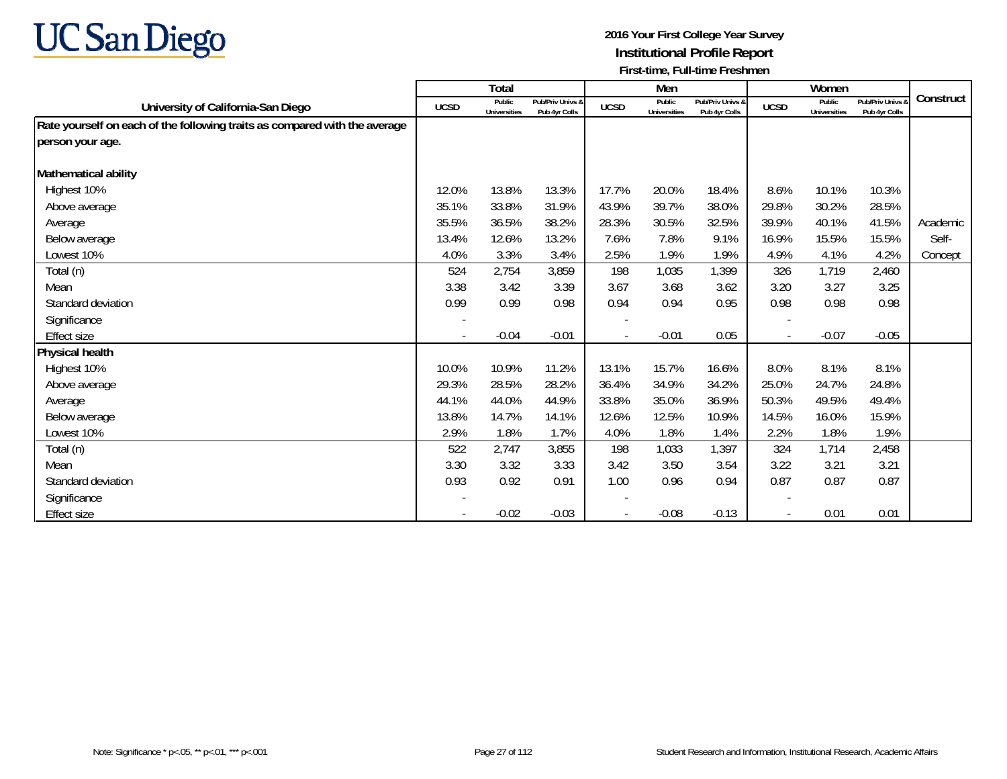

|                                                                            |             | <b>Total</b>                  |                                   |                          | Men                           |                                   |             | Women                         |                                   |           |
|----------------------------------------------------------------------------|-------------|-------------------------------|-----------------------------------|--------------------------|-------------------------------|-----------------------------------|-------------|-------------------------------|-----------------------------------|-----------|
| University of California-San Diego                                         | <b>UCSD</b> | Public<br><b>Universities</b> | Pub/Priv Univs &<br>Pub 4yr Colls | <b>UCSD</b>              | Public<br><b>Universities</b> | Pub/Priv Univs &<br>Pub 4yr Colls | <b>UCSD</b> | Public<br><b>Universities</b> | Pub/Priv Univs &<br>Pub 4yr Colls | Construct |
| Rate yourself on each of the following traits as compared with the average |             |                               |                                   |                          |                               |                                   |             |                               |                                   |           |
| person your age.                                                           |             |                               |                                   |                          |                               |                                   |             |                               |                                   |           |
|                                                                            |             |                               |                                   |                          |                               |                                   |             |                               |                                   |           |
| Mathematical ability                                                       |             |                               |                                   |                          |                               |                                   |             |                               |                                   |           |
| Highest 10%                                                                | 12.0%       | 13.8%                         | 13.3%                             | 17.7%                    | 20.0%                         | 18.4%                             | 8.6%        | 10.1%                         | 10.3%                             |           |
| Above average                                                              | 35.1%       | 33.8%                         | 31.9%                             | 43.9%                    | 39.7%                         | 38.0%                             | 29.8%       | 30.2%                         | 28.5%                             |           |
| Average                                                                    | 35.5%       | 36.5%                         | 38.2%                             | 28.3%                    | 30.5%                         | 32.5%                             | 39.9%       | 40.1%                         | 41.5%                             | Academic  |
| Below average                                                              | 13.4%       | 12.6%                         | 13.2%                             | 7.6%                     | 7.8%                          | 9.1%                              | 16.9%       | 15.5%                         | 15.5%                             | Self-     |
| Lowest 10%                                                                 | 4.0%        | 3.3%                          | 3.4%                              | 2.5%                     | 1.9%                          | 1.9%                              | 4.9%        | 4.1%                          | 4.2%                              | Concept   |
| Total (n)                                                                  | 524         | 2,754                         | 3,859                             | 198                      | 1,035                         | 1,399                             | 326         | 1,719                         | 2,460                             |           |
| Mean                                                                       | 3.38        | 3.42                          | 3.39                              | 3.67                     | 3.68                          | 3.62                              | 3.20        | 3.27                          | 3.25                              |           |
| Standard deviation                                                         | 0.99        | 0.99                          | 0.98                              | 0.94                     | 0.94                          | 0.95                              | 0.98        | 0.98                          | 0.98                              |           |
| Significance                                                               |             |                               |                                   | $\overline{\phantom{a}}$ |                               |                                   |             |                               |                                   |           |
| Effect size                                                                |             | $-0.04$                       | $-0.01$                           |                          | $-0.01$                       | 0.05                              |             | $-0.07$                       | $-0.05$                           |           |
| Physical health                                                            |             |                               |                                   |                          |                               |                                   |             |                               |                                   |           |
| Highest 10%                                                                | 10.0%       | 10.9%                         | 11.2%                             | 13.1%                    | 15.7%                         | 16.6%                             | 8.0%        | 8.1%                          | 8.1%                              |           |
| Above average                                                              | 29.3%       | 28.5%                         | 28.2%                             | 36.4%                    | 34.9%                         | 34.2%                             | 25.0%       | 24.7%                         | 24.8%                             |           |
| Average                                                                    | 44.1%       | 44.0%                         | 44.9%                             | 33.8%                    | 35.0%                         | 36.9%                             | 50.3%       | 49.5%                         | 49.4%                             |           |
| Below average                                                              | 13.8%       | 14.7%                         | 14.1%                             | 12.6%                    | 12.5%                         | 10.9%                             | 14.5%       | 16.0%                         | 15.9%                             |           |
| Lowest 10%                                                                 | 2.9%        | 1.8%                          | 1.7%                              | 4.0%                     | 1.8%                          | 1.4%                              | 2.2%        | 1.8%                          | 1.9%                              |           |
| Total (n)                                                                  | 522         | 2,747                         | 3,855                             | 198                      | 1,033                         | 1,397                             | 324         | 1,714                         | 2,458                             |           |
| Mean                                                                       | 3.30        | 3.32                          | 3.33                              | 3.42                     | 3.50                          | 3.54                              | 3.22        | 3.21                          | 3.21                              |           |
| Standard deviation                                                         | 0.93        | 0.92                          | 0.91                              | 1.00                     | 0.96                          | 0.94                              | 0.87        | 0.87                          | 0.87                              |           |
| Significance                                                               |             |                               |                                   |                          |                               |                                   |             |                               |                                   |           |
| Effect size                                                                |             | $-0.02$                       | $-0.03$                           |                          | $-0.08$                       | $-0.13$                           |             | 0.01                          | 0.01                              |           |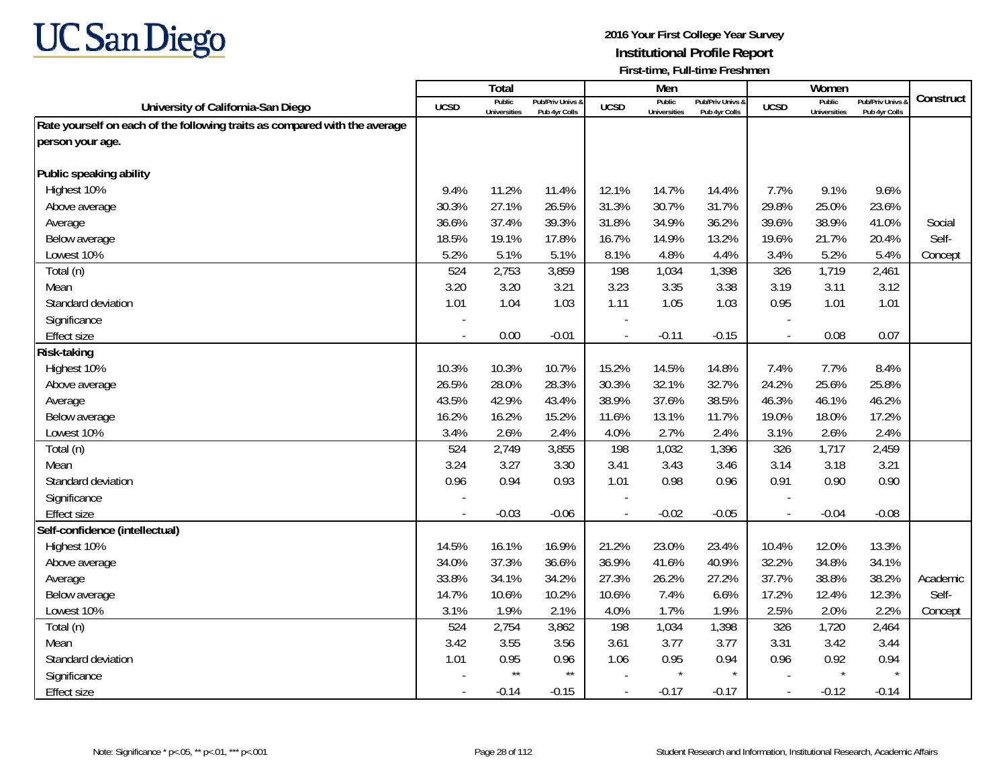

|                                                                            |        | Total                         |                                   |                          | Men                           |                                   |                          | Women                         |                                        |           |
|----------------------------------------------------------------------------|--------|-------------------------------|-----------------------------------|--------------------------|-------------------------------|-----------------------------------|--------------------------|-------------------------------|----------------------------------------|-----------|
| University of California-San Diego                                         | UCSD   | Public<br><b>Universities</b> | Pub/Priv Univs &<br>Pub 4yr Colls | <b>UCSD</b>              | Public<br><b>Universities</b> | Pub/Priv Univs &<br>Pub 4yr Colls | <b>UCSD</b>              | Public<br><b>Universities</b> | <b>Pub/Priv Univs</b><br>Pub 4yr Colls | Construct |
| Rate yourself on each of the following traits as compared with the average |        |                               |                                   |                          |                               |                                   |                          |                               |                                        |           |
| person your age.                                                           |        |                               |                                   |                          |                               |                                   |                          |                               |                                        |           |
|                                                                            |        |                               |                                   |                          |                               |                                   |                          |                               |                                        |           |
| Public speaking ability                                                    |        |                               |                                   |                          |                               |                                   |                          |                               |                                        |           |
| Highest 10%                                                                | 9.4%   | 11.2%                         | 11.4%                             | 12.1%                    | 14.7%                         | 14.4%                             | 7.7%                     | 9.1%                          | 9.6%                                   |           |
| Above average                                                              | 30.3%  | 27.1%                         | 26.5%                             | 31.3%                    | 30.7%                         | 31.7%                             | 29.8%                    | 25.0%                         | 23.6%                                  |           |
| Average                                                                    | 36.6%  | 37.4%                         | 39.3%                             | 31.8%                    | 34.9%                         | 36.2%                             | 39.6%                    | 38.9%                         | 41.0%                                  | Social    |
| Below average                                                              | 18.5%  | 19.1%                         | 17.8%                             | 16.7%                    | 14.9%                         | 13.2%                             | 19.6%                    | 21.7%                         | 20.4%                                  | Self-     |
| Lowest 10%                                                                 | 5.2%   | 5.1%                          | 5.1%                              | 8.1%                     | 4.8%                          | 4.4%                              | 3.4%                     | 5.2%                          | 5.4%                                   | Concept   |
| Total (n)                                                                  | 524    | 2,753                         | 3,859                             | 198                      | 1,034                         | 1,398                             | 326                      | 1,719                         | 2,461                                  |           |
| Mean                                                                       | 3.20   | 3.20                          | 3.21                              | 3.23                     | 3.35                          | 3.38                              | 3.19                     | 3.11                          | 3.12                                   |           |
| Standard deviation                                                         | 1.01   | 1.04                          | 1.03                              | 1.11                     | 1.05                          | 1.03                              | 0.95                     | 1.01                          | 1.01                                   |           |
| Significance                                                               |        |                               |                                   |                          |                               |                                   |                          |                               |                                        |           |
| <b>Effect size</b>                                                         |        | 0.00                          | $-0.01$                           | $\overline{\phantom{a}}$ | $-0.11$                       | $-0.15$                           | $\blacksquare$           | 0.08                          | 0.07                                   |           |
| Risk-taking                                                                |        |                               |                                   |                          |                               |                                   |                          |                               |                                        |           |
| Highest 10%                                                                | 10.3%  | 10.3%                         | 10.7%                             | 15.2%                    | 14.5%                         | 14.8%                             | 7.4%                     | 7.7%                          | 8.4%                                   |           |
| Above average                                                              | 26.5%  | 28.0%                         | 28.3%                             | 30.3%                    | 32.1%                         | 32.7%                             | 24.2%                    | 25.6%                         | 25.8%                                  |           |
| Average                                                                    | 43.5%  | 42.9%                         | 43.4%                             | 38.9%                    | 37.6%                         | 38.5%                             | 46.3%                    | 46.1%                         | 46.2%                                  |           |
| Below average                                                              | 16.2%  | 16.2%                         | 15.2%                             | 11.6%                    | 13.1%                         | 11.7%                             | 19.0%                    | 18.0%                         | 17.2%                                  |           |
| Lowest 10%                                                                 | 3.4%   | 2.6%                          | 2.4%                              | 4.0%                     | 2.7%                          | 2.4%                              | 3.1%                     | 2.6%                          | 2.4%                                   |           |
| Total (n)                                                                  | 524    | 2,749                         | 3,855                             | 198                      | 1,032                         | 1,396                             | 326                      | 1,717                         | 2,459                                  |           |
| Mean                                                                       | 3.24   | 3.27                          | 3.30                              | 3.41                     | 3.43                          | 3.46                              | 3.14                     | 3.18                          | 3.21                                   |           |
| Standard deviation                                                         | 0.96   | 0.94                          | 0.93                              | 1.01                     | 0.98                          | 0.96                              | 0.91                     | 0.90                          | 0.90                                   |           |
| Significance                                                               |        |                               |                                   |                          |                               |                                   |                          |                               |                                        |           |
| <b>Effect size</b>                                                         | $\sim$ | $-0.03$                       | $-0.06$                           | $\overline{\phantom{a}}$ | $-0.02$                       | $-0.05$                           | $\overline{\phantom{a}}$ | $-0.04$                       | $-0.08$                                |           |
| Self-confidence (intellectual)                                             |        |                               |                                   |                          |                               |                                   |                          |                               |                                        |           |
| Highest 10%                                                                | 14.5%  | 16.1%                         | 16.9%                             | 21.2%                    | 23.0%                         | 23.4%                             | 10.4%                    | 12.0%                         | 13.3%                                  |           |
| Above average                                                              | 34.0%  | 37.3%                         | 36.6%                             | 36.9%                    | 41.6%                         | 40.9%                             | 32.2%                    | 34.8%                         | 34.1%                                  |           |
| Average                                                                    | 33.8%  | 34.1%                         | 34.2%                             | 27.3%                    | 26.2%                         | 27.2%                             | 37.7%                    | 38.8%                         | 38.2%                                  | Academic  |
| Below average                                                              | 14.7%  | 10.6%                         | 10.2%                             | 10.6%                    | 7.4%                          | 6.6%                              | 17.2%                    | 12.4%                         | 12.3%                                  | Self-     |
| Lowest 10%                                                                 | 3.1%   | 1.9%                          | 2.1%                              | 4.0%                     | 1.7%                          | 1.9%                              | 2.5%                     | 2.0%                          | 2.2%                                   | Concept   |
| Total (n)                                                                  | 524    | 2,754                         | 3,862                             | 198                      | 1,034                         | 1,398                             | 326                      | 1,720                         | 2,464                                  |           |
| Mean                                                                       | 3.42   | 3.55                          | 3.56                              | 3.61                     | 3.77                          | 3.77                              | 3.31                     | 3.42                          | 3.44                                   |           |
| Standard deviation                                                         | 1.01   | 0.95                          | 0.96                              | 1.06                     | 0.95                          | 0.94                              | 0.96                     | 0.92                          | 0.94                                   |           |
| Significance                                                               |        | $\star\star$                  | $\star\star$                      |                          | $\star$                       | $\star$                           |                          | $\star$                       | $\star$                                |           |
| <b>Effect size</b>                                                         | $\sim$ | $-0.14$                       | $-0.15$                           |                          | $-0.17$                       | $-0.17$                           | $\overline{\phantom{a}}$ | $-0.12$                       | $-0.14$                                |           |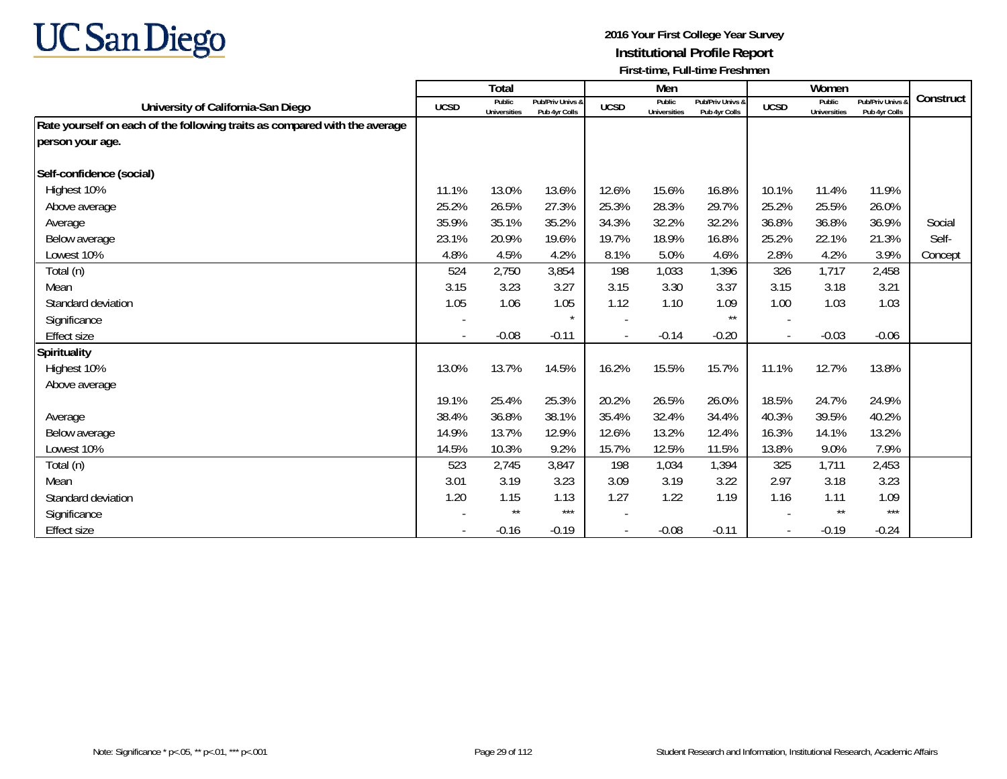

|                                                                            |             | <b>Total</b>           |                                   |             | Men                           |                                   |             | Women                         |                                   |           |
|----------------------------------------------------------------------------|-------------|------------------------|-----------------------------------|-------------|-------------------------------|-----------------------------------|-------------|-------------------------------|-----------------------------------|-----------|
| University of California-San Diego                                         | <b>UCSD</b> | Public<br>Universities | Pub/Priv Univs &<br>Pub 4yr Colls | <b>UCSD</b> | Public<br><b>Universities</b> | Pub/Priv Univs &<br>Pub 4yr Colls | <b>UCSD</b> | Public<br><b>Universities</b> | Pub/Priv Univs &<br>Pub 4yr Colls | Construct |
| Rate yourself on each of the following traits as compared with the average |             |                        |                                   |             |                               |                                   |             |                               |                                   |           |
| person your age.                                                           |             |                        |                                   |             |                               |                                   |             |                               |                                   |           |
| Self-confidence (social)                                                   |             |                        |                                   |             |                               |                                   |             |                               |                                   |           |
| Highest 10%                                                                | 11.1%       | 13.0%                  | 13.6%                             | 12.6%       | 15.6%                         | 16.8%                             | 10.1%       | 11.4%                         | 11.9%                             |           |
| Above average                                                              | 25.2%       | 26.5%                  | 27.3%                             | 25.3%       | 28.3%                         | 29.7%                             | 25.2%       | 25.5%                         | 26.0%                             |           |
| Average                                                                    | 35.9%       | 35.1%                  | 35.2%                             | 34.3%       | 32.2%                         | 32.2%                             | 36.8%       | 36.8%                         | 36.9%                             | Social    |
| Below average                                                              | 23.1%       | 20.9%                  | 19.6%                             | 19.7%       | 18.9%                         | 16.8%                             | 25.2%       | 22.1%                         | 21.3%                             | Self-     |
| Lowest 10%                                                                 | 4.8%        | 4.5%                   | 4.2%                              | 8.1%        | 5.0%                          | 4.6%                              | 2.8%        | 4.2%                          | 3.9%                              | Concept   |
| Total (n)                                                                  | 524         | 2,750                  | 3,854                             | 198         | 1,033                         | 1,396                             | 326         | 1,717                         | 2,458                             |           |
| Mean                                                                       | 3.15        | 3.23                   | 3.27                              | 3.15        | 3.30                          | 3.37                              | 3.15        | 3.18                          | 3.21                              |           |
| Standard deviation                                                         | 1.05        | 1.06                   | 1.05                              | 1.12        | 1.10                          | 1.09                              | 1.00        | 1.03                          | 1.03                              |           |
| Significance                                                               |             |                        | $\star$                           |             |                               | $***$                             |             |                               |                                   |           |
| <b>Effect size</b>                                                         |             | $-0.08$                | $-0.11$                           |             | $-0.14$                       | $-0.20$                           |             | $-0.03$                       | $-0.06$                           |           |
| Spirituality                                                               |             |                        |                                   |             |                               |                                   |             |                               |                                   |           |
| Highest 10%                                                                | 13.0%       | 13.7%                  | 14.5%                             | 16.2%       | 15.5%                         | 15.7%                             | 11.1%       | 12.7%                         | 13.8%                             |           |
| Above average                                                              |             |                        |                                   |             |                               |                                   |             |                               |                                   |           |
|                                                                            | 19.1%       | 25.4%                  | 25.3%                             | 20.2%       | 26.5%                         | 26.0%                             | 18.5%       | 24.7%                         | 24.9%                             |           |
| Average                                                                    | 38.4%       | 36.8%                  | 38.1%                             | 35.4%       | 32.4%                         | 34.4%                             | 40.3%       | 39.5%                         | 40.2%                             |           |
| Below average                                                              | 14.9%       | 13.7%                  | 12.9%                             | 12.6%       | 13.2%                         | 12.4%                             | 16.3%       | 14.1%                         | 13.2%                             |           |
| Lowest 10%                                                                 | 14.5%       | 10.3%                  | 9.2%                              | 15.7%       | 12.5%                         | 11.5%                             | 13.8%       | 9.0%                          | 7.9%                              |           |
| Total (n)                                                                  | 523         | 2,745                  | 3,847                             | 198         | 1,034                         | 1,394                             | 325         | 1,711                         | 2,453                             |           |
| Mean                                                                       | 3.01        | 3.19                   | 3.23                              | 3.09        | 3.19                          | 3.22                              | 2.97        | 3.18                          | 3.23                              |           |
| Standard deviation                                                         | 1.20        | 1.15                   | 1.13                              | 1.27        | 1.22                          | 1.19                              | 1.16        | 1.11                          | 1.09                              |           |
| Significance                                                               |             | $\star\star$           | $***$                             |             |                               |                                   |             | $\star\star$                  | $***$                             |           |
| <b>Effect size</b>                                                         |             | $-0.16$                | $-0.19$                           |             | $-0.08$                       | $-0.11$                           |             | $-0.19$                       | $-0.24$                           |           |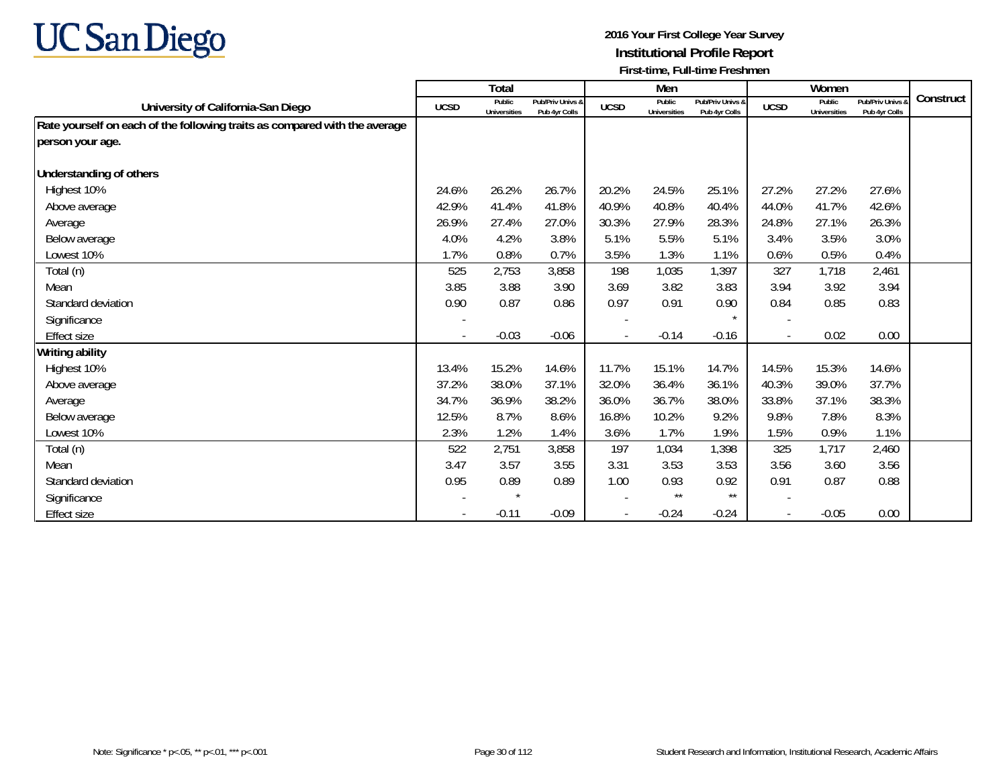

|                                                                            |             | <b>Total</b>                  |                                   |             | Men                           |                                   |                          | Women                         |                                 |           |
|----------------------------------------------------------------------------|-------------|-------------------------------|-----------------------------------|-------------|-------------------------------|-----------------------------------|--------------------------|-------------------------------|---------------------------------|-----------|
| University of California-San Diego                                         | <b>UCSD</b> | Public<br><b>Universities</b> | Pub/Priv Univs &<br>Pub 4yr Colls | <b>UCSD</b> | Public<br><b>Universities</b> | Pub/Priv Univs &<br>Pub 4yr Colls | <b>UCSD</b>              | Public<br><b>Universities</b> | Pub/Priv Univs<br>Pub 4yr Colls | Construct |
| Rate yourself on each of the following traits as compared with the average |             |                               |                                   |             |                               |                                   |                          |                               |                                 |           |
| person your age.                                                           |             |                               |                                   |             |                               |                                   |                          |                               |                                 |           |
|                                                                            |             |                               |                                   |             |                               |                                   |                          |                               |                                 |           |
| <b>Understanding of others</b>                                             |             |                               |                                   |             |                               |                                   |                          |                               |                                 |           |
| Highest 10%                                                                | 24.6%       | 26.2%                         | 26.7%                             | 20.2%       | 24.5%                         | 25.1%                             | 27.2%                    | 27.2%                         | 27.6%                           |           |
| Above average                                                              | 42.9%       | 41.4%                         | 41.8%                             | 40.9%       | 40.8%                         | 40.4%                             | 44.0%                    | 41.7%                         | 42.6%                           |           |
| Average                                                                    | 26.9%       | 27.4%                         | 27.0%                             | 30.3%       | 27.9%                         | 28.3%                             | 24.8%                    | 27.1%                         | 26.3%                           |           |
| Below average                                                              | 4.0%        | 4.2%                          | 3.8%                              | 5.1%        | 5.5%                          | 5.1%                              | 3.4%                     | 3.5%                          | 3.0%                            |           |
| Lowest 10%                                                                 | 1.7%        | 0.8%                          | 0.7%                              | 3.5%        | 1.3%                          | 1.1%                              | 0.6%                     | 0.5%                          | 0.4%                            |           |
| Total (n)                                                                  | 525         | 2,753                         | 3,858                             | 198         | 1,035                         | 1,397                             | 327                      | 1,718                         | 2,461                           |           |
| Mean                                                                       | 3.85        | 3.88                          | 3.90                              | 3.69        | 3.82                          | 3.83                              | 3.94                     | 3.92                          | 3.94                            |           |
| Standard deviation                                                         | 0.90        | 0.87                          | 0.86                              | 0.97        | 0.91                          | 0.90                              | 0.84                     | 0.85                          | 0.83                            |           |
| Significance                                                               |             |                               |                                   |             |                               | $\star$                           | $\overline{\phantom{a}}$ |                               |                                 |           |
| <b>Effect size</b>                                                         |             | $-0.03$                       | $-0.06$                           |             | $-0.14$                       | $-0.16$                           |                          | 0.02                          | 0.00                            |           |
| Writing ability                                                            |             |                               |                                   |             |                               |                                   |                          |                               |                                 |           |
| Highest 10%                                                                | 13.4%       | 15.2%                         | 14.6%                             | 11.7%       | 15.1%                         | 14.7%                             | 14.5%                    | 15.3%                         | 14.6%                           |           |
| Above average                                                              | 37.2%       | 38.0%                         | 37.1%                             | 32.0%       | 36.4%                         | 36.1%                             | 40.3%                    | 39.0%                         | 37.7%                           |           |
| Average                                                                    | 34.7%       | 36.9%                         | 38.2%                             | 36.0%       | 36.7%                         | 38.0%                             | 33.8%                    | 37.1%                         | 38.3%                           |           |
| Below average                                                              | 12.5%       | 8.7%                          | 8.6%                              | 16.8%       | 10.2%                         | 9.2%                              | 9.8%                     | 7.8%                          | 8.3%                            |           |
| Lowest 10%                                                                 | 2.3%        | 1.2%                          | 1.4%                              | 3.6%        | 1.7%                          | 1.9%                              | 1.5%                     | 0.9%                          | 1.1%                            |           |
| Total (n)                                                                  | 522         | 2,751                         | 3,858                             | 197         | 1,034                         | 1,398                             | 325                      | 1,717                         | 2,460                           |           |
| Mean                                                                       | 3.47        | 3.57                          | 3.55                              | 3.31        | 3.53                          | 3.53                              | 3.56                     | 3.60                          | 3.56                            |           |
| Standard deviation                                                         | 0.95        | 0.89                          | 0.89                              | 1.00        | 0.93                          | 0.92                              | 0.91                     | 0.87                          | 0.88                            |           |
| Significance                                                               |             |                               |                                   |             | $***$                         | $\star\star$                      | $\overline{\phantom{a}}$ |                               |                                 |           |
| Effect size                                                                |             | $-0.11$                       | $-0.09$                           |             | $-0.24$                       | $-0.24$                           |                          | $-0.05$                       | 0.00                            |           |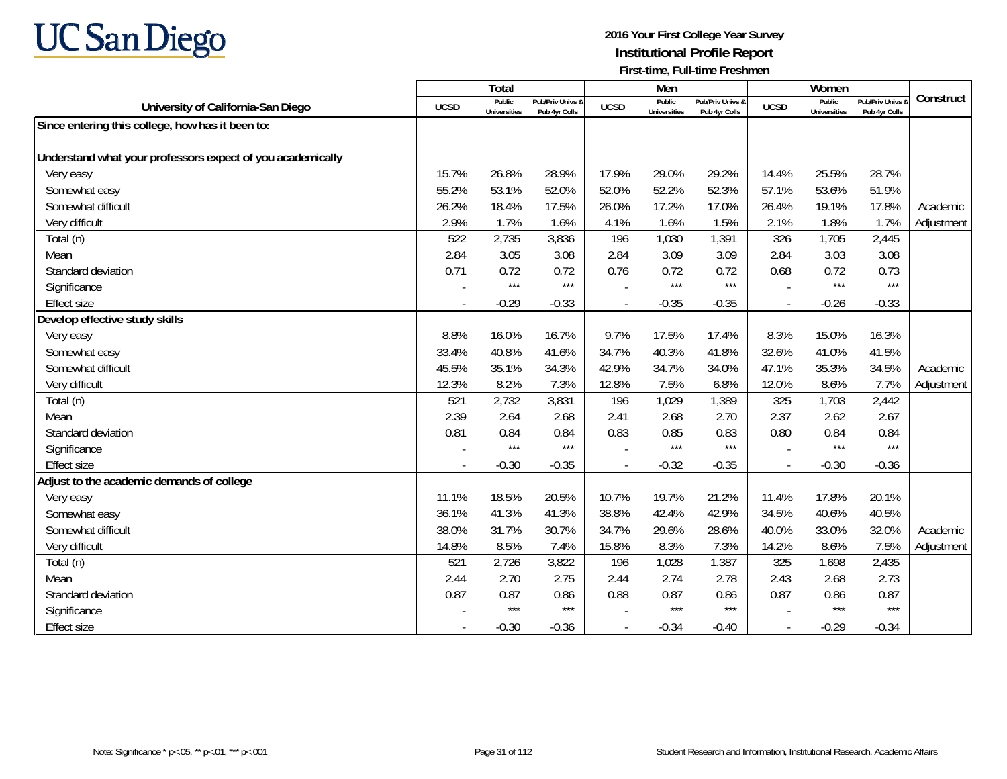

|                                                            |                          | Total                         |                                   |             | Men                           |                                   |                          | Women                         |                                 |            |
|------------------------------------------------------------|--------------------------|-------------------------------|-----------------------------------|-------------|-------------------------------|-----------------------------------|--------------------------|-------------------------------|---------------------------------|------------|
| University of California-San Diego                         | <b>UCSD</b>              | Public<br><b>Universities</b> | Pub/Priv Univs &<br>Pub 4yr Colls | <b>UCSD</b> | Public<br><b>Universities</b> | Pub/Priv Univs &<br>Pub 4yr Colls | <b>UCSD</b>              | Public<br><b>Universities</b> | Pub/Priv Univs<br>Pub 4yr Colls | Construct  |
| Since entering this college, how has it been to:           |                          |                               |                                   |             |                               |                                   |                          |                               |                                 |            |
|                                                            |                          |                               |                                   |             |                               |                                   |                          |                               |                                 |            |
| Understand what your professors expect of you academically |                          |                               |                                   |             |                               |                                   |                          |                               |                                 |            |
| Very easy                                                  | 15.7%                    | 26.8%                         | 28.9%                             | 17.9%       | 29.0%                         | 29.2%                             | 14.4%                    | 25.5%                         | 28.7%                           |            |
| Somewhat easy                                              | 55.2%                    | 53.1%                         | 52.0%                             | 52.0%       | 52.2%                         | 52.3%                             | 57.1%                    | 53.6%                         | 51.9%                           |            |
| Somewhat difficult                                         | 26.2%                    | 18.4%                         | 17.5%                             | 26.0%       | 17.2%                         | 17.0%                             | 26.4%                    | 19.1%                         | 17.8%                           | Academic   |
| Very difficult                                             | 2.9%                     | 1.7%                          | 1.6%                              | 4.1%        | 1.6%                          | 1.5%                              | 2.1%                     | 1.8%                          | 1.7%                            | Adjustment |
| Total (n)                                                  | 522                      | 2,735                         | 3,836                             | 196         | 1,030                         | 1,391                             | 326                      | 1,705                         | 2,445                           |            |
| Mean                                                       | 2.84                     | 3.05                          | 3.08                              | 2.84        | 3.09                          | 3.09                              | 2.84                     | 3.03                          | 3.08                            |            |
| Standard deviation                                         | 0.71                     | 0.72                          | 0.72                              | 0.76        | 0.72                          | 0.72                              | 0.68                     | 0.72                          | 0.73                            |            |
| Significance                                               |                          | $***$                         | $***$                             |             | $***$                         | $***$                             |                          | $***$                         | $***$                           |            |
| <b>Effect size</b>                                         | $\overline{\phantom{a}}$ | $-0.29$                       | $-0.33$                           | $\sim$      | $-0.35$                       | $-0.35$                           | $\overline{a}$           | $-0.26$                       | $-0.33$                         |            |
| Develop effective study skills                             |                          |                               |                                   |             |                               |                                   |                          |                               |                                 |            |
| Very easy                                                  | 8.8%                     | 16.0%                         | 16.7%                             | 9.7%        | 17.5%                         | 17.4%                             | 8.3%                     | 15.0%                         | 16.3%                           |            |
| Somewhat easy                                              | 33.4%                    | 40.8%                         | 41.6%                             | 34.7%       | 40.3%                         | 41.8%                             | 32.6%                    | 41.0%                         | 41.5%                           |            |
| Somewhat difficult                                         | 45.5%                    | 35.1%                         | 34.3%                             | 42.9%       | 34.7%                         | 34.0%                             | 47.1%                    | 35.3%                         | 34.5%                           | Academic   |
| Very difficult                                             | 12.3%                    | 8.2%                          | 7.3%                              | 12.8%       | 7.5%                          | 6.8%                              | 12.0%                    | 8.6%                          | 7.7%                            | Adjustment |
| Total (n)                                                  | 521                      | 2,732                         | 3,831                             | 196         | 1,029                         | 1,389                             | 325                      | 1,703                         | 2,442                           |            |
| Mean                                                       | 2.39                     | 2.64                          | 2.68                              | 2.41        | 2.68                          | 2.70                              | 2.37                     | 2.62                          | 2.67                            |            |
| Standard deviation                                         | 0.81                     | 0.84<br>***                   | 0.84<br>$***$                     | 0.83        | 0.85<br>***                   | 0.83<br>$***$                     | 0.80                     | 0.84<br>$***$                 | 0.84<br>$***$                   |            |
| Significance                                               |                          |                               |                                   |             |                               |                                   |                          |                               |                                 |            |
| <b>Effect size</b>                                         | $\overline{\phantom{a}}$ | $-0.30$                       | $-0.35$                           |             | $-0.32$                       | $-0.35$                           | $\overline{\phantom{a}}$ | $-0.30$                       | $-0.36$                         |            |
| Adjust to the academic demands of college<br>Very easy     | 11.1%                    | 18.5%                         | 20.5%                             | 10.7%       | 19.7%                         | 21.2%                             | 11.4%                    | 17.8%                         | 20.1%                           |            |
| Somewhat easy                                              | 36.1%                    | 41.3%                         | 41.3%                             | 38.8%       | 42.4%                         | 42.9%                             | 34.5%                    | 40.6%                         | 40.5%                           |            |
| Somewhat difficult                                         | 38.0%                    | 31.7%                         | 30.7%                             | 34.7%       | 29.6%                         | 28.6%                             | 40.0%                    | 33.0%                         | 32.0%                           | Academic   |
| Very difficult                                             | 14.8%                    | 8.5%                          | 7.4%                              | 15.8%       | 8.3%                          | 7.3%                              | 14.2%                    | 8.6%                          | 7.5%                            | Adjustment |
| Total (n)                                                  | 521                      | 2,726                         | 3,822                             | 196         | 1,028                         | 1,387                             | 325                      | 1,698                         | 2,435                           |            |
| Mean                                                       | 2.44                     | 2.70                          | 2.75                              | 2.44        | 2.74                          | 2.78                              | 2.43                     | 2.68                          | 2.73                            |            |
| Standard deviation                                         | 0.87                     | 0.87                          | 0.86                              | 0.88        | 0.87                          | 0.86                              | 0.87                     | 0.86                          | 0.87                            |            |
| Significance                                               |                          | $***$                         | $***$                             |             | $***$                         | $***$                             |                          | $***$                         | $***$                           |            |
| <b>Effect size</b>                                         |                          | $-0.30$                       | $-0.36$                           | $\sim$      | $-0.34$                       | $-0.40$                           |                          | $-0.29$                       | $-0.34$                         |            |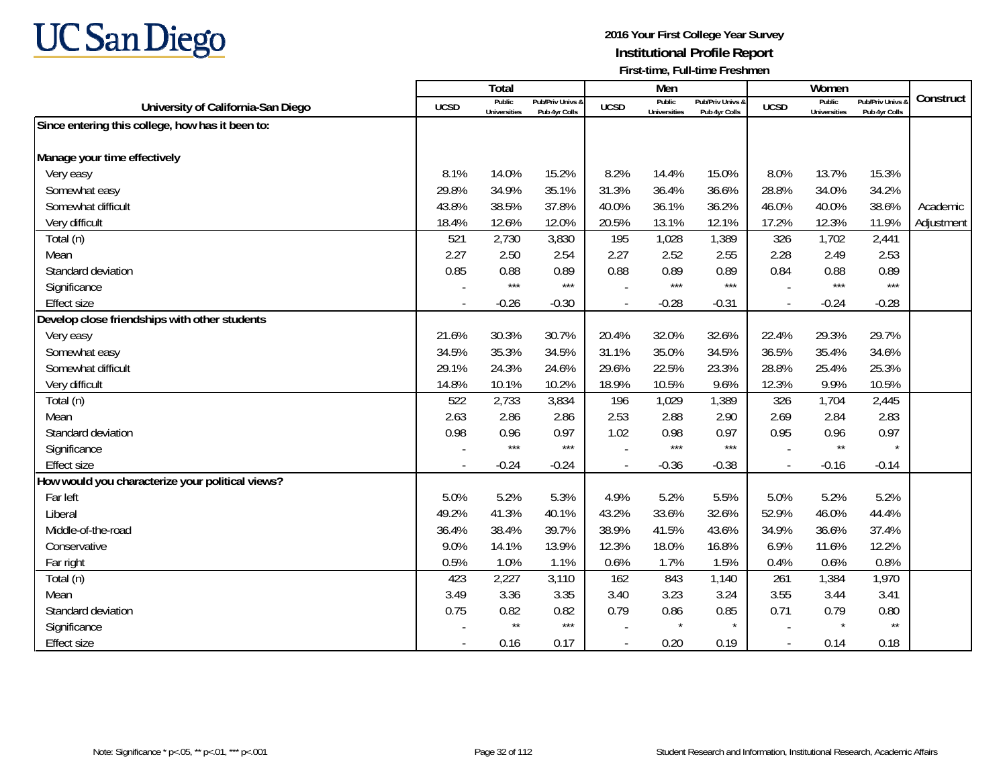

|                                                  |             | <b>Total</b>                  |                                   |             | Men                           |                                   |                          | Women                         |                                        |            |
|--------------------------------------------------|-------------|-------------------------------|-----------------------------------|-------------|-------------------------------|-----------------------------------|--------------------------|-------------------------------|----------------------------------------|------------|
| University of California-San Diego               | <b>UCSD</b> | Public<br><b>Universities</b> | Pub/Priv Univs &<br>Pub 4yr Colls | <b>UCSD</b> | Public<br><b>Universities</b> | Pub/Priv Univs &<br>Pub 4yr Colls | <b>UCSD</b>              | Public<br><b>Universities</b> | <b>Pub/Priv Univs</b><br>Pub 4yr Colls | Construct  |
| Since entering this college, how has it been to: |             |                               |                                   |             |                               |                                   |                          |                               |                                        |            |
|                                                  |             |                               |                                   |             |                               |                                   |                          |                               |                                        |            |
| Manage your time effectively                     |             |                               |                                   |             |                               |                                   |                          |                               |                                        |            |
| Very easy                                        | 8.1%        | 14.0%                         | 15.2%                             | 8.2%        | 14.4%                         | 15.0%                             | 8.0%                     | 13.7%                         | 15.3%                                  |            |
| Somewhat easy                                    | 29.8%       | 34.9%                         | 35.1%                             | 31.3%       | 36.4%                         | 36.6%                             | 28.8%                    | 34.0%                         | 34.2%                                  |            |
| Somewhat difficult                               | 43.8%       | 38.5%                         | 37.8%                             | 40.0%       | 36.1%                         | 36.2%                             | 46.0%                    | 40.0%                         | 38.6%                                  | Academic   |
| Very difficult                                   | 18.4%       | 12.6%                         | 12.0%                             | 20.5%       | 13.1%                         | 12.1%                             | 17.2%                    | 12.3%                         | 11.9%                                  | Adjustment |
| Total (n)                                        | 521         | 2,730                         | 3,830                             | 195         | 1,028                         | 1,389                             | 326                      | 1,702                         | 2,441                                  |            |
| Mean                                             | 2.27        | 2.50                          | 2.54                              | 2.27        | 2.52                          | 2.55                              | 2.28                     | 2.49                          | 2.53                                   |            |
| Standard deviation                               | 0.85        | 0.88                          | 0.89                              | 0.88        | 0.89                          | 0.89                              | 0.84                     | 0.88                          | 0.89                                   |            |
| Significance                                     |             | $***$                         | $***$                             |             | $***$                         | $***$                             |                          | $***$                         | $***$                                  |            |
| <b>Effect size</b>                               |             | $-0.26$                       | $-0.30$                           |             | $-0.28$                       | $-0.31$                           | $\overline{a}$           | $-0.24$                       | $-0.28$                                |            |
| Develop close friendships with other students    |             |                               |                                   |             |                               |                                   |                          |                               |                                        |            |
| Very easy                                        | 21.6%       | 30.3%                         | 30.7%                             | 20.4%       | 32.0%                         | 32.6%                             | 22.4%                    | 29.3%                         | 29.7%                                  |            |
| Somewhat easy                                    | 34.5%       | 35.3%                         | 34.5%                             | 31.1%       | 35.0%                         | 34.5%                             | 36.5%                    | 35.4%                         | 34.6%                                  |            |
| Somewhat difficult                               | 29.1%       | 24.3%                         | 24.6%                             | 29.6%       | 22.5%                         | 23.3%                             | 28.8%                    | 25.4%                         | 25.3%                                  |            |
| Very difficult                                   | 14.8%       | 10.1%                         | 10.2%                             | 18.9%       | 10.5%                         | 9.6%                              | 12.3%                    | 9.9%                          | 10.5%                                  |            |
| Total (n)                                        | 522         | 2,733                         | 3,834                             | 196         | 1,029                         | 1,389                             | 326                      | 1,704                         | 2,445                                  |            |
| Mean                                             | 2.63        | 2.86                          | 2.86                              | 2.53        | 2.88                          | 2.90                              | 2.69                     | 2.84                          | 2.83                                   |            |
| Standard deviation                               | 0.98        | 0.96                          | 0.97                              | 1.02        | 0.98                          | 0.97                              | 0.95                     | 0.96                          | 0.97                                   |            |
| Significance                                     |             | $***$                         | $***$                             |             | ***                           | $***$                             |                          | $^{\star\star}$               |                                        |            |
| <b>Effect size</b>                               |             | $-0.24$                       | $-0.24$                           |             | $-0.36$                       | $-0.38$                           | $\blacksquare$           | $-0.16$                       | $-0.14$                                |            |
| How would you characterize your political views? |             |                               |                                   |             |                               |                                   |                          |                               |                                        |            |
| Far left                                         | 5.0%        | 5.2%                          | 5.3%                              | 4.9%        | 5.2%                          | 5.5%                              | 5.0%                     | 5.2%                          | 5.2%                                   |            |
| Liberal                                          | 49.2%       | 41.3%                         | 40.1%                             | 43.2%       | 33.6%                         | 32.6%                             | 52.9%                    | 46.0%                         | 44.4%                                  |            |
| Middle-of-the-road                               | 36.4%       | 38.4%                         | 39.7%                             | 38.9%       | 41.5%                         | 43.6%                             | 34.9%                    | 36.6%                         | 37.4%                                  |            |
| Conservative                                     | 9.0%        | 14.1%                         | 13.9%                             | 12.3%       | 18.0%                         | 16.8%                             | 6.9%                     | 11.6%                         | 12.2%                                  |            |
| Far right                                        | 0.5%        | 1.0%                          | 1.1%                              | 0.6%        | 1.7%                          | 1.5%                              | 0.4%                     | 0.6%                          | 0.8%                                   |            |
| Total (n)                                        | 423         | 2,227                         | 3,110                             | 162         | 843                           | 1,140                             | 261                      | 1,384                         | 1,970                                  |            |
| Mean                                             | 3.49        | 3.36                          | 3.35                              | 3.40        | 3.23                          | 3.24                              | 3.55                     | 3.44                          | 3.41                                   |            |
| Standard deviation                               | 0.75        | 0.82                          | 0.82                              | 0.79        | 0.86                          | 0.85                              | 0.71                     | 0.79                          | 0.80                                   |            |
| Significance                                     |             | $\star\star$                  | $***$                             |             | $\star$                       | $\star$                           |                          | $\star$                       | $\star\star$                           |            |
| <b>Effect size</b>                               |             | 0.16                          | 0.17                              |             | 0.20                          | 0.19                              | $\overline{\phantom{a}}$ | 0.14                          | 0.18                                   |            |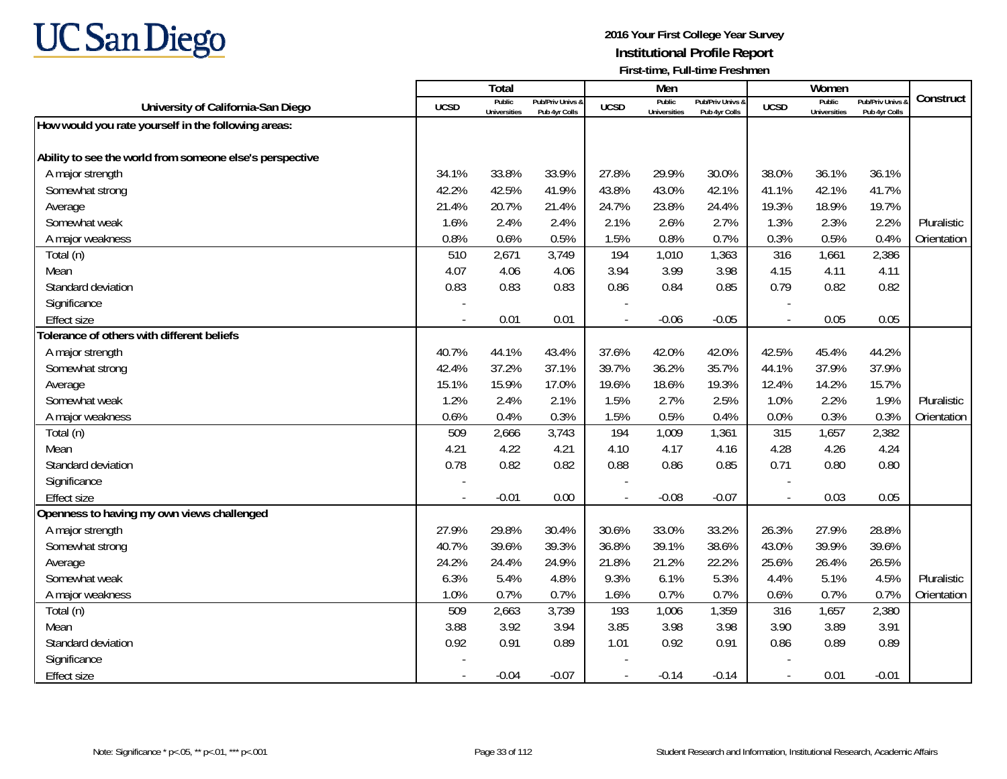

|                                                          |                          | <b>Total</b>                  |                                   |                | Men                           |                                   |                | Women                         |                                        |             |
|----------------------------------------------------------|--------------------------|-------------------------------|-----------------------------------|----------------|-------------------------------|-----------------------------------|----------------|-------------------------------|----------------------------------------|-------------|
| University of California-San Diego                       | <b>UCSD</b>              | Public<br><b>Universities</b> | Pub/Priv Univs 8<br>Pub 4yr Colls | <b>UCSD</b>    | Public<br><b>Universities</b> | Pub/Priv Univs &<br>Pub 4yr Colls | <b>UCSD</b>    | Public<br><b>Universities</b> | <b>Pub/Priv Univs</b><br>Pub 4yr Colls | Construct   |
| How would you rate yourself in the following areas:      |                          |                               |                                   |                |                               |                                   |                |                               |                                        |             |
|                                                          |                          |                               |                                   |                |                               |                                   |                |                               |                                        |             |
| Ability to see the world from someone else's perspective |                          |                               |                                   |                |                               |                                   |                |                               |                                        |             |
| A major strength                                         | 34.1%                    | 33.8%                         | 33.9%                             | 27.8%          | 29.9%                         | 30.0%                             | 38.0%          | 36.1%                         | 36.1%                                  |             |
| Somewhat strong                                          | 42.2%                    | 42.5%                         | 41.9%                             | 43.8%          | 43.0%                         | 42.1%                             | 41.1%          | 42.1%                         | 41.7%                                  |             |
| Average                                                  | 21.4%                    | 20.7%                         | 21.4%                             | 24.7%          | 23.8%                         | 24.4%                             | 19.3%          | 18.9%                         | 19.7%                                  |             |
| Somewhat weak                                            | 1.6%                     | 2.4%                          | 2.4%                              | 2.1%           | 2.6%                          | 2.7%                              | 1.3%           | 2.3%                          | 2.2%                                   | Pluralistic |
| A major weakness                                         | 0.8%                     | 0.6%                          | 0.5%                              | 1.5%           | 0.8%                          | 0.7%                              | 0.3%           | 0.5%                          | 0.4%                                   | Orientation |
| Total (n)                                                | 510                      | 2,671                         | 3,749                             | 194            | 1,010                         | 1,363                             | 316            | 1,661                         | 2,386                                  |             |
| Mean                                                     | 4.07                     | 4.06                          | 4.06                              | 3.94           | 3.99                          | 3.98                              | 4.15           | 4.11                          | 4.11                                   |             |
| Standard deviation                                       | 0.83                     | 0.83                          | 0.83                              | 0.86           | 0.84                          | 0.85                              | 0.79           | 0.82                          | 0.82                                   |             |
| Significance                                             |                          |                               |                                   |                |                               |                                   |                |                               |                                        |             |
| <b>Effect size</b>                                       | $\overline{\phantom{a}}$ | 0.01                          | 0.01                              | $\sim$         | $-0.06$                       | $-0.05$                           | $\sim$         | 0.05                          | 0.05                                   |             |
| Tolerance of others with different beliefs               |                          |                               |                                   |                |                               |                                   |                |                               |                                        |             |
| A major strength                                         | 40.7%                    | 44.1%                         | 43.4%                             | 37.6%          | 42.0%                         | 42.0%                             | 42.5%          | 45.4%                         | 44.2%                                  |             |
| Somewhat strong                                          | 42.4%                    | 37.2%                         | 37.1%                             | 39.7%          | 36.2%                         | 35.7%                             | 44.1%          | 37.9%                         | 37.9%                                  |             |
| Average                                                  | 15.1%                    | 15.9%                         | 17.0%                             | 19.6%          | 18.6%                         | 19.3%                             | 12.4%          | 14.2%                         | 15.7%                                  |             |
| Somewhat weak                                            | 1.2%                     | 2.4%                          | 2.1%                              | 1.5%           | 2.7%                          | 2.5%                              | 1.0%           | 2.2%                          | 1.9%                                   | Pluralistic |
| A major weakness                                         | 0.6%                     | 0.4%                          | 0.3%                              | 1.5%           | 0.5%                          | 0.4%                              | 0.0%           | 0.3%                          | 0.3%                                   | Orientation |
| Total (n)                                                | 509                      | 2,666                         | 3,743                             | 194            | 1,009                         | 1,361                             | 315            | 1,657                         | 2,382                                  |             |
| Mean                                                     | 4.21                     | 4.22                          | 4.21                              | 4.10           | 4.17                          | 4.16                              | 4.28           | 4.26                          | 4.24                                   |             |
| Standard deviation                                       | 0.78                     | 0.82                          | 0.82                              | 0.88           | 0.86                          | 0.85                              | 0.71           | 0.80                          | 0.80                                   |             |
| Significance                                             |                          |                               |                                   |                |                               |                                   |                |                               |                                        |             |
| <b>Effect size</b>                                       | $\sim$                   | $-0.01$                       | 0.00                              | $\overline{a}$ | $-0.08$                       | $-0.07$                           | $\sim$         | 0.03                          | 0.05                                   |             |
| Openness to having my own views challenged               |                          |                               |                                   |                |                               |                                   |                |                               |                                        |             |
| A major strength                                         | 27.9%                    | 29.8%                         | 30.4%                             | 30.6%          | 33.0%                         | 33.2%                             | 26.3%          | 27.9%                         | 28.8%                                  |             |
| Somewhat strong                                          | 40.7%                    | 39.6%                         | 39.3%                             | 36.8%          | 39.1%                         | 38.6%                             | 43.0%          | 39.9%                         | 39.6%                                  |             |
| Average                                                  | 24.2%                    | 24.4%                         | 24.9%                             | 21.8%          | 21.2%                         | 22.2%                             | 25.6%          | 26.4%                         | 26.5%                                  |             |
| Somewhat weak                                            | 6.3%                     | 5.4%                          | 4.8%                              | 9.3%           | 6.1%                          | 5.3%                              | 4.4%           | 5.1%                          | 4.5%                                   | Pluralistic |
| A major weakness                                         | 1.0%                     | 0.7%                          | 0.7%                              | 1.6%           | 0.7%                          | 0.7%                              | 0.6%           | 0.7%                          | 0.7%                                   | Orientation |
| Total (n)                                                | 509                      | 2,663                         | 3,739                             | 193            | 1,006                         | 1,359                             | 316            | 1,657                         | 2,380                                  |             |
| Mean                                                     | 3.88                     | 3.92                          | 3.94                              | 3.85           | 3.98                          | 3.98                              | 3.90           | 3.89                          | 3.91                                   |             |
| Standard deviation                                       | 0.92                     | 0.91                          | 0.89                              | 1.01           | 0.92                          | 0.91                              | 0.86           | 0.89                          | 0.89                                   |             |
| Significance                                             |                          |                               |                                   |                |                               |                                   |                |                               |                                        |             |
| <b>Effect size</b>                                       |                          | $-0.04$                       | $-0.07$                           | $\blacksquare$ | $-0.14$                       | $-0.14$                           | $\overline{a}$ | 0.01                          | $-0.01$                                |             |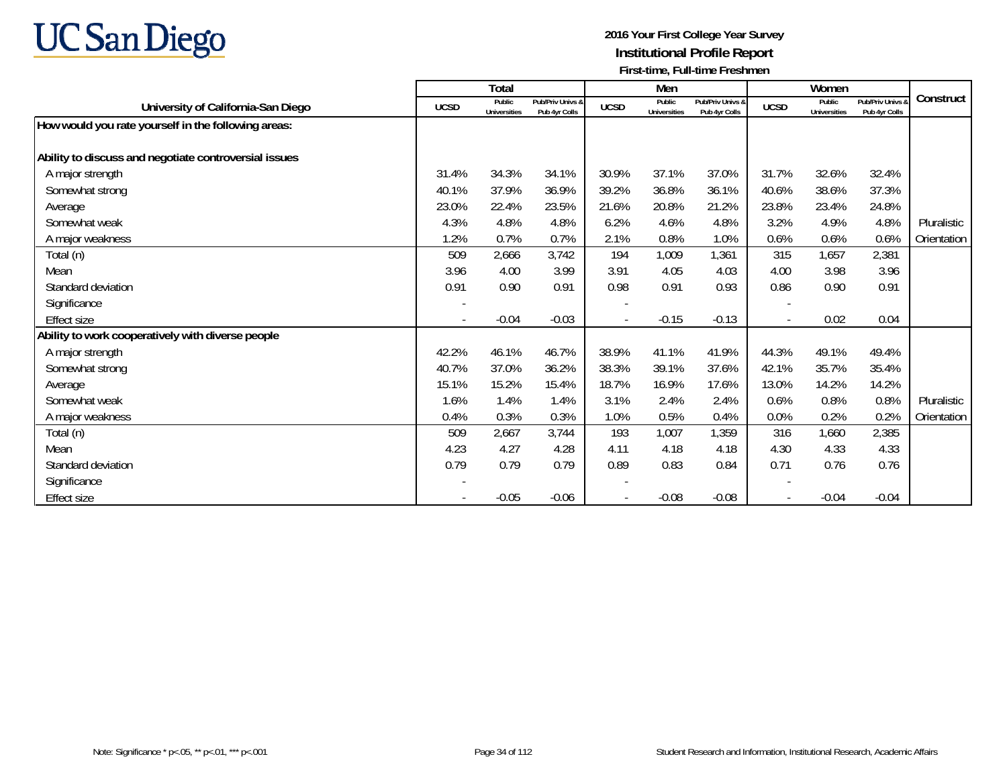

|                                                       |             | Total                         |                                   |             | Men                           |                                   |                          | Women                         |                                        |             |
|-------------------------------------------------------|-------------|-------------------------------|-----------------------------------|-------------|-------------------------------|-----------------------------------|--------------------------|-------------------------------|----------------------------------------|-------------|
| University of California-San Diego                    | <b>UCSD</b> | Public<br><b>Universities</b> | Pub/Priv Univs &<br>Pub 4yr Colls | <b>UCSD</b> | Public<br><b>Universities</b> | Pub/Priv Univs &<br>Pub 4yr Colls | <b>UCSD</b>              | Public<br><b>Universities</b> | <b>Pub/Priv Univs</b><br>Pub 4yr Colls | Construct   |
| How would you rate yourself in the following areas:   |             |                               |                                   |             |                               |                                   |                          |                               |                                        |             |
| Ability to discuss and negotiate controversial issues |             |                               |                                   |             |                               |                                   |                          |                               |                                        |             |
| A major strength                                      | 31.4%       | 34.3%                         | 34.1%                             | 30.9%       | 37.1%                         | 37.0%                             | 31.7%                    | 32.6%                         | 32.4%                                  |             |
| Somewhat strong                                       | 40.1%       | 37.9%                         | 36.9%                             | 39.2%       | 36.8%                         | 36.1%                             | 40.6%                    | 38.6%                         | 37.3%                                  |             |
| Average                                               | 23.0%       | 22.4%                         | 23.5%                             | 21.6%       | 20.8%                         | 21.2%                             | 23.8%                    | 23.4%                         | 24.8%                                  |             |
| Somewhat weak                                         | 4.3%        | 4.8%                          | 4.8%                              | 6.2%        | 4.6%                          | 4.8%                              | 3.2%                     | 4.9%                          | 4.8%                                   | Pluralistic |
| A major weakness                                      | 1.2%        | 0.7%                          | 0.7%                              | 2.1%        | 0.8%                          | 1.0%                              | 0.6%                     | 0.6%                          | 0.6%                                   | Orientation |
| Total (n)                                             | 509         | 2,666                         | 3,742                             | 194         | 1,009                         | 1,361                             | 315                      | 1,657                         | 2,381                                  |             |
| Mean                                                  | 3.96        | 4.00                          | 3.99                              | 3.91        | 4.05                          | 4.03                              | 4.00                     | 3.98                          | 3.96                                   |             |
| Standard deviation                                    | 0.91        | 0.90                          | 0.91                              | 0.98        | 0.91                          | 0.93                              | 0.86                     | 0.90                          | 0.91                                   |             |
| Significance                                          |             |                               |                                   |             |                               |                                   |                          |                               |                                        |             |
| <b>Effect size</b>                                    |             | $-0.04$                       | $-0.03$                           |             | $-0.15$                       | $-0.13$                           | $\overline{\phantom{a}}$ | 0.02                          | 0.04                                   |             |
| Ability to work cooperatively with diverse people     |             |                               |                                   |             |                               |                                   |                          |                               |                                        |             |
| A major strength                                      | 42.2%       | 46.1%                         | 46.7%                             | 38.9%       | 41.1%                         | 41.9%                             | 44.3%                    | 49.1%                         | 49.4%                                  |             |
| Somewhat strong                                       | 40.7%       | 37.0%                         | 36.2%                             | 38.3%       | 39.1%                         | 37.6%                             | 42.1%                    | 35.7%                         | 35.4%                                  |             |
| Average                                               | 15.1%       | 15.2%                         | 15.4%                             | 18.7%       | 16.9%                         | 17.6%                             | 13.0%                    | 14.2%                         | 14.2%                                  |             |
| Somewhat weak                                         | 1.6%        | 1.4%                          | 1.4%                              | 3.1%        | 2.4%                          | 2.4%                              | 0.6%                     | 0.8%                          | 0.8%                                   | Pluralistic |
| A major weakness                                      | 0.4%        | 0.3%                          | 0.3%                              | 1.0%        | 0.5%                          | 0.4%                              | 0.0%                     | 0.2%                          | 0.2%                                   | Orientation |
| Total (n)                                             | 509         | 2,667                         | 3,744                             | 193         | 1,007                         | 1,359                             | 316                      | 1,660                         | 2,385                                  |             |
| Mean                                                  | 4.23        | 4.27                          | 4.28                              | 4.11        | 4.18                          | 4.18                              | 4.30                     | 4.33                          | 4.33                                   |             |
| Standard deviation                                    | 0.79        | 0.79                          | 0.79                              | 0.89        | 0.83                          | 0.84                              | 0.71                     | 0.76                          | 0.76                                   |             |
| Significance                                          |             |                               |                                   |             |                               |                                   |                          |                               |                                        |             |
| <b>Effect size</b>                                    |             | $-0.05$                       | $-0.06$                           |             | $-0.08$                       | $-0.08$                           |                          | $-0.04$                       | $-0.04$                                |             |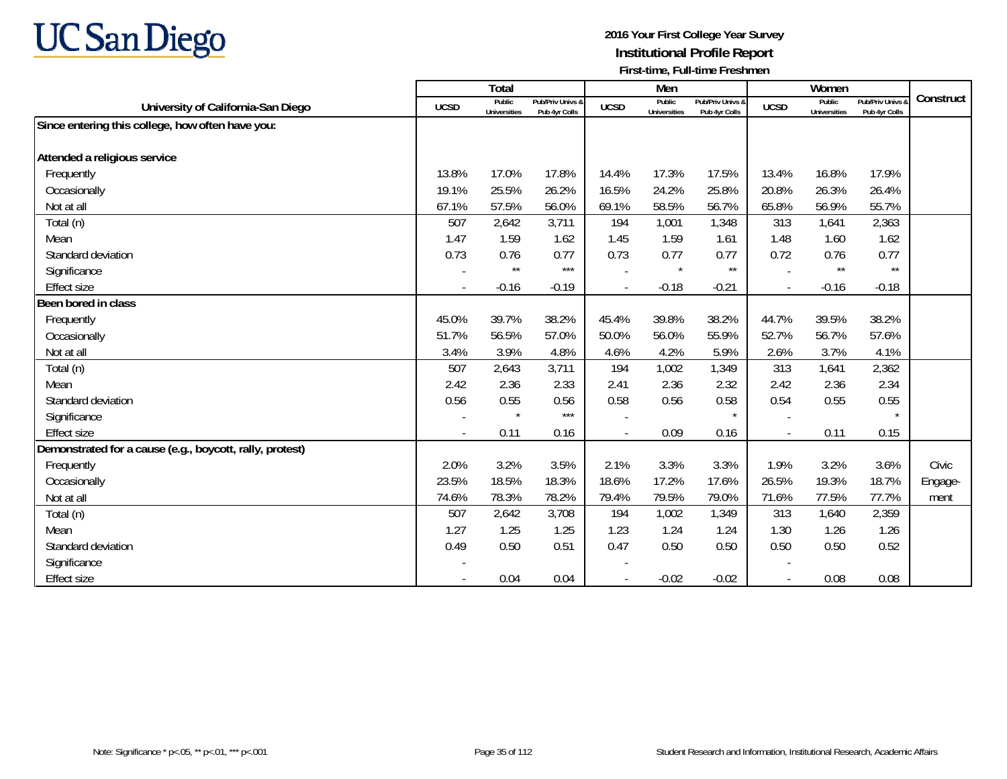

|                                                          |                          | Total                         |                                   |             | Men                           |                                   |                          | Women                         |                                        |           |
|----------------------------------------------------------|--------------------------|-------------------------------|-----------------------------------|-------------|-------------------------------|-----------------------------------|--------------------------|-------------------------------|----------------------------------------|-----------|
| University of California-San Diego                       | <b>UCSD</b>              | Public<br><b>Universities</b> | Pub/Priv Univs &<br>Pub 4yr Colls | <b>UCSD</b> | Public<br><b>Universities</b> | Pub/Priv Univs &<br>Pub 4yr Colls | <b>UCSD</b>              | Public<br><b>Universities</b> | <b>Pub/Priv Univs</b><br>Pub 4yr Colls | Construct |
| Since entering this college, how often have you:         |                          |                               |                                   |             |                               |                                   |                          |                               |                                        |           |
|                                                          |                          |                               |                                   |             |                               |                                   |                          |                               |                                        |           |
| Attended a religious service                             |                          |                               |                                   |             |                               |                                   |                          |                               |                                        |           |
| Frequently                                               | 13.8%                    | 17.0%                         | 17.8%                             | 14.4%       | 17.3%                         | 17.5%                             | 13.4%                    | 16.8%                         | 17.9%                                  |           |
| Occasionally                                             | 19.1%                    | 25.5%                         | 26.2%                             | 16.5%       | 24.2%                         | 25.8%                             | 20.8%                    | 26.3%                         | 26.4%                                  |           |
| Not at all                                               | 67.1%                    | 57.5%                         | 56.0%                             | 69.1%       | 58.5%                         | 56.7%                             | 65.8%                    | 56.9%                         | 55.7%                                  |           |
| Total (n)                                                | 507                      | 2,642                         | 3,711                             | 194         | 1,001                         | 1,348                             | 313                      | 1,641                         | 2,363                                  |           |
| Mean                                                     | 1.47                     | 1.59                          | 1.62                              | 1.45        | 1.59                          | 1.61                              | 1.48                     | 1.60                          | 1.62                                   |           |
| Standard deviation                                       | 0.73                     | 0.76                          | 0.77                              | 0.73        | 0.77                          | 0.77                              | 0.72                     | 0.76                          | 0.77                                   |           |
| Significance                                             |                          | $\star\star$                  | $***$                             |             | $\star$                       | $^{\star\star}$                   |                          | $\star\star$                  | $\star\star$                           |           |
| <b>Effect size</b>                                       | $\overline{\phantom{a}}$ | $-0.16$                       | $-0.19$                           | $\sim$      | $-0.18$                       | $-0.21$                           | $\blacksquare$           | $-0.16$                       | $-0.18$                                |           |
| Been bored in class                                      |                          |                               |                                   |             |                               |                                   |                          |                               |                                        |           |
| Frequently                                               | 45.0%                    | 39.7%                         | 38.2%                             | 45.4%       | 39.8%                         | 38.2%                             | 44.7%                    | 39.5%                         | 38.2%                                  |           |
| Occasionally                                             | 51.7%                    | 56.5%                         | 57.0%                             | 50.0%       | 56.0%                         | 55.9%                             | 52.7%                    | 56.7%                         | 57.6%                                  |           |
| Not at all                                               | 3.4%                     | 3.9%                          | 4.8%                              | 4.6%        | 4.2%                          | 5.9%                              | 2.6%                     | 3.7%                          | 4.1%                                   |           |
| Total (n)                                                | 507                      | 2,643                         | 3,711                             | 194         | 1,002                         | 1,349                             | 313                      | 1,641                         | 2,362                                  |           |
| Mean                                                     | 2.42                     | 2.36                          | 2.33                              | 2.41        | 2.36                          | 2.32                              | 2.42                     | 2.36                          | 2.34                                   |           |
| Standard deviation                                       | 0.56                     | 0.55                          | 0.56                              | 0.58        | 0.56                          | 0.58                              | 0.54                     | 0.55                          | 0.55                                   |           |
| Significance                                             |                          | $\star$                       | $***$                             |             |                               | $\star$                           |                          |                               | $\star$                                |           |
| <b>Effect size</b>                                       | $\sim$                   | 0.11                          | 0.16                              |             | 0.09                          | 0.16                              | $\overline{\phantom{a}}$ | 0.11                          | 0.15                                   |           |
| Demonstrated for a cause (e.g., boycott, rally, protest) |                          |                               |                                   |             |                               |                                   |                          |                               |                                        |           |
| Frequently                                               | 2.0%                     | 3.2%                          | 3.5%                              | 2.1%        | 3.3%                          | 3.3%                              | 1.9%                     | 3.2%                          | 3.6%                                   | Civic     |
| Occasionally                                             | 23.5%                    | 18.5%                         | 18.3%                             | 18.6%       | 17.2%                         | 17.6%                             | 26.5%                    | 19.3%                         | 18.7%                                  | Engage-   |
| Not at all                                               | 74.6%                    | 78.3%                         | 78.2%                             | 79.4%       | 79.5%                         | 79.0%                             | 71.6%                    | 77.5%                         | 77.7%                                  | ment      |
| Total (n)                                                | 507                      | 2,642                         | 3,708                             | 194         | 1,002                         | 1,349                             | 313                      | 1,640                         | 2,359                                  |           |
| Mean                                                     | 1.27                     | 1.25                          | 1.25                              | 1.23        | 1.24                          | 1.24                              | 1.30                     | 1.26                          | 1.26                                   |           |
| Standard deviation                                       | 0.49                     | 0.50                          | 0.51                              | 0.47        | 0.50                          | 0.50                              | 0.50                     | 0.50                          | 0.52                                   |           |
| Significance                                             |                          |                               |                                   |             |                               |                                   |                          |                               |                                        |           |
| <b>Effect size</b>                                       |                          | 0.04                          | 0.04                              |             | $-0.02$                       | $-0.02$                           | $\overline{\phantom{a}}$ | 0.08                          | 0.08                                   |           |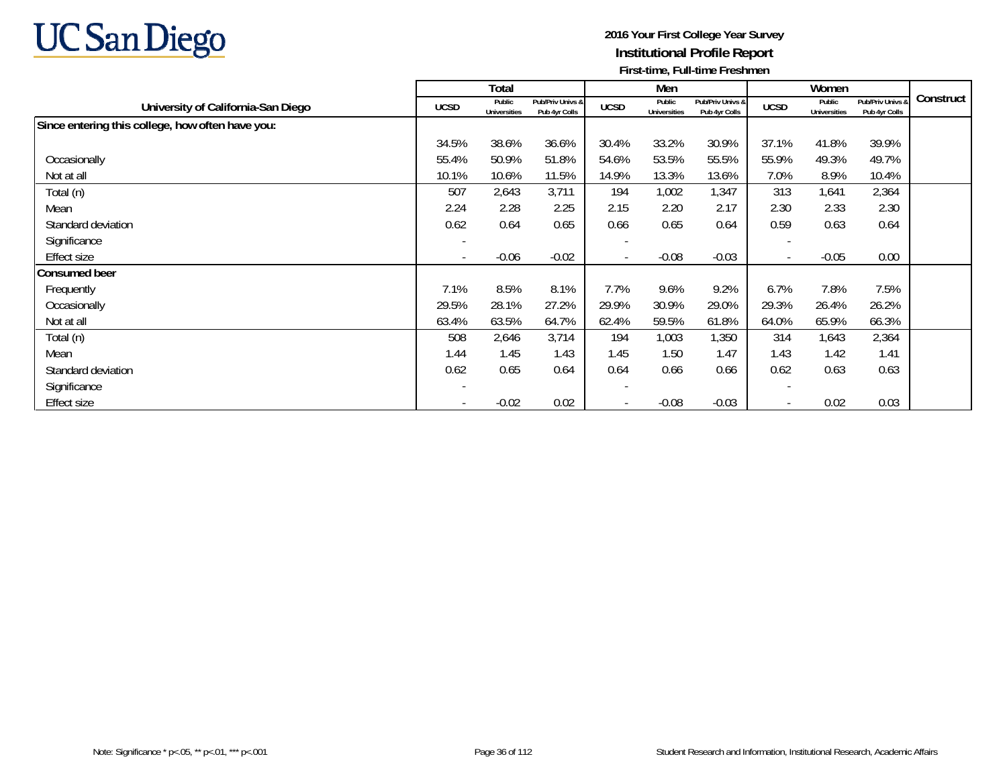

|                                                  |                          | Total                         |                                   |                          | Men                           |                                   |                          | Women                         |                                   |           |
|--------------------------------------------------|--------------------------|-------------------------------|-----------------------------------|--------------------------|-------------------------------|-----------------------------------|--------------------------|-------------------------------|-----------------------------------|-----------|
| University of California-San Diego               | <b>UCSD</b>              | Public<br><b>Universities</b> | Pub/Priv Univs &<br>Pub 4yr Colls | <b>UCSD</b>              | Public<br><b>Universities</b> | Pub/Priv Univs &<br>Pub 4yr Colls | <b>UCSD</b>              | Public<br><b>Universities</b> | Pub/Priv Univs &<br>Pub 4yr Colls | Construct |
| Since entering this college, how often have you: |                          |                               |                                   |                          |                               |                                   |                          |                               |                                   |           |
|                                                  | 34.5%                    | 38.6%                         | 36.6%                             | 30.4%                    | 33.2%                         | 30.9%                             | 37.1%                    | 41.8%                         | 39.9%                             |           |
| Occasionally                                     | 55.4%                    | 50.9%                         | 51.8%                             | 54.6%                    | 53.5%                         | 55.5%                             | 55.9%                    | 49.3%                         | 49.7%                             |           |
| Not at all                                       | 10.1%                    | 10.6%                         | 11.5%                             | 14.9%                    | 13.3%                         | 13.6%                             | 7.0%                     | 8.9%                          | 10.4%                             |           |
| Total (n)                                        | 507                      | 2,643                         | 3,711                             | 194                      | 1,002                         | 1,347                             | 313                      | 1,641                         | 2,364                             |           |
| Mean                                             | 2.24                     | 2.28                          | 2.25                              | 2.15                     | 2.20                          | 2.17                              | 2.30                     | 2.33                          | 2.30                              |           |
| Standard deviation                               | 0.62                     | 0.64                          | 0.65                              | 0.66                     | 0.65                          | 0.64                              | 0.59                     | 0.63                          | 0.64                              |           |
| Significance                                     |                          |                               |                                   | $\overline{\phantom{a}}$ |                               |                                   | $\overline{\phantom{a}}$ |                               |                                   |           |
| <b>Effect size</b>                               | $\overline{\phantom{a}}$ | $-0.06$                       | $-0.02$                           | $\overline{\phantom{a}}$ | $-0.08$                       | $-0.03$                           | $\overline{\phantom{a}}$ | $-0.05$                       | 0.00                              |           |
| <b>Consumed beer</b>                             |                          |                               |                                   |                          |                               |                                   |                          |                               |                                   |           |
| Frequently                                       | 7.1%                     | 8.5%                          | 8.1%                              | 7.7%                     | 9.6%                          | 9.2%                              | 6.7%                     | 7.8%                          | 7.5%                              |           |
| Occasionally                                     | 29.5%                    | 28.1%                         | 27.2%                             | 29.9%                    | 30.9%                         | 29.0%                             | 29.3%                    | 26.4%                         | 26.2%                             |           |
| Not at all                                       | 63.4%                    | 63.5%                         | 64.7%                             | 62.4%                    | 59.5%                         | 61.8%                             | 64.0%                    | 65.9%                         | 66.3%                             |           |
| Total (n)                                        | 508                      | 2,646                         | 3,714                             | 194                      | 1,003                         | 1,350                             | 314                      | 1,643                         | 2,364                             |           |
| Mean                                             | 1.44                     | 1.45                          | 1.43                              | 1.45                     | 1.50                          | 1.47                              | 1.43                     | 1.42                          | 1.41                              |           |
| Standard deviation                               | 0.62                     | 0.65                          | 0.64                              | 0.64                     | 0.66                          | 0.66                              | 0.62                     | 0.63                          | 0.63                              |           |
| Significance                                     | $\overline{\phantom{a}}$ |                               |                                   | $\overline{\phantom{a}}$ |                               |                                   | $\overline{\phantom{a}}$ |                               |                                   |           |
| <b>Effect size</b>                               | $\overline{\phantom{a}}$ | $-0.02$                       | 0.02                              | $\overline{\phantom{a}}$ | $-0.08$                       | $-0.03$                           | $\overline{\phantom{a}}$ | 0.02                          | 0.03                              |           |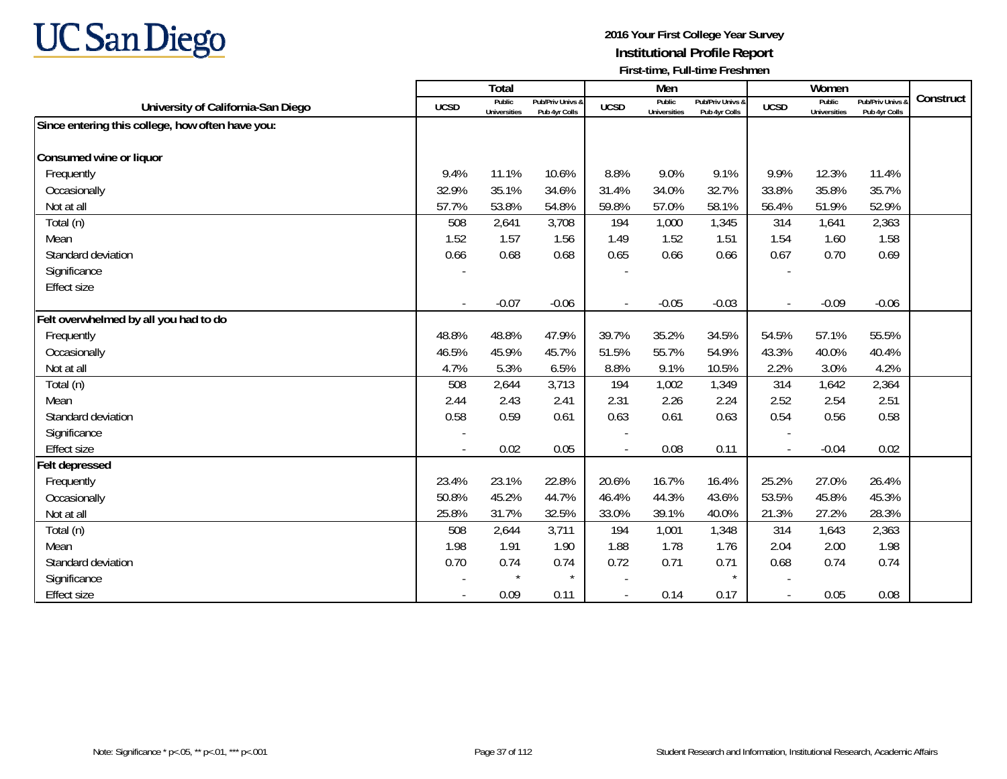

|                                                  |             | Total                         |                                   |             | Men                           |                                   |                          | Women                         |                                 |           |
|--------------------------------------------------|-------------|-------------------------------|-----------------------------------|-------------|-------------------------------|-----------------------------------|--------------------------|-------------------------------|---------------------------------|-----------|
| University of California-San Diego               | <b>UCSD</b> | Public<br><b>Universities</b> | Pub/Priv Univs &<br>Pub 4yr Colls | <b>UCSD</b> | Public<br><b>Universities</b> | Pub/Priv Univs &<br>Pub 4yr Colls | <b>UCSD</b>              | Public<br><b>Universities</b> | Pub/Priv Univs<br>Pub 4yr Colls | Construct |
| Since entering this college, how often have you: |             |                               |                                   |             |                               |                                   |                          |                               |                                 |           |
|                                                  |             |                               |                                   |             |                               |                                   |                          |                               |                                 |           |
| Consumed wine or liquor                          |             |                               |                                   |             |                               |                                   |                          |                               |                                 |           |
| Frequently                                       | 9.4%        | 11.1%                         | 10.6%                             | 8.8%        | 9.0%                          | 9.1%                              | 9.9%                     | 12.3%                         | 11.4%                           |           |
| Occasionally                                     | 32.9%       | 35.1%                         | 34.6%                             | 31.4%       | 34.0%                         | 32.7%                             | 33.8%                    | 35.8%                         | 35.7%                           |           |
| Not at all                                       | 57.7%       | 53.8%                         | 54.8%                             | 59.8%       | 57.0%                         | 58.1%                             | 56.4%                    | 51.9%                         | 52.9%                           |           |
| Total (n)                                        | 508         | 2,641                         | 3,708                             | 194         | 1,000                         | 1,345                             | 314                      | 1,641                         | 2,363                           |           |
| Mean                                             | 1.52        | 1.57                          | 1.56                              | 1.49        | 1.52                          | 1.51                              | 1.54                     | 1.60                          | 1.58                            |           |
| Standard deviation                               | 0.66        | 0.68                          | 0.68                              | 0.65        | 0.66                          | 0.66                              | 0.67                     | 0.70                          | 0.69                            |           |
| Significance                                     |             |                               |                                   |             |                               |                                   |                          |                               |                                 |           |
| <b>Effect size</b>                               |             |                               |                                   |             |                               |                                   |                          |                               |                                 |           |
|                                                  |             | $-0.07$                       | $-0.06$                           |             | $-0.05$                       | $-0.03$                           | $\overline{\phantom{a}}$ | $-0.09$                       | $-0.06$                         |           |
| Felt overwhelmed by all you had to do            |             |                               |                                   |             |                               |                                   |                          |                               |                                 |           |
| Frequently                                       | 48.8%       | 48.8%                         | 47.9%                             | 39.7%       | 35.2%                         | 34.5%                             | 54.5%                    | 57.1%                         | 55.5%                           |           |
| Occasionally                                     | 46.5%       | 45.9%                         | 45.7%                             | 51.5%       | 55.7%                         | 54.9%                             | 43.3%                    | 40.0%                         | 40.4%                           |           |
| Not at all                                       | 4.7%        | 5.3%                          | 6.5%                              | 8.8%        | 9.1%                          | 10.5%                             | 2.2%                     | 3.0%                          | 4.2%                            |           |
| Total (n)                                        | 508         | 2,644                         | 3,713                             | 194         | 1,002                         | 1,349                             | 314                      | 1,642                         | 2,364                           |           |
| Mean                                             | 2.44        | 2.43                          | 2.41                              | 2.31        | 2.26                          | 2.24                              | 2.52                     | 2.54                          | 2.51                            |           |
| Standard deviation                               | 0.58        | 0.59                          | 0.61                              | 0.63        | 0.61                          | 0.63                              | 0.54                     | 0.56                          | 0.58                            |           |
| Significance                                     |             |                               |                                   |             |                               |                                   |                          |                               |                                 |           |
| Effect size                                      |             | 0.02                          | 0.05                              |             | 0.08                          | 0.11                              |                          | $-0.04$                       | 0.02                            |           |
| <b>Felt depressed</b>                            |             |                               |                                   |             |                               |                                   |                          |                               |                                 |           |
| Frequently                                       | 23.4%       | 23.1%                         | 22.8%                             | 20.6%       | 16.7%                         | 16.4%                             | 25.2%                    | 27.0%                         | 26.4%                           |           |
| Occasionally                                     | 50.8%       | 45.2%                         | 44.7%                             | 46.4%       | 44.3%                         | 43.6%                             | 53.5%                    | 45.8%                         | 45.3%                           |           |
| Not at all                                       | 25.8%       | 31.7%                         | 32.5%                             | 33.0%       | 39.1%                         | 40.0%                             | 21.3%                    | 27.2%                         | 28.3%                           |           |
| Total (n)                                        | 508         | 2,644                         | 3,711                             | 194         | 1,001                         | 1,348                             | 314                      | 1,643                         | 2,363                           |           |
| Mean                                             | 1.98        | 1.91                          | 1.90                              | 1.88        | 1.78                          | 1.76                              | 2.04                     | 2.00                          | 1.98                            |           |
| Standard deviation                               | 0.70        | 0.74                          | 0.74                              | 0.72        | 0.71                          | 0.71                              | 0.68                     | 0.74                          | 0.74                            |           |
| Significance                                     |             | $\star$                       | $\star$                           |             |                               |                                   |                          |                               |                                 |           |
| <b>Effect size</b>                               |             | 0.09                          | 0.11                              |             | 0.14                          | 0.17                              | $\overline{\phantom{a}}$ | 0.05                          | 0.08                            |           |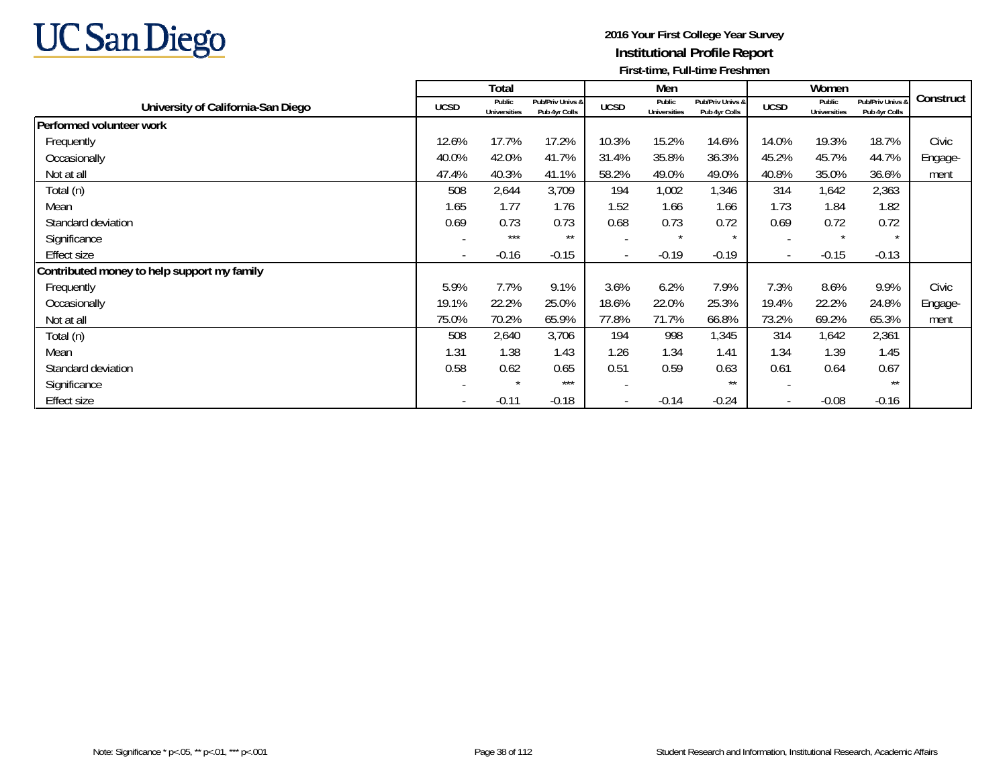

|                                             |                          | Total                         |                                   |                | Men                           |                                   |                          | Women                         |                                          |           |
|---------------------------------------------|--------------------------|-------------------------------|-----------------------------------|----------------|-------------------------------|-----------------------------------|--------------------------|-------------------------------|------------------------------------------|-----------|
| University of California-San Diego          | <b>UCSD</b>              | Public<br><b>Universities</b> | Pub/Priv Univs &<br>Pub 4yr Colls | <b>UCSD</b>    | Public<br><b>Universities</b> | Pub/Priv Univs &<br>Pub 4yr Colls | <b>UCSD</b>              | Public<br><b>Universities</b> | <b>Pub/Priv Univs a</b><br>Pub 4yr Colls | Construct |
| Performed volunteer work                    |                          |                               |                                   |                |                               |                                   |                          |                               |                                          |           |
| Frequently                                  | 12.6%                    | 17.7%                         | 17.2%                             | 10.3%          | 15.2%                         | 14.6%                             | 14.0%                    | 19.3%                         | 18.7%                                    | Civic     |
| Occasionally                                | 40.0%                    | 42.0%                         | 41.7%                             | 31.4%          | 35.8%                         | 36.3%                             | 45.2%                    | 45.7%                         | 44.7%                                    | Engage-   |
| Not at all                                  | 47.4%                    | 40.3%                         | 41.1%                             | 58.2%          | 49.0%                         | 49.0%                             | 40.8%                    | 35.0%                         | 36.6%                                    | ment      |
| Total (n)                                   | 508                      | 2,644                         | 3,709                             | 194            | 1,002                         | 1,346                             | 314                      | 1,642                         | 2,363                                    |           |
| Mean                                        | 1.65                     | 1.77                          | 1.76                              | 1.52           | 1.66                          | 1.66                              | 1.73                     | 1.84                          | 1.82                                     |           |
| Standard deviation                          | 0.69                     | 0.73                          | 0.73                              | 0.68           | 0.73                          | 0.72                              | 0.69                     | 0.72                          | 0.72                                     |           |
| Significance                                |                          | $***$                         | $***$                             |                | $\star$                       | $\star$                           |                          | $\star$                       |                                          |           |
| Effect size                                 | $\overline{\phantom{a}}$ | $-0.16$                       | $-0.15$                           | $\blacksquare$ | $-0.19$                       | $-0.19$                           | $\overline{\phantom{a}}$ | $-0.15$                       | $-0.13$                                  |           |
| Contributed money to help support my family |                          |                               |                                   |                |                               |                                   |                          |                               |                                          |           |
| Frequently                                  | 5.9%                     | 7.7%                          | 9.1%                              | 3.6%           | 6.2%                          | 7.9%                              | 7.3%                     | 8.6%                          | 9.9%                                     | Civic     |
| Occasionally                                | 19.1%                    | 22.2%                         | 25.0%                             | 18.6%          | 22.0%                         | 25.3%                             | 19.4%                    | 22.2%                         | 24.8%                                    | Engage-   |
| Not at all                                  | 75.0%                    | 70.2%                         | 65.9%                             | 77.8%          | 71.7%                         | 66.8%                             | 73.2%                    | 69.2%                         | 65.3%                                    | ment      |
| Total (n)                                   | 508                      | 2,640                         | 3,706                             | 194            | 998                           | 1,345                             | 314                      | 1,642                         | 2,361                                    |           |
| Mean                                        | 1.31                     | 1.38                          | 1.43                              | 1.26           | 1.34                          | 1.41                              | 1.34                     | 1.39                          | 1.45                                     |           |
| Standard deviation                          | 0.58                     | 0.62                          | 0.65                              | 0.51           | 0.59                          | 0.63                              | 0.61                     | 0.64                          | 0.67                                     |           |
| Significance                                |                          | $\star$                       | ***                               |                |                               | $***$                             | -                        |                               | $\star\star$                             |           |
| <b>Effect size</b>                          | $\overline{\phantom{a}}$ | $-0.11$                       | $-0.18$                           | $\blacksquare$ | $-0.14$                       | $-0.24$                           | $\overline{\phantom{a}}$ | $-0.08$                       | $-0.16$                                  |           |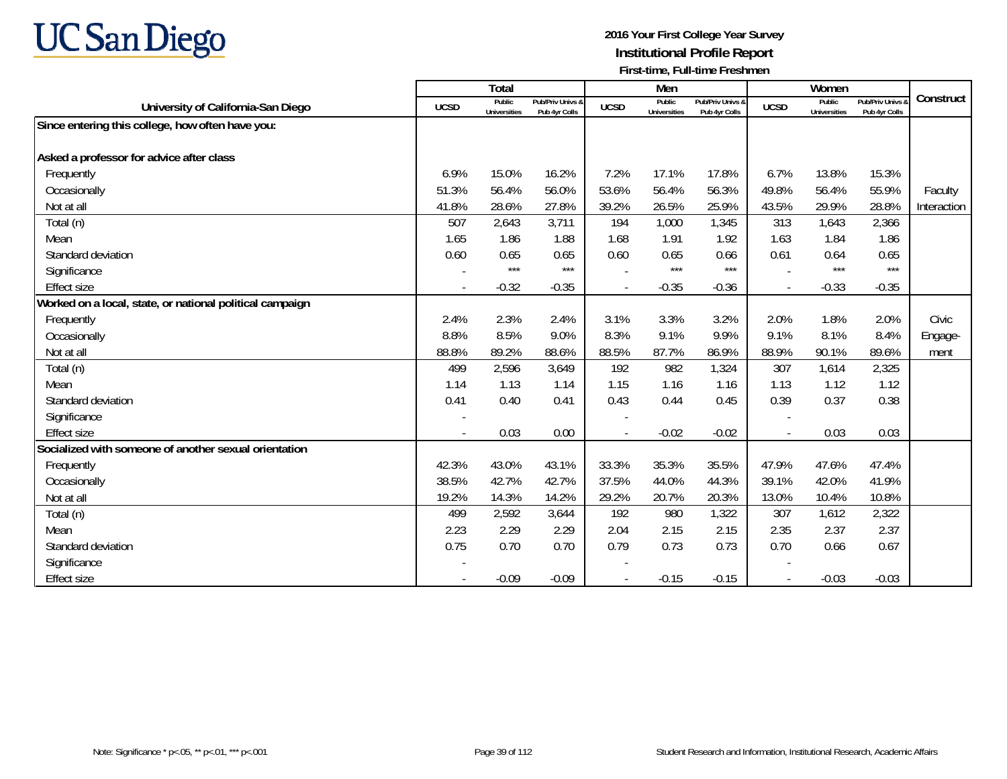

|                                                          |             | <b>Total</b>                  |                                   |             | Men                           |                                   |                          | Women                         |                                        |             |
|----------------------------------------------------------|-------------|-------------------------------|-----------------------------------|-------------|-------------------------------|-----------------------------------|--------------------------|-------------------------------|----------------------------------------|-------------|
| University of California-San Diego                       | <b>UCSD</b> | Public<br><b>Universities</b> | Pub/Priv Univs &<br>Pub 4yr Colls | <b>UCSD</b> | Public<br><b>Universities</b> | Pub/Priv Univs &<br>Pub 4yr Colls | <b>UCSD</b>              | Public<br><b>Universities</b> | <b>Pub/Priv Univs</b><br>Pub 4yr Colls | Construct   |
| Since entering this college, how often have you:         |             |                               |                                   |             |                               |                                   |                          |                               |                                        |             |
|                                                          |             |                               |                                   |             |                               |                                   |                          |                               |                                        |             |
| Asked a professor for advice after class                 |             |                               |                                   |             |                               |                                   |                          |                               |                                        |             |
| Frequently                                               | 6.9%        | 15.0%                         | 16.2%                             | 7.2%        | 17.1%                         | 17.8%                             | 6.7%                     | 13.8%                         | 15.3%                                  |             |
| Occasionally                                             | 51.3%       | 56.4%                         | 56.0%                             | 53.6%       | 56.4%                         | 56.3%                             | 49.8%                    | 56.4%                         | 55.9%                                  | Faculty     |
| Not at all                                               | 41.8%       | 28.6%                         | 27.8%                             | 39.2%       | 26.5%                         | 25.9%                             | 43.5%                    | 29.9%                         | 28.8%                                  | Interaction |
| Total (n)                                                | 507         | 2,643                         | 3,711                             | 194         | 1,000                         | 1,345                             | 313                      | 1,643                         | 2,366                                  |             |
| Mean                                                     | 1.65        | 1.86                          | 1.88                              | 1.68        | 1.91                          | 1.92                              | 1.63                     | 1.84                          | 1.86                                   |             |
| Standard deviation                                       | 0.60        | 0.65                          | 0.65                              | 0.60        | 0.65                          | 0.66                              | 0.61                     | 0.64                          | 0.65                                   |             |
| Significance                                             |             | $***$                         | $***$                             |             | ***                           | $***$                             |                          | $***$                         | $***$                                  |             |
| <b>Effect size</b>                                       |             | $-0.32$                       | $-0.35$                           |             | $-0.35$                       | $-0.36$                           | $\overline{\phantom{a}}$ | $-0.33$                       | $-0.35$                                |             |
| Worked on a local, state, or national political campaign |             |                               |                                   |             |                               |                                   |                          |                               |                                        |             |
| Frequently                                               | 2.4%        | 2.3%                          | 2.4%                              | 3.1%        | 3.3%                          | 3.2%                              | 2.0%                     | 1.8%                          | 2.0%                                   | Civic       |
| Occasionally                                             | 8.8%        | 8.5%                          | 9.0%                              | 8.3%        | 9.1%                          | 9.9%                              | 9.1%                     | 8.1%                          | 8.4%                                   | Engage-     |
| Not at all                                               | 88.8%       | 89.2%                         | 88.6%                             | 88.5%       | 87.7%                         | 86.9%                             | 88.9%                    | 90.1%                         | 89.6%                                  | ment        |
| Total (n)                                                | 499         | 2,596                         | 3,649                             | 192         | 982                           | 1,324                             | 307                      | 1,614                         | 2,325                                  |             |
| Mean                                                     | 1.14        | 1.13                          | 1.14                              | 1.15        | 1.16                          | 1.16                              | 1.13                     | 1.12                          | 1.12                                   |             |
| Standard deviation                                       | 0.41        | 0.40                          | 0.41                              | 0.43        | 0.44                          | 0.45                              | 0.39                     | 0.37                          | 0.38                                   |             |
| Significance                                             |             |                               |                                   |             |                               |                                   |                          |                               |                                        |             |
| <b>Effect size</b>                                       |             | 0.03                          | 0.00                              |             | $-0.02$                       | $-0.02$                           | $\overline{\phantom{a}}$ | 0.03                          | 0.03                                   |             |
| Socialized with someone of another sexual orientation    |             |                               |                                   |             |                               |                                   |                          |                               |                                        |             |
| Frequently                                               | 42.3%       | 43.0%                         | 43.1%                             | 33.3%       | 35.3%                         | 35.5%                             | 47.9%                    | 47.6%                         | 47.4%                                  |             |
| Occasionally                                             | 38.5%       | 42.7%                         | 42.7%                             | 37.5%       | 44.0%                         | 44.3%                             | 39.1%                    | 42.0%                         | 41.9%                                  |             |
| Not at all                                               | 19.2%       | 14.3%                         | 14.2%                             | 29.2%       | 20.7%                         | 20.3%                             | 13.0%                    | 10.4%                         | 10.8%                                  |             |
| Total (n)                                                | 499         | 2,592                         | 3,644                             | 192         | 980                           | 1,322                             | 307                      | 1,612                         | 2,322                                  |             |
| Mean                                                     | 2.23        | 2.29                          | 2.29                              | 2.04        | 2.15                          | 2.15                              | 2.35                     | 2.37                          | 2.37                                   |             |
| Standard deviation                                       | 0.75        | 0.70                          | 0.70                              | 0.79        | 0.73                          | 0.73                              | 0.70                     | 0.66                          | 0.67                                   |             |
| Significance                                             |             |                               |                                   |             |                               |                                   |                          |                               |                                        |             |
| <b>Effect size</b>                                       |             | $-0.09$                       | $-0.09$                           |             | $-0.15$                       | $-0.15$                           | $\overline{\phantom{a}}$ | $-0.03$                       | $-0.03$                                |             |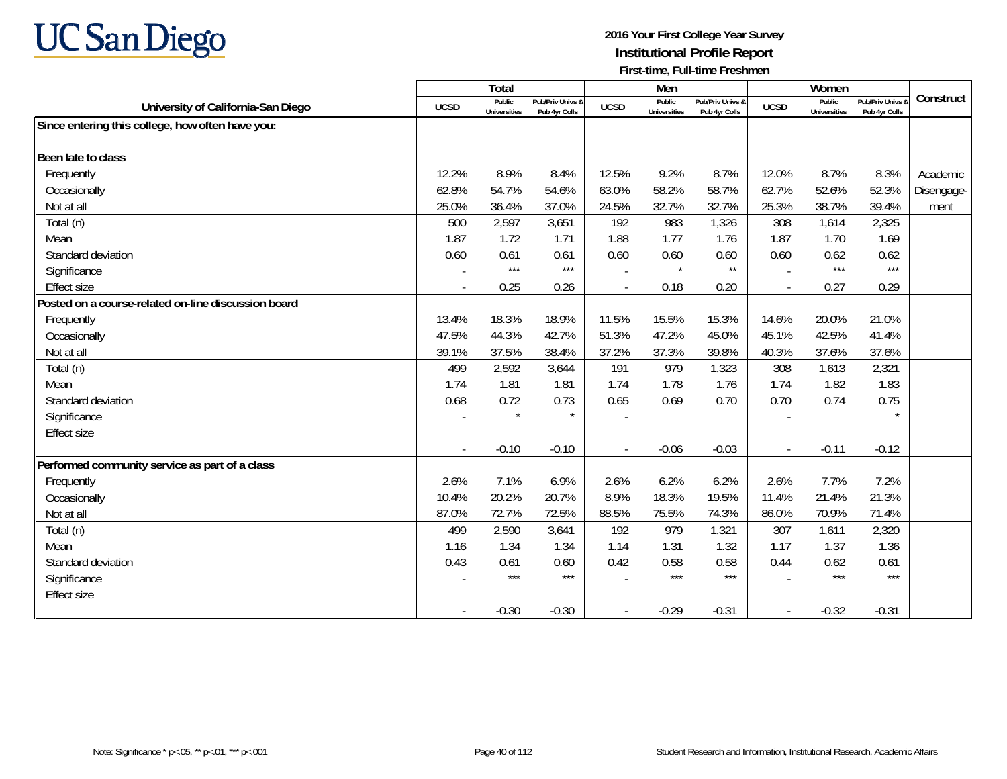

|                                                     |             | Total                         |                                   |             | Men                           |                                   |             | Women                         |                                 |            |
|-----------------------------------------------------|-------------|-------------------------------|-----------------------------------|-------------|-------------------------------|-----------------------------------|-------------|-------------------------------|---------------------------------|------------|
| University of California-San Diego                  | <b>UCSD</b> | Public<br><b>Universities</b> | Pub/Priv Univs &<br>Pub 4yr Colls | <b>UCSD</b> | Public<br><b>Universities</b> | Pub/Priv Univs &<br>Pub 4yr Colls | <b>UCSD</b> | Public<br><b>Universities</b> | Pub/Priv Univs<br>Pub 4yr Colls | Construct  |
| Since entering this college, how often have you:    |             |                               |                                   |             |                               |                                   |             |                               |                                 |            |
|                                                     |             |                               |                                   |             |                               |                                   |             |                               |                                 |            |
| Been late to class                                  |             |                               |                                   |             |                               |                                   |             |                               |                                 |            |
| Frequently                                          | 12.2%       | 8.9%                          | 8.4%                              | 12.5%       | 9.2%                          | 8.7%                              | 12.0%       | 8.7%                          | 8.3%                            | Academic   |
| Occasionally                                        | 62.8%       | 54.7%                         | 54.6%                             | 63.0%       | 58.2%                         | 58.7%                             | 62.7%       | 52.6%                         | 52.3%                           | Disengage- |
| Not at all                                          | 25.0%       | 36.4%                         | 37.0%                             | 24.5%       | 32.7%                         | 32.7%                             | 25.3%       | 38.7%                         | 39.4%                           | ment       |
| Total (n)                                           | 500         | 2,597                         | 3,651                             | 192         | 983                           | 1,326                             | 308         | 1,614                         | 2,325                           |            |
| Mean                                                | 1.87        | 1.72                          | 1.71                              | 1.88        | 1.77                          | 1.76                              | 1.87        | 1.70                          | 1.69                            |            |
| Standard deviation                                  | 0.60        | 0.61                          | 0.61                              | 0.60        | 0.60                          | 0.60                              | 0.60        | 0.62                          | 0.62                            |            |
| Significance                                        |             | $***$                         | $***$                             |             | $\star$                       | $\star\star$                      |             | $***$                         | $***$                           |            |
| <b>Effect size</b>                                  |             | 0.25                          | 0.26                              |             | 0.18                          | 0.20                              |             | 0.27                          | 0.29                            |            |
| Posted on a course-related on-line discussion board |             |                               |                                   |             |                               |                                   |             |                               |                                 |            |
| Frequently                                          | 13.4%       | 18.3%                         | 18.9%                             | 11.5%       | 15.5%                         | 15.3%                             | 14.6%       | 20.0%                         | 21.0%                           |            |
| Occasionally                                        | 47.5%       | 44.3%                         | 42.7%                             | 51.3%       | 47.2%                         | 45.0%                             | 45.1%       | 42.5%                         | 41.4%                           |            |
| Not at all                                          | 39.1%       | 37.5%                         | 38.4%                             | 37.2%       | 37.3%                         | 39.8%                             | 40.3%       | 37.6%                         | 37.6%                           |            |
| Total (n)                                           | 499         | 2,592                         | 3,644                             | 191         | 979                           | 1,323                             | 308         | 1,613                         | 2,321                           |            |
| Mean                                                | 1.74        | 1.81                          | 1.81                              | 1.74        | 1.78                          | 1.76                              | 1.74        | 1.82                          | 1.83                            |            |
| Standard deviation                                  | 0.68        | 0.72                          | 0.73                              | 0.65        | 0.69                          | 0.70                              | 0.70        | 0.74                          | 0.75                            |            |
| Significance                                        |             |                               | $\star$                           |             |                               |                                   |             |                               | $\star$                         |            |
| <b>Effect size</b>                                  |             |                               |                                   |             |                               |                                   |             |                               |                                 |            |
|                                                     |             | $-0.10$                       | $-0.10$                           |             | $-0.06$                       | $-0.03$                           |             | $-0.11$                       | $-0.12$                         |            |
| Performed community service as part of a class      |             |                               |                                   |             |                               |                                   |             |                               |                                 |            |
| Frequently                                          | 2.6%        | 7.1%                          | 6.9%                              | 2.6%        | 6.2%                          | 6.2%                              | 2.6%        | 7.7%                          | 7.2%                            |            |
| Occasionally                                        | 10.4%       | 20.2%                         | 20.7%                             | 8.9%        | 18.3%                         | 19.5%                             | 11.4%       | 21.4%                         | 21.3%                           |            |
| Not at all                                          | 87.0%       | 72.7%                         | 72.5%                             | 88.5%       | 75.5%                         | 74.3%                             | 86.0%       | 70.9%                         | 71.4%                           |            |
| Total (n)                                           | 499         | 2,590                         | 3,641                             | 192         | 979                           | 1,321                             | 307         | 1,611                         | 2,320                           |            |
| Mean                                                | 1.16        | 1.34                          | 1.34                              | 1.14        | 1.31                          | 1.32                              | 1.17        | 1.37                          | 1.36                            |            |
| Standard deviation                                  | 0.43        | 0.61                          | 0.60                              | 0.42        | 0.58                          | 0.58                              | 0.44        | 0.62                          | 0.61                            |            |
| Significance                                        |             | $***$                         | $***$                             |             | $***$                         | $***$                             |             | $***$                         | $***$                           |            |
| <b>Effect size</b>                                  |             |                               |                                   |             |                               |                                   |             |                               |                                 |            |
|                                                     |             | $-0.30$                       | $-0.30$                           |             | $-0.29$                       | $-0.31$                           |             | $-0.32$                       | $-0.31$                         |            |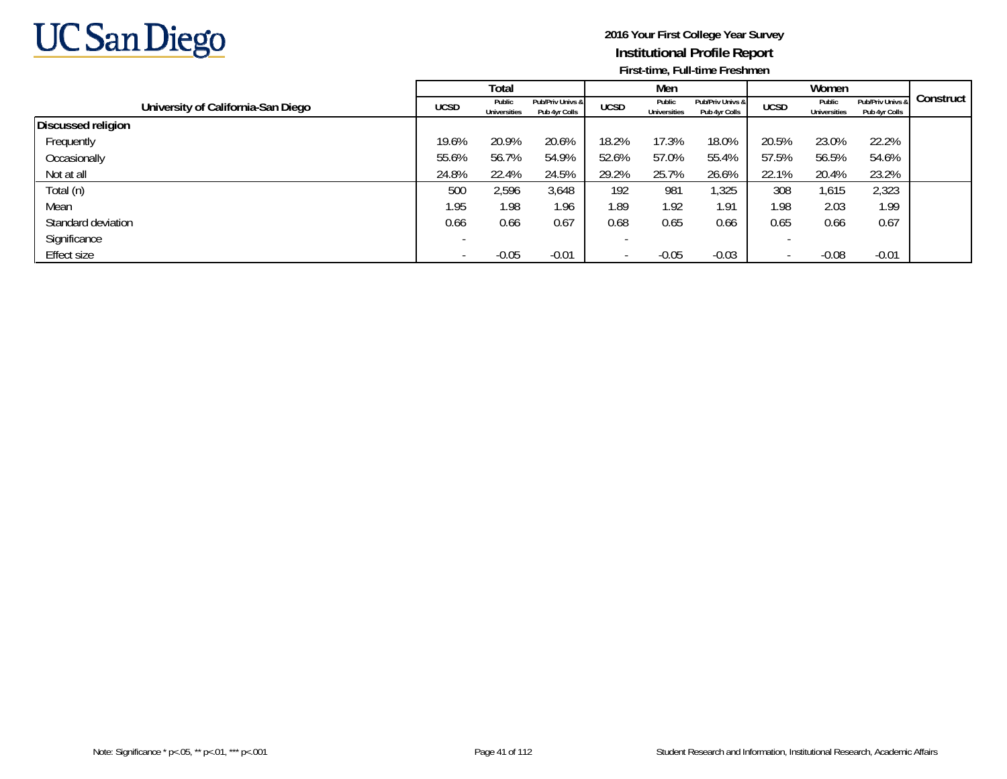

|                                    |             | Total                         |                                   |             | Men                           |                                   |             | Women                         |                                   |           |
|------------------------------------|-------------|-------------------------------|-----------------------------------|-------------|-------------------------------|-----------------------------------|-------------|-------------------------------|-----------------------------------|-----------|
| University of California-San Diego | <b>UCSD</b> | Public<br><b>Universities</b> | Pub/Priv Univs &<br>Pub 4yr Colls | <b>UCSD</b> | Public<br><b>Universities</b> | Pub/Priv Univs &<br>Pub 4yr Colls | <b>UCSD</b> | Public<br><b>Universities</b> | Pub/Priv Univs &<br>Pub 4yr Colls | Construct |
| Discussed religion                 |             |                               |                                   |             |                               |                                   |             |                               |                                   |           |
| Frequently                         | 19.6%       | 20.9%                         | 20.6%                             | 18.2%       | 17.3%                         | 18.0%                             | 20.5%       | 23.0%                         | 22.2%                             |           |
| Occasionally                       | 55.6%       | 56.7%                         | 54.9%                             | 52.6%       | 57.0%                         | 55.4%                             | 57.5%       | 56.5%                         | 54.6%                             |           |
| Not at all                         | 24.8%       | 22.4%                         | 24.5%                             | 29.2%       | 25.7%                         | 26.6%                             | 22.1%       | 20.4%                         | 23.2%                             |           |
| Total (n)                          | 500         | 2,596                         | 3,648                             | 192         | 981                           | 1,325                             | 308         | 1,615                         | 2,323                             |           |
| Mean                               | 1.95        | 1.98                          | 1.96                              | 1.89        | 1.92                          | 1.91                              | 1.98        | 2.03                          | 1.99                              |           |
| Standard deviation                 | 0.66        | 0.66                          | 0.67                              | 0.68        | 0.65                          | 0.66                              | 0.65        | 0.66                          | 0.67                              |           |
| Significance                       |             |                               |                                   |             |                               |                                   |             |                               |                                   |           |
| Effect size                        |             | $-0.05$                       | $-0.01$                           |             | $-0.05$                       | $-0.03$                           |             | $-0.08$                       | $-0.01$                           |           |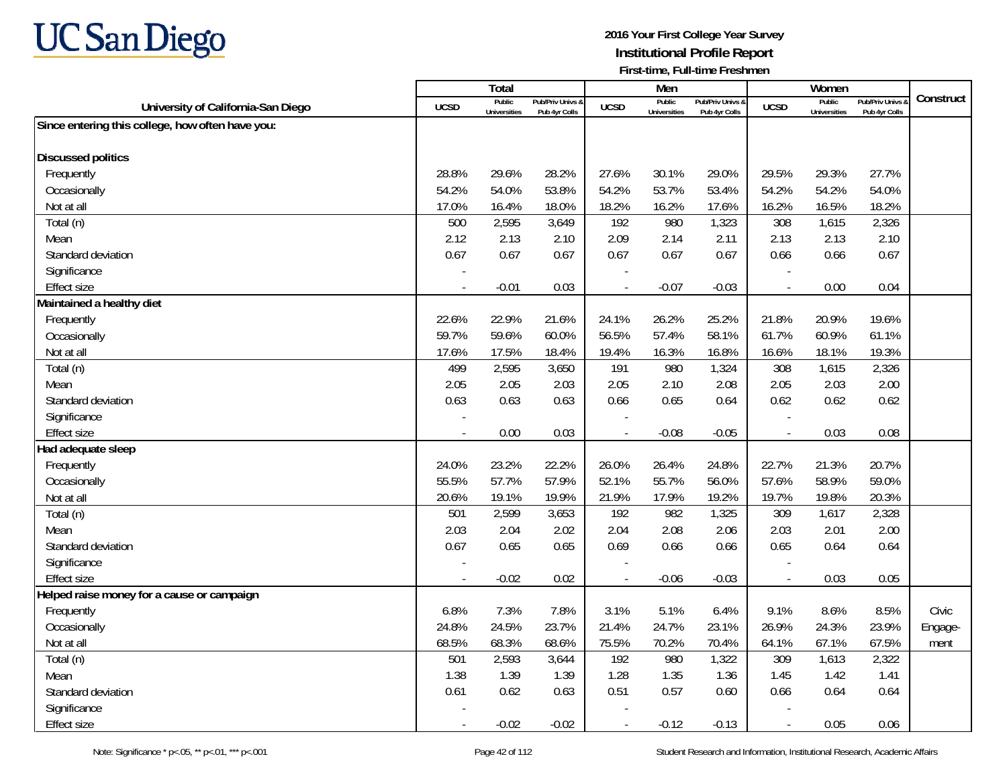

|                                                  |                          | Total                         |                                   |             | Men                           |                                   |                          | Women                         |                                        |           |
|--------------------------------------------------|--------------------------|-------------------------------|-----------------------------------|-------------|-------------------------------|-----------------------------------|--------------------------|-------------------------------|----------------------------------------|-----------|
| University of California-San Diego               | <b>UCSD</b>              | Public<br><b>Universities</b> | Pub/Priv Univs &<br>Pub 4yr Colls | <b>UCSD</b> | Public<br><b>Universities</b> | Pub/Priv Univs &<br>Pub 4yr Colls | <b>UCSD</b>              | Public<br><b>Universities</b> | <b>Pub/Priv Univs</b><br>Pub 4yr Colls | Construct |
| Since entering this college, how often have you: |                          |                               |                                   |             |                               |                                   |                          |                               |                                        |           |
| <b>Discussed politics</b>                        |                          |                               |                                   |             |                               |                                   |                          |                               |                                        |           |
| Frequently                                       | 28.8%                    | 29.6%                         | 28.2%                             | 27.6%       | 30.1%                         | 29.0%                             | 29.5%                    | 29.3%                         | 27.7%                                  |           |
| Occasionally                                     | 54.2%                    | 54.0%                         | 53.8%                             | 54.2%       | 53.7%                         | 53.4%                             | 54.2%                    | 54.2%                         | 54.0%                                  |           |
| Not at all                                       | 17.0%                    | 16.4%                         | 18.0%                             | 18.2%       | 16.2%                         | 17.6%                             | 16.2%                    | 16.5%                         | 18.2%                                  |           |
| Total (n)                                        | 500                      | 2,595                         | 3,649                             | 192         | 980                           | 1,323                             | 308                      | 1,615                         | 2,326                                  |           |
| Mean                                             | 2.12                     | 2.13                          | 2.10                              | 2.09        | 2.14                          | 2.11                              | 2.13                     | 2.13                          | 2.10                                   |           |
| Standard deviation                               | 0.67                     | 0.67                          | 0.67                              | 0.67        | 0.67                          | 0.67                              | 0.66                     | 0.66                          | 0.67                                   |           |
| Significance                                     |                          |                               |                                   |             |                               |                                   |                          |                               |                                        |           |
| <b>Effect size</b>                               | $\sim$                   | $-0.01$                       | 0.03                              | $\sim$      | $-0.07$                       | $-0.03$                           | $\overline{\phantom{a}}$ | 0.00                          | 0.04                                   |           |
| Maintained a healthy diet                        |                          |                               |                                   |             |                               |                                   |                          |                               |                                        |           |
| Frequently                                       | 22.6%                    | 22.9%                         | 21.6%                             | 24.1%       | 26.2%                         | 25.2%                             | 21.8%                    | 20.9%                         | 19.6%                                  |           |
| Occasionally                                     | 59.7%                    | 59.6%                         | 60.0%                             | 56.5%       | 57.4%                         | 58.1%                             | 61.7%                    | 60.9%                         | 61.1%                                  |           |
| Not at all                                       | 17.6%                    | 17.5%                         | 18.4%                             | 19.4%       | 16.3%                         | 16.8%                             | 16.6%                    | 18.1%                         | 19.3%                                  |           |
| Total (n)                                        | 499                      | 2,595                         | 3,650                             | 191         | 980                           | 1,324                             | 308                      | 1,615                         | 2,326                                  |           |
| Mean                                             | 2.05                     | 2.05                          | 2.03                              | 2.05        | 2.10                          | 2.08                              | 2.05                     | 2.03                          | 2.00                                   |           |
| Standard deviation                               | 0.63                     | 0.63                          | 0.63                              | 0.66        | 0.65                          | 0.64                              | 0.62                     | 0.62                          | 0.62                                   |           |
| Significance                                     |                          |                               |                                   |             |                               |                                   |                          |                               |                                        |           |
| <b>Effect size</b>                               | $\overline{\phantom{a}}$ | 0.00                          | 0.03                              |             | $-0.08$                       | $-0.05$                           | $\overline{\phantom{a}}$ | 0.03                          | 0.08                                   |           |
| Had adequate sleep                               |                          |                               |                                   |             |                               |                                   |                          |                               |                                        |           |
| Frequently                                       | 24.0%                    | 23.2%                         | 22.2%                             | 26.0%       | 26.4%                         | 24.8%                             | 22.7%                    | 21.3%                         | 20.7%                                  |           |
| Occasionally                                     | 55.5%                    | 57.7%                         | 57.9%                             | 52.1%       | 55.7%                         | 56.0%                             | 57.6%                    | 58.9%                         | 59.0%                                  |           |
| Not at all                                       | 20.6%                    | 19.1%                         | 19.9%                             | 21.9%       | 17.9%                         | 19.2%                             | 19.7%                    | 19.8%                         | 20.3%                                  |           |
| Total (n)                                        | 501                      | 2,599                         | 3,653                             | 192         | 982                           | 1,325                             | 309                      | 1,617                         | 2,328                                  |           |
| Mean                                             | 2.03                     | 2.04                          | 2.02                              | 2.04        | 2.08                          | 2.06                              | 2.03                     | 2.01                          | 2.00                                   |           |
| Standard deviation                               | 0.67                     | 0.65                          | 0.65                              | 0.69        | 0.66                          | 0.66                              | 0.65                     | 0.64                          | 0.64                                   |           |
| Significance                                     |                          |                               |                                   |             |                               |                                   |                          |                               |                                        |           |
| <b>Effect size</b>                               | $\overline{a}$           | $-0.02$                       | 0.02                              | $\sim$      | $-0.06$                       | $-0.03$                           | $\overline{\phantom{a}}$ | 0.03                          | 0.05                                   |           |
| Helped raise money for a cause or campaign       |                          |                               |                                   |             |                               |                                   |                          |                               |                                        |           |
| Frequently                                       | 6.8%                     | 7.3%                          | 7.8%                              | 3.1%        | 5.1%                          | 6.4%                              | 9.1%                     | 8.6%                          | 8.5%                                   | Civic     |
| Occasionally                                     | 24.8%                    | 24.5%                         | 23.7%                             | 21.4%       | 24.7%                         | 23.1%                             | 26.9%                    | 24.3%                         | 23.9%                                  | Engage-   |
| Not at all                                       | 68.5%                    | 68.3%                         | 68.6%                             | 75.5%       | 70.2%                         | 70.4%                             | 64.1%                    | 67.1%                         | 67.5%                                  | ment      |
| Total (n)                                        | 501                      | 2,593                         | 3,644                             | 192         | 980                           | 1,322                             | 309                      | 1,613                         | 2,322                                  |           |
| Mean                                             | 1.38                     | 1.39                          | 1.39                              | 1.28        | 1.35                          | 1.36                              | 1.45                     | 1.42                          | 1.41                                   |           |
| Standard deviation                               | 0.61                     | 0.62                          | 0.63                              | 0.51        | 0.57                          | 0.60                              | 0.66                     | 0.64                          | 0.64                                   |           |
| Significance                                     |                          |                               |                                   |             |                               |                                   |                          |                               |                                        |           |
| <b>Effect size</b>                               |                          | $-0.02$                       | $-0.02$                           |             | $-0.12$                       | $-0.13$                           |                          | 0.05                          | 0.06                                   |           |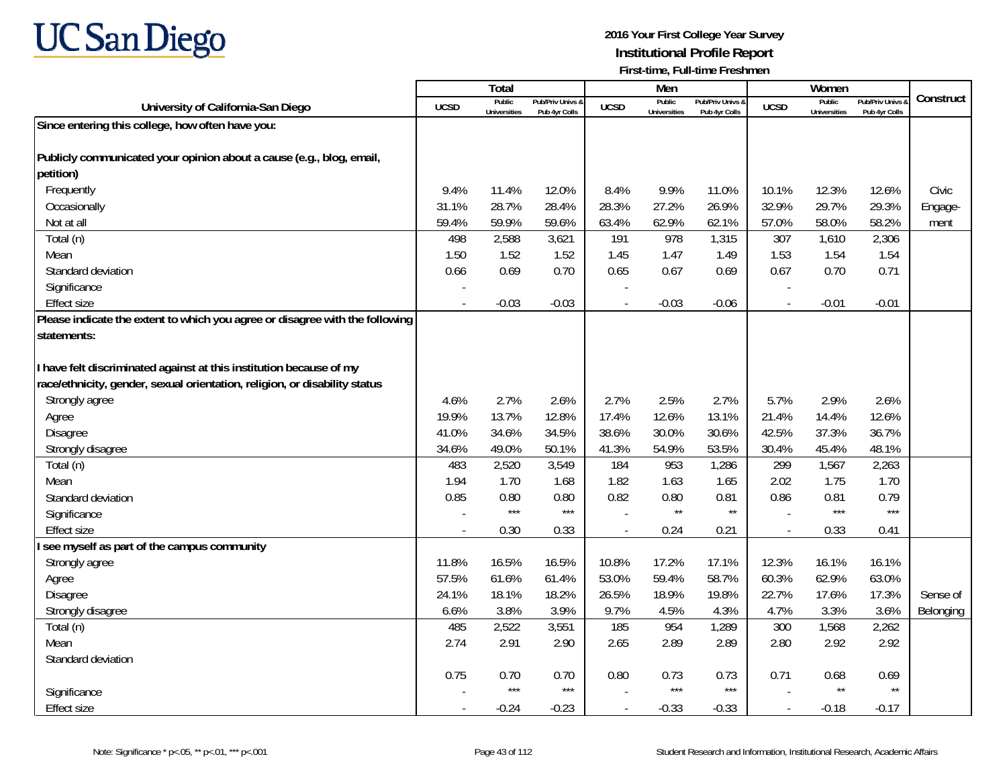

|                                                                              |             | Total                         |                                              |                          | Men                           |                                   |                          | Women                         |                                        |           |
|------------------------------------------------------------------------------|-------------|-------------------------------|----------------------------------------------|--------------------------|-------------------------------|-----------------------------------|--------------------------|-------------------------------|----------------------------------------|-----------|
| University of California-San Diego                                           | <b>UCSD</b> | Public<br><b>Universities</b> | <b>Pub/Priv Univs &amp;</b><br>Pub 4yr Colls | <b>UCSD</b>              | Public<br><b>Universities</b> | Pub/Priv Univs &<br>Pub 4yr Colls | <b>UCSD</b>              | Public<br><b>Universities</b> | <b>Pub/Priv Univs</b><br>Pub 4yr Colls | Construct |
| Since entering this college, how often have you:                             |             |                               |                                              |                          |                               |                                   |                          |                               |                                        |           |
|                                                                              |             |                               |                                              |                          |                               |                                   |                          |                               |                                        |           |
| Publicly communicated your opinion about a cause (e.g., blog, email,         |             |                               |                                              |                          |                               |                                   |                          |                               |                                        |           |
| petition)                                                                    |             |                               |                                              |                          |                               |                                   |                          |                               |                                        |           |
| Frequently                                                                   | 9.4%        | 11.4%                         | 12.0%                                        | 8.4%                     | 9.9%                          | 11.0%                             | 10.1%                    | 12.3%                         | 12.6%                                  | Civic     |
| Occasionally                                                                 | 31.1%       | 28.7%                         | 28.4%                                        | 28.3%                    | 27.2%                         | 26.9%                             | 32.9%                    | 29.7%                         | 29.3%                                  | Engage-   |
| Not at all                                                                   | 59.4%       | 59.9%                         | 59.6%                                        | 63.4%                    | 62.9%                         | 62.1%                             | 57.0%                    | 58.0%                         | 58.2%                                  | ment      |
| Total (n)                                                                    | 498         | 2,588                         | 3,621                                        | 191                      | 978                           | 1,315                             | 307                      | 1,610                         | 2,306                                  |           |
| Mean                                                                         | 1.50        | 1.52                          | 1.52                                         | 1.45                     | 1.47                          | 1.49                              | 1.53                     | 1.54                          | 1.54                                   |           |
| Standard deviation                                                           | 0.66        | 0.69                          | 0.70                                         | 0.65                     | 0.67                          | 0.69                              | 0.67                     | 0.70                          | 0.71                                   |           |
| Significance                                                                 |             |                               |                                              |                          |                               |                                   |                          |                               |                                        |           |
| <b>Effect size</b>                                                           | $\sim$      | $-0.03$                       | $-0.03$                                      | $\overline{a}$           | $-0.03$                       | $-0.06$                           | $\blacksquare$           | $-0.01$                       | $-0.01$                                |           |
| Please indicate the extent to which you agree or disagree with the following |             |                               |                                              |                          |                               |                                   |                          |                               |                                        |           |
| statements:                                                                  |             |                               |                                              |                          |                               |                                   |                          |                               |                                        |           |
|                                                                              |             |                               |                                              |                          |                               |                                   |                          |                               |                                        |           |
| have felt discriminated against at this institution because of my            |             |                               |                                              |                          |                               |                                   |                          |                               |                                        |           |
| race/ethnicity, gender, sexual orientation, religion, or disability status   |             |                               |                                              |                          |                               |                                   |                          |                               |                                        |           |
| Strongly agree                                                               | 4.6%        | 2.7%                          | 2.6%                                         | 2.7%                     | 2.5%                          | 2.7%                              | 5.7%                     | 2.9%                          | 2.6%                                   |           |
| Agree                                                                        | 19.9%       | 13.7%                         | 12.8%                                        | 17.4%                    | 12.6%                         | 13.1%                             | 21.4%                    | 14.4%                         | 12.6%                                  |           |
| Disagree                                                                     | 41.0%       | 34.6%                         | 34.5%                                        | 38.6%                    | 30.0%                         | 30.6%                             | 42.5%                    | 37.3%                         | 36.7%                                  |           |
| Strongly disagree                                                            | 34.6%       | 49.0%                         | 50.1%                                        | 41.3%                    | 54.9%                         | 53.5%                             | 30.4%                    | 45.4%                         | 48.1%                                  |           |
| Total (n)                                                                    | 483         | 2,520                         | 3,549                                        | 184                      | 953                           | 1,286                             | 299                      | 1,567                         | 2,263                                  |           |
| Mean                                                                         | 1.94        | 1.70                          | 1.68                                         | 1.82                     | 1.63                          | 1.65                              | 2.02                     | 1.75                          | 1.70                                   |           |
| Standard deviation                                                           | 0.85        | 0.80                          | 0.80                                         | 0.82                     | 0.80                          | 0.81                              | 0.86                     | 0.81                          | 0.79                                   |           |
| Significance                                                                 |             | $***$                         | $***$                                        |                          | $\star\star$                  | $\star\star$                      |                          | $***$                         | $***$                                  |           |
| <b>Effect size</b>                                                           |             | 0.30                          | 0.33                                         | $\overline{\phantom{a}}$ | 0.24                          | 0.21                              | $\overline{a}$           | 0.33                          | 0.41                                   |           |
| see myself as part of the campus community                                   |             |                               |                                              |                          |                               |                                   |                          |                               |                                        |           |
| Strongly agree                                                               | 11.8%       | 16.5%                         | 16.5%                                        | 10.8%                    | 17.2%                         | 17.1%                             | 12.3%                    | 16.1%                         | 16.1%                                  |           |
| Agree                                                                        | 57.5%       | 61.6%                         | 61.4%                                        | 53.0%                    | 59.4%                         | 58.7%                             | 60.3%                    | 62.9%                         | 63.0%                                  |           |
| Disagree                                                                     | 24.1%       | 18.1%                         | 18.2%                                        | 26.5%                    | 18.9%                         | 19.8%                             | 22.7%                    | 17.6%                         | 17.3%                                  | Sense of  |
| Strongly disagree                                                            | 6.6%        | 3.8%                          | 3.9%                                         | 9.7%                     | 4.5%                          | 4.3%                              | 4.7%                     | 3.3%                          | 3.6%                                   | Belonging |
| Total (n)                                                                    | 485         | 2,522                         | 3,551                                        | 185                      | 954                           | 1,289                             | 300                      | 1,568                         | 2,262                                  |           |
| Mean                                                                         | 2.74        | 2.91                          | 2.90                                         | 2.65                     | 2.89                          | 2.89                              | 2.80                     | 2.92                          | 2.92                                   |           |
| Standard deviation                                                           |             |                               |                                              |                          |                               |                                   |                          |                               |                                        |           |
|                                                                              | 0.75        | 0.70                          | 0.70                                         | 0.80                     | 0.73                          | 0.73                              | 0.71                     | 0.68                          | 0.69                                   |           |
| Significance                                                                 |             | $***$                         | $***$                                        |                          | $***$                         | $***$                             |                          | $\star\star$                  | $\star\star$                           |           |
| <b>Effect size</b>                                                           |             | $-0.24$                       | $-0.23$                                      | $\overline{\phantom{a}}$ | $-0.33$                       | $-0.33$                           | $\overline{\phantom{a}}$ | $-0.18$                       | $-0.17$                                |           |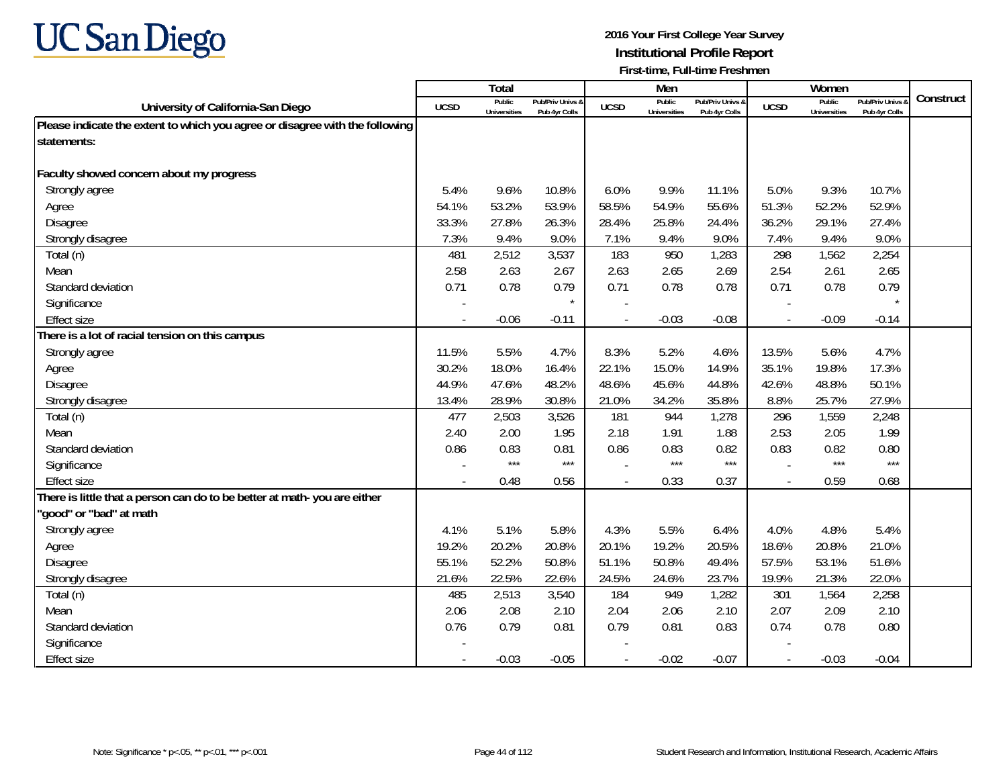

|                                                                              |             | Total                         |                                   |                | Men                           |                                   |                | Women                         |                                        |           |
|------------------------------------------------------------------------------|-------------|-------------------------------|-----------------------------------|----------------|-------------------------------|-----------------------------------|----------------|-------------------------------|----------------------------------------|-----------|
| University of California-San Diego                                           | <b>UCSD</b> | Public<br><b>Universities</b> | Pub/Priv Univs &<br>Pub 4yr Colls | <b>UCSD</b>    | Public<br><b>Universities</b> | Pub/Priv Univs 8<br>Pub 4yr Colls | <b>UCSD</b>    | Public<br><b>Universities</b> | <b>Pub/Priv Univs</b><br>Pub 4yr Colls | Construct |
| Please indicate the extent to which you agree or disagree with the following |             |                               |                                   |                |                               |                                   |                |                               |                                        |           |
| statements:                                                                  |             |                               |                                   |                |                               |                                   |                |                               |                                        |           |
|                                                                              |             |                               |                                   |                |                               |                                   |                |                               |                                        |           |
| Faculty showed concern about my progress                                     |             |                               |                                   |                |                               |                                   |                |                               |                                        |           |
| Strongly agree                                                               | 5.4%        | 9.6%                          | 10.8%                             | 6.0%           | 9.9%                          | 11.1%                             | 5.0%           | 9.3%                          | 10.7%                                  |           |
| Agree                                                                        | 54.1%       | 53.2%                         | 53.9%                             | 58.5%          | 54.9%                         | 55.6%                             | 51.3%          | 52.2%                         | 52.9%                                  |           |
| Disagree                                                                     | 33.3%       | 27.8%                         | 26.3%                             | 28.4%          | 25.8%                         | 24.4%                             | 36.2%          | 29.1%                         | 27.4%                                  |           |
| Strongly disagree                                                            | 7.3%        | 9.4%                          | 9.0%                              | 7.1%           | 9.4%                          | 9.0%                              | 7.4%           | 9.4%                          | 9.0%                                   |           |
| Total (n)                                                                    | 481         | 2,512                         | 3,537                             | 183            | 950                           | 1,283                             | 298            | 1,562                         | 2,254                                  |           |
| Mean                                                                         | 2.58        | 2.63                          | 2.67                              | 2.63           | 2.65                          | 2.69                              | 2.54           | 2.61                          | 2.65                                   |           |
| Standard deviation                                                           | 0.71        | 0.78                          | 0.79                              | 0.71           | 0.78                          | 0.78                              | 0.71           | 0.78                          | 0.79                                   |           |
| Significance                                                                 |             |                               | $\star$                           |                |                               |                                   |                |                               |                                        |           |
| <b>Effect size</b>                                                           |             | $-0.06$                       | $-0.11$                           |                | $-0.03$                       | $-0.08$                           | $\blacksquare$ | $-0.09$                       | $-0.14$                                |           |
| There is a lot of racial tension on this campus                              |             |                               |                                   |                |                               |                                   |                |                               |                                        |           |
| Strongly agree                                                               | 11.5%       | 5.5%                          | 4.7%                              | 8.3%           | 5.2%                          | 4.6%                              | 13.5%          | 5.6%                          | 4.7%                                   |           |
| Agree                                                                        | 30.2%       | 18.0%                         | 16.4%                             | 22.1%          | 15.0%                         | 14.9%                             | 35.1%          | 19.8%                         | 17.3%                                  |           |
| Disagree                                                                     | 44.9%       | 47.6%                         | 48.2%                             | 48.6%          | 45.6%                         | 44.8%                             | 42.6%          | 48.8%                         | 50.1%                                  |           |
| Strongly disagree                                                            | 13.4%       | 28.9%                         | 30.8%                             | 21.0%          | 34.2%                         | 35.8%                             | 8.8%           | 25.7%                         | 27.9%                                  |           |
| Total (n)                                                                    | 477         | 2,503                         | 3,526                             | 181            | 944                           | 1,278                             | 296            | 1,559                         | 2,248                                  |           |
| Mean                                                                         | 2.40        | 2.00                          | 1.95                              | 2.18           | 1.91                          | 1.88                              | 2.53           | 2.05                          | 1.99                                   |           |
| Standard deviation                                                           | 0.86        | 0.83                          | 0.81                              | 0.86           | 0.83                          | 0.82                              | 0.83           | 0.82                          | 0.80                                   |           |
| Significance                                                                 |             | ***                           | $***$                             |                | $***$                         | $***$                             |                | $***$                         | $***$                                  |           |
| <b>Effect size</b>                                                           |             | 0.48                          | 0.56                              |                | 0.33                          | 0.37                              |                | 0.59                          | 0.68                                   |           |
| There is little that a person can do to be better at math-you are either     |             |                               |                                   |                |                               |                                   |                |                               |                                        |           |
| 'good" or "bad" at math                                                      |             |                               |                                   |                |                               |                                   |                |                               |                                        |           |
| Strongly agree                                                               | 4.1%        | 5.1%                          | 5.8%                              | 4.3%           | 5.5%                          | 6.4%                              | 4.0%           | 4.8%                          | 5.4%                                   |           |
| Agree                                                                        | 19.2%       | 20.2%                         | 20.8%                             | 20.1%          | 19.2%                         | 20.5%                             | 18.6%          | 20.8%                         | 21.0%                                  |           |
| Disagree                                                                     | 55.1%       | 52.2%                         | 50.8%                             | 51.1%          | 50.8%                         | 49.4%                             | 57.5%          | 53.1%                         | 51.6%                                  |           |
| Strongly disagree                                                            | 21.6%       | 22.5%                         | 22.6%                             | 24.5%          | 24.6%                         | 23.7%                             | 19.9%          | 21.3%                         | 22.0%                                  |           |
| Total (n)                                                                    | 485         | 2,513                         | 3,540                             | 184            | 949                           | 1,282                             | 301            | 1,564                         | 2,258                                  |           |
| Mean                                                                         | 2.06        | 2.08                          | 2.10                              | 2.04           | 2.06                          | 2.10                              | 2.07           | 2.09                          | 2.10                                   |           |
| Standard deviation                                                           | 0.76        | 0.79                          | 0.81                              | 0.79           | 0.81                          | 0.83                              | 0.74           | 0.78                          | 0.80                                   |           |
| Significance                                                                 |             |                               |                                   |                |                               |                                   |                |                               |                                        |           |
| <b>Effect size</b>                                                           |             | $-0.03$                       | $-0.05$                           | $\overline{a}$ | $-0.02$                       | $-0.07$                           | $\sim$         | $-0.03$                       | $-0.04$                                |           |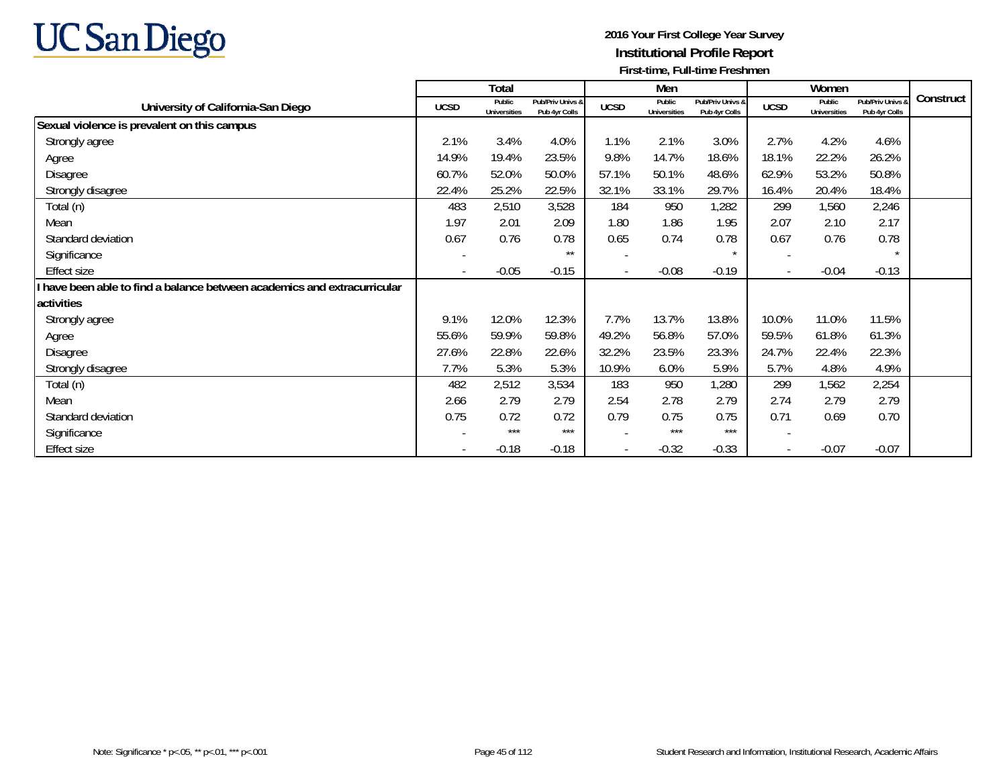

|                                                                        |                          | Total                         |                                   |                          | Men                           |                                   |                          | Women                         |                                   |           |
|------------------------------------------------------------------------|--------------------------|-------------------------------|-----------------------------------|--------------------------|-------------------------------|-----------------------------------|--------------------------|-------------------------------|-----------------------------------|-----------|
| University of California-San Diego                                     | <b>UCSD</b>              | Public<br><b>Universities</b> | Pub/Priv Univs &<br>Pub 4yr Colls | <b>UCSD</b>              | Public<br><b>Universities</b> | Pub/Priv Univs &<br>Pub 4yr Colls | <b>UCSD</b>              | Public<br><b>Universities</b> | Pub/Priv Univs &<br>Pub 4yr Colls | Construct |
| Sexual violence is prevalent on this campus                            |                          |                               |                                   |                          |                               |                                   |                          |                               |                                   |           |
| Strongly agree                                                         | 2.1%                     | 3.4%                          | 4.0%                              | 1.1%                     | 2.1%                          | 3.0%                              | 2.7%                     | 4.2%                          | 4.6%                              |           |
| Agree                                                                  | 14.9%                    | 19.4%                         | 23.5%                             | 9.8%                     | 14.7%                         | 18.6%                             | 18.1%                    | 22.2%                         | 26.2%                             |           |
| Disagree                                                               | 60.7%                    | 52.0%                         | 50.0%                             | 57.1%                    | 50.1%                         | 48.6%                             | 62.9%                    | 53.2%                         | 50.8%                             |           |
| Strongly disagree                                                      | 22.4%                    | 25.2%                         | 22.5%                             | 32.1%                    | 33.1%                         | 29.7%                             | 16.4%                    | 20.4%                         | 18.4%                             |           |
| Total (n)                                                              | 483                      | 2,510                         | 3,528                             | 184                      | 950                           | 1,282                             | 299                      | 1,560                         | 2,246                             |           |
| Mean                                                                   | 1.97                     | 2.01                          | 2.09                              | 1.80                     | 1.86                          | 1.95                              | 2.07                     | 2.10                          | 2.17                              |           |
| Standard deviation                                                     | 0.67                     | 0.76                          | 0.78                              | 0.65                     | 0.74                          | 0.78                              | 0.67                     | 0.76                          | 0.78                              |           |
| Significance                                                           | $\overline{\phantom{a}}$ |                               | $\star\star$                      | $\overline{\phantom{a}}$ |                               | $\star$                           | $\overline{\phantom{a}}$ |                               | $\star$                           |           |
| Effect size                                                            | $\overline{\phantom{a}}$ | $-0.05$                       | $-0.15$                           | $\overline{\phantom{a}}$ | $-0.08$                       | $-0.19$                           | $\overline{\phantom{a}}$ | $-0.04$                       | $-0.13$                           |           |
| have been able to find a balance between academics and extracurricular |                          |                               |                                   |                          |                               |                                   |                          |                               |                                   |           |
| activities                                                             |                          |                               |                                   |                          |                               |                                   |                          |                               |                                   |           |
| Strongly agree                                                         | 9.1%                     | 12.0%                         | 12.3%                             | 7.7%                     | 13.7%                         | 13.8%                             | 10.0%                    | 11.0%                         | 11.5%                             |           |
| Agree                                                                  | 55.6%                    | 59.9%                         | 59.8%                             | 49.2%                    | 56.8%                         | 57.0%                             | 59.5%                    | 61.8%                         | 61.3%                             |           |
| Disagree                                                               | 27.6%                    | 22.8%                         | 22.6%                             | 32.2%                    | 23.5%                         | 23.3%                             | 24.7%                    | 22.4%                         | 22.3%                             |           |
| Strongly disagree                                                      | 7.7%                     | 5.3%                          | 5.3%                              | 10.9%                    | 6.0%                          | 5.9%                              | 5.7%                     | 4.8%                          | 4.9%                              |           |
| Total (n)                                                              | 482                      | 2,512                         | 3,534                             | 183                      | 950                           | 1,280                             | 299                      | 1,562                         | 2,254                             |           |
| Mean                                                                   | 2.66                     | 2.79                          | 2.79                              | 2.54                     | 2.78                          | 2.79                              | 2.74                     | 2.79                          | 2.79                              |           |
| Standard deviation                                                     | 0.75                     | 0.72                          | 0.72                              | 0.79                     | 0.75                          | 0.75                              | 0.71                     | 0.69                          | 0.70                              |           |
| Significance                                                           | $\overline{\phantom{a}}$ | ***                           | ***                               |                          | ***                           | $***$                             | $\overline{\phantom{a}}$ |                               |                                   |           |
| <b>Effect size</b>                                                     | $\overline{\phantom{a}}$ | $-0.18$                       | $-0.18$                           | $\overline{\phantom{a}}$ | $-0.32$                       | $-0.33$                           | $\overline{\phantom{a}}$ | $-0.07$                       | $-0.07$                           |           |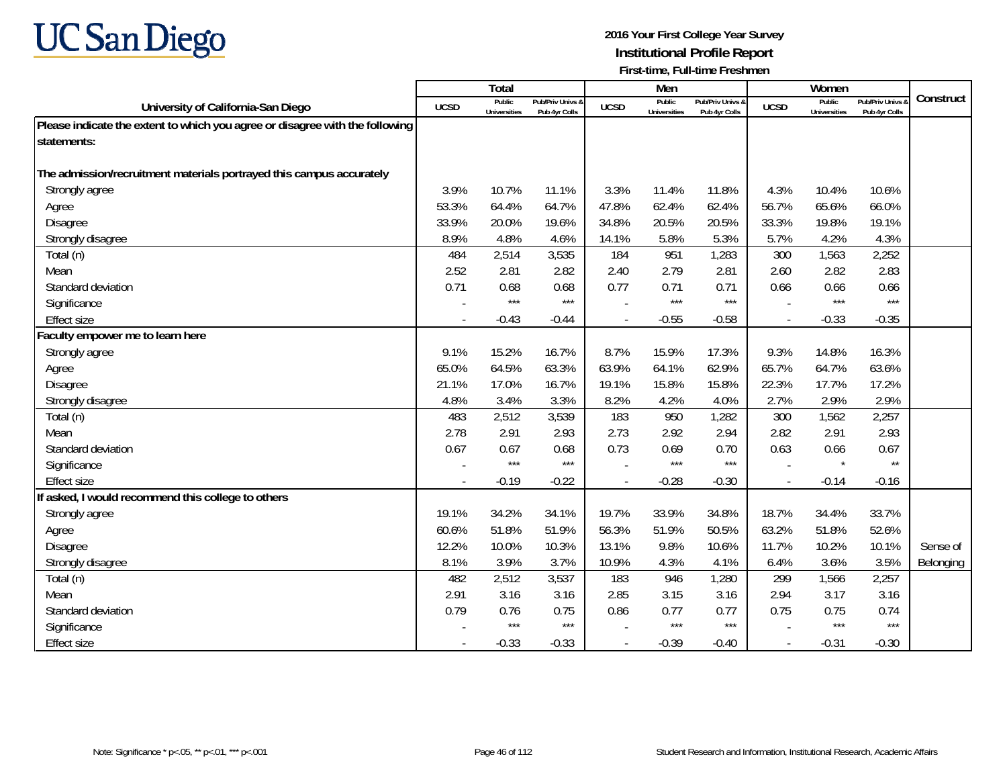

|                                                                              |             | <b>Total</b>                  |                                   |             | Men                           |                                   |                          | Women                         |                                        |           |
|------------------------------------------------------------------------------|-------------|-------------------------------|-----------------------------------|-------------|-------------------------------|-----------------------------------|--------------------------|-------------------------------|----------------------------------------|-----------|
| University of California-San Diego                                           | <b>UCSD</b> | Public<br><b>Universities</b> | Pub/Priv Univs &<br>Pub 4yr Colls | <b>UCSD</b> | Public<br><b>Universities</b> | Pub/Priv Univs &<br>Pub 4yr Colls | <b>UCSD</b>              | Public<br><b>Universities</b> | <b>Pub/Priv Univs</b><br>Pub 4yr Colls | Construct |
| Please indicate the extent to which you agree or disagree with the following |             |                               |                                   |             |                               |                                   |                          |                               |                                        |           |
| statements:                                                                  |             |                               |                                   |             |                               |                                   |                          |                               |                                        |           |
|                                                                              |             |                               |                                   |             |                               |                                   |                          |                               |                                        |           |
| The admission/recruitment materials portrayed this campus accurately         |             |                               |                                   |             |                               |                                   |                          |                               |                                        |           |
| Strongly agree                                                               | 3.9%        | 10.7%                         | 11.1%                             | 3.3%        | 11.4%                         | 11.8%                             | 4.3%                     | 10.4%                         | 10.6%                                  |           |
| Agree                                                                        | 53.3%       | 64.4%                         | 64.7%                             | 47.8%       | 62.4%                         | 62.4%                             | 56.7%                    | 65.6%                         | 66.0%                                  |           |
| <b>Disagree</b>                                                              | 33.9%       | 20.0%                         | 19.6%                             | 34.8%       | 20.5%                         | 20.5%                             | 33.3%                    | 19.8%                         | 19.1%                                  |           |
| Strongly disagree                                                            | 8.9%        | 4.8%                          | 4.6%                              | 14.1%       | 5.8%                          | 5.3%                              | 5.7%                     | 4.2%                          | 4.3%                                   |           |
| Total (n)                                                                    | 484         | 2,514                         | 3,535                             | 184         | 951                           | 1,283                             | 300                      | 1,563                         | 2,252                                  |           |
| Mean                                                                         | 2.52        | 2.81                          | 2.82                              | 2.40        | 2.79                          | 2.81                              | 2.60                     | 2.82                          | 2.83                                   |           |
| Standard deviation                                                           | 0.71        | 0.68                          | 0.68                              | 0.77        | 0.71                          | 0.71                              | 0.66                     | 0.66                          | 0.66                                   |           |
| Significance                                                                 |             | $***$                         | $***$                             |             | $***$                         | $***$                             |                          | $***$                         | $***$                                  |           |
| <b>Effect size</b>                                                           |             | $-0.43$                       | $-0.44$                           |             | $-0.55$                       | $-0.58$                           |                          | $-0.33$                       | $-0.35$                                |           |
| Faculty empower me to learn here                                             |             |                               |                                   |             |                               |                                   |                          |                               |                                        |           |
| Strongly agree                                                               | 9.1%        | 15.2%                         | 16.7%                             | 8.7%        | 15.9%                         | 17.3%                             | 9.3%                     | 14.8%                         | 16.3%                                  |           |
| Agree                                                                        | 65.0%       | 64.5%                         | 63.3%                             | 63.9%       | 64.1%                         | 62.9%                             | 65.7%                    | 64.7%                         | 63.6%                                  |           |
| <b>Disagree</b>                                                              | 21.1%       | 17.0%                         | 16.7%                             | 19.1%       | 15.8%                         | 15.8%                             | 22.3%                    | 17.7%                         | 17.2%                                  |           |
| Strongly disagree                                                            | 4.8%        | 3.4%                          | 3.3%                              | 8.2%        | 4.2%                          | 4.0%                              | 2.7%                     | 2.9%                          | 2.9%                                   |           |
| Total (n)                                                                    | 483         | 2,512                         | 3,539                             | 183         | 950                           | 1,282                             | 300                      | 1,562                         | 2,257                                  |           |
| Mean                                                                         | 2.78        | 2.91                          | 2.93                              | 2.73        | 2.92                          | 2.94                              | 2.82                     | 2.91                          | 2.93                                   |           |
| Standard deviation                                                           | 0.67        | 0.67                          | 0.68                              | 0.73        | 0.69                          | 0.70                              | 0.63                     | 0.66                          | 0.67                                   |           |
| Significance                                                                 |             | $***$                         | $***$                             |             | $***$                         | $***$                             |                          | $\star$                       | $\star\star$                           |           |
| <b>Effect size</b>                                                           |             | $-0.19$                       | $-0.22$                           |             | $-0.28$                       | $-0.30$                           | $\overline{\phantom{a}}$ | $-0.14$                       | $-0.16$                                |           |
| If asked, I would recommend this college to others                           |             |                               |                                   |             |                               |                                   |                          |                               |                                        |           |
| Strongly agree                                                               | 19.1%       | 34.2%                         | 34.1%                             | 19.7%       | 33.9%                         | 34.8%                             | 18.7%                    | 34.4%                         | 33.7%                                  |           |
| Agree                                                                        | 60.6%       | 51.8%                         | 51.9%                             | 56.3%       | 51.9%                         | 50.5%                             | 63.2%                    | 51.8%                         | 52.6%                                  |           |
| <b>Disagree</b>                                                              | 12.2%       | 10.0%                         | 10.3%                             | 13.1%       | 9.8%                          | 10.6%                             | 11.7%                    | 10.2%                         | 10.1%                                  | Sense of  |
| Strongly disagree                                                            | 8.1%        | 3.9%                          | 3.7%                              | 10.9%       | 4.3%                          | 4.1%                              | 6.4%                     | 3.6%                          | 3.5%                                   | Belonging |
| Total (n)                                                                    | 482         | 2,512                         | 3,537                             | 183         | 946                           | 1,280                             | 299                      | 1,566                         | 2,257                                  |           |
| Mean                                                                         | 2.91        | 3.16                          | 3.16                              | 2.85        | 3.15                          | 3.16                              | 2.94                     | 3.17                          | 3.16                                   |           |
| Standard deviation                                                           | 0.79        | 0.76                          | 0.75                              | 0.86        | 0.77                          | 0.77                              | 0.75                     | 0.75                          | 0.74                                   |           |
| Significance                                                                 |             | $***$                         | $***$                             |             | ***                           | $***$                             |                          | $***$                         | $***$                                  |           |
| <b>Effect size</b>                                                           |             | $-0.33$                       | $-0.33$                           |             | $-0.39$                       | $-0.40$                           | $\overline{a}$           | $-0.31$                       | $-0.30$                                |           |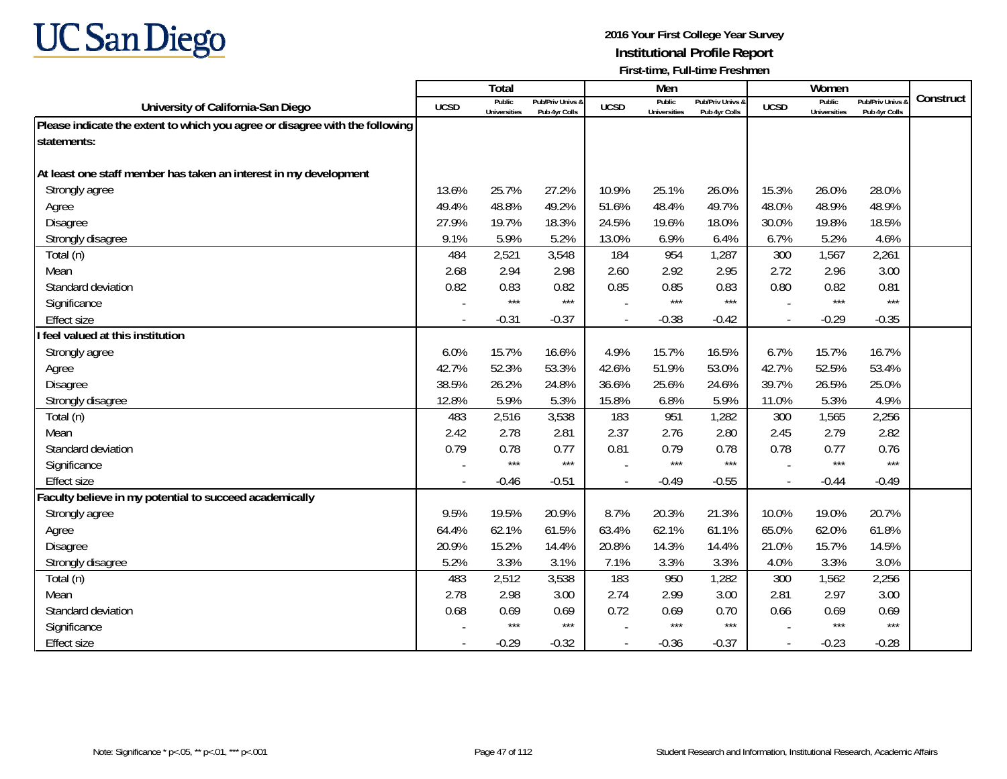

|                                                                              |                | Total                         |                                   |                | Men                           |                                   |                          | Women                         |                                        |           |
|------------------------------------------------------------------------------|----------------|-------------------------------|-----------------------------------|----------------|-------------------------------|-----------------------------------|--------------------------|-------------------------------|----------------------------------------|-----------|
| University of California-San Diego                                           | <b>UCSD</b>    | Public<br><b>Universities</b> | Pub/Priv Univs &<br>Pub 4yr Colls | <b>UCSD</b>    | Public<br><b>Universities</b> | Pub/Priv Univs &<br>Pub 4yr Colls | <b>UCSD</b>              | Public<br><b>Universities</b> | <b>Pub/Priv Univs</b><br>Pub 4yr Colls | Construct |
| Please indicate the extent to which you agree or disagree with the following |                |                               |                                   |                |                               |                                   |                          |                               |                                        |           |
| statements:                                                                  |                |                               |                                   |                |                               |                                   |                          |                               |                                        |           |
|                                                                              |                |                               |                                   |                |                               |                                   |                          |                               |                                        |           |
| At least one staff member has taken an interest in my development            |                |                               |                                   |                |                               |                                   |                          |                               |                                        |           |
| Strongly agree                                                               | 13.6%          | 25.7%                         | 27.2%                             | 10.9%          | 25.1%                         | 26.0%                             | 15.3%                    | 26.0%                         | 28.0%                                  |           |
| Agree                                                                        | 49.4%          | 48.8%                         | 49.2%                             | 51.6%          | 48.4%                         | 49.7%                             | 48.0%                    | 48.9%                         | 48.9%                                  |           |
| <b>Disagree</b>                                                              | 27.9%          | 19.7%                         | 18.3%                             | 24.5%          | 19.6%                         | 18.0%                             | 30.0%                    | 19.8%                         | 18.5%                                  |           |
| Strongly disagree                                                            | 9.1%           | 5.9%                          | 5.2%                              | 13.0%          | 6.9%                          | 6.4%                              | 6.7%                     | 5.2%                          | 4.6%                                   |           |
| Total (n)                                                                    | 484            | 2,521                         | 3,548                             | 184            | 954                           | 1,287                             | 300                      | 1,567                         | 2,261                                  |           |
| Mean                                                                         | 2.68           | 2.94                          | 2.98                              | 2.60           | 2.92                          | 2.95                              | 2.72                     | 2.96                          | 3.00                                   |           |
| Standard deviation                                                           | 0.82           | 0.83                          | 0.82                              | 0.85           | 0.85                          | 0.83                              | 0.80                     | 0.82                          | 0.81                                   |           |
| Significance                                                                 |                | $***$                         | $***$                             |                | $***$                         | $***$                             |                          | $***$                         | $***$                                  |           |
| <b>Effect size</b>                                                           |                | $-0.31$                       | $-0.37$                           |                | $-0.38$                       | $-0.42$                           | $\overline{\phantom{a}}$ | $-0.29$                       | $-0.35$                                |           |
| I feel valued at this institution                                            |                |                               |                                   |                |                               |                                   |                          |                               |                                        |           |
| Strongly agree                                                               | 6.0%           | 15.7%                         | 16.6%                             | 4.9%           | 15.7%                         | 16.5%                             | 6.7%                     | 15.7%                         | 16.7%                                  |           |
| Agree                                                                        | 42.7%          | 52.3%                         | 53.3%                             | 42.6%          | 51.9%                         | 53.0%                             | 42.7%                    | 52.5%                         | 53.4%                                  |           |
| <b>Disagree</b>                                                              | 38.5%          | 26.2%                         | 24.8%                             | 36.6%          | 25.6%                         | 24.6%                             | 39.7%                    | 26.5%                         | 25.0%                                  |           |
| Strongly disagree                                                            | 12.8%          | 5.9%                          | 5.3%                              | 15.8%          | 6.8%                          | 5.9%                              | 11.0%                    | 5.3%                          | 4.9%                                   |           |
| Total (n)                                                                    | 483            | 2,516                         | 3,538                             | 183            | 951                           | 1,282                             | 300                      | 1,565                         | 2,256                                  |           |
| Mean                                                                         | 2.42           | 2.78                          | 2.81                              | 2.37           | 2.76                          | 2.80                              | 2.45                     | 2.79                          | 2.82                                   |           |
| Standard deviation                                                           | 0.79           | 0.78                          | 0.77                              | 0.81           | 0.79                          | 0.78                              | 0.78                     | 0.77                          | 0.76                                   |           |
| Significance                                                                 |                | $***$                         | $***$                             |                | $***$                         | $***$                             |                          | $***$                         | $***$                                  |           |
| <b>Effect size</b>                                                           | $\overline{a}$ | $-0.46$                       | $-0.51$                           |                | $-0.49$                       | $-0.55$                           | $\overline{a}$           | $-0.44$                       | $-0.49$                                |           |
| Faculty believe in my potential to succeed academically                      |                |                               |                                   |                |                               |                                   |                          |                               |                                        |           |
| Strongly agree                                                               | 9.5%           | 19.5%                         | 20.9%                             | 8.7%           | 20.3%                         | 21.3%                             | 10.0%                    | 19.0%                         | 20.7%                                  |           |
| Agree                                                                        | 64.4%          | 62.1%                         | 61.5%                             | 63.4%          | 62.1%                         | 61.1%                             | 65.0%                    | 62.0%                         | 61.8%                                  |           |
| <b>Disagree</b>                                                              | 20.9%          | 15.2%                         | 14.4%                             | 20.8%          | 14.3%                         | 14.4%                             | 21.0%                    | 15.7%                         | 14.5%                                  |           |
| Strongly disagree                                                            | 5.2%           | 3.3%                          | 3.1%                              | 7.1%           | 3.3%                          | 3.3%                              | 4.0%                     | 3.3%                          | 3.0%                                   |           |
| Total (n)                                                                    | 483            | 2,512                         | 3,538                             | 183            | 950                           | 1,282                             | 300                      | 1,562                         | 2,256                                  |           |
| Mean                                                                         | 2.78           | 2.98                          | 3.00                              | 2.74           | 2.99                          | 3.00                              | 2.81                     | 2.97                          | 3.00                                   |           |
| Standard deviation                                                           | 0.68           | 0.69                          | 0.69                              | 0.72           | 0.69                          | 0.70                              | 0.66                     | 0.69                          | 0.69                                   |           |
| Significance                                                                 |                | $***$                         | $***$                             |                | $***$                         | $***$                             |                          | $***$                         | $***$                                  |           |
| <b>Effect size</b>                                                           |                | $-0.29$                       | $-0.32$                           | $\overline{a}$ | $-0.36$                       | $-0.37$                           | $\sim$                   | $-0.23$                       | $-0.28$                                |           |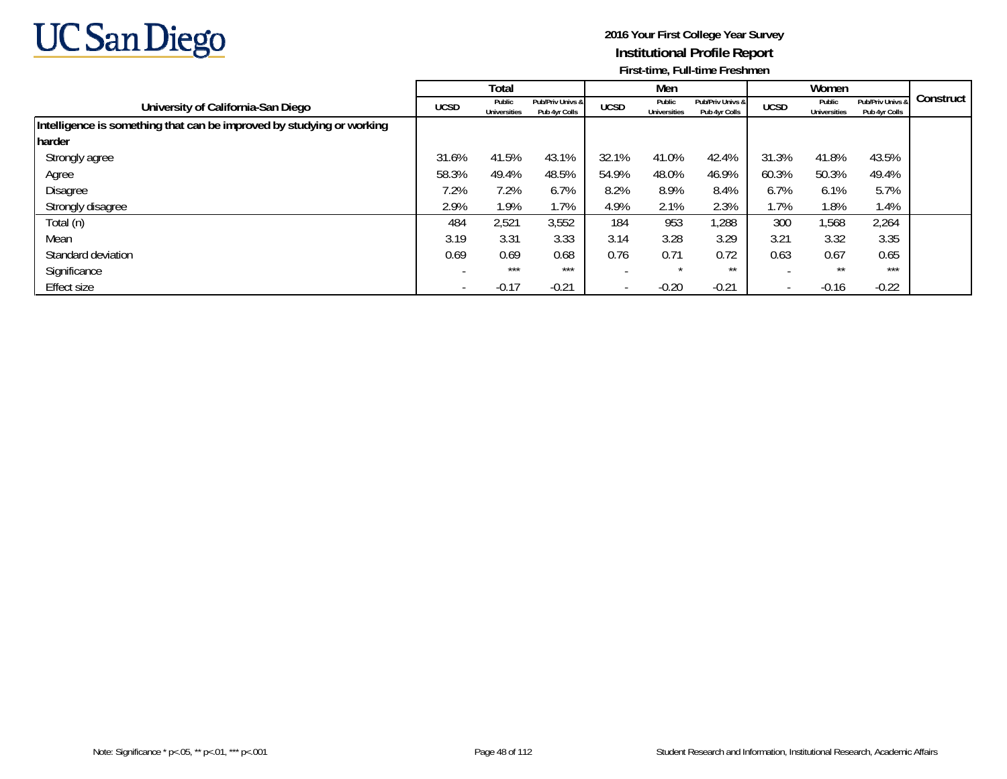

|                                                                       |             | Total                         |                                   |                          | Men                           |                                   |                          | Women                         |                                   |           |
|-----------------------------------------------------------------------|-------------|-------------------------------|-----------------------------------|--------------------------|-------------------------------|-----------------------------------|--------------------------|-------------------------------|-----------------------------------|-----------|
| University of California-San Diego                                    | <b>UCSD</b> | Public<br><b>Universities</b> | Pub/Priv Univs &<br>Pub 4yr Colls | <b>UCSD</b>              | Public<br><b>Universities</b> | Pub/Priv Univs &<br>Pub 4yr Colls | <b>UCSD</b>              | Public<br><b>Universities</b> | Pub/Priv Univs &<br>Pub 4yr Colls | Construct |
| Intelligence is something that can be improved by studying or working |             |                               |                                   |                          |                               |                                   |                          |                               |                                   |           |
| harder                                                                |             |                               |                                   |                          |                               |                                   |                          |                               |                                   |           |
| Strongly agree                                                        | 31.6%       | 41.5%                         | 43.1%                             | 32.1%                    | 41.0%                         | 42.4%                             | 31.3%                    | 41.8%                         | 43.5%                             |           |
| Agree                                                                 | 58.3%       | 49.4%                         | 48.5%                             | 54.9%                    | 48.0%                         | 46.9%                             | 60.3%                    | 50.3%                         | 49.4%                             |           |
| Disagree                                                              | 7.2%        | 7.2%                          | 6.7%                              | 8.2%                     | 8.9%                          | 8.4%                              | 6.7%                     | 6.1%                          | 5.7%                              |           |
| Strongly disagree                                                     | 2.9%        | 1.9%                          | 1.7%                              | 4.9%                     | 2.1%                          | 2.3%                              | 1.7%                     | 1.8%                          | 1.4%                              |           |
| Total (n)                                                             | 484         | 2,521                         | 3,552                             | 184                      | 953                           | ,288                              | 300                      | 1,568                         | 2,264                             |           |
| Mean                                                                  | 3.19        | 3.31                          | 3.33                              | 3.14                     | 3.28                          | 3.29                              | 3.21                     | 3.32                          | 3.35                              |           |
| Standard deviation                                                    | 0.69        | 0.69                          | 0.68                              | 0.76                     | 0.71                          | 0.72                              | 0.63                     | 0.67                          | 0.65                              |           |
| Significance                                                          |             | $***$                         | $***$                             |                          | $\star$                       | $***$                             |                          | $***$                         | ***                               |           |
| Effect size                                                           |             | $-0.17$                       | $-0.21$                           | $\overline{\phantom{a}}$ | $-0.20$                       | $-0.21$                           | $\overline{\phantom{a}}$ | $-0.16$                       | $-0.22$                           |           |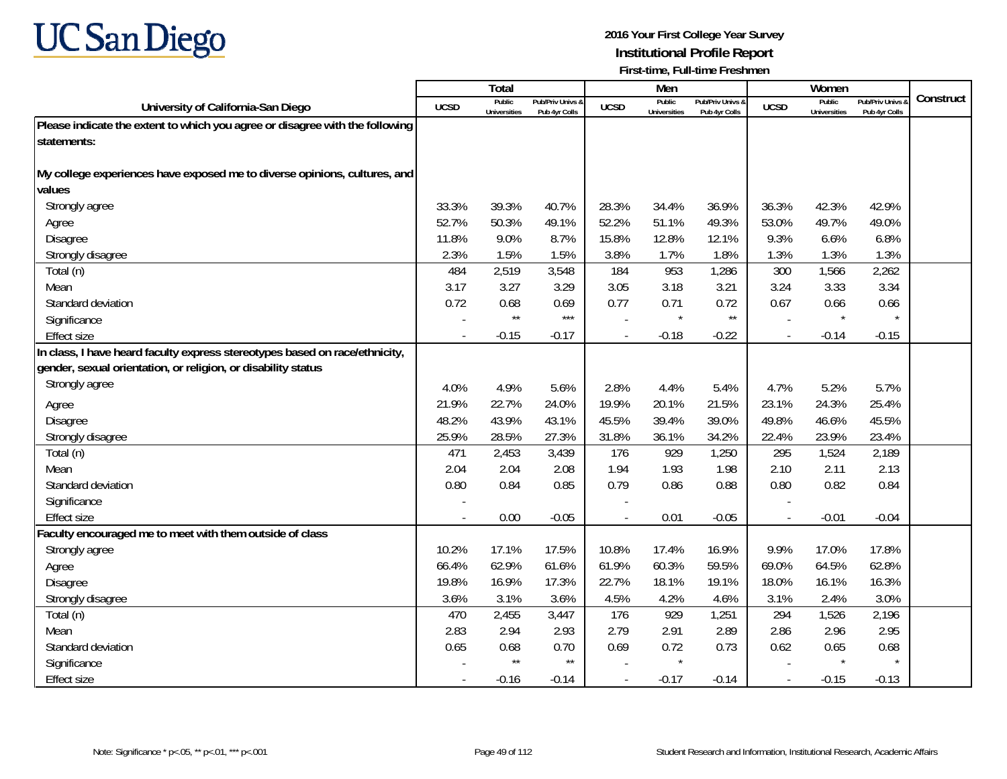

|                                                                              |             | <b>Total</b>                  |                                   |             | Men                           |                                   |                          | Women                                |                                        |           |
|------------------------------------------------------------------------------|-------------|-------------------------------|-----------------------------------|-------------|-------------------------------|-----------------------------------|--------------------------|--------------------------------------|----------------------------------------|-----------|
| University of California-San Diego                                           | <b>UCSD</b> | Public<br><b>Universities</b> | Pub/Priv Univs &<br>Pub 4yr Colls | <b>UCSD</b> | Public<br><b>Universities</b> | Pub/Priv Univs &<br>Pub 4yr Colls | <b>UCSD</b>              | <b>Public</b><br><b>Universities</b> | <b>Pub/Priv Univs</b><br>Pub 4yr Colls | Construct |
| Please indicate the extent to which you agree or disagree with the following |             |                               |                                   |             |                               |                                   |                          |                                      |                                        |           |
| statements:                                                                  |             |                               |                                   |             |                               |                                   |                          |                                      |                                        |           |
|                                                                              |             |                               |                                   |             |                               |                                   |                          |                                      |                                        |           |
| My college experiences have exposed me to diverse opinions, cultures, and    |             |                               |                                   |             |                               |                                   |                          |                                      |                                        |           |
| values                                                                       |             |                               |                                   |             |                               |                                   |                          |                                      |                                        |           |
| Strongly agree                                                               | 33.3%       | 39.3%                         | 40.7%                             | 28.3%       | 34.4%                         | 36.9%                             | 36.3%                    | 42.3%                                | 42.9%                                  |           |
| Agree                                                                        | 52.7%       | 50.3%                         | 49.1%                             | 52.2%       | 51.1%                         | 49.3%                             | 53.0%                    | 49.7%                                | 49.0%                                  |           |
| Disagree                                                                     | 11.8%       | 9.0%                          | 8.7%                              | 15.8%       | 12.8%                         | 12.1%                             | 9.3%                     | 6.6%                                 | 6.8%                                   |           |
| Strongly disagree                                                            | 2.3%        | 1.5%                          | 1.5%                              | 3.8%        | 1.7%                          | 1.8%                              | 1.3%                     | 1.3%                                 | 1.3%                                   |           |
| Total (n)                                                                    | 484         | 2,519                         | 3,548                             | 184         | 953                           | 1,286                             | 300                      | 1,566                                | 2,262                                  |           |
| Mean                                                                         | 3.17        | 3.27                          | 3.29                              | 3.05        | 3.18                          | 3.21                              | 3.24                     | 3.33                                 | 3.34                                   |           |
| Standard deviation                                                           | 0.72        | 0.68                          | 0.69                              | 0.77        | 0.71                          | 0.72                              | 0.67                     | 0.66                                 | 0.66                                   |           |
| Significance                                                                 |             | $\star\star$                  | $***$                             |             | $\star$                       | $\star\star$                      |                          | $\star$                              |                                        |           |
| <b>Effect size</b>                                                           |             | $-0.15$                       | $-0.17$                           |             | $-0.18$                       | $-0.22$                           |                          | $-0.14$                              | $-0.15$                                |           |
| In class, I have heard faculty express stereotypes based on race/ethnicity,  |             |                               |                                   |             |                               |                                   |                          |                                      |                                        |           |
| gender, sexual orientation, or religion, or disability status                |             |                               |                                   |             |                               |                                   |                          |                                      |                                        |           |
| Strongly agree                                                               | 4.0%        | 4.9%                          | 5.6%                              | 2.8%        | 4.4%                          | 5.4%                              | 4.7%                     | 5.2%                                 | 5.7%                                   |           |
| Agree                                                                        | 21.9%       | 22.7%                         | 24.0%                             | 19.9%       | 20.1%                         | 21.5%                             | 23.1%                    | 24.3%                                | 25.4%                                  |           |
| <b>Disagree</b>                                                              | 48.2%       | 43.9%                         | 43.1%                             | 45.5%       | 39.4%                         | 39.0%                             | 49.8%                    | 46.6%                                | 45.5%                                  |           |
| Strongly disagree                                                            | 25.9%       | 28.5%                         | 27.3%                             | 31.8%       | 36.1%                         | 34.2%                             | 22.4%                    | 23.9%                                | 23.4%                                  |           |
| Total (n)                                                                    | 471         | 2,453                         | 3,439                             | 176         | 929                           | 1,250                             | 295                      | 1,524                                | 2,189                                  |           |
| Mean                                                                         | 2.04        | 2.04                          | 2.08                              | 1.94        | 1.93                          | 1.98                              | 2.10                     | 2.11                                 | 2.13                                   |           |
| Standard deviation                                                           | 0.80        | 0.84                          | 0.85                              | 0.79        | 0.86                          | 0.88                              | 0.80                     | 0.82                                 | 0.84                                   |           |
| Significance                                                                 |             |                               |                                   |             |                               |                                   |                          |                                      |                                        |           |
| <b>Effect size</b>                                                           |             | 0.00                          | $-0.05$                           |             | 0.01                          | $-0.05$                           |                          | $-0.01$                              | $-0.04$                                |           |
| Faculty encouraged me to meet with them outside of class                     |             |                               |                                   |             |                               |                                   |                          |                                      |                                        |           |
| Strongly agree                                                               | 10.2%       | 17.1%                         | 17.5%                             | 10.8%       | 17.4%                         | 16.9%                             | 9.9%                     | 17.0%                                | 17.8%                                  |           |
| Agree                                                                        | 66.4%       | 62.9%                         | 61.6%                             | 61.9%       | 60.3%                         | 59.5%                             | 69.0%                    | 64.5%                                | 62.8%                                  |           |
| <b>Disagree</b>                                                              | 19.8%       | 16.9%                         | 17.3%                             | 22.7%       | 18.1%                         | 19.1%                             | 18.0%                    | 16.1%                                | 16.3%                                  |           |
| Strongly disagree                                                            | 3.6%        | 3.1%                          | 3.6%                              | 4.5%        | 4.2%                          | 4.6%                              | 3.1%                     | 2.4%                                 | 3.0%                                   |           |
| Total (n)                                                                    | 470         | 2,455                         | 3,447                             | 176         | 929                           | 1,251                             | 294                      | 1,526                                | 2,196                                  |           |
| Mean                                                                         | 2.83        | 2.94                          | 2.93                              | 2.79        | 2.91                          | 2.89                              | 2.86                     | 2.96                                 | 2.95                                   |           |
| Standard deviation                                                           | 0.65        | 0.68                          | 0.70                              | 0.69        | 0.72                          | 0.73                              | 0.62                     | 0.65                                 | 0.68                                   |           |
| Significance                                                                 |             | $\star\star$                  | $\star\star$                      |             | $\star$                       |                                   |                          |                                      |                                        |           |
| <b>Effect size</b>                                                           |             | $-0.16$                       | $-0.14$                           |             | $-0.17$                       | $-0.14$                           | $\overline{\phantom{a}}$ | $-0.15$                              | $-0.13$                                |           |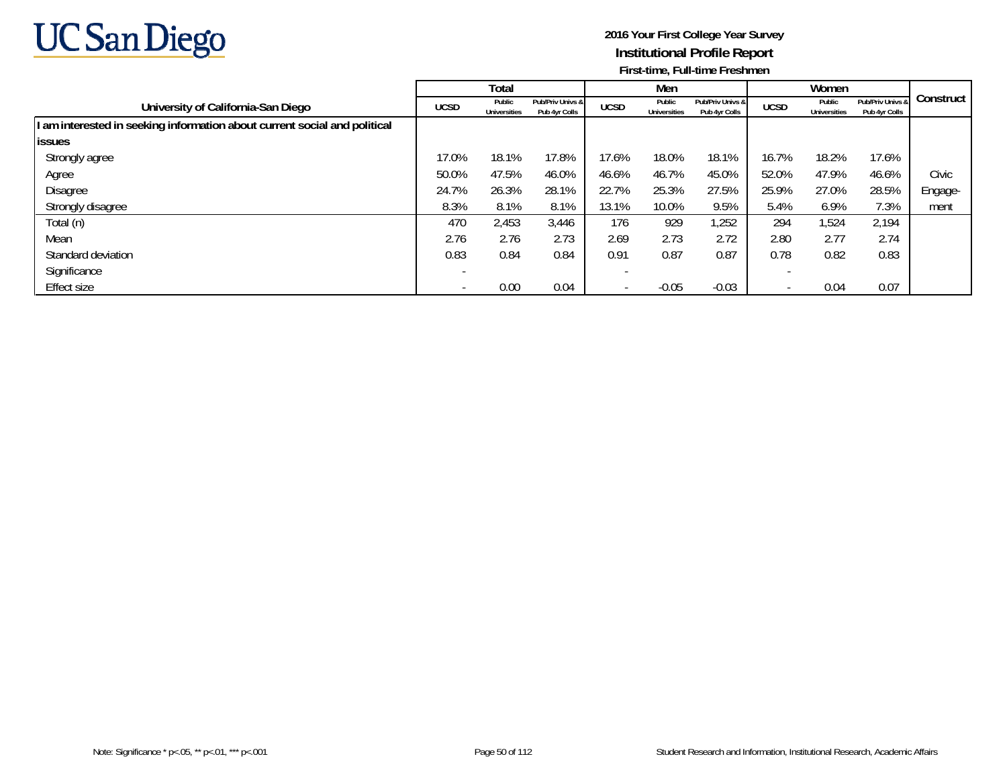

|                                                                           |             | Total                         |                                   |                          | Men                           |                                   |             | Women                         |                                   |           |
|---------------------------------------------------------------------------|-------------|-------------------------------|-----------------------------------|--------------------------|-------------------------------|-----------------------------------|-------------|-------------------------------|-----------------------------------|-----------|
| University of California-San Diego                                        | <b>UCSD</b> | Public<br><b>Universities</b> | Pub/Priv Univs &<br>Pub 4yr Colls | <b>UCSD</b>              | Public<br><b>Universities</b> | Pub/Priv Univs &<br>Pub 4yr Colls | <b>UCSD</b> | Public<br><b>Universities</b> | Pub/Priv Univs &<br>Pub 4yr Colls | Construct |
| I am interested in seeking information about current social and political |             |                               |                                   |                          |                               |                                   |             |                               |                                   |           |
| <b>lissues</b>                                                            |             |                               |                                   |                          |                               |                                   |             |                               |                                   |           |
| Strongly agree                                                            | 17.0%       | 18.1%                         | 17.8%                             | 17.6%                    | 18.0%                         | 18.1%                             | 16.7%       | 18.2%                         | 17.6%                             |           |
| Agree                                                                     | 50.0%       | 47.5%                         | 46.0%                             | 46.6%                    | 46.7%                         | 45.0%                             | 52.0%       | 47.9%                         | 46.6%                             | Civic     |
| Disagree                                                                  | 24.7%       | 26.3%                         | 28.1%                             | 22.7%                    | 25.3%                         | 27.5%                             | 25.9%       | 27.0%                         | 28.5%                             | Engage-   |
| Strongly disagree                                                         | 8.3%        | 8.1%                          | 8.1%                              | 13.1%                    | 10.0%                         | 9.5%                              | 5.4%        | 6.9%                          | 7.3%                              | ment      |
| Total (n)                                                                 | 470         | 2,453                         | 3,446                             | 176                      | 929                           | 1,252                             | 294         | 1,524                         | 2,194                             |           |
| Mean                                                                      | 2.76        | 2.76                          | 2.73                              | 2.69                     | 2.73                          | 2.72                              | 2.80        | 2.77                          | 2.74                              |           |
| Standard deviation                                                        | 0.83        | 0.84                          | 0.84                              | 0.91                     | 0.87                          | 0.87                              | 0.78        | 0.82                          | 0.83                              |           |
| Significance                                                              |             |                               |                                   |                          |                               |                                   |             |                               |                                   |           |
| Effect size                                                               |             | 0.00                          | 0.04                              | $\overline{\phantom{a}}$ | $-0.05$                       | $-0.03$                           |             | 0.04                          | 0.07                              |           |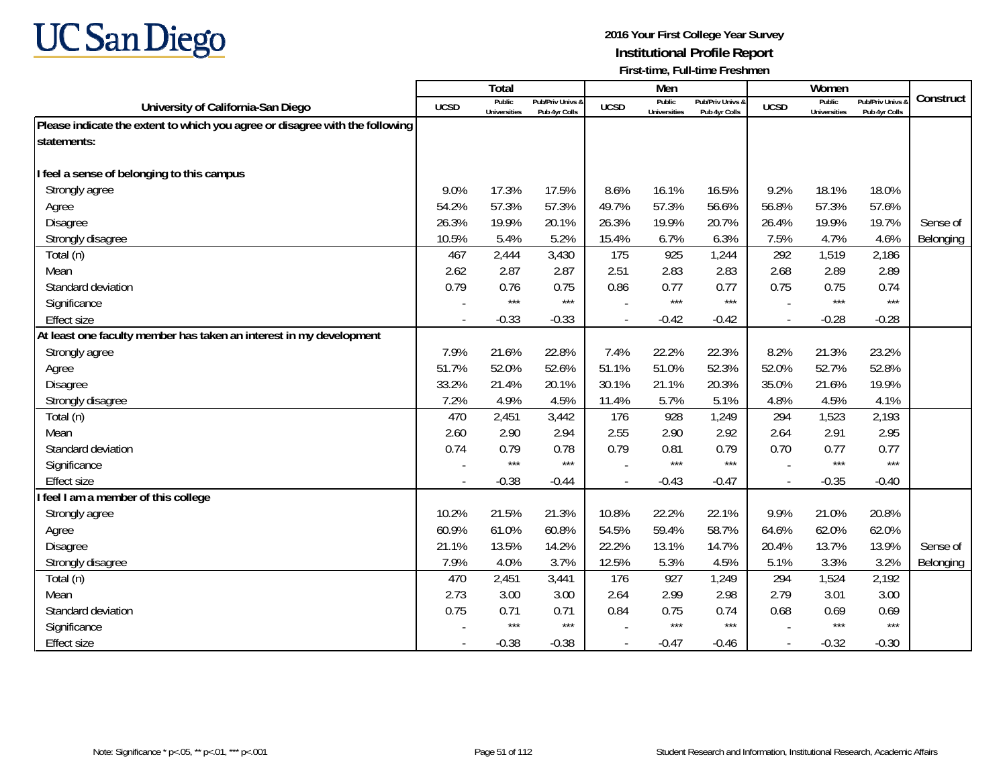

|                                                                              |                          | <b>Total</b>                  |                                   |             | Men                           |                                   |                          | Women                         |                                        |           |
|------------------------------------------------------------------------------|--------------------------|-------------------------------|-----------------------------------|-------------|-------------------------------|-----------------------------------|--------------------------|-------------------------------|----------------------------------------|-----------|
| University of California-San Diego                                           | <b>UCSD</b>              | Public<br><b>Universities</b> | Pub/Priv Univs &<br>Pub 4yr Colls | <b>UCSD</b> | Public<br><b>Universities</b> | Pub/Priv Univs &<br>Pub 4yr Colls | <b>UCSD</b>              | Public<br><b>Universities</b> | <b>Pub/Priv Univs</b><br>Pub 4yr Colls | Construct |
| Please indicate the extent to which you agree or disagree with the following |                          |                               |                                   |             |                               |                                   |                          |                               |                                        |           |
| statements:                                                                  |                          |                               |                                   |             |                               |                                   |                          |                               |                                        |           |
|                                                                              |                          |                               |                                   |             |                               |                                   |                          |                               |                                        |           |
| I feel a sense of belonging to this campus                                   |                          |                               |                                   |             |                               |                                   |                          |                               |                                        |           |
| Strongly agree                                                               | 9.0%                     | 17.3%                         | 17.5%                             | 8.6%        | 16.1%                         | 16.5%                             | 9.2%                     | 18.1%                         | 18.0%                                  |           |
| Agree                                                                        | 54.2%                    | 57.3%                         | 57.3%                             | 49.7%       | 57.3%                         | 56.6%                             | 56.8%                    | 57.3%                         | 57.6%                                  |           |
| Disagree                                                                     | 26.3%                    | 19.9%                         | 20.1%                             | 26.3%       | 19.9%                         | 20.7%                             | 26.4%                    | 19.9%                         | 19.7%                                  | Sense of  |
| Strongly disagree                                                            | 10.5%                    | 5.4%                          | 5.2%                              | 15.4%       | 6.7%                          | 6.3%                              | 7.5%                     | 4.7%                          | 4.6%                                   | Belonging |
| Total (n)                                                                    | 467                      | 2,444                         | 3,430                             | 175         | 925                           | 1,244                             | 292                      | 1,519                         | 2,186                                  |           |
| Mean                                                                         | 2.62                     | 2.87                          | 2.87                              | 2.51        | 2.83                          | 2.83                              | 2.68                     | 2.89                          | 2.89                                   |           |
| Standard deviation                                                           | 0.79                     | 0.76                          | 0.75                              | 0.86        | 0.77                          | 0.77                              | 0.75                     | 0.75                          | 0.74                                   |           |
| Significance                                                                 |                          | $***$                         | $***$                             |             | $***$                         | $***$                             |                          | $***$                         | $***$                                  |           |
| <b>Effect size</b>                                                           |                          | $-0.33$                       | $-0.33$                           |             | $-0.42$                       | $-0.42$                           |                          | $-0.28$                       | $-0.28$                                |           |
| At least one faculty member has taken an interest in my development          |                          |                               |                                   |             |                               |                                   |                          |                               |                                        |           |
| Strongly agree                                                               | 7.9%                     | 21.6%                         | 22.8%                             | 7.4%        | 22.2%                         | 22.3%                             | 8.2%                     | 21.3%                         | 23.2%                                  |           |
| Agree                                                                        | 51.7%                    | 52.0%                         | 52.6%                             | 51.1%       | 51.0%                         | 52.3%                             | 52.0%                    | 52.7%                         | 52.8%                                  |           |
| Disagree                                                                     | 33.2%                    | 21.4%                         | 20.1%                             | 30.1%       | 21.1%                         | 20.3%                             | 35.0%                    | 21.6%                         | 19.9%                                  |           |
| Strongly disagree                                                            | 7.2%                     | 4.9%                          | 4.5%                              | 11.4%       | 5.7%                          | 5.1%                              | 4.8%                     | 4.5%                          | 4.1%                                   |           |
| Total (n)                                                                    | 470                      | 2,451                         | 3,442                             | 176         | 928                           | 1,249                             | 294                      | 1,523                         | 2,193                                  |           |
| Mean                                                                         | 2.60                     | 2.90                          | 2.94                              | 2.55        | 2.90                          | 2.92                              | 2.64                     | 2.91                          | 2.95                                   |           |
| Standard deviation                                                           | 0.74                     | 0.79                          | 0.78                              | 0.79        | 0.81                          | 0.79                              | 0.70                     | 0.77                          | 0.77                                   |           |
| Significance                                                                 |                          | $***$                         | $***$                             |             | $***$                         | $***$                             |                          | $***$                         | $***$                                  |           |
| <b>Effect size</b>                                                           | $\overline{\phantom{a}}$ | $-0.38$                       | $-0.44$                           |             | $-0.43$                       | $-0.47$                           | $\overline{\phantom{a}}$ | $-0.35$                       | $-0.40$                                |           |
| feel I am a member of this college                                           |                          |                               |                                   |             |                               |                                   |                          |                               |                                        |           |
| Strongly agree                                                               | 10.2%                    | 21.5%                         | 21.3%                             | 10.8%       | 22.2%                         | 22.1%                             | 9.9%                     | 21.0%                         | 20.8%                                  |           |
| Agree                                                                        | 60.9%                    | 61.0%                         | 60.8%                             | 54.5%       | 59.4%                         | 58.7%                             | 64.6%                    | 62.0%                         | 62.0%                                  |           |
| <b>Disagree</b>                                                              | 21.1%                    | 13.5%                         | 14.2%                             | 22.2%       | 13.1%                         | 14.7%                             | 20.4%                    | 13.7%                         | 13.9%                                  | Sense of  |
| Strongly disagree                                                            | 7.9%                     | 4.0%                          | 3.7%                              | 12.5%       | 5.3%                          | 4.5%                              | 5.1%                     | 3.3%                          | 3.2%                                   | Belonging |
| Total (n)                                                                    | 470                      | 2,451                         | 3,441                             | 176         | 927                           | 1,249                             | 294                      | 1,524                         | 2,192                                  |           |
| Mean                                                                         | 2.73                     | 3.00                          | 3.00                              | 2.64        | 2.99                          | 2.98                              | 2.79                     | 3.01                          | 3.00                                   |           |
| Standard deviation                                                           | 0.75                     | 0.71                          | 0.71                              | 0.84        | 0.75                          | 0.74                              | 0.68                     | 0.69                          | 0.69                                   |           |
| Significance                                                                 |                          | $***$                         | $***$                             |             | $***$                         | $***$                             |                          | $***$                         | $***$                                  |           |
| <b>Effect size</b>                                                           |                          | $-0.38$                       | $-0.38$                           |             | $-0.47$                       | $-0.46$                           | $\sim$                   | $-0.32$                       | $-0.30$                                |           |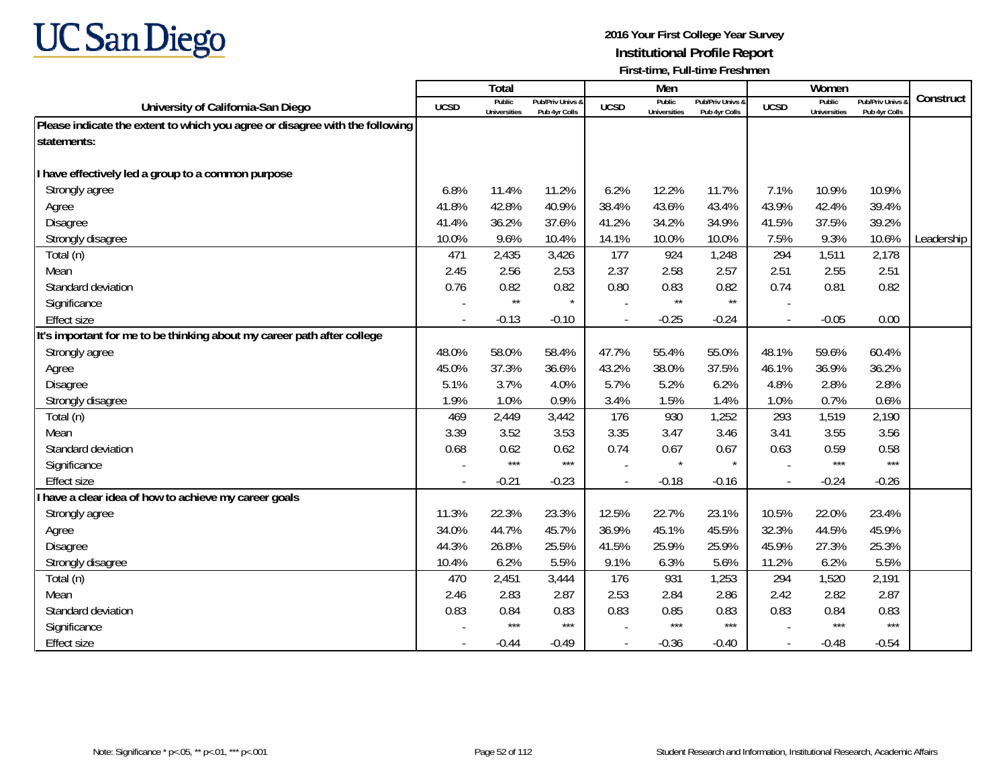

|                                                                              |                          | Total                         |                                   |             | Men                           |                                   |                | Women                         |                                        |            |
|------------------------------------------------------------------------------|--------------------------|-------------------------------|-----------------------------------|-------------|-------------------------------|-----------------------------------|----------------|-------------------------------|----------------------------------------|------------|
| University of California-San Diego                                           | <b>UCSD</b>              | Public<br><b>Universities</b> | Pub/Priv Univs &<br>Pub 4yr Colls | <b>UCSD</b> | Public<br><b>Universities</b> | Pub/Priv Univs &<br>Pub 4yr Colls | <b>UCSD</b>    | Public<br><b>Universities</b> | <b>Pub/Priv Univs</b><br>Pub 4yr Colls | Construct  |
| Please indicate the extent to which you agree or disagree with the following |                          |                               |                                   |             |                               |                                   |                |                               |                                        |            |
| statements:                                                                  |                          |                               |                                   |             |                               |                                   |                |                               |                                        |            |
|                                                                              |                          |                               |                                   |             |                               |                                   |                |                               |                                        |            |
| have effectively led a group to a common purpose                             |                          |                               |                                   |             |                               |                                   |                |                               |                                        |            |
| Strongly agree                                                               | 6.8%                     | 11.4%                         | 11.2%                             | 6.2%        | 12.2%                         | 11.7%                             | 7.1%           | 10.9%                         | 10.9%                                  |            |
| Agree                                                                        | 41.8%                    | 42.8%                         | 40.9%                             | 38.4%       | 43.6%                         | 43.4%                             | 43.9%          | 42.4%                         | 39.4%                                  |            |
| Disagree                                                                     | 41.4%                    | 36.2%                         | 37.6%                             | 41.2%       | 34.2%                         | 34.9%                             | 41.5%          | 37.5%                         | 39.2%                                  |            |
| Strongly disagree                                                            | 10.0%                    | 9.6%                          | 10.4%                             | 14.1%       | 10.0%                         | 10.0%                             | 7.5%           | 9.3%                          | 10.6%                                  | Leadership |
| Total (n)                                                                    | 471                      | 2,435                         | 3,426                             | 177         | 924                           | 1,248                             | 294            | 1,511                         | 2,178                                  |            |
| Mean                                                                         | 2.45                     | 2.56                          | 2.53                              | 2.37        | 2.58                          | 2.57                              | 2.51           | 2.55                          | 2.51                                   |            |
| Standard deviation                                                           | 0.76                     | 0.82                          | 0.82                              | 0.80        | 0.83                          | 0.82                              | 0.74           | 0.81                          | 0.82                                   |            |
| Significance                                                                 |                          | $\star\star$                  | $\star$                           |             | $\star\star$                  | $\star\star$                      |                |                               |                                        |            |
| <b>Effect size</b>                                                           |                          | $-0.13$                       | $-0.10$                           |             | $-0.25$                       | $-0.24$                           |                | $-0.05$                       | 0.00                                   |            |
| It's important for me to be thinking about my career path after college      |                          |                               |                                   |             |                               |                                   |                |                               |                                        |            |
| Strongly agree                                                               | 48.0%                    | 58.0%                         | 58.4%                             | 47.7%       | 55.4%                         | 55.0%                             | 48.1%          | 59.6%                         | 60.4%                                  |            |
| Agree                                                                        | 45.0%                    | 37.3%                         | 36.6%                             | 43.2%       | 38.0%                         | 37.5%                             | 46.1%          | 36.9%                         | 36.2%                                  |            |
| Disagree                                                                     | 5.1%                     | 3.7%                          | 4.0%                              | 5.7%        | 5.2%                          | 6.2%                              | 4.8%           | 2.8%                          | 2.8%                                   |            |
| Strongly disagree                                                            | 1.9%                     | 1.0%                          | 0.9%                              | 3.4%        | 1.5%                          | 1.4%                              | 1.0%           | 0.7%                          | 0.6%                                   |            |
| Total (n)                                                                    | 469                      | 2,449                         | 3,442                             | 176         | 930                           | 1,252                             | 293            | 1,519                         | 2,190                                  |            |
| Mean                                                                         | 3.39                     | 3.52                          | 3.53                              | 3.35        | 3.47                          | 3.46                              | 3.41           | 3.55                          | 3.56                                   |            |
| Standard deviation                                                           | 0.68                     | 0.62                          | 0.62                              | 0.74        | 0.67                          | 0.67                              | 0.63           | 0.59                          | 0.58                                   |            |
| Significance                                                                 |                          | $***$                         | $***$                             |             | $\star$                       | $\star$                           |                | $***$                         | $***$                                  |            |
| <b>Effect size</b>                                                           | $\overline{\phantom{a}}$ | $-0.21$                       | $-0.23$                           |             | $-0.18$                       | $-0.16$                           | $\overline{a}$ | $-0.24$                       | $-0.26$                                |            |
| have a clear idea of how to achieve my career goals                          |                          |                               |                                   |             |                               |                                   |                |                               |                                        |            |
| Strongly agree                                                               | 11.3%                    | 22.3%                         | 23.3%                             | 12.5%       | 22.7%                         | 23.1%                             | 10.5%          | 22.0%                         | 23.4%                                  |            |
| Agree                                                                        | 34.0%                    | 44.7%                         | 45.7%                             | 36.9%       | 45.1%                         | 45.5%                             | 32.3%          | 44.5%                         | 45.9%                                  |            |
| <b>Disagree</b>                                                              | 44.3%                    | 26.8%                         | 25.5%                             | 41.5%       | 25.9%                         | 25.9%                             | 45.9%          | 27.3%                         | 25.3%                                  |            |
| Strongly disagree                                                            | 10.4%                    | 6.2%                          | 5.5%                              | 9.1%        | 6.3%                          | 5.6%                              | 11.2%          | 6.2%                          | 5.5%                                   |            |
| Total (n)                                                                    | 470                      | 2,451                         | 3,444                             | 176         | 931                           | 1,253                             | 294            | 1,520                         | 2,191                                  |            |
| Mean                                                                         | 2.46                     | 2.83                          | 2.87                              | 2.53        | 2.84                          | 2.86                              | 2.42           | 2.82                          | 2.87                                   |            |
| Standard deviation                                                           | 0.83                     | 0.84                          | 0.83                              | 0.83        | 0.85                          | 0.83                              | 0.83           | 0.84                          | 0.83                                   |            |
| Significance                                                                 |                          | $***$                         | $***$                             |             | $***$                         | $***$                             |                | $***$                         | $***$                                  |            |
| <b>Effect size</b>                                                           |                          | $-0.44$                       | $-0.49$                           |             | $-0.36$                       | $-0.40$                           | $\overline{a}$ | $-0.48$                       | $-0.54$                                |            |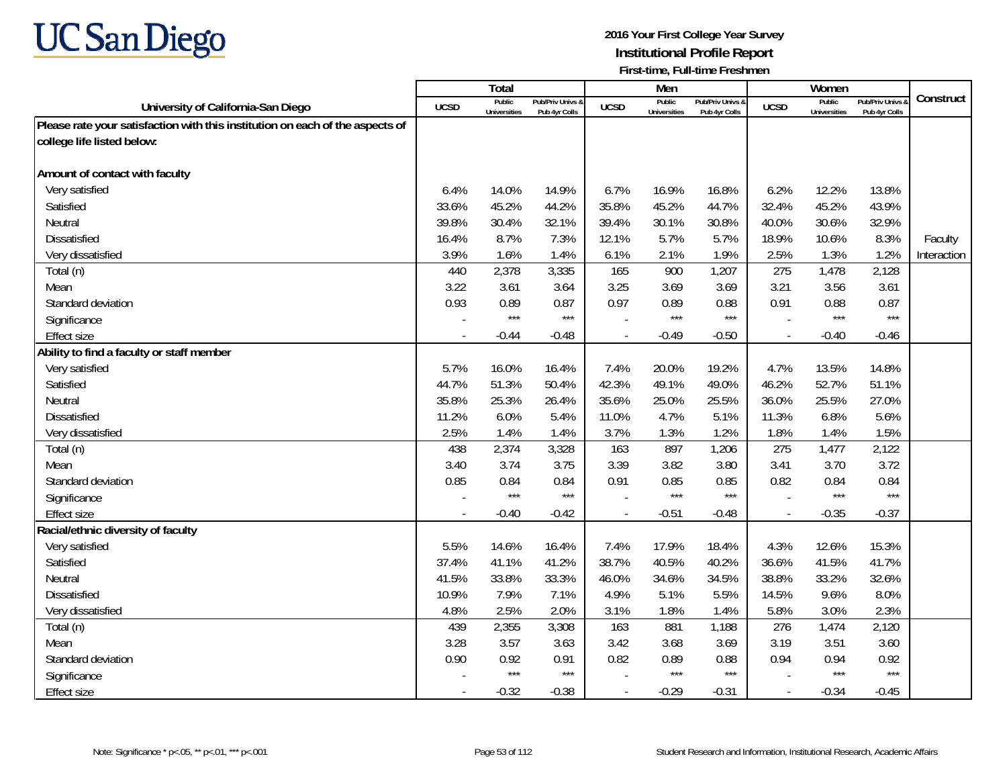

|                                                                               |             | Total                         |                                   |                          | Men                           |                                   |                          | Women                         |                                        |             |
|-------------------------------------------------------------------------------|-------------|-------------------------------|-----------------------------------|--------------------------|-------------------------------|-----------------------------------|--------------------------|-------------------------------|----------------------------------------|-------------|
| University of California-San Diego                                            | <b>UCSD</b> | Public<br><b>Universities</b> | Pub/Priv Univs &<br>Pub 4yr Colls | <b>UCSD</b>              | Public<br><b>Universities</b> | Pub/Priv Univs &<br>Pub 4yr Colls | <b>UCSD</b>              | Public<br><b>Universities</b> | <b>Pub/Priv Univs</b><br>Pub 4yr Colls | Construct   |
| Please rate your satisfaction with this institution on each of the aspects of |             |                               |                                   |                          |                               |                                   |                          |                               |                                        |             |
| college life listed below:                                                    |             |                               |                                   |                          |                               |                                   |                          |                               |                                        |             |
|                                                                               |             |                               |                                   |                          |                               |                                   |                          |                               |                                        |             |
| Amount of contact with faculty                                                |             |                               |                                   |                          |                               |                                   |                          |                               |                                        |             |
| Very satisfied                                                                | 6.4%        | 14.0%                         | 14.9%                             | 6.7%                     | 16.9%                         | 16.8%                             | 6.2%                     | 12.2%                         | 13.8%                                  |             |
| Satisfied                                                                     | 33.6%       | 45.2%                         | 44.2%                             | 35.8%                    | 45.2%                         | 44.7%                             | 32.4%                    | 45.2%                         | 43.9%                                  |             |
| Neutral                                                                       | 39.8%       | 30.4%                         | 32.1%                             | 39.4%                    | 30.1%                         | 30.8%                             | 40.0%                    | 30.6%                         | 32.9%                                  |             |
| Dissatisfied                                                                  | 16.4%       | 8.7%                          | 7.3%                              | 12.1%                    | 5.7%                          | 5.7%                              | 18.9%                    | 10.6%                         | 8.3%                                   | Faculty     |
| Very dissatisfied                                                             | 3.9%        | 1.6%                          | 1.4%                              | 6.1%                     | 2.1%                          | 1.9%                              | 2.5%                     | 1.3%                          | 1.2%                                   | Interaction |
| Total (n)                                                                     | 440         | 2,378                         | 3,335                             | 165                      | 900                           | 1,207                             | 275                      | 1,478                         | 2,128                                  |             |
| Mean                                                                          | 3.22        | 3.61                          | 3.64                              | 3.25                     | 3.69                          | 3.69                              | 3.21                     | 3.56                          | 3.61                                   |             |
| Standard deviation                                                            | 0.93        | 0.89                          | 0.87                              | 0.97                     | 0.89                          | 0.88                              | 0.91                     | 0.88                          | 0.87                                   |             |
| Significance                                                                  |             | $***$                         | $***$                             |                          | $***$                         | $***$                             |                          | $***$                         | $***$                                  |             |
| <b>Effect size</b>                                                            |             | $-0.44$                       | $-0.48$                           |                          | $-0.49$                       | $-0.50$                           | $\overline{a}$           | $-0.40$                       | $-0.46$                                |             |
| Ability to find a faculty or staff member                                     |             |                               |                                   |                          |                               |                                   |                          |                               |                                        |             |
| Very satisfied                                                                | 5.7%        | 16.0%                         | 16.4%                             | 7.4%                     | 20.0%                         | 19.2%                             | 4.7%                     | 13.5%                         | 14.8%                                  |             |
| Satisfied                                                                     | 44.7%       | 51.3%                         | 50.4%                             | 42.3%                    | 49.1%                         | 49.0%                             | 46.2%                    | 52.7%                         | 51.1%                                  |             |
| Neutral                                                                       | 35.8%       | 25.3%                         | 26.4%                             | 35.6%                    | 25.0%                         | 25.5%                             | 36.0%                    | 25.5%                         | 27.0%                                  |             |
| <b>Dissatisfied</b>                                                           | 11.2%       | 6.0%                          | 5.4%                              | 11.0%                    | 4.7%                          | 5.1%                              | 11.3%                    | 6.8%                          | 5.6%                                   |             |
| Very dissatisfied                                                             | 2.5%        | 1.4%                          | 1.4%                              | 3.7%                     | 1.3%                          | 1.2%                              | 1.8%                     | 1.4%                          | 1.5%                                   |             |
| Total (n)                                                                     | 438         | 2,374                         | 3,328                             | 163                      | 897                           | 1,206                             | 275                      | 1,477                         | 2,122                                  |             |
| Mean                                                                          | 3.40        | 3.74                          | 3.75                              | 3.39                     | 3.82                          | 3.80                              | 3.41                     | 3.70                          | 3.72                                   |             |
| Standard deviation                                                            | 0.85        | 0.84                          | 0.84                              | 0.91                     | 0.85                          | 0.85                              | 0.82                     | 0.84                          | 0.84                                   |             |
| Significance                                                                  |             | $***$                         | $***$                             |                          | $***$                         | $***$                             |                          | $***$                         | $***$                                  |             |
| <b>Effect size</b>                                                            | $\sim$      | $-0.40$                       | $-0.42$                           | $\overline{\phantom{a}}$ | $-0.51$                       | $-0.48$                           | $\overline{\phantom{a}}$ | $-0.35$                       | $-0.37$                                |             |
| Racial/ethnic diversity of faculty                                            |             |                               |                                   |                          |                               |                                   |                          |                               |                                        |             |
| Very satisfied                                                                | 5.5%        | 14.6%                         | 16.4%                             | 7.4%                     | 17.9%                         | 18.4%                             | 4.3%                     | 12.6%                         | 15.3%                                  |             |
| Satisfied                                                                     | 37.4%       | 41.1%                         | 41.2%                             | 38.7%                    | 40.5%                         | 40.2%                             | 36.6%                    | 41.5%                         | 41.7%                                  |             |
| Neutral                                                                       | 41.5%       | 33.8%                         | 33.3%                             | 46.0%                    | 34.6%                         | 34.5%                             | 38.8%                    | 33.2%                         | 32.6%                                  |             |
| <b>Dissatisfied</b>                                                           | 10.9%       | 7.9%                          | 7.1%                              | 4.9%                     | 5.1%                          | 5.5%                              | 14.5%                    | 9.6%                          | 8.0%                                   |             |
| Very dissatisfied                                                             | 4.8%        | 2.5%                          | 2.0%                              | 3.1%                     | 1.8%                          | 1.4%                              | 5.8%                     | 3.0%                          | 2.3%                                   |             |
| Total (n)                                                                     | 439         | 2,355                         | 3,308                             | 163                      | 881                           | 1,188                             | 276                      | 1,474                         | 2,120                                  |             |
| Mean                                                                          | 3.28        | 3.57                          | 3.63                              | 3.42                     | 3.68                          | 3.69                              | 3.19                     | 3.51                          | 3.60                                   |             |
| Standard deviation                                                            | 0.90        | 0.92                          | 0.91                              | 0.82                     | 0.89                          | 0.88                              | 0.94                     | 0.94                          | 0.92                                   |             |
| Significance                                                                  |             | $***$                         | $***$                             |                          | $***$                         | $***$                             |                          | $***$                         | $***$                                  |             |
| <b>Effect size</b>                                                            | $\sim$      | $-0.32$                       | $-0.38$                           |                          | $-0.29$                       | $-0.31$                           | $\blacksquare$           | $-0.34$                       | $-0.45$                                |             |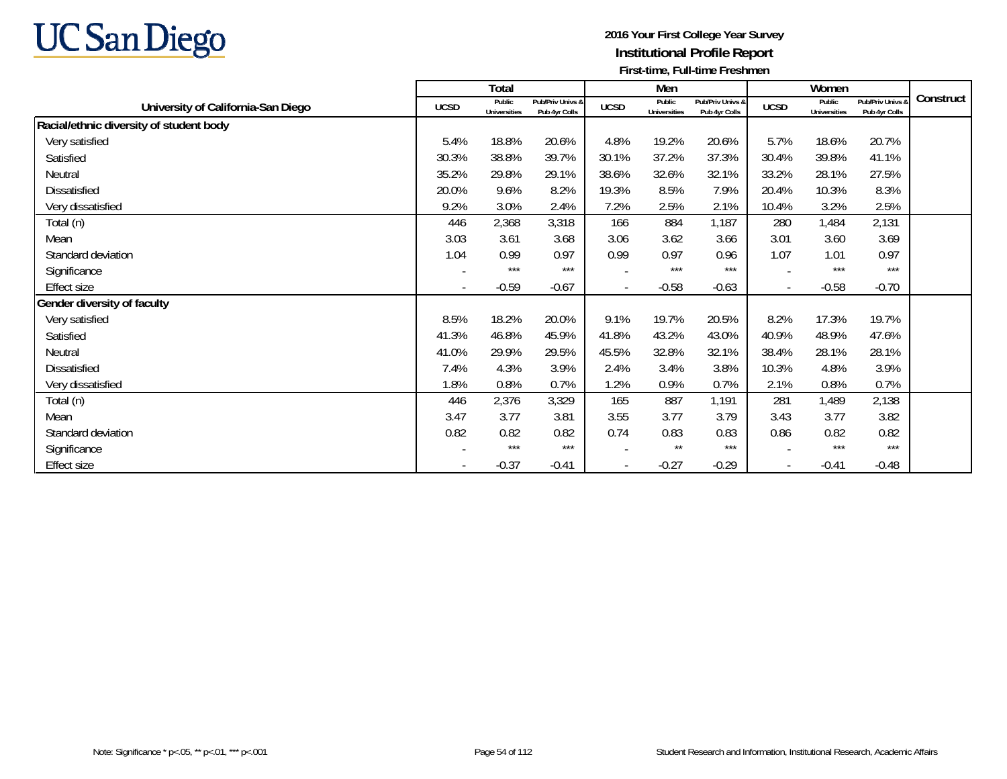

|                                         |                          | Total                         |                                   |                | Men                           |                                   |                          | Women                         |                                   |           |
|-----------------------------------------|--------------------------|-------------------------------|-----------------------------------|----------------|-------------------------------|-----------------------------------|--------------------------|-------------------------------|-----------------------------------|-----------|
| University of California-San Diego      | <b>UCSD</b>              | Public<br><b>Universities</b> | Pub/Priv Univs &<br>Pub 4yr Colls | <b>UCSD</b>    | Public<br><b>Universities</b> | Pub/Priv Univs &<br>Pub 4yr Colls | <b>UCSD</b>              | Public<br><b>Universities</b> | Pub/Priv Univs &<br>Pub 4yr Colls | Construct |
| Racial/ethnic diversity of student body |                          |                               |                                   |                |                               |                                   |                          |                               |                                   |           |
| Very satisfied                          | 5.4%                     | 18.8%                         | 20.6%                             | 4.8%           | 19.2%                         | 20.6%                             | 5.7%                     | 18.6%                         | 20.7%                             |           |
| Satisfied                               | 30.3%                    | 38.8%                         | 39.7%                             | 30.1%          | 37.2%                         | 37.3%                             | 30.4%                    | 39.8%                         | 41.1%                             |           |
| Neutral                                 | 35.2%                    | 29.8%                         | 29.1%                             | 38.6%          | 32.6%                         | 32.1%                             | 33.2%                    | 28.1%                         | 27.5%                             |           |
| Dissatisfied                            | 20.0%                    | 9.6%                          | 8.2%                              | 19.3%          | 8.5%                          | 7.9%                              | 20.4%                    | 10.3%                         | 8.3%                              |           |
| Very dissatisfied                       | 9.2%                     | 3.0%                          | 2.4%                              | 7.2%           | 2.5%                          | 2.1%                              | 10.4%                    | 3.2%                          | 2.5%                              |           |
| Total (n)                               | 446                      | 2,368                         | 3,318                             | 166            | 884                           | 1,187                             | 280                      | 1,484                         | 2,131                             |           |
| Mean                                    | 3.03                     | 3.61                          | 3.68                              | 3.06           | 3.62                          | 3.66                              | 3.01                     | 3.60                          | 3.69                              |           |
| Standard deviation                      | 1.04                     | 0.99                          | 0.97                              | 0.99           | 0.97                          | 0.96                              | 1.07                     | 1.01                          | 0.97                              |           |
| Significance                            |                          | $***$                         | $***$                             |                | $***$                         | $***$                             |                          | $***$                         | $***$                             |           |
| Effect size                             | $\overline{\phantom{a}}$ | $-0.59$                       | $-0.67$                           | $\blacksquare$ | $-0.58$                       | $-0.63$                           | $\blacksquare$           | $-0.58$                       | $-0.70$                           |           |
| Gender diversity of faculty             |                          |                               |                                   |                |                               |                                   |                          |                               |                                   |           |
| Very satisfied                          | 8.5%                     | 18.2%                         | 20.0%                             | 9.1%           | 19.7%                         | 20.5%                             | 8.2%                     | 17.3%                         | 19.7%                             |           |
| Satisfied                               | 41.3%                    | 46.8%                         | 45.9%                             | 41.8%          | 43.2%                         | 43.0%                             | 40.9%                    | 48.9%                         | 47.6%                             |           |
| Neutral                                 | 41.0%                    | 29.9%                         | 29.5%                             | 45.5%          | 32.8%                         | 32.1%                             | 38.4%                    | 28.1%                         | 28.1%                             |           |
| Dissatisfied                            | 7.4%                     | 4.3%                          | 3.9%                              | 2.4%           | 3.4%                          | 3.8%                              | 10.3%                    | 4.8%                          | 3.9%                              |           |
| Very dissatisfied                       | 1.8%                     | 0.8%                          | 0.7%                              | 1.2%           | 0.9%                          | 0.7%                              | 2.1%                     | 0.8%                          | 0.7%                              |           |
| Total (n)                               | 446                      | 2,376                         | 3,329                             | 165            | 887                           | 1,191                             | 281                      | 1,489                         | 2,138                             |           |
| Mean                                    | 3.47                     | 3.77                          | 3.81                              | 3.55           | 3.77                          | 3.79                              | 3.43                     | 3.77                          | 3.82                              |           |
| Standard deviation                      | 0.82                     | 0.82                          | 0.82                              | 0.74           | 0.83                          | 0.83                              | 0.86                     | 0.82                          | 0.82                              |           |
| Significance                            |                          | $***$                         | $***$                             |                | $***$                         | $***$                             |                          | $***$                         | $***$                             |           |
| Effect size                             |                          | $-0.37$                       | $-0.41$                           |                | $-0.27$                       | $-0.29$                           | $\overline{\phantom{a}}$ | $-0.41$                       | $-0.48$                           |           |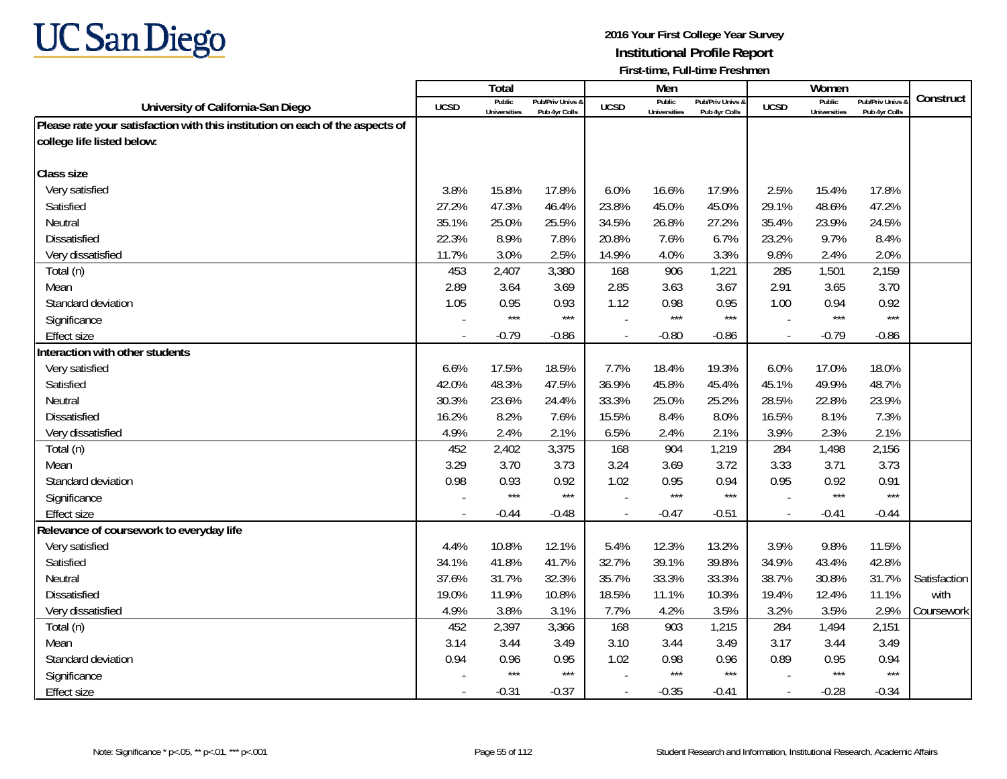

|                                                                               |                | Total                         |                                   |                          | Men                    |                                   |                          | Women                         |                                        |              |
|-------------------------------------------------------------------------------|----------------|-------------------------------|-----------------------------------|--------------------------|------------------------|-----------------------------------|--------------------------|-------------------------------|----------------------------------------|--------------|
| University of California-San Diego                                            | <b>UCSD</b>    | Public<br><b>Universities</b> | Pub/Priv Univs 8<br>Pub 4yr Colls | <b>UCSD</b>              | Public<br>Universities | Pub/Priv Univs &<br>Pub 4yr Colls | <b>UCSD</b>              | Public<br><b>Universities</b> | <b>Pub/Priv Univs</b><br>Pub 4yr Colls | Construct    |
| Please rate your satisfaction with this institution on each of the aspects of |                |                               |                                   |                          |                        |                                   |                          |                               |                                        |              |
| college life listed below:                                                    |                |                               |                                   |                          |                        |                                   |                          |                               |                                        |              |
|                                                                               |                |                               |                                   |                          |                        |                                   |                          |                               |                                        |              |
| <b>Class size</b>                                                             |                |                               |                                   |                          |                        |                                   |                          |                               |                                        |              |
| Very satisfied                                                                | 3.8%           | 15.8%                         | 17.8%                             | 6.0%                     | 16.6%                  | 17.9%                             | 2.5%                     | 15.4%                         | 17.8%                                  |              |
| Satisfied                                                                     | 27.2%          | 47.3%                         | 46.4%                             | 23.8%                    | 45.0%                  | 45.0%                             | 29.1%                    | 48.6%                         | 47.2%                                  |              |
| Neutral                                                                       | 35.1%          | 25.0%                         | 25.5%                             | 34.5%                    | 26.8%                  | 27.2%                             | 35.4%                    | 23.9%                         | 24.5%                                  |              |
| Dissatisfied                                                                  | 22.3%          | 8.9%                          | 7.8%                              | 20.8%                    | 7.6%                   | 6.7%                              | 23.2%                    | 9.7%                          | 8.4%                                   |              |
| Very dissatisfied                                                             | 11.7%          | 3.0%                          | 2.5%                              | 14.9%                    | 4.0%                   | 3.3%                              | 9.8%                     | 2.4%                          | 2.0%                                   |              |
| Total (n)                                                                     | 453            | 2,407                         | 3,380                             | 168                      | 906                    | 1,221                             | 285                      | 1,501                         | 2,159                                  |              |
| Mean                                                                          | 2.89           | 3.64                          | 3.69                              | 2.85                     | 3.63                   | 3.67                              | 2.91                     | 3.65                          | 3.70                                   |              |
| Standard deviation                                                            | 1.05           | 0.95                          | 0.93                              | 1.12                     | 0.98                   | 0.95                              | 1.00                     | 0.94                          | 0.92                                   |              |
| Significance                                                                  |                | $***$                         | $***$                             |                          | $***$                  | $***$                             |                          | $***$                         | $***$                                  |              |
| <b>Effect size</b>                                                            | $\overline{a}$ | $-0.79$                       | $-0.86$                           | $\overline{a}$           | $-0.80$                | $-0.86$                           | $\overline{\phantom{a}}$ | $-0.79$                       | $-0.86$                                |              |
| Interaction with other students                                               |                |                               |                                   |                          |                        |                                   |                          |                               |                                        |              |
| Very satisfied                                                                | 6.6%           | 17.5%                         | 18.5%                             | 7.7%                     | 18.4%                  | 19.3%                             | 6.0%                     | 17.0%                         | 18.0%                                  |              |
| Satisfied                                                                     | 42.0%          | 48.3%                         | 47.5%                             | 36.9%                    | 45.8%                  | 45.4%                             | 45.1%                    | 49.9%                         | 48.7%                                  |              |
| Neutral                                                                       | 30.3%          | 23.6%                         | 24.4%                             | 33.3%                    | 25.0%                  | 25.2%                             | 28.5%                    | 22.8%                         | 23.9%                                  |              |
| Dissatisfied                                                                  | 16.2%          | 8.2%                          | 7.6%                              | 15.5%                    | 8.4%                   | 8.0%                              | 16.5%                    | 8.1%                          | 7.3%                                   |              |
| Very dissatisfied                                                             | 4.9%           | 2.4%                          | 2.1%                              | 6.5%                     | 2.4%                   | 2.1%                              | 3.9%                     | 2.3%                          | 2.1%                                   |              |
| Total (n)                                                                     | 452            | 2,402                         | 3,375                             | 168                      | 904                    | 1,219                             | 284                      | 1,498                         | 2,156                                  |              |
| Mean                                                                          | 3.29           | 3.70                          | 3.73                              | 3.24                     | 3.69                   | 3.72                              | 3.33                     | 3.71                          | 3.73                                   |              |
| Standard deviation                                                            | 0.98           | 0.93                          | 0.92                              | 1.02                     | 0.95                   | 0.94                              | 0.95                     | 0.92                          | 0.91                                   |              |
| Significance                                                                  |                | $***$                         | $***$                             |                          | $***$                  | $***$                             |                          | $***$                         | $***$                                  |              |
| <b>Effect size</b>                                                            | $\blacksquare$ | $-0.44$                       | $-0.48$                           | $\overline{\phantom{a}}$ | $-0.47$                | $-0.51$                           | $\sim$                   | $-0.41$                       | $-0.44$                                |              |
| Relevance of coursework to everyday life                                      |                |                               |                                   |                          |                        |                                   |                          |                               |                                        |              |
| Very satisfied                                                                | 4.4%           | 10.8%                         | 12.1%                             | 5.4%                     | 12.3%                  | 13.2%                             | 3.9%                     | 9.8%                          | 11.5%                                  |              |
| Satisfied                                                                     | 34.1%          | 41.8%                         | 41.7%                             | 32.7%                    | 39.1%                  | 39.8%                             | 34.9%                    | 43.4%                         | 42.8%                                  |              |
| Neutral                                                                       | 37.6%          | 31.7%                         | 32.3%                             | 35.7%                    | 33.3%                  | 33.3%                             | 38.7%                    | 30.8%                         | 31.7%                                  | Satisfaction |
| <b>Dissatisfied</b>                                                           | 19.0%          | 11.9%                         | 10.8%                             | 18.5%                    | 11.1%                  | 10.3%                             | 19.4%                    | 12.4%                         | 11.1%                                  | with         |
| Very dissatisfied                                                             | 4.9%           | 3.8%                          | 3.1%                              | 7.7%                     | 4.2%                   | 3.5%                              | 3.2%                     | 3.5%                          | 2.9%                                   | Coursework   |
| Total (n)                                                                     | 452            | 2,397                         | 3,366                             | 168                      | 903                    | 1,215                             | 284                      | 1,494                         | 2,151                                  |              |
| Mean                                                                          | 3.14           | 3.44                          | 3.49                              | 3.10                     | 3.44                   | 3.49                              | 3.17                     | 3.44                          | 3.49                                   |              |
| Standard deviation                                                            | 0.94           | 0.96                          | 0.95                              | 1.02                     | 0.98                   | 0.96                              | 0.89                     | 0.95                          | 0.94                                   |              |
| Significance                                                                  |                | $***$                         | $***$                             |                          | $***$                  | $***$                             |                          | $***$                         | $***$                                  |              |
| <b>Effect size</b>                                                            | $\blacksquare$ | $-0.31$                       | $-0.37$                           | $\blacksquare$           | $-0.35$                | $-0.41$                           | $\overline{\phantom{a}}$ | $-0.28$                       | $-0.34$                                |              |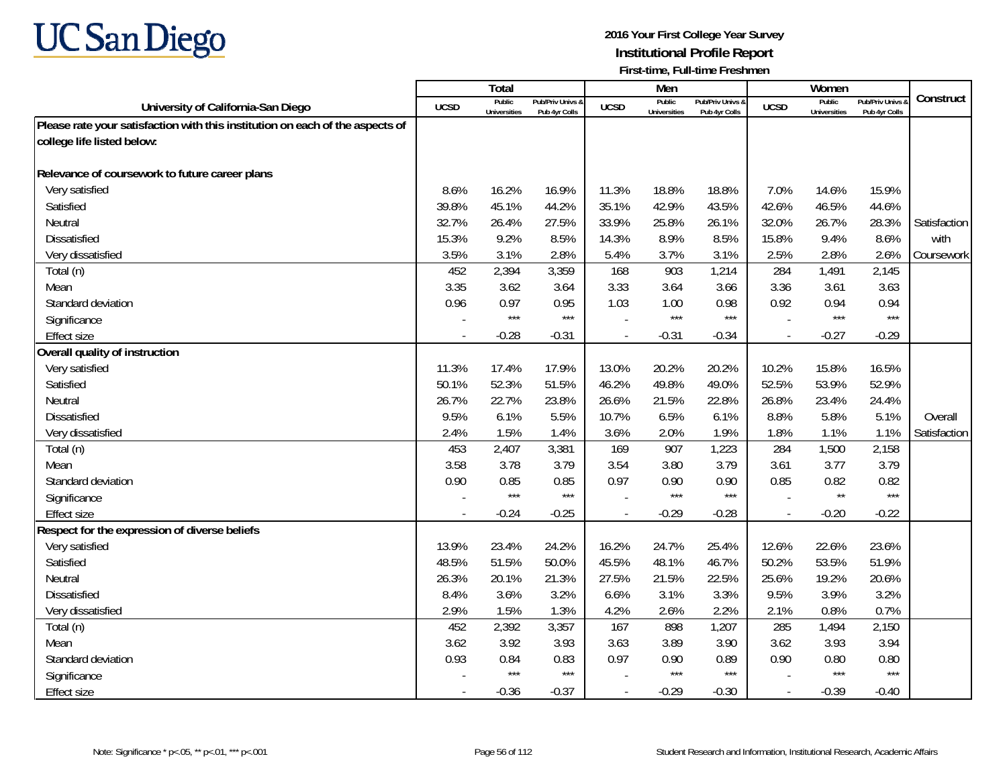

|                                                                               |             | <b>Total</b>                  |                                   |             | Men                           |                                   |                          | Women                         |                                        |              |
|-------------------------------------------------------------------------------|-------------|-------------------------------|-----------------------------------|-------------|-------------------------------|-----------------------------------|--------------------------|-------------------------------|----------------------------------------|--------------|
| University of California-San Diego                                            | <b>UCSD</b> | Public<br><b>Universities</b> | Pub/Priv Univs &<br>Pub 4yr Colls | <b>UCSD</b> | Public<br><b>Universities</b> | Pub/Priv Univs &<br>Pub 4yr Colls | <b>UCSD</b>              | Public<br><b>Universities</b> | <b>Pub/Priv Univs</b><br>Pub 4yr Colls | Construct    |
| Please rate your satisfaction with this institution on each of the aspects of |             |                               |                                   |             |                               |                                   |                          |                               |                                        |              |
| college life listed below:                                                    |             |                               |                                   |             |                               |                                   |                          |                               |                                        |              |
|                                                                               |             |                               |                                   |             |                               |                                   |                          |                               |                                        |              |
| Relevance of coursework to future career plans                                |             |                               |                                   |             |                               |                                   |                          |                               |                                        |              |
| Very satisfied                                                                | 8.6%        | 16.2%                         | 16.9%                             | 11.3%       | 18.8%                         | 18.8%                             | 7.0%                     | 14.6%                         | 15.9%                                  |              |
| Satisfied                                                                     | 39.8%       | 45.1%                         | 44.2%                             | 35.1%       | 42.9%                         | 43.5%                             | 42.6%                    | 46.5%                         | 44.6%                                  |              |
| Neutral                                                                       | 32.7%       | 26.4%                         | 27.5%                             | 33.9%       | 25.8%                         | 26.1%                             | 32.0%                    | 26.7%                         | 28.3%                                  | Satisfaction |
| Dissatisfied                                                                  | 15.3%       | 9.2%                          | 8.5%                              | 14.3%       | 8.9%                          | 8.5%                              | 15.8%                    | 9.4%                          | 8.6%                                   | with         |
| Very dissatisfied                                                             | 3.5%        | 3.1%                          | 2.8%                              | 5.4%        | 3.7%                          | 3.1%                              | 2.5%                     | 2.8%                          | 2.6%                                   | Coursework   |
| Total (n)                                                                     | 452         | 2,394                         | 3,359                             | 168         | 903                           | 1,214                             | 284                      | 1,491                         | 2,145                                  |              |
| Mean                                                                          | 3.35        | 3.62                          | 3.64                              | 3.33        | 3.64                          | 3.66                              | 3.36                     | 3.61                          | 3.63                                   |              |
| Standard deviation                                                            | 0.96        | 0.97                          | 0.95                              | 1.03        | 1.00                          | 0.98                              | 0.92                     | 0.94                          | 0.94                                   |              |
| Significance                                                                  |             | $***$                         | $***$                             |             | ***                           | $***$                             |                          | $***$                         | $***$                                  |              |
| <b>Effect size</b>                                                            | $\sim$      | $-0.28$                       | $-0.31$                           |             | $-0.31$                       | $-0.34$                           | $\overline{a}$           | $-0.27$                       | $-0.29$                                |              |
| Overall quality of instruction                                                |             |                               |                                   |             |                               |                                   |                          |                               |                                        |              |
| Very satisfied                                                                | 11.3%       | 17.4%                         | 17.9%                             | 13.0%       | 20.2%                         | 20.2%                             | 10.2%                    | 15.8%                         | 16.5%                                  |              |
| Satisfied                                                                     | 50.1%       | 52.3%                         | 51.5%                             | 46.2%       | 49.8%                         | 49.0%                             | 52.5%                    | 53.9%                         | 52.9%                                  |              |
| Neutral                                                                       | 26.7%       | 22.7%                         | 23.8%                             | 26.6%       | 21.5%                         | 22.8%                             | 26.8%                    | 23.4%                         | 24.4%                                  |              |
| <b>Dissatisfied</b>                                                           | 9.5%        | 6.1%                          | 5.5%                              | 10.7%       | 6.5%                          | 6.1%                              | 8.8%                     | 5.8%                          | 5.1%                                   | Overall      |
| Very dissatisfied                                                             | 2.4%        | 1.5%                          | 1.4%                              | 3.6%        | 2.0%                          | 1.9%                              | 1.8%                     | 1.1%                          | 1.1%                                   | Satisfaction |
| Total (n)                                                                     | 453         | 2,407                         | 3,381                             | 169         | 907                           | 1,223                             | 284                      | 1,500                         | 2,158                                  |              |
| Mean                                                                          | 3.58        | 3.78                          | 3.79                              | 3.54        | 3.80                          | 3.79                              | 3.61                     | 3.77                          | 3.79                                   |              |
| Standard deviation                                                            | 0.90        | 0.85                          | 0.85                              | 0.97        | 0.90                          | 0.90                              | 0.85                     | 0.82                          | 0.82                                   |              |
| Significance                                                                  |             | $***$                         | $***$                             |             | ***                           | $***$                             |                          | $\star\star$                  | $***$                                  |              |
| <b>Effect size</b>                                                            | $\sim$      | $-0.24$                       | $-0.25$                           | $\sim$      | $-0.29$                       | $-0.28$                           | $\overline{\phantom{a}}$ | $-0.20$                       | $-0.22$                                |              |
| Respect for the expression of diverse beliefs                                 |             |                               |                                   |             |                               |                                   |                          |                               |                                        |              |
| Very satisfied                                                                | 13.9%       | 23.4%                         | 24.2%                             | 16.2%       | 24.7%                         | 25.4%                             | 12.6%                    | 22.6%                         | 23.6%                                  |              |
| Satisfied                                                                     | 48.5%       | 51.5%                         | 50.0%                             | 45.5%       | 48.1%                         | 46.7%                             | 50.2%                    | 53.5%                         | 51.9%                                  |              |
| Neutral                                                                       | 26.3%       | 20.1%                         | 21.3%                             | 27.5%       | 21.5%                         | 22.5%                             | 25.6%                    | 19.2%                         | 20.6%                                  |              |
| <b>Dissatisfied</b>                                                           | 8.4%        | 3.6%                          | 3.2%                              | 6.6%        | 3.1%                          | 3.3%                              | 9.5%                     | 3.9%                          | 3.2%                                   |              |
| Very dissatisfied                                                             | 2.9%        | 1.5%                          | 1.3%                              | 4.2%        | 2.6%                          | 2.2%                              | 2.1%                     | 0.8%                          | 0.7%                                   |              |
| Total (n)                                                                     | 452         | 2,392                         | 3,357                             | 167         | 898                           | 1,207                             | 285                      | 1,494                         | 2,150                                  |              |
| Mean                                                                          | 3.62        | 3.92                          | 3.93                              | 3.63        | 3.89                          | 3.90                              | 3.62                     | 3.93                          | 3.94                                   |              |
| Standard deviation                                                            | 0.93        | 0.84                          | 0.83                              | 0.97        | 0.90                          | 0.89                              | 0.90                     | 0.80                          | 0.80                                   |              |
| Significance                                                                  |             | $***$                         | $***$                             |             | $***$                         | $***$                             |                          | $***$                         | $***$                                  |              |
| <b>Effect size</b>                                                            | $\sim$      | $-0.36$                       | $-0.37$                           |             | $-0.29$                       | $-0.30$                           | $\blacksquare$           | $-0.39$                       | $-0.40$                                |              |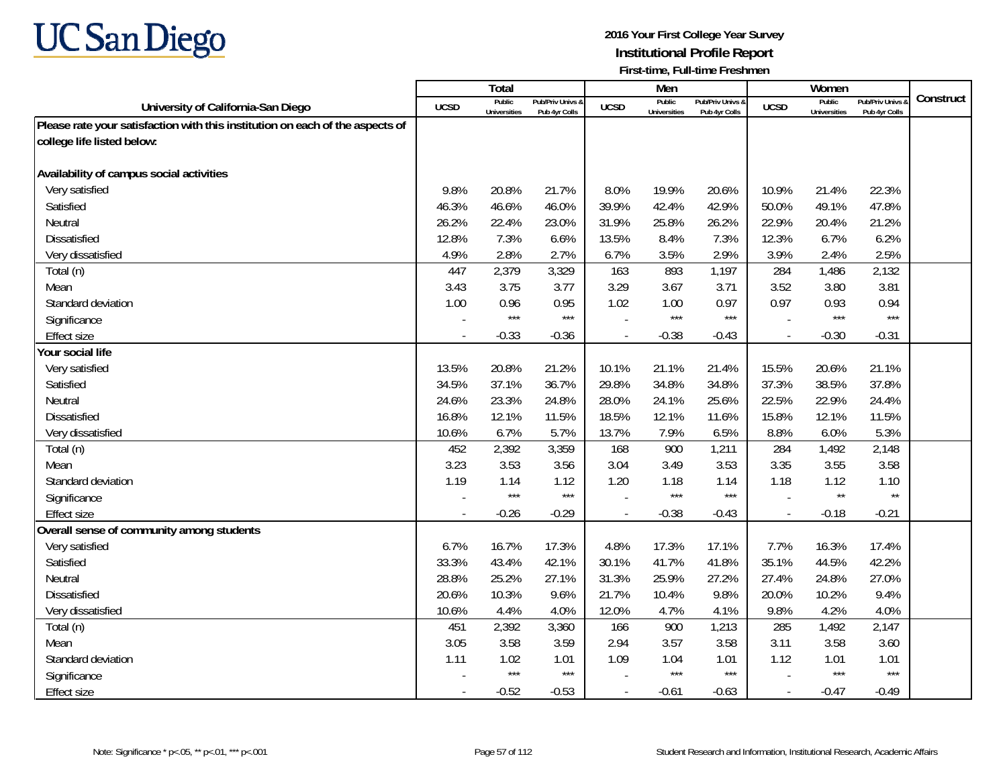

|                                                                               |             | <b>Total</b>                  |                                   |             | Men                           |                                   |                          | Women                         |                                        |           |
|-------------------------------------------------------------------------------|-------------|-------------------------------|-----------------------------------|-------------|-------------------------------|-----------------------------------|--------------------------|-------------------------------|----------------------------------------|-----------|
| University of California-San Diego                                            | <b>UCSD</b> | Public<br><b>Universities</b> | Pub/Priv Univs &<br>Pub 4yr Colls | <b>UCSD</b> | Public<br><b>Universities</b> | Pub/Priv Univs &<br>Pub 4yr Colls | <b>UCSD</b>              | Public<br><b>Universities</b> | <b>Pub/Priv Univs</b><br>Pub 4yr Colls | Construct |
| Please rate your satisfaction with this institution on each of the aspects of |             |                               |                                   |             |                               |                                   |                          |                               |                                        |           |
| college life listed below:                                                    |             |                               |                                   |             |                               |                                   |                          |                               |                                        |           |
|                                                                               |             |                               |                                   |             |                               |                                   |                          |                               |                                        |           |
| Availability of campus social activities                                      |             |                               |                                   |             |                               |                                   |                          |                               |                                        |           |
| Very satisfied                                                                | 9.8%        | 20.8%                         | 21.7%                             | 8.0%        | 19.9%                         | 20.6%                             | 10.9%                    | 21.4%                         | 22.3%                                  |           |
| Satisfied                                                                     | 46.3%       | 46.6%                         | 46.0%                             | 39.9%       | 42.4%                         | 42.9%                             | 50.0%                    | 49.1%                         | 47.8%                                  |           |
| Neutral                                                                       | 26.2%       | 22.4%                         | 23.0%                             | 31.9%       | 25.8%                         | 26.2%                             | 22.9%                    | 20.4%                         | 21.2%                                  |           |
| Dissatisfied                                                                  | 12.8%       | 7.3%                          | 6.6%                              | 13.5%       | 8.4%                          | 7.3%                              | 12.3%                    | 6.7%                          | 6.2%                                   |           |
| Very dissatisfied                                                             | 4.9%        | 2.8%                          | 2.7%                              | 6.7%        | 3.5%                          | 2.9%                              | 3.9%                     | 2.4%                          | 2.5%                                   |           |
| Total (n)                                                                     | 447         | 2,379                         | 3,329                             | 163         | 893                           | 1,197                             | 284                      | 1,486                         | 2,132                                  |           |
| Mean                                                                          | 3.43        | 3.75                          | 3.77                              | 3.29        | 3.67                          | 3.71                              | 3.52                     | 3.80                          | 3.81                                   |           |
| Standard deviation                                                            | 1.00        | 0.96                          | 0.95                              | 1.02        | 1.00                          | 0.97                              | 0.97                     | 0.93                          | 0.94                                   |           |
| Significance                                                                  |             | $***$                         | $***$                             |             | $***$                         | $***$                             |                          | $***$                         | $***$                                  |           |
| <b>Effect size</b>                                                            | $\sim$      | $-0.33$                       | $-0.36$                           |             | $-0.38$                       | $-0.43$                           | $\overline{a}$           | $-0.30$                       | $-0.31$                                |           |
| Your social life                                                              |             |                               |                                   |             |                               |                                   |                          |                               |                                        |           |
| Very satisfied                                                                | 13.5%       | 20.8%                         | 21.2%                             | 10.1%       | 21.1%                         | 21.4%                             | 15.5%                    | 20.6%                         | 21.1%                                  |           |
| Satisfied                                                                     | 34.5%       | 37.1%                         | 36.7%                             | 29.8%       | 34.8%                         | 34.8%                             | 37.3%                    | 38.5%                         | 37.8%                                  |           |
| Neutral                                                                       | 24.6%       | 23.3%                         | 24.8%                             | 28.0%       | 24.1%                         | 25.6%                             | 22.5%                    | 22.9%                         | 24.4%                                  |           |
| <b>Dissatisfied</b>                                                           | 16.8%       | 12.1%                         | 11.5%                             | 18.5%       | 12.1%                         | 11.6%                             | 15.8%                    | 12.1%                         | 11.5%                                  |           |
| Very dissatisfied                                                             | 10.6%       | 6.7%                          | 5.7%                              | 13.7%       | 7.9%                          | 6.5%                              | 8.8%                     | 6.0%                          | 5.3%                                   |           |
| Total (n)                                                                     | 452         | 2,392                         | 3,359                             | 168         | 900                           | 1,211                             | 284                      | 1,492                         | 2,148                                  |           |
| Mean                                                                          | 3.23        | 3.53                          | 3.56                              | 3.04        | 3.49                          | 3.53                              | 3.35                     | 3.55                          | 3.58                                   |           |
| Standard deviation                                                            | 1.19        | 1.14                          | 1.12                              | 1.20        | 1.18                          | 1.14                              | 1.18                     | 1.12                          | 1.10                                   |           |
| Significance                                                                  |             | $***$                         | $***$                             |             | ***                           | $***$                             |                          | $\star\star$                  | $\star\star$                           |           |
| Effect size                                                                   | $\sim$      | $-0.26$                       | $-0.29$                           | $\sim$      | $-0.38$                       | $-0.43$                           | $\overline{\phantom{a}}$ | $-0.18$                       | $-0.21$                                |           |
| Overall sense of community among students                                     |             |                               |                                   |             |                               |                                   |                          |                               |                                        |           |
| Very satisfied                                                                | 6.7%        | 16.7%                         | 17.3%                             | 4.8%        | 17.3%                         | 17.1%                             | 7.7%                     | 16.3%                         | 17.4%                                  |           |
| Satisfied                                                                     | 33.3%       | 43.4%                         | 42.1%                             | 30.1%       | 41.7%                         | 41.8%                             | 35.1%                    | 44.5%                         | 42.2%                                  |           |
| Neutral                                                                       | 28.8%       | 25.2%                         | 27.1%                             | 31.3%       | 25.9%                         | 27.2%                             | 27.4%                    | 24.8%                         | 27.0%                                  |           |
| <b>Dissatisfied</b>                                                           | 20.6%       | 10.3%                         | 9.6%                              | 21.7%       | 10.4%                         | 9.8%                              | 20.0%                    | 10.2%                         | 9.4%                                   |           |
| Very dissatisfied                                                             | 10.6%       | 4.4%                          | 4.0%                              | 12.0%       | 4.7%                          | 4.1%                              | 9.8%                     | 4.2%                          | 4.0%                                   |           |
| Total (n)                                                                     | 451         | 2,392                         | 3,360                             | 166         | 900                           | 1,213                             | 285                      | 1,492                         | 2,147                                  |           |
| Mean                                                                          | 3.05        | 3.58                          | 3.59                              | 2.94        | 3.57                          | 3.58                              | 3.11                     | 3.58                          | 3.60                                   |           |
| Standard deviation                                                            | 1.11        | 1.02                          | 1.01                              | 1.09        | 1.04                          | 1.01                              | 1.12                     | 1.01                          | 1.01                                   |           |
| Significance                                                                  |             | $***$                         | $***$                             |             | ***                           | $***$                             |                          | $***$                         | $***$                                  |           |
| Effect size                                                                   | $\sim$      | $-0.52$                       | $-0.53$                           |             | $-0.61$                       | $-0.63$                           | $\blacksquare$           | $-0.47$                       | $-0.49$                                |           |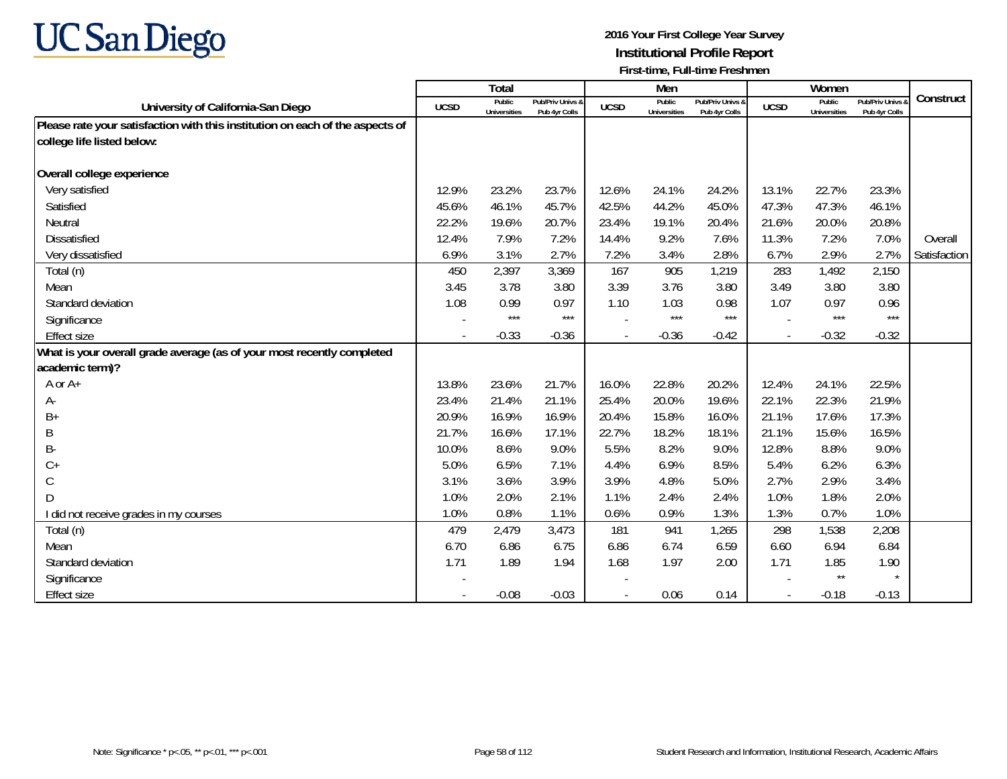

|                                                                               |             | Total                         |                                   |             | Men                           |                                   |             | Women                         |                                        |              |
|-------------------------------------------------------------------------------|-------------|-------------------------------|-----------------------------------|-------------|-------------------------------|-----------------------------------|-------------|-------------------------------|----------------------------------------|--------------|
| University of California-San Diego                                            | <b>UCSD</b> | Public<br><b>Universities</b> | Pub/Priv Univs &<br>Pub 4yr Colls | <b>UCSD</b> | Public<br><b>Universities</b> | Pub/Priv Univs &<br>Pub 4yr Colls | <b>UCSD</b> | Public<br><b>Universities</b> | <b>Pub/Priv Univs</b><br>Pub 4yr Colls | Construct    |
| Please rate your satisfaction with this institution on each of the aspects of |             |                               |                                   |             |                               |                                   |             |                               |                                        |              |
| college life listed below:                                                    |             |                               |                                   |             |                               |                                   |             |                               |                                        |              |
|                                                                               |             |                               |                                   |             |                               |                                   |             |                               |                                        |              |
| Overall college experience                                                    |             |                               |                                   |             |                               |                                   |             |                               |                                        |              |
| Very satisfied                                                                | 12.9%       | 23.2%                         | 23.7%                             | 12.6%       | 24.1%                         | 24.2%                             | 13.1%       | 22.7%                         | 23.3%                                  |              |
| Satisfied                                                                     | 45.6%       | 46.1%                         | 45.7%                             | 42.5%       | 44.2%                         | 45.0%                             | 47.3%       | 47.3%                         | 46.1%                                  |              |
| Neutral                                                                       | 22.2%       | 19.6%                         | 20.7%                             | 23.4%       | 19.1%                         | 20.4%                             | 21.6%       | 20.0%                         | 20.8%                                  |              |
| <b>Dissatisfied</b>                                                           | 12.4%       | 7.9%                          | 7.2%                              | 14.4%       | 9.2%                          | 7.6%                              | 11.3%       | 7.2%                          | 7.0%                                   | Overall      |
| Very dissatisfied                                                             | 6.9%        | 3.1%                          | 2.7%                              | 7.2%        | 3.4%                          | 2.8%                              | 6.7%        | 2.9%                          | 2.7%                                   | Satisfaction |
| Total (n)                                                                     | 450         | 2,397                         | 3,369                             | 167         | 905                           | 1,219                             | 283         | 1,492                         | 2,150                                  |              |
| Mean                                                                          | 3.45        | 3.78                          | 3.80                              | 3.39        | 3.76                          | 3.80                              | 3.49        | 3.80                          | 3.80                                   |              |
| Standard deviation                                                            | 1.08        | 0.99                          | 0.97                              | 1.10        | 1.03                          | 0.98                              | 1.07        | 0.97                          | 0.96                                   |              |
| Significance                                                                  |             | $***$                         | $***$                             |             | ***                           | $***$                             |             | $***$                         | $***$                                  |              |
| <b>Effect size</b>                                                            |             | $-0.33$                       | $-0.36$                           |             | $-0.36$                       | $-0.42$                           |             | $-0.32$                       | $-0.32$                                |              |
| What is your overall grade average (as of your most recently completed        |             |                               |                                   |             |                               |                                   |             |                               |                                        |              |
| academic term)?                                                               |             |                               |                                   |             |                               |                                   |             |                               |                                        |              |
| A or A+                                                                       | 13.8%       | 23.6%                         | 21.7%                             | 16.0%       | 22.8%                         | 20.2%                             | 12.4%       | 24.1%                         | 22.5%                                  |              |
| А-                                                                            | 23.4%       | 21.4%                         | 21.1%                             | 25.4%       | 20.0%                         | 19.6%                             | 22.1%       | 22.3%                         | 21.9%                                  |              |
| $B+$                                                                          | 20.9%       | 16.9%                         | 16.9%                             | 20.4%       | 15.8%                         | 16.0%                             | 21.1%       | 17.6%                         | 17.3%                                  |              |
| Β                                                                             | 21.7%       | 16.6%                         | 17.1%                             | 22.7%       | 18.2%                         | 18.1%                             | 21.1%       | 15.6%                         | 16.5%                                  |              |
| B-                                                                            | 10.0%       | 8.6%                          | 9.0%                              | 5.5%        | 8.2%                          | 9.0%                              | 12.8%       | 8.8%                          | 9.0%                                   |              |
| $C +$                                                                         | 5.0%        | 6.5%                          | 7.1%                              | 4.4%        | 6.9%                          | 8.5%                              | 5.4%        | 6.2%                          | 6.3%                                   |              |
| С                                                                             | 3.1%        | 3.6%                          | 3.9%                              | 3.9%        | 4.8%                          | 5.0%                              | 2.7%        | 2.9%                          | 3.4%                                   |              |
| D                                                                             | 1.0%        | 2.0%                          | 2.1%                              | 1.1%        | 2.4%                          | 2.4%                              | 1.0%        | 1.8%                          | 2.0%                                   |              |
| I did not receive grades in my courses                                        | 1.0%        | 0.8%                          | 1.1%                              | 0.6%        | 0.9%                          | 1.3%                              | 1.3%        | 0.7%                          | 1.0%                                   |              |
| Total (n)                                                                     | 479         | 2,479                         | 3,473                             | 181         | 941                           | 1,265                             | 298         | 1,538                         | 2,208                                  |              |
| Mean                                                                          | 6.70        | 6.86                          | 6.75                              | 6.86        | 6.74                          | 6.59                              | 6.60        | 6.94                          | 6.84                                   |              |
| Standard deviation                                                            | 1.71        | 1.89                          | 1.94                              | 1.68        | 1.97                          | 2.00                              | 1.71        | 1.85                          | 1.90                                   |              |
| Significance                                                                  |             |                               |                                   |             |                               |                                   |             | $\star\star$                  | $\star$                                |              |
| <b>Effect size</b>                                                            |             | $-0.08$                       | $-0.03$                           |             | 0.06                          | 0.14                              |             | $-0.18$                       | $-0.13$                                |              |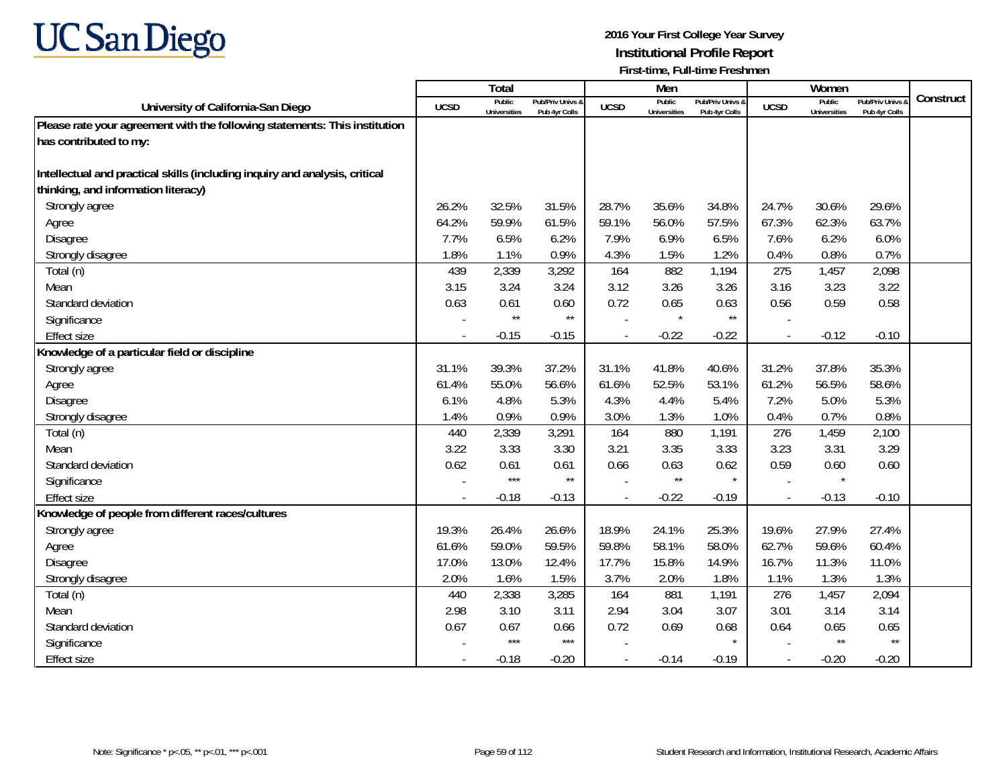

|                                                                             |             | Total                         |                                   |                | Men                           |                                   |                | Women                         |                                        |           |
|-----------------------------------------------------------------------------|-------------|-------------------------------|-----------------------------------|----------------|-------------------------------|-----------------------------------|----------------|-------------------------------|----------------------------------------|-----------|
| University of California-San Diego                                          | <b>UCSD</b> | Public<br><b>Universities</b> | Pub/Priv Univs &<br>Pub 4yr Colls | <b>UCSD</b>    | Public<br><b>Universities</b> | Pub/Priv Univs 8<br>Pub 4yr Colls | <b>UCSD</b>    | Public<br><b>Universities</b> | <b>Pub/Priv Univs</b><br>Pub 4yr Colls | Construct |
| Please rate your agreement with the following statements: This institution  |             |                               |                                   |                |                               |                                   |                |                               |                                        |           |
| has contributed to my:                                                      |             |                               |                                   |                |                               |                                   |                |                               |                                        |           |
|                                                                             |             |                               |                                   |                |                               |                                   |                |                               |                                        |           |
| Intellectual and practical skills (including inquiry and analysis, critical |             |                               |                                   |                |                               |                                   |                |                               |                                        |           |
| thinking, and information literacy)                                         |             |                               |                                   |                |                               |                                   |                |                               |                                        |           |
| Strongly agree                                                              | 26.2%       | 32.5%                         | 31.5%                             | 28.7%          | 35.6%                         | 34.8%                             | 24.7%          | 30.6%                         | 29.6%                                  |           |
| Agree                                                                       | 64.2%       | 59.9%                         | 61.5%                             | 59.1%          | 56.0%                         | 57.5%                             | 67.3%          | 62.3%                         | 63.7%                                  |           |
| <b>Disagree</b>                                                             | 7.7%        | 6.5%                          | 6.2%                              | 7.9%           | 6.9%                          | 6.5%                              | 7.6%           | 6.2%                          | 6.0%                                   |           |
| Strongly disagree                                                           | 1.8%        | 1.1%                          | 0.9%                              | 4.3%           | 1.5%                          | 1.2%                              | 0.4%           | 0.8%                          | 0.7%                                   |           |
| Total (n)                                                                   | 439         | 2,339                         | 3,292                             | 164            | 882                           | 1,194                             | 275            | 1,457                         | 2,098                                  |           |
| Mean                                                                        | 3.15        | 3.24                          | 3.24                              | 3.12           | 3.26                          | 3.26                              | 3.16           | 3.23                          | 3.22                                   |           |
| Standard deviation                                                          | 0.63        | 0.61                          | 0.60                              | 0.72           | 0.65                          | 0.63                              | 0.56           | 0.59                          | 0.58                                   |           |
| Significance                                                                |             | $\star\star$                  | $\star\star$                      |                | $\star$                       | $\star\star$                      |                |                               |                                        |           |
| <b>Effect size</b>                                                          | $\sim$      | $-0.15$                       | $-0.15$                           |                | $-0.22$                       | $-0.22$                           | $\blacksquare$ | $-0.12$                       | $-0.10$                                |           |
| Knowledge of a particular field or discipline                               |             |                               |                                   |                |                               |                                   |                |                               |                                        |           |
| Strongly agree                                                              | 31.1%       | 39.3%                         | 37.2%                             | 31.1%          | 41.8%                         | 40.6%                             | 31.2%          | 37.8%                         | 35.3%                                  |           |
| Agree                                                                       | 61.4%       | 55.0%                         | 56.6%                             | 61.6%          | 52.5%                         | 53.1%                             | 61.2%          | 56.5%                         | 58.6%                                  |           |
| Disagree                                                                    | 6.1%        | 4.8%                          | 5.3%                              | 4.3%           | 4.4%                          | 5.4%                              | 7.2%           | 5.0%                          | 5.3%                                   |           |
| Strongly disagree                                                           | 1.4%        | 0.9%                          | 0.9%                              | 3.0%           | 1.3%                          | 1.0%                              | 0.4%           | 0.7%                          | 0.8%                                   |           |
| Total (n)                                                                   | 440         | 2,339                         | 3,291                             | 164            | 880                           | 1,191                             | 276            | 1,459                         | 2,100                                  |           |
| Mean                                                                        | 3.22        | 3.33                          | 3.30                              | 3.21           | 3.35                          | 3.33                              | 3.23           | 3.31                          | 3.29                                   |           |
| Standard deviation                                                          | 0.62        | 0.61                          | 0.61                              | 0.66           | 0.63                          | 0.62                              | 0.59           | 0.60                          | 0.60                                   |           |
| Significance                                                                |             | $***$                         | $\star\star$                      |                | $\star\star$                  | $\star$                           | $\sim$         | $\star$                       |                                        |           |
| <b>Effect size</b>                                                          |             | $-0.18$                       | $-0.13$                           | $\overline{a}$ | $-0.22$                       | $-0.19$                           | $\overline{a}$ | $-0.13$                       | $-0.10$                                |           |
| Knowledge of people from different races/cultures                           |             |                               |                                   |                |                               |                                   |                |                               |                                        |           |
| Strongly agree                                                              | 19.3%       | 26.4%                         | 26.6%                             | 18.9%          | 24.1%                         | 25.3%                             | 19.6%          | 27.9%                         | 27.4%                                  |           |
| Agree                                                                       | 61.6%       | 59.0%                         | 59.5%                             | 59.8%          | 58.1%                         | 58.0%                             | 62.7%          | 59.6%                         | 60.4%                                  |           |
| Disagree                                                                    | 17.0%       | 13.0%                         | 12.4%                             | 17.7%          | 15.8%                         | 14.9%                             | 16.7%          | 11.3%                         | 11.0%                                  |           |
| Strongly disagree                                                           | 2.0%        | 1.6%                          | 1.5%                              | 3.7%           | 2.0%                          | 1.8%                              | 1.1%           | 1.3%                          | 1.3%                                   |           |
| Total (n)                                                                   | 440         | 2,338                         | 3,285                             | 164            | 881                           | 1,191                             | 276            | 1,457                         | 2,094                                  |           |
| Mean                                                                        | 2.98        | 3.10                          | 3.11                              | 2.94           | 3.04                          | 3.07                              | 3.01           | 3.14                          | 3.14                                   |           |
| Standard deviation                                                          | 0.67        | 0.67                          | 0.66                              | 0.72           | 0.69                          | 0.68                              | 0.64           | 0.65                          | 0.65                                   |           |
| Significance                                                                |             | ***                           | $***$                             |                |                               |                                   |                | $\star\star$                  | $\star\star$                           |           |
| <b>Effect size</b>                                                          |             | $-0.18$                       | $-0.20$                           | $\overline{a}$ | $-0.14$                       | $-0.19$                           | $\sim$         | $-0.20$                       | $-0.20$                                |           |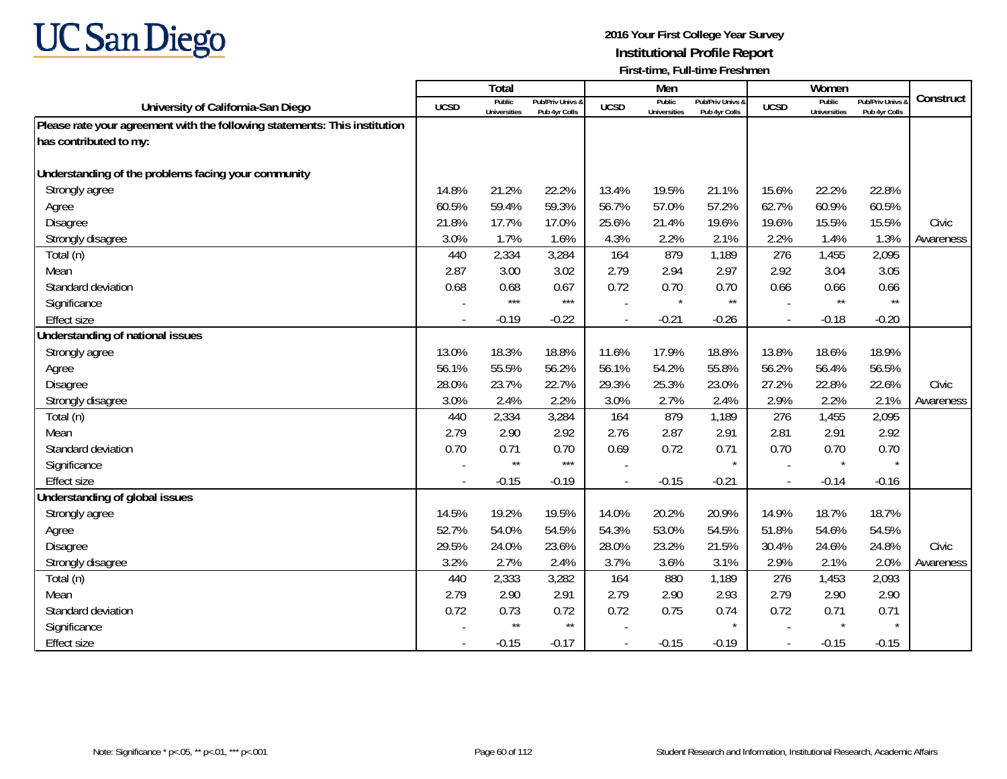

|                                                                            |             | <b>Total</b>                  |                                   |                | Men                           |                                   |                          | Women                         |                                        |           |
|----------------------------------------------------------------------------|-------------|-------------------------------|-----------------------------------|----------------|-------------------------------|-----------------------------------|--------------------------|-------------------------------|----------------------------------------|-----------|
| University of California-San Diego                                         | <b>UCSD</b> | Public<br><b>Universities</b> | Pub/Priv Univs &<br>Pub 4yr Colls | <b>UCSD</b>    | Public<br><b>Universities</b> | Pub/Priv Univs &<br>Pub 4yr Colls | <b>UCSD</b>              | Public<br><b>Universities</b> | <b>Pub/Priv Univs</b><br>Pub 4yr Colls | Construct |
| Please rate your agreement with the following statements: This institution |             |                               |                                   |                |                               |                                   |                          |                               |                                        |           |
| has contributed to my:                                                     |             |                               |                                   |                |                               |                                   |                          |                               |                                        |           |
|                                                                            |             |                               |                                   |                |                               |                                   |                          |                               |                                        |           |
| Understanding of the problems facing your community                        |             |                               |                                   |                |                               |                                   |                          |                               |                                        |           |
| Strongly agree                                                             | 14.8%       | 21.2%                         | 22.2%                             | 13.4%          | 19.5%                         | 21.1%                             | 15.6%                    | 22.2%                         | 22.8%                                  |           |
| Agree                                                                      | 60.5%       | 59.4%                         | 59.3%                             | 56.7%          | 57.0%                         | 57.2%                             | 62.7%                    | 60.9%                         | 60.5%                                  |           |
| Disagree                                                                   | 21.8%       | 17.7%                         | 17.0%                             | 25.6%          | 21.4%                         | 19.6%                             | 19.6%                    | 15.5%                         | 15.5%                                  | Civic     |
| Strongly disagree                                                          | 3.0%        | 1.7%                          | 1.6%                              | 4.3%           | 2.2%                          | 2.1%                              | 2.2%                     | 1.4%                          | 1.3%                                   | Awareness |
| Total (n)                                                                  | 440         | 2,334                         | 3,284                             | 164            | 879                           | 1,189                             | 276                      | 1,455                         | 2,095                                  |           |
| Mean                                                                       | 2.87        | 3.00                          | 3.02                              | 2.79           | 2.94                          | 2.97                              | 2.92                     | 3.04                          | 3.05                                   |           |
| Standard deviation                                                         | 0.68        | 0.68                          | 0.67                              | 0.72           | 0.70                          | 0.70                              | 0.66                     | 0.66                          | 0.66                                   |           |
| Significance                                                               |             | $***$                         | $***$                             |                | $\star$                       | $^{\star\star}$                   |                          | $\star\star$                  | $\star\star$                           |           |
| <b>Effect size</b>                                                         |             | $-0.19$                       | $-0.22$                           |                | $-0.21$                       | $-0.26$                           | $\overline{\phantom{a}}$ | $-0.18$                       | $-0.20$                                |           |
| Understanding of national issues                                           |             |                               |                                   |                |                               |                                   |                          |                               |                                        |           |
| Strongly agree                                                             | 13.0%       | 18.3%                         | 18.8%                             | 11.6%          | 17.9%                         | 18.8%                             | 13.8%                    | 18.6%                         | 18.9%                                  |           |
| Agree                                                                      | 56.1%       | 55.5%                         | 56.2%                             | 56.1%          | 54.2%                         | 55.8%                             | 56.2%                    | 56.4%                         | 56.5%                                  |           |
| Disagree                                                                   | 28.0%       | 23.7%                         | 22.7%                             | 29.3%          | 25.3%                         | 23.0%                             | 27.2%                    | 22.8%                         | 22.6%                                  | Civic     |
| Strongly disagree                                                          | 3.0%        | 2.4%                          | 2.2%                              | 3.0%           | 2.7%                          | 2.4%                              | 2.9%                     | 2.2%                          | 2.1%                                   | Awareness |
| Total (n)                                                                  | 440         | 2,334                         | 3,284                             | 164            | 879                           | 1,189                             | 276                      | 1,455                         | 2,095                                  |           |
| Mean                                                                       | 2.79        | 2.90                          | 2.92                              | 2.76           | 2.87                          | 2.91                              | 2.81                     | 2.91                          | 2.92                                   |           |
| Standard deviation                                                         | 0.70        | 0.71                          | 0.70                              | 0.69           | 0.72                          | 0.71                              | 0.70                     | 0.70                          | 0.70                                   |           |
| Significance                                                               |             | $\star\star$                  | $***$                             |                |                               | $\star$                           |                          | $\star$                       | $\star$                                |           |
| <b>Effect size</b>                                                         |             | $-0.15$                       | $-0.19$                           |                | $-0.15$                       | $-0.21$                           | $\blacksquare$           | $-0.14$                       | $-0.16$                                |           |
| Understanding of global issues                                             |             |                               |                                   |                |                               |                                   |                          |                               |                                        |           |
| Strongly agree                                                             | 14.5%       | 19.2%                         | 19.5%                             | 14.0%          | 20.2%                         | 20.9%                             | 14.9%                    | 18.7%                         | 18.7%                                  |           |
| Agree                                                                      | 52.7%       | 54.0%                         | 54.5%                             | 54.3%          | 53.0%                         | 54.5%                             | 51.8%                    | 54.6%                         | 54.5%                                  |           |
| <b>Disagree</b>                                                            | 29.5%       | 24.0%                         | 23.6%                             | 28.0%          | 23.2%                         | 21.5%                             | 30.4%                    | 24.6%                         | 24.8%                                  | Civic     |
| Strongly disagree                                                          | 3.2%        | 2.7%                          | 2.4%                              | 3.7%           | 3.6%                          | 3.1%                              | 2.9%                     | 2.1%                          | 2.0%                                   | Awareness |
| Total (n)                                                                  | 440         | 2,333                         | 3,282                             | 164            | 880                           | 1,189                             | 276                      | 1,453                         | 2,093                                  |           |
| Mean                                                                       | 2.79        | 2.90                          | 2.91                              | 2.79           | 2.90                          | 2.93                              | 2.79                     | 2.90                          | 2.90                                   |           |
| Standard deviation                                                         | 0.72        | 0.73                          | 0.72                              | 0.72           | 0.75                          | 0.74                              | 0.72                     | 0.71                          | 0.71                                   |           |
| Significance                                                               |             | $\star\star$                  | $^{\star\star}$                   |                |                               |                                   |                          | $\star$                       |                                        |           |
| <b>Effect size</b>                                                         |             | $-0.15$                       | $-0.17$                           | $\overline{a}$ | $-0.15$                       | $-0.19$                           | $\sim$                   | $-0.15$                       | $-0.15$                                |           |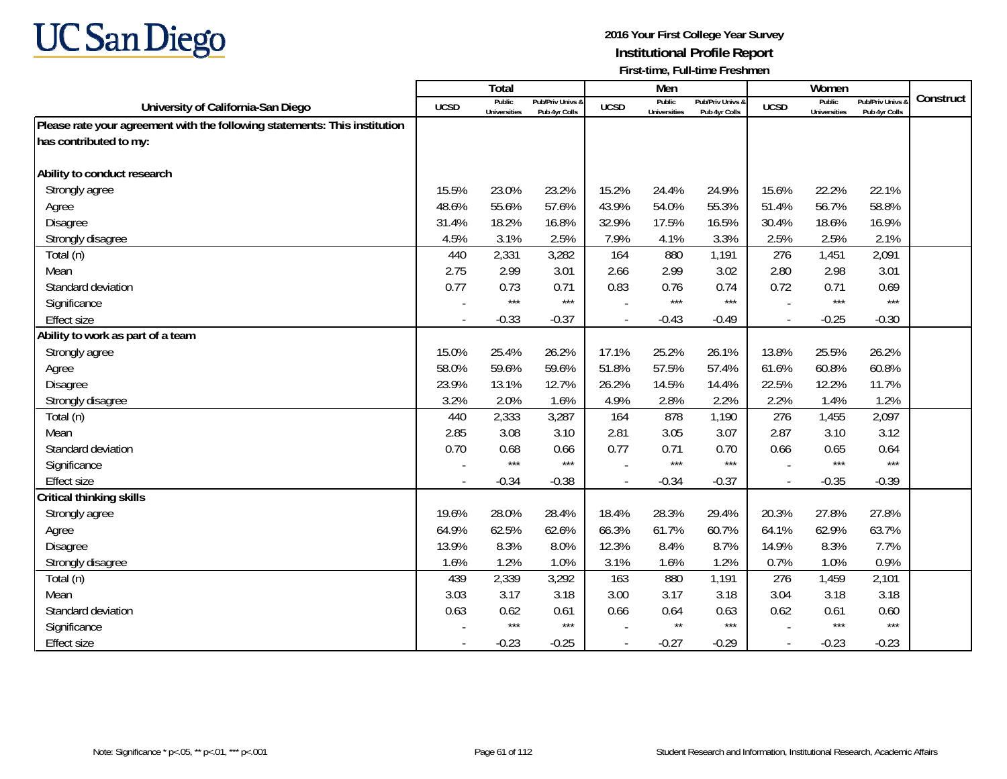

|                                                                            |             | <b>Total</b>                  |                                   |             | Men                           |                                   |                | Women                         |                                        |           |
|----------------------------------------------------------------------------|-------------|-------------------------------|-----------------------------------|-------------|-------------------------------|-----------------------------------|----------------|-------------------------------|----------------------------------------|-----------|
| University of California-San Diego                                         | <b>UCSD</b> | Public<br><b>Universities</b> | Pub/Priv Univs 8<br>Pub 4yr Colls | <b>UCSD</b> | Public<br><b>Universities</b> | Pub/Priv Univs &<br>Pub 4yr Colls | <b>UCSD</b>    | Public<br><b>Universities</b> | <b>Pub/Priv Univs</b><br>Pub 4yr Colls | Construct |
| Please rate your agreement with the following statements: This institution |             |                               |                                   |             |                               |                                   |                |                               |                                        |           |
| has contributed to my:                                                     |             |                               |                                   |             |                               |                                   |                |                               |                                        |           |
|                                                                            |             |                               |                                   |             |                               |                                   |                |                               |                                        |           |
| Ability to conduct research                                                |             |                               |                                   |             |                               |                                   |                |                               |                                        |           |
| Strongly agree                                                             | 15.5%       | 23.0%                         | 23.2%                             | 15.2%       | 24.4%                         | 24.9%                             | 15.6%          | 22.2%                         | 22.1%                                  |           |
| Agree                                                                      | 48.6%       | 55.6%                         | 57.6%                             | 43.9%       | 54.0%                         | 55.3%                             | 51.4%          | 56.7%                         | 58.8%                                  |           |
| Disagree                                                                   | 31.4%       | 18.2%                         | 16.8%                             | 32.9%       | 17.5%                         | 16.5%                             | 30.4%          | 18.6%                         | 16.9%                                  |           |
| Strongly disagree                                                          | 4.5%        | 3.1%                          | 2.5%                              | 7.9%        | 4.1%                          | 3.3%                              | 2.5%           | 2.5%                          | 2.1%                                   |           |
| Total (n)                                                                  | 440         | 2,331                         | 3,282                             | 164         | 880                           | 1,191                             | 276            | 1,451                         | 2,091                                  |           |
| Mean                                                                       | 2.75        | 2.99                          | 3.01                              | 2.66        | 2.99                          | 3.02                              | 2.80           | 2.98                          | 3.01                                   |           |
| Standard deviation                                                         | 0.77        | 0.73                          | 0.71                              | 0.83        | 0.76                          | 0.74                              | 0.72           | 0.71                          | 0.69                                   |           |
| Significance                                                               |             | $***$                         | $***$                             |             | $***$                         | $***$                             |                | $***$                         | $***$                                  |           |
| <b>Effect size</b>                                                         |             | $-0.33$                       | $-0.37$                           |             | $-0.43$                       | $-0.49$                           |                | $-0.25$                       | $-0.30$                                |           |
| Ability to work as part of a team                                          |             |                               |                                   |             |                               |                                   |                |                               |                                        |           |
| Strongly agree                                                             | 15.0%       | 25.4%                         | 26.2%                             | 17.1%       | 25.2%                         | 26.1%                             | 13.8%          | 25.5%                         | 26.2%                                  |           |
| Agree                                                                      | 58.0%       | 59.6%                         | 59.6%                             | 51.8%       | 57.5%                         | 57.4%                             | 61.6%          | 60.8%                         | 60.8%                                  |           |
| Disagree                                                                   | 23.9%       | 13.1%                         | 12.7%                             | 26.2%       | 14.5%                         | 14.4%                             | 22.5%          | 12.2%                         | 11.7%                                  |           |
| Strongly disagree                                                          | 3.2%        | 2.0%                          | 1.6%                              | 4.9%        | 2.8%                          | 2.2%                              | 2.2%           | 1.4%                          | 1.2%                                   |           |
| Total (n)                                                                  | 440         | 2,333                         | 3,287                             | 164         | 878                           | 1,190                             | 276            | 1,455                         | 2,097                                  |           |
| Mean                                                                       | 2.85        | 3.08                          | 3.10                              | 2.81        | 3.05                          | 3.07                              | 2.87           | 3.10                          | 3.12                                   |           |
| Standard deviation                                                         | 0.70        | 0.68                          | 0.66                              | 0.77        | 0.71                          | 0.70                              | 0.66           | 0.65                          | 0.64                                   |           |
| Significance                                                               |             | $***$                         | $***$                             |             | $***$                         | $***$                             |                | $***$                         | $***$                                  |           |
| <b>Effect size</b>                                                         | $\sim$      | $-0.34$                       | $-0.38$                           |             | $-0.34$                       | $-0.37$                           | $\blacksquare$ | $-0.35$                       | $-0.39$                                |           |
| <b>Critical thinking skills</b>                                            |             |                               |                                   |             |                               |                                   |                |                               |                                        |           |
| Strongly agree                                                             | 19.6%       | 28.0%                         | 28.4%                             | 18.4%       | 28.3%                         | 29.4%                             | 20.3%          | 27.8%                         | 27.8%                                  |           |
| Agree                                                                      | 64.9%       | 62.5%                         | 62.6%                             | 66.3%       | 61.7%                         | 60.7%                             | 64.1%          | 62.9%                         | 63.7%                                  |           |
| Disagree                                                                   | 13.9%       | 8.3%                          | 8.0%                              | 12.3%       | 8.4%                          | 8.7%                              | 14.9%          | 8.3%                          | 7.7%                                   |           |
| Strongly disagree                                                          | 1.6%        | 1.2%                          | 1.0%                              | 3.1%        | 1.6%                          | 1.2%                              | 0.7%           | 1.0%                          | 0.9%                                   |           |
| Total (n)                                                                  | 439         | 2,339                         | 3,292                             | 163         | 880                           | 1,191                             | 276            | 1,459                         | 2,101                                  |           |
| Mean                                                                       | 3.03        | 3.17                          | 3.18                              | 3.00        | 3.17                          | 3.18                              | 3.04           | 3.18                          | 3.18                                   |           |
| Standard deviation                                                         | 0.63        | 0.62                          | 0.61                              | 0.66        | 0.64                          | 0.63                              | 0.62           | 0.61                          | 0.60                                   |           |
| Significance                                                               |             | $***$                         | $***$                             |             | $\star\star$                  | $***$                             |                | $***$                         | $***$                                  |           |
| <b>Effect size</b>                                                         | $\sim$      | $-0.23$                       | $-0.25$                           |             | $-0.27$                       | $-0.29$                           | $\overline{a}$ | $-0.23$                       | $-0.23$                                |           |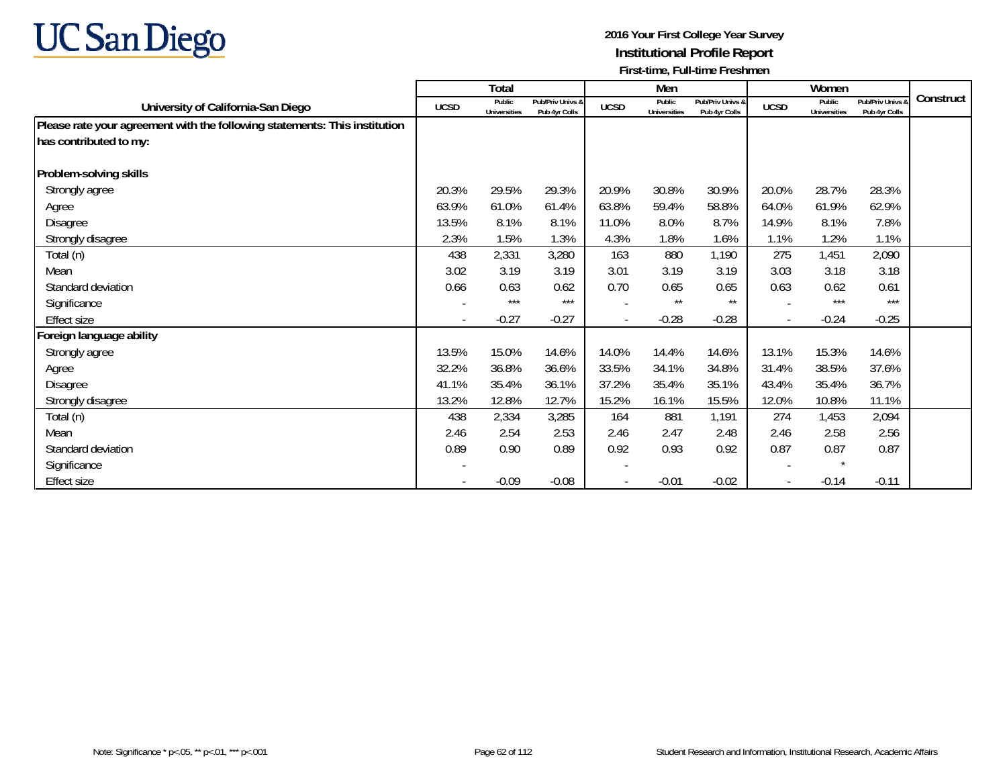

|                                                                            |             | Total                  |                                   |             | Men                           |                                   |                          | Women                         |                                   |           |
|----------------------------------------------------------------------------|-------------|------------------------|-----------------------------------|-------------|-------------------------------|-----------------------------------|--------------------------|-------------------------------|-----------------------------------|-----------|
| University of California-San Diego                                         | <b>UCSD</b> | Public<br>Universities | Pub/Priv Univs &<br>Pub 4yr Colls | <b>UCSD</b> | Public<br><b>Universities</b> | Pub/Priv Univs &<br>Pub 4yr Colls | <b>UCSD</b>              | Public<br><b>Universities</b> | Pub/Priv Univs &<br>Pub 4yr Colls | Construct |
| Please rate your agreement with the following statements: This institution |             |                        |                                   |             |                               |                                   |                          |                               |                                   |           |
| has contributed to my:                                                     |             |                        |                                   |             |                               |                                   |                          |                               |                                   |           |
| Problem-solving skills                                                     |             |                        |                                   |             |                               |                                   |                          |                               |                                   |           |
| Strongly agree                                                             | 20.3%       | 29.5%                  | 29.3%                             | 20.9%       | 30.8%                         | 30.9%                             | 20.0%                    | 28.7%                         | 28.3%                             |           |
| Agree                                                                      | 63.9%       | 61.0%                  | 61.4%                             | 63.8%       | 59.4%                         | 58.8%                             | 64.0%                    | 61.9%                         | 62.9%                             |           |
| Disagree                                                                   | 13.5%       | 8.1%                   | 8.1%                              | 11.0%       | 8.0%                          | 8.7%                              | 14.9%                    | 8.1%                          | 7.8%                              |           |
| Strongly disagree                                                          | 2.3%        | 1.5%                   | 1.3%                              | 4.3%        | 1.8%                          | 1.6%                              | 1.1%                     | 1.2%                          | 1.1%                              |           |
| Total (n)                                                                  | 438         | 2,331                  | 3,280                             | 163         | 880                           | 1,190                             | 275                      | 1,451                         | 2,090                             |           |
| Mean                                                                       | 3.02        | 3.19                   | 3.19                              | 3.01        | 3.19                          | 3.19                              | 3.03                     | 3.18                          | 3.18                              |           |
| Standard deviation                                                         | 0.66        | 0.63                   | 0.62                              | 0.70        | 0.65                          | 0.65                              | 0.63                     | 0.62                          | 0.61                              |           |
| Significance                                                               |             | $***$                  | $***$                             |             | $***$                         | $***$                             | $\overline{\phantom{a}}$ | $***$                         | $***$                             |           |
| Effect size                                                                |             | $-0.27$                | $-0.27$                           |             | $-0.28$                       | $-0.28$                           | $\overline{\phantom{a}}$ | $-0.24$                       | $-0.25$                           |           |
| Foreign language ability                                                   |             |                        |                                   |             |                               |                                   |                          |                               |                                   |           |
| Strongly agree                                                             | 13.5%       | 15.0%                  | 14.6%                             | 14.0%       | 14.4%                         | 14.6%                             | 13.1%                    | 15.3%                         | 14.6%                             |           |
| Agree                                                                      | 32.2%       | 36.8%                  | 36.6%                             | 33.5%       | 34.1%                         | 34.8%                             | 31.4%                    | 38.5%                         | 37.6%                             |           |
| Disagree                                                                   | 41.1%       | 35.4%                  | 36.1%                             | 37.2%       | 35.4%                         | 35.1%                             | 43.4%                    | 35.4%                         | 36.7%                             |           |
| Strongly disagree                                                          | 13.2%       | 12.8%                  | 12.7%                             | 15.2%       | 16.1%                         | 15.5%                             | 12.0%                    | 10.8%                         | 11.1%                             |           |
| Total (n)                                                                  | 438         | 2,334                  | 3,285                             | 164         | 881                           | 1,191                             | 274                      | 1,453                         | 2,094                             |           |
| Mean                                                                       | 2.46        | 2.54                   | 2.53                              | 2.46        | 2.47                          | 2.48                              | 2.46                     | 2.58                          | 2.56                              |           |
| Standard deviation                                                         | 0.89        | 0.90                   | 0.89                              | 0.92        | 0.93                          | 0.92                              | 0.87                     | 0.87                          | 0.87                              |           |
| Significance                                                               |             |                        |                                   |             |                               |                                   |                          | $\star$                       |                                   |           |
| Effect size                                                                |             | $-0.09$                | $-0.08$                           |             | $-0.01$                       | $-0.02$                           | $\blacksquare$           | $-0.14$                       | $-0.11$                           |           |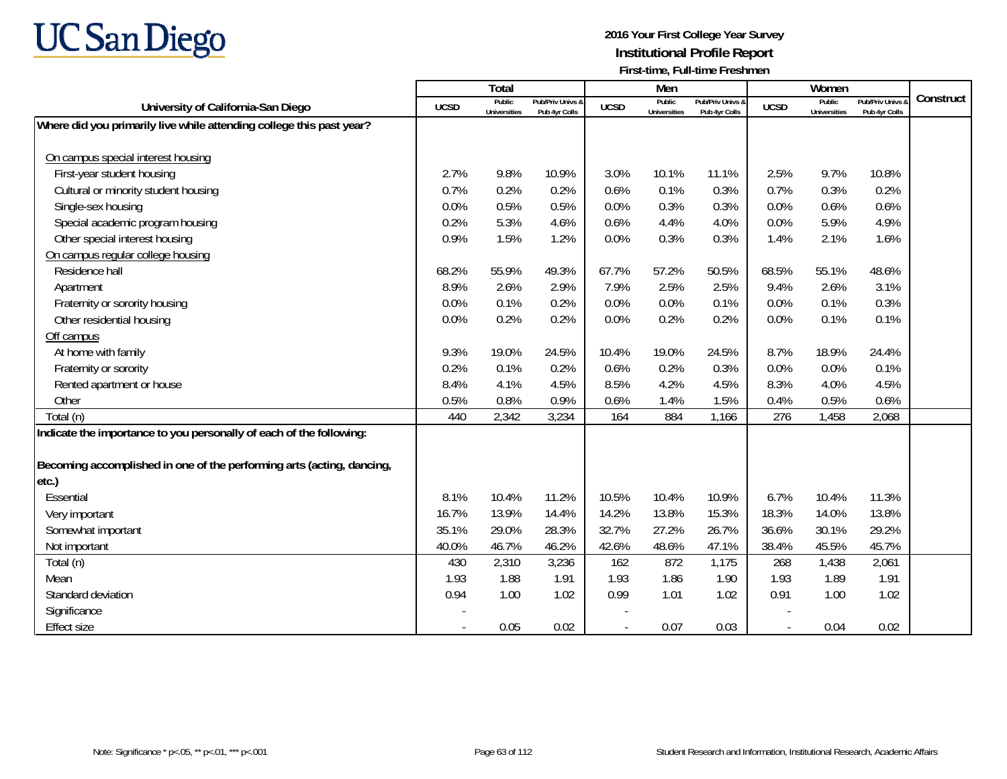

|                                                                       |             | Total                         |                                   |             | Men                           |                                   |                          | Women                         |                                        |           |
|-----------------------------------------------------------------------|-------------|-------------------------------|-----------------------------------|-------------|-------------------------------|-----------------------------------|--------------------------|-------------------------------|----------------------------------------|-----------|
| University of California-San Diego                                    | <b>UCSD</b> | Public<br><b>Universities</b> | Pub/Priv Univs &<br>Pub 4yr Colls | <b>UCSD</b> | Public<br><b>Universities</b> | Pub/Priv Univs &<br>Pub 4yr Colls | <b>UCSD</b>              | Public<br><b>Universities</b> | <b>Pub/Priv Univs</b><br>Pub 4yr Colls | Construct |
| Where did you primarily live while attending college this past year?  |             |                               |                                   |             |                               |                                   |                          |                               |                                        |           |
|                                                                       |             |                               |                                   |             |                               |                                   |                          |                               |                                        |           |
| On campus special interest housing                                    |             |                               |                                   |             |                               |                                   |                          |                               |                                        |           |
| First-year student housing                                            | 2.7%        | 9.8%                          | 10.9%                             | 3.0%        | 10.1%                         | 11.1%                             | 2.5%                     | 9.7%                          | 10.8%                                  |           |
| Cultural or minority student housing                                  | 0.7%        | 0.2%                          | 0.2%                              | 0.6%        | 0.1%                          | 0.3%                              | 0.7%                     | 0.3%                          | 0.2%                                   |           |
| Single-sex housing                                                    | 0.0%        | 0.5%                          | 0.5%                              | 0.0%        | 0.3%                          | 0.3%                              | 0.0%                     | 0.6%                          | 0.6%                                   |           |
| Special academic program housing                                      | 0.2%        | 5.3%                          | 4.6%                              | 0.6%        | 4.4%                          | 4.0%                              | 0.0%                     | 5.9%                          | 4.9%                                   |           |
| Other special interest housing                                        | 0.9%        | 1.5%                          | 1.2%                              | 0.0%        | 0.3%                          | 0.3%                              | 1.4%                     | 2.1%                          | 1.6%                                   |           |
| On campus regular college housing                                     |             |                               |                                   |             |                               |                                   |                          |                               |                                        |           |
| Residence hall                                                        | 68.2%       | 55.9%                         | 49.3%                             | 67.7%       | 57.2%                         | 50.5%                             | 68.5%                    | 55.1%                         | 48.6%                                  |           |
| Apartment                                                             | 8.9%        | 2.6%                          | 2.9%                              | 7.9%        | 2.5%                          | 2.5%                              | 9.4%                     | 2.6%                          | 3.1%                                   |           |
| Fraternity or sorority housing                                        | 0.0%        | 0.1%                          | 0.2%                              | 0.0%        | 0.0%                          | 0.1%                              | 0.0%                     | 0.1%                          | 0.3%                                   |           |
| Other residential housing                                             | 0.0%        | 0.2%                          | 0.2%                              | 0.0%        | 0.2%                          | 0.2%                              | 0.0%                     | 0.1%                          | 0.1%                                   |           |
| Off campus                                                            |             |                               |                                   |             |                               |                                   |                          |                               |                                        |           |
| At home with family                                                   | 9.3%        | 19.0%                         | 24.5%                             | 10.4%       | 19.0%                         | 24.5%                             | 8.7%                     | 18.9%                         | 24.4%                                  |           |
| Fraternity or sorority                                                | 0.2%        | 0.1%                          | 0.2%                              | 0.6%        | 0.2%                          | 0.3%                              | 0.0%                     | 0.0%                          | 0.1%                                   |           |
| Rented apartment or house                                             | 8.4%        | 4.1%                          | 4.5%                              | 8.5%        | 4.2%                          | 4.5%                              | 8.3%                     | 4.0%                          | 4.5%                                   |           |
| Other                                                                 | 0.5%        | 0.8%                          | 0.9%                              | 0.6%        | 1.4%                          | 1.5%                              | 0.4%                     | 0.5%                          | 0.6%                                   |           |
| Total (n)                                                             | 440         | 2,342                         | 3,234                             | 164         | 884                           | 1,166                             | 276                      | 1,458                         | 2,068                                  |           |
| Indicate the importance to you personally of each of the following:   |             |                               |                                   |             |                               |                                   |                          |                               |                                        |           |
|                                                                       |             |                               |                                   |             |                               |                                   |                          |                               |                                        |           |
| Becoming accomplished in one of the performing arts (acting, dancing, |             |                               |                                   |             |                               |                                   |                          |                               |                                        |           |
| etc.)                                                                 |             |                               |                                   |             |                               |                                   |                          |                               |                                        |           |
| Essential                                                             | 8.1%        | 10.4%                         | 11.2%                             | 10.5%       | 10.4%                         | 10.9%                             | 6.7%                     | 10.4%                         | 11.3%                                  |           |
| Very important                                                        | 16.7%       | 13.9%                         | 14.4%                             | 14.2%       | 13.8%                         | 15.3%                             | 18.3%                    | 14.0%                         | 13.8%                                  |           |
| Somewhat important                                                    | 35.1%       | 29.0%                         | 28.3%                             | 32.7%       | 27.2%                         | 26.7%                             | 36.6%                    | 30.1%                         | 29.2%                                  |           |
| Not important                                                         | 40.0%       | 46.7%                         | 46.2%                             | 42.6%       | 48.6%                         | 47.1%                             | 38.4%                    | 45.5%                         | 45.7%                                  |           |
| Total (n)                                                             | 430         | 2,310                         | 3,236                             | 162         | 872                           | 1,175                             | 268                      | 1,438                         | 2,061                                  |           |
| Mean                                                                  | 1.93        | 1.88                          | 1.91                              | 1.93        | 1.86                          | 1.90                              | 1.93                     | 1.89                          | 1.91                                   |           |
| Standard deviation                                                    | 0.94        | 1.00                          | 1.02                              | 0.99        | 1.01                          | 1.02                              | 0.91                     | 1.00                          | 1.02                                   |           |
| Significance                                                          |             |                               |                                   |             |                               |                                   |                          |                               |                                        |           |
| <b>Effect size</b>                                                    |             | 0.05                          | 0.02                              |             | 0.07                          | 0.03                              | $\overline{\phantom{a}}$ | 0.04                          | 0.02                                   |           |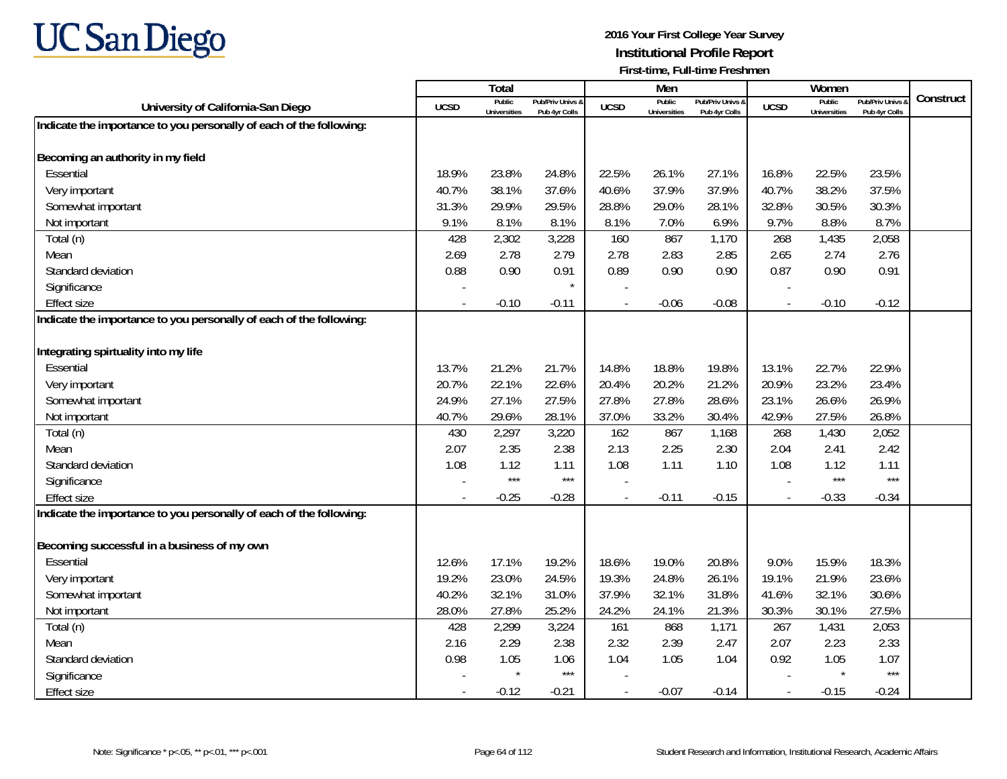

|                                                                     |             | Total                         |                                   |                          | Men                           |                                   |                          | Women                         |                                        |           |
|---------------------------------------------------------------------|-------------|-------------------------------|-----------------------------------|--------------------------|-------------------------------|-----------------------------------|--------------------------|-------------------------------|----------------------------------------|-----------|
| University of California-San Diego                                  | <b>UCSD</b> | Public<br><b>Universities</b> | Pub/Priv Univs &<br>Pub 4vr Colls | <b>UCSD</b>              | Public<br><b>Universities</b> | Pub/Priv Univs 8<br>Pub 4vr Colls | <b>UCSD</b>              | Public<br><b>Universities</b> | <b>Pub/Priv Univs</b><br>Pub 4vr Colls | Construct |
| Indicate the importance to you personally of each of the following: |             |                               |                                   |                          |                               |                                   |                          |                               |                                        |           |
|                                                                     |             |                               |                                   |                          |                               |                                   |                          |                               |                                        |           |
| Becoming an authority in my field                                   |             |                               |                                   |                          |                               |                                   |                          |                               |                                        |           |
| Essential                                                           | 18.9%       | 23.8%                         | 24.8%                             | 22.5%                    | 26.1%                         | 27.1%                             | 16.8%                    | 22.5%                         | 23.5%                                  |           |
| Very important                                                      | 40.7%       | 38.1%                         | 37.6%                             | 40.6%                    | 37.9%                         | 37.9%                             | 40.7%                    | 38.2%                         | 37.5%                                  |           |
| Somewhat important                                                  | 31.3%       | 29.9%                         | 29.5%                             | 28.8%                    | 29.0%                         | 28.1%                             | 32.8%                    | 30.5%                         | 30.3%                                  |           |
| Not important                                                       | 9.1%        | 8.1%                          | 8.1%                              | 8.1%                     | 7.0%                          | 6.9%                              | 9.7%                     | 8.8%                          | 8.7%                                   |           |
| Total (n)                                                           | 428         | 2,302                         | 3,228                             | 160                      | 867                           | 1,170                             | 268                      | 1,435                         | 2,058                                  |           |
| Mean                                                                | 2.69        | 2.78                          | 2.79                              | 2.78                     | 2.83                          | 2.85                              | 2.65                     | 2.74                          | 2.76                                   |           |
| Standard deviation                                                  | 0.88        | 0.90                          | 0.91                              | 0.89                     | 0.90                          | 0.90                              | 0.87                     | 0.90                          | 0.91                                   |           |
| Significance                                                        |             |                               | $\star$                           |                          |                               |                                   |                          |                               |                                        |           |
| <b>Effect size</b>                                                  |             | $-0.10$                       | $-0.11$                           |                          | $-0.06$                       | $-0.08$                           |                          | $-0.10$                       | $-0.12$                                |           |
| Indicate the importance to you personally of each of the following: |             |                               |                                   |                          |                               |                                   |                          |                               |                                        |           |
|                                                                     |             |                               |                                   |                          |                               |                                   |                          |                               |                                        |           |
| Integrating spirtuality into my life                                |             |                               |                                   |                          |                               |                                   |                          |                               |                                        |           |
| Essential                                                           | 13.7%       | 21.2%                         | 21.7%                             | 14.8%                    | 18.8%                         | 19.8%                             | 13.1%                    | 22.7%                         | 22.9%                                  |           |
| Very important                                                      | 20.7%       | 22.1%                         | 22.6%                             | 20.4%                    | 20.2%                         | 21.2%                             | 20.9%                    | 23.2%                         | 23.4%                                  |           |
| Somewhat important                                                  | 24.9%       | 27.1%                         | 27.5%                             | 27.8%                    | 27.8%                         | 28.6%                             | 23.1%                    | 26.6%                         | 26.9%                                  |           |
| Not important                                                       | 40.7%       | 29.6%                         | 28.1%                             | 37.0%                    | 33.2%                         | 30.4%                             | 42.9%                    | 27.5%                         | 26.8%                                  |           |
| Total (n)                                                           | 430         | 2,297                         | 3,220                             | 162                      | 867                           | 1,168                             | 268                      | 1,430                         | 2,052                                  |           |
| Mean                                                                | 2.07        | 2.35                          | 2.38                              | 2.13                     | 2.25                          | 2.30                              | 2.04                     | 2.41                          | 2.42                                   |           |
| Standard deviation                                                  | 1.08        | 1.12                          | 1.11                              | 1.08                     | 1.11                          | 1.10                              | 1.08                     | 1.12                          | 1.11                                   |           |
| Significance                                                        |             | ***                           | $***$                             |                          |                               |                                   |                          | $***$                         | $***$                                  |           |
| <b>Effect size</b>                                                  |             | $-0.25$                       | $-0.28$                           | $\overline{a}$           | $-0.11$                       | $-0.15$                           | $\overline{\phantom{a}}$ | $-0.33$                       | $-0.34$                                |           |
| Indicate the importance to you personally of each of the following: |             |                               |                                   |                          |                               |                                   |                          |                               |                                        |           |
| Becoming successful in a business of my own                         |             |                               |                                   |                          |                               |                                   |                          |                               |                                        |           |
| Essential                                                           | 12.6%       | 17.1%                         | 19.2%                             | 18.6%                    | 19.0%                         | 20.8%                             | 9.0%                     | 15.9%                         | 18.3%                                  |           |
| Very important                                                      | 19.2%       | 23.0%                         | 24.5%                             | 19.3%                    | 24.8%                         | 26.1%                             | 19.1%                    | 21.9%                         | 23.6%                                  |           |
| Somewhat important                                                  | 40.2%       | 32.1%                         | 31.0%                             | 37.9%                    | 32.1%                         | 31.8%                             | 41.6%                    | 32.1%                         | 30.6%                                  |           |
| Not important                                                       | 28.0%       | 27.8%                         | 25.2%                             | 24.2%                    | 24.1%                         | 21.3%                             | 30.3%                    | 30.1%                         | 27.5%                                  |           |
| Total (n)                                                           | 428         | 2,299                         | 3,224                             | 161                      | 868                           | 1,171                             | 267                      | 1,431                         | 2,053                                  |           |
| Mean                                                                | 2.16        | 2.29                          | 2.38                              | 2.32                     | 2.39                          | 2.47                              | 2.07                     | 2.23                          | 2.33                                   |           |
| Standard deviation                                                  | 0.98        | 1.05                          | 1.06                              | 1.04                     | 1.05                          | 1.04                              | 0.92                     | 1.05                          | 1.07                                   |           |
| Significance                                                        |             | $\star$                       | $***$                             |                          |                               |                                   |                          | $\star$                       | $***$                                  |           |
| <b>Effect size</b>                                                  |             | $-0.12$                       | $-0.21$                           | $\overline{\phantom{a}}$ | $-0.07$                       | $-0.14$                           | $\blacksquare$           | $-0.15$                       | $-0.24$                                |           |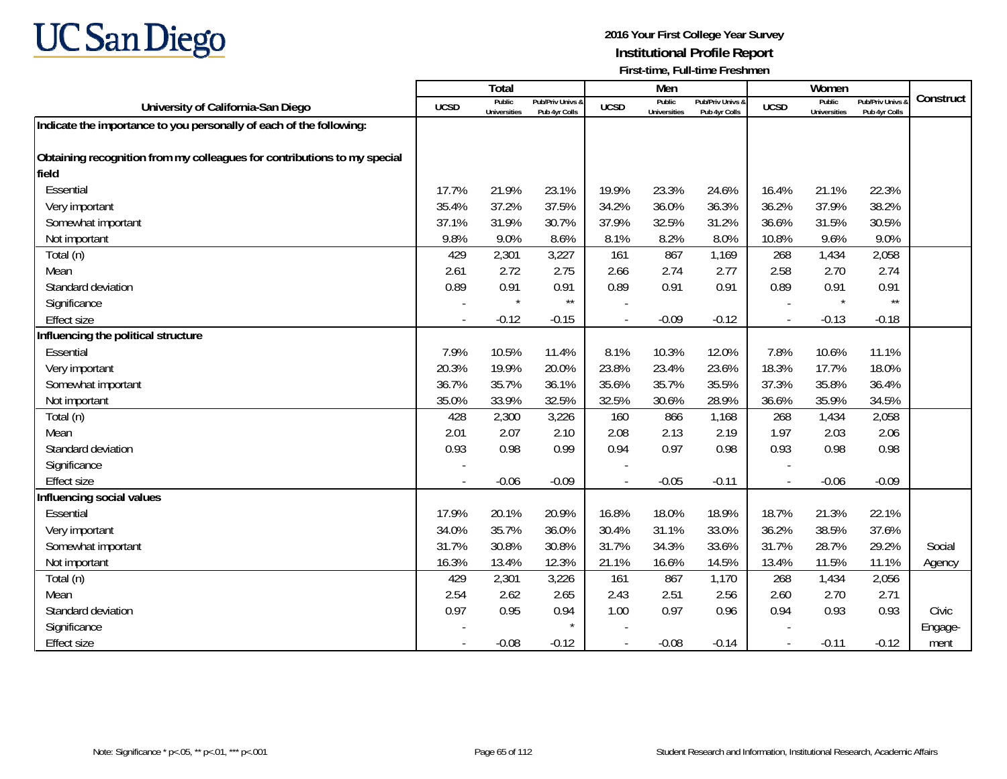

|                                                                          |             | Total                         |                                   |             | Men                           |                                   |                          | Women                         |                                        |           |
|--------------------------------------------------------------------------|-------------|-------------------------------|-----------------------------------|-------------|-------------------------------|-----------------------------------|--------------------------|-------------------------------|----------------------------------------|-----------|
| University of California-San Diego                                       | <b>UCSD</b> | Public<br><b>Universities</b> | Pub/Priv Univs &<br>Pub 4yr Colls | <b>UCSD</b> | Public<br><b>Universities</b> | Pub/Priv Univs &<br>Pub 4yr Colls | <b>UCSD</b>              | Public<br><b>Universities</b> | <b>Pub/Priv Univs</b><br>Pub 4yr Colls | Construct |
| Indicate the importance to you personally of each of the following:      |             |                               |                                   |             |                               |                                   |                          |                               |                                        |           |
|                                                                          |             |                               |                                   |             |                               |                                   |                          |                               |                                        |           |
| Obtaining recognition from my colleagues for contributions to my special |             |                               |                                   |             |                               |                                   |                          |                               |                                        |           |
| field                                                                    |             |                               |                                   |             |                               |                                   |                          |                               |                                        |           |
| Essential                                                                | 17.7%       | 21.9%                         | 23.1%                             | 19.9%       | 23.3%                         | 24.6%                             | 16.4%                    | 21.1%                         | 22.3%                                  |           |
| Very important                                                           | 35.4%       | 37.2%                         | 37.5%                             | 34.2%       | 36.0%                         | 36.3%                             | 36.2%                    | 37.9%                         | 38.2%                                  |           |
| Somewhat important                                                       | 37.1%       | 31.9%                         | 30.7%                             | 37.9%       | 32.5%                         | 31.2%                             | 36.6%                    | 31.5%                         | 30.5%                                  |           |
| Not important                                                            | 9.8%        | 9.0%                          | 8.6%                              | 8.1%        | 8.2%                          | 8.0%                              | 10.8%                    | 9.6%                          | 9.0%                                   |           |
| Total (n)                                                                | 429         | 2,301                         | 3,227                             | 161         | 867                           | 1,169                             | 268                      | 1,434                         | 2,058                                  |           |
| Mean                                                                     | 2.61        | 2.72                          | 2.75                              | 2.66        | 2.74                          | 2.77                              | 2.58                     | 2.70                          | 2.74                                   |           |
| Standard deviation                                                       | 0.89        | 0.91                          | 0.91                              | 0.89        | 0.91                          | 0.91                              | 0.89                     | 0.91                          | 0.91                                   |           |
| Significance                                                             |             | $\star$                       | $\star\star$                      |             |                               |                                   |                          | $\star$                       | $^{\star\star}$                        |           |
| <b>Effect size</b>                                                       |             | $-0.12$                       | $-0.15$                           |             | $-0.09$                       | $-0.12$                           | $\overline{\phantom{a}}$ | $-0.13$                       | $-0.18$                                |           |
| Influencing the political structure                                      |             |                               |                                   |             |                               |                                   |                          |                               |                                        |           |
| Essential                                                                | 7.9%        | 10.5%                         | 11.4%                             | 8.1%        | 10.3%                         | 12.0%                             | 7.8%                     | 10.6%                         | 11.1%                                  |           |
| Very important                                                           | 20.3%       | 19.9%                         | 20.0%                             | 23.8%       | 23.4%                         | 23.6%                             | 18.3%                    | 17.7%                         | 18.0%                                  |           |
| Somewhat important                                                       | 36.7%       | 35.7%                         | 36.1%                             | 35.6%       | 35.7%                         | 35.5%                             | 37.3%                    | 35.8%                         | 36.4%                                  |           |
| Not important                                                            | 35.0%       | 33.9%                         | 32.5%                             | 32.5%       | 30.6%                         | 28.9%                             | 36.6%                    | 35.9%                         | 34.5%                                  |           |
| Total (n)                                                                | 428         | 2,300                         | 3,226                             | 160         | 866                           | 1,168                             | 268                      | 1,434                         | 2,058                                  |           |
| Mean                                                                     | 2.01        | 2.07                          | 2.10                              | 2.08        | 2.13                          | 2.19                              | 1.97                     | 2.03                          | 2.06                                   |           |
| Standard deviation                                                       | 0.93        | 0.98                          | 0.99                              | 0.94        | 0.97                          | 0.98                              | 0.93                     | 0.98                          | 0.98                                   |           |
| Significance                                                             |             |                               |                                   |             |                               |                                   |                          |                               |                                        |           |
| <b>Effect size</b>                                                       |             | $-0.06$                       | $-0.09$                           |             | $-0.05$                       | $-0.11$                           | $\blacksquare$           | $-0.06$                       | $-0.09$                                |           |
| Influencing social values                                                |             |                               |                                   |             |                               |                                   |                          |                               |                                        |           |
| Essential                                                                | 17.9%       | 20.1%                         | 20.9%                             | 16.8%       | 18.0%                         | 18.9%                             | 18.7%                    | 21.3%                         | 22.1%                                  |           |
| Very important                                                           | 34.0%       | 35.7%                         | 36.0%                             | 30.4%       | 31.1%                         | 33.0%                             | 36.2%                    | 38.5%                         | 37.6%                                  |           |
| Somewhat important                                                       | 31.7%       | 30.8%                         | 30.8%                             | 31.7%       | 34.3%                         | 33.6%                             | 31.7%                    | 28.7%                         | 29.2%                                  | Social    |
| Not important                                                            | 16.3%       | 13.4%                         | 12.3%                             | 21.1%       | 16.6%                         | 14.5%                             | 13.4%                    | 11.5%                         | 11.1%                                  | Agency    |
| Total (n)                                                                | 429         | 2,301                         | 3,226                             | 161         | 867                           | 1,170                             | 268                      | 1,434                         | 2,056                                  |           |
| Mean                                                                     | 2.54        | 2.62                          | 2.65                              | 2.43        | 2.51                          | 2.56                              | 2.60                     | 2.70                          | 2.71                                   |           |
| Standard deviation                                                       | 0.97        | 0.95                          | 0.94                              | 1.00        | 0.97                          | 0.96                              | 0.94                     | 0.93                          | 0.93                                   | Civic     |
| Significance                                                             |             |                               |                                   |             |                               |                                   |                          |                               |                                        | Engage-   |
| <b>Effect size</b>                                                       |             | $-0.08$                       | $-0.12$                           |             | $-0.08$                       | $-0.14$                           | $\blacksquare$           | $-0.11$                       | $-0.12$                                | ment      |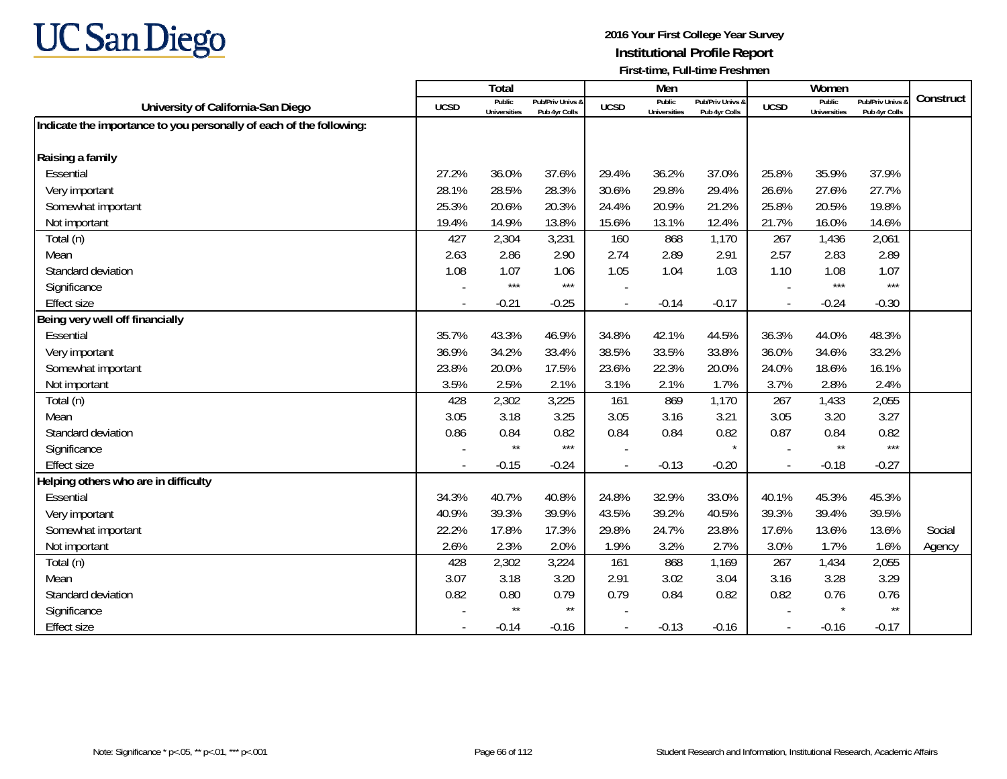

|                                                                     |             | Total                         |                                   |                | Men                           |                                   |                          | Women                         |                                        |           |
|---------------------------------------------------------------------|-------------|-------------------------------|-----------------------------------|----------------|-------------------------------|-----------------------------------|--------------------------|-------------------------------|----------------------------------------|-----------|
| University of California-San Diego                                  | <b>UCSD</b> | Public<br><b>Universities</b> | Pub/Priv Univs &<br>Pub 4yr Colls | <b>UCSD</b>    | Public<br><b>Universities</b> | Pub/Priv Univs &<br>Pub 4yr Colls | <b>UCSD</b>              | Public<br><b>Universities</b> | <b>Pub/Priv Univs</b><br>Pub 4yr Colls | Construct |
| Indicate the importance to you personally of each of the following: |             |                               |                                   |                |                               |                                   |                          |                               |                                        |           |
|                                                                     |             |                               |                                   |                |                               |                                   |                          |                               |                                        |           |
| Raising a family                                                    |             |                               |                                   |                |                               |                                   |                          |                               |                                        |           |
| Essential                                                           | 27.2%       | 36.0%                         | 37.6%                             | 29.4%          | 36.2%                         | 37.0%                             | 25.8%                    | 35.9%                         | 37.9%                                  |           |
| Very important                                                      | 28.1%       | 28.5%                         | 28.3%                             | 30.6%          | 29.8%                         | 29.4%                             | 26.6%                    | 27.6%                         | 27.7%                                  |           |
| Somewhat important                                                  | 25.3%       | 20.6%                         | 20.3%                             | 24.4%          | 20.9%                         | 21.2%                             | 25.8%                    | 20.5%                         | 19.8%                                  |           |
| Not important                                                       | 19.4%       | 14.9%                         | 13.8%                             | 15.6%          | 13.1%                         | 12.4%                             | 21.7%                    | 16.0%                         | 14.6%                                  |           |
| Total (n)                                                           | 427         | 2,304                         | 3,231                             | 160            | 868                           | 1,170                             | 267                      | 1,436                         | 2,061                                  |           |
| Mean                                                                | 2.63        | 2.86                          | 2.90                              | 2.74           | 2.89                          | 2.91                              | 2.57                     | 2.83                          | 2.89                                   |           |
| Standard deviation                                                  | 1.08        | 1.07                          | 1.06                              | 1.05           | 1.04                          | 1.03                              | 1.10                     | 1.08                          | 1.07                                   |           |
| Significance                                                        |             | $***$                         | $***$                             |                |                               |                                   |                          | $***$                         | $***$                                  |           |
| <b>Effect size</b>                                                  |             | $-0.21$                       | $-0.25$                           | $\overline{a}$ | $-0.14$                       | $-0.17$                           | $\overline{\phantom{a}}$ | $-0.24$                       | $-0.30$                                |           |
| Being very well off financially                                     |             |                               |                                   |                |                               |                                   |                          |                               |                                        |           |
| Essential                                                           | 35.7%       | 43.3%                         | 46.9%                             | 34.8%          | 42.1%                         | 44.5%                             | 36.3%                    | 44.0%                         | 48.3%                                  |           |
| Very important                                                      | 36.9%       | 34.2%                         | 33.4%                             | 38.5%          | 33.5%                         | 33.8%                             | 36.0%                    | 34.6%                         | 33.2%                                  |           |
| Somewhat important                                                  | 23.8%       | 20.0%                         | 17.5%                             | 23.6%          | 22.3%                         | 20.0%                             | 24.0%                    | 18.6%                         | 16.1%                                  |           |
| Not important                                                       | 3.5%        | 2.5%                          | 2.1%                              | 3.1%           | 2.1%                          | 1.7%                              | 3.7%                     | 2.8%                          | 2.4%                                   |           |
| Total (n)                                                           | 428         | 2,302                         | 3,225                             | 161            | 869                           | 1,170                             | 267                      | 1,433                         | 2,055                                  |           |
| Mean                                                                | 3.05        | 3.18                          | 3.25                              | 3.05           | 3.16                          | 3.21                              | 3.05                     | 3.20                          | 3.27                                   |           |
| Standard deviation                                                  | 0.86        | 0.84                          | 0.82                              | 0.84           | 0.84                          | 0.82                              | 0.87                     | 0.84                          | 0.82                                   |           |
| Significance                                                        |             | $\star\star$                  | $***$                             |                |                               |                                   |                          | $***$                         | $***$                                  |           |
| <b>Effect size</b>                                                  | $\sim$      | $-0.15$                       | $-0.24$                           |                | $-0.13$                       | $-0.20$                           | $\sim$                   | $-0.18$                       | $-0.27$                                |           |
| Helping others who are in difficulty                                |             |                               |                                   |                |                               |                                   |                          |                               |                                        |           |
| Essential                                                           | 34.3%       | 40.7%                         | 40.8%                             | 24.8%          | 32.9%                         | 33.0%                             | 40.1%                    | 45.3%                         | 45.3%                                  |           |
| Very important                                                      | 40.9%       | 39.3%                         | 39.9%                             | 43.5%          | 39.2%                         | 40.5%                             | 39.3%                    | 39.4%                         | 39.5%                                  |           |
| Somewhat important                                                  | 22.2%       | 17.8%                         | 17.3%                             | 29.8%          | 24.7%                         | 23.8%                             | 17.6%                    | 13.6%                         | 13.6%                                  | Social    |
| Not important                                                       | 2.6%        | 2.3%                          | 2.0%                              | 1.9%           | 3.2%                          | 2.7%                              | 3.0%                     | 1.7%                          | 1.6%                                   | Agency    |
| Total (n)                                                           | 428         | 2,302                         | 3,224                             | 161            | 868                           | 1,169                             | 267                      | 1,434                         | 2,055                                  |           |
| Mean                                                                | 3.07        | 3.18                          | 3.20                              | 2.91           | 3.02                          | 3.04                              | 3.16                     | 3.28                          | 3.29                                   |           |
| Standard deviation                                                  | 0.82        | 0.80                          | 0.79                              | 0.79           | 0.84                          | 0.82                              | 0.82                     | 0.76                          | 0.76                                   |           |
| Significance                                                        |             | $\star\star$                  | $^{\star\star}$                   |                |                               |                                   |                          | $\star$                       | $\star\star$                           |           |
| <b>Effect size</b>                                                  |             | $-0.14$                       | $-0.16$                           |                | $-0.13$                       | $-0.16$                           | $\overline{\phantom{a}}$ | $-0.16$                       | $-0.17$                                |           |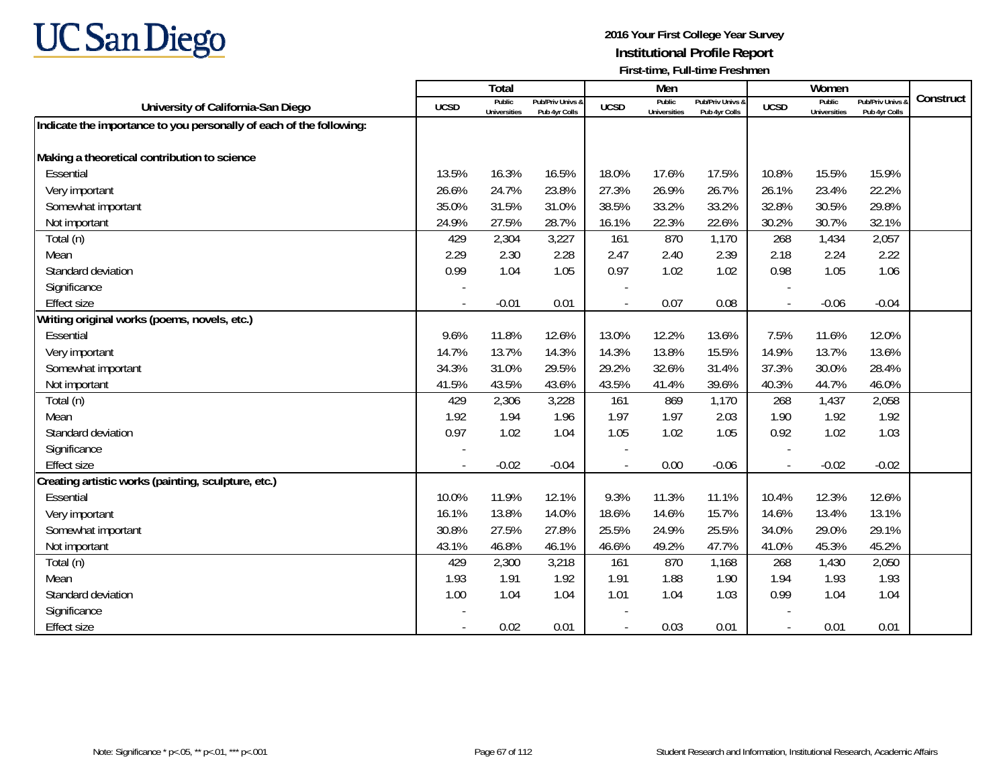

|                                                                     |             | <b>Total</b>                  |                                   |             | Men                           |                                   |                          | Women                         |                                        |           |
|---------------------------------------------------------------------|-------------|-------------------------------|-----------------------------------|-------------|-------------------------------|-----------------------------------|--------------------------|-------------------------------|----------------------------------------|-----------|
| University of California-San Diego                                  | <b>UCSD</b> | Public<br><b>Universities</b> | Pub/Priv Univs &<br>Pub 4yr Colls | <b>UCSD</b> | Public<br><b>Universities</b> | Pub/Priv Univs &<br>Pub 4yr Colls | <b>UCSD</b>              | Public<br><b>Universities</b> | <b>Pub/Priv Univs</b><br>Pub 4yr Colls | Construct |
| Indicate the importance to you personally of each of the following: |             |                               |                                   |             |                               |                                   |                          |                               |                                        |           |
|                                                                     |             |                               |                                   |             |                               |                                   |                          |                               |                                        |           |
| Making a theoretical contribution to science                        |             |                               |                                   |             |                               |                                   |                          |                               |                                        |           |
| Essential                                                           | 13.5%       | 16.3%                         | 16.5%                             | 18.0%       | 17.6%                         | 17.5%                             | 10.8%                    | 15.5%                         | 15.9%                                  |           |
| Very important                                                      | 26.6%       | 24.7%                         | 23.8%                             | 27.3%       | 26.9%                         | 26.7%                             | 26.1%                    | 23.4%                         | 22.2%                                  |           |
| Somewhat important                                                  | 35.0%       | 31.5%                         | 31.0%                             | 38.5%       | 33.2%                         | 33.2%                             | 32.8%                    | 30.5%                         | 29.8%                                  |           |
| Not important                                                       | 24.9%       | 27.5%                         | 28.7%                             | 16.1%       | 22.3%                         | 22.6%                             | 30.2%                    | 30.7%                         | 32.1%                                  |           |
| Total (n)                                                           | 429         | 2,304                         | 3,227                             | 161         | 870                           | 1,170                             | 268                      | 1,434                         | 2,057                                  |           |
| Mean                                                                | 2.29        | 2.30                          | 2.28                              | 2.47        | 2.40                          | 2.39                              | 2.18                     | 2.24                          | 2.22                                   |           |
| Standard deviation                                                  | 0.99        | 1.04                          | 1.05                              | 0.97        | 1.02                          | 1.02                              | 0.98                     | 1.05                          | 1.06                                   |           |
| Significance                                                        |             |                               |                                   |             |                               |                                   |                          |                               |                                        |           |
| <b>Effect size</b>                                                  |             | $-0.01$                       | 0.01                              | $\sim$      | 0.07                          | 0.08                              | $\sim$                   | $-0.06$                       | $-0.04$                                |           |
| Writing original works (poems, novels, etc.)                        |             |                               |                                   |             |                               |                                   |                          |                               |                                        |           |
| Essential                                                           | 9.6%        | 11.8%                         | 12.6%                             | 13.0%       | 12.2%                         | 13.6%                             | 7.5%                     | 11.6%                         | 12.0%                                  |           |
| Very important                                                      | 14.7%       | 13.7%                         | 14.3%                             | 14.3%       | 13.8%                         | 15.5%                             | 14.9%                    | 13.7%                         | 13.6%                                  |           |
| Somewhat important                                                  | 34.3%       | 31.0%                         | 29.5%                             | 29.2%       | 32.6%                         | 31.4%                             | 37.3%                    | 30.0%                         | 28.4%                                  |           |
| Not important                                                       | 41.5%       | 43.5%                         | 43.6%                             | 43.5%       | 41.4%                         | 39.6%                             | 40.3%                    | 44.7%                         | 46.0%                                  |           |
| Total (n)                                                           | 429         | 2,306                         | 3,228                             | 161         | 869                           | 1,170                             | 268                      | 1,437                         | 2,058                                  |           |
| Mean                                                                | 1.92        | 1.94                          | 1.96                              | 1.97        | 1.97                          | 2.03                              | 1.90                     | 1.92                          | 1.92                                   |           |
| Standard deviation                                                  | 0.97        | 1.02                          | 1.04                              | 1.05        | 1.02                          | 1.05                              | 0.92                     | 1.02                          | 1.03                                   |           |
| Significance                                                        |             |                               |                                   |             |                               |                                   |                          |                               |                                        |           |
| <b>Effect size</b>                                                  |             | $-0.02$                       | $-0.04$                           |             | 0.00                          | $-0.06$                           | $\overline{\phantom{a}}$ | $-0.02$                       | $-0.02$                                |           |
| Creating artistic works (painting, sculpture, etc.)                 |             |                               |                                   |             |                               |                                   |                          |                               |                                        |           |
| Essential                                                           | 10.0%       | 11.9%                         | 12.1%                             | 9.3%        | 11.3%                         | 11.1%                             | 10.4%                    | 12.3%                         | 12.6%                                  |           |
| Very important                                                      | 16.1%       | 13.8%                         | 14.0%                             | 18.6%       | 14.6%                         | 15.7%                             | 14.6%                    | 13.4%                         | 13.1%                                  |           |
| Somewhat important                                                  | 30.8%       | 27.5%                         | 27.8%                             | 25.5%       | 24.9%                         | 25.5%                             | 34.0%                    | 29.0%                         | 29.1%                                  |           |
| Not important                                                       | 43.1%       | 46.8%                         | 46.1%                             | 46.6%       | 49.2%                         | 47.7%                             | 41.0%                    | 45.3%                         | 45.2%                                  |           |
| Total (n)                                                           | 429         | 2,300                         | 3,218                             | 161         | 870                           | 1,168                             | 268                      | 1,430                         | 2,050                                  |           |
| Mean                                                                | 1.93        | 1.91                          | 1.92                              | 1.91        | 1.88                          | 1.90                              | 1.94                     | 1.93                          | 1.93                                   |           |
| Standard deviation                                                  | 1.00        | 1.04                          | 1.04                              | 1.01        | 1.04                          | 1.03                              | 0.99                     | 1.04                          | 1.04                                   |           |
| Significance                                                        |             |                               |                                   |             |                               |                                   |                          |                               |                                        |           |
| <b>Effect size</b>                                                  |             | 0.02                          | 0.01                              | $\sim$      | 0.03                          | 0.01                              |                          | 0.01                          | 0.01                                   |           |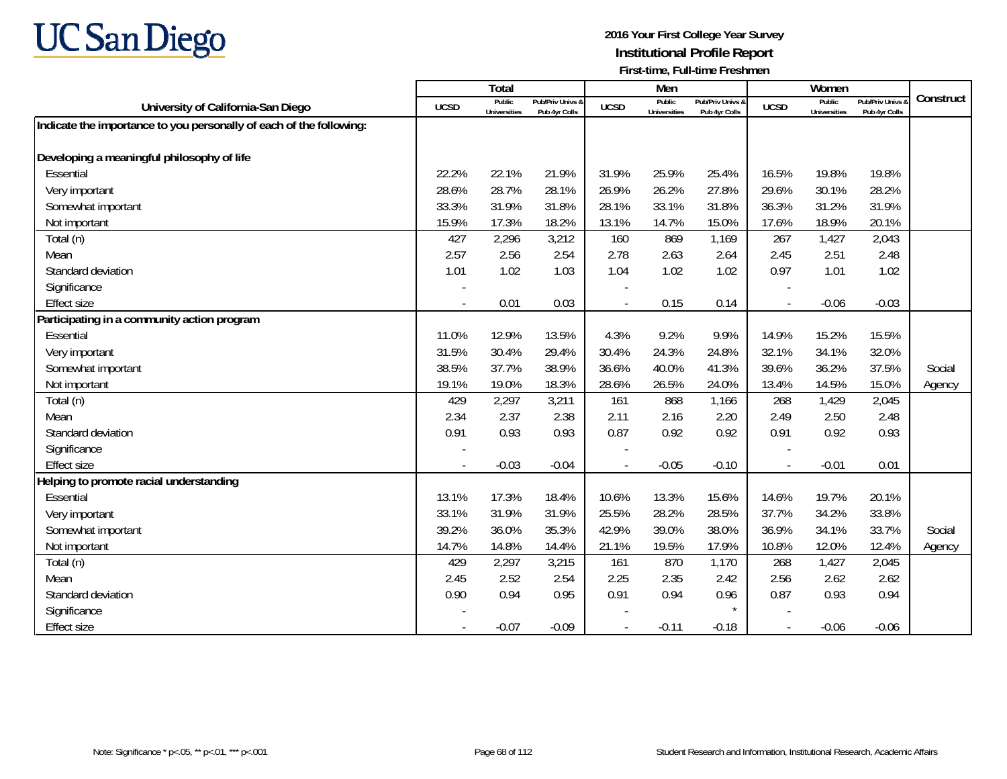

|                                                                     |                          | Total                         |                                   |                | Men                           |                                   |                          | Women                         |                                        |           |
|---------------------------------------------------------------------|--------------------------|-------------------------------|-----------------------------------|----------------|-------------------------------|-----------------------------------|--------------------------|-------------------------------|----------------------------------------|-----------|
| University of California-San Diego                                  | <b>UCSD</b>              | Public<br><b>Universities</b> | Pub/Priv Univs &<br>Pub 4yr Colls | <b>UCSD</b>    | Public<br><b>Universities</b> | Pub/Priv Univs &<br>Pub 4yr Colls | <b>UCSD</b>              | Public<br><b>Universities</b> | <b>Pub/Priv Univs</b><br>Pub 4yr Colls | Construct |
| Indicate the importance to you personally of each of the following: |                          |                               |                                   |                |                               |                                   |                          |                               |                                        |           |
|                                                                     |                          |                               |                                   |                |                               |                                   |                          |                               |                                        |           |
| Developing a meaningful philosophy of life                          |                          |                               |                                   |                |                               |                                   |                          |                               |                                        |           |
| Essential                                                           | 22.2%                    | 22.1%                         | 21.9%                             | 31.9%          | 25.9%                         | 25.4%                             | 16.5%                    | 19.8%                         | 19.8%                                  |           |
| Very important                                                      | 28.6%                    | 28.7%                         | 28.1%                             | 26.9%          | 26.2%                         | 27.8%                             | 29.6%                    | 30.1%                         | 28.2%                                  |           |
| Somewhat important                                                  | 33.3%                    | 31.9%                         | 31.8%                             | 28.1%          | 33.1%                         | 31.8%                             | 36.3%                    | 31.2%                         | 31.9%                                  |           |
| Not important                                                       | 15.9%                    | 17.3%                         | 18.2%                             | 13.1%          | 14.7%                         | 15.0%                             | 17.6%                    | 18.9%                         | 20.1%                                  |           |
| Total (n)                                                           | 427                      | 2,296                         | 3,212                             | 160            | 869                           | 1,169                             | 267                      | 1,427                         | 2,043                                  |           |
| Mean                                                                | 2.57                     | 2.56                          | 2.54                              | 2.78           | 2.63                          | 2.64                              | 2.45                     | 2.51                          | 2.48                                   |           |
| Standard deviation                                                  | 1.01                     | 1.02                          | 1.03                              | 1.04           | 1.02                          | 1.02                              | 0.97                     | 1.01                          | 1.02                                   |           |
| Significance                                                        |                          |                               |                                   |                |                               |                                   |                          |                               |                                        |           |
| <b>Effect size</b>                                                  |                          | 0.01                          | 0.03                              | $\overline{a}$ | 0.15                          | 0.14                              | $\overline{\phantom{a}}$ | $-0.06$                       | $-0.03$                                |           |
| Participating in a community action program                         |                          |                               |                                   |                |                               |                                   |                          |                               |                                        |           |
| Essential                                                           | 11.0%                    | 12.9%                         | 13.5%                             | 4.3%           | 9.2%                          | 9.9%                              | 14.9%                    | 15.2%                         | 15.5%                                  |           |
| Very important                                                      | 31.5%                    | 30.4%                         | 29.4%                             | 30.4%          | 24.3%                         | 24.8%                             | 32.1%                    | 34.1%                         | 32.0%                                  |           |
| Somewhat important                                                  | 38.5%                    | 37.7%                         | 38.9%                             | 36.6%          | 40.0%                         | 41.3%                             | 39.6%                    | 36.2%                         | 37.5%                                  | Social    |
| Not important                                                       | 19.1%                    | 19.0%                         | 18.3%                             | 28.6%          | 26.5%                         | 24.0%                             | 13.4%                    | 14.5%                         | 15.0%                                  | Agency    |
| Total (n)                                                           | 429                      | 2,297                         | 3,211                             | 161            | 868                           | 1,166                             | 268                      | 1,429                         | 2,045                                  |           |
| Mean                                                                | 2.34                     | 2.37                          | 2.38                              | 2.11           | 2.16                          | 2.20                              | 2.49                     | 2.50                          | 2.48                                   |           |
| Standard deviation                                                  | 0.91                     | 0.93                          | 0.93                              | 0.87           | 0.92                          | 0.92                              | 0.91                     | 0.92                          | 0.93                                   |           |
| Significance                                                        |                          |                               |                                   |                |                               |                                   |                          |                               |                                        |           |
| <b>Effect size</b>                                                  | $\overline{\phantom{a}}$ | $-0.03$                       | $-0.04$                           |                | $-0.05$                       | $-0.10$                           | $\overline{\phantom{a}}$ | $-0.01$                       | 0.01                                   |           |
| Helping to promote racial understanding                             |                          |                               |                                   |                |                               |                                   |                          |                               |                                        |           |
| Essential                                                           | 13.1%                    | 17.3%                         | 18.4%                             | 10.6%          | 13.3%                         | 15.6%                             | 14.6%                    | 19.7%                         | 20.1%                                  |           |
| Very important                                                      | 33.1%                    | 31.9%                         | 31.9%                             | 25.5%          | 28.2%                         | 28.5%                             | 37.7%                    | 34.2%                         | 33.8%                                  |           |
| Somewhat important                                                  | 39.2%                    | 36.0%                         | 35.3%                             | 42.9%          | 39.0%                         | 38.0%                             | 36.9%                    | 34.1%                         | 33.7%                                  | Social    |
| Not important                                                       | 14.7%                    | 14.8%                         | 14.4%                             | 21.1%          | 19.5%                         | 17.9%                             | 10.8%                    | 12.0%                         | 12.4%                                  | Agency    |
| Total (n)                                                           | 429                      | 2,297                         | 3,215                             | 161            | 870                           | 1,170                             | 268                      | 1,427                         | 2,045                                  |           |
| Mean                                                                | 2.45                     | 2.52                          | 2.54                              | 2.25           | 2.35                          | 2.42                              | 2.56                     | 2.62                          | 2.62                                   |           |
| Standard deviation                                                  | 0.90                     | 0.94                          | 0.95                              | 0.91           | 0.94                          | 0.96                              | 0.87                     | 0.93                          | 0.94                                   |           |
| Significance                                                        |                          |                               |                                   |                |                               | $\star$                           |                          |                               |                                        |           |
| <b>Effect size</b>                                                  |                          | $-0.07$                       | $-0.09$                           |                | $-0.11$                       | $-0.18$                           | $\overline{\phantom{a}}$ | $-0.06$                       | $-0.06$                                |           |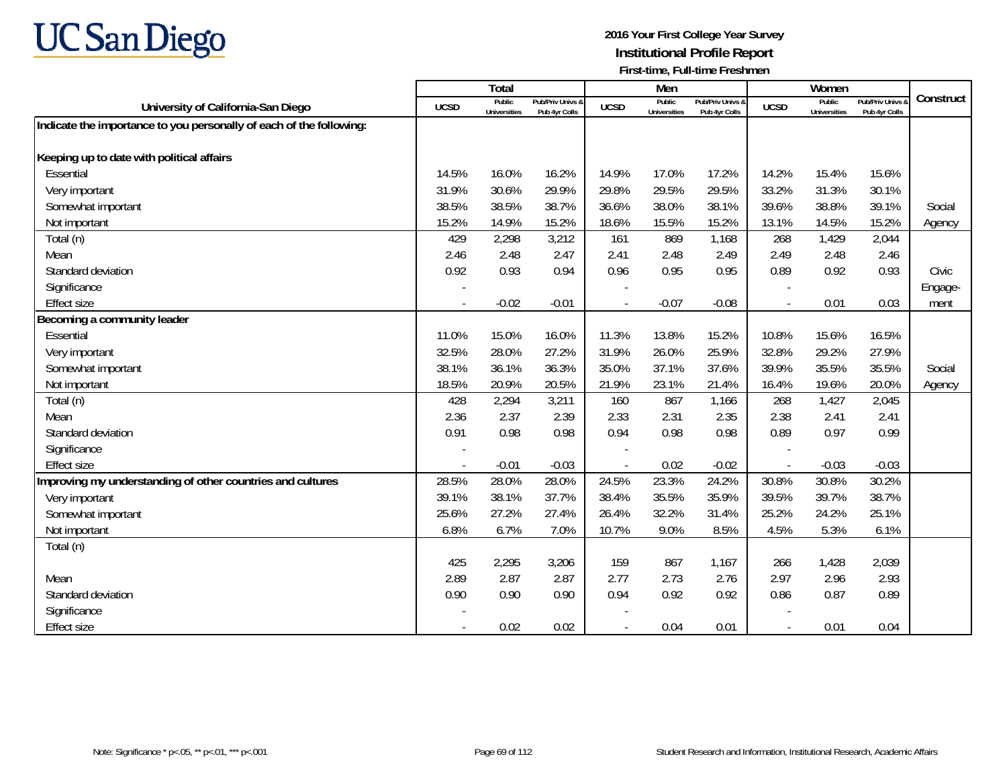

|                                                                     |             | Total                         |                                   |                | Men                           |                                   |                          | Women                         |                                        |           |
|---------------------------------------------------------------------|-------------|-------------------------------|-----------------------------------|----------------|-------------------------------|-----------------------------------|--------------------------|-------------------------------|----------------------------------------|-----------|
| University of California-San Diego                                  | <b>UCSD</b> | Public<br><b>Universities</b> | Pub/Priv Univs &<br>Pub 4yr Colls | <b>UCSD</b>    | Public<br><b>Universities</b> | Pub/Priv Univs &<br>Pub 4yr Colls | <b>UCSD</b>              | Public<br><b>Universities</b> | <b>Pub/Priv Univs</b><br>Pub 4yr Colls | Construct |
| Indicate the importance to you personally of each of the following: |             |                               |                                   |                |                               |                                   |                          |                               |                                        |           |
|                                                                     |             |                               |                                   |                |                               |                                   |                          |                               |                                        |           |
| Keeping up to date with political affairs                           |             |                               |                                   |                |                               |                                   |                          |                               |                                        |           |
| Essential                                                           | 14.5%       | 16.0%                         | 16.2%                             | 14.9%          | 17.0%                         | 17.2%                             | 14.2%                    | 15.4%                         | 15.6%                                  |           |
| Very important                                                      | 31.9%       | 30.6%                         | 29.9%                             | 29.8%          | 29.5%                         | 29.5%                             | 33.2%                    | 31.3%                         | 30.1%                                  |           |
| Somewhat important                                                  | 38.5%       | 38.5%                         | 38.7%                             | 36.6%          | 38.0%                         | 38.1%                             | 39.6%                    | 38.8%                         | 39.1%                                  | Social    |
| Not important                                                       | 15.2%       | 14.9%                         | 15.2%                             | 18.6%          | 15.5%                         | 15.2%                             | 13.1%                    | 14.5%                         | 15.2%                                  | Agency    |
| Total (n)                                                           | 429         | 2,298                         | 3,212                             | 161            | 869                           | 1,168                             | 268                      | 1,429                         | 2,044                                  |           |
| Mean                                                                | 2.46        | 2.48                          | 2.47                              | 2.41           | 2.48                          | 2.49                              | 2.49                     | 2.48                          | 2.46                                   |           |
| Standard deviation                                                  | 0.92        | 0.93                          | 0.94                              | 0.96           | 0.95                          | 0.95                              | 0.89                     | 0.92                          | 0.93                                   | Civic     |
| Significance                                                        |             |                               |                                   |                |                               |                                   |                          |                               |                                        | Engage-   |
| <b>Effect size</b>                                                  |             | $-0.02$                       | $-0.01$                           | $\overline{a}$ | $-0.07$                       | $-0.08$                           | $\overline{\phantom{a}}$ | 0.01                          | 0.03                                   | ment      |
| Becoming a community leader                                         |             |                               |                                   |                |                               |                                   |                          |                               |                                        |           |
| Essential                                                           | 11.0%       | 15.0%                         | 16.0%                             | 11.3%          | 13.8%                         | 15.2%                             | 10.8%                    | 15.6%                         | 16.5%                                  |           |
| Very important                                                      | 32.5%       | 28.0%                         | 27.2%                             | 31.9%          | 26.0%                         | 25.9%                             | 32.8%                    | 29.2%                         | 27.9%                                  |           |
| Somewhat important                                                  | 38.1%       | 36.1%                         | 36.3%                             | 35.0%          | 37.1%                         | 37.6%                             | 39.9%                    | 35.5%                         | 35.5%                                  | Social    |
| Not important                                                       | 18.5%       | 20.9%                         | 20.5%                             | 21.9%          | 23.1%                         | 21.4%                             | 16.4%                    | 19.6%                         | 20.0%                                  | Agency    |
| Total (n)                                                           | 428         | 2,294                         | 3,211                             | 160            | 867                           | 1,166                             | 268                      | 1,427                         | 2,045                                  |           |
| Mean                                                                | 2.36        | 2.37                          | 2.39                              | 2.33           | 2.31                          | 2.35                              | 2.38                     | 2.41                          | 2.41                                   |           |
| Standard deviation                                                  | 0.91        | 0.98                          | 0.98                              | 0.94           | 0.98                          | 0.98                              | 0.89                     | 0.97                          | 0.99                                   |           |
| Significance                                                        |             |                               |                                   |                |                               |                                   |                          |                               |                                        |           |
| <b>Effect size</b>                                                  |             | $-0.01$                       | $-0.03$                           |                | 0.02                          | $-0.02$                           | $\sim$                   | $-0.03$                       | $-0.03$                                |           |
| Improving my understanding of other countries and cultures          | 28.5%       | 28.0%                         | 28.0%                             | 24.5%          | 23.3%                         | 24.2%                             | 30.8%                    | 30.8%                         | 30.2%                                  |           |
| Very important                                                      | 39.1%       | 38.1%                         | 37.7%                             | 38.4%          | 35.5%                         | 35.9%                             | 39.5%                    | 39.7%                         | 38.7%                                  |           |
| Somewhat important                                                  | 25.6%       | 27.2%                         | 27.4%                             | 26.4%          | 32.2%                         | 31.4%                             | 25.2%                    | 24.2%                         | 25.1%                                  |           |
| Not important                                                       | 6.8%        | 6.7%                          | 7.0%                              | 10.7%          | 9.0%                          | 8.5%                              | 4.5%                     | 5.3%                          | 6.1%                                   |           |
| Total (n)                                                           |             |                               |                                   |                |                               |                                   |                          |                               |                                        |           |
|                                                                     | 425         | 2,295                         | 3,206                             | 159            | 867                           | 1.167                             | 266                      | 1,428                         | 2,039                                  |           |
| Mean                                                                | 2.89        | 2.87                          | 2.87                              | 2.77           | 2.73                          | 2.76                              | 2.97                     | 2.96                          | 2.93                                   |           |
| Standard deviation                                                  | 0.90        | 0.90                          | 0.90                              | 0.94           | 0.92                          | 0.92                              | 0.86                     | 0.87                          | 0.89                                   |           |
| Significance                                                        |             |                               |                                   |                |                               |                                   |                          |                               |                                        |           |
| <b>Effect size</b>                                                  |             | 0.02                          | 0.02                              |                | 0.04                          | 0.01                              | $\overline{\phantom{a}}$ | 0.01                          | 0.04                                   |           |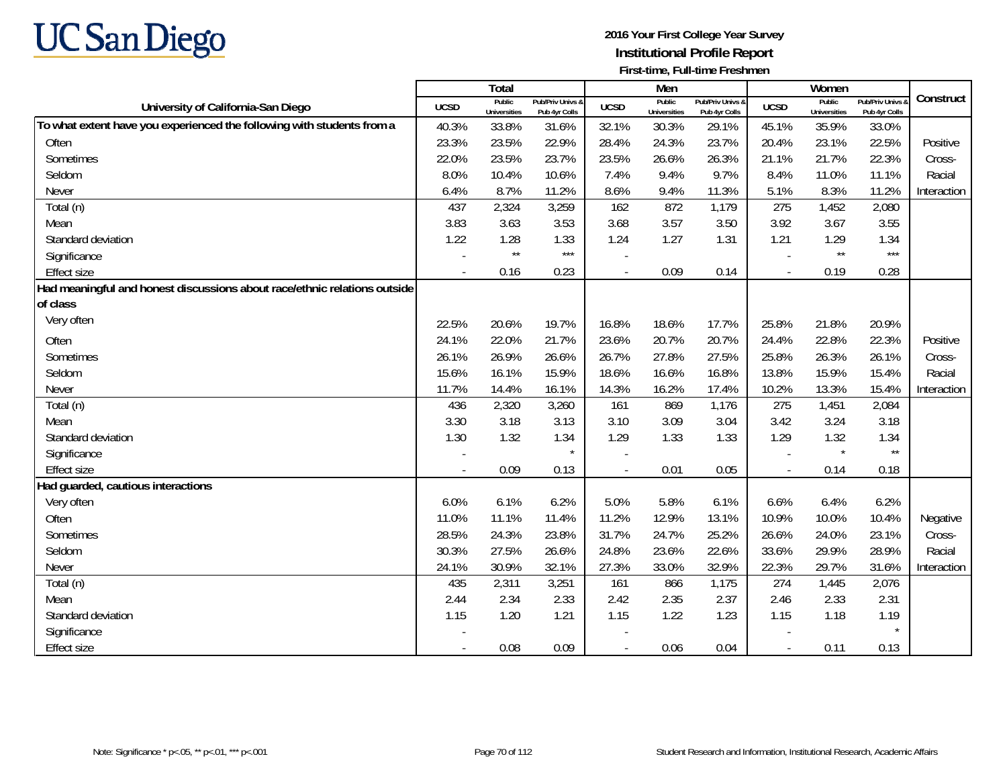

|                                                                           |             | Total                         |                                   |             | Men                           |                                   |                          | Women                         |                                        |             |
|---------------------------------------------------------------------------|-------------|-------------------------------|-----------------------------------|-------------|-------------------------------|-----------------------------------|--------------------------|-------------------------------|----------------------------------------|-------------|
| University of California-San Diego                                        | <b>UCSD</b> | Public<br><b>Universities</b> | Pub/Priv Univs &<br>Pub 4yr Colls | <b>UCSD</b> | Public<br><b>Universities</b> | Pub/Priv Univs &<br>Pub 4yr Colls | <b>UCSD</b>              | Public<br><b>Universities</b> | <b>Pub/Priv Univs</b><br>Pub 4yr Colls | Construct   |
| To what extent have you experienced the following with students from a    | 40.3%       | 33.8%                         | 31.6%                             | 32.1%       | 30.3%                         | 29.1%                             | 45.1%                    | 35.9%                         | 33.0%                                  |             |
| Often                                                                     | 23.3%       | 23.5%                         | 22.9%                             | 28.4%       | 24.3%                         | 23.7%                             | 20.4%                    | 23.1%                         | 22.5%                                  | Positive    |
| Sometimes                                                                 | 22.0%       | 23.5%                         | 23.7%                             | 23.5%       | 26.6%                         | 26.3%                             | 21.1%                    | 21.7%                         | 22.3%                                  | Cross-      |
| Seldom                                                                    | 8.0%        | 10.4%                         | 10.6%                             | 7.4%        | 9.4%                          | 9.7%                              | 8.4%                     | 11.0%                         | 11.1%                                  | Racial      |
| Never                                                                     | 6.4%        | 8.7%                          | 11.2%                             | 8.6%        | 9.4%                          | 11.3%                             | 5.1%                     | 8.3%                          | 11.2%                                  | Interaction |
| Total (n)                                                                 | 437         | 2,324                         | 3,259                             | 162         | 872                           | 1,179                             | 275                      | 1,452                         | 2,080                                  |             |
| Mean                                                                      | 3.83        | 3.63                          | 3.53                              | 3.68        | 3.57                          | 3.50                              | 3.92                     | 3.67                          | 3.55                                   |             |
| Standard deviation                                                        | 1.22        | 1.28                          | 1.33                              | 1.24        | 1.27                          | 1.31                              | 1.21                     | 1.29                          | 1.34                                   |             |
| Significance                                                              |             | $\star\star$                  | $***$                             |             |                               |                                   |                          | $\star\star$                  | $***$                                  |             |
| <b>Effect size</b>                                                        |             | 0.16                          | 0.23                              |             | 0.09                          | 0.14                              | $\overline{\phantom{a}}$ | 0.19                          | 0.28                                   |             |
| Had meaningful and honest discussions about race/ethnic relations outside |             |                               |                                   |             |                               |                                   |                          |                               |                                        |             |
| of class                                                                  |             |                               |                                   |             |                               |                                   |                          |                               |                                        |             |
| Very often                                                                | 22.5%       | 20.6%                         | 19.7%                             | 16.8%       | 18.6%                         | 17.7%                             | 25.8%                    | 21.8%                         | 20.9%                                  |             |
| Often                                                                     | 24.1%       | 22.0%                         | 21.7%                             | 23.6%       | 20.7%                         | 20.7%                             | 24.4%                    | 22.8%                         | 22.3%                                  | Positive    |
| Sometimes                                                                 | 26.1%       | 26.9%                         | 26.6%                             | 26.7%       | 27.8%                         | 27.5%                             | 25.8%                    | 26.3%                         | 26.1%                                  | Cross-      |
| Seldom                                                                    | 15.6%       | 16.1%                         | 15.9%                             | 18.6%       | 16.6%                         | 16.8%                             | 13.8%                    | 15.9%                         | 15.4%                                  | Racial      |
| Never                                                                     | 11.7%       | 14.4%                         | 16.1%                             | 14.3%       | 16.2%                         | 17.4%                             | 10.2%                    | 13.3%                         | 15.4%                                  | Interaction |
| Total (n)                                                                 | 436         | 2,320                         | 3,260                             | 161         | 869                           | 1,176                             | 275                      | 1,451                         | 2,084                                  |             |
| Mean                                                                      | 3.30        | 3.18                          | 3.13                              | 3.10        | 3.09                          | 3.04                              | 3.42                     | 3.24                          | 3.18                                   |             |
| Standard deviation                                                        | 1.30        | 1.32                          | 1.34                              | 1.29        | 1.33                          | 1.33                              | 1.29                     | 1.32                          | 1.34                                   |             |
| Significance                                                              |             |                               | $\star$                           |             |                               |                                   |                          | $\star$                       | $^{\star\star}$                        |             |
| <b>Effect size</b>                                                        |             | 0.09                          | 0.13                              |             | 0.01                          | 0.05                              | $\blacksquare$           | 0.14                          | 0.18                                   |             |
| Had guarded, cautious interactions                                        |             |                               |                                   |             |                               |                                   |                          |                               |                                        |             |
| Very often                                                                | 6.0%        | 6.1%                          | 6.2%                              | 5.0%        | 5.8%                          | 6.1%                              | 6.6%                     | 6.4%                          | 6.2%                                   |             |
| Often                                                                     | 11.0%       | 11.1%                         | 11.4%                             | 11.2%       | 12.9%                         | 13.1%                             | 10.9%                    | 10.0%                         | 10.4%                                  | Negative    |
| Sometimes                                                                 | 28.5%       | 24.3%                         | 23.8%                             | 31.7%       | 24.7%                         | 25.2%                             | 26.6%                    | 24.0%                         | 23.1%                                  | Cross-      |
| Seldom                                                                    | 30.3%       | 27.5%                         | 26.6%                             | 24.8%       | 23.6%                         | 22.6%                             | 33.6%                    | 29.9%                         | 28.9%                                  | Racial      |
| Never                                                                     | 24.1%       | 30.9%                         | 32.1%                             | 27.3%       | 33.0%                         | 32.9%                             | 22.3%                    | 29.7%                         | 31.6%                                  | Interaction |
| Total (n)                                                                 | 435         | 2,311                         | 3,251                             | 161         | 866                           | 1,175                             | 274                      | 1,445                         | 2,076                                  |             |
| Mean                                                                      | 2.44        | 2.34                          | 2.33                              | 2.42        | 2.35                          | 2.37                              | 2.46                     | 2.33                          | 2.31                                   |             |
| Standard deviation                                                        | 1.15        | 1.20                          | 1.21                              | 1.15        | 1.22                          | 1.23                              | 1.15                     | 1.18                          | 1.19                                   |             |
| Significance                                                              |             |                               |                                   |             |                               |                                   |                          |                               | $\star$                                |             |
| <b>Effect size</b>                                                        |             | 0.08                          | 0.09                              |             | 0.06                          | 0.04                              |                          | 0.11                          | 0.13                                   |             |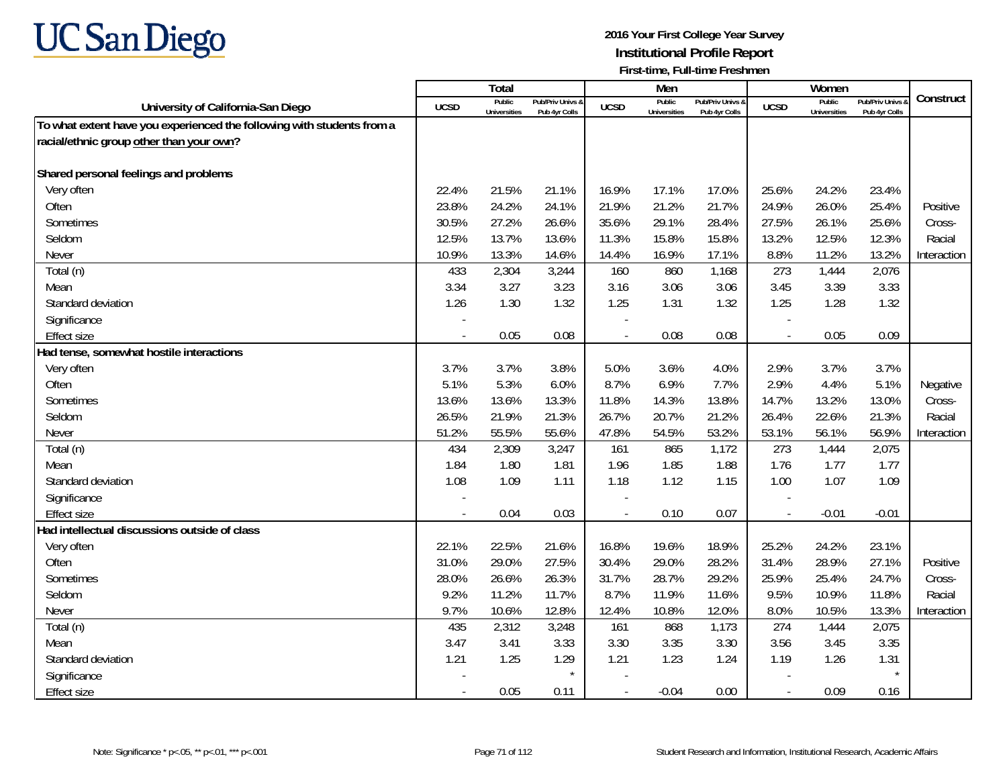

|                                                                        |             | Total                         |                                   |                | Men                           |                                   |                          | Women                         |                                        |             |
|------------------------------------------------------------------------|-------------|-------------------------------|-----------------------------------|----------------|-------------------------------|-----------------------------------|--------------------------|-------------------------------|----------------------------------------|-------------|
| University of California-San Diego                                     | <b>UCSD</b> | Public<br><b>Universities</b> | Pub/Priv Univs &<br>Pub 4yr Colls | <b>UCSD</b>    | Public<br><b>Universities</b> | Pub/Priv Univs &<br>Pub 4yr Colls | <b>UCSD</b>              | Public<br><b>Universities</b> | <b>Pub/Priv Univs</b><br>Pub 4yr Colls | Construct   |
| To what extent have you experienced the following with students from a |             |                               |                                   |                |                               |                                   |                          |                               |                                        |             |
| racial/ethnic group other than your own?                               |             |                               |                                   |                |                               |                                   |                          |                               |                                        |             |
|                                                                        |             |                               |                                   |                |                               |                                   |                          |                               |                                        |             |
| Shared personal feelings and problems                                  |             |                               |                                   |                |                               |                                   |                          |                               |                                        |             |
| Very often                                                             | 22.4%       | 21.5%                         | 21.1%                             | 16.9%          | 17.1%                         | 17.0%                             | 25.6%                    | 24.2%                         | 23.4%                                  |             |
| Often                                                                  | 23.8%       | 24.2%                         | 24.1%                             | 21.9%          | 21.2%                         | 21.7%                             | 24.9%                    | 26.0%                         | 25.4%                                  | Positive    |
| Sometimes                                                              | 30.5%       | 27.2%                         | 26.6%                             | 35.6%          | 29.1%                         | 28.4%                             | 27.5%                    | 26.1%                         | 25.6%                                  | Cross-      |
| Seldom                                                                 | 12.5%       | 13.7%                         | 13.6%                             | 11.3%          | 15.8%                         | 15.8%                             | 13.2%                    | 12.5%                         | 12.3%                                  | Racial      |
| Never                                                                  | 10.9%       | 13.3%                         | 14.6%                             | 14.4%          | 16.9%                         | 17.1%                             | 8.8%                     | 11.2%                         | 13.2%                                  | Interaction |
| Total (n)                                                              | 433         | 2,304                         | 3,244                             | 160            | 860                           | 1,168                             | 273                      | 1,444                         | 2,076                                  |             |
| Mean                                                                   | 3.34        | 3.27                          | 3.23                              | 3.16           | 3.06                          | 3.06                              | 3.45                     | 3.39                          | 3.33                                   |             |
| Standard deviation                                                     | 1.26        | 1.30                          | 1.32                              | 1.25           | 1.31                          | 1.32                              | 1.25                     | 1.28                          | 1.32                                   |             |
| Significance                                                           |             |                               |                                   |                |                               |                                   |                          |                               |                                        |             |
| <b>Effect size</b>                                                     |             | 0.05                          | 0.08                              |                | 0.08                          | 0.08                              | $\overline{a}$           | 0.05                          | 0.09                                   |             |
| Had tense, somewhat hostile interactions                               |             |                               |                                   |                |                               |                                   |                          |                               |                                        |             |
| Very often                                                             | 3.7%        | 3.7%                          | 3.8%                              | 5.0%           | 3.6%                          | 4.0%                              | 2.9%                     | 3.7%                          | 3.7%                                   |             |
| Often                                                                  | 5.1%        | 5.3%                          | 6.0%                              | 8.7%           | 6.9%                          | 7.7%                              | 2.9%                     | 4.4%                          | 5.1%                                   | Negative    |
| Sometimes                                                              | 13.6%       | 13.6%                         | 13.3%                             | 11.8%          | 14.3%                         | 13.8%                             | 14.7%                    | 13.2%                         | 13.0%                                  | Cross-      |
| Seldom                                                                 | 26.5%       | 21.9%                         | 21.3%                             | 26.7%          | 20.7%                         | 21.2%                             | 26.4%                    | 22.6%                         | 21.3%                                  | Racial      |
| Never                                                                  | 51.2%       | 55.5%                         | 55.6%                             | 47.8%          | 54.5%                         | 53.2%                             | 53.1%                    | 56.1%                         | 56.9%                                  | Interaction |
| Total (n)                                                              | 434         | 2,309                         | 3,247                             | 161            | 865                           | 1,172                             | 273                      | 1,444                         | 2,075                                  |             |
| Mean                                                                   | 1.84        | 1.80                          | 1.81                              | 1.96           | 1.85                          | 1.88                              | 1.76                     | 1.77                          | 1.77                                   |             |
| Standard deviation                                                     | 1.08        | 1.09                          | 1.11                              | 1.18           | 1.12                          | 1.15                              | 1.00                     | 1.07                          | 1.09                                   |             |
| Significance                                                           |             |                               |                                   |                |                               |                                   |                          |                               |                                        |             |
| <b>Effect size</b>                                                     | $\sim$      | 0.04                          | 0.03                              | $\overline{a}$ | 0.10                          | 0.07                              | $\blacksquare$           | $-0.01$                       | $-0.01$                                |             |
| Had intellectual discussions outside of class                          |             |                               |                                   |                |                               |                                   |                          |                               |                                        |             |
| Very often                                                             | 22.1%       | 22.5%                         | 21.6%                             | 16.8%          | 19.6%                         | 18.9%                             | 25.2%                    | 24.2%                         | 23.1%                                  |             |
| Often                                                                  | 31.0%       | 29.0%                         | 27.5%                             | 30.4%          | 29.0%                         | 28.2%                             | 31.4%                    | 28.9%                         | 27.1%                                  | Positive    |
| Sometimes                                                              | 28.0%       | 26.6%                         | 26.3%                             | 31.7%          | 28.7%                         | 29.2%                             | 25.9%                    | 25.4%                         | 24.7%                                  | Cross-      |
| Seldom                                                                 | 9.2%        | 11.2%                         | 11.7%                             | 8.7%           | 11.9%                         | 11.6%                             | 9.5%                     | 10.9%                         | 11.8%                                  | Racial      |
| Never                                                                  | 9.7%        | 10.6%                         | 12.8%                             | 12.4%          | 10.8%                         | 12.0%                             | 8.0%                     | 10.5%                         | 13.3%                                  | Interaction |
| Total (n)                                                              | 435         | 2,312                         | 3,248                             | 161            | 868                           | 1,173                             | 274                      | 1,444                         | 2,075                                  |             |
| Mean                                                                   | 3.47        | 3.41                          | 3.33                              | 3.30           | 3.35                          | 3.30                              | 3.56                     | 3.45                          | 3.35                                   |             |
| Standard deviation                                                     | 1.21        | 1.25                          | 1.29                              | 1.21           | 1.23                          | 1.24                              | 1.19                     | 1.26                          | 1.31                                   |             |
| Significance                                                           |             |                               | $\star$                           |                |                               |                                   |                          |                               |                                        |             |
| <b>Effect size</b>                                                     | $\sim$      | 0.05                          | 0.11                              |                | $-0.04$                       | 0.00                              | $\overline{\phantom{a}}$ | 0.09                          | 0.16                                   |             |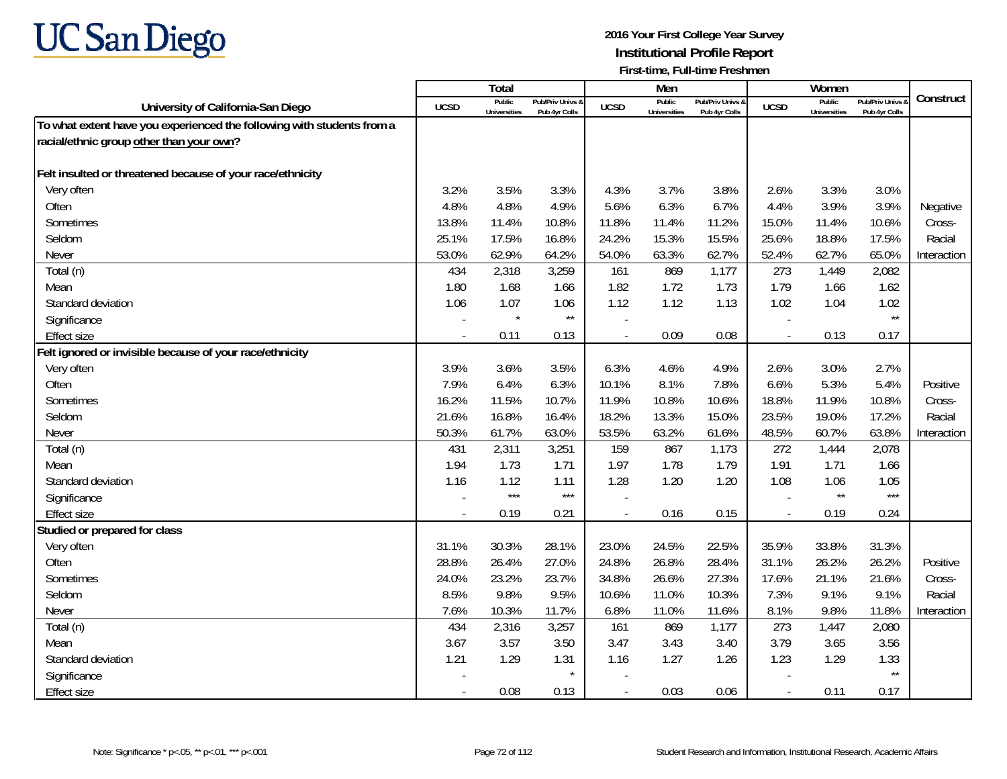

|                                                                        |                | Total                         |                                   |                          | Men                           |                                   |                          | Women                         |                                        |             |
|------------------------------------------------------------------------|----------------|-------------------------------|-----------------------------------|--------------------------|-------------------------------|-----------------------------------|--------------------------|-------------------------------|----------------------------------------|-------------|
| University of California-San Diego                                     | <b>UCSD</b>    | Public<br><b>Universities</b> | Pub/Priv Univs &<br>Pub 4yr Colls | <b>UCSD</b>              | Public<br><b>Universities</b> | Pub/Priv Univs &<br>Pub 4yr Colls | <b>UCSD</b>              | Public<br><b>Universities</b> | <b>Pub/Priv Univs</b><br>Pub 4yr Colls | Construct   |
| To what extent have you experienced the following with students from a |                |                               |                                   |                          |                               |                                   |                          |                               |                                        |             |
| racial/ethnic group other than your own?                               |                |                               |                                   |                          |                               |                                   |                          |                               |                                        |             |
|                                                                        |                |                               |                                   |                          |                               |                                   |                          |                               |                                        |             |
| Felt insulted or threatened because of your race/ethnicity             |                |                               |                                   |                          |                               |                                   |                          |                               |                                        |             |
| Very often                                                             | 3.2%           | 3.5%                          | 3.3%                              | 4.3%                     | 3.7%                          | 3.8%                              | 2.6%                     | 3.3%                          | 3.0%                                   |             |
| Often                                                                  | 4.8%           | 4.8%                          | 4.9%                              | 5.6%                     | 6.3%                          | 6.7%                              | 4.4%                     | 3.9%                          | 3.9%                                   | Negative    |
| Sometimes                                                              | 13.8%          | 11.4%                         | 10.8%                             | 11.8%                    | 11.4%                         | 11.2%                             | 15.0%                    | 11.4%                         | 10.6%                                  | Cross-      |
| Seldom                                                                 | 25.1%          | 17.5%                         | 16.8%                             | 24.2%                    | 15.3%                         | 15.5%                             | 25.6%                    | 18.8%                         | 17.5%                                  | Racial      |
| Never                                                                  | 53.0%          | 62.9%                         | 64.2%                             | 54.0%                    | 63.3%                         | 62.7%                             | 52.4%                    | 62.7%                         | 65.0%                                  | Interaction |
| Total (n)                                                              | 434            | 2,318                         | 3,259                             | 161                      | 869                           | 1,177                             | 273                      | 1,449                         | 2,082                                  |             |
| Mean                                                                   | 1.80           | 1.68                          | 1.66                              | 1.82                     | 1.72                          | 1.73                              | 1.79                     | 1.66                          | 1.62                                   |             |
| Standard deviation                                                     | 1.06           | 1.07                          | 1.06                              | 1.12                     | 1.12                          | 1.13                              | 1.02                     | 1.04                          | 1.02                                   |             |
| Significance                                                           |                | $\star$                       | $\star\star$                      |                          |                               |                                   |                          |                               | $\star\star$                           |             |
| <b>Effect size</b>                                                     |                | 0.11                          | 0.13                              |                          | 0.09                          | 0.08                              | $\overline{a}$           | 0.13                          | 0.17                                   |             |
| Felt ignored or invisible because of your race/ethnicity               |                |                               |                                   |                          |                               |                                   |                          |                               |                                        |             |
| Very often                                                             | 3.9%           | 3.6%                          | 3.5%                              | 6.3%                     | 4.6%                          | 4.9%                              | 2.6%                     | 3.0%                          | 2.7%                                   |             |
| Often                                                                  | 7.9%           | 6.4%                          | 6.3%                              | 10.1%                    | 8.1%                          | 7.8%                              | 6.6%                     | 5.3%                          | 5.4%                                   | Positive    |
| Sometimes                                                              | 16.2%          | 11.5%                         | 10.7%                             | 11.9%                    | 10.8%                         | 10.6%                             | 18.8%                    | 11.9%                         | 10.8%                                  | Cross-      |
| Seldom                                                                 | 21.6%          | 16.8%                         | 16.4%                             | 18.2%                    | 13.3%                         | 15.0%                             | 23.5%                    | 19.0%                         | 17.2%                                  | Racial      |
| Never                                                                  | 50.3%          | 61.7%                         | 63.0%                             | 53.5%                    | 63.2%                         | 61.6%                             | 48.5%                    | 60.7%                         | 63.8%                                  | Interaction |
| Total (n)                                                              | 431            | 2,311                         | 3,251                             | 159                      | 867                           | 1,173                             | 272                      | 1,444                         | 2,078                                  |             |
| Mean                                                                   | 1.94           | 1.73                          | 1.71                              | 1.97                     | 1.78                          | 1.79                              | 1.91                     | 1.71                          | 1.66                                   |             |
| Standard deviation                                                     | 1.16           | 1.12                          | 1.11                              | 1.28                     | 1.20                          | 1.20                              | 1.08                     | 1.06                          | 1.05                                   |             |
| Significance                                                           |                | $***$                         | $***$                             |                          |                               |                                   |                          | $\star\star$                  | $***$                                  |             |
| <b>Effect size</b>                                                     | $\overline{a}$ | 0.19                          | 0.21                              | $\overline{a}$           | 0.16                          | 0.15                              | $\overline{\phantom{a}}$ | 0.19                          | 0.24                                   |             |
| Studied or prepared for class                                          |                |                               |                                   |                          |                               |                                   |                          |                               |                                        |             |
| Very often                                                             | 31.1%          | 30.3%                         | 28.1%                             | 23.0%                    | 24.5%                         | 22.5%                             | 35.9%                    | 33.8%                         | 31.3%                                  |             |
| Often                                                                  | 28.8%          | 26.4%                         | 27.0%                             | 24.8%                    | 26.8%                         | 28.4%                             | 31.1%                    | 26.2%                         | 26.2%                                  | Positive    |
| Sometimes                                                              | 24.0%          | 23.2%                         | 23.7%                             | 34.8%                    | 26.6%                         | 27.3%                             | 17.6%                    | 21.1%                         | 21.6%                                  | Cross-      |
| Seldom                                                                 | 8.5%           | 9.8%                          | 9.5%                              | 10.6%                    | 11.0%                         | 10.3%                             | 7.3%                     | 9.1%                          | 9.1%                                   | Racial      |
| Never                                                                  | 7.6%           | 10.3%                         | 11.7%                             | 6.8%                     | 11.0%                         | 11.6%                             | 8.1%                     | 9.8%                          | 11.8%                                  | Interaction |
| Total (n)                                                              | 434            | 2,316                         | 3,257                             | 161                      | 869                           | 1,177                             | 273                      | 1,447                         | 2,080                                  |             |
| Mean                                                                   | 3.67           | 3.57                          | 3.50                              | 3.47                     | 3.43                          | 3.40                              | 3.79                     | 3.65                          | 3.56                                   |             |
| Standard deviation                                                     | 1.21           | 1.29                          | 1.31                              | 1.16                     | 1.27                          | 1.26                              | 1.23                     | 1.29                          | 1.33                                   |             |
| Significance                                                           |                |                               | $\star$                           |                          |                               |                                   |                          |                               | $\star\star$                           |             |
| <b>Effect size</b>                                                     |                | 0.08                          | 0.13                              | $\overline{\phantom{a}}$ | 0.03                          | 0.06                              | $\overline{\phantom{a}}$ | 0.11                          | 0.17                                   |             |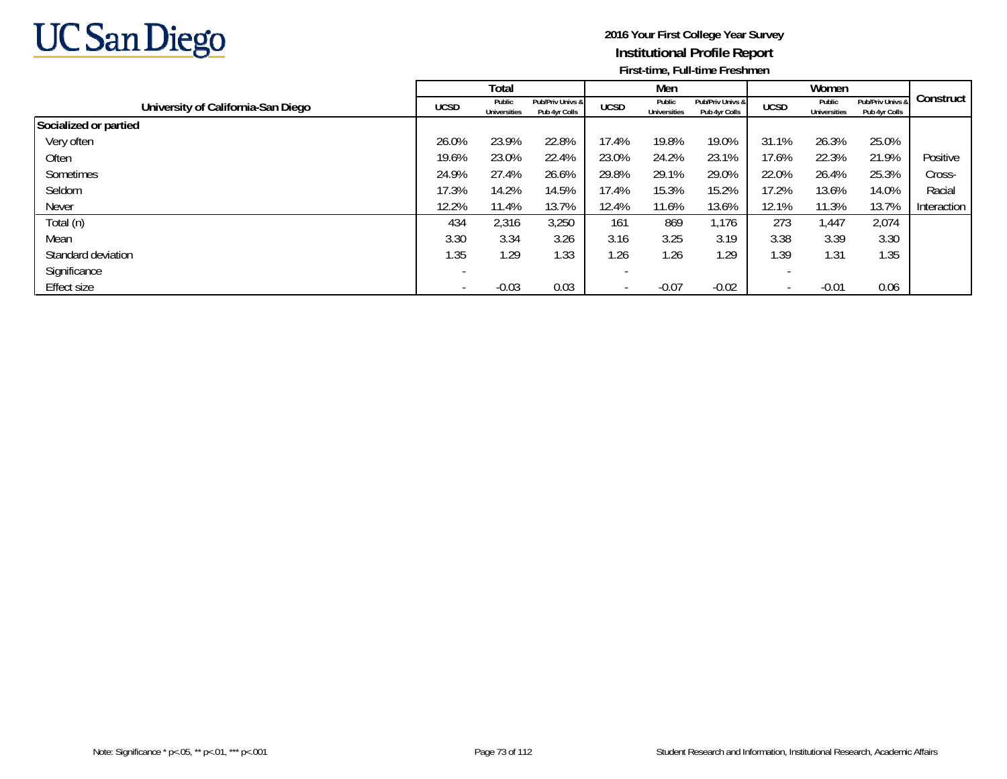

|                                    |             | Total                         |                                   |             | Men                           |                                   |             | Women                         |                                   |             |
|------------------------------------|-------------|-------------------------------|-----------------------------------|-------------|-------------------------------|-----------------------------------|-------------|-------------------------------|-----------------------------------|-------------|
| University of California-San Diego | <b>UCSD</b> | Public<br><b>Universities</b> | Pub/Priv Univs &<br>Pub 4yr Colls | <b>UCSD</b> | Public<br><b>Universities</b> | Pub/Priv Univs &<br>Pub 4yr Colls | <b>UCSD</b> | Public<br><b>Universities</b> | Pub/Priv Univs &<br>Pub 4yr Colls | Construct   |
| Socialized or partied              |             |                               |                                   |             |                               |                                   |             |                               |                                   |             |
| Very often                         | 26.0%       | 23.9%                         | 22.8%                             | 17.4%       | 19.8%                         | 19.0%                             | 31.1%       | 26.3%                         | 25.0%                             |             |
| Often                              | 19.6%       | 23.0%                         | 22.4%                             | 23.0%       | 24.2%                         | 23.1%                             | 17.6%       | 22.3%                         | 21.9%                             | Positive    |
| Sometimes                          | 24.9%       | 27.4%                         | 26.6%                             | 29.8%       | 29.1%                         | 29.0%                             | 22.0%       | 26.4%                         | 25.3%                             | Cross-      |
| Seldom                             | 17.3%       | 14.2%                         | 14.5%                             | 17.4%       | 15.3%                         | 15.2%                             | 17.2%       | 13.6%                         | 14.0%                             | Racial      |
| Never                              | 12.2%       | 11.4%                         | 13.7%                             | 12.4%       | 11.6%                         | 13.6%                             | 12.1%       | 11.3%                         | 13.7%                             | Interaction |
| Total (n)                          | 434         | 2,316                         | 3,250                             | 161         | 869                           | 1,176                             | 273         | 1,447                         | 2,074                             |             |
| Mean                               | 3.30        | 3.34                          | 3.26                              | 3.16        | 3.25                          | 3.19                              | 3.38        | 3.39                          | 3.30                              |             |
| Standard deviation                 | 1.35        | 1.29                          | 1.33                              | 1.26        | 1.26                          | 1.29                              | 1.39        | 1.31                          | 1.35                              |             |
| Significance                       |             |                               |                                   |             |                               |                                   |             |                               |                                   |             |
| Effect size                        |             | $-0.03$                       | 0.03                              |             | $-0.07$                       | $-0.02$                           |             | $-0.01$                       | 0.06                              |             |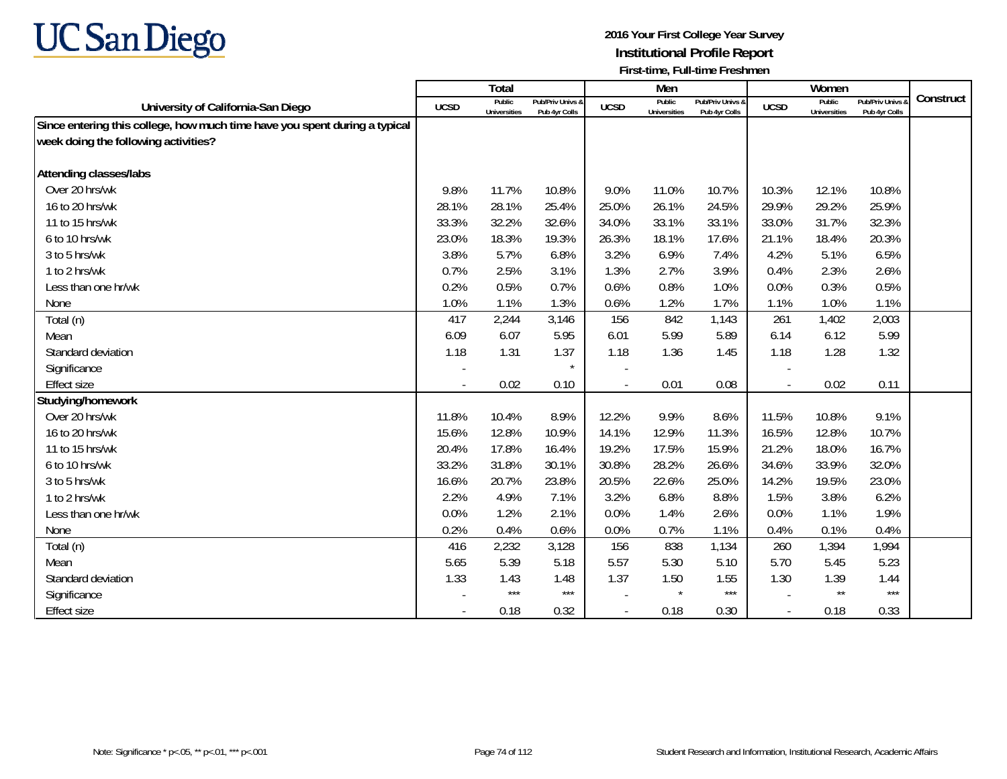

|                                                                            |             | Total                         |                                   |                | Men                           |                                   |                          | Women                         |                                        |           |
|----------------------------------------------------------------------------|-------------|-------------------------------|-----------------------------------|----------------|-------------------------------|-----------------------------------|--------------------------|-------------------------------|----------------------------------------|-----------|
| University of California-San Diego                                         | <b>UCSD</b> | Public<br><b>Universities</b> | Pub/Priv Univs &<br>Pub 4yr Colls | <b>UCSD</b>    | Public<br><b>Universities</b> | Pub/Priv Univs &<br>Pub 4yr Colls | <b>UCSD</b>              | Public<br><b>Universities</b> | <b>Pub/Priv Univs</b><br>Pub 4yr Colls | Construct |
| Since entering this college, how much time have you spent during a typical |             |                               |                                   |                |                               |                                   |                          |                               |                                        |           |
| week doing the following activities?                                       |             |                               |                                   |                |                               |                                   |                          |                               |                                        |           |
|                                                                            |             |                               |                                   |                |                               |                                   |                          |                               |                                        |           |
| <b>Attending classes/labs</b>                                              |             |                               |                                   |                |                               |                                   |                          |                               |                                        |           |
| Over 20 hrs/wk                                                             | 9.8%        | 11.7%                         | 10.8%                             | 9.0%           | 11.0%                         | 10.7%                             | 10.3%                    | 12.1%                         | 10.8%                                  |           |
| 16 to 20 hrs/wk                                                            | 28.1%       | 28.1%                         | 25.4%                             | 25.0%          | 26.1%                         | 24.5%                             | 29.9%                    | 29.2%                         | 25.9%                                  |           |
| 11 to 15 hrs/wk                                                            | 33.3%       | 32.2%                         | 32.6%                             | 34.0%          | 33.1%                         | 33.1%                             | 33.0%                    | 31.7%                         | 32.3%                                  |           |
| 6 to 10 hrs/wk                                                             | 23.0%       | 18.3%                         | 19.3%                             | 26.3%          | 18.1%                         | 17.6%                             | 21.1%                    | 18.4%                         | 20.3%                                  |           |
| 3 to 5 hrs/wk                                                              | 3.8%        | 5.7%                          | 6.8%                              | 3.2%           | 6.9%                          | 7.4%                              | 4.2%                     | 5.1%                          | 6.5%                                   |           |
| 1 to 2 hrs/wk                                                              | 0.7%        | 2.5%                          | 3.1%                              | 1.3%           | 2.7%                          | 3.9%                              | 0.4%                     | 2.3%                          | 2.6%                                   |           |
| Less than one hr/wk                                                        | 0.2%        | 0.5%                          | 0.7%                              | 0.6%           | 0.8%                          | 1.0%                              | 0.0%                     | 0.3%                          | 0.5%                                   |           |
| None                                                                       | 1.0%        | 1.1%                          | 1.3%                              | 0.6%           | 1.2%                          | 1.7%                              | 1.1%                     | 1.0%                          | 1.1%                                   |           |
| Total (n)                                                                  | 417         | 2,244                         | 3,146                             | 156            | 842                           | 1,143                             | 261                      | 1,402                         | 2,003                                  |           |
| Mean                                                                       | 6.09        | 6.07                          | 5.95                              | 6.01           | 5.99                          | 5.89                              | 6.14                     | 6.12                          | 5.99                                   |           |
| Standard deviation                                                         | 1.18        | 1.31                          | 1.37                              | 1.18           | 1.36                          | 1.45                              | 1.18                     | 1.28                          | 1.32                                   |           |
| Significance                                                               |             |                               | $\star$                           |                |                               |                                   |                          |                               |                                        |           |
| <b>Effect size</b>                                                         |             | 0.02                          | 0.10                              |                | 0.01                          | 0.08                              | $\overline{\phantom{a}}$ | 0.02                          | 0.11                                   |           |
| Studying/homework                                                          |             |                               |                                   |                |                               |                                   |                          |                               |                                        |           |
| Over 20 hrs/wk                                                             | 11.8%       | 10.4%                         | 8.9%                              | 12.2%          | 9.9%                          | 8.6%                              | 11.5%                    | 10.8%                         | 9.1%                                   |           |
| 16 to 20 hrs/wk                                                            | 15.6%       | 12.8%                         | 10.9%                             | 14.1%          | 12.9%                         | 11.3%                             | 16.5%                    | 12.8%                         | 10.7%                                  |           |
| 11 to 15 hrs/wk                                                            | 20.4%       | 17.8%                         | 16.4%                             | 19.2%          | 17.5%                         | 15.9%                             | 21.2%                    | 18.0%                         | 16.7%                                  |           |
| 6 to 10 hrs/wk                                                             | 33.2%       | 31.8%                         | 30.1%                             | 30.8%          | 28.2%                         | 26.6%                             | 34.6%                    | 33.9%                         | 32.0%                                  |           |
| 3 to 5 hrs/wk                                                              | 16.6%       | 20.7%                         | 23.8%                             | 20.5%          | 22.6%                         | 25.0%                             | 14.2%                    | 19.5%                         | 23.0%                                  |           |
| 1 to 2 hrs/wk                                                              | 2.2%        | 4.9%                          | 7.1%                              | 3.2%           | 6.8%                          | 8.8%                              | 1.5%                     | 3.8%                          | 6.2%                                   |           |
| Less than one hr/wk                                                        | 0.0%        | 1.2%                          | 2.1%                              | 0.0%           | 1.4%                          | 2.6%                              | 0.0%                     | 1.1%                          | 1.9%                                   |           |
| None                                                                       | 0.2%        | 0.4%                          | 0.6%                              | 0.0%           | 0.7%                          | 1.1%                              | 0.4%                     | 0.1%                          | 0.4%                                   |           |
| Total (n)                                                                  | 416         | 2,232                         | 3,128                             | 156            | 838                           | 1,134                             | 260                      | 1,394                         | 1,994                                  |           |
| Mean                                                                       | 5.65        | 5.39                          | 5.18                              | 5.57           | 5.30                          | 5.10                              | 5.70                     | 5.45                          | 5.23                                   |           |
| Standard deviation                                                         | 1.33        | 1.43                          | 1.48                              | 1.37           | 1.50                          | 1.55                              | 1.30                     | 1.39                          | 1.44                                   |           |
| Significance                                                               |             | $***$                         | $***$                             |                | $\star$                       | $***$                             | $\sim$                   | $\star\star$                  | $***$                                  |           |
| <b>Effect size</b>                                                         |             | 0.18                          | 0.32                              | $\blacksquare$ | 0.18                          | 0.30                              | $\overline{\phantom{a}}$ | 0.18                          | 0.33                                   |           |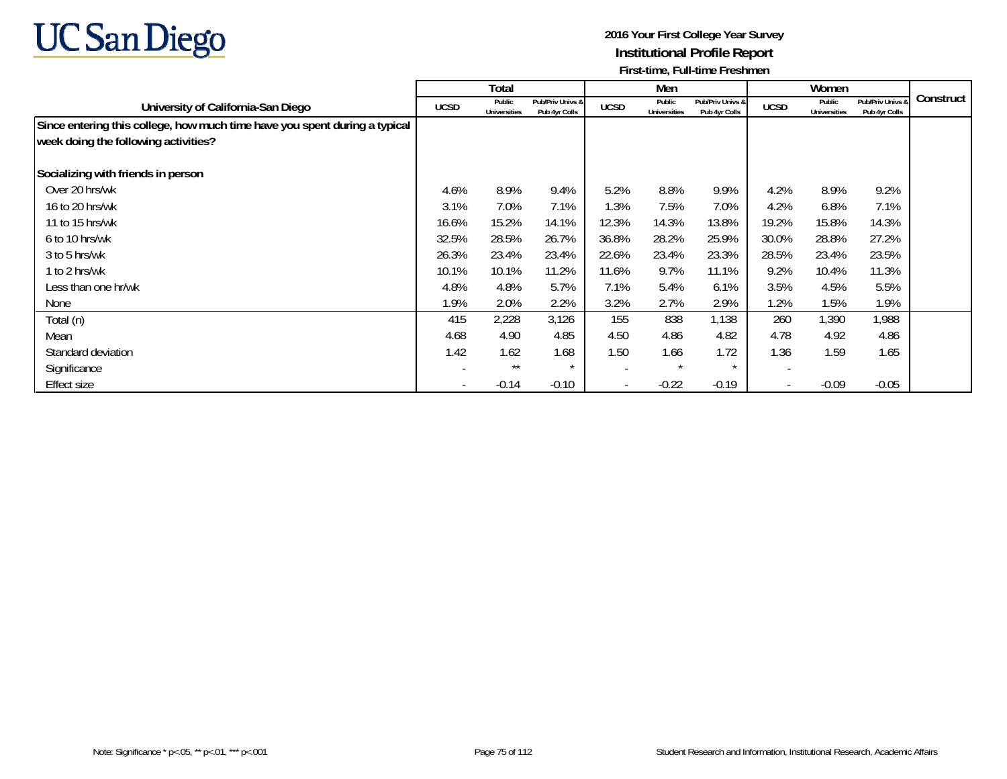

|                                                                            |             | Total                         |                                   |             | Men                           |                                   |                          | Women                         |                                   |           |
|----------------------------------------------------------------------------|-------------|-------------------------------|-----------------------------------|-------------|-------------------------------|-----------------------------------|--------------------------|-------------------------------|-----------------------------------|-----------|
| University of California-San Diego                                         | <b>UCSD</b> | Public<br><b>Universities</b> | Pub/Priv Univs &<br>Pub 4yr Colls | <b>UCSD</b> | Public<br><b>Universities</b> | Pub/Priv Univs &<br>Pub 4yr Colls | <b>UCSD</b>              | Public<br><b>Universities</b> | Pub/Priv Univs 8<br>Pub 4yr Colls | Construct |
| Since entering this college, how much time have you spent during a typical |             |                               |                                   |             |                               |                                   |                          |                               |                                   |           |
| week doing the following activities?                                       |             |                               |                                   |             |                               |                                   |                          |                               |                                   |           |
| Socializing with friends in person                                         |             |                               |                                   |             |                               |                                   |                          |                               |                                   |           |
| Over 20 hrs/wk                                                             | 4.6%        | 8.9%                          | 9.4%                              | 5.2%        | 8.8%                          | 9.9%                              | 4.2%                     | 8.9%                          | 9.2%                              |           |
| 16 to 20 hrs/wk                                                            | 3.1%        | 7.0%                          | 7.1%                              | 1.3%        | 7.5%                          | 7.0%                              | 4.2%                     | 6.8%                          | 7.1%                              |           |
| 11 to 15 hrs/wk                                                            | 16.6%       | 15.2%                         | 14.1%                             | 12.3%       | 14.3%                         | 13.8%                             | 19.2%                    | 15.8%                         | 14.3%                             |           |
| 6 to 10 hrs/wk                                                             | 32.5%       | 28.5%                         | 26.7%                             | 36.8%       | 28.2%                         | 25.9%                             | 30.0%                    | 28.8%                         | 27.2%                             |           |
| 3 to 5 hrs/wk                                                              | 26.3%       | 23.4%                         | 23.4%                             | 22.6%       | 23.4%                         | 23.3%                             | 28.5%                    | 23.4%                         | 23.5%                             |           |
| 1 to 2 hrs/wk                                                              | 10.1%       | 10.1%                         | 11.2%                             | 11.6%       | 9.7%                          | 11.1%                             | 9.2%                     | 10.4%                         | 11.3%                             |           |
| Less than one hr/wk                                                        | 4.8%        | 4.8%                          | 5.7%                              | 7.1%        | 5.4%                          | 6.1%                              | 3.5%                     | 4.5%                          | 5.5%                              |           |
| None                                                                       | 1.9%        | 2.0%                          | 2.2%                              | 3.2%        | 2.7%                          | 2.9%                              | 1.2%                     | 1.5%                          | 1.9%                              |           |
| Total (n)                                                                  | 415         | 2,228                         | 3,126                             | 155         | 838                           | 1,138                             | 260                      | 1,390                         | 1,988                             |           |
| Mean                                                                       | 4.68        | 4.90                          | 4.85                              | 4.50        | 4.86                          | 4.82                              | 4.78                     | 4.92                          | 4.86                              |           |
| Standard deviation                                                         | 1.42        | 1.62                          | 1.68                              | 1.50        | 1.66                          | 1.72                              | 1.36                     | 1.59                          | 1.65                              |           |
| Significance                                                               |             | $***$                         | $\star$                           |             | $\star$                       | $\star$                           |                          |                               |                                   |           |
| Effect size                                                                |             | $-0.14$                       | $-0.10$                           |             | $-0.22$                       | $-0.19$                           | $\overline{\phantom{a}}$ | $-0.09$                       | $-0.05$                           |           |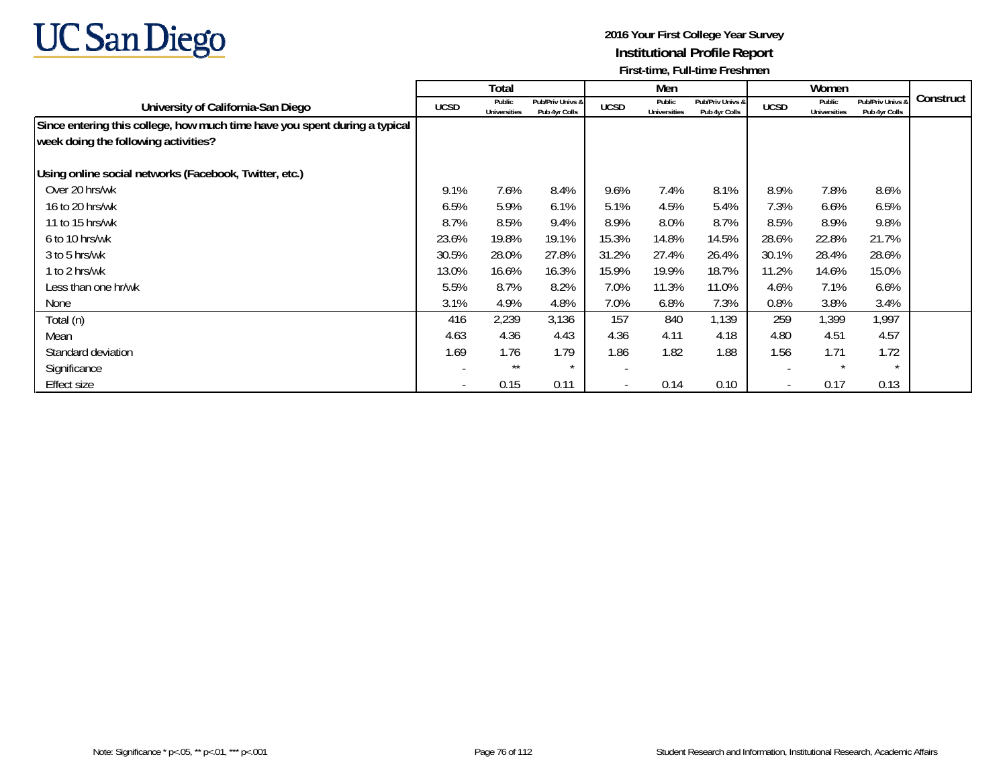

|                                                                            |                          | Total                         |                                   |                          | Men                           |                                   |                          | Women                         |                                   |           |
|----------------------------------------------------------------------------|--------------------------|-------------------------------|-----------------------------------|--------------------------|-------------------------------|-----------------------------------|--------------------------|-------------------------------|-----------------------------------|-----------|
| University of California-San Diego                                         | <b>UCSD</b>              | Public<br><b>Universities</b> | Pub/Priv Univs &<br>Pub 4yr Colls | <b>UCSD</b>              | Public<br><b>Universities</b> | Pub/Priv Univs &<br>Pub 4yr Colls | <b>UCSD</b>              | Public<br><b>Universities</b> | Pub/Priv Univs &<br>Pub 4yr Colls | Construct |
| Since entering this college, how much time have you spent during a typical |                          |                               |                                   |                          |                               |                                   |                          |                               |                                   |           |
| week doing the following activities?                                       |                          |                               |                                   |                          |                               |                                   |                          |                               |                                   |           |
| Using online social networks (Facebook, Twitter, etc.)                     |                          |                               |                                   |                          |                               |                                   |                          |                               |                                   |           |
| Over 20 hrs/wk                                                             | 9.1%                     | 7.6%                          | 8.4%                              | 9.6%                     | 7.4%                          | 8.1%                              | 8.9%                     | 7.8%                          | 8.6%                              |           |
| 16 to 20 hrs/wk                                                            | 6.5%                     | 5.9%                          | 6.1%                              | 5.1%                     | 4.5%                          | 5.4%                              | 7.3%                     | 6.6%                          | 6.5%                              |           |
| 11 to 15 hrs/wk                                                            | 8.7%                     | 8.5%                          | 9.4%                              | 8.9%                     | 8.0%                          | 8.7%                              | 8.5%                     | 8.9%                          | 9.8%                              |           |
| 6 to 10 hrs/wk                                                             | 23.6%                    | 19.8%                         | 19.1%                             | 15.3%                    | 14.8%                         | 14.5%                             | 28.6%                    | 22.8%                         | 21.7%                             |           |
| 3 to 5 hrs/wk                                                              | 30.5%                    | 28.0%                         | 27.8%                             | 31.2%                    | 27.4%                         | 26.4%                             | 30.1%                    | 28.4%                         | 28.6%                             |           |
| 1 to 2 hrs/wk                                                              | 13.0%                    | 16.6%                         | 16.3%                             | 15.9%                    | 19.9%                         | 18.7%                             | 11.2%                    | 14.6%                         | 15.0%                             |           |
| Less than one hr/wk                                                        | 5.5%                     | 8.7%                          | 8.2%                              | 7.0%                     | 11.3%                         | 11.0%                             | 4.6%                     | 7.1%                          | 6.6%                              |           |
| None                                                                       | 3.1%                     | 4.9%                          | 4.8%                              | 7.0%                     | 6.8%                          | 7.3%                              | 0.8%                     | 3.8%                          | 3.4%                              |           |
| Total (n)                                                                  | 416                      | 2,239                         | 3,136                             | 157                      | 840                           | 1.139                             | 259                      | 1,399                         | 1,997                             |           |
| Mean                                                                       | 4.63                     | 4.36                          | 4.43                              | 4.36                     | 4.11                          | 4.18                              | 4.80                     | 4.51                          | 4.57                              |           |
| Standard deviation                                                         | 1.69                     | 1.76                          | 1.79                              | 1.86                     | 1.82                          | 1.88                              | 1.56                     | 1.71                          | 1.72                              |           |
| Significance                                                               |                          | $***$                         | $\star$                           |                          |                               |                                   | -                        | $\star$                       | $\star$                           |           |
| <b>Effect size</b>                                                         | $\overline{\phantom{a}}$ | 0.15                          | 0.11                              | $\overline{\phantom{a}}$ | 0.14                          | 0.10                              | $\overline{\phantom{a}}$ | 0.17                          | 0.13                              |           |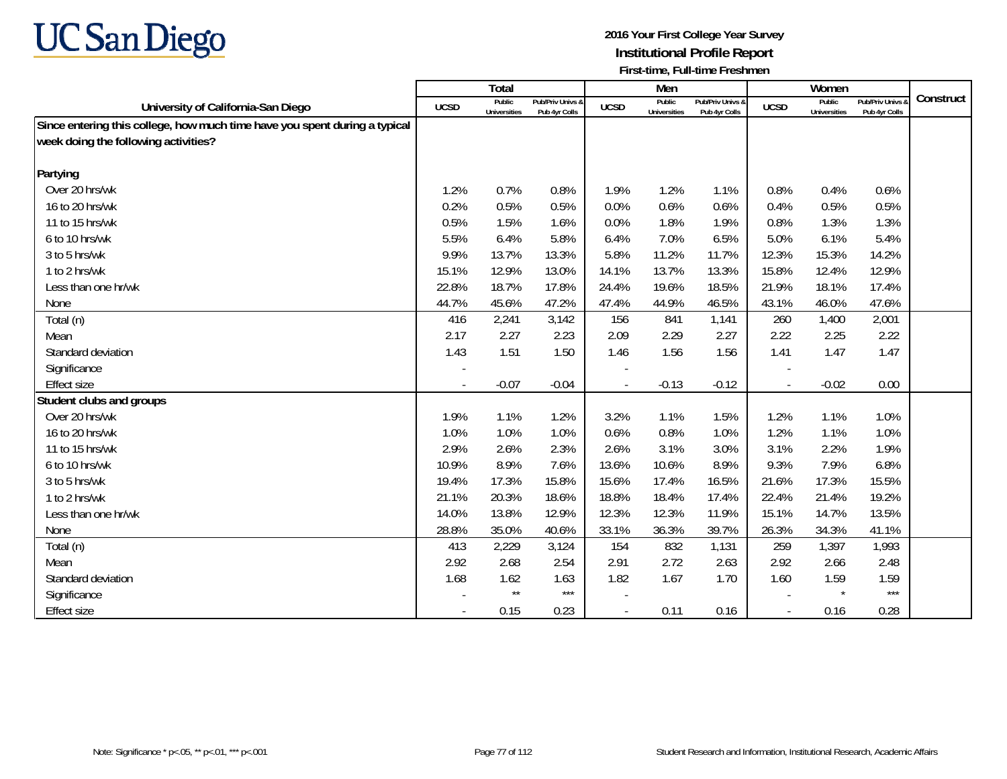

|                                                                            |             | Total                         |                                   |                          | Men                           |                                   |             | Women                         |                                 |           |
|----------------------------------------------------------------------------|-------------|-------------------------------|-----------------------------------|--------------------------|-------------------------------|-----------------------------------|-------------|-------------------------------|---------------------------------|-----------|
| University of California-San Diego                                         | <b>UCSD</b> | Public<br><b>Universities</b> | Pub/Priv Univs &<br>Pub 4yr Colls | <b>UCSD</b>              | Public<br><b>Universities</b> | Pub/Priv Univs &<br>Pub 4yr Colls | <b>UCSD</b> | Public<br><b>Universities</b> | Pub/Priv Univs<br>Pub 4yr Colls | Construct |
| Since entering this college, how much time have you spent during a typical |             |                               |                                   |                          |                               |                                   |             |                               |                                 |           |
| week doing the following activities?                                       |             |                               |                                   |                          |                               |                                   |             |                               |                                 |           |
|                                                                            |             |                               |                                   |                          |                               |                                   |             |                               |                                 |           |
| Partying                                                                   |             |                               |                                   |                          |                               |                                   |             |                               |                                 |           |
| Over 20 hrs/wk                                                             | 1.2%        | 0.7%                          | 0.8%                              | 1.9%                     | 1.2%                          | 1.1%                              | 0.8%        | 0.4%                          | 0.6%                            |           |
| 16 to 20 hrs/wk                                                            | 0.2%        | 0.5%                          | 0.5%                              | 0.0%                     | 0.6%                          | 0.6%                              | 0.4%        | 0.5%                          | 0.5%                            |           |
| 11 to 15 hrs/wk                                                            | 0.5%        | 1.5%                          | 1.6%                              | 0.0%                     | 1.8%                          | 1.9%                              | 0.8%        | 1.3%                          | 1.3%                            |           |
| 6 to 10 hrs/wk                                                             | 5.5%        | 6.4%                          | 5.8%                              | 6.4%                     | 7.0%                          | 6.5%                              | 5.0%        | 6.1%                          | 5.4%                            |           |
| 3 to 5 hrs/wk                                                              | 9.9%        | 13.7%                         | 13.3%                             | 5.8%                     | 11.2%                         | 11.7%                             | 12.3%       | 15.3%                         | 14.2%                           |           |
| 1 to 2 hrs/wk                                                              | 15.1%       | 12.9%                         | 13.0%                             | 14.1%                    | 13.7%                         | 13.3%                             | 15.8%       | 12.4%                         | 12.9%                           |           |
| Less than one hr/wk                                                        | 22.8%       | 18.7%                         | 17.8%                             | 24.4%                    | 19.6%                         | 18.5%                             | 21.9%       | 18.1%                         | 17.4%                           |           |
| None                                                                       | 44.7%       | 45.6%                         | 47.2%                             | 47.4%                    | 44.9%                         | 46.5%                             | 43.1%       | 46.0%                         | 47.6%                           |           |
| Total (n)                                                                  | 416         | 2,241                         | 3,142                             | 156                      | 841                           | 1,141                             | 260         | 1,400                         | 2,001                           |           |
| Mean                                                                       | 2.17        | 2.27                          | 2.23                              | 2.09                     | 2.29                          | 2.27                              | 2.22        | 2.25                          | 2.22                            |           |
| Standard deviation                                                         | 1.43        | 1.51                          | 1.50                              | 1.46                     | 1.56                          | 1.56                              | 1.41        | 1.47                          | 1.47                            |           |
| Significance                                                               |             |                               |                                   |                          |                               |                                   |             |                               |                                 |           |
| Effect size                                                                |             | $-0.07$                       | $-0.04$                           | $\overline{a}$           | $-0.13$                       | $-0.12$                           | $\sim$      | $-0.02$                       | 0.00                            |           |
| Student clubs and groups                                                   |             |                               |                                   |                          |                               |                                   |             |                               |                                 |           |
| Over 20 hrs/wk                                                             | 1.9%        | 1.1%                          | 1.2%                              | 3.2%                     | 1.1%                          | 1.5%                              | 1.2%        | 1.1%                          | 1.0%                            |           |
| 16 to 20 hrs/wk                                                            | 1.0%        | 1.0%                          | 1.0%                              | 0.6%                     | 0.8%                          | 1.0%                              | 1.2%        | 1.1%                          | 1.0%                            |           |
| 11 to 15 hrs/wk                                                            | 2.9%        | 2.6%                          | 2.3%                              | 2.6%                     | 3.1%                          | 3.0%                              | 3.1%        | 2.2%                          | 1.9%                            |           |
| 6 to 10 hrs/wk                                                             | 10.9%       | 8.9%                          | 7.6%                              | 13.6%                    | 10.6%                         | 8.9%                              | 9.3%        | 7.9%                          | 6.8%                            |           |
| 3 to 5 hrs/wk                                                              | 19.4%       | 17.3%                         | 15.8%                             | 15.6%                    | 17.4%                         | 16.5%                             | 21.6%       | 17.3%                         | 15.5%                           |           |
| 1 to 2 hrs/wk                                                              | 21.1%       | 20.3%                         | 18.6%                             | 18.8%                    | 18.4%                         | 17.4%                             | 22.4%       | 21.4%                         | 19.2%                           |           |
| Less than one hr/wk                                                        | 14.0%       | 13.8%                         | 12.9%                             | 12.3%                    | 12.3%                         | 11.9%                             | 15.1%       | 14.7%                         | 13.5%                           |           |
| None                                                                       | 28.8%       | 35.0%                         | 40.6%                             | 33.1%                    | 36.3%                         | 39.7%                             | 26.3%       | 34.3%                         | 41.1%                           |           |
| Total (n)                                                                  | 413         | 2,229                         | 3,124                             | 154                      | 832                           | 1,131                             | 259         | 1,397                         | 1,993                           |           |
| Mean                                                                       | 2.92        | 2.68                          | 2.54                              | 2.91                     | 2.72                          | 2.63                              | 2.92        | 2.66                          | 2.48                            |           |
| Standard deviation                                                         | 1.68        | 1.62                          | 1.63                              | 1.82                     | 1.67                          | 1.70                              | 1.60        | 1.59                          | 1.59                            |           |
| Significance                                                               |             | $^{\star\star}$               | $***$                             |                          |                               |                                   |             | $\star$                       | $***$                           |           |
| <b>Effect size</b>                                                         | $\sim$      | 0.15                          | 0.23                              | $\overline{\phantom{a}}$ | 0.11                          | 0.16                              | $\sim$      | 0.16                          | 0.28                            |           |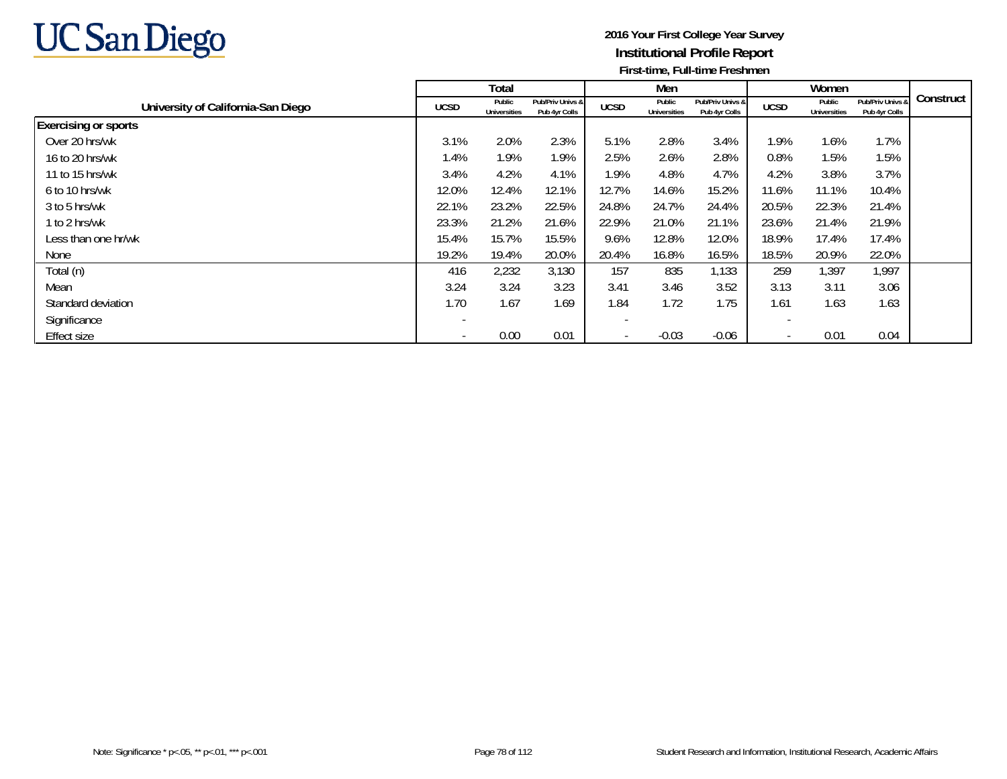

|                                    |                          | Total                         |                                   |             | Men                           |                                   |                          | Women                         |                                   |           |
|------------------------------------|--------------------------|-------------------------------|-----------------------------------|-------------|-------------------------------|-----------------------------------|--------------------------|-------------------------------|-----------------------------------|-----------|
| University of California-San Diego | <b>UCSD</b>              | Public<br><b>Universities</b> | Pub/Priv Univs &<br>Pub 4yr Colls | <b>UCSD</b> | Public<br><b>Universities</b> | Pub/Priv Univs &<br>Pub 4yr Colls | <b>UCSD</b>              | Public<br><b>Universities</b> | Pub/Priv Univs &<br>Pub 4yr Colls | Construct |
| <b>Exercising or sports</b>        |                          |                               |                                   |             |                               |                                   |                          |                               |                                   |           |
| Over 20 hrs/wk                     | 3.1%                     | 2.0%                          | 2.3%                              | 5.1%        | 2.8%                          | 3.4%                              | 1.9%                     | 1.6%                          | 1.7%                              |           |
| 16 to 20 hrs/wk                    | 1.4%                     | 1.9%                          | 1.9%                              | 2.5%        | 2.6%                          | 2.8%                              | 0.8%                     | 1.5%                          | 1.5%                              |           |
| 11 to 15 hrs/wk                    | 3.4%                     | 4.2%                          | 4.1%                              | 1.9%        | 4.8%                          | 4.7%                              | 4.2%                     | 3.8%                          | 3.7%                              |           |
| 6 to 10 hrs/wk                     | 12.0%                    | 12.4%                         | 12.1%                             | 12.7%       | 14.6%                         | 15.2%                             | 11.6%                    | 11.1%                         | 10.4%                             |           |
| 3 to 5 hrs/wk                      | 22.1%                    | 23.2%                         | 22.5%                             | 24.8%       | 24.7%                         | 24.4%                             | 20.5%                    | 22.3%                         | 21.4%                             |           |
| 1 to 2 hrs/wk                      | 23.3%                    | 21.2%                         | 21.6%                             | 22.9%       | 21.0%                         | 21.1%                             | 23.6%                    | 21.4%                         | 21.9%                             |           |
| Less than one hr/wk                | 15.4%                    | 15.7%                         | 15.5%                             | 9.6%        | 12.8%                         | 12.0%                             | 18.9%                    | 17.4%                         | 17.4%                             |           |
| None                               | 19.2%                    | 19.4%                         | 20.0%                             | 20.4%       | 16.8%                         | 16.5%                             | 18.5%                    | 20.9%                         | 22.0%                             |           |
| Total (n)                          | 416                      | 2,232                         | 3,130                             | 157         | 835                           | 1,133                             | 259                      | 1,397                         | 1,997                             |           |
| Mean                               | 3.24                     | 3.24                          | 3.23                              | 3.41        | 3.46                          | 3.52                              | 3.13                     | 3.11                          | 3.06                              |           |
| Standard deviation                 | 1.70                     | 1.67                          | 1.69                              | 1.84        | 1.72                          | 1.75                              | 1.61                     | 1.63                          | 1.63                              |           |
| Significance                       | $\overline{\phantom{a}}$ |                               |                                   |             |                               |                                   |                          |                               |                                   |           |
| <b>Effect size</b>                 | $\overline{\phantom{a}}$ | 0.00                          | 0.01                              |             | $-0.03$                       | $-0.06$                           | $\overline{\phantom{a}}$ | 0.01                          | 0.04                              |           |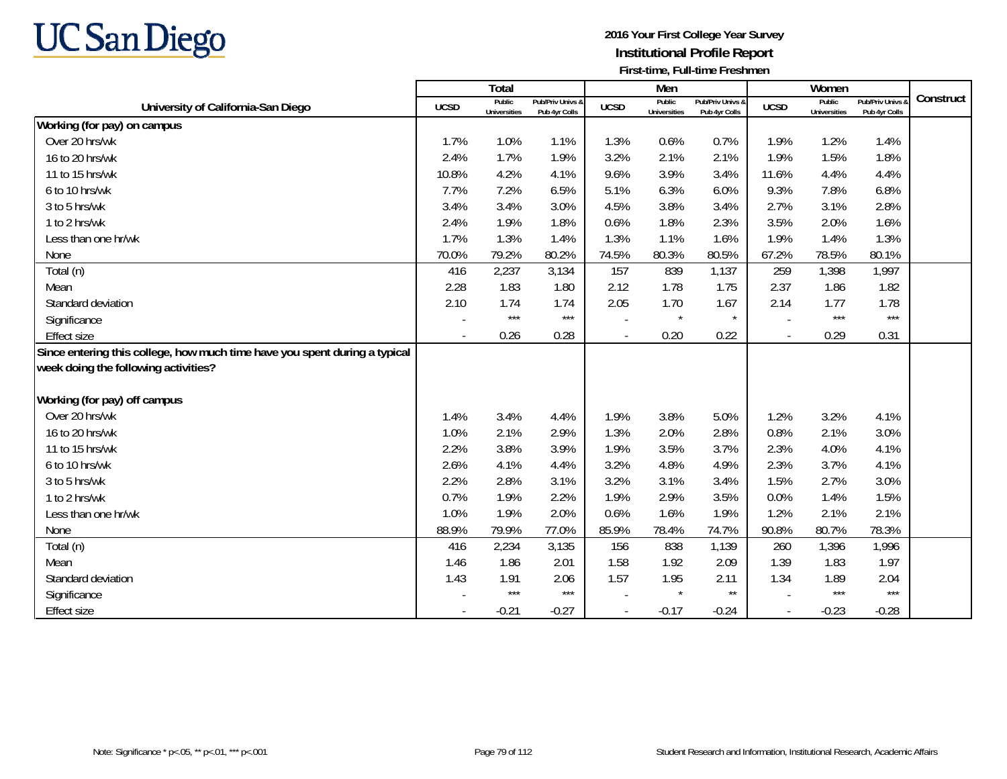

|                                                                            |                          | <b>Total</b>                  |                                   |                          | Men                           |                                   |             | Women                         |                                 |           |
|----------------------------------------------------------------------------|--------------------------|-------------------------------|-----------------------------------|--------------------------|-------------------------------|-----------------------------------|-------------|-------------------------------|---------------------------------|-----------|
| University of California-San Diego                                         | <b>UCSD</b>              | Public<br><b>Universities</b> | Pub/Priv Univs &<br>Pub 4yr Colls | <b>UCSD</b>              | Public<br><b>Universities</b> | Pub/Priv Univs &<br>Pub 4yr Colls | <b>UCSD</b> | Public<br><b>Universities</b> | Pub/Priv Univs<br>Pub 4yr Colls | Construct |
| Working (for pay) on campus                                                |                          |                               |                                   |                          |                               |                                   |             |                               |                                 |           |
| Over 20 hrs/wk                                                             | 1.7%                     | 1.0%                          | 1.1%                              | 1.3%                     | 0.6%                          | 0.7%                              | 1.9%        | 1.2%                          | 1.4%                            |           |
| 16 to 20 hrs/wk                                                            | 2.4%                     | 1.7%                          | 1.9%                              | 3.2%                     | 2.1%                          | 2.1%                              | 1.9%        | 1.5%                          | 1.8%                            |           |
| 11 to 15 hrs/wk                                                            | 10.8%                    | 4.2%                          | 4.1%                              | 9.6%                     | 3.9%                          | 3.4%                              | 11.6%       | 4.4%                          | 4.4%                            |           |
| 6 to 10 hrs/wk                                                             | 7.7%                     | 7.2%                          | 6.5%                              | 5.1%                     | 6.3%                          | 6.0%                              | 9.3%        | 7.8%                          | 6.8%                            |           |
| 3 to 5 hrs/wk                                                              | 3.4%                     | 3.4%                          | 3.0%                              | 4.5%                     | 3.8%                          | 3.4%                              | 2.7%        | 3.1%                          | 2.8%                            |           |
| 1 to 2 hrs/wk                                                              | 2.4%                     | 1.9%                          | 1.8%                              | 0.6%                     | 1.8%                          | 2.3%                              | 3.5%        | 2.0%                          | 1.6%                            |           |
| Less than one hr/wk                                                        | 1.7%                     | 1.3%                          | 1.4%                              | 1.3%                     | 1.1%                          | 1.6%                              | 1.9%        | 1.4%                          | 1.3%                            |           |
| None                                                                       | 70.0%                    | 79.2%                         | 80.2%                             | 74.5%                    | 80.3%                         | 80.5%                             | 67.2%       | 78.5%                         | 80.1%                           |           |
| Total (n)                                                                  | 416                      | 2,237                         | 3,134                             | 157                      | 839                           | 1,137                             | 259         | 1,398                         | 1,997                           |           |
| Mean                                                                       | 2.28                     | 1.83                          | 1.80                              | 2.12                     | 1.78                          | 1.75                              | 2.37        | 1.86                          | 1.82                            |           |
| Standard deviation                                                         | 2.10                     | 1.74                          | 1.74                              | 2.05                     | 1.70                          | 1.67                              | 2.14        | 1.77                          | 1.78                            |           |
| Significance                                                               |                          | $***$                         | $***$                             |                          | $\star$                       | $\star$                           |             | $***$                         | $***$                           |           |
| <b>Effect size</b>                                                         | $\blacksquare$           | 0.26                          | 0.28                              | $\overline{\phantom{a}}$ | 0.20                          | 0.22                              | $\sim$      | 0.29                          | 0.31                            |           |
| Since entering this college, how much time have you spent during a typical |                          |                               |                                   |                          |                               |                                   |             |                               |                                 |           |
| week doing the following activities?                                       |                          |                               |                                   |                          |                               |                                   |             |                               |                                 |           |
| Working (for pay) off campus                                               |                          |                               |                                   |                          |                               |                                   |             |                               |                                 |           |
| Over 20 hrs/wk                                                             | 1.4%                     | 3.4%                          | 4.4%                              | 1.9%                     | 3.8%                          | 5.0%                              | 1.2%        | 3.2%                          | 4.1%                            |           |
| 16 to 20 hrs/wk                                                            | 1.0%                     | 2.1%                          | 2.9%                              | 1.3%                     | 2.0%                          | 2.8%                              | 0.8%        | 2.1%                          | 3.0%                            |           |
| 11 to 15 hrs/wk                                                            | 2.2%                     | 3.8%                          | 3.9%                              | 1.9%                     | 3.5%                          | 3.7%                              | 2.3%        | 4.0%                          | 4.1%                            |           |
| 6 to 10 hrs/wk                                                             | 2.6%                     | 4.1%                          | 4.4%                              | 3.2%                     | 4.8%                          | 4.9%                              | 2.3%        | 3.7%                          | 4.1%                            |           |
| 3 to 5 hrs/wk                                                              | 2.2%                     | 2.8%                          | 3.1%                              | 3.2%                     | 3.1%                          | 3.4%                              | 1.5%        | 2.7%                          | 3.0%                            |           |
| 1 to 2 hrs/wk                                                              | 0.7%                     | 1.9%                          | 2.2%                              | 1.9%                     | 2.9%                          | 3.5%                              | 0.0%        | 1.4%                          | 1.5%                            |           |
| Less than one hr/wk                                                        | 1.0%                     | 1.9%                          | 2.0%                              | 0.6%                     | 1.6%                          | 1.9%                              | 1.2%        | 2.1%                          | 2.1%                            |           |
| None                                                                       | 88.9%                    | 79.9%                         | 77.0%                             | 85.9%                    | 78.4%                         | 74.7%                             | 90.8%       | 80.7%                         | 78.3%                           |           |
| Total (n)                                                                  | 416                      | 2,234                         | 3,135                             | 156                      | 838                           | 1,139                             | 260         | 1,396                         | 1,996                           |           |
| Mean                                                                       | 1.46                     | 1.86                          | 2.01                              | 1.58                     | 1.92                          | 2.09                              | 1.39        | 1.83                          | 1.97                            |           |
| Standard deviation                                                         | 1.43                     | 1.91                          | 2.06                              | 1.57                     | 1.95                          | 2.11                              | 1.34        | 1.89                          | 2.04                            |           |
| Significance                                                               |                          | $***$                         | $***$                             |                          | $\star$                       | $\star\star$                      |             | $***$                         | $***$                           |           |
| <b>Effect size</b>                                                         | $\overline{\phantom{a}}$ | $-0.21$                       | $-0.27$                           | $\blacksquare$           | $-0.17$                       | $-0.24$                           | $\sim$      | $-0.23$                       | $-0.28$                         |           |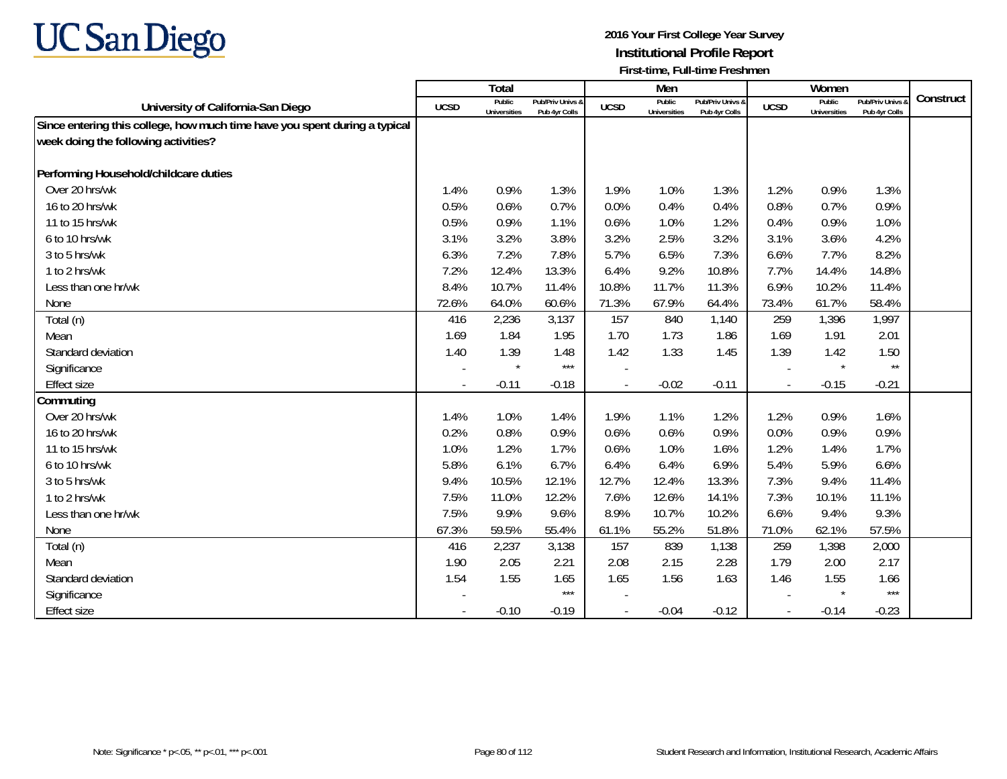

|                                                                            |             | Total                         |                                   |                | Men                           |                                   |                          | Women                         |                                        |           |
|----------------------------------------------------------------------------|-------------|-------------------------------|-----------------------------------|----------------|-------------------------------|-----------------------------------|--------------------------|-------------------------------|----------------------------------------|-----------|
| University of California-San Diego                                         | <b>UCSD</b> | Public<br><b>Universities</b> | Pub/Priv Univs &<br>Pub 4yr Colls | <b>UCSD</b>    | Public<br><b>Universities</b> | Pub/Priv Univs &<br>Pub 4yr Colls | <b>UCSD</b>              | Public<br><b>Universities</b> | <b>Pub/Priv Univs</b><br>Pub 4yr Colls | Construct |
| Since entering this college, how much time have you spent during a typical |             |                               |                                   |                |                               |                                   |                          |                               |                                        |           |
| week doing the following activities?                                       |             |                               |                                   |                |                               |                                   |                          |                               |                                        |           |
|                                                                            |             |                               |                                   |                |                               |                                   |                          |                               |                                        |           |
| Performing Household/childcare duties                                      |             |                               |                                   |                |                               |                                   |                          |                               |                                        |           |
| Over 20 hrs/wk                                                             | 1.4%        | 0.9%                          | 1.3%                              | 1.9%           | 1.0%                          | 1.3%                              | 1.2%                     | 0.9%                          | 1.3%                                   |           |
| 16 to 20 hrs/wk                                                            | 0.5%        | 0.6%                          | 0.7%                              | 0.0%           | 0.4%                          | 0.4%                              | 0.8%                     | 0.7%                          | 0.9%                                   |           |
| 11 to 15 hrs/wk                                                            | 0.5%        | 0.9%                          | 1.1%                              | 0.6%           | 1.0%                          | 1.2%                              | 0.4%                     | 0.9%                          | 1.0%                                   |           |
| 6 to 10 hrs/wk                                                             | 3.1%        | 3.2%                          | 3.8%                              | 3.2%           | 2.5%                          | 3.2%                              | 3.1%                     | 3.6%                          | 4.2%                                   |           |
| 3 to 5 hrs/wk                                                              | 6.3%        | 7.2%                          | 7.8%                              | 5.7%           | 6.5%                          | 7.3%                              | 6.6%                     | 7.7%                          | 8.2%                                   |           |
| 1 to 2 hrs/wk                                                              | 7.2%        | 12.4%                         | 13.3%                             | 6.4%           | 9.2%                          | 10.8%                             | 7.7%                     | 14.4%                         | 14.8%                                  |           |
| Less than one hr/wk                                                        | 8.4%        | 10.7%                         | 11.4%                             | 10.8%          | 11.7%                         | 11.3%                             | 6.9%                     | 10.2%                         | 11.4%                                  |           |
| None                                                                       | 72.6%       | 64.0%                         | 60.6%                             | 71.3%          | 67.9%                         | 64.4%                             | 73.4%                    | 61.7%                         | 58.4%                                  |           |
| Total (n)                                                                  | 416         | 2,236                         | 3,137                             | 157            | 840                           | 1,140                             | 259                      | 1,396                         | 1,997                                  |           |
| Mean                                                                       | 1.69        | 1.84                          | 1.95                              | 1.70           | 1.73                          | 1.86                              | 1.69                     | 1.91                          | 2.01                                   |           |
| Standard deviation                                                         | 1.40        | 1.39                          | 1.48                              | 1.42           | 1.33                          | 1.45                              | 1.39                     | 1.42                          | 1.50                                   |           |
| Significance                                                               |             | $\star$                       | $***$                             |                |                               |                                   |                          | $\star$                       | $\star\star$                           |           |
| <b>Effect size</b>                                                         | $\sim$      | $-0.11$                       | $-0.18$                           |                | $-0.02$                       | $-0.11$                           | $\overline{\phantom{a}}$ | $-0.15$                       | $-0.21$                                |           |
| Commuting                                                                  |             |                               |                                   |                |                               |                                   |                          |                               |                                        |           |
| Over 20 hrs/wk                                                             | 1.4%        | 1.0%                          | 1.4%                              | 1.9%           | 1.1%                          | 1.2%                              | 1.2%                     | 0.9%                          | 1.6%                                   |           |
| 16 to 20 hrs/wk                                                            | 0.2%        | 0.8%                          | 0.9%                              | 0.6%           | 0.6%                          | 0.9%                              | 0.0%                     | 0.9%                          | 0.9%                                   |           |
| 11 to 15 hrs/wk                                                            | 1.0%        | 1.2%                          | 1.7%                              | 0.6%           | 1.0%                          | 1.6%                              | 1.2%                     | 1.4%                          | 1.7%                                   |           |
| 6 to 10 hrs/wk                                                             | 5.8%        | 6.1%                          | 6.7%                              | 6.4%           | 6.4%                          | 6.9%                              | 5.4%                     | 5.9%                          | 6.6%                                   |           |
| 3 to 5 hrs/wk                                                              | 9.4%        | 10.5%                         | 12.1%                             | 12.7%          | 12.4%                         | 13.3%                             | 7.3%                     | 9.4%                          | 11.4%                                  |           |
| 1 to 2 hrs/wk                                                              | 7.5%        | 11.0%                         | 12.2%                             | 7.6%           | 12.6%                         | 14.1%                             | 7.3%                     | 10.1%                         | 11.1%                                  |           |
| Less than one hr/wk                                                        | 7.5%        | 9.9%                          | 9.6%                              | 8.9%           | 10.7%                         | 10.2%                             | 6.6%                     | 9.4%                          | 9.3%                                   |           |
| None                                                                       | 67.3%       | 59.5%                         | 55.4%                             | 61.1%          | 55.2%                         | 51.8%                             | 71.0%                    | 62.1%                         | 57.5%                                  |           |
| Total (n)                                                                  | 416         | 2,237                         | 3,138                             | 157            | 839                           | 1,138                             | 259                      | 1,398                         | 2,000                                  |           |
| Mean                                                                       | 1.90        | 2.05                          | 2.21                              | 2.08           | 2.15                          | 2.28                              | 1.79                     | 2.00                          | 2.17                                   |           |
| Standard deviation                                                         | 1.54        | 1.55                          | 1.65                              | 1.65           | 1.56                          | 1.63                              | 1.46                     | 1.55                          | 1.66                                   |           |
| Significance                                                               |             |                               | $***$                             |                |                               |                                   |                          | $\star$                       | $***$                                  |           |
| <b>Effect size</b>                                                         | $\sim$      | $-0.10$                       | $-0.19$                           | $\blacksquare$ | $-0.04$                       | $-0.12$                           | $\overline{\phantom{a}}$ | $-0.14$                       | $-0.23$                                |           |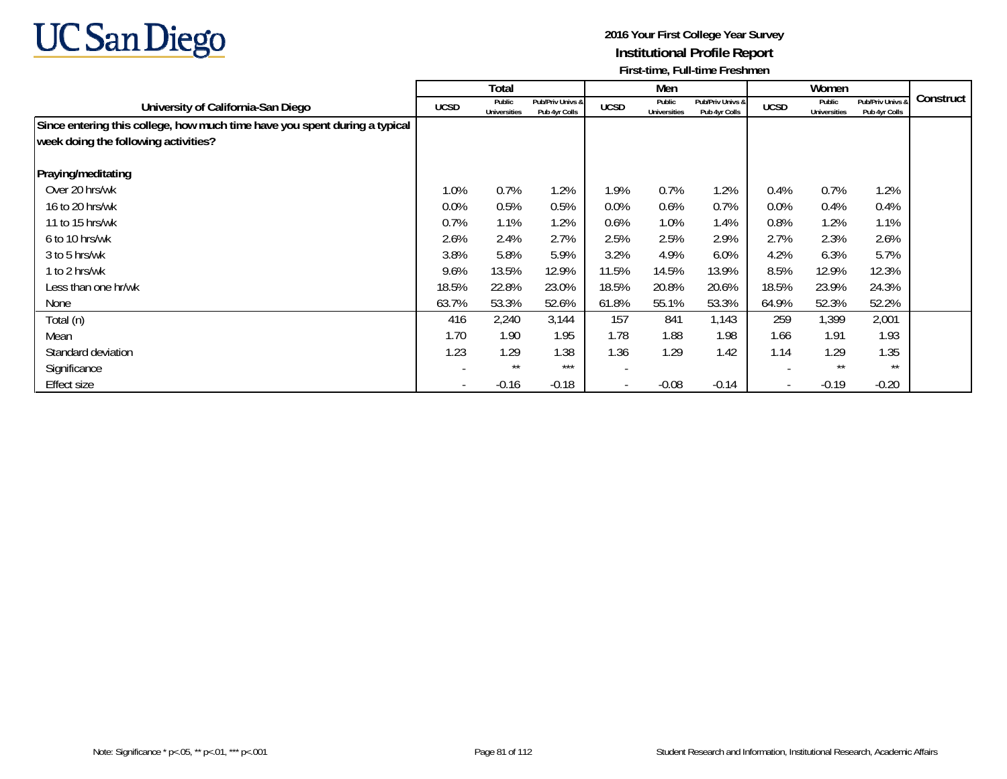

|                                                                            |             | Total                         |                                   |             | Men                           |                                   |             | Women                         |                                   |           |
|----------------------------------------------------------------------------|-------------|-------------------------------|-----------------------------------|-------------|-------------------------------|-----------------------------------|-------------|-------------------------------|-----------------------------------|-----------|
| University of California-San Diego                                         | <b>UCSD</b> | Public<br><b>Universities</b> | Pub/Priv Univs &<br>Pub 4yr Colls | <b>UCSD</b> | Public<br><b>Universities</b> | Pub/Priv Univs &<br>Pub 4yr Colls | <b>UCSD</b> | Public<br><b>Universities</b> | Pub/Priv Univs 8<br>Pub 4yr Colls | Construct |
| Since entering this college, how much time have you spent during a typical |             |                               |                                   |             |                               |                                   |             |                               |                                   |           |
| week doing the following activities?                                       |             |                               |                                   |             |                               |                                   |             |                               |                                   |           |
| Praying/meditating                                                         |             |                               |                                   |             |                               |                                   |             |                               |                                   |           |
| Over 20 hrs/wk                                                             | 1.0%        | 0.7%                          | 1.2%                              | 1.9%        | 0.7%                          | 1.2%                              | 0.4%        | 0.7%                          | 1.2%                              |           |
| 16 to 20 hrs/wk                                                            | $0.0\%$     | 0.5%                          | 0.5%                              | 0.0%        | $0.6\%$                       | 0.7%                              | 0.0%        | 0.4%                          | 0.4%                              |           |
| 11 to 15 hrs/wk                                                            | 0.7%        | 1.1%                          | 1.2%                              | 0.6%        | 1.0%                          | 1.4%                              | 0.8%        | 1.2%                          | 1.1%                              |           |
| 6 to 10 hrs/wk                                                             | 2.6%        | 2.4%                          | 2.7%                              | 2.5%        | 2.5%                          | 2.9%                              | 2.7%        | 2.3%                          | 2.6%                              |           |
| 3 to 5 hrs/wk                                                              | 3.8%        | 5.8%                          | 5.9%                              | 3.2%        | 4.9%                          | 6.0%                              | 4.2%        | 6.3%                          | 5.7%                              |           |
| 1 to 2 hrs/wk                                                              | 9.6%        | 13.5%                         | 12.9%                             | 11.5%       | 14.5%                         | 13.9%                             | 8.5%        | 12.9%                         | 12.3%                             |           |
| Less than one hr/wk                                                        | 18.5%       | 22.8%                         | 23.0%                             | 18.5%       | 20.8%                         | 20.6%                             | 18.5%       | 23.9%                         | 24.3%                             |           |
| None                                                                       | 63.7%       | 53.3%                         | 52.6%                             | 61.8%       | 55.1%                         | 53.3%                             | 64.9%       | 52.3%                         | 52.2%                             |           |
| Total (n)                                                                  | 416         | 2,240                         | 3,144                             | 157         | 841                           | 1,143                             | 259         | 1,399                         | 2,001                             |           |
| Mean                                                                       | 1.70        | 1.90                          | 1.95                              | 1.78        | 1.88                          | 1.98                              | 1.66        | 1.91                          | 1.93                              |           |
| Standard deviation                                                         | 1.23        | 1.29                          | 1.38                              | 1.36        | 1.29                          | 1.42                              | 1.14        | 1.29                          | 1.35                              |           |
| Significance                                                               |             | $***$                         | ***                               |             |                               |                                   |             | $***$                         | $***$                             |           |
| Effect size                                                                |             | $-0.16$                       | $-0.18$                           |             | $-0.08$                       | $-0.14$                           |             | $-0.19$                       | $-0.20$                           |           |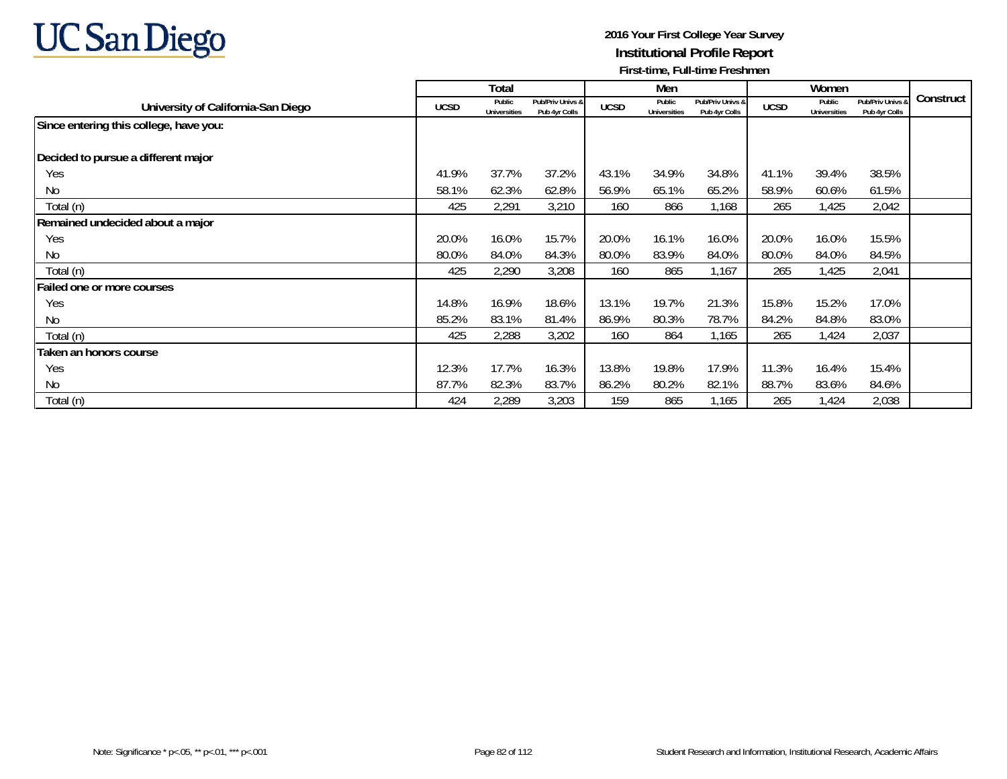

|                                        |             | Total                         |                                   |             | Men                           |                                   |             | Women                         |                                   |           |
|----------------------------------------|-------------|-------------------------------|-----------------------------------|-------------|-------------------------------|-----------------------------------|-------------|-------------------------------|-----------------------------------|-----------|
| University of California-San Diego     | <b>UCSD</b> | Public<br><b>Universities</b> | Pub/Priv Univs &<br>Pub 4yr Colls | <b>UCSD</b> | Public<br><b>Universities</b> | Pub/Priv Univs &<br>Pub 4vr Colls | <b>UCSD</b> | Public<br><b>Universities</b> | Pub/Priv Univs 8<br>Pub 4yr Colls | Construct |
| Since entering this college, have you: |             |                               |                                   |             |                               |                                   |             |                               |                                   |           |
| Decided to pursue a different major    |             |                               |                                   |             |                               |                                   |             |                               |                                   |           |
| Yes                                    | 41.9%       | 37.7%                         | 37.2%                             | 43.1%       | 34.9%                         | 34.8%                             | 41.1%       | 39.4%                         | 38.5%                             |           |
| No                                     | 58.1%       | 62.3%                         | 62.8%                             | 56.9%       | 65.1%                         | 65.2%                             | 58.9%       | 60.6%                         | 61.5%                             |           |
| Total (n)                              | 425         | 2,291                         | 3,210                             | 160         | 866                           | 1,168                             | 265         | 1,425                         | 2,042                             |           |
| Remained undecided about a major       |             |                               |                                   |             |                               |                                   |             |                               |                                   |           |
| Yes                                    | 20.0%       | 16.0%                         | 15.7%                             | 20.0%       | 16.1%                         | 16.0%                             | 20.0%       | 16.0%                         | 15.5%                             |           |
| N <sub>0</sub>                         | 80.0%       | 84.0%                         | 84.3%                             | 80.0%       | 83.9%                         | 84.0%                             | 80.0%       | 84.0%                         | 84.5%                             |           |
| Total (n)                              | 425         | 2,290                         | 3,208                             | 160         | 865                           | 1,167                             | 265         | 1,425                         | 2,041                             |           |
| Failed one or more courses             |             |                               |                                   |             |                               |                                   |             |                               |                                   |           |
| Yes                                    | 14.8%       | 16.9%                         | 18.6%                             | 13.1%       | 19.7%                         | 21.3%                             | 15.8%       | 15.2%                         | 17.0%                             |           |
| N <sub>0</sub>                         | 85.2%       | 83.1%                         | 81.4%                             | 86.9%       | 80.3%                         | 78.7%                             | 84.2%       | 84.8%                         | 83.0%                             |           |
| Total (n)                              | 425         | 2,288                         | 3,202                             | 160         | 864                           | 1,165                             | 265         | 1,424                         | 2,037                             |           |
| Taken an honors course                 |             |                               |                                   |             |                               |                                   |             |                               |                                   |           |
| Yes                                    | 12.3%       | 17.7%                         | 16.3%                             | 13.8%       | 19.8%                         | 17.9%                             | 11.3%       | 16.4%                         | 15.4%                             |           |
| N <sub>0</sub>                         | 87.7%       | 82.3%                         | 83.7%                             | 86.2%       | 80.2%                         | 82.1%                             | 88.7%       | 83.6%                         | 84.6%                             |           |
| Total (n)                              | 424         | 2,289                         | 3,203                             | 159         | 865                           | 1,165                             | 265         | 1,424                         | 2,038                             |           |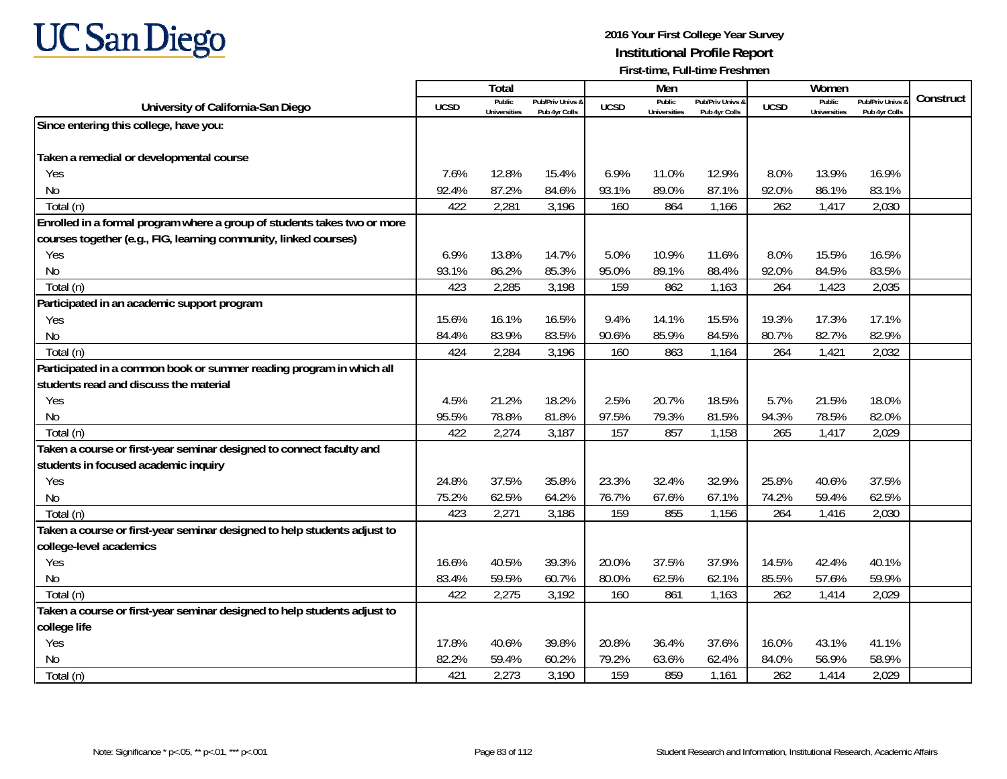

|                                                                          |             | <b>Total</b>                  |                                   |             | Men                           |                                   |             | Women                                |                                        |           |
|--------------------------------------------------------------------------|-------------|-------------------------------|-----------------------------------|-------------|-------------------------------|-----------------------------------|-------------|--------------------------------------|----------------------------------------|-----------|
| University of California-San Diego                                       | <b>UCSD</b> | Public<br><b>Universities</b> | Pub/Priv Univs 8<br>Pub 4yr Colls | <b>UCSD</b> | Public<br><b>Universities</b> | Pub/Priv Univs &<br>Pub 4yr Colls | <b>UCSD</b> | <b>Public</b><br><b>Universities</b> | <b>Pub/Priv Univs</b><br>Pub 4yr Colls | Construct |
| Since entering this college, have you:                                   |             |                               |                                   |             |                               |                                   |             |                                      |                                        |           |
|                                                                          |             |                               |                                   |             |                               |                                   |             |                                      |                                        |           |
| Taken a remedial or developmental course                                 |             |                               |                                   |             |                               |                                   |             |                                      |                                        |           |
| Yes                                                                      | 7.6%        | 12.8%                         | 15.4%                             | 6.9%        | 11.0%                         | 12.9%                             | 8.0%        | 13.9%                                | 16.9%                                  |           |
| No                                                                       | 92.4%       | 87.2%                         | 84.6%                             | 93.1%       | 89.0%                         | 87.1%                             | 92.0%       | 86.1%                                | 83.1%                                  |           |
| Total (n)                                                                | 422         | 2,281                         | 3,196                             | 160         | 864                           | 1,166                             | 262         | 1,417                                | 2,030                                  |           |
| Enrolled in a formal program where a group of students takes two or more |             |                               |                                   |             |                               |                                   |             |                                      |                                        |           |
| courses together (e.g., FIG, learning community, linked courses)         |             |                               |                                   |             |                               |                                   |             |                                      |                                        |           |
| Yes                                                                      | 6.9%        | 13.8%                         | 14.7%                             | 5.0%        | 10.9%                         | 11.6%                             | 8.0%        | 15.5%                                | 16.5%                                  |           |
| No                                                                       | 93.1%       | 86.2%                         | 85.3%                             | 95.0%       | 89.1%                         | 88.4%                             | 92.0%       | 84.5%                                | 83.5%                                  |           |
| Total (n)                                                                | 423         | 2,285                         | 3,198                             | 159         | 862                           | 1,163                             | 264         | 1,423                                | 2,035                                  |           |
| Participated in an academic support program                              |             |                               |                                   |             |                               |                                   |             |                                      |                                        |           |
| Yes                                                                      | 15.6%       | 16.1%                         | 16.5%                             | 9.4%        | 14.1%                         | 15.5%                             | 19.3%       | 17.3%                                | 17.1%                                  |           |
| No                                                                       | 84.4%       | 83.9%                         | 83.5%                             | 90.6%       | 85.9%                         | 84.5%                             | 80.7%       | 82.7%                                | 82.9%                                  |           |
| Total (n)                                                                | 424         | 2,284                         | 3,196                             | 160         | 863                           | 1,164                             | 264         | 1,421                                | 2,032                                  |           |
| Participated in a common book or summer reading program in which all     |             |                               |                                   |             |                               |                                   |             |                                      |                                        |           |
| students read and discuss the material                                   |             |                               |                                   |             |                               |                                   |             |                                      |                                        |           |
| Yes                                                                      | 4.5%        | 21.2%                         | 18.2%                             | 2.5%        | 20.7%                         | 18.5%                             | 5.7%        | 21.5%                                | 18.0%                                  |           |
| <b>No</b>                                                                | 95.5%       | 78.8%                         | 81.8%                             | 97.5%       | 79.3%                         | 81.5%                             | 94.3%       | 78.5%                                | 82.0%                                  |           |
| Total (n)                                                                | 422         | 2,274                         | 3,187                             | 157         | 857                           | 1,158                             | 265         | 1,417                                | 2,029                                  |           |
| Taken a course or first-year seminar designed to connect faculty and     |             |                               |                                   |             |                               |                                   |             |                                      |                                        |           |
| students in focused academic inquiry                                     |             |                               |                                   |             |                               |                                   |             |                                      |                                        |           |
| Yes                                                                      | 24.8%       | 37.5%                         | 35.8%                             | 23.3%       | 32.4%                         | 32.9%                             | 25.8%       | 40.6%                                | 37.5%                                  |           |
| No                                                                       | 75.2%       | 62.5%                         | 64.2%                             | 76.7%       | 67.6%                         | 67.1%                             | 74.2%       | 59.4%                                | 62.5%                                  |           |
| Total (n)                                                                | 423         | 2,271                         | 3,186                             | 159         | 855                           | 1,156                             | 264         | 1,416                                | 2,030                                  |           |
| Taken a course or first-year seminar designed to help students adjust to |             |                               |                                   |             |                               |                                   |             |                                      |                                        |           |
| college-level academics                                                  |             |                               |                                   |             |                               |                                   |             |                                      |                                        |           |
| Yes                                                                      | 16.6%       | 40.5%                         | 39.3%                             | 20.0%       | 37.5%                         | 37.9%                             | 14.5%       | 42.4%                                | 40.1%                                  |           |
| <b>No</b>                                                                | 83.4%       | 59.5%                         | 60.7%                             | 80.0%       | 62.5%                         | 62.1%                             | 85.5%       | 57.6%                                | 59.9%                                  |           |
| Total (n)                                                                | 422         | 2,275                         | 3,192                             | 160         | 861                           | 1,163                             | 262         | 1,414                                | 2,029                                  |           |
| Taken a course or first-year seminar designed to help students adjust to |             |                               |                                   |             |                               |                                   |             |                                      |                                        |           |
| college life                                                             |             |                               |                                   |             |                               |                                   |             |                                      |                                        |           |
| Yes                                                                      | 17.8%       | 40.6%                         | 39.8%                             | 20.8%       | 36.4%                         | 37.6%                             | 16.0%       | 43.1%                                | 41.1%                                  |           |
| No                                                                       | 82.2%       | 59.4%                         | 60.2%                             | 79.2%       | 63.6%                         | 62.4%                             | 84.0%       | 56.9%                                | 58.9%                                  |           |
| Total (n)                                                                | 421         | 2,273                         | 3,190                             | 159         | 859                           | 1,161                             | 262         | 1,414                                | 2,029                                  |           |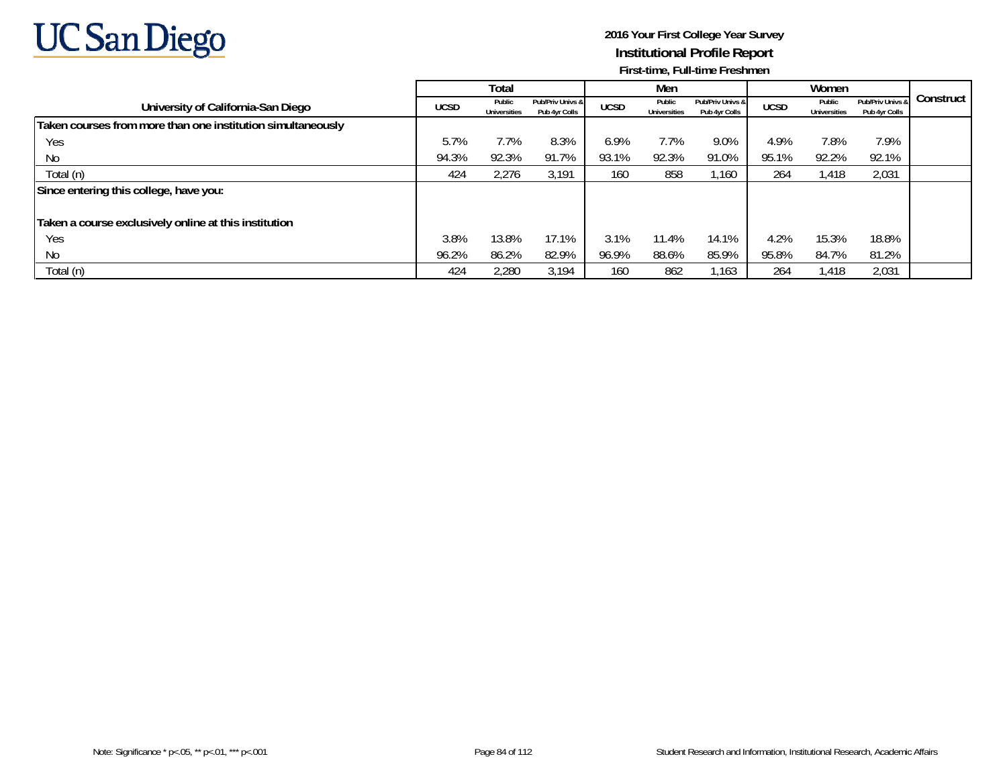

|                                                             |             | Total                         |                                   |             | Men                           |                                   |             | Women                         |                                   |           |
|-------------------------------------------------------------|-------------|-------------------------------|-----------------------------------|-------------|-------------------------------|-----------------------------------|-------------|-------------------------------|-----------------------------------|-----------|
| University of California-San Diego                          | <b>UCSD</b> | Public<br><b>Universities</b> | Pub/Priv Univs &<br>Pub 4yr Colls | <b>UCSD</b> | Public<br><b>Universities</b> | Pub/Priv Univs &<br>Pub 4yr Colls | <b>UCSD</b> | Public<br><b>Universities</b> | Pub/Priv Univs &<br>Pub 4yr Colls | Construct |
| Taken courses from more than one institution simultaneously |             |                               |                                   |             |                               |                                   |             |                               |                                   |           |
| Yes                                                         | 5.7%        | 7.7%                          | 8.3%                              | 6.9%        | 7.7%                          | 9.0%                              | 4.9%        | 7.8%                          | 7.9%                              |           |
| No                                                          | 94.3%       | 92.3%                         | 91.7%                             | 93.1%       | 92.3%                         | 91.0%                             | 95.1%       | 92.2%                         | 92.1%                             |           |
| Total (n)                                                   | 424         | 2,276                         | 3,191                             | 160         | 858                           | 1.160                             | 264         | 1,418                         | 2,031                             |           |
| Since entering this college, have you:                      |             |                               |                                   |             |                               |                                   |             |                               |                                   |           |
|                                                             |             |                               |                                   |             |                               |                                   |             |                               |                                   |           |
| Taken a course exclusively online at this institution       |             |                               |                                   |             |                               |                                   |             |                               |                                   |           |
| Yes                                                         | 3.8%        | 13.8%                         | 17.1%                             | 3.1%        | 11.4%                         | 14.1%                             | 4.2%        | 15.3%                         | 18.8%                             |           |
| No                                                          | 96.2%       | 86.2%                         | 82.9%                             | 96.9%       | 88.6%                         | 85.9%                             | 95.8%       | 84.7%                         | 81.2%                             |           |
| Total (n)                                                   | 424         | 2,280                         | 3,194                             | 160         | 862                           | 1.163                             | 264         | 1,418                         | 2,031                             |           |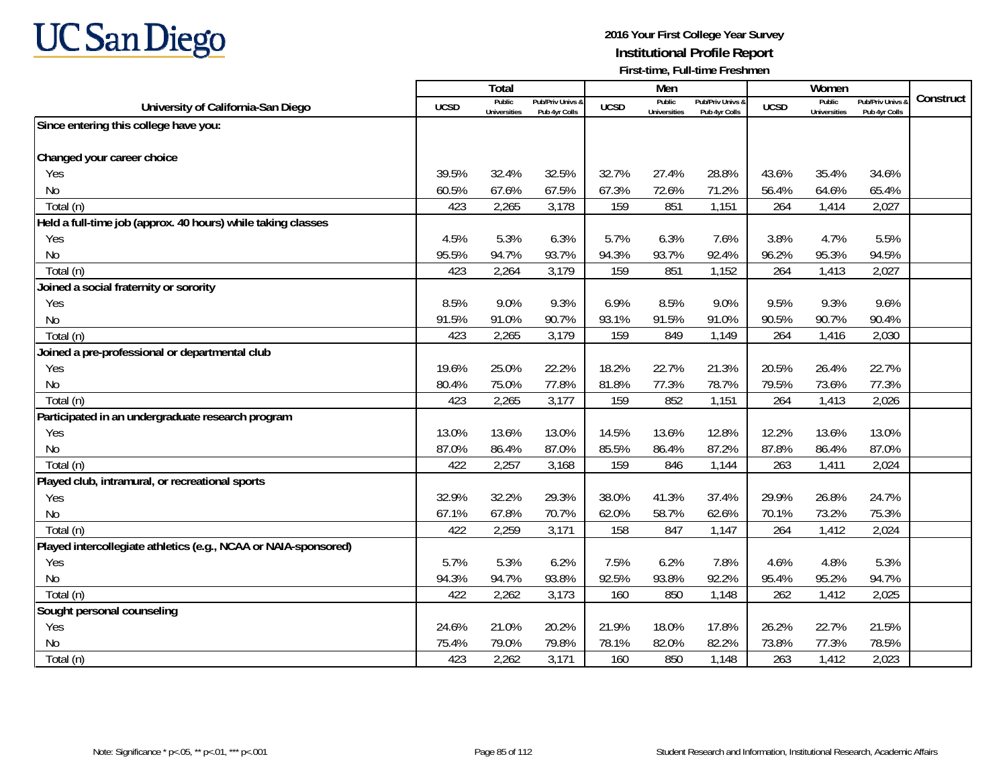

|                                                                 |             | <b>Total</b>                  |                                   |             | Men                           |                                   |             | Women                                |                                        |           |
|-----------------------------------------------------------------|-------------|-------------------------------|-----------------------------------|-------------|-------------------------------|-----------------------------------|-------------|--------------------------------------|----------------------------------------|-----------|
| University of California-San Diego                              | <b>UCSD</b> | Public<br><b>Universities</b> | Pub/Priv Univs 8<br>Pub 4yr Colls | <b>UCSD</b> | Public<br><b>Universities</b> | Pub/Priv Univs &<br>Pub 4yr Colls | <b>UCSD</b> | <b>Public</b><br><b>Universities</b> | <b>Pub/Priv Univs</b><br>Pub 4yr Colls | Construct |
| Since entering this college have you:                           |             |                               |                                   |             |                               |                                   |             |                                      |                                        |           |
|                                                                 |             |                               |                                   |             |                               |                                   |             |                                      |                                        |           |
| Changed your career choice                                      |             |                               |                                   |             |                               |                                   |             |                                      |                                        |           |
| Yes                                                             | 39.5%       | 32.4%                         | 32.5%                             | 32.7%       | 27.4%                         | 28.8%                             | 43.6%       | 35.4%                                | 34.6%                                  |           |
| No                                                              | 60.5%       | 67.6%                         | 67.5%                             | 67.3%       | 72.6%                         | 71.2%                             | 56.4%       | 64.6%                                | 65.4%                                  |           |
| Total (n)                                                       | 423         | 2,265                         | 3,178                             | 159         | 851                           | 1,151                             | 264         | 1,414                                | 2,027                                  |           |
| Held a full-time job (approx. 40 hours) while taking classes    |             |                               |                                   |             |                               |                                   |             |                                      |                                        |           |
| Yes                                                             | 4.5%        | 5.3%                          | 6.3%                              | 5.7%        | 6.3%                          | 7.6%                              | 3.8%        | 4.7%                                 | 5.5%                                   |           |
| <b>No</b>                                                       | 95.5%       | 94.7%                         | 93.7%                             | 94.3%       | 93.7%                         | 92.4%                             | 96.2%       | 95.3%                                | 94.5%                                  |           |
| Total (n)                                                       | 423         | 2,264                         | 3,179                             | 159         | 851                           | 1,152                             | 264         | 1,413                                | 2,027                                  |           |
| Joined a social fraternity or sorority                          |             |                               |                                   |             |                               |                                   |             |                                      |                                        |           |
| Yes                                                             | 8.5%        | 9.0%                          | 9.3%                              | 6.9%        | 8.5%                          | 9.0%                              | 9.5%        | 9.3%                                 | 9.6%                                   |           |
| N <sub>0</sub>                                                  | 91.5%       | 91.0%                         | 90.7%                             | 93.1%       | 91.5%                         | 91.0%                             | 90.5%       | 90.7%                                | 90.4%                                  |           |
| Total (n)                                                       | 423         | 2,265                         | 3,179                             | 159         | 849                           | 1,149                             | 264         | 1,416                                | 2,030                                  |           |
| Joined a pre-professional or departmental club                  |             |                               |                                   |             |                               |                                   |             |                                      |                                        |           |
| Yes                                                             | 19.6%       | 25.0%                         | 22.2%                             | 18.2%       | 22.7%                         | 21.3%                             | 20.5%       | 26.4%                                | 22.7%                                  |           |
| <b>No</b>                                                       | 80.4%       | 75.0%                         | 77.8%                             | 81.8%       | 77.3%                         | 78.7%                             | 79.5%       | 73.6%                                | 77.3%                                  |           |
| Total (n)                                                       | 423         | 2,265                         | 3,177                             | 159         | 852                           | 1,151                             | 264         | 1,413                                | 2,026                                  |           |
| Participated in an undergraduate research program               |             |                               |                                   |             |                               |                                   |             |                                      |                                        |           |
| Yes                                                             | 13.0%       | 13.6%                         | 13.0%                             | 14.5%       | 13.6%                         | 12.8%                             | 12.2%       | 13.6%                                | 13.0%                                  |           |
| <b>No</b>                                                       | 87.0%       | 86.4%                         | 87.0%                             | 85.5%       | 86.4%                         | 87.2%                             | 87.8%       | 86.4%                                | 87.0%                                  |           |
| Total (n)                                                       | 422         | 2,257                         | 3,168                             | 159         | 846                           | 1,144                             | 263         | 1,411                                | 2,024                                  |           |
| Played club, intramural, or recreational sports                 |             |                               |                                   |             |                               |                                   |             |                                      |                                        |           |
| Yes                                                             | 32.9%       | 32.2%                         | 29.3%                             | 38.0%       | 41.3%                         | 37.4%                             | 29.9%       | 26.8%                                | 24.7%                                  |           |
| No                                                              | 67.1%       | 67.8%                         | 70.7%                             | 62.0%       | 58.7%                         | 62.6%                             | 70.1%       | 73.2%                                | 75.3%                                  |           |
| Total (n)                                                       | 422         | 2,259                         | 3,171                             | 158         | 847                           | 1,147                             | 264         | 1,412                                | 2,024                                  |           |
| Played intercollegiate athletics (e.g., NCAA or NAIA-sponsored) |             |                               |                                   |             |                               |                                   |             |                                      |                                        |           |
| Yes                                                             | 5.7%        | 5.3%                          | 6.2%                              | 7.5%        | 6.2%                          | 7.8%                              | 4.6%        | 4.8%                                 | 5.3%                                   |           |
| No                                                              | 94.3%       | 94.7%                         | 93.8%                             | 92.5%       | 93.8%                         | 92.2%                             | 95.4%       | 95.2%                                | 94.7%                                  |           |
| Total (n)                                                       | 422         | 2,262                         | 3,173                             | 160         | 850                           | 1,148                             | 262         | 1,412                                | 2,025                                  |           |
| Sought personal counseling                                      |             |                               |                                   |             |                               |                                   |             |                                      |                                        |           |
| Yes                                                             | 24.6%       | 21.0%                         | 20.2%                             | 21.9%       | 18.0%                         | 17.8%                             | 26.2%       | 22.7%                                | 21.5%                                  |           |
| No                                                              | 75.4%       | 79.0%                         | 79.8%                             | 78.1%       | 82.0%                         | 82.2%                             | 73.8%       | 77.3%                                | 78.5%                                  |           |
| Total (n)                                                       | 423         | 2,262                         | 3,171                             | 160         | 850                           | 1,148                             | 263         | 1,412                                | 2,023                                  |           |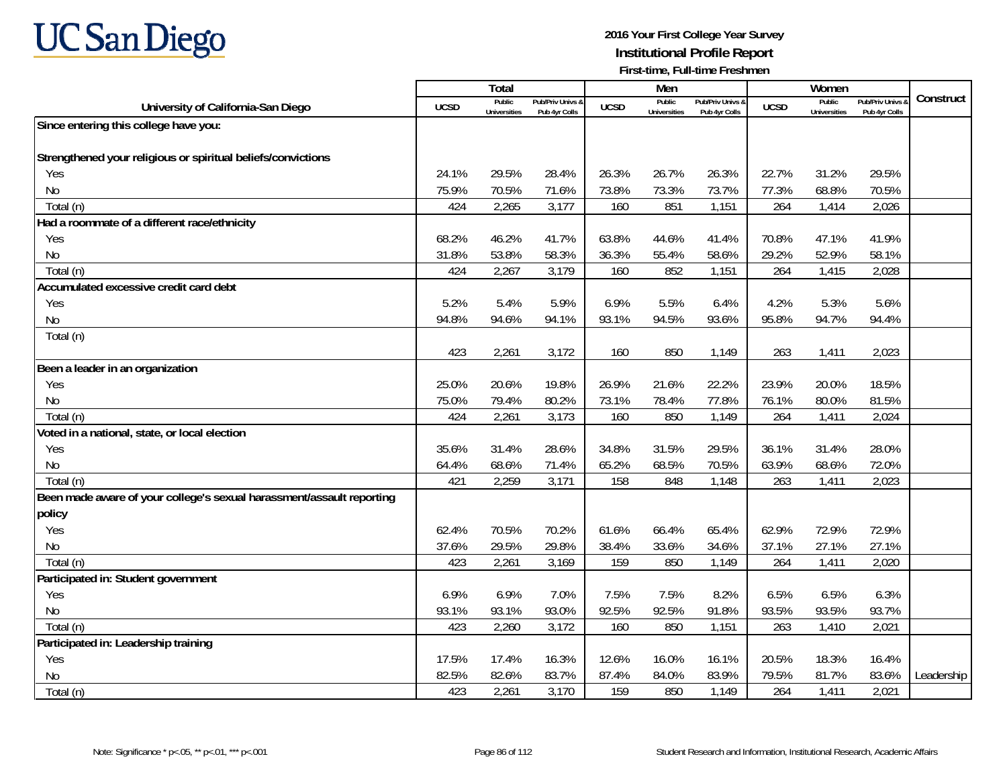

|                                                                       |             | Total                         |                                   |             | Men                           |                                   |             | Women                         |                                        |            |
|-----------------------------------------------------------------------|-------------|-------------------------------|-----------------------------------|-------------|-------------------------------|-----------------------------------|-------------|-------------------------------|----------------------------------------|------------|
| University of California-San Diego                                    | <b>UCSD</b> | Public<br><b>Universities</b> | Pub/Priv Univs 8<br>Pub 4vr Colls | <b>UCSD</b> | Public<br><b>Universities</b> | Pub/Priv Univs 8<br>Pub 4vr Colls | <b>UCSD</b> | Public<br><b>Universities</b> | <b>Pub/Priv Univs</b><br>Pub 4vr Colls | Construct  |
| Since entering this college have you:                                 |             |                               |                                   |             |                               |                                   |             |                               |                                        |            |
|                                                                       |             |                               |                                   |             |                               |                                   |             |                               |                                        |            |
| Strengthened your religious or spiritual beliefs/convictions          |             |                               |                                   |             |                               |                                   |             |                               |                                        |            |
| Yes                                                                   | 24.1%       | 29.5%                         | 28.4%                             | 26.3%       | 26.7%                         | 26.3%                             | 22.7%       | 31.2%                         | 29.5%                                  |            |
| No                                                                    | 75.9%       | 70.5%                         | 71.6%                             | 73.8%       | 73.3%                         | 73.7%                             | 77.3%       | 68.8%                         | 70.5%                                  |            |
| Total (n)                                                             | 424         | 2,265                         | 3,177                             | 160         | 851                           | 1,151                             | 264         | 1,414                         | 2,026                                  |            |
| Had a roommate of a different race/ethnicity                          |             |                               |                                   |             |                               |                                   |             |                               |                                        |            |
| Yes                                                                   | 68.2%       | 46.2%                         | 41.7%                             | 63.8%       | 44.6%                         | 41.4%                             | 70.8%       | 47.1%                         | 41.9%                                  |            |
| <b>No</b>                                                             | 31.8%       | 53.8%                         | 58.3%                             | 36.3%       | 55.4%                         | 58.6%                             | 29.2%       | 52.9%                         | 58.1%                                  |            |
| Total (n)                                                             | 424         | 2,267                         | 3,179                             | 160         | 852                           | 1,151                             | 264         | 1,415                         | 2,028                                  |            |
| Accumulated excessive credit card debt                                |             |                               |                                   |             |                               |                                   |             |                               |                                        |            |
| Yes                                                                   | 5.2%        | 5.4%                          | 5.9%                              | 6.9%        | 5.5%                          | 6.4%                              | 4.2%        | 5.3%                          | 5.6%                                   |            |
| <b>No</b>                                                             | 94.8%       | 94.6%                         | 94.1%                             | 93.1%       | 94.5%                         | 93.6%                             | 95.8%       | 94.7%                         | 94.4%                                  |            |
| Total (n)                                                             |             |                               |                                   |             |                               |                                   |             |                               |                                        |            |
|                                                                       | 423         | 2,261                         | 3,172                             | 160         | 850                           | 1,149                             | 263         | 1,411                         | 2,023                                  |            |
| Been a leader in an organization                                      |             |                               |                                   |             |                               |                                   |             |                               |                                        |            |
| Yes                                                                   | 25.0%       | 20.6%                         | 19.8%                             | 26.9%       | 21.6%                         | 22.2%                             | 23.9%       | 20.0%                         | 18.5%                                  |            |
| <b>No</b>                                                             | 75.0%       | 79.4%                         | 80.2%                             | 73.1%       | 78.4%                         | 77.8%                             | 76.1%       | 80.0%                         | 81.5%                                  |            |
| Total (n)                                                             | 424         | 2,261                         | 3,173                             | 160         | 850                           | 1,149                             | 264         | 1,411                         | 2,024                                  |            |
| Voted in a national, state, or local election                         |             |                               |                                   |             |                               |                                   |             |                               |                                        |            |
| Yes                                                                   | 35.6%       | 31.4%                         | 28.6%                             | 34.8%       | 31.5%                         | 29.5%                             | 36.1%       | 31.4%                         | 28.0%                                  |            |
| No                                                                    | 64.4%       | 68.6%                         | 71.4%                             | 65.2%       | 68.5%                         | 70.5%                             | 63.9%       | 68.6%                         | 72.0%                                  |            |
| Total (n)                                                             | 421         | 2,259                         | 3,171                             | 158         | 848                           | 1,148                             | 263         | 1,411                         | 2,023                                  |            |
| Been made aware of your college's sexual harassment/assault reporting |             |                               |                                   |             |                               |                                   |             |                               |                                        |            |
| policy                                                                |             |                               |                                   |             |                               |                                   |             |                               |                                        |            |
| Yes                                                                   | 62.4%       | 70.5%                         | 70.2%                             | 61.6%       | 66.4%                         | 65.4%                             | 62.9%       | 72.9%                         | 72.9%                                  |            |
| <b>No</b>                                                             | 37.6%       | 29.5%                         | 29.8%                             | 38.4%       | 33.6%                         | 34.6%                             | 37.1%       | 27.1%                         | 27.1%                                  |            |
| Total (n)                                                             | 423         | 2,261                         | 3,169                             | 159         | 850                           | 1,149                             | 264         | 1,411                         | 2,020                                  |            |
| Participated in: Student government                                   |             |                               |                                   |             |                               |                                   |             |                               |                                        |            |
| Yes                                                                   | 6.9%        | 6.9%                          | 7.0%                              | 7.5%        | 7.5%                          | 8.2%                              | 6.5%        | 6.5%                          | 6.3%                                   |            |
| <b>No</b>                                                             | 93.1%       | 93.1%                         | 93.0%                             | 92.5%       | 92.5%                         | 91.8%                             | 93.5%       | 93.5%                         | 93.7%                                  |            |
| Total (n)                                                             | 423         | 2,260                         | 3,172                             | 160         | 850                           | 1,151                             | 263         | 1,410                         | 2,021                                  |            |
| Participated in: Leadership training                                  |             |                               |                                   |             |                               |                                   |             |                               |                                        |            |
| Yes                                                                   | 17.5%       | 17.4%                         | 16.3%                             | 12.6%       | 16.0%                         | 16.1%                             | 20.5%       | 18.3%                         | 16.4%                                  |            |
| No                                                                    | 82.5%       | 82.6%                         | 83.7%                             | 87.4%       | 84.0%                         | 83.9%                             | 79.5%       | 81.7%                         | 83.6%                                  | Leadership |
| Total (n)                                                             | 423         | 2,261                         | 3,170                             | 159         | 850                           | 1,149                             | 264         | 1,411                         | 2,021                                  |            |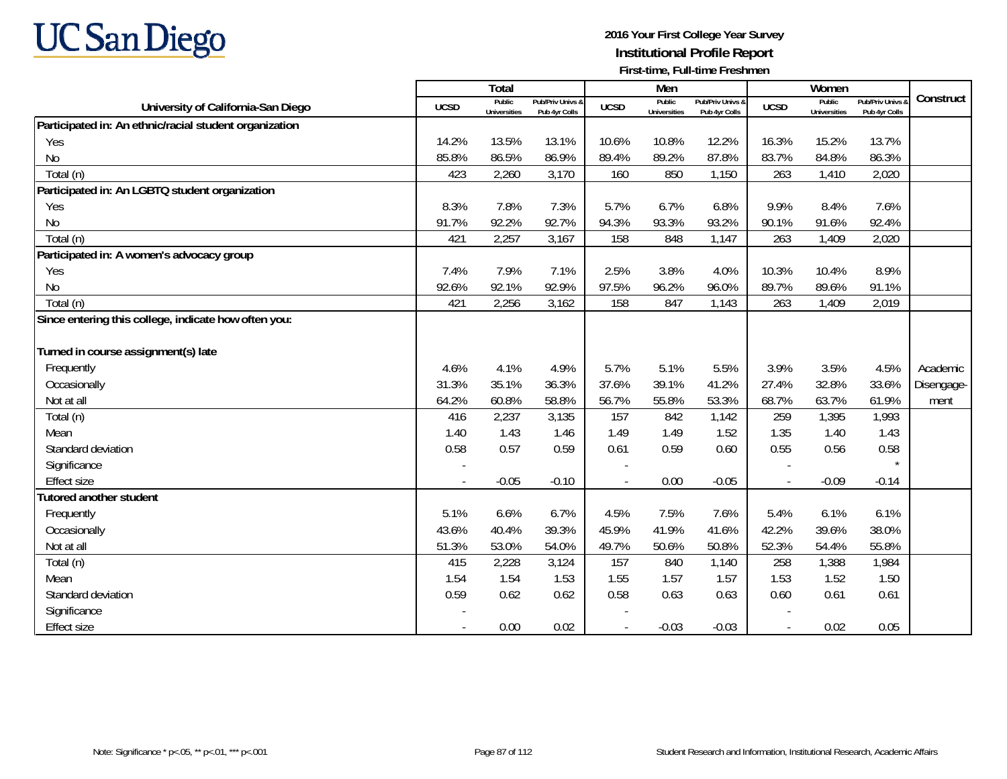# **UC San Diego**

|                                                        |             | <b>Total</b>                  |                                   |             | Men                           |                                   |                          | Women                         |                                 |            |
|--------------------------------------------------------|-------------|-------------------------------|-----------------------------------|-------------|-------------------------------|-----------------------------------|--------------------------|-------------------------------|---------------------------------|------------|
| University of California-San Diego                     | <b>UCSD</b> | Public<br><b>Universities</b> | Pub/Priv Univs &<br>Pub 4yr Colls | <b>UCSD</b> | Public<br><b>Universities</b> | Pub/Priv Univs &<br>Pub 4yr Colls | <b>UCSD</b>              | Public<br><b>Universities</b> | Pub/Priv Univs<br>Pub 4yr Colls | Construct  |
| Participated in: An ethnic/racial student organization |             |                               |                                   |             |                               |                                   |                          |                               |                                 |            |
| Yes                                                    | 14.2%       | 13.5%                         | 13.1%                             | 10.6%       | 10.8%                         | 12.2%                             | 16.3%                    | 15.2%                         | 13.7%                           |            |
| No                                                     | 85.8%       | 86.5%                         | 86.9%                             | 89.4%       | 89.2%                         | 87.8%                             | 83.7%                    | 84.8%                         | 86.3%                           |            |
| Total (n)                                              | 423         | 2,260                         | 3,170                             | 160         | 850                           | 1,150                             | 263                      | 1,410                         | 2,020                           |            |
| Participated in: An LGBTQ student organization         |             |                               |                                   |             |                               |                                   |                          |                               |                                 |            |
| Yes                                                    | 8.3%        | 7.8%                          | 7.3%                              | 5.7%        | 6.7%                          | 6.8%                              | 9.9%                     | 8.4%                          | 7.6%                            |            |
| <b>No</b>                                              | 91.7%       | 92.2%                         | 92.7%                             | 94.3%       | 93.3%                         | 93.2%                             | 90.1%                    | 91.6%                         | 92.4%                           |            |
| Total (n)                                              | 421         | 2,257                         | 3,167                             | 158         | 848                           | 1,147                             | 263                      | 1,409                         | 2,020                           |            |
| Participated in: A women's advocacy group              |             |                               |                                   |             |                               |                                   |                          |                               |                                 |            |
| Yes                                                    | 7.4%        | 7.9%                          | 7.1%                              | 2.5%        | 3.8%                          | 4.0%                              | 10.3%                    | 10.4%                         | 8.9%                            |            |
| No                                                     | 92.6%       | 92.1%                         | 92.9%                             | 97.5%       | 96.2%                         | 96.0%                             | 89.7%                    | 89.6%                         | 91.1%                           |            |
| Total (n)                                              | 421         | 2,256                         | 3,162                             | 158         | 847                           | 1,143                             | 263                      | 1,409                         | 2,019                           |            |
| Since entering this college, indicate how often you:   |             |                               |                                   |             |                               |                                   |                          |                               |                                 |            |
|                                                        |             |                               |                                   |             |                               |                                   |                          |                               |                                 |            |
| Turned in course assignment(s) late                    |             |                               |                                   |             |                               |                                   |                          |                               |                                 |            |
| Frequently                                             | 4.6%        | 4.1%                          | 4.9%                              | 5.7%        | 5.1%                          | 5.5%                              | 3.9%                     | 3.5%                          | 4.5%                            | Academic   |
| Occasionally                                           | 31.3%       | 35.1%                         | 36.3%                             | 37.6%       | 39.1%                         | 41.2%                             | 27.4%                    | 32.8%                         | 33.6%                           | Disengage- |
| Not at all                                             | 64.2%       | 60.8%                         | 58.8%                             | 56.7%       | 55.8%                         | 53.3%                             | 68.7%                    | 63.7%                         | 61.9%                           | ment       |
| Total (n)                                              | 416         | 2,237                         | 3,135                             | 157         | 842                           | 1,142                             | 259                      | 1,395                         | 1,993                           |            |
| Mean                                                   | 1.40        | 1.43                          | 1.46                              | 1.49        | 1.49                          | 1.52                              | 1.35                     | 1.40                          | 1.43                            |            |
| Standard deviation                                     | 0.58        | 0.57                          | 0.59                              | 0.61        | 0.59                          | 0.60                              | 0.55                     | 0.56                          | 0.58                            |            |
| Significance                                           |             |                               |                                   |             |                               |                                   |                          |                               |                                 |            |
| <b>Effect size</b>                                     | $\sim$      | $-0.05$                       | $-0.10$                           |             | 0.00                          | $-0.05$                           | $\overline{\phantom{a}}$ | $-0.09$                       | $-0.14$                         |            |
| <b>Tutored another student</b>                         |             |                               |                                   |             |                               |                                   |                          |                               |                                 |            |
| Frequently                                             | 5.1%        | 6.6%                          | 6.7%                              | 4.5%        | 7.5%                          | 7.6%                              | 5.4%                     | 6.1%                          | 6.1%                            |            |
| Occasionally                                           | 43.6%       | 40.4%                         | 39.3%                             | 45.9%       | 41.9%                         | 41.6%                             | 42.2%                    | 39.6%                         | 38.0%                           |            |
| Not at all                                             | 51.3%       | 53.0%                         | 54.0%                             | 49.7%       | 50.6%                         | 50.8%                             | 52.3%                    | 54.4%                         | 55.8%                           |            |
| Total (n)                                              | 415         | 2,228                         | 3,124                             | 157         | 840                           | 1,140                             | 258                      | 1,388                         | 1,984                           |            |
| Mean                                                   | 1.54        | 1.54                          | 1.53                              | 1.55        | 1.57                          | 1.57                              | 1.53                     | 1.52                          | 1.50                            |            |
| Standard deviation                                     | 0.59        | 0.62                          | 0.62                              | 0.58        | 0.63                          | 0.63                              | 0.60                     | 0.61                          | 0.61                            |            |
| Significance                                           |             |                               |                                   |             |                               |                                   |                          |                               |                                 |            |
| <b>Effect size</b>                                     |             | 0.00                          | 0.02                              |             | $-0.03$                       | $-0.03$                           |                          | 0.02                          | 0.05                            |            |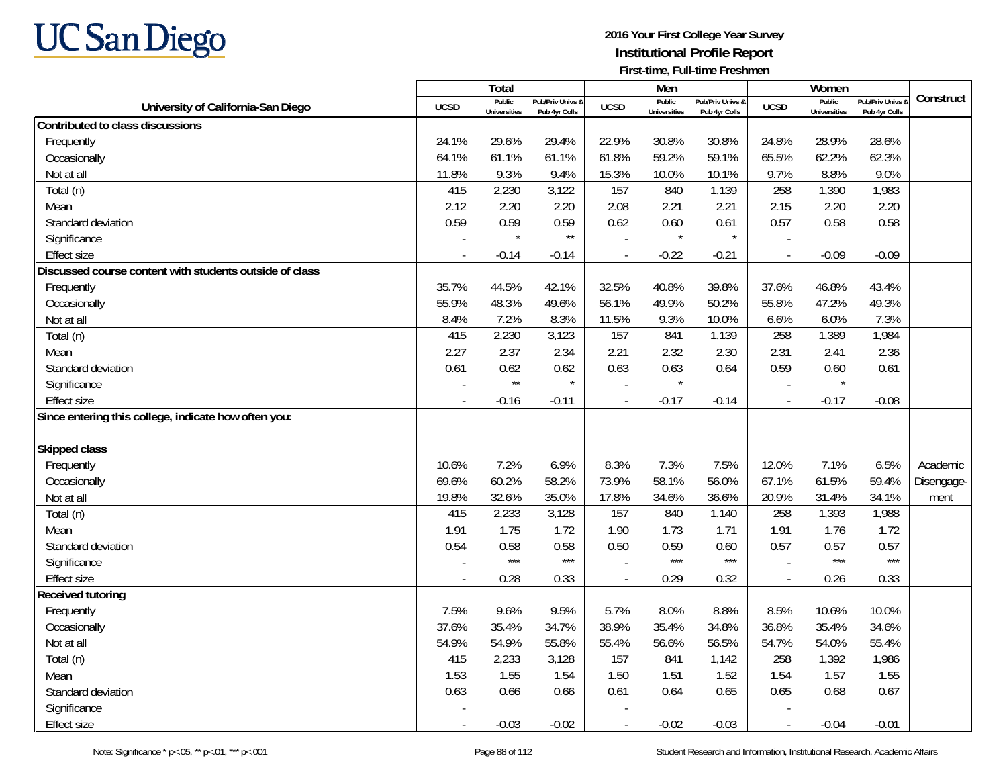

|                                                         |                          | <b>Total</b>                  |                                   |                | Men                           |                                   |                          | Women                         |                                 |            |
|---------------------------------------------------------|--------------------------|-------------------------------|-----------------------------------|----------------|-------------------------------|-----------------------------------|--------------------------|-------------------------------|---------------------------------|------------|
| University of California-San Diego                      | <b>UCSD</b>              | Public<br><b>Universities</b> | Pub/Priv Univs 8<br>Pub 4yr Colls | <b>UCSD</b>    | Public<br><b>Universities</b> | Pub/Priv Univs &<br>Pub 4yr Colls | <b>UCSD</b>              | Public<br><b>Universities</b> | Pub/Priv Univs<br>Pub 4yr Colls | Construct  |
| Contributed to class discussions                        |                          |                               |                                   |                |                               |                                   |                          |                               |                                 |            |
| Frequently                                              | 24.1%                    | 29.6%                         | 29.4%                             | 22.9%          | 30.8%                         | 30.8%                             | 24.8%                    | 28.9%                         | 28.6%                           |            |
| Occasionally                                            | 64.1%                    | 61.1%                         | 61.1%                             | 61.8%          | 59.2%                         | 59.1%                             | 65.5%                    | 62.2%                         | 62.3%                           |            |
| Not at all                                              | 11.8%                    | 9.3%                          | 9.4%                              | 15.3%          | 10.0%                         | 10.1%                             | 9.7%                     | 8.8%                          | 9.0%                            |            |
| Total (n)                                               | 415                      | 2,230                         | 3,122                             | 157            | 840                           | 1,139                             | 258                      | 1,390                         | 1,983                           |            |
| Mean                                                    | 2.12                     | 2.20                          | 2.20                              | 2.08           | 2.21                          | 2.21                              | 2.15                     | 2.20                          | 2.20                            |            |
| Standard deviation                                      | 0.59                     | 0.59                          | 0.59                              | 0.62           | 0.60                          | 0.61                              | 0.57                     | 0.58                          | 0.58                            |            |
| Significance                                            |                          | $\star$                       | $^{\star\star}$                   |                | $\star$                       | $\star$                           |                          |                               |                                 |            |
| <b>Effect size</b>                                      |                          | $-0.14$                       | $-0.14$                           | $\mathbf{r}$   | $-0.22$                       | $-0.21$                           | $\overline{\phantom{a}}$ | $-0.09$                       | $-0.09$                         |            |
| Discussed course content with students outside of class |                          |                               |                                   |                |                               |                                   |                          |                               |                                 |            |
| Frequently                                              | 35.7%                    | 44.5%                         | 42.1%                             | 32.5%          | 40.8%                         | 39.8%                             | 37.6%                    | 46.8%                         | 43.4%                           |            |
| Occasionally                                            | 55.9%                    | 48.3%                         | 49.6%                             | 56.1%          | 49.9%                         | 50.2%                             | 55.8%                    | 47.2%                         | 49.3%                           |            |
| Not at all                                              | 8.4%                     | 7.2%                          | 8.3%                              | 11.5%          | 9.3%                          | 10.0%                             | 6.6%                     | 6.0%                          | 7.3%                            |            |
| Total (n)                                               | 415                      | 2,230                         | 3,123                             | 157            | 841                           | 1,139                             | 258                      | 1,389                         | 1,984                           |            |
| Mean                                                    | 2.27                     | 2.37                          | 2.34                              | 2.21           | 2.32                          | 2.30                              | 2.31                     | 2.41                          | 2.36                            |            |
| Standard deviation                                      | 0.61                     | 0.62                          | 0.62                              | 0.63           | 0.63                          | 0.64                              | 0.59                     | 0.60                          | 0.61                            |            |
| Significance                                            |                          | $^{\star\star}$               | $\star$                           |                | $\star$                       |                                   |                          | $\star$                       |                                 |            |
| <b>Effect size</b>                                      | $\overline{\phantom{a}}$ | $-0.16$                       | $-0.11$                           | $\sim$         | $-0.17$                       | $-0.14$                           | $\overline{\phantom{a}}$ | $-0.17$                       | $-0.08$                         |            |
| Since entering this college, indicate how often you:    |                          |                               |                                   |                |                               |                                   |                          |                               |                                 |            |
| <b>Skipped class</b>                                    |                          |                               |                                   |                |                               |                                   |                          |                               |                                 |            |
| Frequently                                              | 10.6%                    | 7.2%                          | 6.9%                              | 8.3%           | 7.3%                          | 7.5%                              | 12.0%                    | 7.1%                          | 6.5%                            | Academic   |
| Occasionally                                            | 69.6%                    | 60.2%                         | 58.2%                             | 73.9%          | 58.1%                         | 56.0%                             | 67.1%                    | 61.5%                         | 59.4%                           | Disengage- |
| Not at all                                              | 19.8%                    | 32.6%                         | 35.0%                             | 17.8%          | 34.6%                         | 36.6%                             | 20.9%                    | 31.4%                         | 34.1%                           | ment       |
| Total (n)                                               | 415                      | 2,233                         | 3,128                             | 157            | 840                           | 1,140                             | 258                      | 1,393                         | 1,988                           |            |
| Mean                                                    | 1.91                     | 1.75                          | 1.72                              | 1.90           | 1.73                          | 1.71                              | 1.91                     | 1.76                          | 1.72                            |            |
| Standard deviation                                      | 0.54                     | 0.58                          | 0.58                              | 0.50           | 0.59                          | 0.60                              | 0.57                     | 0.57                          | 0.57                            |            |
| Significance                                            |                          | $***$                         | $***$                             |                | $***$                         | $***$                             |                          | $***$                         | $***$                           |            |
| Effect size                                             |                          | 0.28                          | 0.33                              | $\overline{a}$ | 0.29                          | 0.32                              | $\overline{a}$           | 0.26                          | 0.33                            |            |
| Received tutoring                                       |                          |                               |                                   |                |                               |                                   |                          |                               |                                 |            |
| Frequently                                              | 7.5%                     | 9.6%                          | 9.5%                              | 5.7%           | 8.0%                          | 8.8%                              | 8.5%                     | 10.6%                         | 10.0%                           |            |
| Occasionally                                            | 37.6%                    | 35.4%                         | 34.7%                             | 38.9%          | 35.4%                         | 34.8%                             | 36.8%                    | 35.4%                         | 34.6%                           |            |
| Not at all                                              | 54.9%                    | 54.9%                         | 55.8%                             | 55.4%          | 56.6%                         | 56.5%                             | 54.7%                    | 54.0%                         | 55.4%                           |            |
| Total (n)                                               | 415                      | 2,233                         | 3,128                             | 157            | 841                           | 1,142                             | 258                      | 1,392                         | 1,986                           |            |
| Mean                                                    | 1.53                     | 1.55                          | 1.54                              | 1.50           | 1.51                          | 1.52                              | 1.54                     | 1.57                          | 1.55                            |            |
| Standard deviation                                      | 0.63                     | 0.66                          | 0.66                              | 0.61           | 0.64                          | 0.65                              | 0.65                     | 0.68                          | 0.67                            |            |
| Significance                                            |                          |                               |                                   |                |                               |                                   |                          |                               |                                 |            |
| <b>Effect size</b>                                      |                          | $-0.03$                       | $-0.02$                           | $\overline{a}$ | $-0.02$                       | $-0.03$                           | $\overline{a}$           | $-0.04$                       | $-0.01$                         |            |
|                                                         |                          |                               |                                   |                |                               |                                   |                          |                               |                                 |            |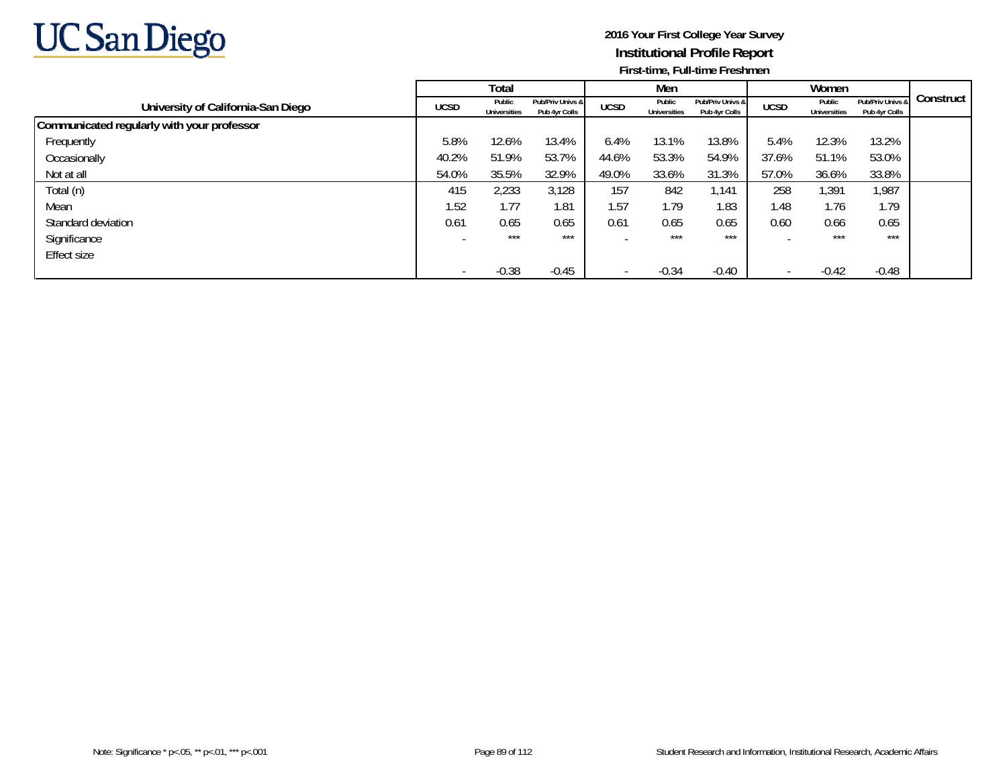

|                                            |             | Total                  |                                   |                          | Men                    |                                   |             | Women                  |                                   |           |
|--------------------------------------------|-------------|------------------------|-----------------------------------|--------------------------|------------------------|-----------------------------------|-------------|------------------------|-----------------------------------|-----------|
| University of California-San Diego         | <b>UCSD</b> | Public<br>Universities | Pub/Priv Univs &<br>Pub 4yr Colls | <b>UCSD</b>              | Public<br>Universities | Pub/Priv Univs &<br>Pub 4yr Colls | <b>UCSD</b> | Public<br>Universities | Pub/Priv Univs &<br>Pub 4yr Colls | Construct |
| Communicated regularly with your professor |             |                        |                                   |                          |                        |                                   |             |                        |                                   |           |
| Frequently                                 | 5.8%        | 12.6%                  | 13.4%                             | 6.4%                     | 13.1%                  | 13.8%                             | 5.4%        | 12.3%                  | 13.2%                             |           |
| Occasionally                               | 40.2%       | 51.9%                  | 53.7%                             | 44.6%                    | 53.3%                  | 54.9%                             | 37.6%       | 51.1%                  | 53.0%                             |           |
| Not at all                                 | 54.0%       | 35.5%                  | 32.9%                             | 49.0%                    | 33.6%                  | 31.3%                             | 57.0%       | 36.6%                  | 33.8%                             |           |
| Total (n)                                  | 415         | 2,233                  | 3,128                             | 157                      | 842                    | 1,141                             | 258         | 1,391                  | 1,987                             |           |
| Mean                                       | 1.52        | 1.77                   | 1.81                              | 1.57                     | 1.79                   | 1.83                              | 1.48        | 1.76                   | 1.79                              |           |
| Standard deviation                         | 0.61        | 0.65                   | 0.65                              | 0.61                     | 0.65                   | 0.65                              | 0.60        | 0.66                   | 0.65                              |           |
| Significance                               |             | $***$                  | $***$                             |                          | $***$                  | $***$                             |             | $***$                  | ***                               |           |
| Effect size                                |             |                        |                                   |                          |                        |                                   |             |                        |                                   |           |
|                                            |             | $-0.38$                | $-0.45$                           | $\overline{\phantom{0}}$ | $-0.34$                | $-0.40$                           |             | $-0.42$                | $-0.48$                           |           |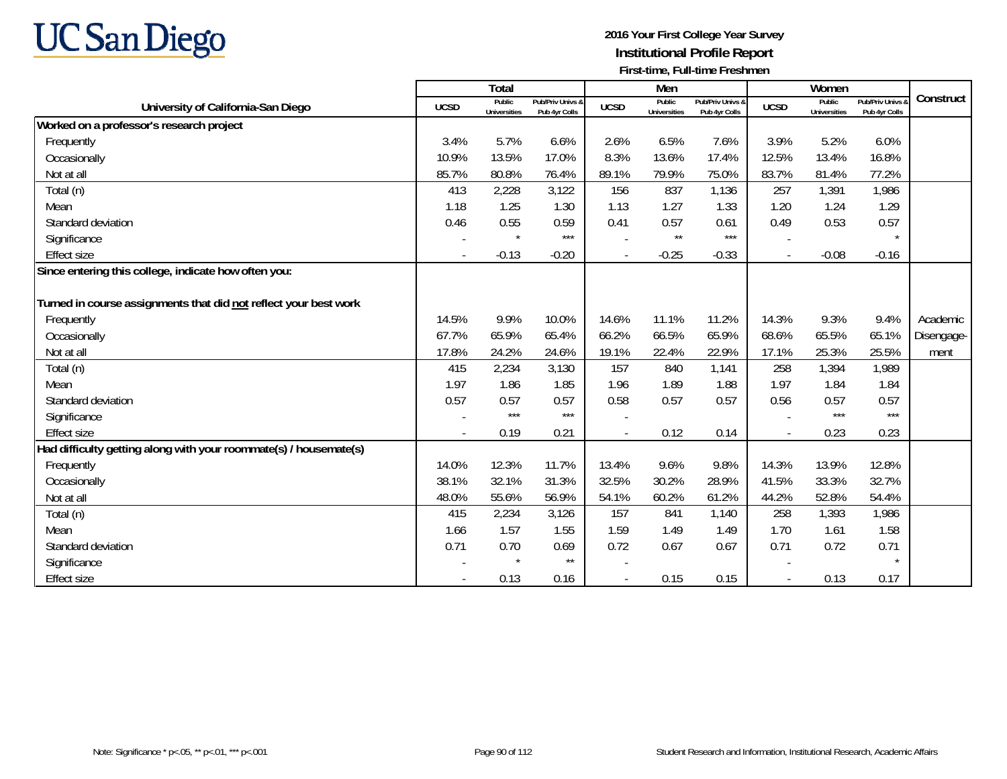

|                                                                   |             | <b>Total</b>                  |                                   |             | Men                           |                                   |                          | Women                         |                                        |            |
|-------------------------------------------------------------------|-------------|-------------------------------|-----------------------------------|-------------|-------------------------------|-----------------------------------|--------------------------|-------------------------------|----------------------------------------|------------|
| University of California-San Diego                                | <b>UCSD</b> | Public<br><b>Universities</b> | Pub/Priv Univs &<br>Pub 4yr Colls | <b>UCSD</b> | Public<br><b>Universities</b> | Pub/Priv Univs &<br>Pub 4yr Colls | <b>UCSD</b>              | Public<br><b>Universities</b> | <b>Pub/Priv Univs</b><br>Pub 4yr Colls | Construct  |
| Worked on a professor's research project                          |             |                               |                                   |             |                               |                                   |                          |                               |                                        |            |
| Frequently                                                        | 3.4%        | 5.7%                          | 6.6%                              | 2.6%        | 6.5%                          | 7.6%                              | 3.9%                     | 5.2%                          | 6.0%                                   |            |
| Occasionally                                                      | 10.9%       | 13.5%                         | 17.0%                             | 8.3%        | 13.6%                         | 17.4%                             | 12.5%                    | 13.4%                         | 16.8%                                  |            |
| Not at all                                                        | 85.7%       | 80.8%                         | 76.4%                             | 89.1%       | 79.9%                         | 75.0%                             | 83.7%                    | 81.4%                         | 77.2%                                  |            |
| Total (n)                                                         | 413         | 2,228                         | 3,122                             | 156         | 837                           | 1,136                             | 257                      | 1,391                         | 1,986                                  |            |
| Mean                                                              | 1.18        | 1.25                          | 1.30                              | 1.13        | 1.27                          | 1.33                              | 1.20                     | 1.24                          | 1.29                                   |            |
| Standard deviation                                                | 0.46        | 0.55                          | 0.59                              | 0.41        | 0.57                          | 0.61                              | 0.49                     | 0.53                          | 0.57                                   |            |
| Significance                                                      |             | $\star$                       | $***$                             |             | $\star\star$                  | $***$                             |                          |                               | $\star$                                |            |
| <b>Effect size</b>                                                |             | $-0.13$                       | $-0.20$                           |             | $-0.25$                       | $-0.33$                           | $\overline{\phantom{a}}$ | $-0.08$                       | $-0.16$                                |            |
| Since entering this college, indicate how often you:              |             |                               |                                   |             |                               |                                   |                          |                               |                                        |            |
|                                                                   |             |                               |                                   |             |                               |                                   |                          |                               |                                        |            |
| Turned in course assignments that did not reflect your best work  |             |                               |                                   |             |                               |                                   |                          |                               |                                        |            |
| Frequently                                                        | 14.5%       | 9.9%                          | 10.0%                             | 14.6%       | 11.1%                         | 11.2%                             | 14.3%                    | 9.3%                          | 9.4%                                   | Academic   |
| Occasionally                                                      | 67.7%       | 65.9%                         | 65.4%                             | 66.2%       | 66.5%                         | 65.9%                             | 68.6%                    | 65.5%                         | 65.1%                                  | Disengage- |
| Not at all                                                        | 17.8%       | 24.2%                         | 24.6%                             | 19.1%       | 22.4%                         | 22.9%                             | 17.1%                    | 25.3%                         | 25.5%                                  | ment       |
| Total (n)                                                         | 415         | 2,234                         | 3,130                             | 157         | 840                           | 1,141                             | 258                      | 1,394                         | 1,989                                  |            |
| Mean                                                              | 1.97        | 1.86                          | 1.85                              | 1.96        | 1.89                          | 1.88                              | 1.97                     | 1.84                          | 1.84                                   |            |
| Standard deviation                                                | 0.57        | 0.57                          | 0.57                              | 0.58        | 0.57                          | 0.57                              | 0.56                     | 0.57                          | 0.57                                   |            |
| Significance                                                      |             | $***$                         | $***$                             |             |                               |                                   |                          | $***$                         | $***$                                  |            |
| <b>Effect size</b>                                                |             | 0.19                          | 0.21                              |             | 0.12                          | 0.14                              | $\sim$                   | 0.23                          | 0.23                                   |            |
| Had difficulty getting along with your roommate(s) / housemate(s) |             |                               |                                   |             |                               |                                   |                          |                               |                                        |            |
| Frequently                                                        | 14.0%       | 12.3%                         | 11.7%                             | 13.4%       | 9.6%                          | 9.8%                              | 14.3%                    | 13.9%                         | 12.8%                                  |            |
| Occasionally                                                      | 38.1%       | 32.1%                         | 31.3%                             | 32.5%       | 30.2%                         | 28.9%                             | 41.5%                    | 33.3%                         | 32.7%                                  |            |
| Not at all                                                        | 48.0%       | 55.6%                         | 56.9%                             | 54.1%       | 60.2%                         | 61.2%                             | 44.2%                    | 52.8%                         | 54.4%                                  |            |
| Total (n)                                                         | 415         | 2,234                         | 3,126                             | 157         | 841                           | 1,140                             | 258                      | 1,393                         | 1,986                                  |            |
| Mean                                                              | 1.66        | 1.57                          | 1.55                              | 1.59        | 1.49                          | 1.49                              | 1.70                     | 1.61                          | 1.58                                   |            |
| Standard deviation                                                | 0.71        | 0.70                          | 0.69                              | 0.72        | 0.67                          | 0.67                              | 0.71                     | 0.72                          | 0.71                                   |            |
| Significance                                                      |             | $\star$                       | $\star\star$                      |             |                               |                                   |                          |                               | $\star$                                |            |
| <b>Effect size</b>                                                |             | 0.13                          | 0.16                              |             | 0.15                          | 0.15                              |                          | 0.13                          | 0.17                                   |            |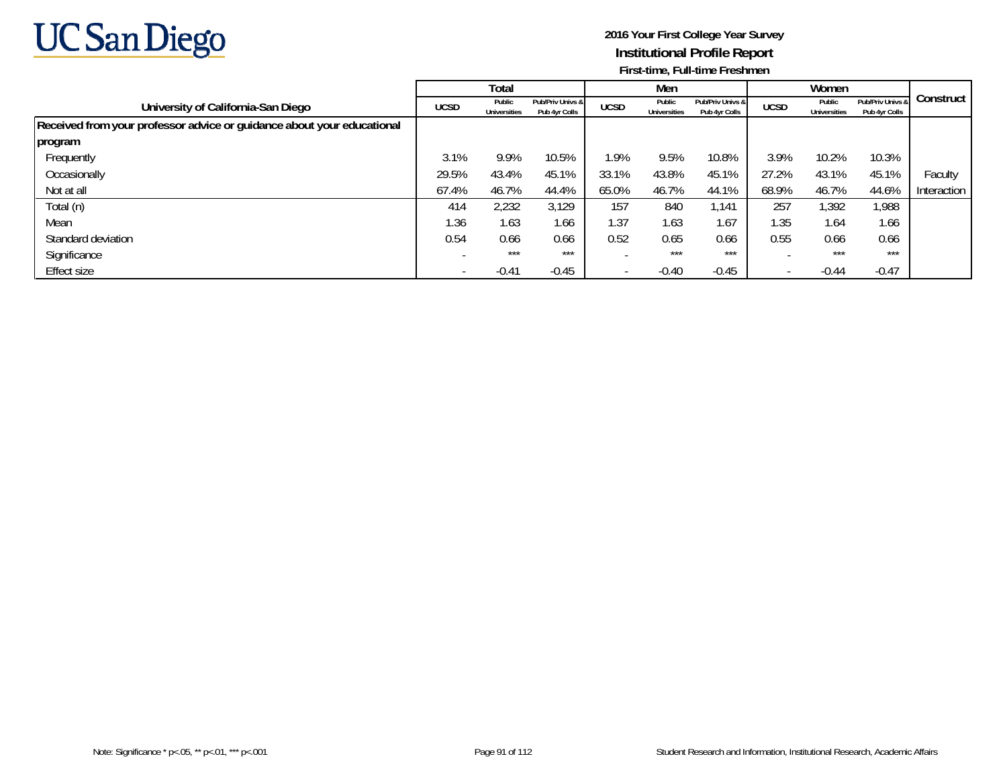

|                                                                        |             | Total                         |                                   |                          | Men                           |                                   |                          | Women                  |                                   |             |
|------------------------------------------------------------------------|-------------|-------------------------------|-----------------------------------|--------------------------|-------------------------------|-----------------------------------|--------------------------|------------------------|-----------------------------------|-------------|
| University of California-San Diego                                     | <b>UCSD</b> | Public<br><b>Universities</b> | Pub/Priv Univs &<br>Pub 4yr Colls | <b>UCSD</b>              | Public<br><b>Universities</b> | Pub/Priv Univs &<br>Pub 4yr Colls | <b>UCSD</b>              | Public<br>Universities | Pub/Priv Univs &<br>Pub 4yr Colls | Construct   |
| Received from your professor advice or guidance about your educational |             |                               |                                   |                          |                               |                                   |                          |                        |                                   |             |
| program                                                                |             |                               |                                   |                          |                               |                                   |                          |                        |                                   |             |
| Frequently                                                             | 3.1%        | 9.9%                          | 10.5%                             | 1.9%                     | 9.5%                          | 10.8%                             | 3.9%                     | 10.2%                  | 10.3%                             |             |
| Occasionally                                                           | 29.5%       | 43.4%                         | 45.1%                             | 33.1%                    | 43.8%                         | 45.1%                             | 27.2%                    | 43.1%                  | 45.1%                             | Faculty     |
| Not at all                                                             | 67.4%       | 46.7%                         | 44.4%                             | 65.0%                    | 46.7%                         | 44.1%                             | 68.9%                    | 46.7%                  | 44.6%                             | Interaction |
| Total (n)                                                              | 414         | 2,232                         | 3,129                             | 157                      | 840                           | 1.141                             | 257                      | 1,392                  | 1,988                             |             |
| Mean                                                                   | 1.36        | 1.63                          | 1.66                              | 1.37                     | 1.63                          | 1.67                              | 1.35                     | 1.64                   | 1.66                              |             |
| Standard deviation                                                     | 0.54        | 0.66                          | 0.66                              | 0.52                     | 0.65                          | 0.66                              | 0.55                     | 0.66                   | 0.66                              |             |
| Significance                                                           |             | ***                           | $***$                             |                          | ***                           | $***$                             |                          | $***$                  | $***$                             |             |
| Effect size                                                            |             | $-0.41$                       | $-0.45$                           | $\overline{\phantom{a}}$ | $-0.40$                       | $-0.45$                           | $\overline{\phantom{a}}$ | $-0.44$                | $-0.47$                           |             |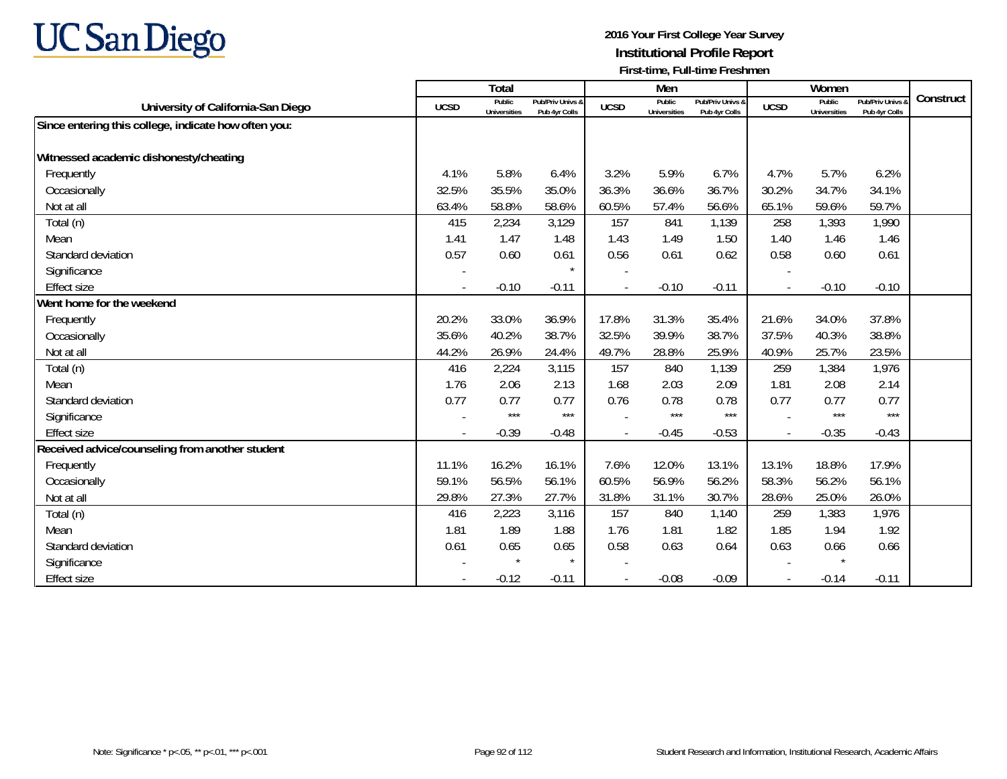# **UC San Diego**

|                                                      |             | Total                         |                                   |                          | Men                           |                                   |                | Women                         |                                 |           |
|------------------------------------------------------|-------------|-------------------------------|-----------------------------------|--------------------------|-------------------------------|-----------------------------------|----------------|-------------------------------|---------------------------------|-----------|
| University of California-San Diego                   | <b>UCSD</b> | Public<br><b>Universities</b> | Pub/Priv Univs &<br>Pub 4yr Colls | <b>UCSD</b>              | Public<br><b>Universities</b> | Pub/Priv Univs &<br>Pub 4yr Colls | <b>UCSD</b>    | Public<br><b>Universities</b> | Pub/Priv Univs<br>Pub 4yr Colls | Construct |
| Since entering this college, indicate how often you: |             |                               |                                   |                          |                               |                                   |                |                               |                                 |           |
|                                                      |             |                               |                                   |                          |                               |                                   |                |                               |                                 |           |
| Witnessed academic dishonesty/cheating               |             |                               |                                   |                          |                               |                                   |                |                               |                                 |           |
| Frequently                                           | 4.1%        | 5.8%                          | 6.4%                              | 3.2%                     | 5.9%                          | 6.7%                              | 4.7%           | 5.7%                          | 6.2%                            |           |
| Occasionally                                         | 32.5%       | 35.5%                         | 35.0%                             | 36.3%                    | 36.6%                         | 36.7%                             | 30.2%          | 34.7%                         | 34.1%                           |           |
| Not at all                                           | 63.4%       | 58.8%                         | 58.6%                             | 60.5%                    | 57.4%                         | 56.6%                             | 65.1%          | 59.6%                         | 59.7%                           |           |
| Total (n)                                            | 415         | 2,234                         | 3,129                             | 157                      | 841                           | 1,139                             | 258            | 1,393                         | 1,990                           |           |
| Mean                                                 | 1.41        | 1.47                          | 1.48                              | 1.43                     | 1.49                          | 1.50                              | 1.40           | 1.46                          | 1.46                            |           |
| Standard deviation                                   | 0.57        | 0.60                          | 0.61                              | 0.56                     | 0.61                          | 0.62                              | 0.58           | 0.60                          | 0.61                            |           |
| Significance                                         |             |                               | $\star$                           |                          |                               |                                   |                |                               |                                 |           |
| <b>Effect size</b>                                   |             | $-0.10$                       | $-0.11$                           |                          | $-0.10$                       | $-0.11$                           | $\blacksquare$ | $-0.10$                       | $-0.10$                         |           |
| Went home for the weekend                            |             |                               |                                   |                          |                               |                                   |                |                               |                                 |           |
| Frequently                                           | 20.2%       | 33.0%                         | 36.9%                             | 17.8%                    | 31.3%                         | 35.4%                             | 21.6%          | 34.0%                         | 37.8%                           |           |
| Occasionally                                         | 35.6%       | 40.2%                         | 38.7%                             | 32.5%                    | 39.9%                         | 38.7%                             | 37.5%          | 40.3%                         | 38.8%                           |           |
| Not at all                                           | 44.2%       | 26.9%                         | 24.4%                             | 49.7%                    | 28.8%                         | 25.9%                             | 40.9%          | 25.7%                         | 23.5%                           |           |
| Total (n)                                            | 416         | 2,224                         | 3,115                             | 157                      | 840                           | 1,139                             | 259            | 1,384                         | 1,976                           |           |
| Mean                                                 | 1.76        | 2.06                          | 2.13                              | 1.68                     | 2.03                          | 2.09                              | 1.81           | 2.08                          | 2.14                            |           |
| Standard deviation                                   | 0.77        | 0.77                          | 0.77                              | 0.76                     | 0.78                          | 0.78                              | 0.77           | 0.77                          | 0.77                            |           |
| Significance                                         |             | $***$                         | $***$                             |                          | $***$                         | $***$                             |                | $***$                         | $***$                           |           |
| <b>Effect size</b>                                   |             | $-0.39$                       | $-0.48$                           |                          | $-0.45$                       | $-0.53$                           | $\blacksquare$ | $-0.35$                       | $-0.43$                         |           |
| Received advice/counseling from another student      |             |                               |                                   |                          |                               |                                   |                |                               |                                 |           |
| Frequently                                           | 11.1%       | 16.2%                         | 16.1%                             | 7.6%                     | 12.0%                         | 13.1%                             | 13.1%          | 18.8%                         | 17.9%                           |           |
| Occasionally                                         | 59.1%       | 56.5%                         | 56.1%                             | 60.5%                    | 56.9%                         | 56.2%                             | 58.3%          | 56.2%                         | 56.1%                           |           |
| Not at all                                           | 29.8%       | 27.3%                         | 27.7%                             | 31.8%                    | 31.1%                         | 30.7%                             | 28.6%          | 25.0%                         | 26.0%                           |           |
| Total (n)                                            | 416         | 2,223                         | 3,116                             | 157                      | 840                           | 1,140                             | 259            | 1,383                         | 1,976                           |           |
| Mean                                                 | 1.81        | 1.89                          | 1.88                              | 1.76                     | 1.81                          | 1.82                              | 1.85           | 1.94                          | 1.92                            |           |
| Standard deviation                                   | 0.61        | 0.65                          | 0.65                              | 0.58                     | 0.63                          | 0.64                              | 0.63           | 0.66                          | 0.66                            |           |
| Significance                                         |             |                               | $\star$                           |                          |                               |                                   |                | $\star$                       |                                 |           |
| <b>Effect size</b>                                   |             | $-0.12$                       | $-0.11$                           | $\overline{\phantom{a}}$ | $-0.08$                       | $-0.09$                           | $\blacksquare$ | $-0.14$                       | $-0.11$                         |           |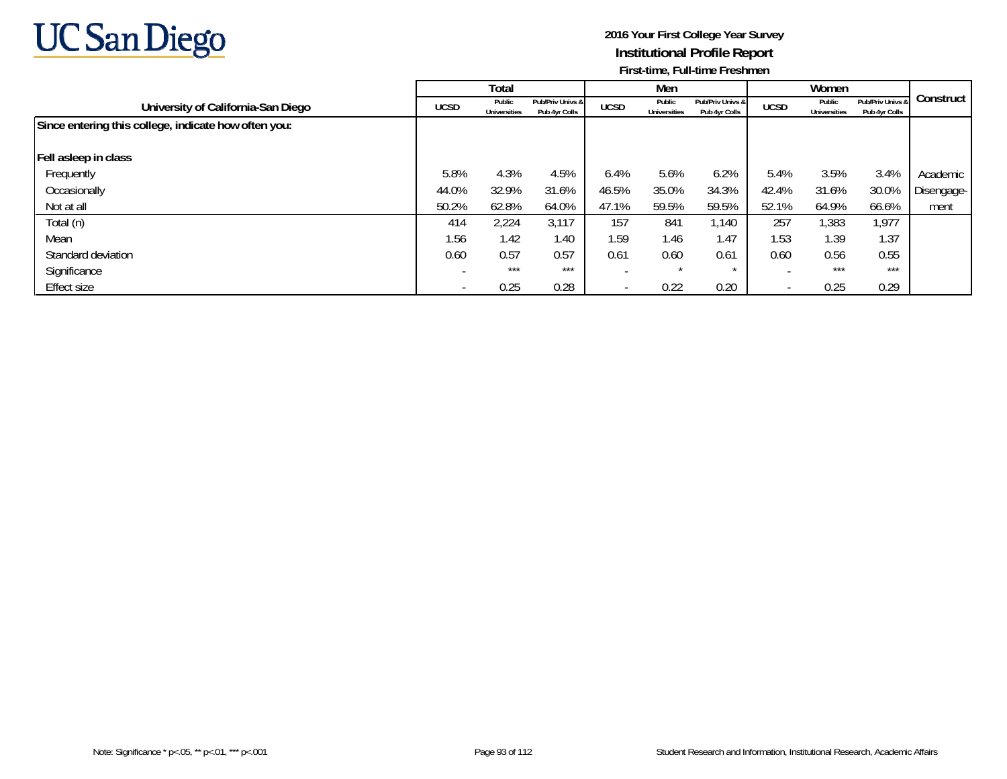

|                                                      | Total       |                               |                                   | Men                      |                               |                                   |                          |                               |                                   |            |
|------------------------------------------------------|-------------|-------------------------------|-----------------------------------|--------------------------|-------------------------------|-----------------------------------|--------------------------|-------------------------------|-----------------------------------|------------|
| University of California-San Diego                   | <b>UCSD</b> | Public<br><b>Universities</b> | Pub/Priv Univs &<br>Pub 4yr Colls | <b>UCSD</b>              | Public<br><b>Universities</b> | Pub/Priv Univs &<br>Pub 4yr Colls | <b>UCSD</b>              | Public<br><b>Universities</b> | Pub/Priv Univs &<br>Pub 4yr Colls | Construct  |
| Since entering this college, indicate how often you: |             |                               |                                   |                          |                               |                                   |                          |                               |                                   |            |
| Fell asleep in class                                 |             |                               |                                   |                          |                               |                                   |                          |                               |                                   |            |
| Frequently                                           | 5.8%        | 4.3%                          | 4.5%                              | 6.4%                     | 5.6%                          | 6.2%                              | 5.4%                     | 3.5%                          | 3.4%                              | Academic   |
| Occasionally                                         | 44.0%       | 32.9%                         | 31.6%                             | 46.5%                    | 35.0%                         | 34.3%                             | 42.4%                    | 31.6%                         | 30.0%                             | Disengage- |
| Not at all                                           | 50.2%       | 62.8%                         | 64.0%                             | 47.1%                    | 59.5%                         | 59.5%                             | 52.1%                    | 64.9%                         | 66.6%                             | ment       |
| Total (n)                                            | 414         | 2,224                         | 3,117                             | 157                      | 841                           | 1,140                             | 257                      | 1,383                         | 1,977                             |            |
| Mean                                                 | 1.56        | 1.42                          | 1.40                              | 1.59                     | 1.46                          | 1.47                              | 1.53                     | 1.39                          | 1.37                              |            |
| Standard deviation                                   | 0.60        | 0.57                          | 0.57                              | 0.61                     | 0.60                          | 0.61                              | 0.60                     | 0.56                          | 0.55                              |            |
| Significance                                         |             | $***$                         | $***$                             |                          | $\star$                       |                                   |                          | $***$                         | ***                               |            |
| Effect size                                          |             | 0.25                          | 0.28                              | $\overline{\phantom{a}}$ | 0.22                          | 0.20                              | $\overline{\phantom{a}}$ | 0.25                          | 0.29                              |            |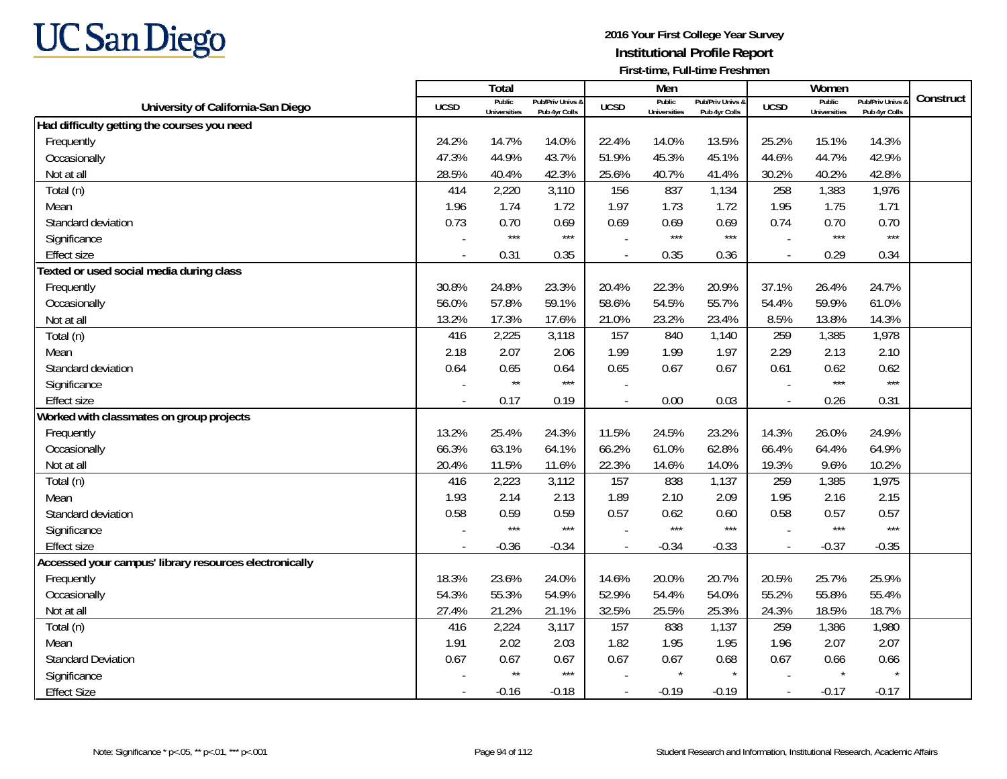

|                                                        |                          | <b>Total</b>                  |                                   |                          | Men                           |                                   |                          | Women                         |                                        |           |
|--------------------------------------------------------|--------------------------|-------------------------------|-----------------------------------|--------------------------|-------------------------------|-----------------------------------|--------------------------|-------------------------------|----------------------------------------|-----------|
| University of California-San Diego                     | <b>UCSD</b>              | Public<br><b>Universities</b> | Pub/Priv Univs &<br>Pub 4yr Colls | <b>UCSD</b>              | Public<br><b>Universities</b> | Pub/Priv Univs &<br>Pub 4yr Colls | <b>UCSD</b>              | Public<br><b>Universities</b> | <b>Pub/Priv Univs</b><br>Pub 4yr Colls | Construct |
| Had difficulty getting the courses you need            |                          |                               |                                   |                          |                               |                                   |                          |                               |                                        |           |
| Frequently                                             | 24.2%                    | 14.7%                         | 14.0%                             | 22.4%                    | 14.0%                         | 13.5%                             | 25.2%                    | 15.1%                         | 14.3%                                  |           |
| Occasionally                                           | 47.3%                    | 44.9%                         | 43.7%                             | 51.9%                    | 45.3%                         | 45.1%                             | 44.6%                    | 44.7%                         | 42.9%                                  |           |
| Not at all                                             | 28.5%                    | 40.4%                         | 42.3%                             | 25.6%                    | 40.7%                         | 41.4%                             | 30.2%                    | 40.2%                         | 42.8%                                  |           |
| Total (n)                                              | 414                      | 2,220                         | 3,110                             | 156                      | 837                           | 1,134                             | 258                      | 1,383                         | 1,976                                  |           |
| Mean                                                   | 1.96                     | 1.74                          | 1.72                              | 1.97                     | 1.73                          | 1.72                              | 1.95                     | 1.75                          | 1.71                                   |           |
| Standard deviation                                     | 0.73                     | 0.70                          | 0.69                              | 0.69                     | 0.69                          | 0.69                              | 0.74                     | 0.70                          | 0.70                                   |           |
| Significance                                           |                          | $***$                         | $***$                             |                          | $***$                         | $***$                             |                          | $***$                         | $***$                                  |           |
| <b>Effect size</b>                                     |                          | 0.31                          | 0.35                              |                          | 0.35                          | 0.36                              |                          | 0.29                          | 0.34                                   |           |
| Texted or used social media during class               |                          |                               |                                   |                          |                               |                                   |                          |                               |                                        |           |
| Frequently                                             | 30.8%                    | 24.8%                         | 23.3%                             | 20.4%                    | 22.3%                         | 20.9%                             | 37.1%                    | 26.4%                         | 24.7%                                  |           |
| Occasionally                                           | 56.0%                    | 57.8%                         | 59.1%                             | 58.6%                    | 54.5%                         | 55.7%                             | 54.4%                    | 59.9%                         | 61.0%                                  |           |
| Not at all                                             | 13.2%                    | 17.3%                         | 17.6%                             | 21.0%                    | 23.2%                         | 23.4%                             | 8.5%                     | 13.8%                         | 14.3%                                  |           |
| Total (n)                                              | 416                      | 2,225                         | 3,118                             | 157                      | 840                           | 1,140                             | 259                      | 1,385                         | 1,978                                  |           |
| Mean                                                   | 2.18                     | 2.07                          | 2.06                              | 1.99                     | 1.99                          | 1.97                              | 2.29                     | 2.13                          | 2.10                                   |           |
| Standard deviation                                     | 0.64                     | 0.65                          | 0.64                              | 0.65                     | 0.67                          | 0.67                              | 0.61                     | 0.62                          | 0.62                                   |           |
| Significance                                           |                          | $\star\star$                  | $***$                             |                          |                               |                                   |                          | $***$                         | $***$                                  |           |
| <b>Effect size</b>                                     |                          | 0.17                          | 0.19                              |                          | 0.00                          | 0.03                              | $\overline{\phantom{a}}$ | 0.26                          | 0.31                                   |           |
| Worked with classmates on group projects               |                          |                               |                                   |                          |                               |                                   |                          |                               |                                        |           |
| Frequently                                             | 13.2%                    | 25.4%                         | 24.3%                             | 11.5%                    | 24.5%                         | 23.2%                             | 14.3%                    | 26.0%                         | 24.9%                                  |           |
| Occasionally                                           | 66.3%                    | 63.1%                         | 64.1%                             | 66.2%                    | 61.0%                         | 62.8%                             | 66.4%                    | 64.4%                         | 64.9%                                  |           |
| Not at all                                             | 20.4%                    | 11.5%                         | 11.6%                             | 22.3%                    | 14.6%                         | 14.0%                             | 19.3%                    | 9.6%                          | 10.2%                                  |           |
| Total (n)                                              | 416                      | 2,223                         | 3,112                             | 157                      | 838                           | 1,137                             | 259                      | 1,385                         | 1,975                                  |           |
| Mean                                                   | 1.93                     | 2.14                          | 2.13                              | 1.89                     | 2.10                          | 2.09                              | 1.95                     | 2.16                          | 2.15                                   |           |
| Standard deviation                                     | 0.58                     | 0.59                          | 0.59                              | 0.57                     | 0.62                          | 0.60                              | 0.58                     | 0.57                          | 0.57                                   |           |
| Significance                                           |                          | $***$                         | $***$                             |                          | $***$                         | $***$                             |                          | $***$                         | $***$                                  |           |
| <b>Effect size</b>                                     | $\overline{\phantom{a}}$ | $-0.36$                       | $-0.34$                           | $\overline{\phantom{a}}$ | $-0.34$                       | $-0.33$                           | $\mathcal{L}$            | $-0.37$                       | $-0.35$                                |           |
| Accessed your campus' library resources electronically |                          |                               |                                   |                          |                               |                                   |                          |                               |                                        |           |
| Frequently                                             | 18.3%                    | 23.6%                         | 24.0%                             | 14.6%                    | 20.0%                         | 20.7%                             | 20.5%                    | 25.7%                         | 25.9%                                  |           |
| Occasionally                                           | 54.3%                    | 55.3%                         | 54.9%                             | 52.9%                    | 54.4%                         | 54.0%                             | 55.2%                    | 55.8%                         | 55.4%                                  |           |
| Not at all                                             | 27.4%                    | 21.2%                         | 21.1%                             | 32.5%                    | 25.5%                         | 25.3%                             | 24.3%                    | 18.5%                         | 18.7%                                  |           |
| $\overline{\mathrm{Total}}$ (n)                        | 416                      | 2,224                         | 3,117                             | 157                      | 838                           | 1,137                             | 259                      | 1,386                         | 1,980                                  |           |
| Mean                                                   | 1.91                     | 2.02                          | 2.03                              | 1.82                     | 1.95                          | 1.95                              | 1.96                     | 2.07                          | 2.07                                   |           |
| <b>Standard Deviation</b>                              | 0.67                     | 0.67                          | 0.67                              | 0.67                     | 0.67                          | 0.68                              | 0.67                     | 0.66                          | 0.66                                   |           |
| Significance                                           |                          | $\star\star$                  | $***$                             |                          | $\star$                       |                                   |                          |                               |                                        |           |
| <b>Effect Size</b>                                     |                          | $-0.16$                       | $-0.18$                           |                          | $-0.19$                       | $-0.19$                           | $\overline{\phantom{a}}$ | $-0.17$                       | $-0.17$                                |           |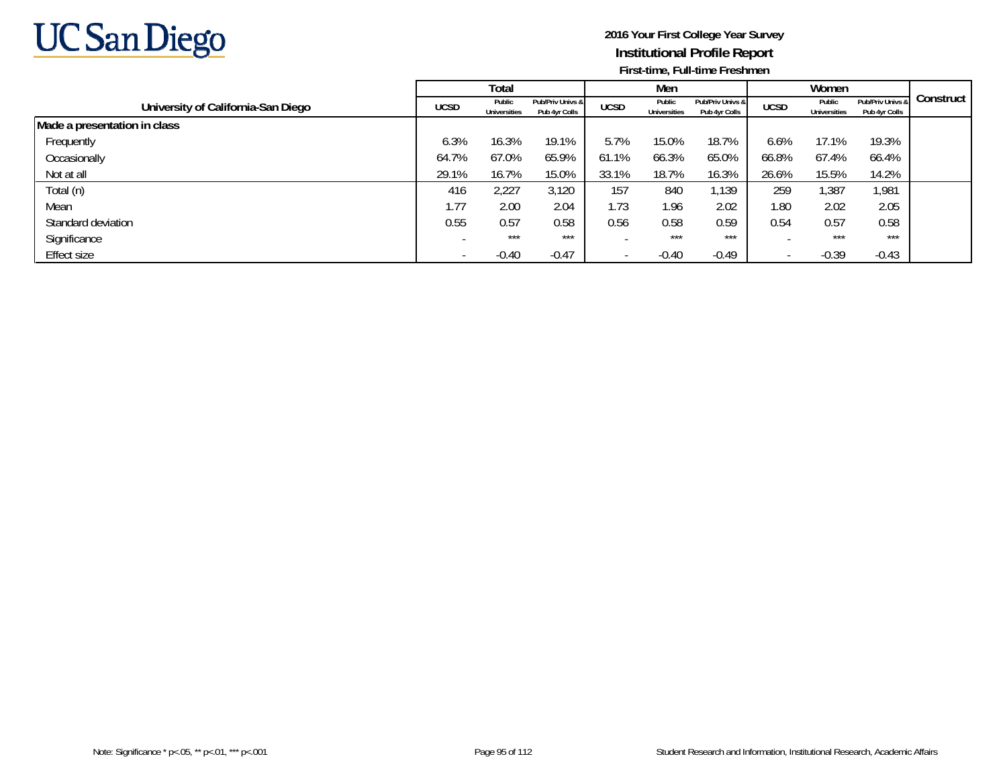

|                                    |             | Total                         |                                   |             | Men                           |                                   |             | Women                         |                                   |           |
|------------------------------------|-------------|-------------------------------|-----------------------------------|-------------|-------------------------------|-----------------------------------|-------------|-------------------------------|-----------------------------------|-----------|
| University of California-San Diego | <b>UCSD</b> | Public<br><b>Universities</b> | Pub/Priv Univs &<br>Pub 4yr Colls | <b>UCSD</b> | Public<br><b>Universities</b> | Pub/Priv Univs &<br>Pub 4yr Colls | <b>UCSD</b> | Public<br><b>Universities</b> | Pub/Priv Univs &<br>Pub 4yr Colls | Construct |
| Made a presentation in class       |             |                               |                                   |             |                               |                                   |             |                               |                                   |           |
| Frequently                         | 6.3%        | 16.3%                         | 19.1%                             | 5.7%        | 15.0%                         | 18.7%                             | 6.6%        | 17.1%                         | 19.3%                             |           |
| Occasionally                       | 64.7%       | 67.0%                         | 65.9%                             | 61.1%       | 66.3%                         | 65.0%                             | 66.8%       | 67.4%                         | 66.4%                             |           |
| Not at all                         | 29.1%       | 16.7%                         | 15.0%                             | 33.1%       | 18.7%                         | 16.3%                             | 26.6%       | 15.5%                         | 14.2%                             |           |
| Total (n)                          | 416         | 2,227                         | 3,120                             | 157         | 840                           | 1,139                             | 259         | 1,387                         | 1,981                             |           |
| Mean                               | 1.77        | 2.00                          | 2.04                              | 1.73        | 1.96                          | 2.02                              | 1.80        | 2.02                          | 2.05                              |           |
| Standard deviation                 | 0.55        | 0.57                          | 0.58                              | 0.56        | 0.58                          | 0.59                              | 0.54        | 0.57                          | 0.58                              |           |
| Significance                       |             | $***$                         | ***                               |             | $***$                         | ***                               |             | $***$                         | ***                               |           |
| Effect size                        |             | $-0.40$                       | $-0.47$                           |             | $-0.40$                       | $-0.49$                           |             | $-0.39$                       | $-0.43$                           |           |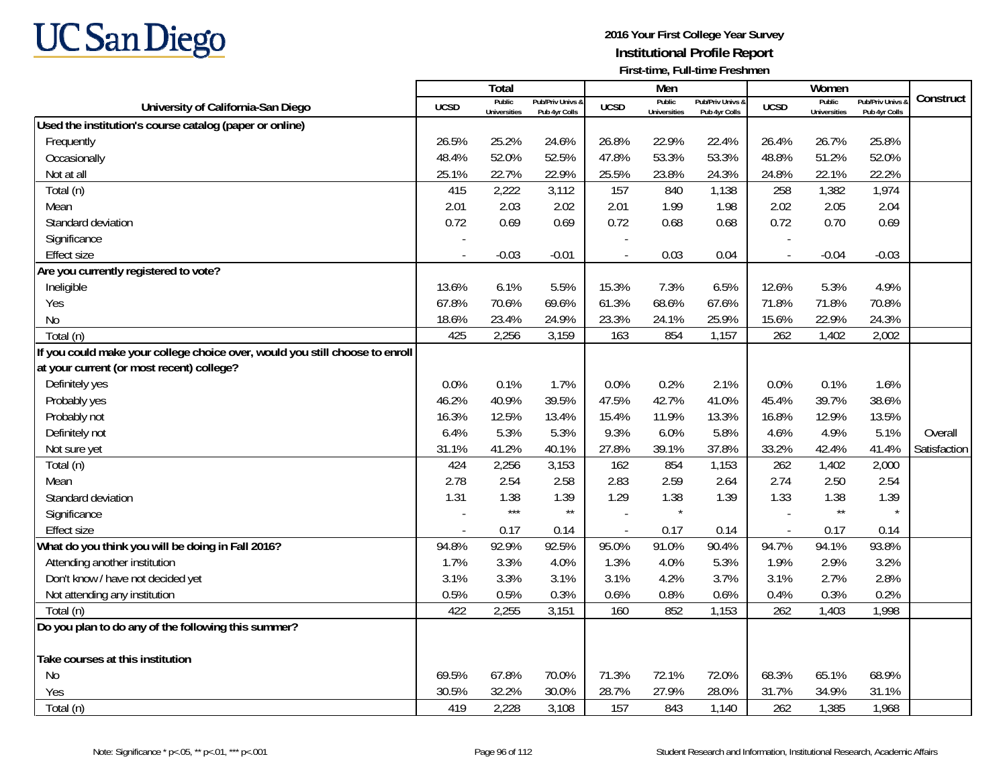

|                                                                              |             | <b>Total</b>                  |                                   |                          | Men                           |                                   |                          | Women                         |                                        | Construct    |
|------------------------------------------------------------------------------|-------------|-------------------------------|-----------------------------------|--------------------------|-------------------------------|-----------------------------------|--------------------------|-------------------------------|----------------------------------------|--------------|
| University of California-San Diego                                           | <b>UCSD</b> | Public<br><b>Universities</b> | Pub/Priv Univs &<br>Pub 4yr Colls | <b>UCSD</b>              | Public<br><b>Universities</b> | Pub/Priv Univs &<br>Pub 4yr Colls | <b>UCSD</b>              | Public<br><b>Universities</b> | <b>Pub/Priv Univs</b><br>Pub 4yr Colls |              |
| Used the institution's course catalog (paper or online)                      |             |                               |                                   |                          |                               |                                   |                          |                               |                                        |              |
| Frequently                                                                   | 26.5%       | 25.2%                         | 24.6%                             | 26.8%                    | 22.9%                         | 22.4%                             | 26.4%                    | 26.7%                         | 25.8%                                  |              |
| Occasionally                                                                 | 48.4%       | 52.0%                         | 52.5%                             | 47.8%                    | 53.3%                         | 53.3%                             | 48.8%                    | 51.2%                         | 52.0%                                  |              |
| Not at all                                                                   | 25.1%       | 22.7%                         | 22.9%                             | 25.5%                    | 23.8%                         | 24.3%                             | 24.8%                    | 22.1%                         | 22.2%                                  |              |
| Total (n)                                                                    | 415         | 2,222                         | 3,112                             | 157                      | 840                           | 1,138                             | 258                      | 1,382                         | 1,974                                  |              |
| Mean                                                                         | 2.01        | 2.03                          | 2.02                              | 2.01                     | 1.99                          | 1.98                              | 2.02                     | 2.05                          | 2.04                                   |              |
| Standard deviation                                                           | 0.72        | 0.69                          | 0.69                              | 0.72                     | 0.68                          | 0.68                              | 0.72                     | 0.70                          | 0.69                                   |              |
| Significance                                                                 |             |                               |                                   | $\overline{\phantom{a}}$ |                               |                                   |                          |                               |                                        |              |
| <b>Effect size</b>                                                           |             | $-0.03$                       | $-0.01$                           |                          | 0.03                          | 0.04                              | $\overline{\phantom{a}}$ | $-0.04$                       | $-0.03$                                |              |
| Are you currently registered to vote?                                        |             |                               |                                   |                          |                               |                                   |                          |                               |                                        |              |
| Ineligible                                                                   | 13.6%       | 6.1%                          | 5.5%                              | 15.3%                    | 7.3%                          | 6.5%                              | 12.6%                    | 5.3%                          | 4.9%                                   |              |
| Yes                                                                          | 67.8%       | 70.6%                         | 69.6%                             | 61.3%                    | 68.6%                         | 67.6%                             | 71.8%                    | 71.8%                         | 70.8%                                  |              |
| N <sub>0</sub>                                                               | 18.6%       | 23.4%                         | 24.9%                             | 23.3%                    | 24.1%                         | 25.9%                             | 15.6%                    | 22.9%                         | 24.3%                                  |              |
| Total (n)                                                                    | 425         | 2,256                         | 3,159                             | 163                      | 854                           | 1,157                             | 262                      | 1,402                         | 2,002                                  |              |
| If you could make your college choice over, would you still choose to enroll |             |                               |                                   |                          |                               |                                   |                          |                               |                                        |              |
| at your current (or most recent) college?                                    |             |                               |                                   |                          |                               |                                   |                          |                               |                                        |              |
| Definitely yes                                                               | 0.0%        | 0.1%                          | 1.7%                              | 0.0%                     | 0.2%                          | 2.1%                              | 0.0%                     | 0.1%                          | 1.6%                                   |              |
| Probably yes                                                                 | 46.2%       | 40.9%                         | 39.5%                             | 47.5%                    | 42.7%                         | 41.0%                             | 45.4%                    | 39.7%                         | 38.6%                                  |              |
| Probably not                                                                 | 16.3%       | 12.5%                         | 13.4%                             | 15.4%                    | 11.9%                         | 13.3%                             | 16.8%                    | 12.9%                         | 13.5%                                  |              |
| Definitely not                                                               | 6.4%        | 5.3%                          | 5.3%                              | 9.3%                     | 6.0%                          | 5.8%                              | 4.6%                     | 4.9%                          | 5.1%                                   | Overall      |
| Not sure yet                                                                 | 31.1%       | 41.2%                         | 40.1%                             | 27.8%                    | 39.1%                         | 37.8%                             | 33.2%                    | 42.4%                         | 41.4%                                  | Satisfaction |
| Total (n)                                                                    | 424         | 2,256                         | 3,153                             | 162                      | 854                           | 1,153                             | 262                      | 1,402                         | 2,000                                  |              |
| Mean                                                                         | 2.78        | 2.54                          | 2.58                              | 2.83                     | 2.59                          | 2.64                              | 2.74                     | 2.50                          | 2.54                                   |              |
| Standard deviation                                                           | 1.31        | 1.38                          | 1.39                              | 1.29                     | 1.38                          | 1.39                              | 1.33                     | 1.38                          | 1.39                                   |              |
| Significance                                                                 |             | $***$                         | $\star\star$                      |                          | $\star$                       |                                   |                          | $\star\star$                  | $\star$                                |              |
| <b>Effect size</b>                                                           |             | 0.17                          | 0.14                              | $\overline{a}$           | 0.17                          | 0.14                              | $\overline{a}$           | 0.17                          | 0.14                                   |              |
| What do you think you will be doing in Fall 2016?                            | 94.8%       | 92.9%                         | 92.5%                             | 95.0%                    | 91.0%                         | 90.4%                             | 94.7%                    | 94.1%                         | 93.8%                                  |              |
| Attending another institution                                                | 1.7%        | 3.3%                          | 4.0%                              | 1.3%                     | 4.0%                          | 5.3%                              | 1.9%                     | 2.9%                          | 3.2%                                   |              |
| Don't know / have not decided yet                                            | 3.1%        | 3.3%                          | 3.1%                              | 3.1%                     | 4.2%                          | 3.7%                              | 3.1%                     | 2.7%                          | 2.8%                                   |              |
| Not attending any institution                                                | 0.5%        | 0.5%                          | 0.3%                              | 0.6%                     | 0.8%                          | 0.6%                              | 0.4%                     | 0.3%                          | 0.2%                                   |              |
| Total (n)                                                                    | 422         | 2,255                         | 3,151                             | 160                      | 852                           | 1,153                             | 262                      | 1,403                         | 1,998                                  |              |
| Do you plan to do any of the following this summer?                          |             |                               |                                   |                          |                               |                                   |                          |                               |                                        |              |
| Take courses at this institution                                             |             |                               |                                   |                          |                               |                                   |                          |                               |                                        |              |
| <b>No</b>                                                                    | 69.5%       | 67.8%                         | 70.0%                             | 71.3%                    | 72.1%                         | 72.0%                             | 68.3%                    | 65.1%                         | 68.9%                                  |              |
| Yes                                                                          | 30.5%       | 32.2%                         | 30.0%                             | 28.7%                    | 27.9%                         | 28.0%                             | 31.7%                    | 34.9%                         | 31.1%                                  |              |
| Total (n)                                                                    | 419         | 2,228                         | 3,108                             | 157                      | 843                           | 1,140                             | 262                      | 1,385                         | 1,968                                  |              |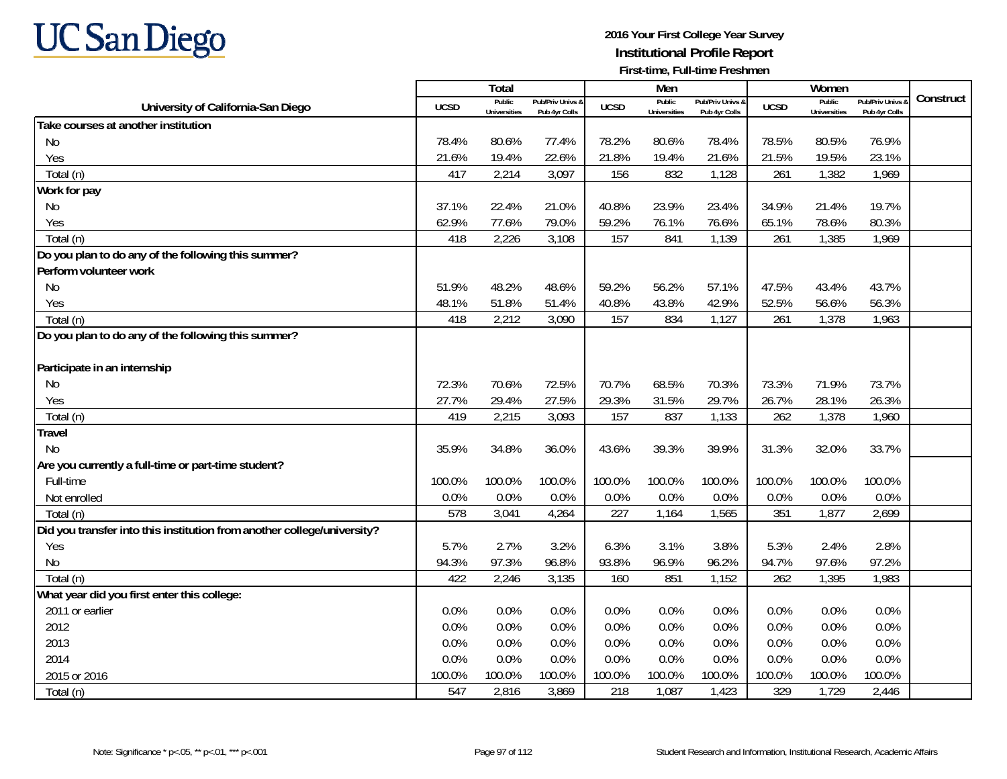

|                                                                         |             | Total                         |                                   |             | Men                           |                                   |             | Women                         |                                        |           |
|-------------------------------------------------------------------------|-------------|-------------------------------|-----------------------------------|-------------|-------------------------------|-----------------------------------|-------------|-------------------------------|----------------------------------------|-----------|
| University of California-San Diego                                      | <b>UCSD</b> | Public<br><b>Universities</b> | Pub/Priv Univs &<br>Pub 4yr Colls | <b>UCSD</b> | Public<br><b>Universities</b> | Pub/Priv Univs &<br>Pub 4yr Colls | <b>UCSD</b> | Public<br><b>Universities</b> | <b>Pub/Priv Univs</b><br>Pub 4yr Colls | Construct |
| Take courses at another institution                                     |             |                               |                                   |             |                               |                                   |             |                               |                                        |           |
| No                                                                      | 78.4%       | 80.6%                         | 77.4%                             | 78.2%       | 80.6%                         | 78.4%                             | 78.5%       | 80.5%                         | 76.9%                                  |           |
| Yes                                                                     | 21.6%       | 19.4%                         | 22.6%                             | 21.8%       | 19.4%                         | 21.6%                             | 21.5%       | 19.5%                         | 23.1%                                  |           |
| Total (n)                                                               | 417         | 2,214                         | 3,097                             | 156         | 832                           | 1,128                             | 261         | 1,382                         | 1,969                                  |           |
| Work for pay                                                            |             |                               |                                   |             |                               |                                   |             |                               |                                        |           |
| No                                                                      | 37.1%       | 22.4%                         | 21.0%                             | 40.8%       | 23.9%                         | 23.4%                             | 34.9%       | 21.4%                         | 19.7%                                  |           |
| Yes                                                                     | 62.9%       | 77.6%                         | 79.0%                             | 59.2%       | 76.1%                         | 76.6%                             | 65.1%       | 78.6%                         | 80.3%                                  |           |
| Total (n)                                                               | 418         | 2,226                         | 3,108                             | 157         | 841                           | 1,139                             | 261         | 1,385                         | 1,969                                  |           |
| Do you plan to do any of the following this summer?                     |             |                               |                                   |             |                               |                                   |             |                               |                                        |           |
| Perform volunteer work                                                  |             |                               |                                   |             |                               |                                   |             |                               |                                        |           |
| <b>No</b>                                                               | 51.9%       | 48.2%                         | 48.6%                             | 59.2%       | 56.2%                         | 57.1%                             | 47.5%       | 43.4%                         | 43.7%                                  |           |
| Yes                                                                     | 48.1%       | 51.8%                         | 51.4%                             | 40.8%       | 43.8%                         | 42.9%                             | 52.5%       | 56.6%                         | 56.3%                                  |           |
| Total (n)                                                               | 418         | 2,212                         | 3,090                             | 157         | 834                           | 1,127                             | 261         | 1,378                         | 1,963                                  |           |
| Do you plan to do any of the following this summer?                     |             |                               |                                   |             |                               |                                   |             |                               |                                        |           |
|                                                                         |             |                               |                                   |             |                               |                                   |             |                               |                                        |           |
| Participate in an internship                                            |             |                               |                                   |             |                               |                                   |             |                               |                                        |           |
| No                                                                      | 72.3%       | 70.6%                         | 72.5%                             | 70.7%       | 68.5%                         | 70.3%                             | 73.3%       | 71.9%                         | 73.7%                                  |           |
| Yes                                                                     | 27.7%       | 29.4%                         | 27.5%                             | 29.3%       | 31.5%                         | 29.7%                             | 26.7%       | 28.1%                         | 26.3%                                  |           |
| Total (n)                                                               | 419         | 2,215                         | 3,093                             | 157         | 837                           | 1,133                             | 262         | 1,378                         | 1,960                                  |           |
| <b>Travel</b>                                                           |             |                               |                                   |             |                               |                                   |             |                               |                                        |           |
| <b>No</b>                                                               | 35.9%       | 34.8%                         | 36.0%                             | 43.6%       | 39.3%                         | 39.9%                             | 31.3%       | 32.0%                         | 33.7%                                  |           |
| Are you currently a full-time or part-time student?                     |             |                               |                                   |             |                               |                                   |             |                               |                                        |           |
| Full-time                                                               | 100.0%      | 100.0%                        | 100.0%                            | 100.0%      | 100.0%                        | 100.0%                            | 100.0%      | 100.0%                        | 100.0%                                 |           |
| Not enrolled                                                            | 0.0%        | 0.0%                          | 0.0%                              | 0.0%        | 0.0%                          | 0.0%                              | 0.0%        | 0.0%                          | 0.0%                                   |           |
| Total (n)                                                               | 578         | 3,041                         | 4,264                             | 227         | 1,164                         | 1,565                             | 351         | 1,877                         | 2,699                                  |           |
| Did you transfer into this institution from another college/university? |             |                               |                                   |             |                               |                                   |             |                               |                                        |           |
| Yes                                                                     | 5.7%        | 2.7%                          | 3.2%                              | 6.3%        | 3.1%                          | 3.8%                              | 5.3%        | 2.4%                          | 2.8%                                   |           |
| No                                                                      | 94.3%       | 97.3%                         | 96.8%                             | 93.8%       | 96.9%                         | 96.2%                             | 94.7%       | 97.6%                         | 97.2%                                  |           |
| Total (n)                                                               | 422         | 2,246                         | 3,135                             | 160         | 851                           | 1,152                             | 262         | 1,395                         | 1,983                                  |           |
| What year did you first enter this college:                             |             |                               |                                   |             |                               |                                   |             |                               |                                        |           |
| 2011 or earlier                                                         | 0.0%        | 0.0%                          | 0.0%                              | 0.0%        | 0.0%                          | 0.0%                              | 0.0%        | 0.0%                          | 0.0%                                   |           |
| 2012                                                                    | 0.0%        | 0.0%                          | 0.0%                              | 0.0%        | 0.0%                          | 0.0%                              | 0.0%        | 0.0%                          | 0.0%                                   |           |
| 2013                                                                    | 0.0%        | 0.0%                          | 0.0%                              | 0.0%        | 0.0%                          | 0.0%                              | 0.0%        | 0.0%                          | 0.0%                                   |           |
| 2014                                                                    | 0.0%        | 0.0%                          | 0.0%                              | 0.0%        | 0.0%                          | 0.0%                              | 0.0%        | 0.0%                          | 0.0%                                   |           |
| 2015 or 2016                                                            | 100.0%      | 100.0%                        | 100.0%                            | 100.0%      | 100.0%                        | 100.0%                            | 100.0%      | 100.0%                        | 100.0%                                 |           |
| Total (n)                                                               | 547         | 2,816                         | 3,869                             | 218         | 1,087                         | 1,423                             | 329         | 1,729                         | 2,446                                  |           |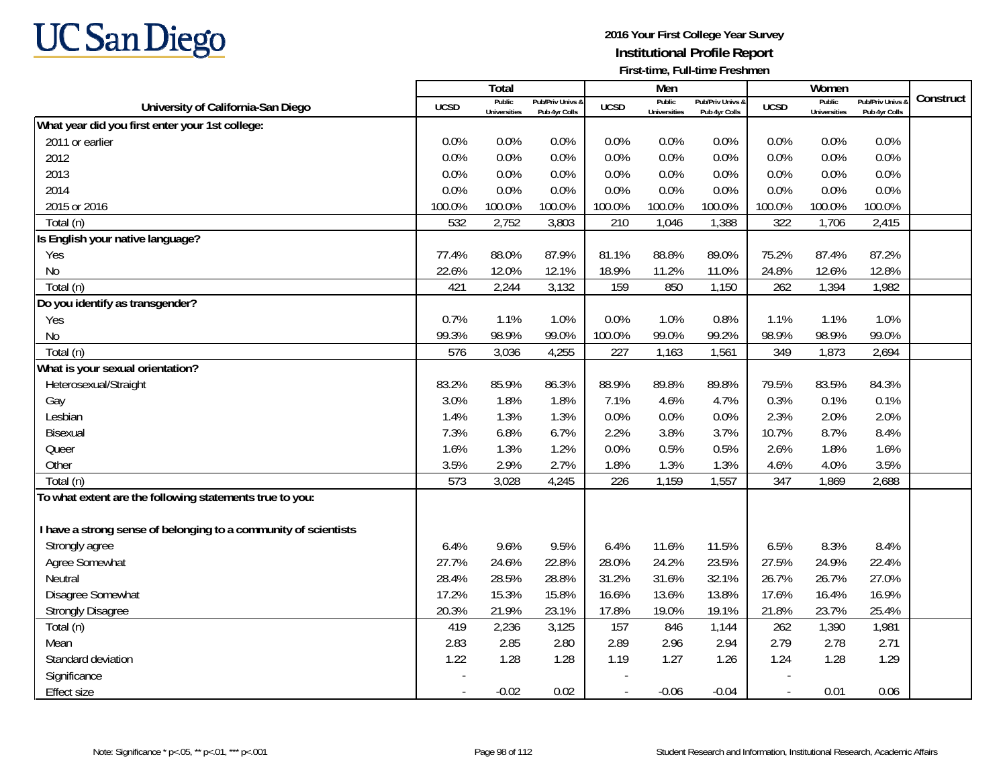

|                                                                 |                | Total                         |                                   |                          | Men                           |                                   |                          | Women                         |                                        | Construct |
|-----------------------------------------------------------------|----------------|-------------------------------|-----------------------------------|--------------------------|-------------------------------|-----------------------------------|--------------------------|-------------------------------|----------------------------------------|-----------|
| University of California-San Diego                              | <b>UCSD</b>    | Public<br><b>Universities</b> | Pub/Priv Univs &<br>Pub 4yr Colls | <b>UCSD</b>              | Public<br><b>Universities</b> | Pub/Priv Univs &<br>Pub 4yr Colls | <b>UCSD</b>              | Public<br><b>Universities</b> | <b>Pub/Priv Univs</b><br>Pub 4yr Colls |           |
| What year did you first enter your 1st college:                 |                |                               |                                   |                          |                               |                                   |                          |                               |                                        |           |
| 2011 or earlier                                                 | 0.0%           | 0.0%                          | 0.0%                              | 0.0%                     | 0.0%                          | 0.0%                              | 0.0%                     | 0.0%                          | 0.0%                                   |           |
| 2012                                                            | 0.0%           | 0.0%                          | 0.0%                              | 0.0%                     | 0.0%                          | 0.0%                              | 0.0%                     | 0.0%                          | 0.0%                                   |           |
| 2013                                                            | 0.0%           | 0.0%                          | 0.0%                              | 0.0%                     | 0.0%                          | 0.0%                              | 0.0%                     | 0.0%                          | 0.0%                                   |           |
| 2014                                                            | 0.0%           | 0.0%                          | 0.0%                              | 0.0%                     | 0.0%                          | 0.0%                              | 0.0%                     | 0.0%                          | 0.0%                                   |           |
| 2015 or 2016                                                    | 100.0%         | 100.0%                        | 100.0%                            | 100.0%                   | 100.0%                        | 100.0%                            | 100.0%                   | 100.0%                        | 100.0%                                 |           |
| Total (n)                                                       | 532            | 2,752                         | 3,803                             | 210                      | 1,046                         | 1,388                             | 322                      | 1,706                         | 2,415                                  |           |
| Is English your native language?                                |                |                               |                                   |                          |                               |                                   |                          |                               |                                        |           |
| Yes                                                             | 77.4%          | 88.0%                         | 87.9%                             | 81.1%                    | 88.8%                         | 89.0%                             | 75.2%                    | 87.4%                         | 87.2%                                  |           |
| <b>No</b>                                                       | 22.6%          | 12.0%                         | 12.1%                             | 18.9%                    | 11.2%                         | 11.0%                             | 24.8%                    | 12.6%                         | 12.8%                                  |           |
| Total (n)                                                       | 421            | 2,244                         | 3,132                             | 159                      | 850                           | 1,150                             | 262                      | 1,394                         | 1,982                                  |           |
| Do you identify as transgender?                                 |                |                               |                                   |                          |                               |                                   |                          |                               |                                        |           |
| Yes                                                             | 0.7%           | 1.1%                          | 1.0%                              | 0.0%                     | 1.0%                          | 0.8%                              | 1.1%                     | 1.1%                          | 1.0%                                   |           |
| No                                                              | 99.3%          | 98.9%                         | 99.0%                             | 100.0%                   | 99.0%                         | 99.2%                             | 98.9%                    | 98.9%                         | 99.0%                                  |           |
| Total (n)                                                       | 576            | 3,036                         | 4,255                             | 227                      | 1,163                         | 1,561                             | 349                      | 1,873                         | 2,694                                  |           |
| What is your sexual orientation?                                |                |                               |                                   |                          |                               |                                   |                          |                               |                                        |           |
| Heterosexual/Straight                                           | 83.2%          | 85.9%                         | 86.3%                             | 88.9%                    | 89.8%                         | 89.8%                             | 79.5%                    | 83.5%                         | 84.3%                                  |           |
| Gay                                                             | 3.0%           | 1.8%                          | 1.8%                              | 7.1%                     | 4.6%                          | 4.7%                              | 0.3%                     | 0.1%                          | 0.1%                                   |           |
| Lesbian                                                         | 1.4%           | 1.3%                          | 1.3%                              | 0.0%                     | 0.0%                          | 0.0%                              | 2.3%                     | 2.0%                          | 2.0%                                   |           |
| Bisexual                                                        | 7.3%           | 6.8%                          | 6.7%                              | 2.2%                     | 3.8%                          | 3.7%                              | 10.7%                    | 8.7%                          | 8.4%                                   |           |
| Queer                                                           | 1.6%           | 1.3%                          | 1.2%                              | 0.0%                     | 0.5%                          | 0.5%                              | 2.6%                     | 1.8%                          | 1.6%                                   |           |
| Other                                                           | 3.5%           | 2.9%                          | 2.7%                              | 1.8%                     | 1.3%                          | 1.3%                              | 4.6%                     | 4.0%                          | 3.5%                                   |           |
| Total (n)                                                       | 573            | 3,028                         | 4,245                             | 226                      | 1,159                         | 1,557                             | 347                      | 1,869                         | 2,688                                  |           |
| To what extent are the following statements true to you:        |                |                               |                                   |                          |                               |                                   |                          |                               |                                        |           |
| I have a strong sense of belonging to a community of scientists |                |                               |                                   |                          |                               |                                   |                          |                               |                                        |           |
| Strongly agree                                                  | 6.4%           | 9.6%                          | 9.5%                              | 6.4%                     | 11.6%                         | 11.5%                             | 6.5%                     | 8.3%                          | 8.4%                                   |           |
| Agree Somewhat                                                  | 27.7%          | 24.6%                         | 22.8%                             | 28.0%                    | 24.2%                         | 23.5%                             | 27.5%                    | 24.9%                         | 22.4%                                  |           |
| Neutral                                                         | 28.4%          | 28.5%                         | 28.8%                             | 31.2%                    | 31.6%                         | 32.1%                             | 26.7%                    | 26.7%                         | 27.0%                                  |           |
| Disagree Somewhat                                               | 17.2%          | 15.3%                         | 15.8%                             | 16.6%                    | 13.6%                         | 13.8%                             | 17.6%                    | 16.4%                         | 16.9%                                  |           |
| <b>Strongly Disagree</b>                                        | 20.3%          | 21.9%                         | 23.1%                             | 17.8%                    | 19.0%                         | 19.1%                             | 21.8%                    | 23.7%                         | 25.4%                                  |           |
| Total (n)                                                       | 419            | 2,236                         | 3,125                             | 157                      | 846                           | 1,144                             | 262                      | 1,390                         | 1,981                                  |           |
| Mean                                                            | 2.83           | 2.85                          | 2.80                              | 2.89                     | 2.96                          | 2.94                              | 2.79                     | 2.78                          | 2.71                                   |           |
| Standard deviation                                              | 1.22           | 1.28                          | 1.28                              | 1.19                     | 1.27                          | 1.26                              | 1.24                     | 1.28                          | 1.29                                   |           |
| Significance                                                    |                |                               |                                   |                          |                               |                                   |                          |                               |                                        |           |
| <b>Effect size</b>                                              | $\blacksquare$ | $-0.02$                       | 0.02                              | $\overline{\phantom{a}}$ | $-0.06$                       | $-0.04$                           | $\overline{\phantom{a}}$ | 0.01                          | 0.06                                   |           |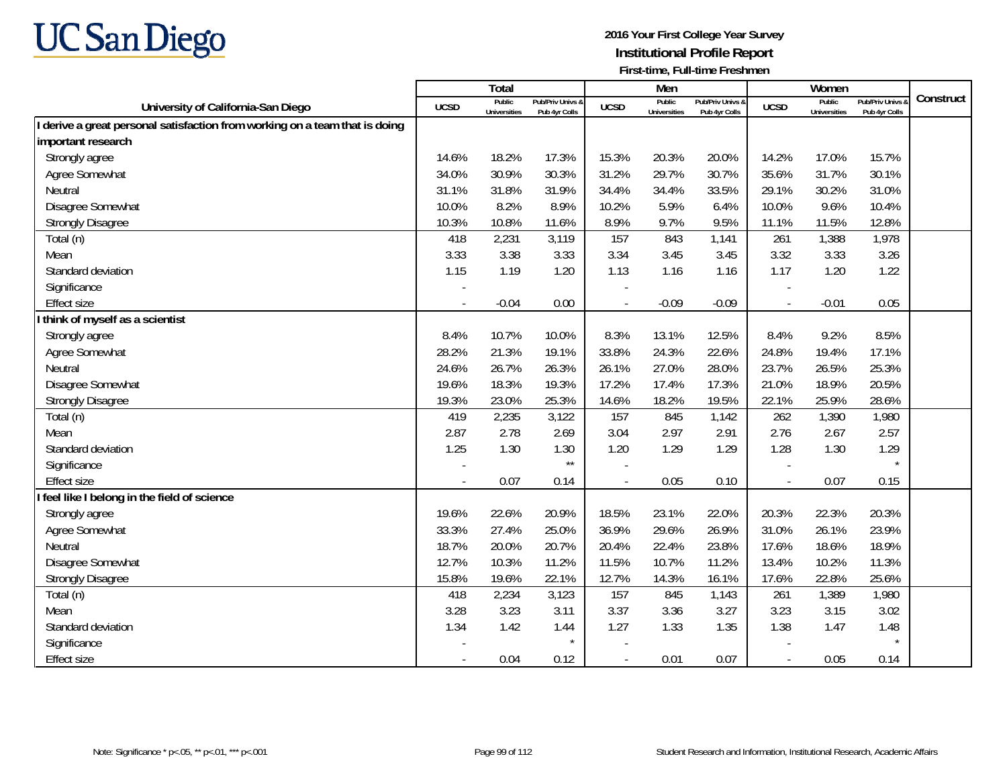

|                                                                             |             | <b>Total</b>                  |                                   |                          | Men                           |                                   |                          | Women                         |                                        |           |
|-----------------------------------------------------------------------------|-------------|-------------------------------|-----------------------------------|--------------------------|-------------------------------|-----------------------------------|--------------------------|-------------------------------|----------------------------------------|-----------|
| University of California-San Diego                                          | <b>UCSD</b> | Public<br><b>Universities</b> | Pub/Priv Univs &<br>Pub 4yr Colls | <b>UCSD</b>              | Public<br><b>Universities</b> | Pub/Priv Univs &<br>Pub 4yr Colls | <b>UCSD</b>              | Public<br><b>Universities</b> | <b>Pub/Priv Univs</b><br>Pub 4yr Colls | Construct |
| I derive a great personal satisfaction from working on a team that is doing |             |                               |                                   |                          |                               |                                   |                          |                               |                                        |           |
| important research                                                          |             |                               |                                   |                          |                               |                                   |                          |                               |                                        |           |
| Strongly agree                                                              | 14.6%       | 18.2%                         | 17.3%                             | 15.3%                    | 20.3%                         | 20.0%                             | 14.2%                    | 17.0%                         | 15.7%                                  |           |
| Agree Somewhat                                                              | 34.0%       | 30.9%                         | 30.3%                             | 31.2%                    | 29.7%                         | 30.7%                             | 35.6%                    | 31.7%                         | 30.1%                                  |           |
| Neutral                                                                     | 31.1%       | 31.8%                         | 31.9%                             | 34.4%                    | 34.4%                         | 33.5%                             | 29.1%                    | 30.2%                         | 31.0%                                  |           |
| Disagree Somewhat                                                           | 10.0%       | 8.2%                          | 8.9%                              | 10.2%                    | 5.9%                          | 6.4%                              | 10.0%                    | 9.6%                          | 10.4%                                  |           |
| <b>Strongly Disagree</b>                                                    | 10.3%       | 10.8%                         | 11.6%                             | 8.9%                     | 9.7%                          | 9.5%                              | 11.1%                    | 11.5%                         | 12.8%                                  |           |
| Total (n)                                                                   | 418         | 2,231                         | 3,119                             | 157                      | 843                           | 1,141                             | 261                      | 1,388                         | 1,978                                  |           |
| Mean                                                                        | 3.33        | 3.38                          | 3.33                              | 3.34                     | 3.45                          | 3.45                              | 3.32                     | 3.33                          | 3.26                                   |           |
| Standard deviation                                                          | 1.15        | 1.19                          | 1.20                              | 1.13                     | 1.16                          | 1.16                              | 1.17                     | 1.20                          | 1.22                                   |           |
| Significance                                                                |             |                               |                                   |                          |                               |                                   |                          |                               |                                        |           |
| <b>Effect size</b>                                                          |             | $-0.04$                       | 0.00                              |                          | $-0.09$                       | $-0.09$                           | $\overline{\phantom{a}}$ | $-0.01$                       | 0.05                                   |           |
| think of myself as a scientist                                              |             |                               |                                   |                          |                               |                                   |                          |                               |                                        |           |
| Strongly agree                                                              | 8.4%        | 10.7%                         | 10.0%                             | 8.3%                     | 13.1%                         | 12.5%                             | 8.4%                     | 9.2%                          | 8.5%                                   |           |
| Agree Somewhat                                                              | 28.2%       | 21.3%                         | 19.1%                             | 33.8%                    | 24.3%                         | 22.6%                             | 24.8%                    | 19.4%                         | 17.1%                                  |           |
| Neutral                                                                     | 24.6%       | 26.7%                         | 26.3%                             | 26.1%                    | 27.0%                         | 28.0%                             | 23.7%                    | 26.5%                         | 25.3%                                  |           |
| Disagree Somewhat                                                           | 19.6%       | 18.3%                         | 19.3%                             | 17.2%                    | 17.4%                         | 17.3%                             | 21.0%                    | 18.9%                         | 20.5%                                  |           |
| <b>Strongly Disagree</b>                                                    | 19.3%       | 23.0%                         | 25.3%                             | 14.6%                    | 18.2%                         | 19.5%                             | 22.1%                    | 25.9%                         | 28.6%                                  |           |
| Total (n)                                                                   | 419         | 2,235                         | 3,122                             | 157                      | 845                           | 1,142                             | 262                      | 1,390                         | 1,980                                  |           |
| Mean                                                                        | 2.87        | 2.78                          | 2.69                              | 3.04                     | 2.97                          | 2.91                              | 2.76                     | 2.67                          | 2.57                                   |           |
| Standard deviation                                                          | 1.25        | 1.30                          | 1.30                              | 1.20                     | 1.29                          | 1.29                              | 1.28                     | 1.30                          | 1.29                                   |           |
| Significance                                                                |             |                               | $\star\star$                      |                          |                               |                                   |                          |                               |                                        |           |
| <b>Effect size</b>                                                          |             | 0.07                          | 0.14                              | $\overline{\phantom{a}}$ | 0.05                          | 0.10                              | $\overline{\phantom{a}}$ | 0.07                          | 0.15                                   |           |
| I feel like I belong in the field of science                                |             |                               |                                   |                          |                               |                                   |                          |                               |                                        |           |
| Strongly agree                                                              | 19.6%       | 22.6%                         | 20.9%                             | 18.5%                    | 23.1%                         | 22.0%                             | 20.3%                    | 22.3%                         | 20.3%                                  |           |
| Agree Somewhat                                                              | 33.3%       | 27.4%                         | 25.0%                             | 36.9%                    | 29.6%                         | 26.9%                             | 31.0%                    | 26.1%                         | 23.9%                                  |           |
| Neutral                                                                     | 18.7%       | 20.0%                         | 20.7%                             | 20.4%                    | 22.4%                         | 23.8%                             | 17.6%                    | 18.6%                         | 18.9%                                  |           |
| Disagree Somewhat                                                           | 12.7%       | 10.3%                         | 11.2%                             | 11.5%                    | 10.7%                         | 11.2%                             | 13.4%                    | 10.2%                         | 11.3%                                  |           |
| <b>Strongly Disagree</b>                                                    | 15.8%       | 19.6%                         | 22.1%                             | 12.7%                    | 14.3%                         | 16.1%                             | 17.6%                    | 22.8%                         | 25.6%                                  |           |
| Total (n)                                                                   | 418         | 2,234                         | 3,123                             | 157                      | 845                           | 1,143                             | 261                      | 1,389                         | 1,980                                  |           |
| Mean                                                                        | 3.28        | 3.23                          | 3.11                              | 3.37                     | 3.36                          | 3.27                              | 3.23                     | 3.15                          | 3.02                                   |           |
| Standard deviation                                                          | 1.34        | 1.42                          | 1.44                              | 1.27                     | 1.33                          | 1.35                              | 1.38                     | 1.47                          | 1.48                                   |           |
| Significance                                                                |             |                               | $\star$                           |                          |                               |                                   |                          |                               |                                        |           |
| <b>Effect size</b>                                                          |             | 0.04                          | 0.12                              | $\sim$                   | 0.01                          | 0.07                              | $\overline{\phantom{a}}$ | 0.05                          | 0.14                                   |           |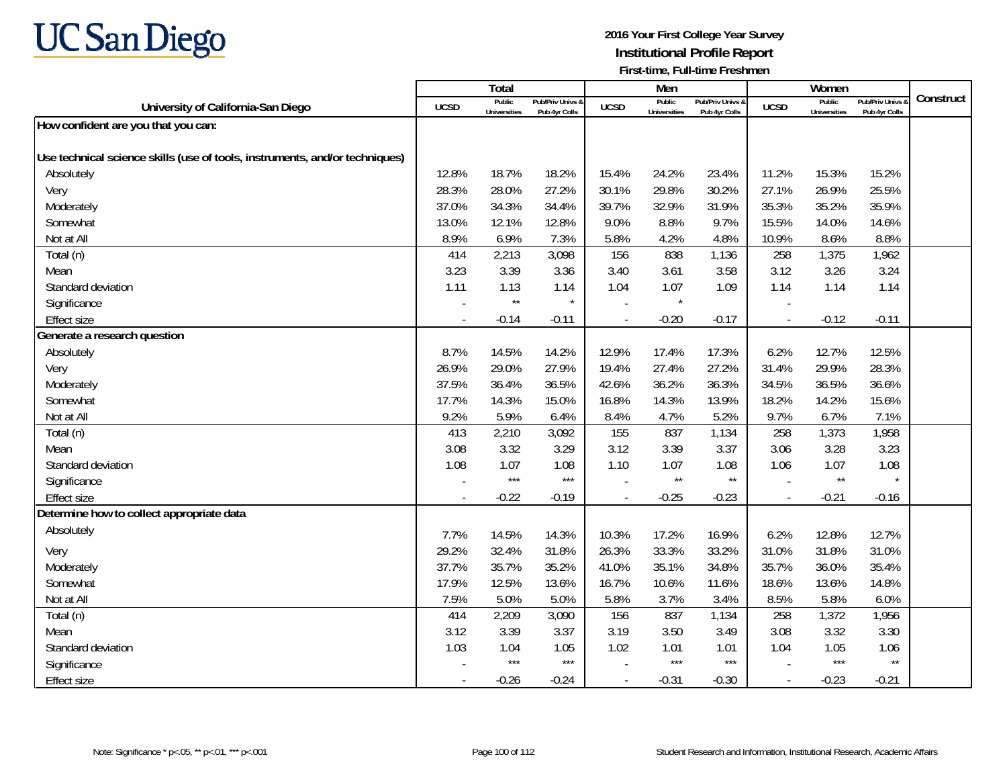

|                                                                             |             | Total                         |                                   |                | Men                           |                                   |                          | Women                         |                                        |           |
|-----------------------------------------------------------------------------|-------------|-------------------------------|-----------------------------------|----------------|-------------------------------|-----------------------------------|--------------------------|-------------------------------|----------------------------------------|-----------|
| University of California-San Diego                                          | <b>UCSD</b> | Public<br><b>Universities</b> | Pub/Priv Univs &<br>Pub 4yr Colls | <b>UCSD</b>    | Public<br><b>Universities</b> | Pub/Priv Univs &<br>Pub 4yr Colls | <b>UCSD</b>              | Public<br><b>Universities</b> | <b>Pub/Priv Univs</b><br>Pub 4yr Colls | Construct |
| How confident are you that you can:                                         |             |                               |                                   |                |                               |                                   |                          |                               |                                        |           |
|                                                                             |             |                               |                                   |                |                               |                                   |                          |                               |                                        |           |
| Use technical science skills (use of tools, instruments, and/or techniques) |             |                               |                                   |                |                               |                                   |                          |                               |                                        |           |
| Absolutely                                                                  | 12.8%       | 18.7%                         | 18.2%                             | 15.4%          | 24.2%                         | 23.4%                             | 11.2%                    | 15.3%                         | 15.2%                                  |           |
| Very                                                                        | 28.3%       | 28.0%                         | 27.2%                             | 30.1%          | 29.8%                         | 30.2%                             | 27.1%                    | 26.9%                         | 25.5%                                  |           |
| Moderately                                                                  | 37.0%       | 34.3%                         | 34.4%                             | 39.7%          | 32.9%                         | 31.9%                             | 35.3%                    | 35.2%                         | 35.9%                                  |           |
| Somewhat                                                                    | 13.0%       | 12.1%                         | 12.8%                             | 9.0%           | 8.8%                          | 9.7%                              | 15.5%                    | 14.0%                         | 14.6%                                  |           |
| Not at All                                                                  | 8.9%        | 6.9%                          | 7.3%                              | 5.8%           | 4.2%                          | 4.8%                              | 10.9%                    | 8.6%                          | 8.8%                                   |           |
| Total (n)                                                                   | 414         | 2,213                         | 3,098                             | 156            | 838                           | 1,136                             | 258                      | 1,375                         | 1,962                                  |           |
| Mean                                                                        | 3.23        | 3.39                          | 3.36                              | 3.40           | 3.61                          | 3.58                              | 3.12                     | 3.26                          | 3.24                                   |           |
| Standard deviation                                                          | 1.11        | 1.13                          | 1.14                              | 1.04           | 1.07                          | 1.09                              | 1.14                     | 1.14                          | 1.14                                   |           |
| Significance                                                                |             | $\star\star$                  | $\star$                           |                | $\star$                       |                                   |                          |                               |                                        |           |
| <b>Effect size</b>                                                          |             | $-0.14$                       | $-0.11$                           | $\overline{a}$ | $-0.20$                       | $-0.17$                           | $\overline{\phantom{a}}$ | $-0.12$                       | $-0.11$                                |           |
| Generate a research question                                                |             |                               |                                   |                |                               |                                   |                          |                               |                                        |           |
| Absolutely                                                                  | 8.7%        | 14.5%                         | 14.2%                             | 12.9%          | 17.4%                         | 17.3%                             | 6.2%                     | 12.7%                         | 12.5%                                  |           |
| Very                                                                        | 26.9%       | 29.0%                         | 27.9%                             | 19.4%          | 27.4%                         | 27.2%                             | 31.4%                    | 29.9%                         | 28.3%                                  |           |
| Moderately                                                                  | 37.5%       | 36.4%                         | 36.5%                             | 42.6%          | 36.2%                         | 36.3%                             | 34.5%                    | 36.5%                         | 36.6%                                  |           |
| Somewhat                                                                    | 17.7%       | 14.3%                         | 15.0%                             | 16.8%          | 14.3%                         | 13.9%                             | 18.2%                    | 14.2%                         | 15.6%                                  |           |
| Not at All                                                                  | 9.2%        | 5.9%                          | 6.4%                              | 8.4%           | 4.7%                          | 5.2%                              | 9.7%                     | 6.7%                          | 7.1%                                   |           |
| Total (n)                                                                   | 413         | 2,210                         | 3,092                             | 155            | 837                           | 1,134                             | 258                      | 1,373                         | 1,958                                  |           |
| Mean                                                                        | 3.08        | 3.32                          | 3.29                              | 3.12           | 3.39                          | 3.37                              | 3.06                     | 3.28                          | 3.23                                   |           |
| Standard deviation                                                          | 1.08        | 1.07                          | 1.08                              | 1.10           | 1.07                          | 1.08                              | 1.06                     | 1.07                          | 1.08                                   |           |
| Significance                                                                |             | $***$                         | $***$                             |                | $\star\star$                  | $^{\star\star}$                   |                          | $\star\star$                  |                                        |           |
| <b>Effect size</b>                                                          |             | $-0.22$                       | $-0.19$                           |                | $-0.25$                       | $-0.23$                           | $\blacksquare$           | $-0.21$                       | $-0.16$                                |           |
| Determine how to collect appropriate data                                   |             |                               |                                   |                |                               |                                   |                          |                               |                                        |           |
| Absolutely                                                                  | 7.7%        | 14.5%                         | 14.3%                             | 10.3%          | 17.2%                         | 16.9%                             | 6.2%                     | 12.8%                         | 12.7%                                  |           |
| Very                                                                        | 29.2%       | 32.4%                         | 31.8%                             | 26.3%          | 33.3%                         | 33.2%                             | 31.0%                    | 31.8%                         | 31.0%                                  |           |
| Moderately                                                                  | 37.7%       | 35.7%                         | 35.2%                             | 41.0%          | 35.1%                         | 34.8%                             | 35.7%                    | 36.0%                         | 35.4%                                  |           |
| Somewhat                                                                    | 17.9%       | 12.5%                         | 13.6%                             | 16.7%          | 10.6%                         | 11.6%                             | 18.6%                    | 13.6%                         | 14.8%                                  |           |
| Not at All                                                                  | 7.5%        | 5.0%                          | 5.0%                              | 5.8%           | 3.7%                          | 3.4%                              | 8.5%                     | 5.8%                          | 6.0%                                   |           |
| Total (n)                                                                   | 414         | 2,209                         | 3,090                             | 156            | 837                           | 1,134                             | 258                      | 1,372                         | 1,956                                  |           |
| Mean                                                                        | 3.12        | 3.39                          | 3.37                              | 3.19           | 3.50                          | 3.49                              | 3.08                     | 3.32                          | 3.30                                   |           |
| Standard deviation                                                          | 1.03        | 1.04                          | 1.05                              | 1.02           | 1.01                          | 1.01                              | 1.04                     | 1.05                          | 1.06                                   |           |
| Significance                                                                |             | $***$                         | $***$                             |                | $***$                         | $***$                             |                          | $***$                         | $\star\star$                           |           |
| <b>Effect size</b>                                                          |             | $-0.26$                       | $-0.24$                           |                | $-0.31$                       | $-0.30$                           |                          | $-0.23$                       | $-0.21$                                |           |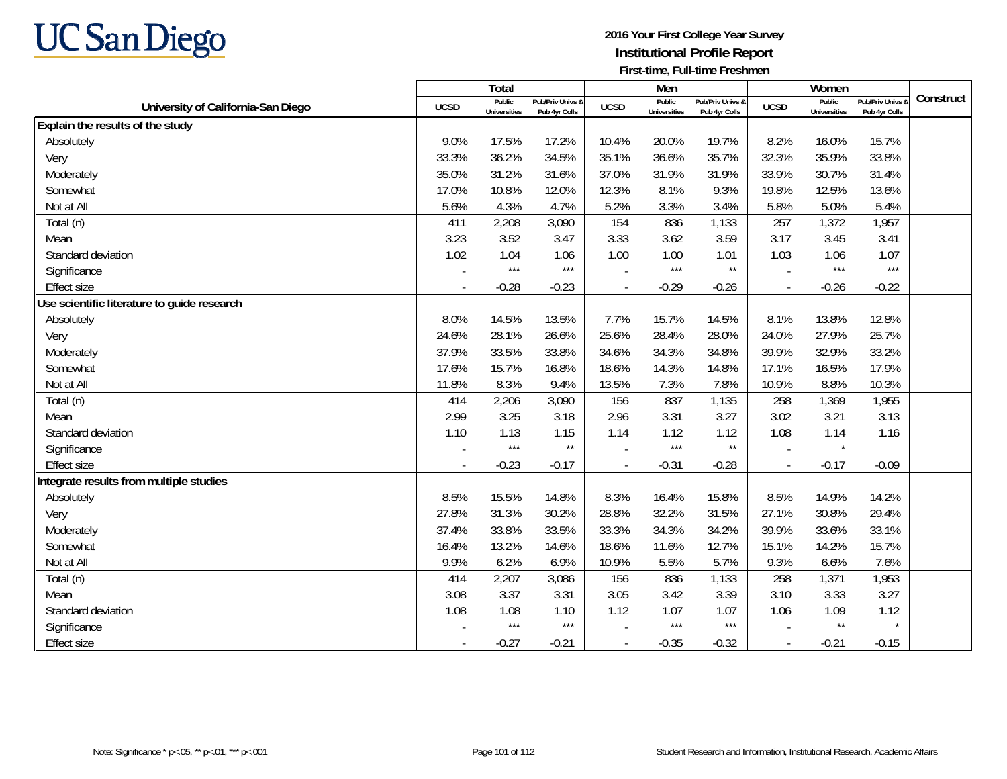

|                                             |             | <b>Total</b>                  |                                   |                | Men                           |                                   |             | Women                         |                                 |           |
|---------------------------------------------|-------------|-------------------------------|-----------------------------------|----------------|-------------------------------|-----------------------------------|-------------|-------------------------------|---------------------------------|-----------|
| University of California-San Diego          | <b>UCSD</b> | Public<br><b>Universities</b> | Pub/Priv Univs 8<br>Pub 4yr Colls | <b>UCSD</b>    | Public<br><b>Universities</b> | Pub/Priv Univs 8<br>Pub 4yr Colls | <b>UCSD</b> | Public<br><b>Universities</b> | Pub/Priv Univs<br>Pub 4yr Colls | Construct |
| Explain the results of the study            |             |                               |                                   |                |                               |                                   |             |                               |                                 |           |
| Absolutely                                  | 9.0%        | 17.5%                         | 17.2%                             | 10.4%          | 20.0%                         | 19.7%                             | 8.2%        | 16.0%                         | 15.7%                           |           |
| Very                                        | 33.3%       | 36.2%                         | 34.5%                             | 35.1%          | 36.6%                         | 35.7%                             | 32.3%       | 35.9%                         | 33.8%                           |           |
| Moderately                                  | 35.0%       | 31.2%                         | 31.6%                             | 37.0%          | 31.9%                         | 31.9%                             | 33.9%       | 30.7%                         | 31.4%                           |           |
| Somewhat                                    | 17.0%       | 10.8%                         | 12.0%                             | 12.3%          | 8.1%                          | 9.3%                              | 19.8%       | 12.5%                         | 13.6%                           |           |
| Not at All                                  | 5.6%        | 4.3%                          | 4.7%                              | 5.2%           | 3.3%                          | 3.4%                              | 5.8%        | 5.0%                          | 5.4%                            |           |
| Total (n)                                   | 411         | 2,208                         | 3,090                             | 154            | 836                           | 1,133                             | 257         | 1,372                         | 1,957                           |           |
| Mean                                        | 3.23        | 3.52                          | 3.47                              | 3.33           | 3.62                          | 3.59                              | 3.17        | 3.45                          | 3.41                            |           |
| Standard deviation                          | 1.02        | 1.04                          | 1.06                              | 1.00           | 1.00                          | 1.01                              | 1.03        | 1.06                          | 1.07                            |           |
| Significance                                |             | $***$                         | $***$                             |                | $***$                         | $\star\star$                      |             | $***$                         | $***$                           |           |
| <b>Effect size</b>                          |             | $-0.28$                       | $-0.23$                           | $\overline{a}$ | $-0.29$                       | $-0.26$                           | $\sim$      | $-0.26$                       | $-0.22$                         |           |
| Use scientific literature to guide research |             |                               |                                   |                |                               |                                   |             |                               |                                 |           |
| Absolutely                                  | 8.0%        | 14.5%                         | 13.5%                             | 7.7%           | 15.7%                         | 14.5%                             | 8.1%        | 13.8%                         | 12.8%                           |           |
| Very                                        | 24.6%       | 28.1%                         | 26.6%                             | 25.6%          | 28.4%                         | 28.0%                             | 24.0%       | 27.9%                         | 25.7%                           |           |
| Moderately                                  | 37.9%       | 33.5%                         | 33.8%                             | 34.6%          | 34.3%                         | 34.8%                             | 39.9%       | 32.9%                         | 33.2%                           |           |
| Somewhat                                    | 17.6%       | 15.7%                         | 16.8%                             | 18.6%          | 14.3%                         | 14.8%                             | 17.1%       | 16.5%                         | 17.9%                           |           |
| Not at All                                  | 11.8%       | 8.3%                          | 9.4%                              | 13.5%          | 7.3%                          | 7.8%                              | 10.9%       | 8.8%                          | 10.3%                           |           |
| Total (n)                                   | 414         | 2,206                         | 3,090                             | 156            | 837                           | 1,135                             | 258         | 1,369                         | 1,955                           |           |
| Mean                                        | 2.99        | 3.25                          | 3.18                              | 2.96           | 3.31                          | 3.27                              | 3.02        | 3.21                          | 3.13                            |           |
| Standard deviation                          | 1.10        | 1.13                          | 1.15                              | 1.14           | 1.12                          | 1.12                              | 1.08        | 1.14                          | 1.16                            |           |
| Significance                                |             | $***$                         | $^{\star\star}$                   |                | $***$                         | $\star\star$                      |             | $\star$                       |                                 |           |
| <b>Effect size</b>                          |             | $-0.23$                       | $-0.17$                           | $\overline{a}$ | $-0.31$                       | $-0.28$                           | $\sim$      | $-0.17$                       | $-0.09$                         |           |
| Integrate results from multiple studies     |             |                               |                                   |                |                               |                                   |             |                               |                                 |           |
| Absolutely                                  | 8.5%        | 15.5%                         | 14.8%                             | 8.3%           | 16.4%                         | 15.8%                             | 8.5%        | 14.9%                         | 14.2%                           |           |
| Very                                        | 27.8%       | 31.3%                         | 30.2%                             | 28.8%          | 32.2%                         | 31.5%                             | 27.1%       | 30.8%                         | 29.4%                           |           |
| Moderately                                  | 37.4%       | 33.8%                         | 33.5%                             | 33.3%          | 34.3%                         | 34.2%                             | 39.9%       | 33.6%                         | 33.1%                           |           |
| Somewhat                                    | 16.4%       | 13.2%                         | 14.6%                             | 18.6%          | 11.6%                         | 12.7%                             | 15.1%       | 14.2%                         | 15.7%                           |           |
| Not at All                                  | 9.9%        | 6.2%                          | 6.9%                              | 10.9%          | 5.5%                          | 5.7%                              | 9.3%        | 6.6%                          | 7.6%                            |           |
| Total (n)                                   | 414         | 2,207                         | 3,086                             | 156            | 836                           | 1,133                             | 258         | 1,371                         | 1,953                           |           |
| Mean                                        | 3.08        | 3.37                          | 3.31                              | 3.05           | 3.42                          | 3.39                              | 3.10        | 3.33                          | 3.27                            |           |
| Standard deviation                          | 1.08        | 1.08                          | 1.10                              | 1.12           | 1.07                          | 1.07                              | 1.06        | 1.09                          | 1.12                            |           |
| Significance                                |             | $***$                         | $***$                             |                | $***$                         | $***$                             |             | $\star\star$                  |                                 |           |
| <b>Effect size</b>                          |             | $-0.27$                       | $-0.21$                           |                | $-0.35$                       | $-0.32$                           |             | $-0.21$                       | $-0.15$                         |           |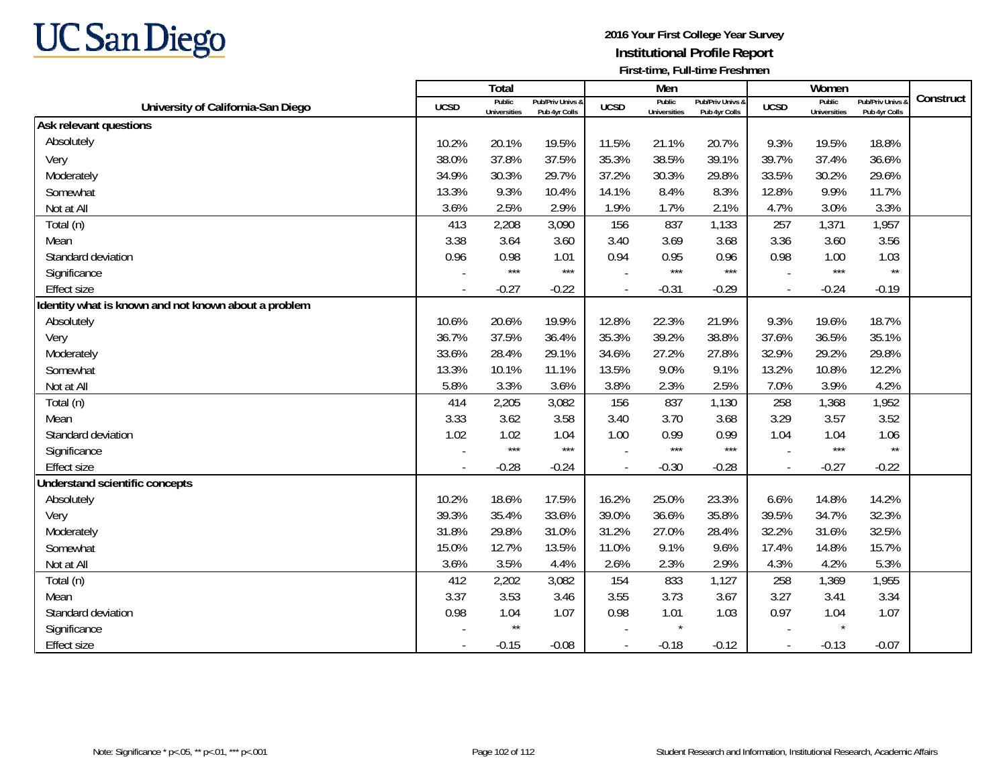

|                                                      |                          | Total                         |                                   |                          | Men                           |                                   |                          | Women                         |                                        |           |
|------------------------------------------------------|--------------------------|-------------------------------|-----------------------------------|--------------------------|-------------------------------|-----------------------------------|--------------------------|-------------------------------|----------------------------------------|-----------|
| University of California-San Diego                   | <b>UCSD</b>              | Public<br><b>Universities</b> | Pub/Priv Univs 8<br>Pub 4yr Colls | <b>UCSD</b>              | Public<br><b>Universities</b> | Pub/Priv Univs 8<br>Pub 4yr Colls | <b>UCSD</b>              | Public<br><b>Universities</b> | <b>Pub/Priv Univs</b><br>Pub 4yr Colls | Construct |
| Ask relevant questions                               |                          |                               |                                   |                          |                               |                                   |                          |                               |                                        |           |
| Absolutely                                           | 10.2%                    | 20.1%                         | 19.5%                             | 11.5%                    | 21.1%                         | 20.7%                             | 9.3%                     | 19.5%                         | 18.8%                                  |           |
| Very                                                 | 38.0%                    | 37.8%                         | 37.5%                             | 35.3%                    | 38.5%                         | 39.1%                             | 39.7%                    | 37.4%                         | 36.6%                                  |           |
| Moderately                                           | 34.9%                    | 30.3%                         | 29.7%                             | 37.2%                    | 30.3%                         | 29.8%                             | 33.5%                    | 30.2%                         | 29.6%                                  |           |
| Somewhat                                             | 13.3%                    | 9.3%                          | 10.4%                             | 14.1%                    | 8.4%                          | 8.3%                              | 12.8%                    | 9.9%                          | 11.7%                                  |           |
| Not at All                                           | 3.6%                     | 2.5%                          | 2.9%                              | 1.9%                     | 1.7%                          | 2.1%                              | 4.7%                     | 3.0%                          | 3.3%                                   |           |
| Total (n)                                            | 413                      | 2,208                         | 3,090                             | 156                      | 837                           | 1,133                             | 257                      | 1,371                         | 1,957                                  |           |
| Mean                                                 | 3.38                     | 3.64                          | 3.60                              | 3.40                     | 3.69                          | 3.68                              | 3.36                     | 3.60                          | 3.56                                   |           |
| Standard deviation                                   | 0.96                     | 0.98                          | 1.01                              | 0.94                     | 0.95                          | 0.96                              | 0.98                     | 1.00                          | 1.03                                   |           |
| Significance                                         | $\blacksquare$           | $***$                         | $***$                             |                          | $***$                         | $***$                             |                          | $***$                         | $\star\star$                           |           |
| <b>Effect size</b>                                   |                          | $-0.27$                       | $-0.22$                           | $\frac{1}{2}$            | $-0.31$                       | $-0.29$                           | $\sim$                   | $-0.24$                       | $-0.19$                                |           |
| Identity what is known and not known about a problem |                          |                               |                                   |                          |                               |                                   |                          |                               |                                        |           |
| Absolutely                                           | 10.6%                    | 20.6%                         | 19.9%                             | 12.8%                    | 22.3%                         | 21.9%                             | 9.3%                     | 19.6%                         | 18.7%                                  |           |
| Very                                                 | 36.7%                    | 37.5%                         | 36.4%                             | 35.3%                    | 39.2%                         | 38.8%                             | 37.6%                    | 36.5%                         | 35.1%                                  |           |
| Moderately                                           | 33.6%                    | 28.4%                         | 29.1%                             | 34.6%                    | 27.2%                         | 27.8%                             | 32.9%                    | 29.2%                         | 29.8%                                  |           |
| Somewhat                                             | 13.3%                    | 10.1%                         | 11.1%                             | 13.5%                    | 9.0%                          | 9.1%                              | 13.2%                    | 10.8%                         | 12.2%                                  |           |
| Not at All                                           | 5.8%                     | 3.3%                          | 3.6%                              | 3.8%                     | 2.3%                          | 2.5%                              | 7.0%                     | 3.9%                          | 4.2%                                   |           |
| Total (n)                                            | 414                      | 2,205                         | 3,082                             | 156                      | 837                           | 1,130                             | 258                      | 1,368                         | 1,952                                  |           |
| Mean                                                 | 3.33                     | 3.62                          | 3.58                              | 3.40                     | 3.70                          | 3.68                              | 3.29                     | 3.57                          | 3.52                                   |           |
| Standard deviation                                   | 1.02                     | 1.02                          | 1.04                              | 1.00                     | 0.99                          | 0.99                              | 1.04                     | 1.04                          | 1.06                                   |           |
| Significance                                         |                          | $***$                         | $***$                             |                          | $***$                         | $***$                             |                          | $***$                         | $\star\star$                           |           |
| Effect size                                          | $\overline{\phantom{a}}$ | $-0.28$                       | $-0.24$                           | $\overline{\phantom{a}}$ | $-0.30$                       | $-0.28$                           | $\overline{\phantom{a}}$ | $-0.27$                       | $-0.22$                                |           |
| Understand scientific concepts                       |                          |                               |                                   |                          |                               |                                   |                          |                               |                                        |           |
| Absolutely                                           | 10.2%                    | 18.6%                         | 17.5%                             | 16.2%                    | 25.0%                         | 23.3%                             | 6.6%                     | 14.8%                         | 14.2%                                  |           |
| Very                                                 | 39.3%                    | 35.4%                         | 33.6%                             | 39.0%                    | 36.6%                         | 35.8%                             | 39.5%                    | 34.7%                         | 32.3%                                  |           |
| Moderately                                           | 31.8%                    | 29.8%                         | 31.0%                             | 31.2%                    | 27.0%                         | 28.4%                             | 32.2%                    | 31.6%                         | 32.5%                                  |           |
| Somewhat                                             | 15.0%                    | 12.7%                         | 13.5%                             | 11.0%                    | 9.1%                          | 9.6%                              | 17.4%                    | 14.8%                         | 15.7%                                  |           |
| Not at All                                           | 3.6%                     | 3.5%                          | 4.4%                              | 2.6%                     | 2.3%                          | 2.9%                              | 4.3%                     | 4.2%                          | 5.3%                                   |           |
| Total (n)                                            | 412                      | 2,202                         | 3,082                             | 154                      | 833                           | 1,127                             | 258                      | 1,369                         | 1,955                                  |           |
| Mean                                                 | 3.37                     | 3.53                          | 3.46                              | 3.55                     | 3.73                          | 3.67                              | 3.27                     | 3.41                          | 3.34                                   |           |
| Standard deviation                                   | 0.98                     | 1.04                          | 1.07                              | 0.98                     | 1.01                          | 1.03                              | 0.97                     | 1.04                          | 1.07                                   |           |
| Significance                                         |                          | $\star\star$                  |                                   |                          | $\star$                       |                                   |                          | $\star$                       |                                        |           |
| <b>Effect size</b>                                   |                          | $-0.15$                       | $-0.08$                           | $\overline{a}$           | $-0.18$                       | $-0.12$                           | $\sim$                   | $-0.13$                       | $-0.07$                                |           |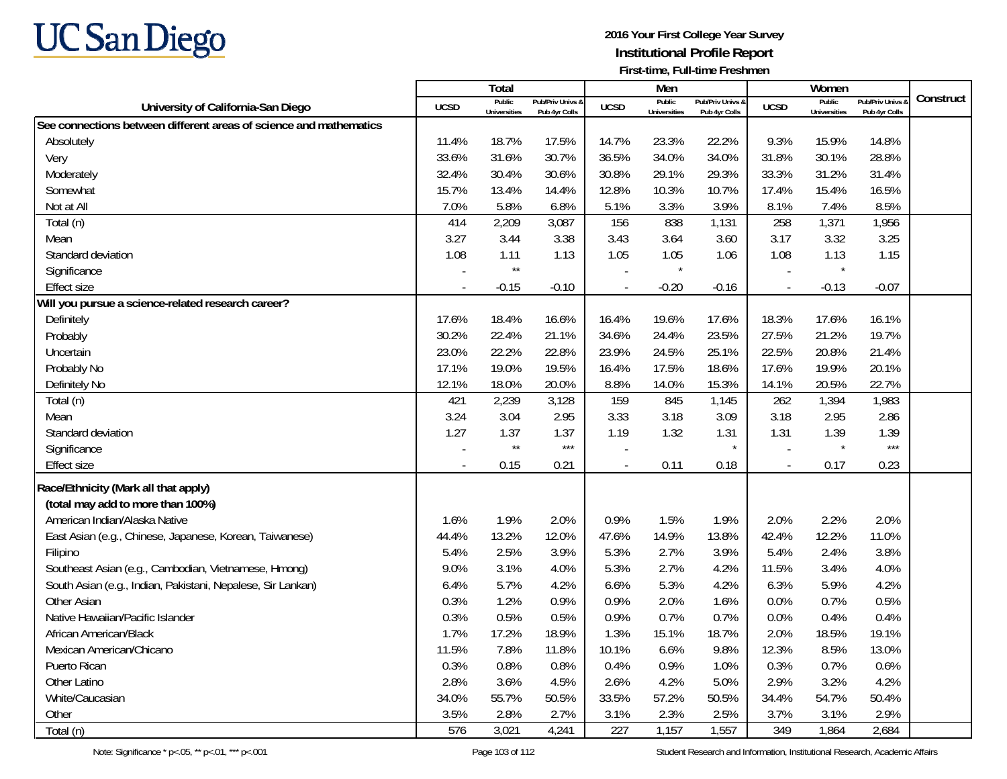

|                                                                    |                          | Total                         |                                   |                          | Men                           |                                   |              | Women                         |                                 |           |
|--------------------------------------------------------------------|--------------------------|-------------------------------|-----------------------------------|--------------------------|-------------------------------|-----------------------------------|--------------|-------------------------------|---------------------------------|-----------|
| University of California-San Diego                                 | <b>UCSD</b>              | Public<br><b>Universities</b> | Pub/Priv Univs &<br>Pub 4yr Colls | <b>UCSD</b>              | Public<br><b>Universities</b> | Pub/Priv Univs &<br>Pub 4yr Colls | <b>UCSD</b>  | Public<br><b>Universities</b> | Pub/Priv Univs<br>Pub 4yr Colls | Construct |
| See connections between different areas of science and mathematics |                          |                               |                                   |                          |                               |                                   |              |                               |                                 |           |
| Absolutely                                                         | 11.4%                    | 18.7%                         | 17.5%                             | 14.7%                    | 23.3%                         | 22.2%                             | 9.3%         | 15.9%                         | 14.8%                           |           |
| Very                                                               | 33.6%                    | 31.6%                         | 30.7%                             | 36.5%                    | 34.0%                         | 34.0%                             | 31.8%        | 30.1%                         | 28.8%                           |           |
| Moderately                                                         | 32.4%                    | 30.4%                         | 30.6%                             | 30.8%                    | 29.1%                         | 29.3%                             | 33.3%        | 31.2%                         | 31.4%                           |           |
| Somewhat                                                           | 15.7%                    | 13.4%                         | 14.4%                             | 12.8%                    | 10.3%                         | 10.7%                             | 17.4%        | 15.4%                         | 16.5%                           |           |
| Not at All                                                         | 7.0%                     | 5.8%                          | 6.8%                              | 5.1%                     | 3.3%                          | 3.9%                              | 8.1%         | 7.4%                          | 8.5%                            |           |
| Total (n)                                                          | 414                      | 2,209                         | 3,087                             | 156                      | 838                           | 1,131                             | 258          | 1,371                         | 1,956                           |           |
| Mean                                                               | 3.27                     | 3.44                          | 3.38                              | 3.43                     | 3.64                          | 3.60                              | 3.17         | 3.32                          | 3.25                            |           |
| Standard deviation                                                 | 1.08                     | 1.11                          | 1.13                              | 1.05                     | 1.05                          | 1.06                              | 1.08         | 1.13                          | 1.15                            |           |
| Significance                                                       |                          | $^{\star\star}$               |                                   | $\overline{a}$           |                               |                                   |              | $\star$                       |                                 |           |
| <b>Effect size</b>                                                 |                          | $-0.15$                       | $-0.10$                           | $\overline{\phantom{a}}$ | $-0.20$                       | $-0.16$                           |              | $-0.13$                       | $-0.07$                         |           |
| Will you pursue a science-related research career?                 |                          |                               |                                   |                          |                               |                                   |              |                               |                                 |           |
| Definitely                                                         | 17.6%                    | 18.4%                         | 16.6%                             | 16.4%                    | 19.6%                         | 17.6%                             | 18.3%        | 17.6%                         | 16.1%                           |           |
| Probably                                                           | 30.2%                    | 22.4%                         | 21.1%                             | 34.6%                    | 24.4%                         | 23.5%                             | 27.5%        | 21.2%                         | 19.7%                           |           |
| Uncertain                                                          | 23.0%                    | 22.2%                         | 22.8%                             | 23.9%                    | 24.5%                         | 25.1%                             | 22.5%        | 20.8%                         | 21.4%                           |           |
| Probably No                                                        | 17.1%                    | 19.0%                         | 19.5%                             | 16.4%                    | 17.5%                         | 18.6%                             | 17.6%        | 19.9%                         | 20.1%                           |           |
| Definitely No                                                      | 12.1%                    | 18.0%                         | 20.0%                             | 8.8%                     | 14.0%                         | 15.3%                             | 14.1%        | 20.5%                         | 22.7%                           |           |
| Total (n)                                                          | 421                      | 2,239                         | 3,128                             | 159                      | 845                           | 1,145                             | 262          | 1,394                         | 1,983                           |           |
| Mean                                                               | 3.24                     | 3.04                          | 2.95                              | 3.33                     | 3.18                          | 3.09                              | 3.18         | 2.95                          | 2.86                            |           |
| Standard deviation                                                 | 1.27                     | 1.37                          | 1.37                              | 1.19                     | 1.32                          | 1.31                              | 1.31         | 1.39                          | 1.39                            |           |
| Significance                                                       |                          | $\star\star$                  | $***$                             |                          |                               |                                   |              | $\star$                       | $***$                           |           |
| <b>Effect size</b>                                                 | $\overline{\phantom{a}}$ | 0.15                          | 0.21                              | $\overline{\phantom{a}}$ | 0.11                          | 0.18                              | $\mathbb{L}$ | 0.17                          | 0.23                            |           |
| Race/Ethnicity (Mark all that apply)                               |                          |                               |                                   |                          |                               |                                   |              |                               |                                 |           |
| (total may add to more than 100%)                                  |                          |                               |                                   |                          |                               |                                   |              |                               |                                 |           |
| American Indian/Alaska Native                                      | 1.6%                     | 1.9%                          | 2.0%                              | 0.9%                     | 1.5%                          | 1.9%                              | 2.0%         | 2.2%                          | 2.0%                            |           |
| East Asian (e.g., Chinese, Japanese, Korean, Taiwanese)            | 44.4%                    | 13.2%                         | 12.0%                             | 47.6%                    | 14.9%                         | 13.8%                             | 42.4%        | 12.2%                         | 11.0%                           |           |
| Filipino                                                           | 5.4%                     | 2.5%                          | 3.9%                              | 5.3%                     | 2.7%                          | 3.9%                              | 5.4%         | 2.4%                          | 3.8%                            |           |
| Southeast Asian (e.g., Cambodian, Vietnamese, Hmong)               | 9.0%                     | 3.1%                          | 4.0%                              | 5.3%                     | 2.7%                          | 4.2%                              | 11.5%        | 3.4%                          | 4.0%                            |           |
| South Asian (e.g., Indian, Pakistani, Nepalese, Sir Lankan)        | 6.4%                     | 5.7%                          | 4.2%                              | 6.6%                     | 5.3%                          | 4.2%                              | 6.3%         | 5.9%                          | 4.2%                            |           |
| <b>Other Asian</b>                                                 | 0.3%                     | 1.2%                          | 0.9%                              | 0.9%                     | 2.0%                          | 1.6%                              | 0.0%         | 0.7%                          | 0.5%                            |           |
| Native Hawaiian/Pacific Islander                                   | 0.3%                     | 0.5%                          | 0.5%                              | 0.9%                     | 0.7%                          | 0.7%                              | 0.0%         | 0.4%                          | 0.4%                            |           |
| African American/Black                                             | 1.7%                     | 17.2%                         | 18.9%                             | 1.3%                     | 15.1%                         | 18.7%                             | 2.0%         | 18.5%                         | 19.1%                           |           |
| Mexican American/Chicano                                           | 11.5%                    | 7.8%                          | 11.8%                             | 10.1%                    | 6.6%                          | 9.8%                              | 12.3%        | 8.5%                          | 13.0%                           |           |
| Puerto Rican                                                       | 0.3%                     | 0.8%                          | 0.8%                              | 0.4%                     | 0.9%                          | 1.0%                              | 0.3%         | 0.7%                          | 0.6%                            |           |
| Other Latino                                                       | 2.8%                     | 3.6%                          | 4.5%                              | 2.6%                     | 4.2%                          | 5.0%                              | 2.9%         | 3.2%                          | 4.2%                            |           |
| White/Caucasian                                                    | 34.0%                    | 55.7%                         | 50.5%                             | 33.5%                    | 57.2%                         | 50.5%                             | 34.4%        | 54.7%                         | 50.4%                           |           |
| Other                                                              | 3.5%                     | 2.8%                          | 2.7%                              | 3.1%                     | 2.3%                          | 2.5%                              | 3.7%         | 3.1%                          | 2.9%                            |           |
| Total (n)                                                          | 576                      | 3,021                         | 4,241                             | 227                      | 1,157                         | 1,557                             | 349          | 1,864                         | 2,684                           |           |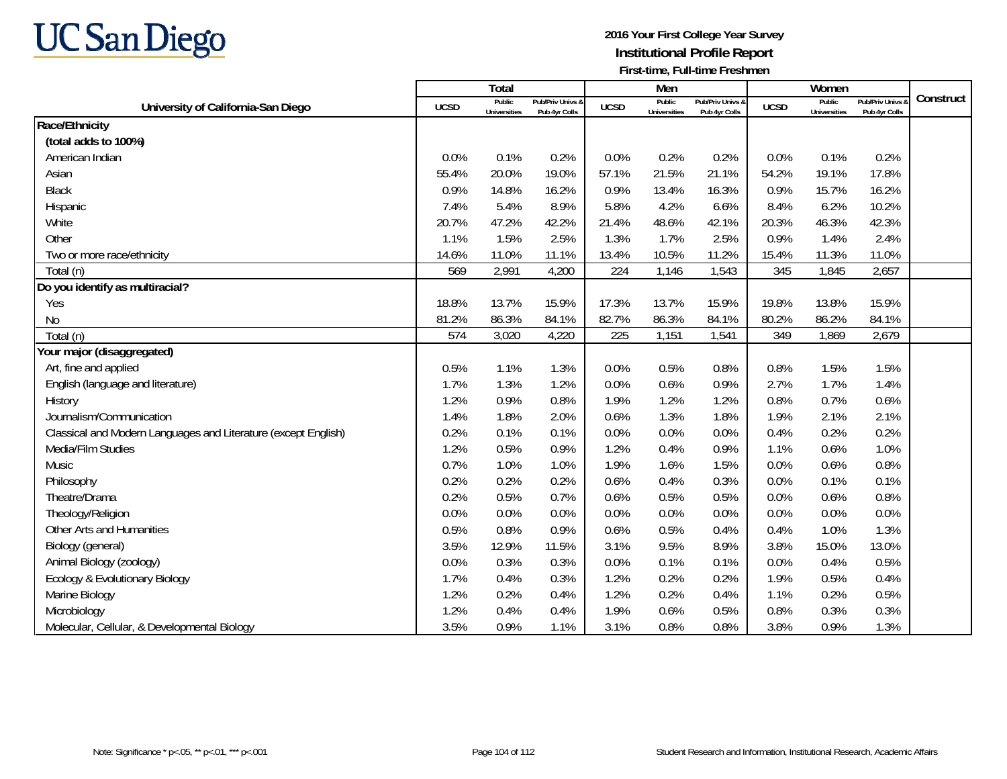

|                                                                |             | Total                         |                                   |             | Men                           |                                   |             | Women                         |                                        |           |
|----------------------------------------------------------------|-------------|-------------------------------|-----------------------------------|-------------|-------------------------------|-----------------------------------|-------------|-------------------------------|----------------------------------------|-----------|
| University of California-San Diego                             | <b>UCSD</b> | Public<br><b>Universities</b> | Pub/Priv Univs &<br>Pub 4yr Colls | <b>UCSD</b> | Public<br><b>Universities</b> | Pub/Priv Univs &<br>Pub 4yr Colls | <b>UCSD</b> | Public<br><b>Universities</b> | <b>Pub/Priv Univs</b><br>Pub 4yr Colls | Construct |
| Race/Ethnicity                                                 |             |                               |                                   |             |                               |                                   |             |                               |                                        |           |
| (total adds to 100%)                                           |             |                               |                                   |             |                               |                                   |             |                               |                                        |           |
| American Indian                                                | 0.0%        | 0.1%                          | 0.2%                              | 0.0%        | 0.2%                          | 0.2%                              | 0.0%        | 0.1%                          | 0.2%                                   |           |
| Asian                                                          | 55.4%       | 20.0%                         | 19.0%                             | 57.1%       | 21.5%                         | 21.1%                             | 54.2%       | 19.1%                         | 17.8%                                  |           |
| <b>Black</b>                                                   | 0.9%        | 14.8%                         | 16.2%                             | 0.9%        | 13.4%                         | 16.3%                             | 0.9%        | 15.7%                         | 16.2%                                  |           |
| Hispanic                                                       | 7.4%        | 5.4%                          | 8.9%                              | 5.8%        | 4.2%                          | 6.6%                              | 8.4%        | 6.2%                          | 10.2%                                  |           |
| White                                                          | 20.7%       | 47.2%                         | 42.2%                             | 21.4%       | 48.6%                         | 42.1%                             | 20.3%       | 46.3%                         | 42.3%                                  |           |
| Other                                                          | 1.1%        | 1.5%                          | 2.5%                              | 1.3%        | 1.7%                          | 2.5%                              | 0.9%        | 1.4%                          | 2.4%                                   |           |
| Two or more race/ethnicity                                     | 14.6%       | 11.0%                         | 11.1%                             | 13.4%       | 10.5%                         | 11.2%                             | 15.4%       | 11.3%                         | 11.0%                                  |           |
| Total (n)                                                      | 569         | 2,991                         | 4,200                             | 224         | 1,146                         | 1,543                             | 345         | 1,845                         | 2,657                                  |           |
| Do you identify as multiracial?                                |             |                               |                                   |             |                               |                                   |             |                               |                                        |           |
| Yes                                                            | 18.8%       | 13.7%                         | 15.9%                             | 17.3%       | 13.7%                         | 15.9%                             | 19.8%       | 13.8%                         | 15.9%                                  |           |
| <b>No</b>                                                      | 81.2%       | 86.3%                         | 84.1%                             | 82.7%       | 86.3%                         | 84.1%                             | 80.2%       | 86.2%                         | 84.1%                                  |           |
| Total (n)                                                      | 574         | 3,020                         | 4,220                             | 225         | 1,151                         | 1,541                             | 349         | 1,869                         | 2,679                                  |           |
| Your major (disaggregated)                                     |             |                               |                                   |             |                               |                                   |             |                               |                                        |           |
| Art, fine and applied                                          | 0.5%        | 1.1%                          | 1.3%                              | 0.0%        | 0.5%                          | 0.8%                              | 0.8%        | 1.5%                          | 1.5%                                   |           |
| English (language and literature)                              | 1.7%        | 1.3%                          | 1.2%                              | 0.0%        | 0.6%                          | 0.9%                              | 2.7%        | 1.7%                          | 1.4%                                   |           |
| History                                                        | 1.2%        | 0.9%                          | 0.8%                              | 1.9%        | 1.2%                          | 1.2%                              | 0.8%        | 0.7%                          | 0.6%                                   |           |
| Journalism/Communication                                       | 1.4%        | 1.8%                          | 2.0%                              | 0.6%        | 1.3%                          | 1.8%                              | 1.9%        | 2.1%                          | 2.1%                                   |           |
| Classical and Modern Languages and Literature (except English) | 0.2%        | 0.1%                          | 0.1%                              | 0.0%        | 0.0%                          | 0.0%                              | 0.4%        | 0.2%                          | 0.2%                                   |           |
| Media/Film Studies                                             | 1.2%        | 0.5%                          | 0.9%                              | 1.2%        | 0.4%                          | 0.9%                              | 1.1%        | 0.6%                          | 1.0%                                   |           |
| Music                                                          | 0.7%        | 1.0%                          | 1.0%                              | 1.9%        | 1.6%                          | 1.5%                              | 0.0%        | 0.6%                          | 0.8%                                   |           |
| Philosophy                                                     | 0.2%        | 0.2%                          | 0.2%                              | 0.6%        | 0.4%                          | 0.3%                              | 0.0%        | 0.1%                          | 0.1%                                   |           |
| Theatre/Drama                                                  | 0.2%        | 0.5%                          | 0.7%                              | 0.6%        | 0.5%                          | 0.5%                              | 0.0%        | 0.6%                          | 0.8%                                   |           |
| Theology/Religion                                              | 0.0%        | 0.0%                          | 0.0%                              | 0.0%        | 0.0%                          | 0.0%                              | 0.0%        | 0.0%                          | 0.0%                                   |           |
| Other Arts and Humanities                                      | 0.5%        | 0.8%                          | 0.9%                              | 0.6%        | 0.5%                          | 0.4%                              | 0.4%        | 1.0%                          | 1.3%                                   |           |
| Biology (general)                                              | 3.5%        | 12.9%                         | 11.5%                             | 3.1%        | 9.5%                          | 8.9%                              | 3.8%        | 15.0%                         | 13.0%                                  |           |
| Animal Biology (zoology)                                       | 0.0%        | 0.3%                          | 0.3%                              | 0.0%        | 0.1%                          | 0.1%                              | 0.0%        | 0.4%                          | 0.5%                                   |           |
| Ecology & Evolutionary Biology                                 | 1.7%        | 0.4%                          | 0.3%                              | 1.2%        | 0.2%                          | 0.2%                              | 1.9%        | 0.5%                          | 0.4%                                   |           |
| Marine Biology                                                 | 1.2%        | 0.2%                          | 0.4%                              | 1.2%        | 0.2%                          | 0.4%                              | 1.1%        | 0.2%                          | 0.5%                                   |           |
| Microbiology                                                   | 1.2%        | 0.4%                          | 0.4%                              | 1.9%        | 0.6%                          | 0.5%                              | 0.8%        | 0.3%                          | 0.3%                                   |           |
| Molecular, Cellular, & Developmental Biology                   | 3.5%        | 0.9%                          | 1.1%                              | 3.1%        | 0.8%                          | 0.8%                              | 3.8%        | 0.9%                          | 1.3%                                   |           |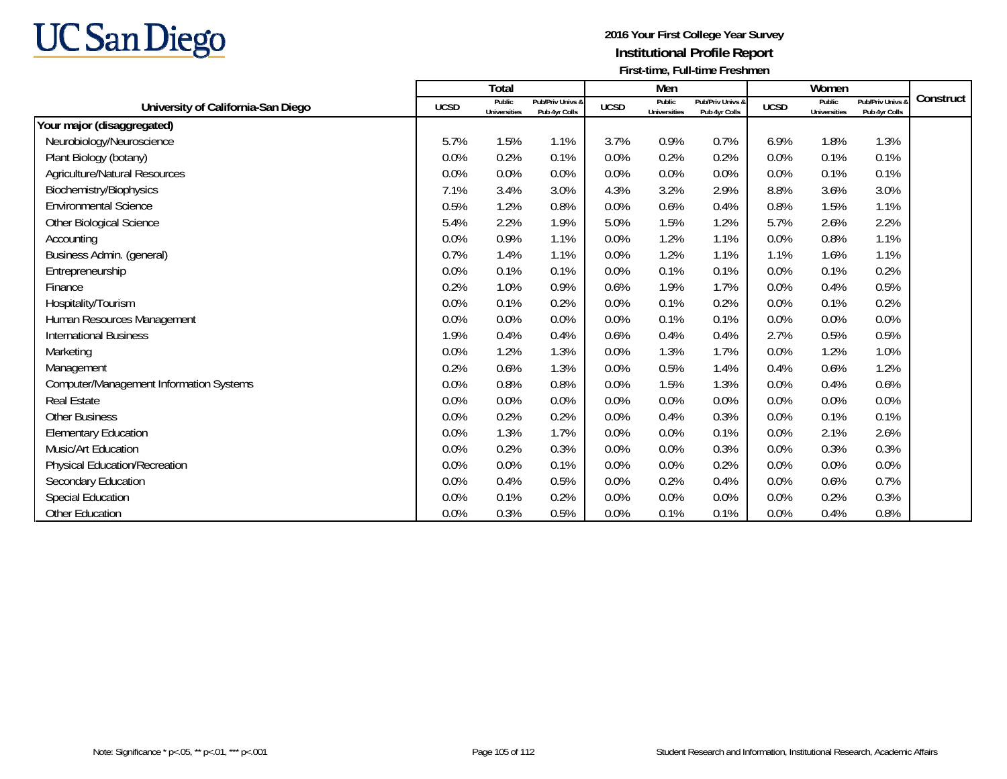

|                                                |             | <b>Total</b>                  |                                   |             | Men                           |                                   |             | Women                  |                                   |           |
|------------------------------------------------|-------------|-------------------------------|-----------------------------------|-------------|-------------------------------|-----------------------------------|-------------|------------------------|-----------------------------------|-----------|
| University of California-San Diego             | <b>UCSD</b> | Public<br><b>Universities</b> | Pub/Priv Univs &<br>Pub 4yr Colls | <b>UCSD</b> | Public<br><b>Universities</b> | Pub/Priv Univs &<br>Pub 4yr Colls | <b>UCSD</b> | Public<br>Universities | Pub/Priv Univs &<br>Pub 4yr Colls | Construct |
| Your major (disaggregated)                     |             |                               |                                   |             |                               |                                   |             |                        |                                   |           |
| Neurobiology/Neuroscience                      | 5.7%        | 1.5%                          | 1.1%                              | 3.7%        | 0.9%                          | 0.7%                              | 6.9%        | 1.8%                   | 1.3%                              |           |
| Plant Biology (botany)                         | 0.0%        | 0.2%                          | 0.1%                              | 0.0%        | 0.2%                          | 0.2%                              | 0.0%        | 0.1%                   | 0.1%                              |           |
| Agriculture/Natural Resources                  | 0.0%        | 0.0%                          | 0.0%                              | 0.0%        | 0.0%                          | 0.0%                              | 0.0%        | 0.1%                   | 0.1%                              |           |
| Biochemistry/Biophysics                        | 7.1%        | 3.4%                          | 3.0%                              | 4.3%        | 3.2%                          | 2.9%                              | 8.8%        | 3.6%                   | 3.0%                              |           |
| <b>Environmental Science</b>                   | 0.5%        | 1.2%                          | 0.8%                              | 0.0%        | 0.6%                          | 0.4%                              | 0.8%        | 1.5%                   | 1.1%                              |           |
| <b>Other Biological Science</b>                | 5.4%        | 2.2%                          | 1.9%                              | 5.0%        | 1.5%                          | 1.2%                              | 5.7%        | 2.6%                   | 2.2%                              |           |
| Accounting                                     | 0.0%        | 0.9%                          | 1.1%                              | 0.0%        | 1.2%                          | 1.1%                              | 0.0%        | 0.8%                   | 1.1%                              |           |
| Business Admin. (general)                      | 0.7%        | 1.4%                          | 1.1%                              | 0.0%        | 1.2%                          | 1.1%                              | 1.1%        | 1.6%                   | 1.1%                              |           |
| Entrepreneurship                               | 0.0%        | 0.1%                          | 0.1%                              | 0.0%        | 0.1%                          | 0.1%                              | 0.0%        | 0.1%                   | 0.2%                              |           |
| Finance                                        | 0.2%        | 1.0%                          | 0.9%                              | 0.6%        | 1.9%                          | 1.7%                              | 0.0%        | 0.4%                   | 0.5%                              |           |
| Hospitality/Tourism                            | 0.0%        | 0.1%                          | 0.2%                              | 0.0%        | 0.1%                          | 0.2%                              | 0.0%        | 0.1%                   | 0.2%                              |           |
| Human Resources Management                     | 0.0%        | $0.0\%$                       | 0.0%                              | 0.0%        | 0.1%                          | 0.1%                              | 0.0%        | 0.0%                   | 0.0%                              |           |
| <b>International Business</b>                  | 1.9%        | 0.4%                          | 0.4%                              | 0.6%        | 0.4%                          | 0.4%                              | 2.7%        | 0.5%                   | 0.5%                              |           |
| Marketing                                      | 0.0%        | 1.2%                          | 1.3%                              | 0.0%        | 1.3%                          | 1.7%                              | 0.0%        | 1.2%                   | 1.0%                              |           |
| Management                                     | 0.2%        | 0.6%                          | 1.3%                              | 0.0%        | 0.5%                          | 1.4%                              | 0.4%        | 0.6%                   | 1.2%                              |           |
| <b>Computer/Management Information Systems</b> | 0.0%        | 0.8%                          | 0.8%                              | 0.0%        | 1.5%                          | 1.3%                              | 0.0%        | 0.4%                   | 0.6%                              |           |
| <b>Real Estate</b>                             | 0.0%        | 0.0%                          | 0.0%                              | 0.0%        | 0.0%                          | 0.0%                              | 0.0%        | 0.0%                   | 0.0%                              |           |
| <b>Other Business</b>                          | 0.0%        | 0.2%                          | 0.2%                              | 0.0%        | 0.4%                          | 0.3%                              | 0.0%        | 0.1%                   | 0.1%                              |           |
| <b>Elementary Education</b>                    | 0.0%        | 1.3%                          | 1.7%                              | 0.0%        | 0.0%                          | 0.1%                              | 0.0%        | 2.1%                   | 2.6%                              |           |
| Music/Art Education                            | 0.0%        | 0.2%                          | 0.3%                              | 0.0%        | 0.0%                          | 0.3%                              | 0.0%        | 0.3%                   | 0.3%                              |           |
| Physical Education/Recreation                  | 0.0%        | 0.0%                          | 0.1%                              | 0.0%        | 0.0%                          | 0.2%                              | 0.0%        | 0.0%                   | 0.0%                              |           |
| Secondary Education                            | 0.0%        | 0.4%                          | 0.5%                              | 0.0%        | 0.2%                          | 0.4%                              | 0.0%        | 0.6%                   | 0.7%                              |           |
| Special Education                              | 0.0%        | 0.1%                          | 0.2%                              | 0.0%        | 0.0%                          | 0.0%                              | 0.0%        | 0.2%                   | 0.3%                              |           |
| <b>Other Education</b>                         | 0.0%        | 0.3%                          | 0.5%                              | 0.0%        | 0.1%                          | 0.1%                              | 0.0%        | 0.4%                   | 0.8%                              |           |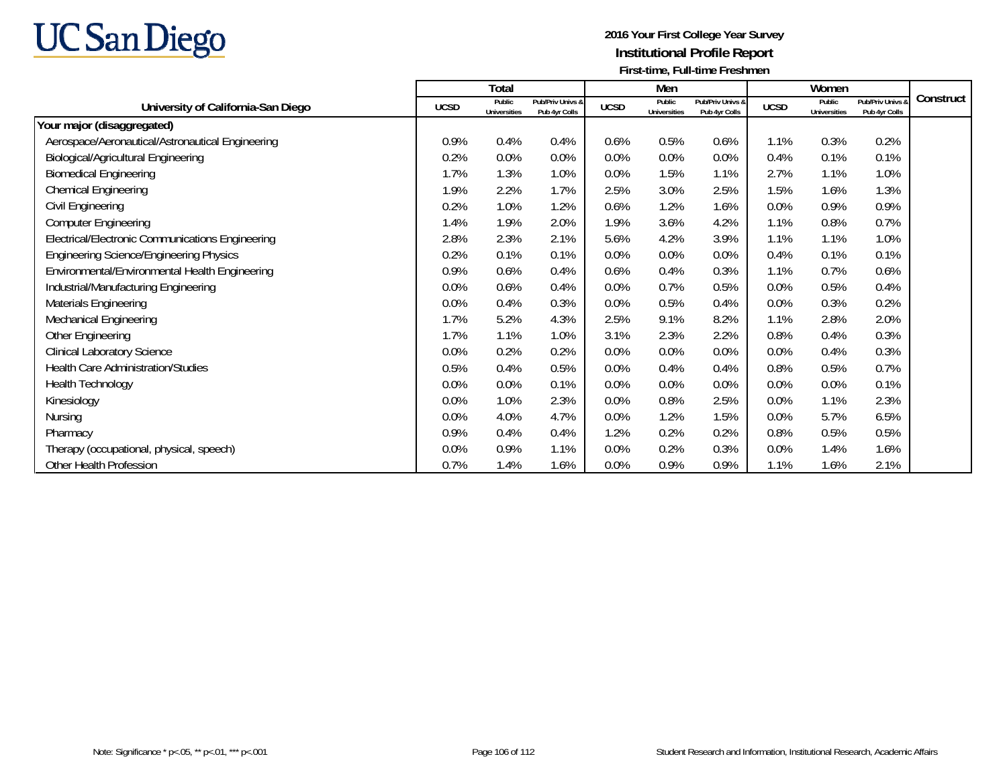

|                                                  |             | Total                         |                                   |             | Men                           |                                   |             | Women                         |                                   |           |
|--------------------------------------------------|-------------|-------------------------------|-----------------------------------|-------------|-------------------------------|-----------------------------------|-------------|-------------------------------|-----------------------------------|-----------|
| University of California-San Diego               | <b>UCSD</b> | Public<br><b>Universities</b> | Pub/Priv Univs &<br>Pub 4yr Colls | <b>UCSD</b> | Public<br><b>Universities</b> | Pub/Priv Univs &<br>Pub 4yr Colls | <b>UCSD</b> | Public<br><b>Universities</b> | Pub/Priv Univs &<br>Pub 4yr Colls | Construct |
| Your major (disaggregated)                       |             |                               |                                   |             |                               |                                   |             |                               |                                   |           |
| Aerospace/Aeronautical/Astronautical Engineering | 0.9%        | 0.4%                          | 0.4%                              | 0.6%        | 0.5%                          | 0.6%                              | 1.1%        | 0.3%                          | 0.2%                              |           |
| <b>Biological/Agricultural Engineering</b>       | 0.2%        | 0.0%                          | 0.0%                              | 0.0%        | 0.0%                          | 0.0%                              | 0.4%        | 0.1%                          | 0.1%                              |           |
| <b>Biomedical Engineering</b>                    | 1.7%        | 1.3%                          | 1.0%                              | 0.0%        | 1.5%                          | 1.1%                              | 2.7%        | 1.1%                          | 1.0%                              |           |
| <b>Chemical Engineering</b>                      | 1.9%        | 2.2%                          | 1.7%                              | 2.5%        | 3.0%                          | 2.5%                              | 1.5%        | 1.6%                          | 1.3%                              |           |
| Civil Engineering                                | 0.2%        | 1.0%                          | 1.2%                              | 0.6%        | 1.2%                          | 1.6%                              | 0.0%        | 0.9%                          | 0.9%                              |           |
| <b>Computer Engineering</b>                      | 1.4%        | 1.9%                          | 2.0%                              | 1.9%        | 3.6%                          | 4.2%                              | 1.1%        | 0.8%                          | 0.7%                              |           |
| Electrical/Electronic Communications Engineering | 2.8%        | 2.3%                          | 2.1%                              | 5.6%        | 4.2%                          | 3.9%                              | 1.1%        | 1.1%                          | 1.0%                              |           |
| <b>Engineering Science/Engineering Physics</b>   | 0.2%        | 0.1%                          | 0.1%                              | 0.0%        | 0.0%                          | 0.0%                              | 0.4%        | 0.1%                          | 0.1%                              |           |
| Environmental/Environmental Health Engineering   | 0.9%        | 0.6%                          | 0.4%                              | 0.6%        | 0.4%                          | 0.3%                              | 1.1%        | 0.7%                          | 0.6%                              |           |
| Industrial/Manufacturing Engineering             | 0.0%        | 0.6%                          | 0.4%                              | 0.0%        | 0.7%                          | 0.5%                              | 0.0%        | 0.5%                          | 0.4%                              |           |
| Materials Engineering                            | 0.0%        | 0.4%                          | 0.3%                              | 0.0%        | 0.5%                          | 0.4%                              | 0.0%        | 0.3%                          | 0.2%                              |           |
| Mechanical Engineering                           | 1.7%        | 5.2%                          | 4.3%                              | 2.5%        | 9.1%                          | 8.2%                              | 1.1%        | 2.8%                          | 2.0%                              |           |
| Other Engineering                                | 1.7%        | 1.1%                          | 1.0%                              | 3.1%        | 2.3%                          | 2.2%                              | 0.8%        | 0.4%                          | 0.3%                              |           |
| <b>Clinical Laboratory Science</b>               | 0.0%        | 0.2%                          | 0.2%                              | 0.0%        | 0.0%                          | 0.0%                              | 0.0%        | 0.4%                          | 0.3%                              |           |
| <b>Health Care Administration/Studies</b>        | 0.5%        | 0.4%                          | 0.5%                              | 0.0%        | 0.4%                          | 0.4%                              | 0.8%        | 0.5%                          | 0.7%                              |           |
| <b>Health Technology</b>                         | 0.0%        | 0.0%                          | 0.1%                              | 0.0%        | 0.0%                          | 0.0%                              | 0.0%        | 0.0%                          | 0.1%                              |           |
| Kinesiology                                      | 0.0%        | 1.0%                          | 2.3%                              | 0.0%        | 0.8%                          | 2.5%                              | 0.0%        | 1.1%                          | 2.3%                              |           |
| <b>Nursing</b>                                   | 0.0%        | 4.0%                          | 4.7%                              | 0.0%        | 1.2%                          | 1.5%                              | 0.0%        | 5.7%                          | 6.5%                              |           |
| Pharmacy                                         | 0.9%        | 0.4%                          | 0.4%                              | 1.2%        | 0.2%                          | 0.2%                              | 0.8%        | 0.5%                          | 0.5%                              |           |
| Therapy (occupational, physical, speech)         | 0.0%        | 0.9%                          | 1.1%                              | 0.0%        | 0.2%                          | 0.3%                              | 0.0%        | 1.4%                          | 1.6%                              |           |
| Other Health Profession                          | 0.7%        | 1.4%                          | 1.6%                              | 0.0%        | 0.9%                          | 0.9%                              | 1.1%        | 1.6%                          | 2.1%                              |           |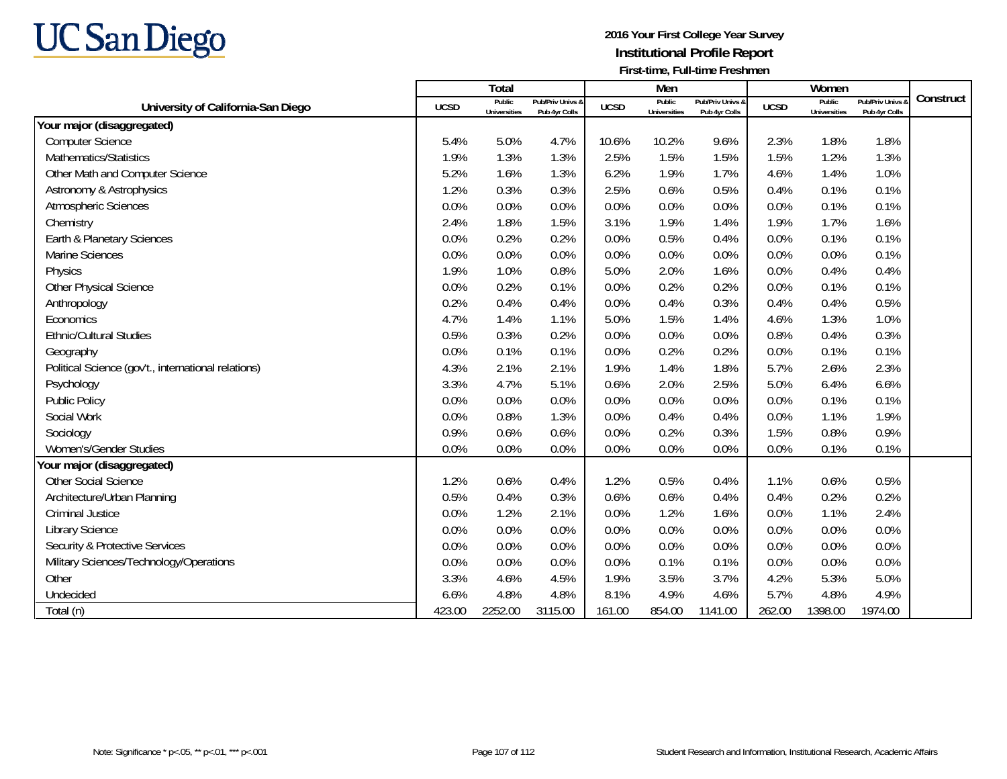

|                                                     |             | Total                         |                                   |             | Men                           |                                   |             | Women                         |                                 |           |
|-----------------------------------------------------|-------------|-------------------------------|-----------------------------------|-------------|-------------------------------|-----------------------------------|-------------|-------------------------------|---------------------------------|-----------|
| University of California-San Diego                  | <b>UCSD</b> | Public<br><b>Universities</b> | Pub/Priv Univs &<br>Pub 4yr Colls | <b>UCSD</b> | Public<br><b>Universities</b> | Pub/Priv Univs &<br>Pub 4yr Colls | <b>UCSD</b> | Public<br><b>Universities</b> | Pub/Priv Univs<br>Pub 4yr Colls | Construct |
| Your major (disaggregated)                          |             |                               |                                   |             |                               |                                   |             |                               |                                 |           |
| <b>Computer Science</b>                             | 5.4%        | 5.0%                          | 4.7%                              | 10.6%       | 10.2%                         | 9.6%                              | 2.3%        | 1.8%                          | 1.8%                            |           |
| Mathematics/Statistics                              | 1.9%        | 1.3%                          | 1.3%                              | 2.5%        | 1.5%                          | 1.5%                              | 1.5%        | 1.2%                          | 1.3%                            |           |
| Other Math and Computer Science                     | 5.2%        | 1.6%                          | 1.3%                              | 6.2%        | 1.9%                          | 1.7%                              | 4.6%        | 1.4%                          | 1.0%                            |           |
| Astronomy & Astrophysics                            | 1.2%        | 0.3%                          | 0.3%                              | 2.5%        | 0.6%                          | 0.5%                              | 0.4%        | 0.1%                          | 0.1%                            |           |
| Atmospheric Sciences                                | 0.0%        | 0.0%                          | 0.0%                              | 0.0%        | 0.0%                          | 0.0%                              | 0.0%        | 0.1%                          | 0.1%                            |           |
| Chemistry                                           | 2.4%        | 1.8%                          | 1.5%                              | 3.1%        | 1.9%                          | 1.4%                              | 1.9%        | 1.7%                          | 1.6%                            |           |
| Earth & Planetary Sciences                          | 0.0%        | 0.2%                          | 0.2%                              | 0.0%        | 0.5%                          | 0.4%                              | 0.0%        | 0.1%                          | 0.1%                            |           |
| Marine Sciences                                     | 0.0%        | 0.0%                          | 0.0%                              | 0.0%        | 0.0%                          | 0.0%                              | 0.0%        | 0.0%                          | 0.1%                            |           |
| Physics                                             | 1.9%        | 1.0%                          | 0.8%                              | 5.0%        | 2.0%                          | 1.6%                              | 0.0%        | 0.4%                          | 0.4%                            |           |
| Other Physical Science                              | 0.0%        | 0.2%                          | 0.1%                              | 0.0%        | 0.2%                          | 0.2%                              | 0.0%        | 0.1%                          | 0.1%                            |           |
| Anthropology                                        | 0.2%        | 0.4%                          | 0.4%                              | 0.0%        | 0.4%                          | 0.3%                              | 0.4%        | 0.4%                          | 0.5%                            |           |
| Economics                                           | 4.7%        | 1.4%                          | 1.1%                              | 5.0%        | 1.5%                          | 1.4%                              | 4.6%        | 1.3%                          | 1.0%                            |           |
| <b>Ethnic/Cultural Studies</b>                      | 0.5%        | 0.3%                          | 0.2%                              | 0.0%        | 0.0%                          | 0.0%                              | 0.8%        | 0.4%                          | 0.3%                            |           |
| Geography                                           | 0.0%        | 0.1%                          | 0.1%                              | 0.0%        | 0.2%                          | 0.2%                              | 0.0%        | 0.1%                          | 0.1%                            |           |
| Political Science (gov't., international relations) | 4.3%        | 2.1%                          | 2.1%                              | 1.9%        | 1.4%                          | 1.8%                              | 5.7%        | 2.6%                          | 2.3%                            |           |
| Psychology                                          | 3.3%        | 4.7%                          | 5.1%                              | 0.6%        | 2.0%                          | 2.5%                              | 5.0%        | 6.4%                          | 6.6%                            |           |
| <b>Public Policy</b>                                | 0.0%        | 0.0%                          | 0.0%                              | 0.0%        | 0.0%                          | 0.0%                              | 0.0%        | 0.1%                          | 0.1%                            |           |
| Social Work                                         | 0.0%        | 0.8%                          | 1.3%                              | 0.0%        | 0.4%                          | 0.4%                              | 0.0%        | 1.1%                          | 1.9%                            |           |
| Sociology                                           | 0.9%        | 0.6%                          | 0.6%                              | 0.0%        | 0.2%                          | 0.3%                              | 1.5%        | 0.8%                          | 0.9%                            |           |
| Women's/Gender Studies                              | 0.0%        | 0.0%                          | 0.0%                              | 0.0%        | 0.0%                          | 0.0%                              | 0.0%        | 0.1%                          | 0.1%                            |           |
| Your major (disaggregated)                          |             |                               |                                   |             |                               |                                   |             |                               |                                 |           |
| <b>Other Social Science</b>                         | 1.2%        | 0.6%                          | 0.4%                              | 1.2%        | 0.5%                          | 0.4%                              | 1.1%        | 0.6%                          | 0.5%                            |           |
| Architecture/Urban Planning                         | 0.5%        | 0.4%                          | 0.3%                              | 0.6%        | 0.6%                          | 0.4%                              | 0.4%        | 0.2%                          | 0.2%                            |           |
| <b>Criminal Justice</b>                             | 0.0%        | 1.2%                          | 2.1%                              | 0.0%        | 1.2%                          | 1.6%                              | 0.0%        | 1.1%                          | 2.4%                            |           |
| <b>Library Science</b>                              | 0.0%        | 0.0%                          | 0.0%                              | 0.0%        | 0.0%                          | 0.0%                              | 0.0%        | 0.0%                          | 0.0%                            |           |
| <b>Security &amp; Protective Services</b>           | 0.0%        | 0.0%                          | 0.0%                              | 0.0%        | 0.0%                          | 0.0%                              | 0.0%        | 0.0%                          | 0.0%                            |           |
| Military Sciences/Technology/Operations             | 0.0%        | 0.0%                          | 0.0%                              | 0.0%        | 0.1%                          | 0.1%                              | 0.0%        | 0.0%                          | 0.0%                            |           |
| Other                                               | 3.3%        | 4.6%                          | 4.5%                              | 1.9%        | 3.5%                          | 3.7%                              | 4.2%        | 5.3%                          | 5.0%                            |           |
| Undecided                                           | 6.6%        | 4.8%                          | 4.8%                              | 8.1%        | 4.9%                          | 4.6%                              | 5.7%        | 4.8%                          | 4.9%                            |           |
| Total (n)                                           | 423.00      | 2252.00                       | 3115.00                           | 161.00      | 854.00                        | 1141.00                           | 262.00      | 1398.00                       | 1974.00                         |           |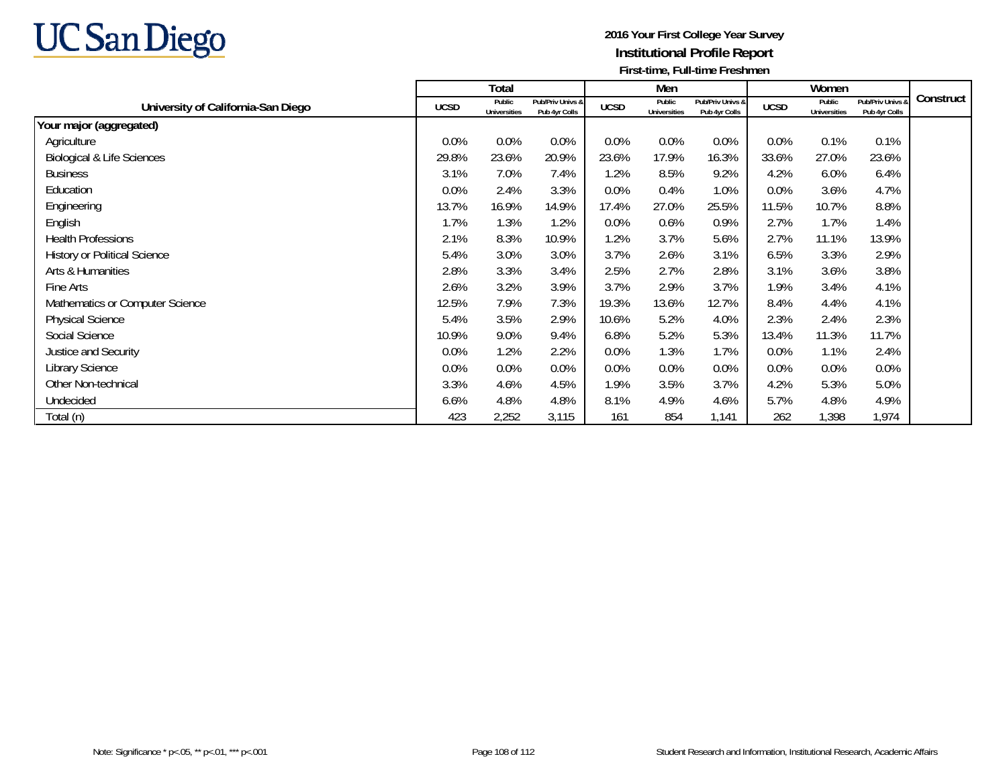

|                                       |             | Total                         |                                   |             | Men                    |                                   |             | Women                         |                                   |           |
|---------------------------------------|-------------|-------------------------------|-----------------------------------|-------------|------------------------|-----------------------------------|-------------|-------------------------------|-----------------------------------|-----------|
| University of California-San Diego    | <b>UCSD</b> | Public<br><b>Universities</b> | Pub/Priv Univs &<br>Pub 4yr Colls | <b>UCSD</b> | Public<br>Universities | Pub/Priv Univs &<br>Pub 4yr Colls | <b>UCSD</b> | Public<br><b>Universities</b> | Pub/Priv Univs &<br>Pub 4yr Colls | Construct |
| Your major (aggregated)               |             |                               |                                   |             |                        |                                   |             |                               |                                   |           |
| Agriculture                           | 0.0%        | 0.0%                          | 0.0%                              | 0.0%        | 0.0%                   | $0.0\%$                           | 0.0%        | 0.1%                          | 0.1%                              |           |
| <b>Biological &amp; Life Sciences</b> | 29.8%       | 23.6%                         | 20.9%                             | 23.6%       | 17.9%                  | 16.3%                             | 33.6%       | 27.0%                         | 23.6%                             |           |
| <b>Business</b>                       | 3.1%        | 7.0%                          | 7.4%                              | 1.2%        | 8.5%                   | 9.2%                              | 4.2%        | 6.0%                          | 6.4%                              |           |
| Education                             | 0.0%        | 2.4%                          | 3.3%                              | 0.0%        | 0.4%                   | 1.0%                              | 0.0%        | 3.6%                          | 4.7%                              |           |
| Engineering                           | 13.7%       | 16.9%                         | 14.9%                             | 17.4%       | 27.0%                  | 25.5%                             | 11.5%       | 10.7%                         | 8.8%                              |           |
| English                               | 1.7%        | 1.3%                          | 1.2%                              | 0.0%        | 0.6%                   | 0.9%                              | 2.7%        | 1.7%                          | 1.4%                              |           |
| <b>Health Professions</b>             | 2.1%        | 8.3%                          | 10.9%                             | 1.2%        | 3.7%                   | 5.6%                              | 2.7%        | 11.1%                         | 13.9%                             |           |
| <b>History or Political Science</b>   | 5.4%        | 3.0%                          | 3.0%                              | 3.7%        | 2.6%                   | 3.1%                              | 6.5%        | 3.3%                          | 2.9%                              |           |
| Arts & Humanities                     | 2.8%        | 3.3%                          | 3.4%                              | 2.5%        | 2.7%                   | 2.8%                              | 3.1%        | 3.6%                          | 3.8%                              |           |
| Fine Arts                             | 2.6%        | 3.2%                          | 3.9%                              | 3.7%        | 2.9%                   | 3.7%                              | 1.9%        | 3.4%                          | 4.1%                              |           |
| Mathematics or Computer Science       | 12.5%       | 7.9%                          | 7.3%                              | 19.3%       | 13.6%                  | 12.7%                             | 8.4%        | 4.4%                          | 4.1%                              |           |
| <b>Physical Science</b>               | 5.4%        | 3.5%                          | 2.9%                              | 10.6%       | 5.2%                   | 4.0%                              | 2.3%        | 2.4%                          | 2.3%                              |           |
| Social Science                        | 10.9%       | 9.0%                          | 9.4%                              | 6.8%        | 5.2%                   | 5.3%                              | 13.4%       | 11.3%                         | 11.7%                             |           |
| Justice and Security                  | 0.0%        | 1.2%                          | 2.2%                              | 0.0%        | 1.3%                   | 1.7%                              | 0.0%        | 1.1%                          | 2.4%                              |           |
| Library Science                       | 0.0%        | 0.0%                          | 0.0%                              | 0.0%        | 0.0%                   | $0.0\%$                           | 0.0%        | 0.0%                          | 0.0%                              |           |
| Other Non-technical                   | 3.3%        | 4.6%                          | 4.5%                              | 1.9%        | 3.5%                   | 3.7%                              | 4.2%        | 5.3%                          | 5.0%                              |           |
| Undecided                             | 6.6%        | 4.8%                          | 4.8%                              | 8.1%        | 4.9%                   | 4.6%                              | 5.7%        | 4.8%                          | 4.9%                              |           |
| Total (n)                             | 423         | 2,252                         | 3,115                             | 161         | 854                    | 1,141                             | 262         | 1,398                         | 1,974                             |           |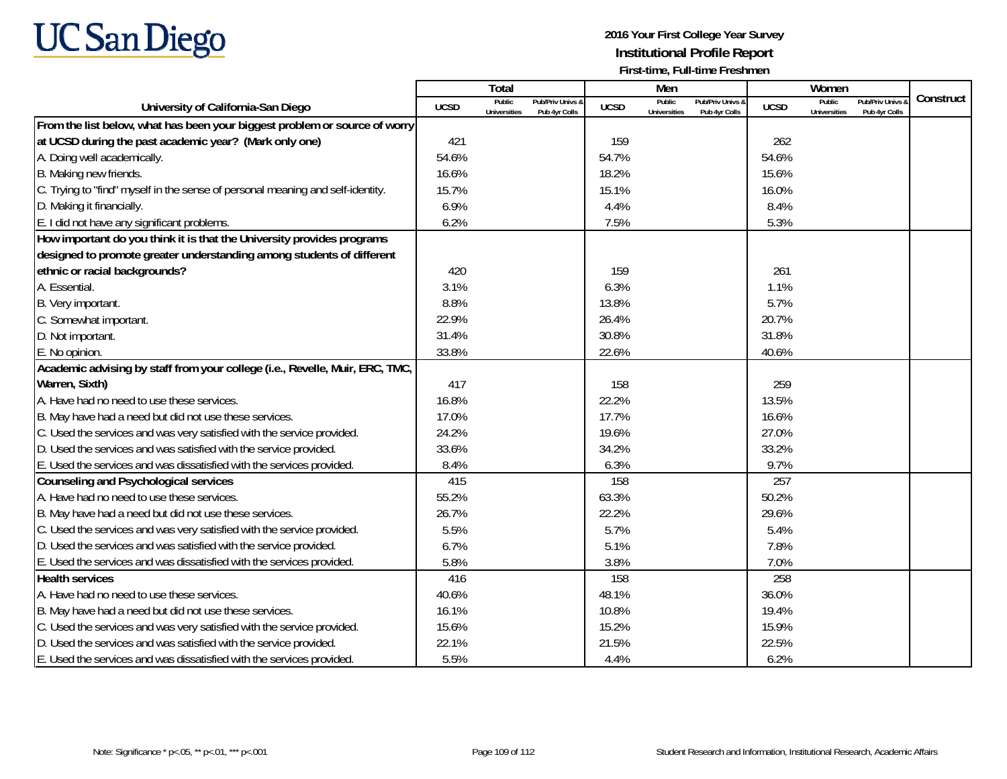

|                                                                                |             | Total                         |                                   |             | Men                                  |                                   |                  | Women                         |                                        |           |
|--------------------------------------------------------------------------------|-------------|-------------------------------|-----------------------------------|-------------|--------------------------------------|-----------------------------------|------------------|-------------------------------|----------------------------------------|-----------|
| University of California-San Diego                                             | <b>UCSD</b> | Public<br><b>Universities</b> | Pub/Priv Univs 8<br>Pub 4yr Colls | <b>UCSD</b> | <b>Public</b><br><b>Universities</b> | Pub/Priv Univs &<br>Pub 4yr Colls | <b>UCSD</b>      | Public<br><b>Universities</b> | <b>Pub/Priv Univs</b><br>Pub 4yr Colls | Construct |
| From the list below, what has been your biggest problem or source of worry     |             |                               |                                   |             |                                      |                                   |                  |                               |                                        |           |
| at UCSD during the past academic year? (Mark only one)                         | 421         |                               |                                   | 159         |                                      |                                   | 262              |                               |                                        |           |
| A. Doing well academically.                                                    | 54.6%       |                               |                                   | 54.7%       |                                      |                                   | 54.6%            |                               |                                        |           |
| B. Making new friends.                                                         | 16.6%       |                               |                                   | 18.2%       |                                      |                                   | 15.6%            |                               |                                        |           |
| C. Trying to "find" myself in the sense of personal meaning and self-identity. | 15.7%       |                               |                                   | 15.1%       |                                      |                                   | 16.0%            |                               |                                        |           |
| D. Making it financially.                                                      | 6.9%        |                               |                                   | 4.4%        |                                      |                                   | 8.4%             |                               |                                        |           |
| E. I did not have any significant problems.                                    | 6.2%        |                               |                                   | 7.5%        |                                      |                                   | 5.3%             |                               |                                        |           |
| How important do you think it is that the University provides programs         |             |                               |                                   |             |                                      |                                   |                  |                               |                                        |           |
| designed to promote greater understanding among students of different          |             |                               |                                   |             |                                      |                                   |                  |                               |                                        |           |
| ethnic or racial backgrounds?                                                  | 420         |                               |                                   | 159         |                                      |                                   | 261              |                               |                                        |           |
| A. Essential.                                                                  | 3.1%        |                               |                                   | 6.3%        |                                      |                                   | 1.1%             |                               |                                        |           |
| B. Very important.                                                             | 8.8%        |                               |                                   | 13.8%       |                                      |                                   | 5.7%             |                               |                                        |           |
| C. Somewhat important.                                                         | 22.9%       |                               |                                   | 26.4%       |                                      |                                   | 20.7%            |                               |                                        |           |
| D. Not important.                                                              | 31.4%       |                               |                                   | 30.8%       |                                      |                                   | 31.8%            |                               |                                        |           |
| E. No opinion.                                                                 | 33.8%       |                               |                                   | 22.6%       |                                      |                                   | 40.6%            |                               |                                        |           |
| Academic advising by staff from your college (i.e., Revelle, Muir, ERC, TMC,   |             |                               |                                   |             |                                      |                                   |                  |                               |                                        |           |
| Warren, Sixth)                                                                 | 417         |                               |                                   | 158         |                                      |                                   | 259              |                               |                                        |           |
| A. Have had no need to use these services.                                     | 16.8%       |                               |                                   | 22.2%       |                                      |                                   | 13.5%            |                               |                                        |           |
| B. May have had a need but did not use these services.                         | 17.0%       |                               |                                   | 17.7%       |                                      |                                   | 16.6%            |                               |                                        |           |
| C. Used the services and was very satisfied with the service provided.         | 24.2%       |                               |                                   | 19.6%       |                                      |                                   | 27.0%            |                               |                                        |           |
| D. Used the services and was satisfied with the service provided.              | 33.6%       |                               |                                   | 34.2%       |                                      |                                   | 33.2%            |                               |                                        |           |
| E. Used the services and was dissatisfied with the services provided.          | 8.4%        |                               |                                   | 6.3%        |                                      |                                   | 9.7%             |                               |                                        |           |
| <b>Counseling and Psychological services</b>                                   | 415         |                               |                                   | 158         |                                      |                                   | $\overline{257}$ |                               |                                        |           |
| A. Have had no need to use these services.                                     | 55.2%       |                               |                                   | 63.3%       |                                      |                                   | 50.2%            |                               |                                        |           |
| B. May have had a need but did not use these services.                         | 26.7%       |                               |                                   | 22.2%       |                                      |                                   | 29.6%            |                               |                                        |           |
| C. Used the services and was very satisfied with the service provided.         | 5.5%        |                               |                                   | 5.7%        |                                      |                                   | 5.4%             |                               |                                        |           |
| D. Used the services and was satisfied with the service provided.              | 6.7%        |                               |                                   | 5.1%        |                                      |                                   | 7.8%             |                               |                                        |           |
| E. Used the services and was dissatisfied with the services provided.          | 5.8%        |                               |                                   | 3.8%        |                                      |                                   | 7.0%             |                               |                                        |           |
| <b>Health services</b>                                                         | 416         |                               |                                   | 158         |                                      |                                   | 258              |                               |                                        |           |
| A. Have had no need to use these services.                                     | 40.6%       |                               |                                   | 48.1%       |                                      |                                   | 36.0%            |                               |                                        |           |
| B. May have had a need but did not use these services.                         | 16.1%       |                               |                                   | 10.8%       |                                      |                                   | 19.4%            |                               |                                        |           |
| C. Used the services and was very satisfied with the service provided.         | 15.6%       |                               |                                   | 15.2%       |                                      |                                   | 15.9%            |                               |                                        |           |
| D. Used the services and was satisfied with the service provided.              | 22.1%       |                               |                                   | 21.5%       |                                      |                                   | 22.5%            |                               |                                        |           |
| E. Used the services and was dissatisfied with the services provided.          | 5.5%        |                               |                                   | 4.4%        |                                      |                                   | 6.2%             |                               |                                        |           |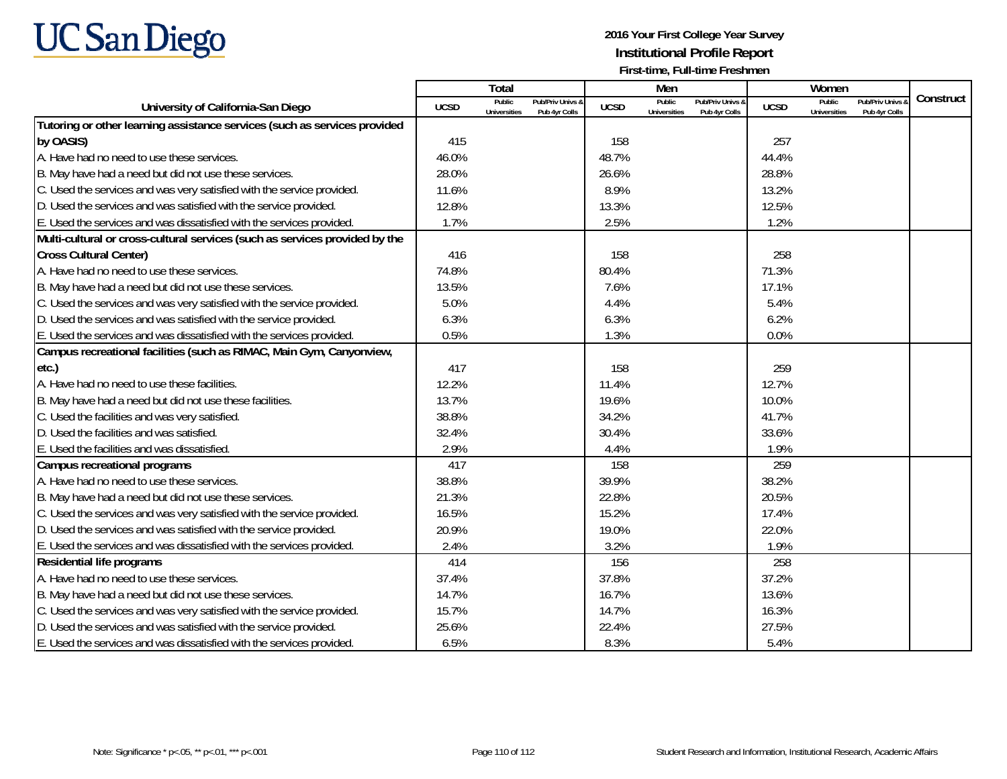

|                                                                             |             | Total                         |                                   |             | Men                           |                                   |             | Women                         |                                        |           |
|-----------------------------------------------------------------------------|-------------|-------------------------------|-----------------------------------|-------------|-------------------------------|-----------------------------------|-------------|-------------------------------|----------------------------------------|-----------|
| University of California-San Diego                                          | <b>UCSD</b> | Public<br><b>Universities</b> | Pub/Priv Univs &<br>Pub 4yr Colls | <b>UCSD</b> | Public<br><b>Universities</b> | Pub/Priv Univs &<br>Pub 4yr Colls | <b>UCSD</b> | Public<br><b>Universities</b> | <b>Pub/Priv Univs</b><br>Pub 4yr Colls | Construct |
| Tutoring or other learning assistance services (such as services provided   |             |                               |                                   |             |                               |                                   |             |                               |                                        |           |
| by OASIS)                                                                   | 415         |                               |                                   | 158         |                               |                                   | 257         |                               |                                        |           |
| A. Have had no need to use these services.                                  | 46.0%       |                               |                                   | 48.7%       |                               |                                   | 44.4%       |                               |                                        |           |
| B. May have had a need but did not use these services.                      | 28.0%       |                               |                                   | 26.6%       |                               |                                   | 28.8%       |                               |                                        |           |
| C. Used the services and was very satisfied with the service provided.      | 11.6%       |                               |                                   | 8.9%        |                               |                                   | 13.2%       |                               |                                        |           |
| D. Used the services and was satisfied with the service provided.           | 12.8%       |                               |                                   | 13.3%       |                               |                                   | 12.5%       |                               |                                        |           |
| E. Used the services and was dissatisfied with the services provided.       | 1.7%        |                               |                                   | 2.5%        |                               |                                   | 1.2%        |                               |                                        |           |
| Multi-cultural or cross-cultural services (such as services provided by the |             |                               |                                   |             |                               |                                   |             |                               |                                        |           |
| <b>Cross Cultural Center)</b>                                               | 416         |                               |                                   | 158         |                               |                                   | 258         |                               |                                        |           |
| A. Have had no need to use these services.                                  | 74.8%       |                               |                                   | 80.4%       |                               |                                   | 71.3%       |                               |                                        |           |
| B. May have had a need but did not use these services.                      | 13.5%       |                               |                                   | 7.6%        |                               |                                   | 17.1%       |                               |                                        |           |
| C. Used the services and was very satisfied with the service provided.      | 5.0%        |                               |                                   | 4.4%        |                               |                                   | 5.4%        |                               |                                        |           |
| D. Used the services and was satisfied with the service provided.           | 6.3%        |                               |                                   | 6.3%        |                               |                                   | 6.2%        |                               |                                        |           |
| E. Used the services and was dissatisfied with the services provided.       | 0.5%        |                               |                                   | 1.3%        |                               |                                   | 0.0%        |                               |                                        |           |
| Campus recreational facilities (such as RIMAC, Main Gym, Canyonview,        |             |                               |                                   |             |                               |                                   |             |                               |                                        |           |
| etc.)                                                                       | 417         |                               |                                   | 158         |                               |                                   | 259         |                               |                                        |           |
| A. Have had no need to use these facilities.                                | 12.2%       |                               |                                   | 11.4%       |                               |                                   | 12.7%       |                               |                                        |           |
| B. May have had a need but did not use these facilities.                    | 13.7%       |                               |                                   | 19.6%       |                               |                                   | 10.0%       |                               |                                        |           |
| C. Used the facilities and was very satisfied.                              | 38.8%       |                               |                                   | 34.2%       |                               |                                   | 41.7%       |                               |                                        |           |
| D. Used the facilities and was satisfied.                                   | 32.4%       |                               |                                   | 30.4%       |                               |                                   | 33.6%       |                               |                                        |           |
| E. Used the facilities and was dissatisfied.                                | 2.9%        |                               |                                   | 4.4%        |                               |                                   | 1.9%        |                               |                                        |           |
| Campus recreational programs                                                | 417         |                               |                                   | 158         |                               |                                   | 259         |                               |                                        |           |
| A. Have had no need to use these services.                                  | 38.8%       |                               |                                   | 39.9%       |                               |                                   | 38.2%       |                               |                                        |           |
| B. May have had a need but did not use these services.                      | 21.3%       |                               |                                   | 22.8%       |                               |                                   | 20.5%       |                               |                                        |           |
| C. Used the services and was very satisfied with the service provided.      | 16.5%       |                               |                                   | 15.2%       |                               |                                   | 17.4%       |                               |                                        |           |
| D. Used the services and was satisfied with the service provided.           | 20.9%       |                               |                                   | 19.0%       |                               |                                   | 22.0%       |                               |                                        |           |
| E. Used the services and was dissatisfied with the services provided.       | 2.4%        |                               |                                   | 3.2%        |                               |                                   | 1.9%        |                               |                                        |           |
| Residential life programs                                                   | 414         |                               |                                   | 156         |                               |                                   | 258         |                               |                                        |           |
| A. Have had no need to use these services.                                  | 37.4%       |                               |                                   | 37.8%       |                               |                                   | 37.2%       |                               |                                        |           |
| B. May have had a need but did not use these services.                      | 14.7%       |                               |                                   | 16.7%       |                               |                                   | 13.6%       |                               |                                        |           |
| C. Used the services and was very satisfied with the service provided.      | 15.7%       |                               |                                   | 14.7%       |                               |                                   | 16.3%       |                               |                                        |           |
| D. Used the services and was satisfied with the service provided.           | 25.6%       |                               |                                   | 22.4%       |                               |                                   | 27.5%       |                               |                                        |           |
| E. Used the services and was dissatisfied with the services provided.       | 6.5%        |                               |                                   | 8.3%        |                               |                                   | 5.4%        |                               |                                        |           |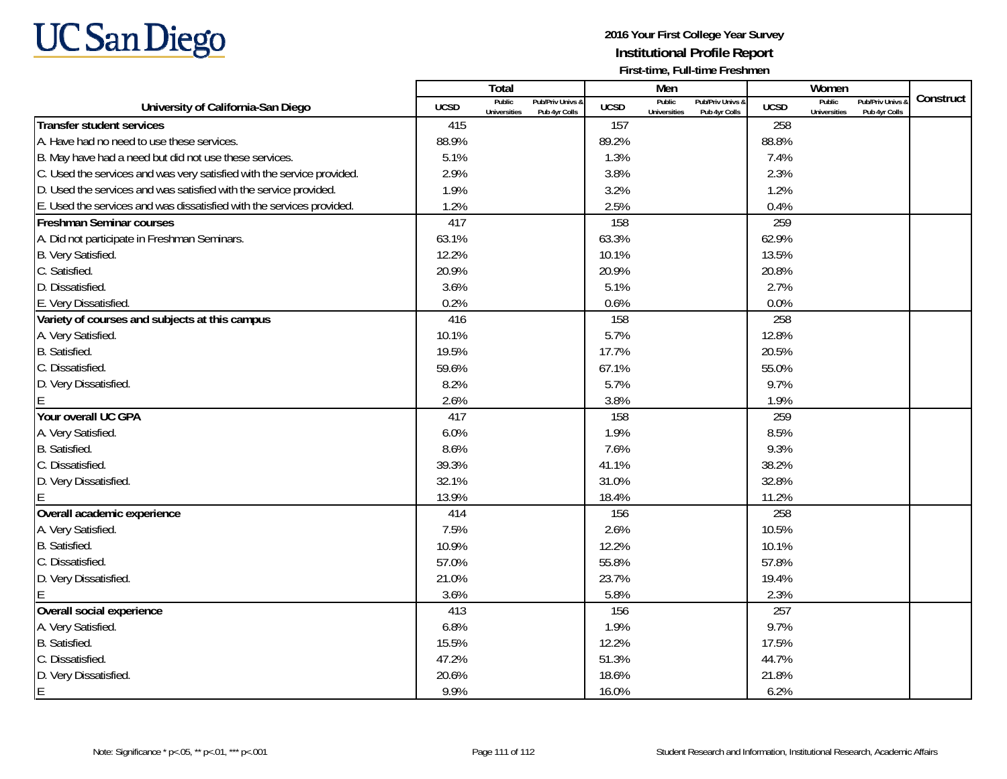

|                                                                        |             | Total                                                              |             | Men                           |                                   |             | Women                         |                                 |           |
|------------------------------------------------------------------------|-------------|--------------------------------------------------------------------|-------------|-------------------------------|-----------------------------------|-------------|-------------------------------|---------------------------------|-----------|
| University of California-San Diego                                     | <b>UCSD</b> | Public<br>Pub/Priv Univs &<br><b>Universities</b><br>Pub 4yr Colls | <b>UCSD</b> | Public<br><b>Universities</b> | Pub/Priv Univs &<br>Pub 4yr Colls | <b>UCSD</b> | Public<br><b>Universities</b> | Pub/Priv Univs<br>Pub 4yr Colls | Construct |
| <b>Transfer student services</b>                                       | 415         |                                                                    | 157         |                               |                                   | 258         |                               |                                 |           |
| A. Have had no need to use these services.                             | 88.9%       |                                                                    | 89.2%       |                               |                                   | 88.8%       |                               |                                 |           |
| B. May have had a need but did not use these services.                 | 5.1%        |                                                                    | 1.3%        |                               |                                   | 7.4%        |                               |                                 |           |
| C. Used the services and was very satisfied with the service provided. | 2.9%        |                                                                    | 3.8%        |                               |                                   | 2.3%        |                               |                                 |           |
| D. Used the services and was satisfied with the service provided.      | 1.9%        |                                                                    | 3.2%        |                               |                                   | 1.2%        |                               |                                 |           |
| E. Used the services and was dissatisfied with the services provided.  | 1.2%        |                                                                    | 2.5%        |                               |                                   | 0.4%        |                               |                                 |           |
| <b>Freshman Seminar courses</b>                                        | 417         |                                                                    | 158         |                               |                                   | 259         |                               |                                 |           |
| A. Did not participate in Freshman Seminars.                           | 63.1%       |                                                                    | 63.3%       |                               |                                   | 62.9%       |                               |                                 |           |
| B. Very Satisfied.                                                     | 12.2%       |                                                                    | 10.1%       |                               |                                   | 13.5%       |                               |                                 |           |
| C. Satisfied.                                                          | 20.9%       |                                                                    | 20.9%       |                               |                                   | 20.8%       |                               |                                 |           |
| D. Dissatisfied.                                                       | 3.6%        |                                                                    | 5.1%        |                               |                                   | 2.7%        |                               |                                 |           |
| E. Very Dissatisfied.                                                  | 0.2%        |                                                                    | 0.6%        |                               |                                   | 0.0%        |                               |                                 |           |
| Variety of courses and subjects at this campus                         | 416         |                                                                    | 158         |                               |                                   | 258         |                               |                                 |           |
| A. Very Satisfied.                                                     | 10.1%       |                                                                    | 5.7%        |                               |                                   | 12.8%       |                               |                                 |           |
| B. Satisfied.                                                          | 19.5%       |                                                                    | 17.7%       |                               |                                   | 20.5%       |                               |                                 |           |
| C. Dissatisfied.                                                       | 59.6%       |                                                                    | 67.1%       |                               |                                   | 55.0%       |                               |                                 |           |
| D. Very Dissatisfied.                                                  | 8.2%        |                                                                    | 5.7%        |                               |                                   | 9.7%        |                               |                                 |           |
|                                                                        | 2.6%        |                                                                    | 3.8%        |                               |                                   | 1.9%        |                               |                                 |           |
| Your overall UC GPA                                                    | 417         |                                                                    | 158         |                               |                                   | 259         |                               |                                 |           |
| A. Very Satisfied.                                                     | 6.0%        |                                                                    | 1.9%        |                               |                                   | 8.5%        |                               |                                 |           |
| B. Satisfied.                                                          | 8.6%        |                                                                    | 7.6%        |                               |                                   | 9.3%        |                               |                                 |           |
| C. Dissatisfied.                                                       | 39.3%       |                                                                    | 41.1%       |                               |                                   | 38.2%       |                               |                                 |           |
| D. Very Dissatisfied.                                                  | 32.1%       |                                                                    | 31.0%       |                               |                                   | 32.8%       |                               |                                 |           |
|                                                                        | 13.9%       |                                                                    | 18.4%       |                               |                                   | 11.2%       |                               |                                 |           |
| Overall academic experience                                            | 414         |                                                                    | 156         |                               |                                   | 258         |                               |                                 |           |
| A. Very Satisfied.                                                     | 7.5%        |                                                                    | 2.6%        |                               |                                   | 10.5%       |                               |                                 |           |
| B. Satisfied.                                                          | 10.9%       |                                                                    | 12.2%       |                               |                                   | 10.1%       |                               |                                 |           |
| C. Dissatisfied.                                                       | 57.0%       |                                                                    | 55.8%       |                               |                                   | 57.8%       |                               |                                 |           |
| D. Very Dissatisfied.                                                  | 21.0%       |                                                                    | 23.7%       |                               |                                   | 19.4%       |                               |                                 |           |
|                                                                        | 3.6%        |                                                                    | 5.8%        |                               |                                   | 2.3%        |                               |                                 |           |
| Overall social experience                                              | 413         |                                                                    | 156         |                               |                                   | 257         |                               |                                 |           |
| A. Very Satisfied.                                                     | 6.8%        |                                                                    | 1.9%        |                               |                                   | 9.7%        |                               |                                 |           |
| B. Satisfied.                                                          | 15.5%       |                                                                    | 12.2%       |                               |                                   | 17.5%       |                               |                                 |           |
| C. Dissatisfied.                                                       | 47.2%       |                                                                    | 51.3%       |                               |                                   | 44.7%       |                               |                                 |           |
| D. Very Dissatisfied.                                                  | 20.6%       |                                                                    | 18.6%       |                               |                                   | 21.8%       |                               |                                 |           |
| E                                                                      | 9.9%        |                                                                    | 16.0%       |                               |                                   | 6.2%        |                               |                                 |           |